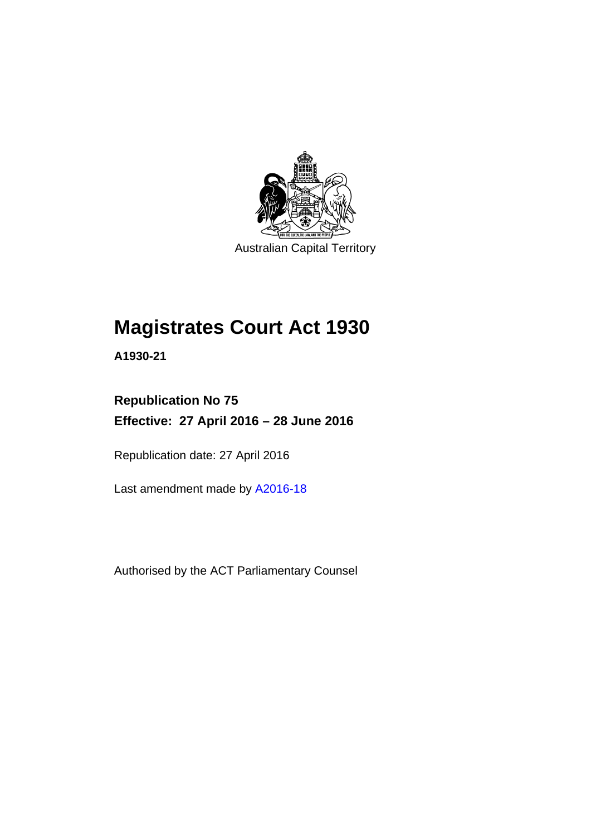

Australian Capital Territory

# **Magistrates Court Act 1930**

**A1930-21** 

### **Republication No 75 Effective: 27 April 2016 – 28 June 2016**

Republication date: 27 April 2016

Last amendment made by [A2016-18](http://www.legislation.act.gov.au/a/2016-18)

Authorised by the ACT Parliamentary Counsel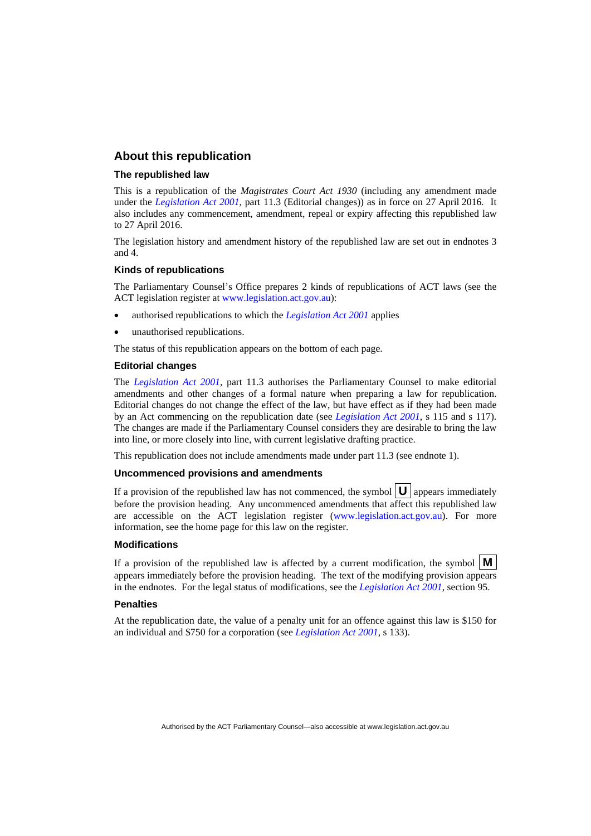#### **About this republication**

#### **The republished law**

This is a republication of the *Magistrates Court Act 1930* (including any amendment made under the *[Legislation Act 2001](http://www.legislation.act.gov.au/a/2001-14)*, part 11.3 (Editorial changes)) as in force on 27 April 2016*.* It also includes any commencement, amendment, repeal or expiry affecting this republished law to 27 April 2016.

The legislation history and amendment history of the republished law are set out in endnotes 3 and 4.

#### **Kinds of republications**

The Parliamentary Counsel's Office prepares 2 kinds of republications of ACT laws (see the ACT legislation register at [www.legislation.act.gov.au](http://www.legislation.act.gov.au/)):

- authorised republications to which the *[Legislation Act 2001](http://www.legislation.act.gov.au/a/2001-14)* applies
- unauthorised republications.

The status of this republication appears on the bottom of each page.

#### **Editorial changes**

The *[Legislation Act 2001](http://www.legislation.act.gov.au/a/2001-14)*, part 11.3 authorises the Parliamentary Counsel to make editorial amendments and other changes of a formal nature when preparing a law for republication. Editorial changes do not change the effect of the law, but have effect as if they had been made by an Act commencing on the republication date (see *[Legislation Act 2001](http://www.legislation.act.gov.au/a/2001-14)*, s 115 and s 117). The changes are made if the Parliamentary Counsel considers they are desirable to bring the law into line, or more closely into line, with current legislative drafting practice.

This republication does not include amendments made under part 11.3 (see endnote 1).

#### **Uncommenced provisions and amendments**

If a provision of the republished law has not commenced, the symbol  $\mathbf{U}$  appears immediately before the provision heading. Any uncommenced amendments that affect this republished law are accessible on the ACT legislation register [\(www.legislation.act.gov.au\)](http://www.legislation.act.gov.au/). For more information, see the home page for this law on the register.

#### **Modifications**

If a provision of the republished law is affected by a current modification, the symbol  $\mathbf{M}$ appears immediately before the provision heading. The text of the modifying provision appears in the endnotes. For the legal status of modifications, see the *[Legislation Act 2001](http://www.legislation.act.gov.au/a/2001-14)*, section 95.

#### **Penalties**

At the republication date, the value of a penalty unit for an offence against this law is \$150 for an individual and \$750 for a corporation (see *[Legislation Act 2001](http://www.legislation.act.gov.au/a/2001-14)*, s 133).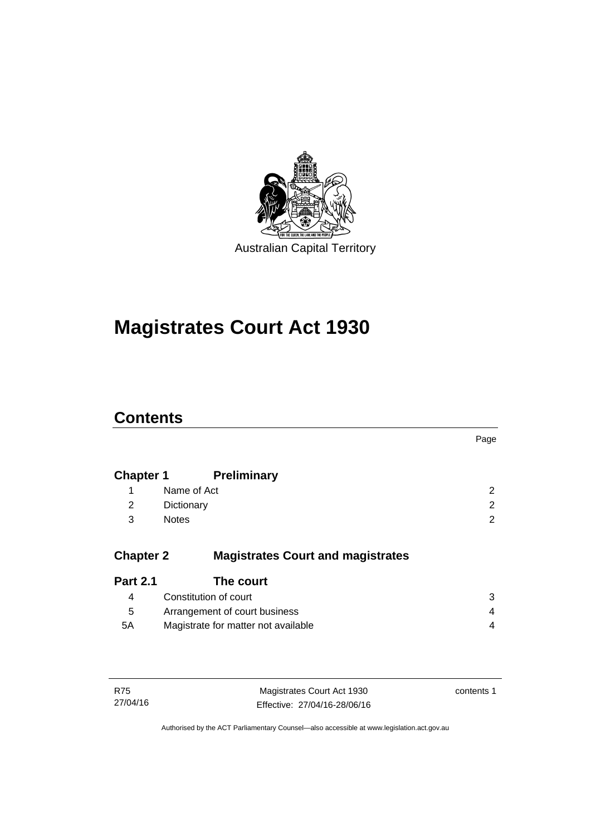

# **Magistrates Court Act 1930**

### **Contents**

|                  |                                          | Page |
|------------------|------------------------------------------|------|
| <b>Chapter 1</b> | <b>Preliminary</b>                       |      |
| 1                | Name of Act                              | 2    |
| 2                | Dictionary                               | 2    |
| 3                | <b>Notes</b>                             | 2    |
| <b>Chapter 2</b> | <b>Magistrates Court and magistrates</b> |      |
| <b>Part 2.1</b>  | The court                                |      |
| 4                | Constitution of court                    | 3    |
| 5                | Arrangement of court business            | 4    |
| 5A               | Magistrate for matter not available      | 4    |
|                  |                                          |      |
|                  |                                          |      |

| R75      | Magistrates Court Act 1930   | contents 1 |
|----------|------------------------------|------------|
| 27/04/16 | Effective: 27/04/16-28/06/16 |            |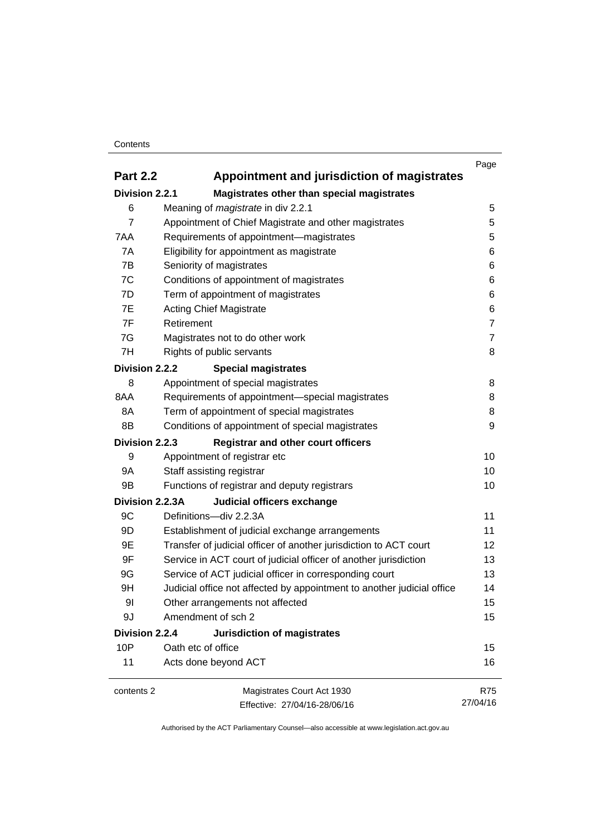#### **Contents**

|                 |                                                                        | Page           |
|-----------------|------------------------------------------------------------------------|----------------|
| <b>Part 2.2</b> | Appointment and jurisdiction of magistrates                            |                |
| Division 2.2.1  | Magistrates other than special magistrates                             |                |
| 6               | Meaning of <i>magistrate</i> in div 2.2.1                              | 5              |
| $\overline{7}$  | Appointment of Chief Magistrate and other magistrates                  | 5              |
| 7AA             | Requirements of appointment-magistrates                                | 5              |
| 7A              | Eligibility for appointment as magistrate                              | 6              |
| 7B              | Seniority of magistrates                                               | 6              |
| 7C              | Conditions of appointment of magistrates                               | 6              |
| 7D              | Term of appointment of magistrates                                     | 6              |
| 7E              | <b>Acting Chief Magistrate</b>                                         | 6              |
| 7F              | Retirement                                                             | $\overline{7}$ |
| 7G              | Magistrates not to do other work                                       | $\overline{7}$ |
| 7H              | Rights of public servants                                              | 8              |
| Division 2.2.2  | <b>Special magistrates</b>                                             |                |
| 8               | Appointment of special magistrates                                     | 8              |
| 8AA             | Requirements of appointment-special magistrates                        | 8              |
| 8A              | Term of appointment of special magistrates                             | 8              |
| 8B              | Conditions of appointment of special magistrates                       | 9              |
| Division 2.2.3  | <b>Registrar and other court officers</b>                              |                |
| 9               | Appointment of registrar etc                                           | 10             |
| <b>9A</b>       | Staff assisting registrar                                              | 10             |
| 9B              | Functions of registrar and deputy registrars                           | 10             |
| Division 2.2.3A | Judicial officers exchange                                             |                |
| 9C              | Definitions-div 2.2.3A                                                 | 11             |
| 9D              | Establishment of judicial exchange arrangements                        | 11             |
| 9E              | Transfer of judicial officer of another jurisdiction to ACT court      | 12             |
| 9F              | Service in ACT court of judicial officer of another jurisdiction       | 13             |
| 9G              | Service of ACT judicial officer in corresponding court                 | 13             |
| 9H              | Judicial office not affected by appointment to another judicial office | 14             |
| 9 <sub>l</sub>  | Other arrangements not affected                                        | 15             |
| 9J              | Amendment of sch 2                                                     | 15             |
| Division 2.2.4  | Jurisdiction of magistrates                                            |                |
| 10P             | Oath etc of office                                                     | 15             |
| 11              | Acts done beyond ACT                                                   | 16             |
| contents 2      | Magistrates Court Act 1930                                             | <b>R75</b>     |
|                 | Effective: 27/04/16-28/06/16                                           | 27/04/16       |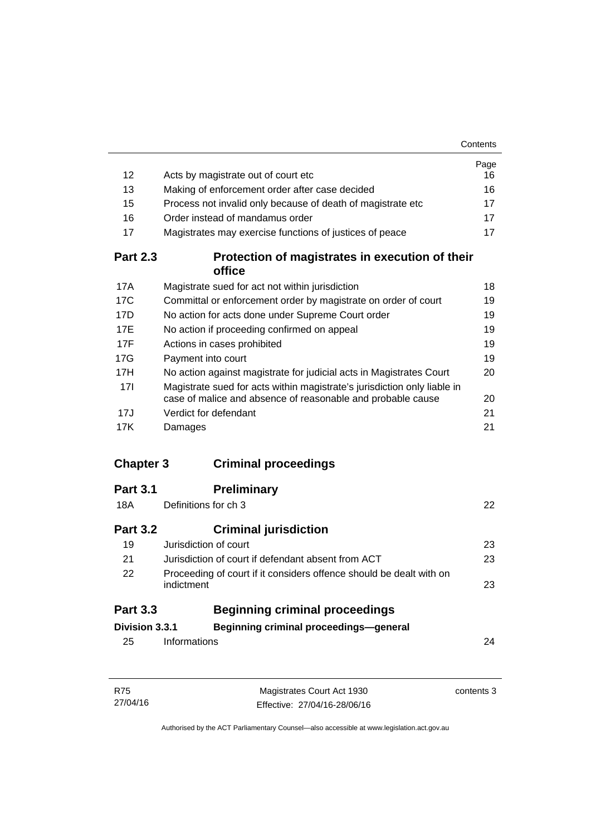|                  |                                                                                                                                         | Page |
|------------------|-----------------------------------------------------------------------------------------------------------------------------------------|------|
| 12               | Acts by magistrate out of court etc                                                                                                     | 16   |
| 13               | Making of enforcement order after case decided                                                                                          | 16   |
| 15               | Process not invalid only because of death of magistrate etc                                                                             | 17   |
| 16               | Order instead of mandamus order                                                                                                         | 17   |
| 17               | Magistrates may exercise functions of justices of peace                                                                                 | 17   |
| <b>Part 2.3</b>  | Protection of magistrates in execution of their<br>office                                                                               |      |
| 17A              | Magistrate sued for act not within jurisdiction                                                                                         | 18   |
| 17C              | Committal or enforcement order by magistrate on order of court                                                                          | 19   |
| 17D              | No action for acts done under Supreme Court order                                                                                       | 19   |
| 17E              | No action if proceeding confirmed on appeal                                                                                             | 19   |
| 17F              | Actions in cases prohibited                                                                                                             | 19   |
| 17G              | Payment into court                                                                                                                      | 19   |
| 17H              | No action against magistrate for judicial acts in Magistrates Court                                                                     | 20   |
| 17I              | Magistrate sued for acts within magistrate's jurisdiction only liable in<br>case of malice and absence of reasonable and probable cause | 20   |
| 17J              | Verdict for defendant                                                                                                                   | 21   |
| 17K              | Damages                                                                                                                                 | 21   |
| <b>Chapter 3</b> | <b>Criminal proceedings</b>                                                                                                             |      |
| <b>Part 3.1</b>  | <b>Preliminary</b>                                                                                                                      |      |
| 18A              | Definitions for ch 3                                                                                                                    | 22   |
| <b>Part 3.2</b>  | <b>Criminal jurisdiction</b>                                                                                                            |      |
| 19               | Jurisdiction of court                                                                                                                   | 23   |
| 21               | Jurisdiction of court if defendant absent from ACT                                                                                      | 23   |
| 22               | Proceeding of court if it considers offence should be dealt with on<br>indictment                                                       | 23   |
| <b>Part 3.3</b>  | <b>Beginning criminal proceedings</b>                                                                                                   |      |
| Division 3.3.1   | Beginning criminal proceedings-general                                                                                                  |      |
| 25               | Informations                                                                                                                            | 24   |
|                  |                                                                                                                                         |      |
|                  |                                                                                                                                         |      |

| R75      | Magistrates Court Act 1930   | contents 3 |
|----------|------------------------------|------------|
| 27/04/16 | Effective: 27/04/16-28/06/16 |            |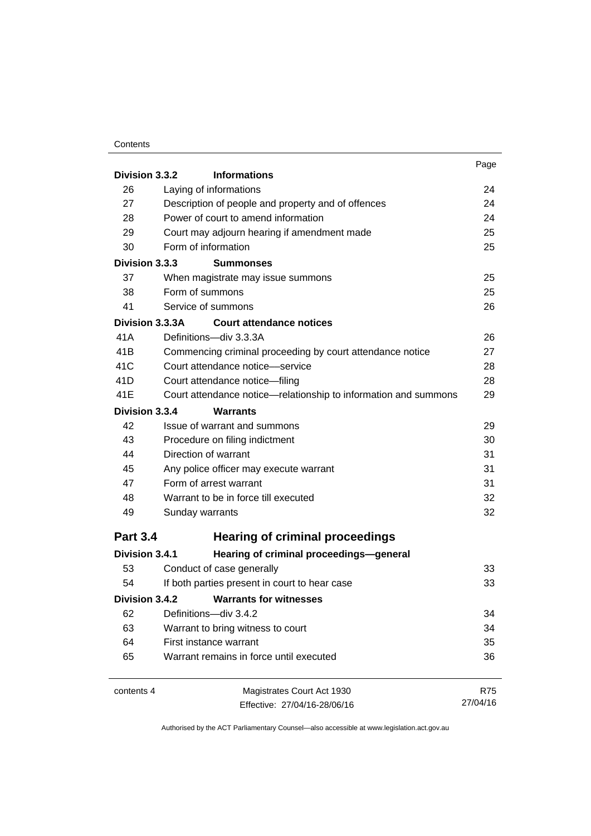#### **Contents**

| Division 3.3.2  | <b>Informations</b>                                                                                       | Page       |
|-----------------|-----------------------------------------------------------------------------------------------------------|------------|
| 26              | Laying of informations                                                                                    | 24         |
| 27              | Description of people and property and of offences                                                        | 24         |
| 28              | Power of court to amend information<br>Court may adjourn hearing if amendment made<br>Form of information | 24         |
| 29              |                                                                                                           | 25<br>25   |
| 30              |                                                                                                           |            |
| Division 3.3.3  | <b>Summonses</b>                                                                                          |            |
| 37              | When magistrate may issue summons                                                                         | 25         |
| 38              | Form of summons                                                                                           | 25         |
| 41              | Service of summons                                                                                        | 26         |
| Division 3.3.3A | <b>Court attendance notices</b>                                                                           |            |
| 41 A            | Definitions-div 3.3.3A                                                                                    | 26         |
| 41B             | Commencing criminal proceeding by court attendance notice                                                 | 27         |
| 41C             | Court attendance notice-service                                                                           | 28         |
| 41D             | Court attendance notice-filing                                                                            | 28         |
| 41E             | Court attendance notice—relationship to information and summons                                           | 29         |
| Division 3.3.4  | <b>Warrants</b>                                                                                           |            |
| 42              | Issue of warrant and summons                                                                              | 29         |
| 43              | Procedure on filing indictment                                                                            | 30         |
| 44              | Direction of warrant                                                                                      | 31         |
| 45              | Any police officer may execute warrant                                                                    | 31         |
| 47              | Form of arrest warrant<br>Warrant to be in force till executed<br>Sunday warrants                         | 31         |
| 48              |                                                                                                           | 32         |
| 49              |                                                                                                           | 32         |
| <b>Part 3.4</b> | <b>Hearing of criminal proceedings</b>                                                                    |            |
| Division 3.4.1  | Hearing of criminal proceedings-general                                                                   |            |
| 53              | Conduct of case generally                                                                                 | 33         |
| 54              | If both parties present in court to hear case                                                             | 33         |
| Division 3.4.2  | <b>Warrants for witnesses</b>                                                                             |            |
| 62              | Definitions-div 3.4.2                                                                                     | 34         |
| 63              | Warrant to bring witness to court                                                                         | 34         |
| 64              | First instance warrant                                                                                    |            |
| 65              | Warrant remains in force until executed                                                                   | 36         |
| contents 4      | Magistrates Court Act 1930                                                                                | <b>R75</b> |
|                 | Effective: 27/04/16-28/06/16                                                                              | 27/04/16   |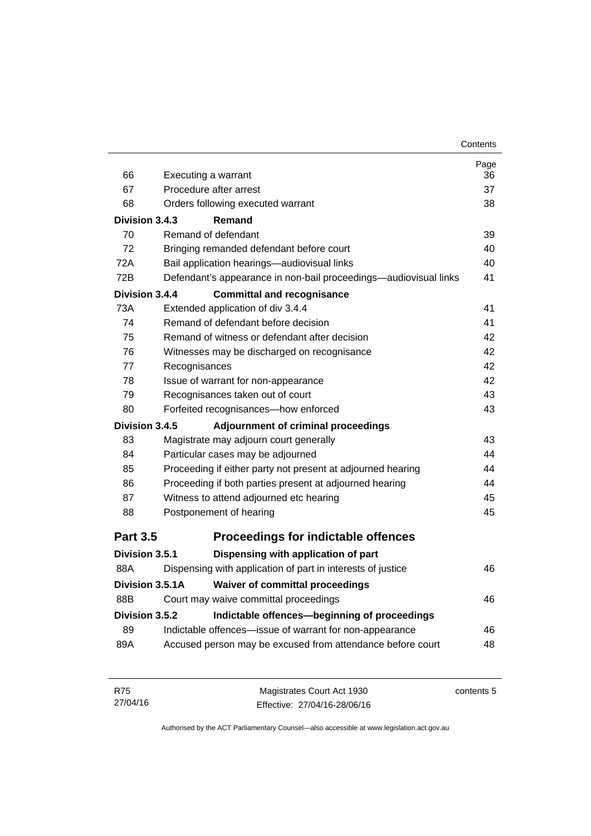|                       |                                                                  | Page |
|-----------------------|------------------------------------------------------------------|------|
| 66                    | Executing a warrant                                              | 36   |
| 67                    | Procedure after arrest                                           | 37   |
| 68                    | Orders following executed warrant                                | 38   |
| Division 3.4.3        | Remand                                                           |      |
| 70                    | Remand of defendant                                              | 39   |
| 72                    | Bringing remanded defendant before court                         | 40   |
| 72A                   | Bail application hearings-audiovisual links                      | 40   |
| 72B                   | Defendant's appearance in non-bail proceedings—audiovisual links | 41   |
| <b>Division 3.4.4</b> | <b>Committal and recognisance</b>                                |      |
| 73A                   | Extended application of div 3.4.4                                | 41   |
| 74                    | Remand of defendant before decision                              | 41   |
| 75                    | Remand of witness or defendant after decision                    | 42   |
| 76                    | Witnesses may be discharged on recognisance                      | 42   |
| 77                    | Recognisances                                                    | 42   |
| 78                    | Issue of warrant for non-appearance                              | 42   |
| 79                    | Recognisances taken out of court                                 | 43   |
| 80                    | Forfeited recognisances-how enforced                             | 43   |
| Division 3.4.5        | Adjournment of criminal proceedings                              |      |
| 83                    | Magistrate may adjourn court generally                           | 43   |
| 84                    | Particular cases may be adjourned                                | 44   |
| 85                    | Proceeding if either party not present at adjourned hearing      | 44   |
| 86                    | Proceeding if both parties present at adjourned hearing          | 44   |
| 87                    | Witness to attend adjourned etc hearing                          | 45   |
| 88                    | Postponement of hearing                                          | 45   |
| <b>Part 3.5</b>       | <b>Proceedings for indictable offences</b>                       |      |
| Division 3.5.1        | Dispensing with application of part                              |      |
| 88A                   | Dispensing with application of part in interests of justice      | 46   |
| Division 3.5.1A       | <b>Waiver of committal proceedings</b>                           |      |
| 88B                   | Court may waive committal proceedings                            | 46   |
| Division 3.5.2        | Indictable offences-beginning of proceedings                     |      |
| 89                    | Indictable offences-issue of warrant for non-appearance          | 46   |
| 89A                   | Accused person may be excused from attendance before court       | 48   |
|                       |                                                                  |      |
|                       |                                                                  |      |

| R75      | Magistrates Court Act 1930   | contents 5 |
|----------|------------------------------|------------|
| 27/04/16 | Effective: 27/04/16-28/06/16 |            |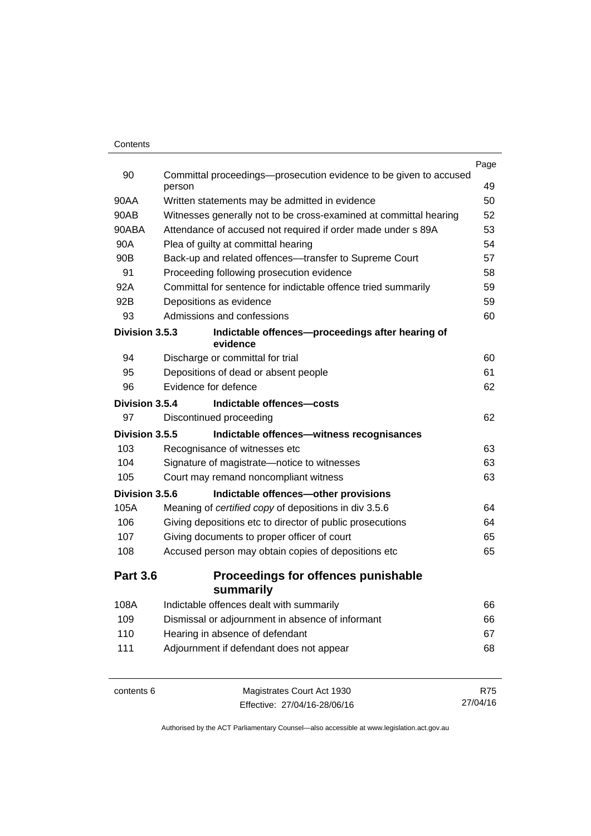|                 |                                                                             | Page       |
|-----------------|-----------------------------------------------------------------------------|------------|
| 90              | Committal proceedings—prosecution evidence to be given to accused<br>person | 49         |
| 90AA            | Written statements may be admitted in evidence                              | 50         |
| 90AB            | Witnesses generally not to be cross-examined at committal hearing           | 52         |
| 90ABA           | Attendance of accused not required if order made under s 89A                | 53         |
| 90A             | Plea of guilty at committal hearing                                         | 54         |
| 90 <sub>B</sub> | Back-up and related offences—transfer to Supreme Court                      | 57         |
| 91              | Proceeding following prosecution evidence                                   | 58         |
| 92A             | Committal for sentence for indictable offence tried summarily               | 59         |
| 92B             | Depositions as evidence                                                     | 59         |
| 93              | Admissions and confessions                                                  | 60         |
| Division 3.5.3  | Indictable offences-proceedings after hearing of<br>evidence                |            |
| 94              | Discharge or committal for trial                                            | 60         |
| 95              | Depositions of dead or absent people                                        | 61         |
| 96              | Evidence for defence                                                        | 62         |
| Division 3.5.4  | Indictable offences-costs                                                   |            |
| 97              | Discontinued proceeding                                                     | 62         |
| Division 3.5.5  | Indictable offences-witness recognisances                                   |            |
| 103             | Recognisance of witnesses etc                                               | 63         |
| 104             | Signature of magistrate-notice to witnesses                                 | 63         |
| 105             | Court may remand noncompliant witness                                       | 63         |
| Division 3.5.6  | Indictable offences-other provisions                                        |            |
| 105A            | Meaning of certified copy of depositions in div 3.5.6                       | 64         |
| 106             | Giving depositions etc to director of public prosecutions                   | 64         |
| 107             | Giving documents to proper officer of court                                 | 65         |
| 108             | Accused person may obtain copies of depositions etc                         | 65         |
| <b>Part 3.6</b> | <b>Proceedings for offences punishable</b>                                  |            |
|                 | summarily                                                                   |            |
| 108A            | Indictable offences dealt with summarily                                    | 66         |
| 109             | Dismissal or adjournment in absence of informant                            | 66         |
| 110             | Hearing in absence of defendant                                             | 67         |
| 111             | Adjournment if defendant does not appear                                    | 68         |
| contents 6      | Magistrates Court Act 1930                                                  | <b>R75</b> |

27/04/16

Effective: 27/04/16-28/06/16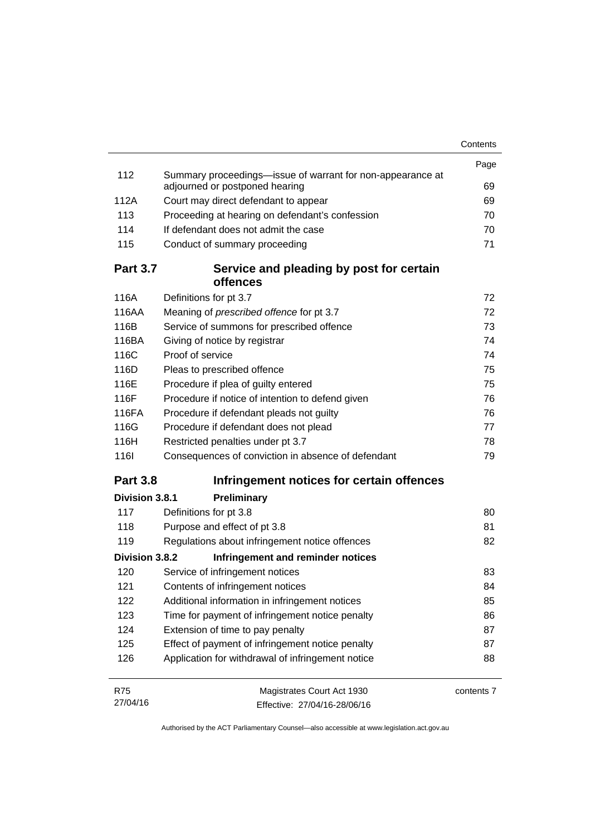|                 |                                                                                              | Contents   |
|-----------------|----------------------------------------------------------------------------------------------|------------|
|                 |                                                                                              | Page       |
| 112             | Summary proceedings—issue of warrant for non-appearance at<br>adjourned or postponed hearing | 69         |
| 112A            | Court may direct defendant to appear                                                         | 69         |
| 113             | Proceeding at hearing on defendant's confession                                              | 70         |
| 114             | If defendant does not admit the case                                                         | 70         |
| 115             | Conduct of summary proceeding                                                                | 71         |
| <b>Part 3.7</b> | Service and pleading by post for certain<br>offences                                         |            |
| 116A            | Definitions for pt 3.7                                                                       | 72         |
| 116AA           | Meaning of prescribed offence for pt 3.7                                                     | 72         |
| 116B            | Service of summons for prescribed offence                                                    | 73         |
| 116BA           | Giving of notice by registrar                                                                | 74         |
| 116C            | Proof of service                                                                             | 74         |
| 116D            | Pleas to prescribed offence                                                                  | 75         |
| 116E            | Procedure if plea of guilty entered                                                          | 75         |
| 116F            | Procedure if notice of intention to defend given                                             | 76         |
| 116FA           | Procedure if defendant pleads not guilty                                                     | 76         |
| 116G            | Procedure if defendant does not plead                                                        | 77         |
| 116H            | Restricted penalties under pt 3.7                                                            | 78         |
| <b>1161</b>     | Consequences of conviction in absence of defendant                                           | 79         |
| <b>Part 3.8</b> | Infringement notices for certain offences                                                    |            |
| Division 3.8.1  | Preliminary                                                                                  |            |
| 117             | Definitions for pt 3.8                                                                       | 80         |
| 118             | Purpose and effect of pt 3.8                                                                 | 81         |
| 119             | Regulations about infringement notice offences                                               | 82         |
| Division 3.8.2  | Infringement and reminder notices                                                            |            |
| 120             | Service of infringement notices                                                              | 83         |
| 121             | Contents of infringement notices                                                             | 84         |
| 122             | Additional information in infringement notices                                               | 85         |
| 123             | Time for payment of infringement notice penalty                                              | 86         |
| 124             | Extension of time to pay penalty                                                             | 87         |
| 125             | Effect of payment of infringement notice penalty                                             | 87         |
| 126             | Application for withdrawal of infringement notice                                            | 88         |
| <b>R75</b>      | Magistrates Court Act 1930                                                                   | contents 7 |
| 27/04/16        | Effective: 27/04/16-28/06/16                                                                 |            |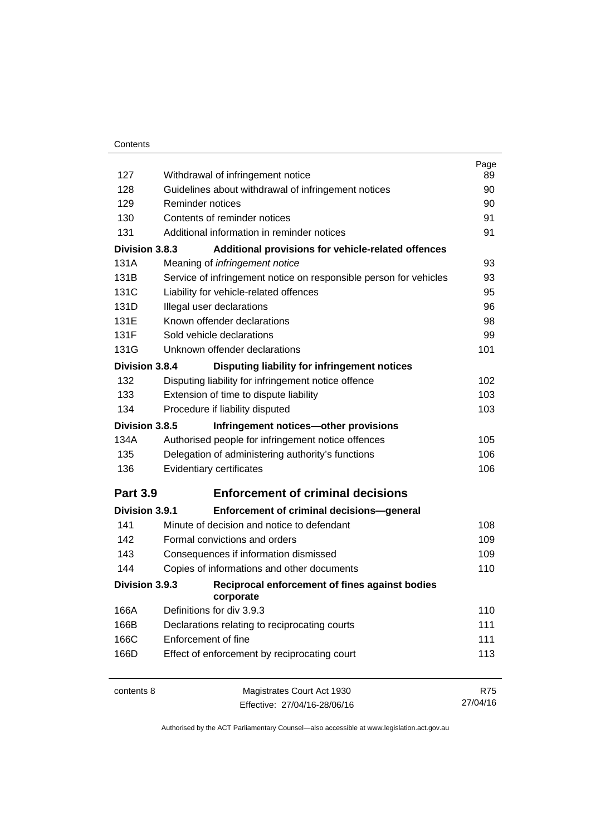| 127             | Withdrawal of infringement notice                                 | Page<br>89 |
|-----------------|-------------------------------------------------------------------|------------|
| 128             | Guidelines about withdrawal of infringement notices               | 90         |
| 129             | Reminder notices                                                  | 90         |
| 130             | Contents of reminder notices                                      | 91         |
| 131             | Additional information in reminder notices                        | 91         |
|                 |                                                                   |            |
| Division 3.8.3  | Additional provisions for vehicle-related offences                |            |
| 131A            | Meaning of infringement notice                                    | 93         |
| 131B            | Service of infringement notice on responsible person for vehicles | 93         |
| 131C            | Liability for vehicle-related offences                            | 95         |
| 131D            | Illegal user declarations                                         | 96         |
| 131E            | Known offender declarations                                       | 98         |
| 131F            | Sold vehicle declarations                                         | 99         |
| 131G            | Unknown offender declarations                                     | 101        |
| Division 3.8.4  | Disputing liability for infringement notices                      |            |
| 132             | Disputing liability for infringement notice offence               | 102        |
| 133             | Extension of time to dispute liability                            | 103        |
| 134             | Procedure if liability disputed                                   | 103        |
| Division 3.8.5  | Infringement notices-other provisions                             |            |
| 134A            | Authorised people for infringement notice offences                | 105        |
| 135             | Delegation of administering authority's functions                 | 106        |
| 136             | Evidentiary certificates                                          | 106        |
| <b>Part 3.9</b> | <b>Enforcement of criminal decisions</b>                          |            |
| Division 3.9.1  | <b>Enforcement of criminal decisions-general</b>                  |            |
| 141             | Minute of decision and notice to defendant                        | 108        |
| 142             | Formal convictions and orders                                     | 109        |
| 143             | Consequences if information dismissed                             | 109        |
| 144             | Copies of informations and other documents                        | 110        |
| Division 3.9.3  | Reciprocal enforcement of fines against bodies<br>corporate       |            |
| 166A            | Definitions for div 3.9.3                                         | 110        |
| 166B            | Declarations relating to reciprocating courts                     | 111        |
| 166C            | Enforcement of fine                                               | 111        |
| 166D            | Effect of enforcement by reciprocating court                      | 113        |
| contents 8      | Magistrates Court Act 1930                                        | <b>R75</b> |
|                 | Effective: 27/04/16-28/06/16                                      | 27/04/16   |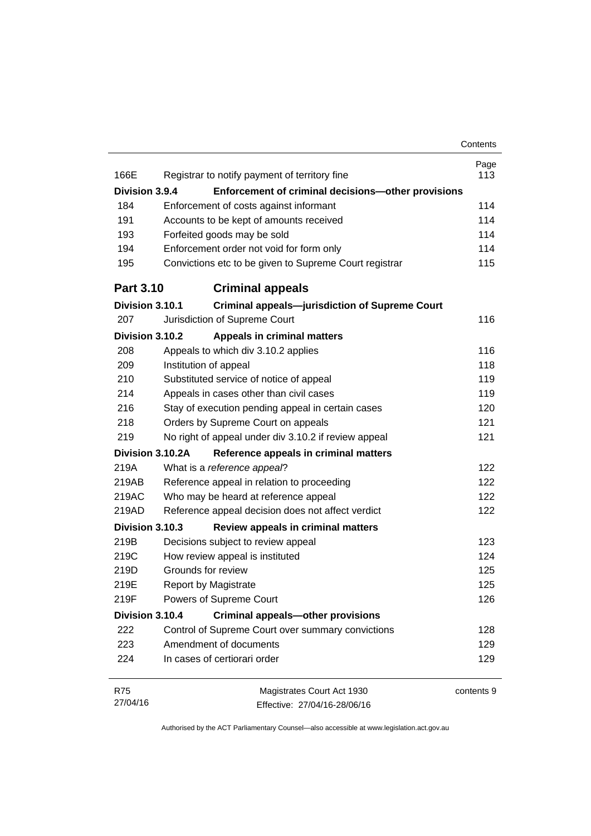|                  |                                                                                                    | Contents   |
|------------------|----------------------------------------------------------------------------------------------------|------------|
|                  |                                                                                                    | Page       |
| 166E             | Registrar to notify payment of territory fine                                                      | 113        |
| Division 3.9.4   | Enforcement of criminal decisions-other provisions                                                 |            |
| 184              | Enforcement of costs against informant                                                             | 114        |
| 191              | Accounts to be kept of amounts received                                                            | 114        |
| 193              | Forfeited goods may be sold                                                                        | 114        |
| 194<br>195       | Enforcement order not void for form only<br>Convictions etc to be given to Supreme Court registrar | 114<br>115 |
| <b>Part 3.10</b> | <b>Criminal appeals</b>                                                                            |            |
| Division 3.10.1  | <b>Criminal appeals-jurisdiction of Supreme Court</b>                                              |            |
| 207              | Jurisdiction of Supreme Court                                                                      | 116        |
| Division 3.10.2  | <b>Appeals in criminal matters</b>                                                                 |            |
| 208              | Appeals to which div 3.10.2 applies                                                                | 116        |
| 209              | Institution of appeal                                                                              | 118        |
| 210              | Substituted service of notice of appeal                                                            | 119        |
| 214              | Appeals in cases other than civil cases                                                            | 119        |
| 216              | Stay of execution pending appeal in certain cases                                                  | 120        |
| 218              | Orders by Supreme Court on appeals                                                                 | 121        |
| 219              | No right of appeal under div 3.10.2 if review appeal                                               | 121        |
|                  | Division 3.10.2A<br>Reference appeals in criminal matters                                          |            |
| 219A             | What is a reference appeal?                                                                        | 122        |
| 219AB            | Reference appeal in relation to proceeding                                                         | 122        |
| 219AC            | Who may be heard at reference appeal                                                               | 122        |
| 219AD            | Reference appeal decision does not affect verdict                                                  | 122        |
| Division 3.10.3  | Review appeals in criminal matters                                                                 |            |
| 219B             | Decisions subject to review appeal                                                                 | 123        |
| 219C             | How review appeal is instituted                                                                    | 124        |
| 219D             | Grounds for review                                                                                 | 125        |
| 219E             | <b>Report by Magistrate</b>                                                                        | 125        |
| 219F             | Powers of Supreme Court                                                                            | 126        |
| Division 3.10.4  | <b>Criminal appeals-other provisions</b>                                                           |            |
| 222              | Control of Supreme Court over summary convictions                                                  | 128        |
| 223              | Amendment of documents                                                                             | 129        |
| 224              | In cases of certiorari order                                                                       | 129        |

| R75      | Magistrates Court Act 1930   | contents 9 |
|----------|------------------------------|------------|
| 27/04/16 | Effective: 27/04/16-28/06/16 |            |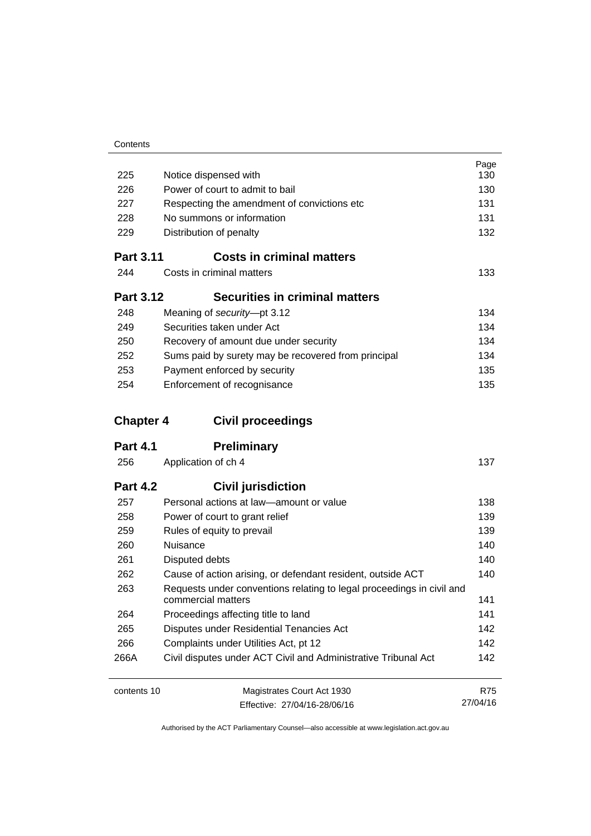| 225              | Notice dispensed with                                                 | Page<br>130 |
|------------------|-----------------------------------------------------------------------|-------------|
| 226              | Power of court to admit to bail                                       | 130         |
| 227              | Respecting the amendment of convictions etc                           | 131         |
| 228              | No summons or information                                             |             |
| 229              | Distribution of penalty                                               | 131<br>132  |
|                  |                                                                       |             |
| <b>Part 3.11</b> | <b>Costs in criminal matters</b>                                      |             |
| 244              | Costs in criminal matters                                             | 133         |
| <b>Part 3.12</b> | <b>Securities in criminal matters</b>                                 |             |
| 248              | Meaning of security-pt 3.12                                           | 134         |
| 249              | Securities taken under Act                                            | 134         |
| 250              | Recovery of amount due under security                                 | 134         |
| 252              | Sums paid by surety may be recovered from principal                   | 134         |
| 253              | Payment enforced by security                                          | 135         |
| 254              | Enforcement of recognisance                                           | 135         |
|                  |                                                                       |             |
| <b>Chapter 4</b> | <b>Civil proceedings</b>                                              |             |
| <b>Part 4.1</b>  | <b>Preliminary</b>                                                    |             |
| 256              | Application of ch 4                                                   | 137         |
| <b>Part 4.2</b>  | <b>Civil jurisdiction</b>                                             |             |
| 257              | Personal actions at law-amount or value                               | 138         |
| 258              | Power of court to grant relief                                        | 139         |
| 259              | Rules of equity to prevail                                            | 139         |
| 260              | Nuisance                                                              | 140         |
| 261              | Disputed debts                                                        | 140         |
| 262              | Cause of action arising, or defendant resident, outside ACT           | 140         |
| 263              | Requests under conventions relating to legal proceedings in civil and |             |
|                  |                                                                       |             |
|                  | commercial matters                                                    | 141         |
| 264              | Proceedings affecting title to land                                   | 141         |
| 265              | Disputes under Residential Tenancies Act                              | 142         |
| 266              | Complaints under Utilities Act, pt 12                                 | 142         |
| 266A             | Civil disputes under ACT Civil and Administrative Tribunal Act        | 142         |

contents 10 Magistrates Court Act 1930 Effective: 27/04/16-28/06/16

R75 27/04/16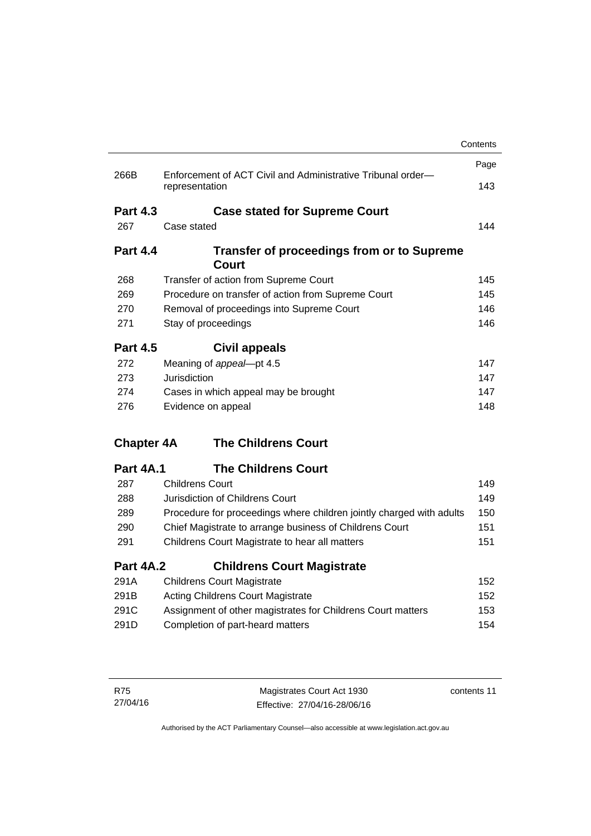|                   |                                                                               | Contents          |
|-------------------|-------------------------------------------------------------------------------|-------------------|
|                   |                                                                               | Page              |
| 266B              | Enforcement of ACT Civil and Administrative Tribunal order-<br>representation | 143               |
| <b>Part 4.3</b>   | <b>Case stated for Supreme Court</b>                                          |                   |
| 267               | Case stated                                                                   | 144               |
| <b>Part 4.4</b>   | <b>Transfer of proceedings from or to Supreme</b><br>Court                    |                   |
| 268               | Transfer of action from Supreme Court                                         | 145               |
| 269               | Procedure on transfer of action from Supreme Court                            | 145               |
| 270               | Removal of proceedings into Supreme Court                                     | 146               |
| 271               | Stay of proceedings                                                           | 146               |
| <b>Part 4.5</b>   | <b>Civil appeals</b>                                                          |                   |
| 272               | Meaning of appeal-pt 4.5                                                      | 147               |
| 273               | Jurisdiction                                                                  | 147               |
| 274               | Cases in which appeal may be brought                                          | 147               |
| 276               | Evidence on appeal                                                            | 148               |
| <b>Chapter 4A</b> | <b>The Childrens Court</b>                                                    |                   |
| <b>Part 4A.1</b>  | <b>The Childrens Court</b>                                                    |                   |
| 287               | <b>Childrens Court</b>                                                        | 149               |
| 288               | Jurisdiction of Childrens Court                                               | 149               |
| 289               | Procedure for proceedings where children jointly charged with adults          | 150               |
|                   | Chief Magistrate to arrange business of Childrens Court                       | 151               |
| 290               |                                                                               |                   |
| 291               | Childrens Court Magistrate to hear all matters                                |                   |
| <b>Part 4A.2</b>  | <b>Childrens Court Magistrate</b>                                             |                   |
| 291A              | <b>Childrens Court Magistrate</b>                                             |                   |
| 291B              | <b>Acting Childrens Court Magistrate</b>                                      | 151<br>152<br>152 |
| 291C              | Assignment of other magistrates for Childrens Court matters                   | 153               |

| R75      | Magistrates Court Act 1930   | contents 11 |
|----------|------------------------------|-------------|
| 27/04/16 | Effective: 27/04/16-28/06/16 |             |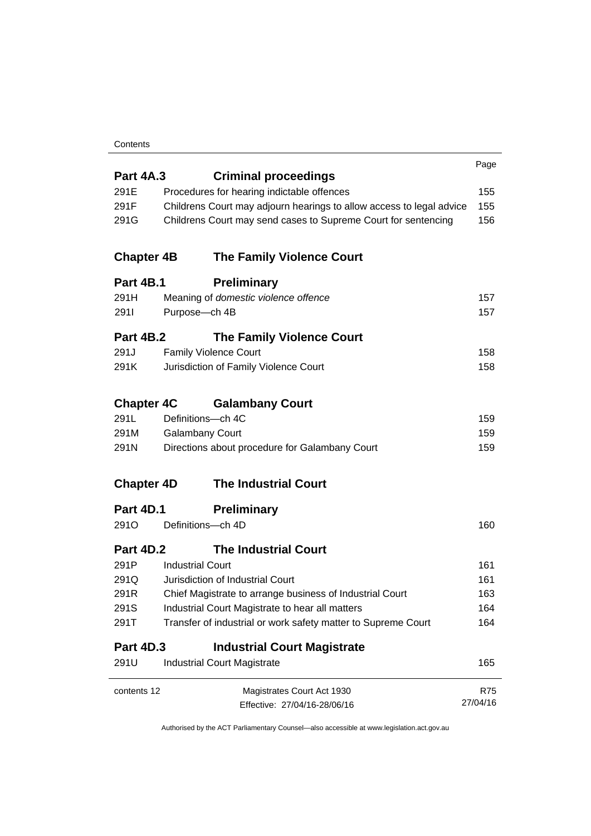#### **Contents**

|                   |                                                                      | Page       |
|-------------------|----------------------------------------------------------------------|------------|
| <b>Part 4A.3</b>  | <b>Criminal proceedings</b>                                          |            |
| 291E              | Procedures for hearing indictable offences                           | 155        |
| 291F              | Childrens Court may adjourn hearings to allow access to legal advice | 155        |
| 291G              | Childrens Court may send cases to Supreme Court for sentencing       | 156        |
| <b>Chapter 4B</b> | <b>The Family Violence Court</b>                                     |            |
| <b>Part 4B.1</b>  | <b>Preliminary</b>                                                   |            |
| 291H              | Meaning of domestic violence offence                                 | 157        |
| 2911              | Purpose-ch 4B                                                        | 157        |
| <b>Part 4B.2</b>  | <b>The Family Violence Court</b>                                     |            |
| 291J              | <b>Family Violence Court</b>                                         | 158        |
| 291K              | Jurisdiction of Family Violence Court                                | 158        |
| <b>Chapter 4C</b> | <b>Galambany Court</b>                                               |            |
| 291L              | Definitions-ch 4C                                                    | 159        |
| 291M              | <b>Galambany Court</b>                                               | 159        |
| 291N              | Directions about procedure for Galambany Court                       | 159        |
| <b>Chapter 4D</b> | <b>The Industrial Court</b>                                          |            |
| Part 4D.1         | <b>Preliminary</b>                                                   |            |
| 291O              | Definitions-ch 4D                                                    | 160        |
| Part 4D.2         | <b>The Industrial Court</b>                                          |            |
| 291P              | <b>Industrial Court</b>                                              | 161        |
| 291Q              | Jurisdiction of Industrial Court                                     | 161        |
| 291R              | Chief Magistrate to arrange business of Industrial Court             | 163        |
| 291S              | Industrial Court Magistrate to hear all matters                      | 164        |
| 291T              | Transfer of industrial or work safety matter to Supreme Court        | 164        |
| <b>Part 4D.3</b>  | <b>Industrial Court Magistrate</b>                                   |            |
| 291U              | <b>Industrial Court Magistrate</b>                                   | 165        |
| contents 12       | Magistrates Court Act 1930                                           | <b>R75</b> |
|                   | Effective: 27/04/16-28/06/16                                         | 27/04/16   |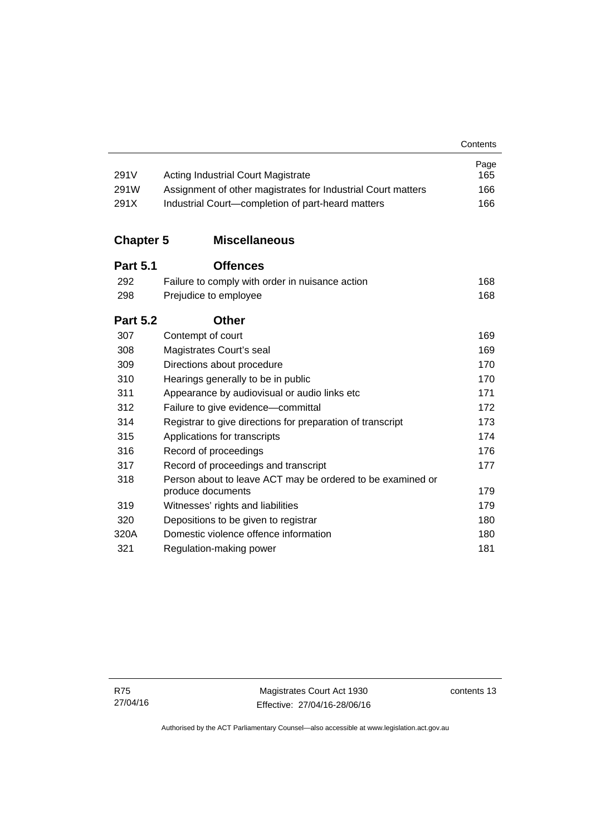| 291V             | <b>Acting Industrial Court Magistrate</b>                    | Page<br>165 |
|------------------|--------------------------------------------------------------|-------------|
| 291W             | Assignment of other magistrates for Industrial Court matters | 166         |
| 291X             | Industrial Court-completion of part-heard matters            | 166         |
| <b>Chapter 5</b> | <b>Miscellaneous</b>                                         |             |
| <b>Part 5.1</b>  | <b>Offences</b>                                              |             |
| 292              | Failure to comply with order in nuisance action              | 168         |
| 298              | Prejudice to employee                                        | 168         |
| <b>Part 5.2</b>  | <b>Other</b>                                                 |             |
| 307              | Contempt of court                                            | 169         |
| 308              | Magistrates Court's seal                                     | 169         |
| 309              | Directions about procedure                                   | 170         |
| 310              | Hearings generally to be in public                           | 170         |
| 311              | Appearance by audiovisual or audio links etc                 | 171         |
| 312              | Failure to give evidence-committal                           | 172         |
| 314              | Registrar to give directions for preparation of transcript   | 173         |
| 315              | Applications for transcripts                                 | 174         |
| 316              | Record of proceedings                                        | 176         |
| 317              | Record of proceedings and transcript                         | 177         |
| 318              | Person about to leave ACT may be ordered to be examined or   |             |
|                  | produce documents                                            | 179         |
| 319              | Witnesses' rights and liabilities                            | 179         |
| 320              | Depositions to be given to registrar                         | 180         |
| 320A             | Domestic violence offence information                        | 180         |
| 321              | Regulation-making power                                      | 181         |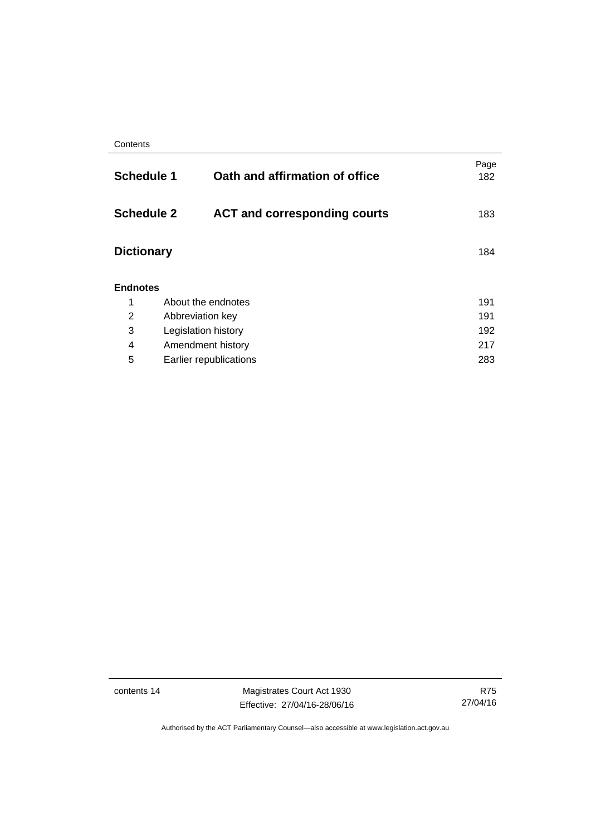| <b>Schedule 1</b>                                        |                         | Oath and affirmation of office | Page<br>182 |
|----------------------------------------------------------|-------------------------|--------------------------------|-------------|
| <b>Schedule 2</b><br><b>ACT and corresponding courts</b> |                         | 183                            |             |
| <b>Dictionary</b>                                        |                         |                                | 184         |
| <b>Endnotes</b>                                          |                         |                                |             |
| 1                                                        | About the endnotes      |                                | 191         |
| 2                                                        | 191<br>Abbreviation key |                                |             |
| 3                                                        | Legislation history     |                                | 192         |
| 4                                                        | Amendment history       |                                | 217         |
| 5                                                        |                         | Earlier republications         | 283         |
|                                                          |                         |                                |             |

contents 14 Magistrates Court Act 1930 Effective: 27/04/16-28/06/16

R75 27/04/16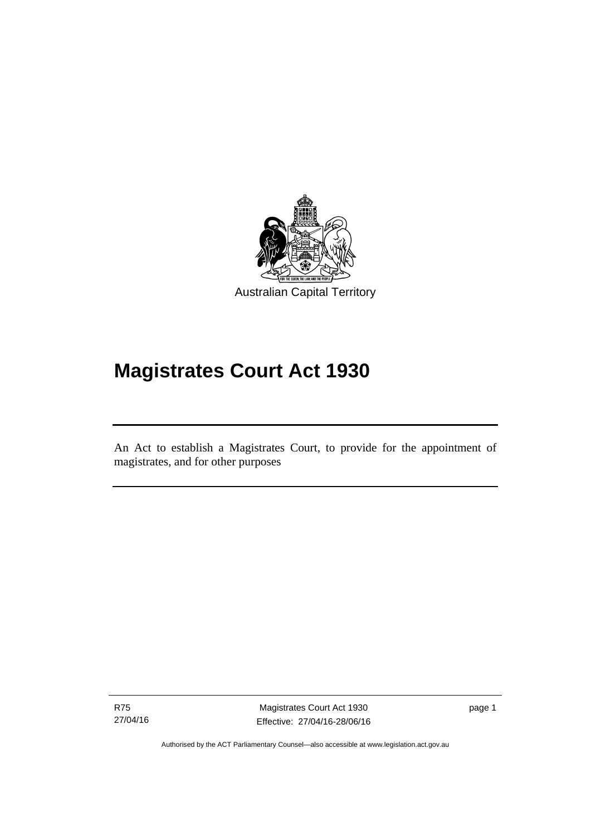

# **Magistrates Court Act 1930**

An Act to establish a Magistrates Court, to provide for the appointment of magistrates, and for other purposes

R75 27/04/16

Ī

Magistrates Court Act 1930 Effective: 27/04/16-28/06/16 page 1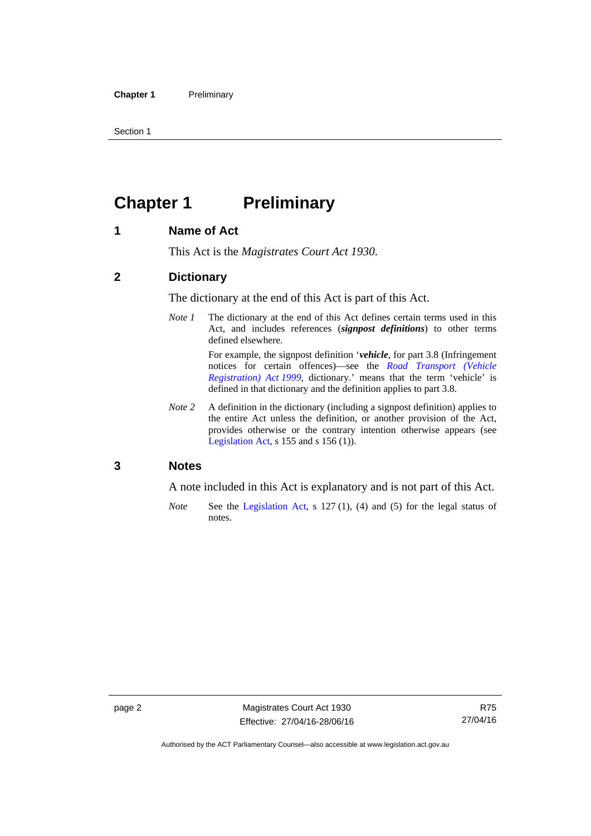Section 1

### <span id="page-17-0"></span>**Chapter 1 Preliminary**

#### <span id="page-17-1"></span>**1 Name of Act**

This Act is the *Magistrates Court Act 1930*.

#### <span id="page-17-2"></span>**2 Dictionary**

The dictionary at the end of this Act is part of this Act.

*Note 1* The dictionary at the end of this Act defines certain terms used in this Act, and includes references (*signpost definitions*) to other terms defined elsewhere.

> For example, the signpost definition '*vehicle*, for part 3.8 (Infringement notices for certain offences)—see the *[Road Transport \(Vehicle](http://www.legislation.act.gov.au/a/1999-81)  [Registration\) Act 1999](http://www.legislation.act.gov.au/a/1999-81)*, dictionary.' means that the term 'vehicle' is defined in that dictionary and the definition applies to part 3.8.

*Note 2* A definition in the dictionary (including a signpost definition) applies to the entire Act unless the definition, or another provision of the Act, provides otherwise or the contrary intention otherwise appears (see [Legislation Act,](http://www.legislation.act.gov.au/a/2001-14) s  $155$  and s  $156$  (1)).

#### <span id="page-17-3"></span>**3 Notes**

A note included in this Act is explanatory and is not part of this Act.

*Note* See the [Legislation Act,](http://www.legislation.act.gov.au/a/2001-14) s 127 (1), (4) and (5) for the legal status of notes.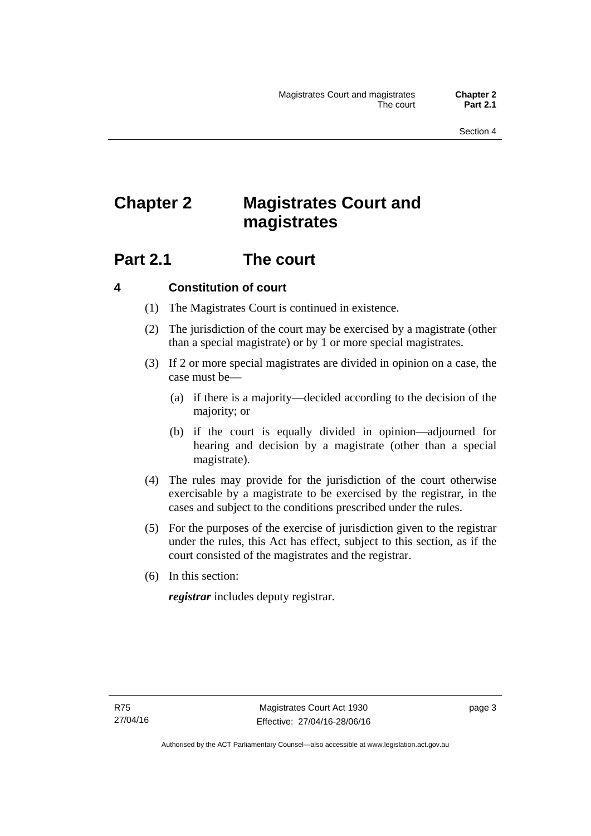## <span id="page-18-0"></span>**Chapter 2 Magistrates Court and magistrates**

### <span id="page-18-1"></span>**Part 2.1 The court**

#### <span id="page-18-2"></span>**4 Constitution of court**

- (1) The Magistrates Court is continued in existence.
- (2) The jurisdiction of the court may be exercised by a magistrate (other than a special magistrate) or by 1 or more special magistrates.
- (3) If 2 or more special magistrates are divided in opinion on a case, the case must be—
	- (a) if there is a majority—decided according to the decision of the majority; or
	- (b) if the court is equally divided in opinion—adjourned for hearing and decision by a magistrate (other than a special magistrate).
- (4) The rules may provide for the jurisdiction of the court otherwise exercisable by a magistrate to be exercised by the registrar, in the cases and subject to the conditions prescribed under the rules.
- (5) For the purposes of the exercise of jurisdiction given to the registrar under the rules, this Act has effect, subject to this section, as if the court consisted of the magistrates and the registrar.
- (6) In this section:

*registrar* includes deputy registrar.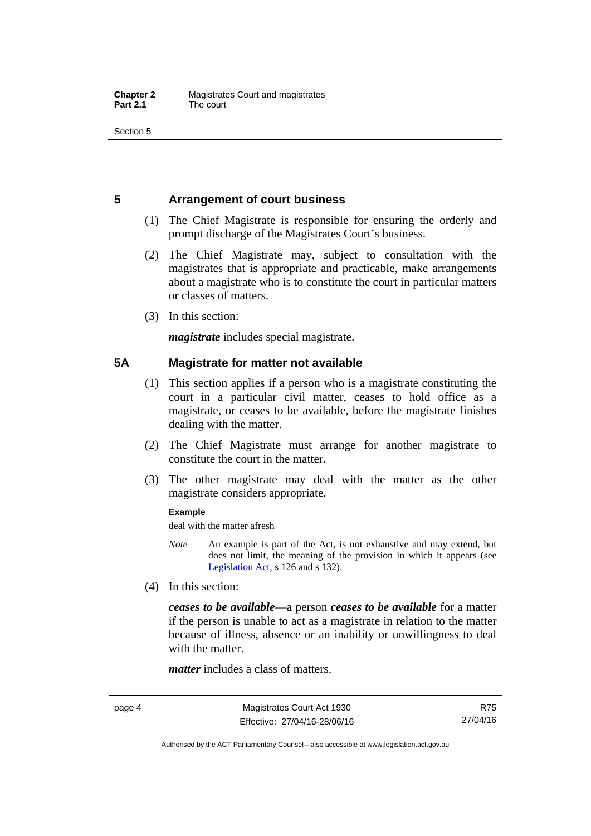Section 5

#### <span id="page-19-0"></span>**5 Arrangement of court business**

- (1) The Chief Magistrate is responsible for ensuring the orderly and prompt discharge of the Magistrates Court's business.
- (2) The Chief Magistrate may, subject to consultation with the magistrates that is appropriate and practicable, make arrangements about a magistrate who is to constitute the court in particular matters or classes of matters.
- (3) In this section:

*magistrate* includes special magistrate.

#### <span id="page-19-1"></span>**5A Magistrate for matter not available**

- (1) This section applies if a person who is a magistrate constituting the court in a particular civil matter, ceases to hold office as a magistrate, or ceases to be available, before the magistrate finishes dealing with the matter.
- (2) The Chief Magistrate must arrange for another magistrate to constitute the court in the matter.
- (3) The other magistrate may deal with the matter as the other magistrate considers appropriate.

#### **Example**

deal with the matter afresh

- *Note* An example is part of the Act, is not exhaustive and may extend, but does not limit, the meaning of the provision in which it appears (see [Legislation Act,](http://www.legislation.act.gov.au/a/2001-14) s 126 and s 132).
- (4) In this section:

*ceases to be available*––a person *ceases to be available* for a matter if the person is unable to act as a magistrate in relation to the matter because of illness, absence or an inability or unwillingness to deal with the matter.

*matter* includes a class of matters.

R75 27/04/16

Authorised by the ACT Parliamentary Counsel—also accessible at www.legislation.act.gov.au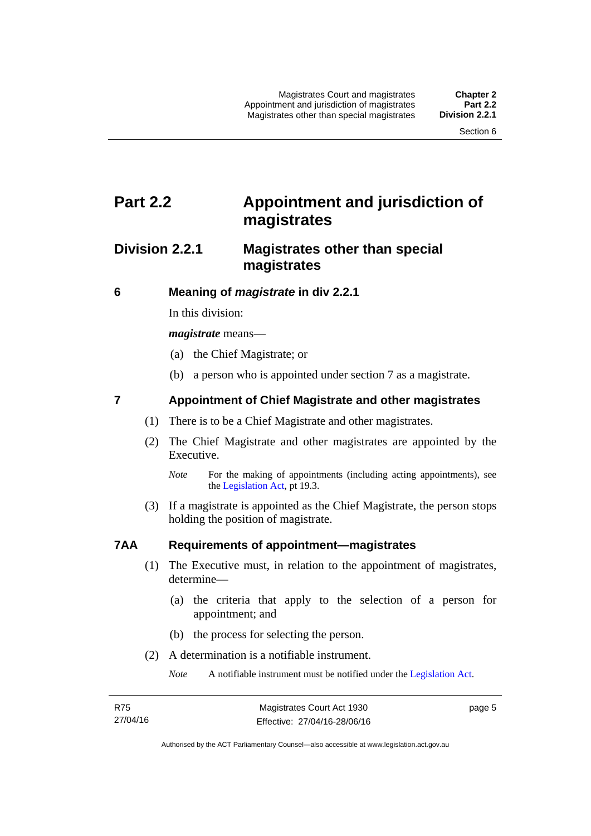### <span id="page-20-0"></span>**Part 2.2 Appointment and jurisdiction of magistrates**

#### <span id="page-20-1"></span>**Division 2.2.1 Magistrates other than special magistrates**

<span id="page-20-2"></span>**6 Meaning of** *magistrate* **in div 2.2.1** 

In this division:

*magistrate* means—

- (a) the Chief Magistrate; or
- (b) a person who is appointed under section 7 as a magistrate.

#### <span id="page-20-3"></span>**7 Appointment of Chief Magistrate and other magistrates**

- (1) There is to be a Chief Magistrate and other magistrates.
- (2) The Chief Magistrate and other magistrates are appointed by the Executive.

 (3) If a magistrate is appointed as the Chief Magistrate, the person stops holding the position of magistrate.

#### <span id="page-20-4"></span>**7AA Requirements of appointment—magistrates**

- (1) The Executive must, in relation to the appointment of magistrates, determine—
	- (a) the criteria that apply to the selection of a person for appointment; and
	- (b) the process for selecting the person.
- (2) A determination is a notifiable instrument.

*Note* A notifiable instrument must be notified under the [Legislation Act](http://www.legislation.act.gov.au/a/2001-14).

page 5

*Note* For the making of appointments (including acting appointments), see the [Legislation Act,](http://www.legislation.act.gov.au/a/2001-14) pt 19.3.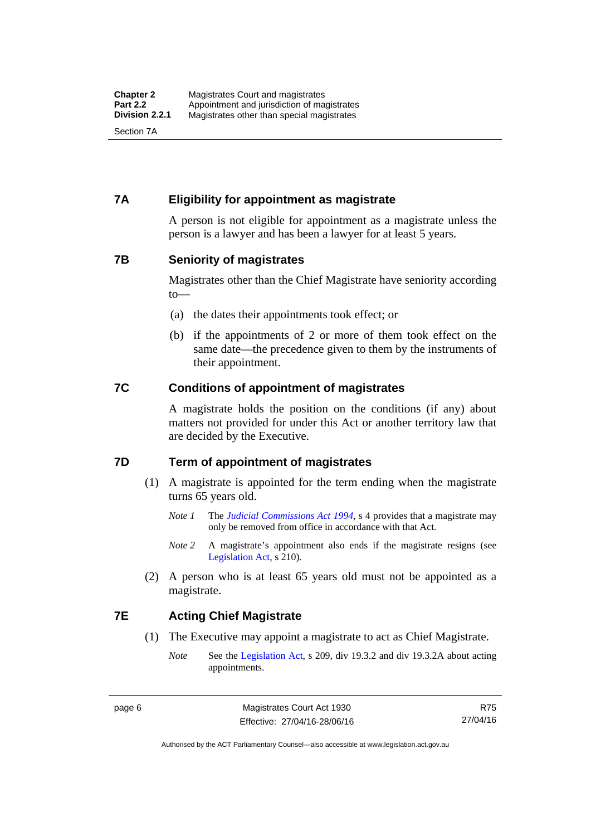#### <span id="page-21-0"></span>**7A Eligibility for appointment as magistrate**

A person is not eligible for appointment as a magistrate unless the person is a lawyer and has been a lawyer for at least 5 years.

#### <span id="page-21-1"></span>**7B Seniority of magistrates**

Magistrates other than the Chief Magistrate have seniority according to—

- (a) the dates their appointments took effect; or
- (b) if the appointments of 2 or more of them took effect on the same date—the precedence given to them by the instruments of their appointment.

#### <span id="page-21-2"></span>**7C Conditions of appointment of magistrates**

A magistrate holds the position on the conditions (if any) about matters not provided for under this Act or another territory law that are decided by the Executive.

#### <span id="page-21-3"></span>**7D Term of appointment of magistrates**

- (1) A magistrate is appointed for the term ending when the magistrate turns 65 years old.
	- *Note 1* The *[Judicial Commissions Act 1994](http://www.legislation.act.gov.au/a/1994-9)*, s 4 provides that a magistrate may only be removed from office in accordance with that Act.
	- *Note* 2 A magistrate's appointment also ends if the magistrate resigns (see [Legislation Act,](http://www.legislation.act.gov.au/a/2001-14) s 210).
- (2) A person who is at least 65 years old must not be appointed as a magistrate.

#### <span id="page-21-4"></span>**7E Acting Chief Magistrate**

- (1) The Executive may appoint a magistrate to act as Chief Magistrate.
	- *Note* See the [Legislation Act](http://www.legislation.act.gov.au/a/2001-14), s 209, div 19.3.2 and div 19.3.2A about acting appointments.

R75 27/04/16

Authorised by the ACT Parliamentary Counsel—also accessible at www.legislation.act.gov.au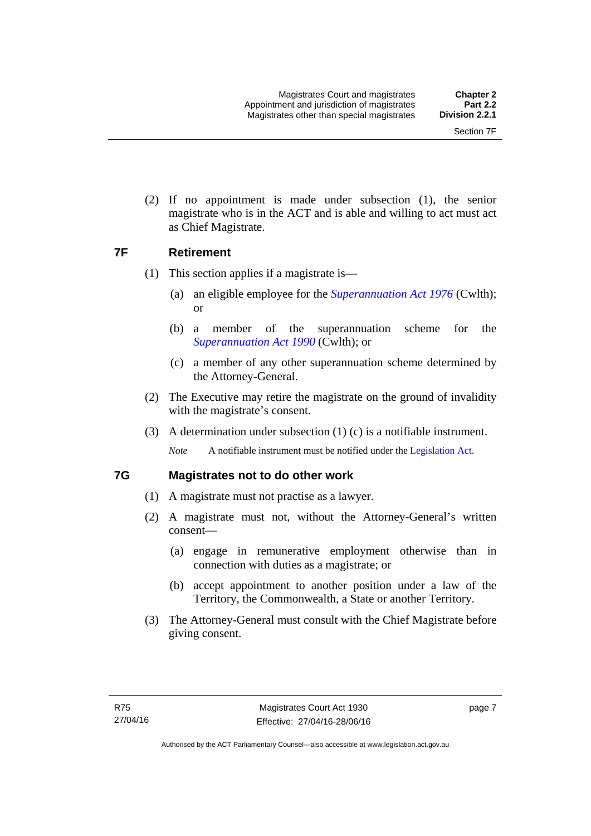(2) If no appointment is made under subsection (1), the senior magistrate who is in the ACT and is able and willing to act must act as Chief Magistrate.

#### <span id="page-22-0"></span>**7F Retirement**

- (1) This section applies if a magistrate is—
	- (a) an eligible employee for the *[Superannuation Act 1976](http://www.comlaw.gov.au/Details/C2013C00038)* (Cwlth); or
	- (b) a member of the superannuation scheme for the *[Superannuation Act 1990](http://www.comlaw.gov.au/Details/C2012C00825)* (Cwlth); or
	- (c) a member of any other superannuation scheme determined by the Attorney-General.
- (2) The Executive may retire the magistrate on the ground of invalidity with the magistrate's consent.
- (3) A determination under subsection (1) (c) is a notifiable instrument.

*Note* A notifiable instrument must be notified under the [Legislation Act](http://www.legislation.act.gov.au/a/2001-14).

#### <span id="page-22-1"></span>**7G Magistrates not to do other work**

- (1) A magistrate must not practise as a lawyer.
- (2) A magistrate must not, without the Attorney-General's written consent—
	- (a) engage in remunerative employment otherwise than in connection with duties as a magistrate; or
	- (b) accept appointment to another position under a law of the Territory, the Commonwealth, a State or another Territory.
- (3) The Attorney-General must consult with the Chief Magistrate before giving consent.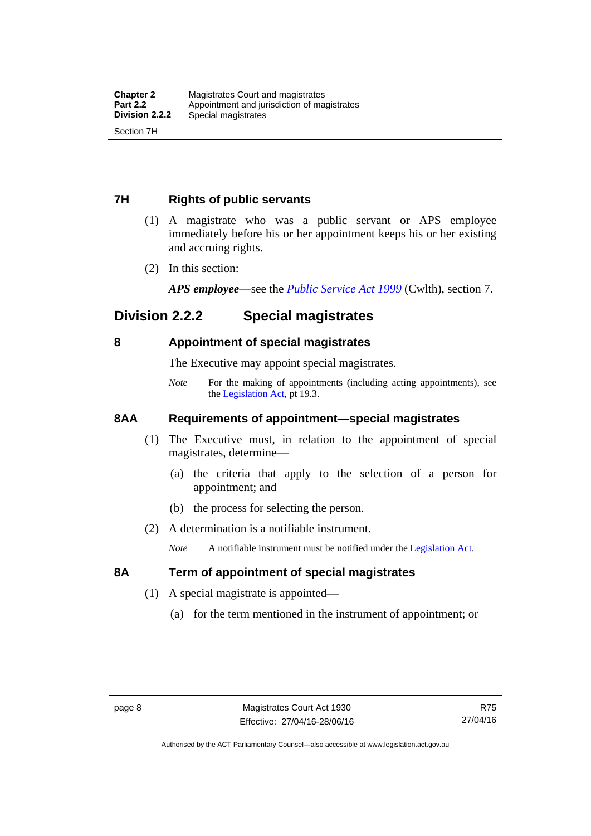#### <span id="page-23-0"></span>**7H Rights of public servants**

- (1) A magistrate who was a public servant or APS employee immediately before his or her appointment keeps his or her existing and accruing rights.
- (2) In this section:

*APS employee*—see the *[Public Service Act 1999](http://www.comlaw.gov.au/Details/C2012C00319)* (Cwlth), section 7.

### <span id="page-23-1"></span>**Division 2.2.2 Special magistrates**

#### <span id="page-23-2"></span>**8 Appointment of special magistrates**

The Executive may appoint special magistrates.

*Note* For the making of appointments (including acting appointments), see the [Legislation Act,](http://www.legislation.act.gov.au/a/2001-14) pt 19.3.

#### <span id="page-23-3"></span>**8AA Requirements of appointment—special magistrates**

- (1) The Executive must, in relation to the appointment of special magistrates, determine—
	- (a) the criteria that apply to the selection of a person for appointment; and
	- (b) the process for selecting the person.
- (2) A determination is a notifiable instrument.

*Note* A notifiable instrument must be notified under the [Legislation Act](http://www.legislation.act.gov.au/a/2001-14).

#### <span id="page-23-4"></span>**8A Term of appointment of special magistrates**

- (1) A special magistrate is appointed—
	- (a) for the term mentioned in the instrument of appointment; or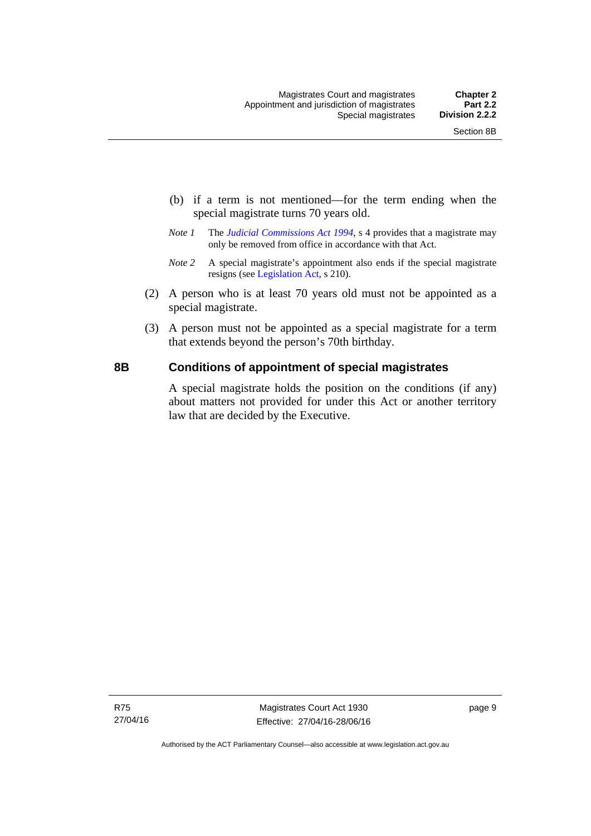- (b) if a term is not mentioned—for the term ending when the special magistrate turns 70 years old.
- *Note 1* The *[Judicial Commissions Act 1994](http://www.legislation.act.gov.au/a/1994-9)*, s 4 provides that a magistrate may only be removed from office in accordance with that Act.
- *Note 2* A special magistrate's appointment also ends if the special magistrate resigns (see [Legislation Act](http://www.legislation.act.gov.au/a/2001-14), s 210).
- (2) A person who is at least 70 years old must not be appointed as a special magistrate.
- (3) A person must not be appointed as a special magistrate for a term that extends beyond the person's 70th birthday.

#### <span id="page-24-0"></span>**8B Conditions of appointment of special magistrates**

A special magistrate holds the position on the conditions (if any) about matters not provided for under this Act or another territory law that are decided by the Executive.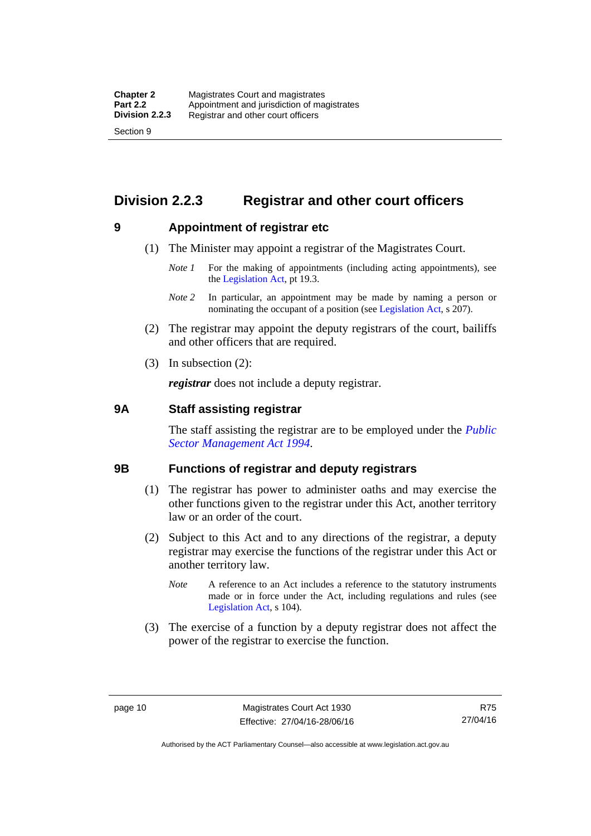### <span id="page-25-0"></span>**Division 2.2.3 Registrar and other court officers**

#### <span id="page-25-1"></span>**9 Appointment of registrar etc**

- (1) The Minister may appoint a registrar of the Magistrates Court.
	- *Note 1* For the making of appointments (including acting appointments), see the [Legislation Act,](http://www.legislation.act.gov.au/a/2001-14) pt 19.3.
	- *Note 2* In particular, an appointment may be made by naming a person or nominating the occupant of a position (see [Legislation Act](http://www.legislation.act.gov.au/a/2001-14), s 207).
- (2) The registrar may appoint the deputy registrars of the court, bailiffs and other officers that are required.
- (3) In subsection (2):

*registrar* does not include a deputy registrar.

#### <span id="page-25-2"></span>**9A Staff assisting registrar**

The staff assisting the registrar are to be employed under the *[Public](http://www.legislation.act.gov.au/a/1994-37)  [Sector Management Act 1994](http://www.legislation.act.gov.au/a/1994-37)*.

#### <span id="page-25-3"></span>**9B Functions of registrar and deputy registrars**

- (1) The registrar has power to administer oaths and may exercise the other functions given to the registrar under this Act, another territory law or an order of the court.
- (2) Subject to this Act and to any directions of the registrar, a deputy registrar may exercise the functions of the registrar under this Act or another territory law.
	- *Note* A reference to an Act includes a reference to the statutory instruments made or in force under the Act, including regulations and rules (see [Legislation Act,](http://www.legislation.act.gov.au/a/2001-14) s 104).
- (3) The exercise of a function by a deputy registrar does not affect the power of the registrar to exercise the function.

R75 27/04/16

Authorised by the ACT Parliamentary Counsel—also accessible at www.legislation.act.gov.au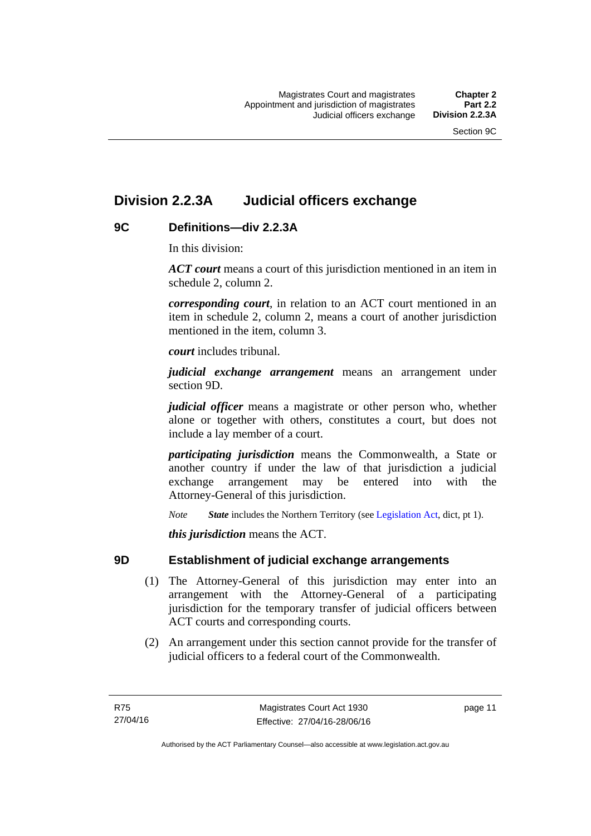### <span id="page-26-0"></span>**Division 2.2.3A Judicial officers exchange**

#### <span id="page-26-1"></span>**9C Definitions—div 2.2.3A**

In this division:

*ACT court* means a court of this jurisdiction mentioned in an item in schedule 2, column 2.

*corresponding court*, in relation to an ACT court mentioned in an item in schedule 2, column 2, means a court of another jurisdiction mentioned in the item, column 3.

*court* includes tribunal.

*judicial exchange arrangement* means an arrangement under section 9D.

*judicial officer* means a magistrate or other person who, whether alone or together with others, constitutes a court, but does not include a lay member of a court.

*participating jurisdiction* means the Commonwealth, a State or another country if under the law of that jurisdiction a judicial exchange arrangement may be entered into with the Attorney-General of this jurisdiction.

*Note State* includes the Northern Territory (see [Legislation Act](http://www.legislation.act.gov.au/a/2001-14), dict, pt 1).

*this jurisdiction* means the ACT.

#### <span id="page-26-2"></span>**9D Establishment of judicial exchange arrangements**

- (1) The Attorney-General of this jurisdiction may enter into an arrangement with the Attorney-General of a participating jurisdiction for the temporary transfer of judicial officers between ACT courts and corresponding courts.
- (2) An arrangement under this section cannot provide for the transfer of judicial officers to a federal court of the Commonwealth.

page 11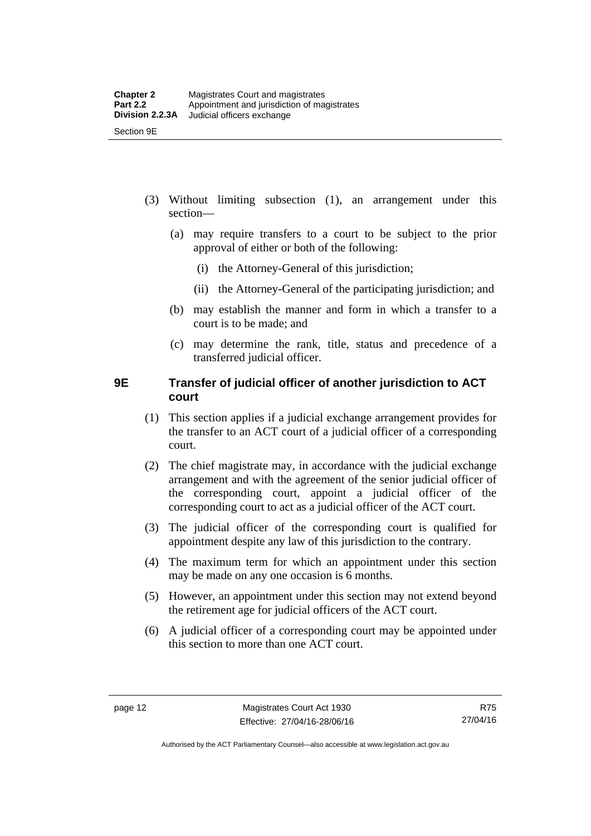- (3) Without limiting subsection (1), an arrangement under this section—
	- (a) may require transfers to a court to be subject to the prior approval of either or both of the following:
		- (i) the Attorney-General of this jurisdiction;
		- (ii) the Attorney-General of the participating jurisdiction; and
	- (b) may establish the manner and form in which a transfer to a court is to be made; and
	- (c) may determine the rank, title, status and precedence of a transferred judicial officer.

#### <span id="page-27-0"></span>**9E Transfer of judicial officer of another jurisdiction to ACT court**

- (1) This section applies if a judicial exchange arrangement provides for the transfer to an ACT court of a judicial officer of a corresponding court.
- (2) The chief magistrate may, in accordance with the judicial exchange arrangement and with the agreement of the senior judicial officer of the corresponding court, appoint a judicial officer of the corresponding court to act as a judicial officer of the ACT court.
- (3) The judicial officer of the corresponding court is qualified for appointment despite any law of this jurisdiction to the contrary.
- (4) The maximum term for which an appointment under this section may be made on any one occasion is 6 months.
- (5) However, an appointment under this section may not extend beyond the retirement age for judicial officers of the ACT court.
- (6) A judicial officer of a corresponding court may be appointed under this section to more than one ACT court.

Authorised by the ACT Parliamentary Counsel—also accessible at www.legislation.act.gov.au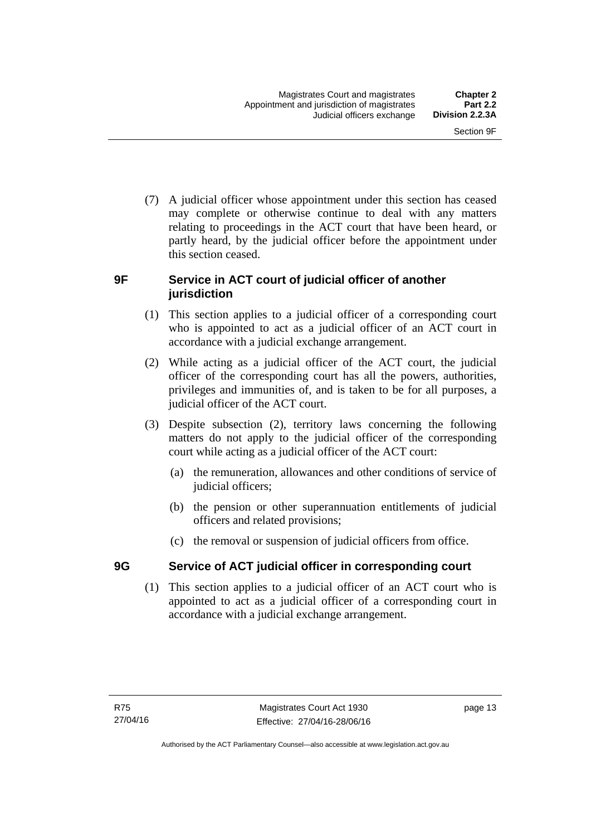(7) A judicial officer whose appointment under this section has ceased may complete or otherwise continue to deal with any matters relating to proceedings in the ACT court that have been heard, or partly heard, by the judicial officer before the appointment under this section ceased.

#### <span id="page-28-0"></span>**9F Service in ACT court of judicial officer of another jurisdiction**

- (1) This section applies to a judicial officer of a corresponding court who is appointed to act as a judicial officer of an ACT court in accordance with a judicial exchange arrangement.
- (2) While acting as a judicial officer of the ACT court, the judicial officer of the corresponding court has all the powers, authorities, privileges and immunities of, and is taken to be for all purposes, a judicial officer of the ACT court.
- (3) Despite subsection (2), territory laws concerning the following matters do not apply to the judicial officer of the corresponding court while acting as a judicial officer of the ACT court:
	- (a) the remuneration, allowances and other conditions of service of judicial officers;
	- (b) the pension or other superannuation entitlements of judicial officers and related provisions;
	- (c) the removal or suspension of judicial officers from office.

#### <span id="page-28-1"></span>**9G Service of ACT judicial officer in corresponding court**

(1) This section applies to a judicial officer of an ACT court who is appointed to act as a judicial officer of a corresponding court in accordance with a judicial exchange arrangement.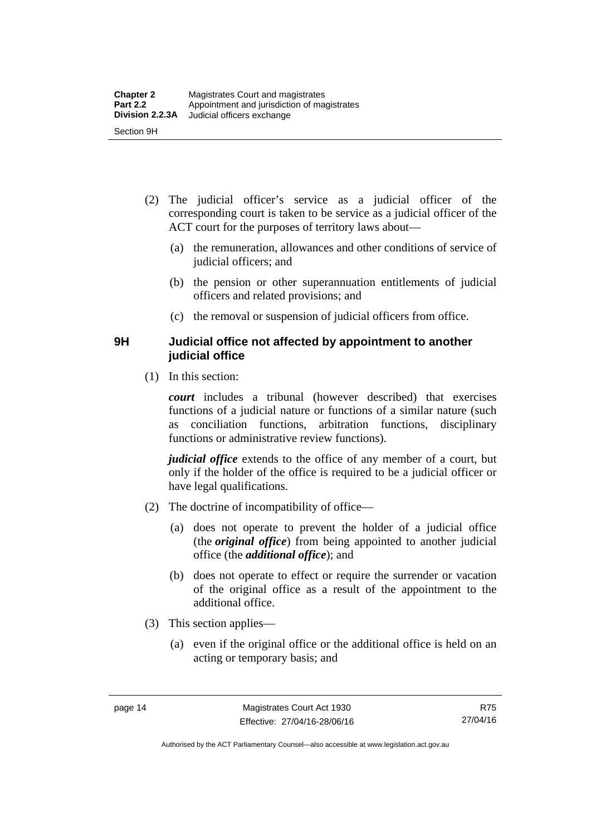- (2) The judicial officer's service as a judicial officer of the corresponding court is taken to be service as a judicial officer of the ACT court for the purposes of territory laws about—
	- (a) the remuneration, allowances and other conditions of service of judicial officers; and
	- (b) the pension or other superannuation entitlements of judicial officers and related provisions; and
	- (c) the removal or suspension of judicial officers from office.

#### <span id="page-29-0"></span>**9H Judicial office not affected by appointment to another judicial office**

(1) In this section:

*court* includes a tribunal (however described) that exercises functions of a judicial nature or functions of a similar nature (such as conciliation functions, arbitration functions, disciplinary functions or administrative review functions).

*judicial office* extends to the office of any member of a court, but only if the holder of the office is required to be a judicial officer or have legal qualifications.

- (2) The doctrine of incompatibility of office—
	- (a) does not operate to prevent the holder of a judicial office (the *original office*) from being appointed to another judicial office (the *additional office*); and
	- (b) does not operate to effect or require the surrender or vacation of the original office as a result of the appointment to the additional office.
- (3) This section applies—
	- (a) even if the original office or the additional office is held on an acting or temporary basis; and

Authorised by the ACT Parliamentary Counsel—also accessible at www.legislation.act.gov.au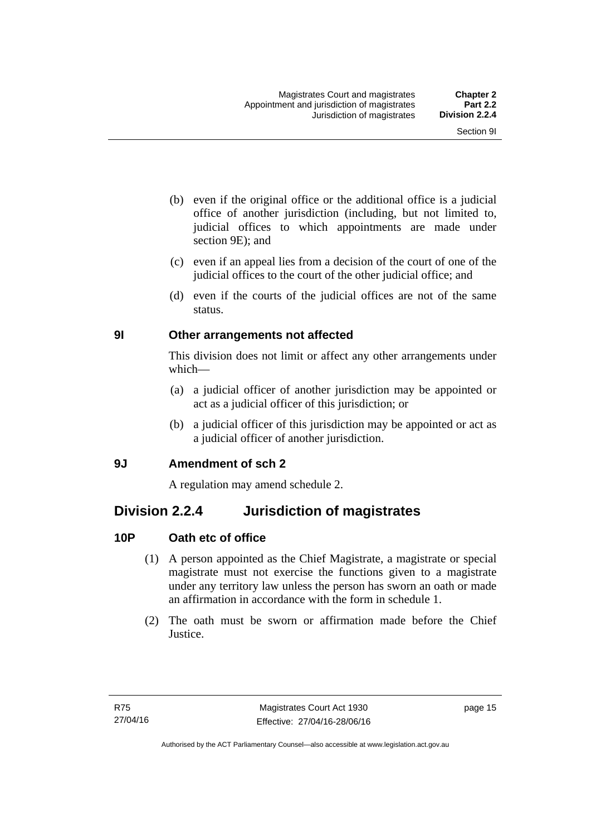- (b) even if the original office or the additional office is a judicial office of another jurisdiction (including, but not limited to, judicial offices to which appointments are made under section 9E); and
- (c) even if an appeal lies from a decision of the court of one of the judicial offices to the court of the other judicial office; and
- (d) even if the courts of the judicial offices are not of the same status.

#### <span id="page-30-0"></span>**9I Other arrangements not affected**

This division does not limit or affect any other arrangements under which—

- (a) a judicial officer of another jurisdiction may be appointed or act as a judicial officer of this jurisdiction; or
- (b) a judicial officer of this jurisdiction may be appointed or act as a judicial officer of another jurisdiction.

#### <span id="page-30-1"></span>**9J Amendment of sch 2**

A regulation may amend schedule 2.

### <span id="page-30-2"></span>**Division 2.2.4 Jurisdiction of magistrates**

#### <span id="page-30-3"></span>**10P Oath etc of office**

- (1) A person appointed as the Chief Magistrate, a magistrate or special magistrate must not exercise the functions given to a magistrate under any territory law unless the person has sworn an oath or made an affirmation in accordance with the form in schedule 1.
- (2) The oath must be sworn or affirmation made before the Chief Justice.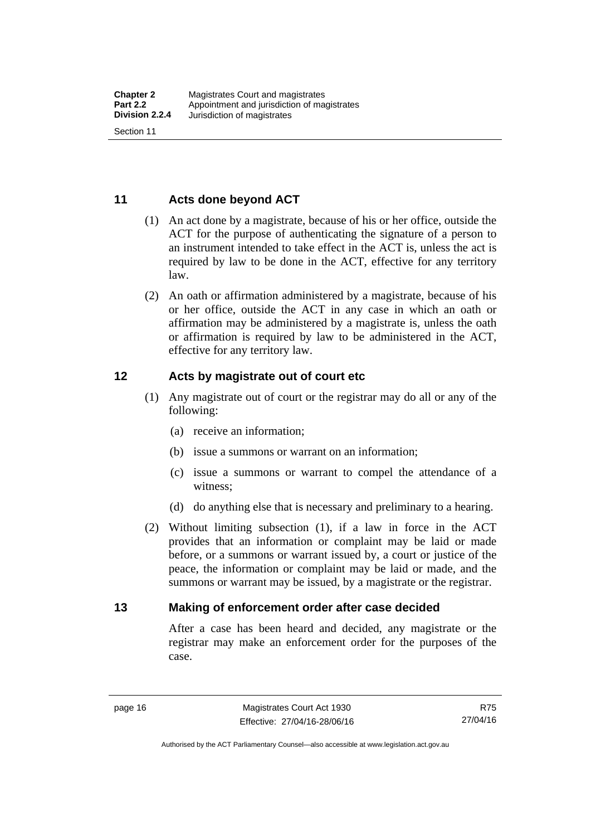#### <span id="page-31-0"></span>**11 Acts done beyond ACT**

- (1) An act done by a magistrate, because of his or her office, outside the ACT for the purpose of authenticating the signature of a person to an instrument intended to take effect in the ACT is, unless the act is required by law to be done in the ACT, effective for any territory law.
- (2) An oath or affirmation administered by a magistrate, because of his or her office, outside the ACT in any case in which an oath or affirmation may be administered by a magistrate is, unless the oath or affirmation is required by law to be administered in the ACT, effective for any territory law.

#### <span id="page-31-1"></span>**12 Acts by magistrate out of court etc**

- (1) Any magistrate out of court or the registrar may do all or any of the following:
	- (a) receive an information;
	- (b) issue a summons or warrant on an information;
	- (c) issue a summons or warrant to compel the attendance of a witness;
	- (d) do anything else that is necessary and preliminary to a hearing.
- (2) Without limiting subsection (1), if a law in force in the ACT provides that an information or complaint may be laid or made before, or a summons or warrant issued by, a court or justice of the peace, the information or complaint may be laid or made, and the summons or warrant may be issued, by a magistrate or the registrar.

#### <span id="page-31-2"></span>**13 Making of enforcement order after case decided**

After a case has been heard and decided, any magistrate or the registrar may make an enforcement order for the purposes of the case.

Authorised by the ACT Parliamentary Counsel—also accessible at www.legislation.act.gov.au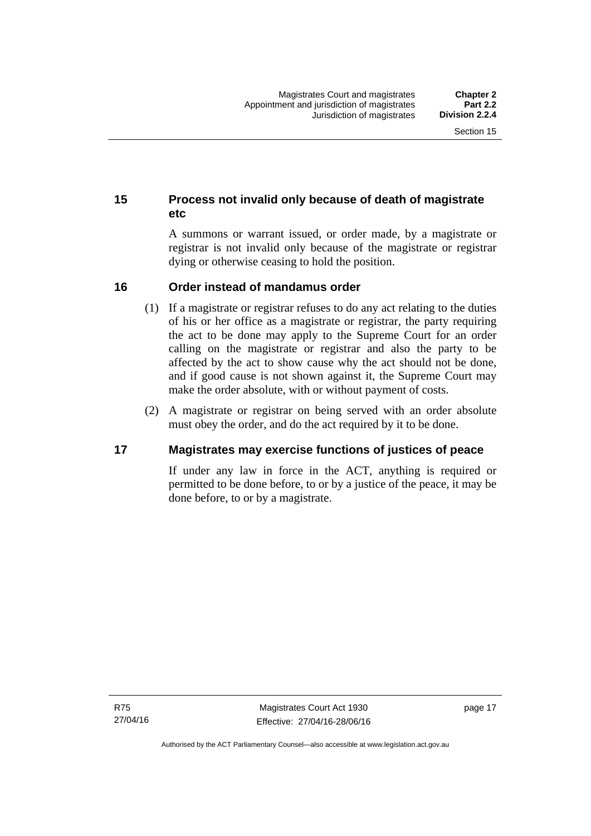#### <span id="page-32-0"></span>**15 Process not invalid only because of death of magistrate etc**

A summons or warrant issued, or order made, by a magistrate or registrar is not invalid only because of the magistrate or registrar dying or otherwise ceasing to hold the position.

#### <span id="page-32-1"></span>**16 Order instead of mandamus order**

- (1) If a magistrate or registrar refuses to do any act relating to the duties of his or her office as a magistrate or registrar, the party requiring the act to be done may apply to the Supreme Court for an order calling on the magistrate or registrar and also the party to be affected by the act to show cause why the act should not be done, and if good cause is not shown against it, the Supreme Court may make the order absolute, with or without payment of costs.
- (2) A magistrate or registrar on being served with an order absolute must obey the order, and do the act required by it to be done.

#### <span id="page-32-2"></span>**17 Magistrates may exercise functions of justices of peace**

If under any law in force in the ACT, anything is required or permitted to be done before, to or by a justice of the peace, it may be done before, to or by a magistrate.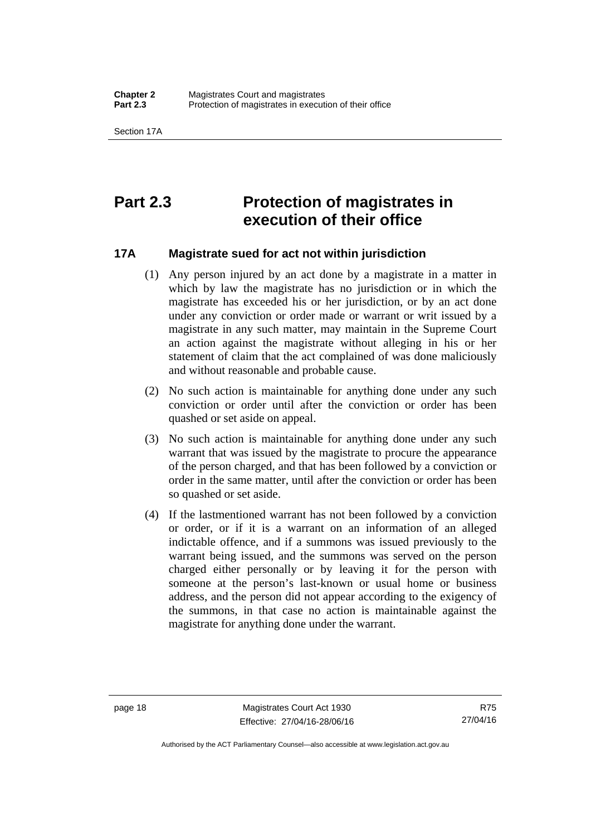### <span id="page-33-0"></span>**Part 2.3 Protection of magistrates in execution of their office**

#### <span id="page-33-1"></span>**17A Magistrate sued for act not within jurisdiction**

- (1) Any person injured by an act done by a magistrate in a matter in which by law the magistrate has no jurisdiction or in which the magistrate has exceeded his or her jurisdiction, or by an act done under any conviction or order made or warrant or writ issued by a magistrate in any such matter, may maintain in the Supreme Court an action against the magistrate without alleging in his or her statement of claim that the act complained of was done maliciously and without reasonable and probable cause.
- (2) No such action is maintainable for anything done under any such conviction or order until after the conviction or order has been quashed or set aside on appeal.
- (3) No such action is maintainable for anything done under any such warrant that was issued by the magistrate to procure the appearance of the person charged, and that has been followed by a conviction or order in the same matter, until after the conviction or order has been so quashed or set aside.
- (4) If the lastmentioned warrant has not been followed by a conviction or order, or if it is a warrant on an information of an alleged indictable offence, and if a summons was issued previously to the warrant being issued, and the summons was served on the person charged either personally or by leaving it for the person with someone at the person's last-known or usual home or business address, and the person did not appear according to the exigency of the summons, in that case no action is maintainable against the magistrate for anything done under the warrant.

R75 27/04/16

Authorised by the ACT Parliamentary Counsel—also accessible at www.legislation.act.gov.au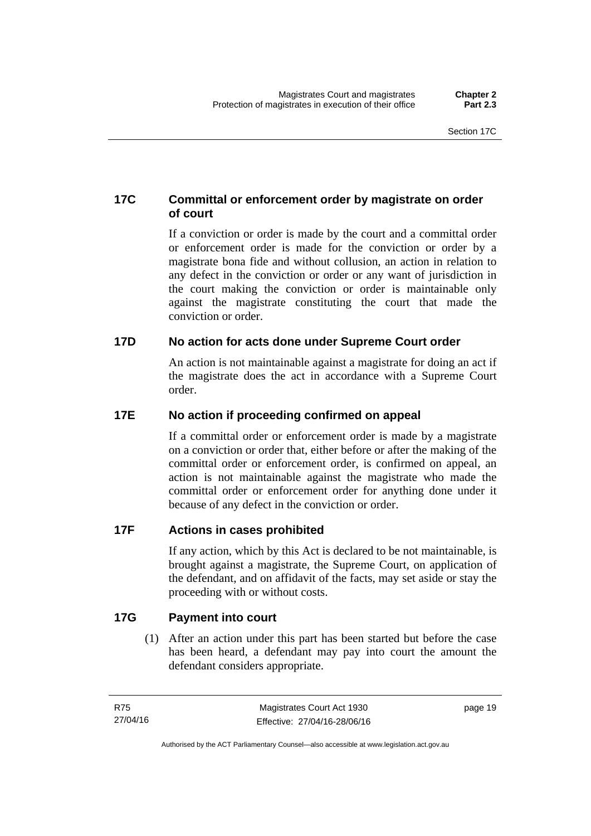#### <span id="page-34-0"></span>**17C Committal or enforcement order by magistrate on order of court**

If a conviction or order is made by the court and a committal order or enforcement order is made for the conviction or order by a magistrate bona fide and without collusion, an action in relation to any defect in the conviction or order or any want of jurisdiction in the court making the conviction or order is maintainable only against the magistrate constituting the court that made the conviction or order.

#### <span id="page-34-1"></span>**17D No action for acts done under Supreme Court order**

An action is not maintainable against a magistrate for doing an act if the magistrate does the act in accordance with a Supreme Court order.

#### <span id="page-34-2"></span>**17E No action if proceeding confirmed on appeal**

If a committal order or enforcement order is made by a magistrate on a conviction or order that, either before or after the making of the committal order or enforcement order, is confirmed on appeal, an action is not maintainable against the magistrate who made the committal order or enforcement order for anything done under it because of any defect in the conviction or order.

#### <span id="page-34-3"></span>**17F Actions in cases prohibited**

If any action, which by this Act is declared to be not maintainable, is brought against a magistrate, the Supreme Court, on application of the defendant, and on affidavit of the facts, may set aside or stay the proceeding with or without costs.

#### <span id="page-34-4"></span>**17G Payment into court**

(1) After an action under this part has been started but before the case has been heard, a defendant may pay into court the amount the defendant considers appropriate.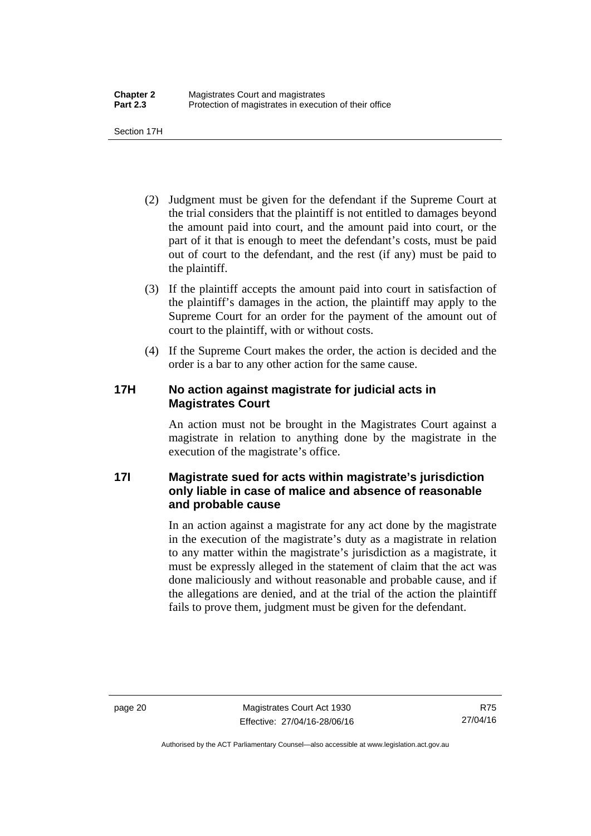Section 17H

- (2) Judgment must be given for the defendant if the Supreme Court at the trial considers that the plaintiff is not entitled to damages beyond the amount paid into court, and the amount paid into court, or the part of it that is enough to meet the defendant's costs, must be paid out of court to the defendant, and the rest (if any) must be paid to the plaintiff.
- (3) If the plaintiff accepts the amount paid into court in satisfaction of the plaintiff's damages in the action, the plaintiff may apply to the Supreme Court for an order for the payment of the amount out of court to the plaintiff, with or without costs.
- (4) If the Supreme Court makes the order, the action is decided and the order is a bar to any other action for the same cause.

#### <span id="page-35-0"></span>**17H No action against magistrate for judicial acts in Magistrates Court**

An action must not be brought in the Magistrates Court against a magistrate in relation to anything done by the magistrate in the execution of the magistrate's office.

#### <span id="page-35-1"></span>**17I Magistrate sued for acts within magistrate's jurisdiction only liable in case of malice and absence of reasonable and probable cause**

In an action against a magistrate for any act done by the magistrate in the execution of the magistrate's duty as a magistrate in relation to any matter within the magistrate's jurisdiction as a magistrate, it must be expressly alleged in the statement of claim that the act was done maliciously and without reasonable and probable cause, and if the allegations are denied, and at the trial of the action the plaintiff fails to prove them, judgment must be given for the defendant.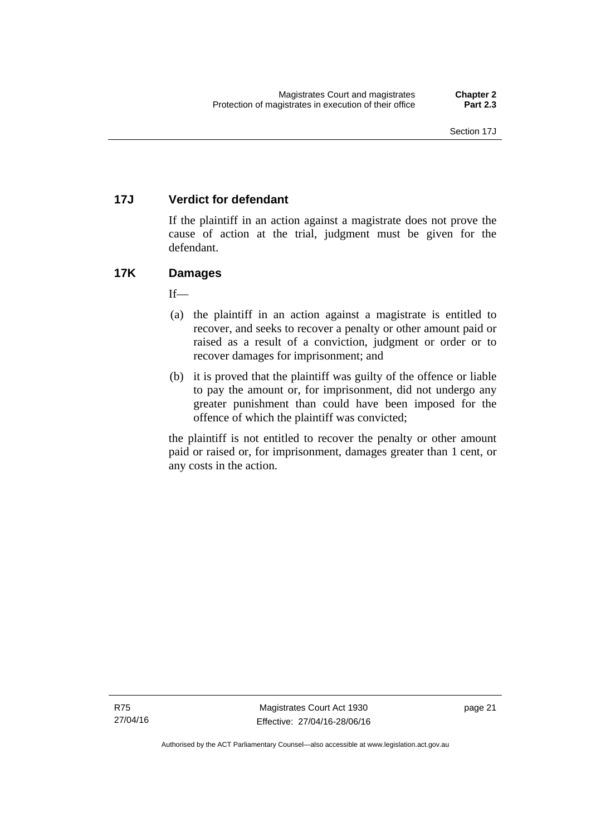# **17J Verdict for defendant**

If the plaintiff in an action against a magistrate does not prove the cause of action at the trial, judgment must be given for the defendant.

# **17K Damages**

 $If$ <sub>—</sub>

- (a) the plaintiff in an action against a magistrate is entitled to recover, and seeks to recover a penalty or other amount paid or raised as a result of a conviction, judgment or order or to recover damages for imprisonment; and
- (b) it is proved that the plaintiff was guilty of the offence or liable to pay the amount or, for imprisonment, did not undergo any greater punishment than could have been imposed for the offence of which the plaintiff was convicted;

the plaintiff is not entitled to recover the penalty or other amount paid or raised or, for imprisonment, damages greater than 1 cent, or any costs in the action.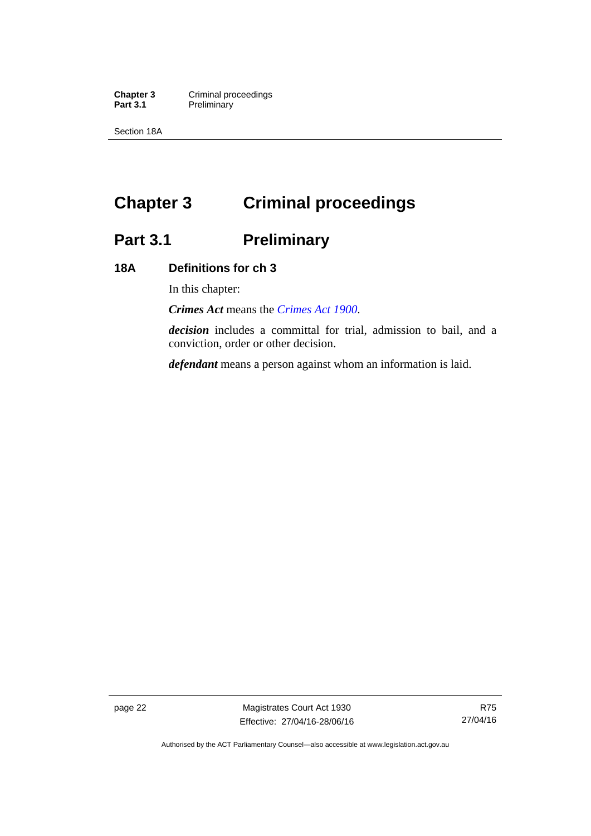**Chapter 3 Criminal proceedings**<br>**Part 3.1 Preliminary Preliminary** 

Section 18A

# **Chapter 3 Criminal proceedings**

# **Part 3.1 Preliminary**

# **18A Definitions for ch 3**

In this chapter:

*Crimes Act* means the *[Crimes Act 1900](http://www.legislation.act.gov.au/a/1900-40)*.

*decision* includes a committal for trial, admission to bail, and a conviction, order or other decision.

*defendant* means a person against whom an information is laid.

page 22 Magistrates Court Act 1930 Effective: 27/04/16-28/06/16

Authorised by the ACT Parliamentary Counsel—also accessible at www.legislation.act.gov.au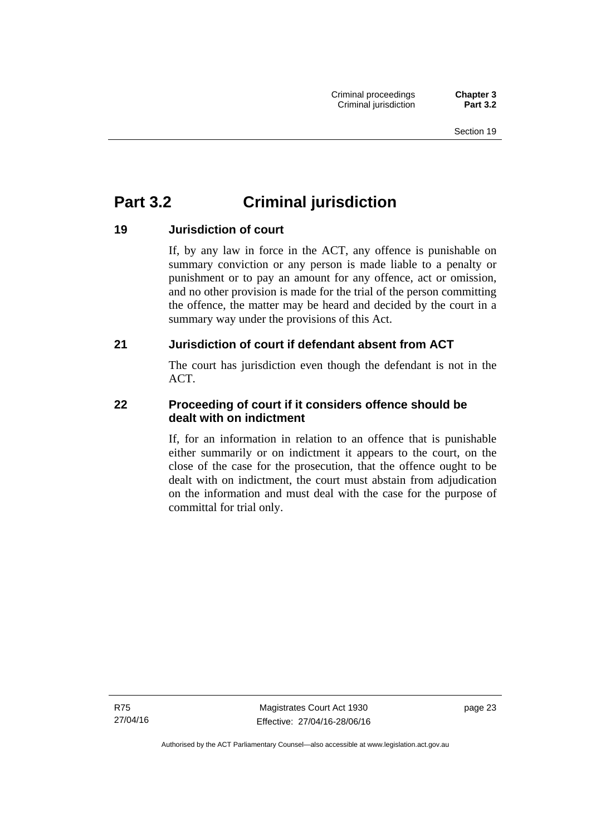# **Part 3.2 Criminal jurisdiction**

# **19 Jurisdiction of court**

If, by any law in force in the ACT, any offence is punishable on summary conviction or any person is made liable to a penalty or punishment or to pay an amount for any offence, act or omission, and no other provision is made for the trial of the person committing the offence, the matter may be heard and decided by the court in a summary way under the provisions of this Act.

# **21 Jurisdiction of court if defendant absent from ACT**

The court has jurisdiction even though the defendant is not in the ACT.

# **22 Proceeding of court if it considers offence should be dealt with on indictment**

If, for an information in relation to an offence that is punishable either summarily or on indictment it appears to the court, on the close of the case for the prosecution, that the offence ought to be dealt with on indictment, the court must abstain from adjudication on the information and must deal with the case for the purpose of committal for trial only.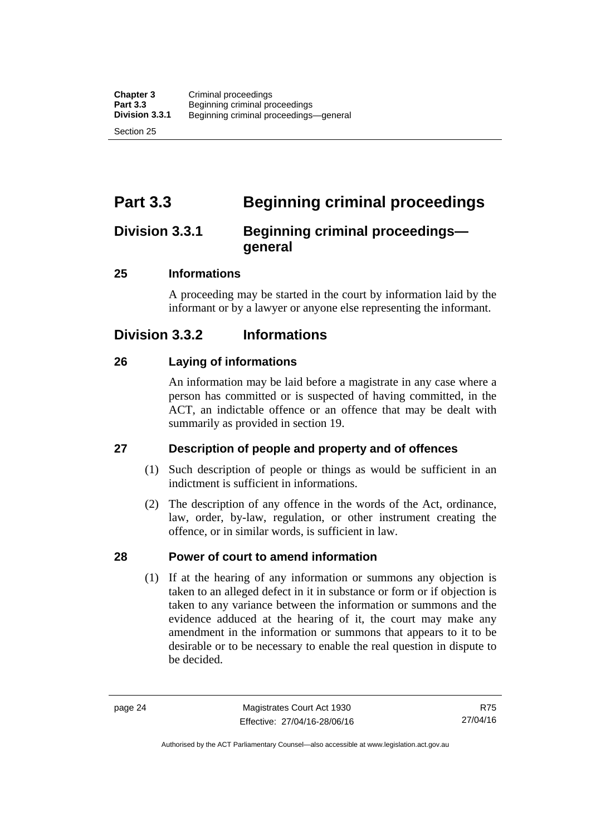# **Part 3.3 Beginning criminal proceedings**

# **Division 3.3.1 Beginning criminal proceedings general**

# **25 Informations**

A proceeding may be started in the court by information laid by the informant or by a lawyer or anyone else representing the informant.

# **Division 3.3.2 Informations**

# **26 Laying of informations**

An information may be laid before a magistrate in any case where a person has committed or is suspected of having committed, in the ACT, an indictable offence or an offence that may be dealt with summarily as provided in section 19.

# **27 Description of people and property and of offences**

- (1) Such description of people or things as would be sufficient in an indictment is sufficient in informations.
- (2) The description of any offence in the words of the Act, ordinance, law, order, by-law, regulation, or other instrument creating the offence, or in similar words, is sufficient in law.

# **28 Power of court to amend information**

(1) If at the hearing of any information or summons any objection is taken to an alleged defect in it in substance or form or if objection is taken to any variance between the information or summons and the evidence adduced at the hearing of it, the court may make any amendment in the information or summons that appears to it to be desirable or to be necessary to enable the real question in dispute to be decided.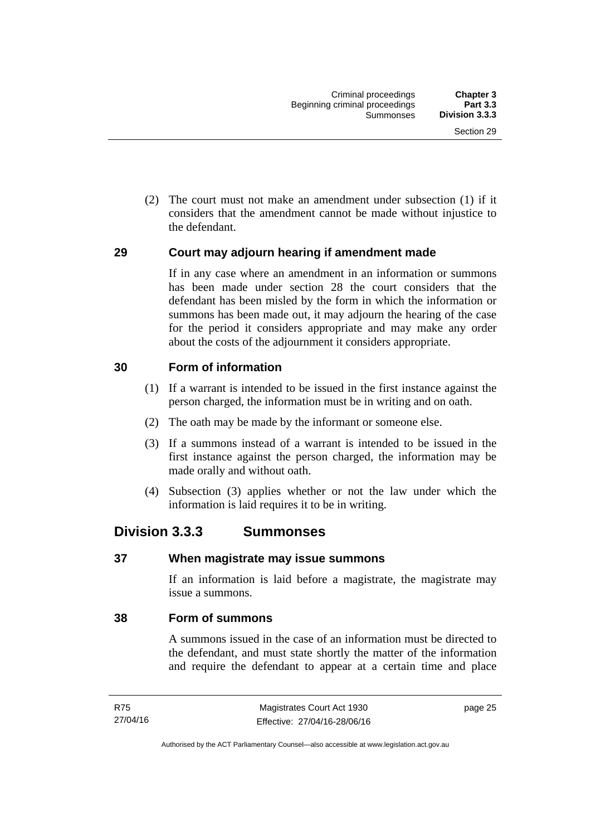(2) The court must not make an amendment under subsection (1) if it considers that the amendment cannot be made without injustice to the defendant.

# **29 Court may adjourn hearing if amendment made**

If in any case where an amendment in an information or summons has been made under section 28 the court considers that the defendant has been misled by the form in which the information or summons has been made out, it may adjourn the hearing of the case for the period it considers appropriate and may make any order about the costs of the adjournment it considers appropriate.

# **30 Form of information**

- (1) If a warrant is intended to be issued in the first instance against the person charged, the information must be in writing and on oath.
- (2) The oath may be made by the informant or someone else.
- (3) If a summons instead of a warrant is intended to be issued in the first instance against the person charged, the information may be made orally and without oath.
- (4) Subsection (3) applies whether or not the law under which the information is laid requires it to be in writing.

# **Division 3.3.3 Summonses**

## **37 When magistrate may issue summons**

If an information is laid before a magistrate, the magistrate may issue a summons.

# **38 Form of summons**

A summons issued in the case of an information must be directed to the defendant, and must state shortly the matter of the information and require the defendant to appear at a certain time and place

page 25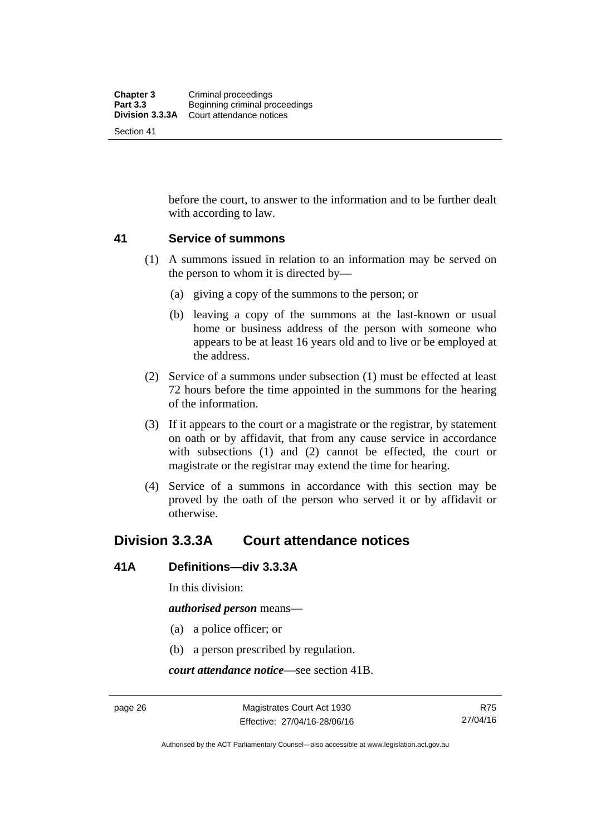before the court, to answer to the information and to be further dealt with according to law.

## **41 Service of summons**

- (1) A summons issued in relation to an information may be served on the person to whom it is directed by—
	- (a) giving a copy of the summons to the person; or
	- (b) leaving a copy of the summons at the last-known or usual home or business address of the person with someone who appears to be at least 16 years old and to live or be employed at the address.
- (2) Service of a summons under subsection (1) must be effected at least 72 hours before the time appointed in the summons for the hearing of the information.
- (3) If it appears to the court or a magistrate or the registrar, by statement on oath or by affidavit, that from any cause service in accordance with subsections (1) and (2) cannot be effected, the court or magistrate or the registrar may extend the time for hearing.
- (4) Service of a summons in accordance with this section may be proved by the oath of the person who served it or by affidavit or otherwise.

# **Division 3.3.3A Court attendance notices**

## **41A Definitions—div 3.3.3A**

In this division:

*authorised person* means—

- (a) a police officer; or
- (b) a person prescribed by regulation.

*court attendance notice*—see section 41B.

Authorised by the ACT Parliamentary Counsel—also accessible at www.legislation.act.gov.au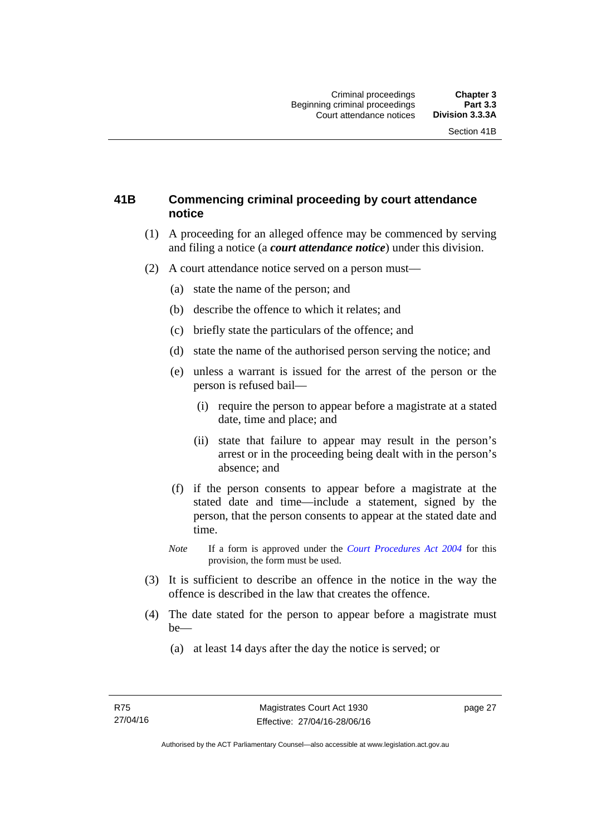# **41B Commencing criminal proceeding by court attendance notice**

- (1) A proceeding for an alleged offence may be commenced by serving and filing a notice (a *court attendance notice*) under this division.
- (2) A court attendance notice served on a person must––
	- (a) state the name of the person; and
	- (b) describe the offence to which it relates; and
	- (c) briefly state the particulars of the offence; and
	- (d) state the name of the authorised person serving the notice; and
	- (e) unless a warrant is issued for the arrest of the person or the person is refused bail—
		- (i) require the person to appear before a magistrate at a stated date, time and place; and
		- (ii) state that failure to appear may result in the person's arrest or in the proceeding being dealt with in the person's absence; and
	- (f) if the person consents to appear before a magistrate at the stated date and time—include a statement, signed by the person, that the person consents to appear at the stated date and time.
	- *Note* If a form is approved under the *[Court Procedures Act 2004](http://www.legislation.act.gov.au/a/2004-59)* for this provision, the form must be used.
- (3) It is sufficient to describe an offence in the notice in the way the offence is described in the law that creates the offence.
- (4) The date stated for the person to appear before a magistrate must be—
	- (a) at least 14 days after the day the notice is served; or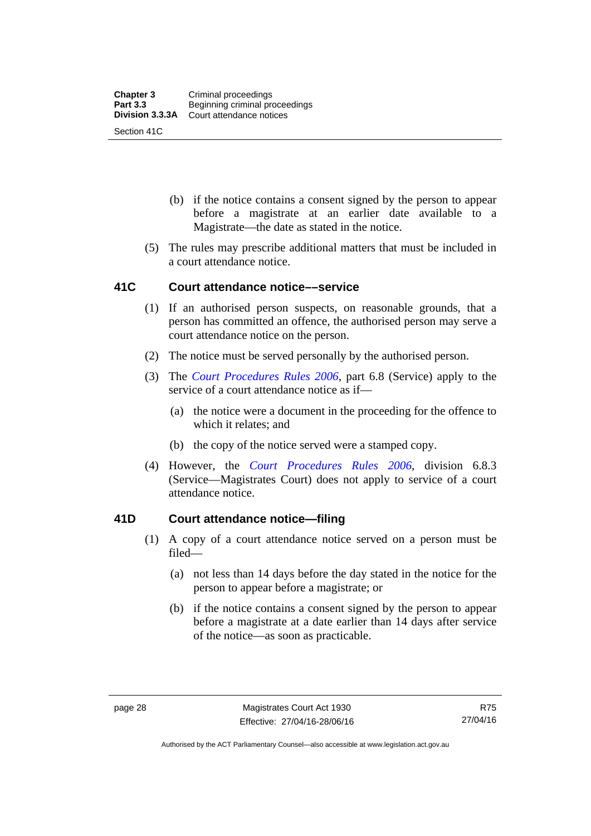- (b) if the notice contains a consent signed by the person to appear before a magistrate at an earlier date available to a Magistrate—the date as stated in the notice.
- (5) The rules may prescribe additional matters that must be included in a court attendance notice.

## **41C Court attendance notice––service**

- (1) If an authorised person suspects, on reasonable grounds, that a person has committed an offence, the authorised person may serve a court attendance notice on the person.
- (2) The notice must be served personally by the authorised person.
- (3) The *[Court Procedures Rules 2006](http://www.legislation.act.gov.au/sl/2006-29),* part 6.8 (Service) apply to the service of a court attendance notice as if—
	- (a) the notice were a document in the proceeding for the offence to which it relates; and
	- (b) the copy of the notice served were a stamped copy.
- (4) However, the *[Court Procedures Rules 2006,](http://www.legislation.act.gov.au/sl/2006-29)* division 6.8.3 (Service—Magistrates Court) does not apply to service of a court attendance notice.

# **41D Court attendance notice—filing**

- (1) A copy of a court attendance notice served on a person must be filed—
	- (a) not less than 14 days before the day stated in the notice for the person to appear before a magistrate; or
	- (b) if the notice contains a consent signed by the person to appear before a magistrate at a date earlier than 14 days after service of the notice—as soon as practicable.

Authorised by the ACT Parliamentary Counsel—also accessible at www.legislation.act.gov.au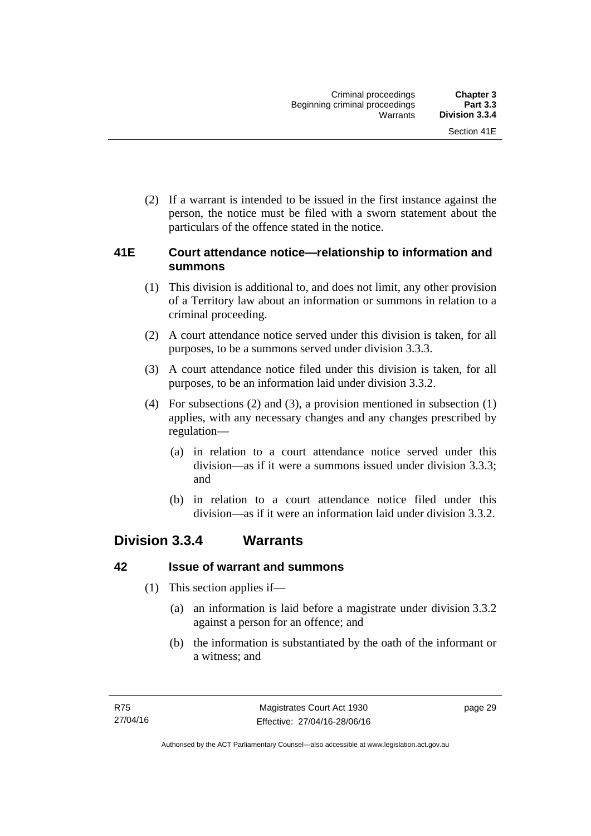(2) If a warrant is intended to be issued in the first instance against the person, the notice must be filed with a sworn statement about the particulars of the offence stated in the notice.

# **41E Court attendance notice—relationship to information and summons**

- (1) This division is additional to, and does not limit, any other provision of a Territory law about an information or summons in relation to a criminal proceeding.
- (2) A court attendance notice served under this division is taken, for all purposes, to be a summons served under division 3.3.3.
- (3) A court attendance notice filed under this division is taken, for all purposes, to be an information laid under division 3.3.2.
- (4) For subsections (2) and (3), a provision mentioned in subsection (1) applies, with any necessary changes and any changes prescribed by regulation—
	- (a) in relation to a court attendance notice served under this division—as if it were a summons issued under division 3.3.3; and
	- (b) in relation to a court attendance notice filed under this division—as if it were an information laid under division 3.3.2.

# **Division 3.3.4 Warrants**

# **42 Issue of warrant and summons**

- (1) This section applies if—
	- (a) an information is laid before a magistrate under division 3.3.2 against a person for an offence; and
	- (b) the information is substantiated by the oath of the informant or a witness; and

page 29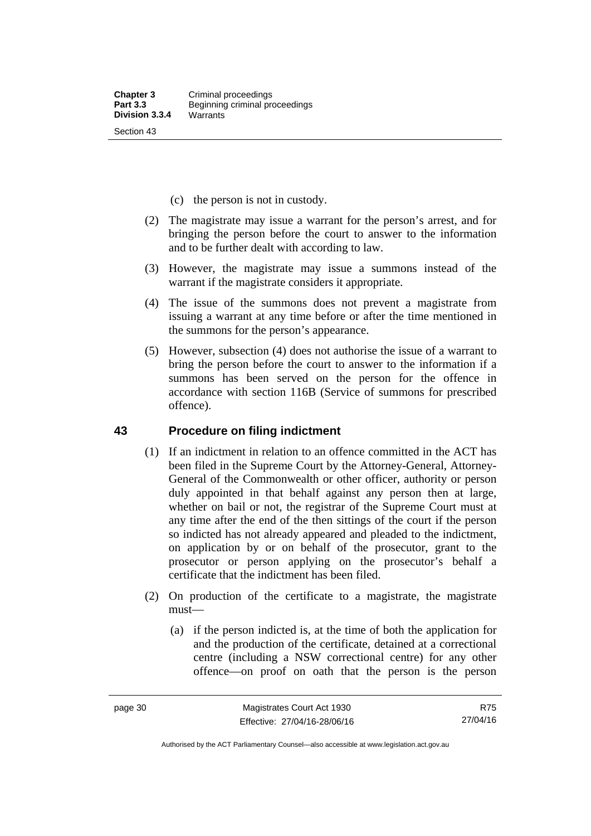- (c) the person is not in custody.
- (2) The magistrate may issue a warrant for the person's arrest, and for bringing the person before the court to answer to the information and to be further dealt with according to law.
- (3) However, the magistrate may issue a summons instead of the warrant if the magistrate considers it appropriate.
- (4) The issue of the summons does not prevent a magistrate from issuing a warrant at any time before or after the time mentioned in the summons for the person's appearance.
- (5) However, subsection (4) does not authorise the issue of a warrant to bring the person before the court to answer to the information if a summons has been served on the person for the offence in accordance with section 116B (Service of summons for prescribed offence).

#### **43 Procedure on filing indictment**

- (1) If an indictment in relation to an offence committed in the ACT has been filed in the Supreme Court by the Attorney-General, Attorney-General of the Commonwealth or other officer, authority or person duly appointed in that behalf against any person then at large, whether on bail or not, the registrar of the Supreme Court must at any time after the end of the then sittings of the court if the person so indicted has not already appeared and pleaded to the indictment, on application by or on behalf of the prosecutor, grant to the prosecutor or person applying on the prosecutor's behalf a certificate that the indictment has been filed.
- (2) On production of the certificate to a magistrate, the magistrate must—
	- (a) if the person indicted is, at the time of both the application for and the production of the certificate, detained at a correctional centre (including a NSW correctional centre) for any other offence—on proof on oath that the person is the person

R75 27/04/16

Authorised by the ACT Parliamentary Counsel—also accessible at www.legislation.act.gov.au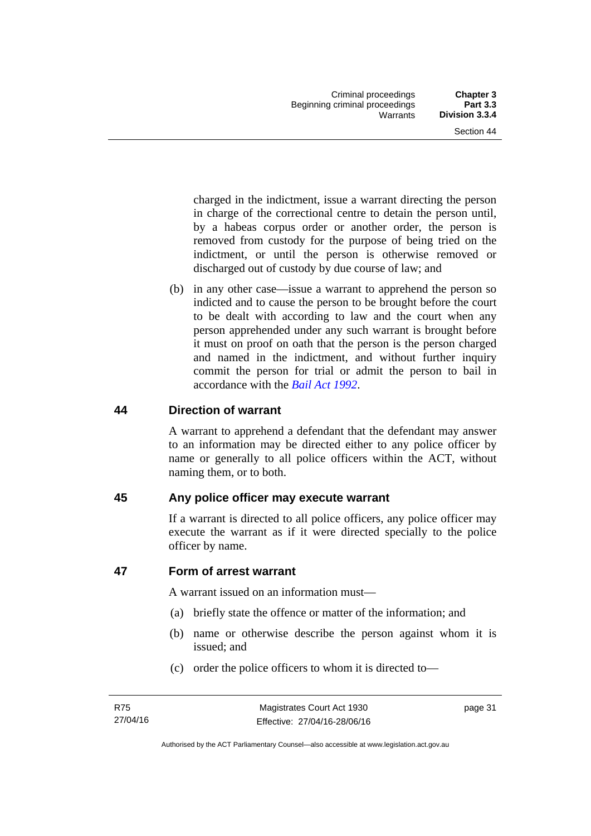charged in the indictment, issue a warrant directing the person in charge of the correctional centre to detain the person until, by a habeas corpus order or another order, the person is removed from custody for the purpose of being tried on the indictment, or until the person is otherwise removed or discharged out of custody by due course of law; and

 (b) in any other case—issue a warrant to apprehend the person so indicted and to cause the person to be brought before the court to be dealt with according to law and the court when any person apprehended under any such warrant is brought before it must on proof on oath that the person is the person charged and named in the indictment, and without further inquiry commit the person for trial or admit the person to bail in accordance with the *[Bail Act 1992](http://www.legislation.act.gov.au/a/1992-8)*.

# **44 Direction of warrant**

A warrant to apprehend a defendant that the defendant may answer to an information may be directed either to any police officer by name or generally to all police officers within the ACT, without naming them, or to both.

# **45 Any police officer may execute warrant**

If a warrant is directed to all police officers, any police officer may execute the warrant as if it were directed specially to the police officer by name.

# **47 Form of arrest warrant**

A warrant issued on an information must—

- (a) briefly state the offence or matter of the information; and
- (b) name or otherwise describe the person against whom it is issued; and
- (c) order the police officers to whom it is directed to—

page 31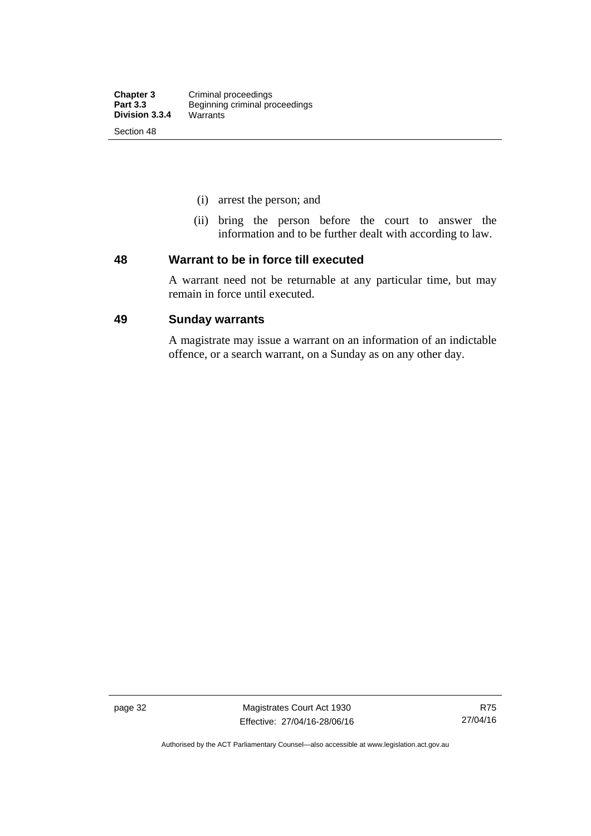- (i) arrest the person; and
- (ii) bring the person before the court to answer the information and to be further dealt with according to law.

#### **48 Warrant to be in force till executed**

A warrant need not be returnable at any particular time, but may remain in force until executed.

### **49 Sunday warrants**

A magistrate may issue a warrant on an information of an indictable offence, or a search warrant, on a Sunday as on any other day.

page 32 Magistrates Court Act 1930 Effective: 27/04/16-28/06/16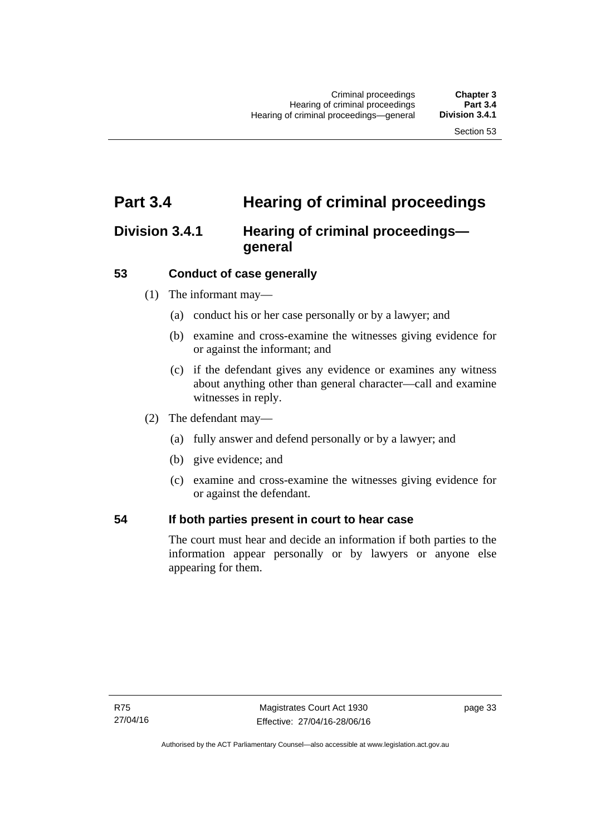# **Part 3.4 Hearing of criminal proceedings**

# **Division 3.4.1 Hearing of criminal proceedings general**

# **53 Conduct of case generally**

- (1) The informant may—
	- (a) conduct his or her case personally or by a lawyer; and
	- (b) examine and cross-examine the witnesses giving evidence for or against the informant; and
	- (c) if the defendant gives any evidence or examines any witness about anything other than general character—call and examine witnesses in reply.
- (2) The defendant may—
	- (a) fully answer and defend personally or by a lawyer; and
	- (b) give evidence; and
	- (c) examine and cross-examine the witnesses giving evidence for or against the defendant.

## **54 If both parties present in court to hear case**

The court must hear and decide an information if both parties to the information appear personally or by lawyers or anyone else appearing for them.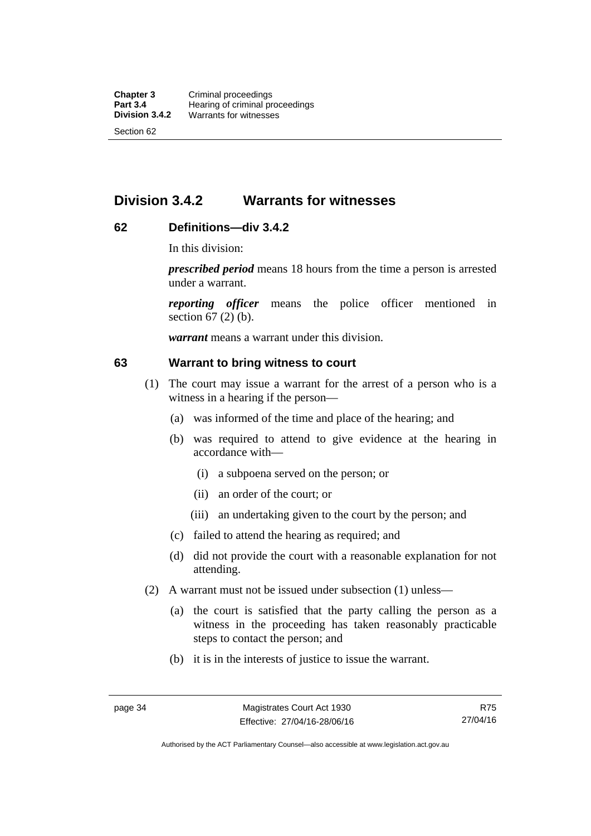# **Division 3.4.2 Warrants for witnesses**

# **62 Definitions—div 3.4.2**

In this division:

*prescribed period* means 18 hours from the time a person is arrested under a warrant.

*reporting officer* means the police officer mentioned in section 67 (2) (b).

*warrant* means a warrant under this division.

#### **63 Warrant to bring witness to court**

- (1) The court may issue a warrant for the arrest of a person who is a witness in a hearing if the person—
	- (a) was informed of the time and place of the hearing; and
	- (b) was required to attend to give evidence at the hearing in accordance with—
		- (i) a subpoena served on the person; or
		- (ii) an order of the court; or
		- (iii) an undertaking given to the court by the person; and
	- (c) failed to attend the hearing as required; and
	- (d) did not provide the court with a reasonable explanation for not attending.
- (2) A warrant must not be issued under subsection (1) unless—
	- (a) the court is satisfied that the party calling the person as a witness in the proceeding has taken reasonably practicable steps to contact the person; and
	- (b) it is in the interests of justice to issue the warrant.

R75 27/04/16

Authorised by the ACT Parliamentary Counsel—also accessible at www.legislation.act.gov.au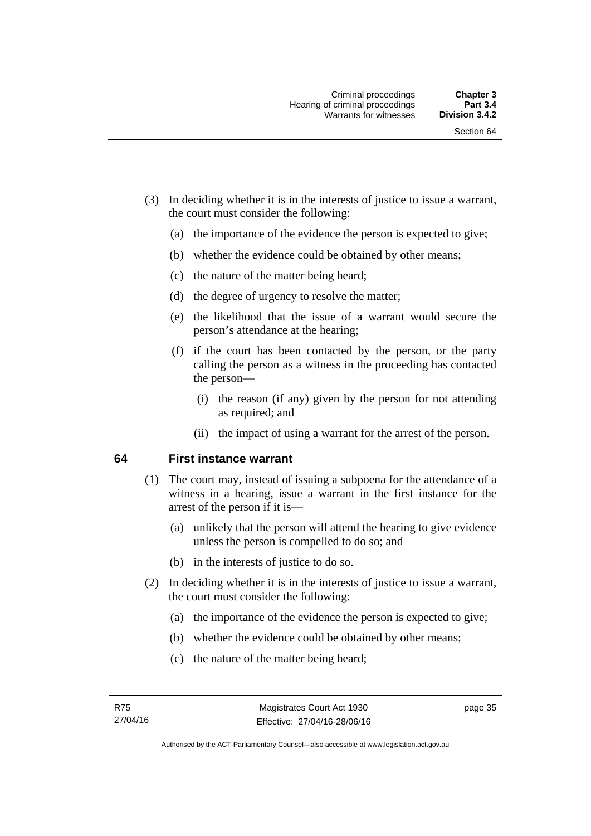- (3) In deciding whether it is in the interests of justice to issue a warrant, the court must consider the following:
	- (a) the importance of the evidence the person is expected to give;
	- (b) whether the evidence could be obtained by other means;
	- (c) the nature of the matter being heard;
	- (d) the degree of urgency to resolve the matter;
	- (e) the likelihood that the issue of a warrant would secure the person's attendance at the hearing;
	- (f) if the court has been contacted by the person, or the party calling the person as a witness in the proceeding has contacted the person—
		- (i) the reason (if any) given by the person for not attending as required; and
		- (ii) the impact of using a warrant for the arrest of the person.

## **64 First instance warrant**

- (1) The court may, instead of issuing a subpoena for the attendance of a witness in a hearing, issue a warrant in the first instance for the arrest of the person if it is—
	- (a) unlikely that the person will attend the hearing to give evidence unless the person is compelled to do so; and
	- (b) in the interests of justice to do so.
- (2) In deciding whether it is in the interests of justice to issue a warrant, the court must consider the following:
	- (a) the importance of the evidence the person is expected to give;
	- (b) whether the evidence could be obtained by other means;
	- (c) the nature of the matter being heard;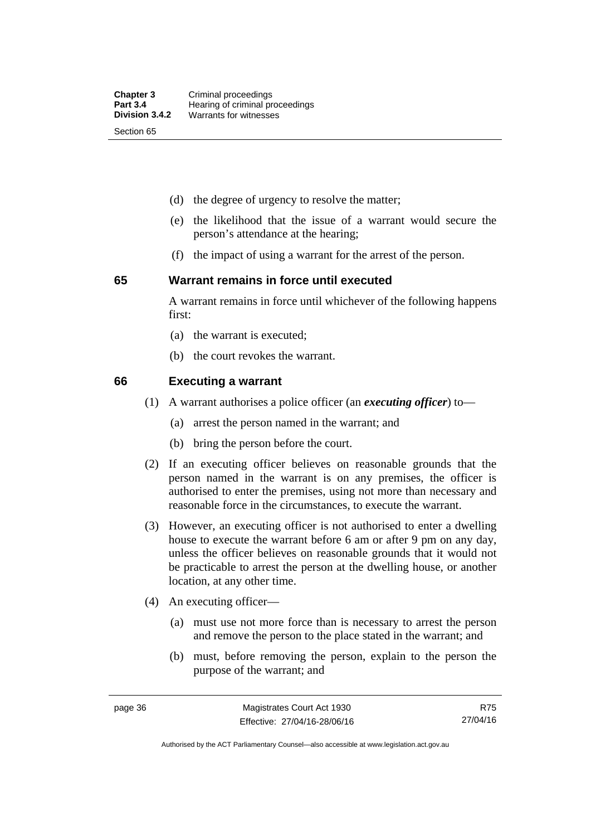- (d) the degree of urgency to resolve the matter;
- (e) the likelihood that the issue of a warrant would secure the person's attendance at the hearing;
- (f) the impact of using a warrant for the arrest of the person.

#### **65 Warrant remains in force until executed**

A warrant remains in force until whichever of the following happens first:

- (a) the warrant is executed;
- (b) the court revokes the warrant.

#### **66 Executing a warrant**

- (1) A warrant authorises a police officer (an *executing officer*) to—
	- (a) arrest the person named in the warrant; and
	- (b) bring the person before the court.
- (2) If an executing officer believes on reasonable grounds that the person named in the warrant is on any premises, the officer is authorised to enter the premises, using not more than necessary and reasonable force in the circumstances, to execute the warrant.
- (3) However, an executing officer is not authorised to enter a dwelling house to execute the warrant before 6 am or after 9 pm on any day, unless the officer believes on reasonable grounds that it would not be practicable to arrest the person at the dwelling house, or another location, at any other time.
- (4) An executing officer—
	- (a) must use not more force than is necessary to arrest the person and remove the person to the place stated in the warrant; and
	- (b) must, before removing the person, explain to the person the purpose of the warrant; and

R75 27/04/16

Authorised by the ACT Parliamentary Counsel—also accessible at www.legislation.act.gov.au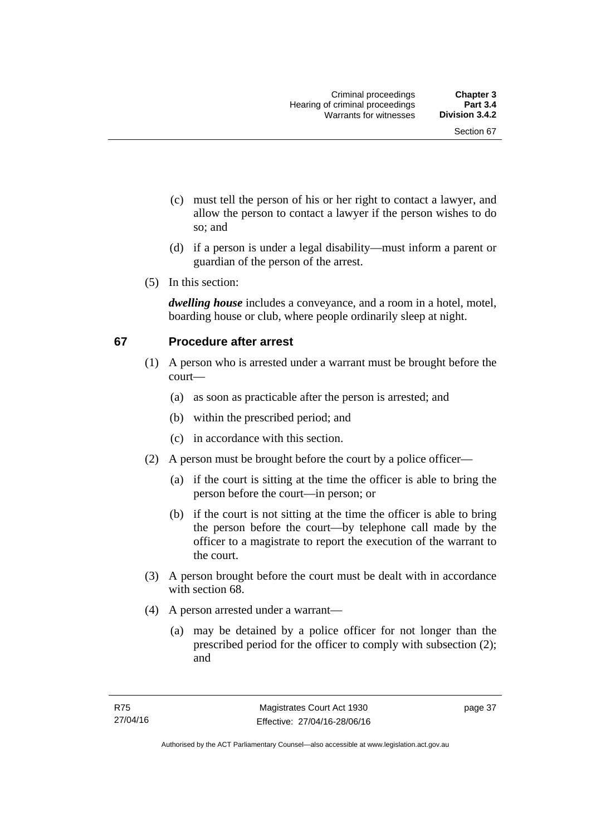- (c) must tell the person of his or her right to contact a lawyer, and allow the person to contact a lawyer if the person wishes to do so; and
- (d) if a person is under a legal disability—must inform a parent or guardian of the person of the arrest.
- (5) In this section:

*dwelling house* includes a conveyance, and a room in a hotel, motel, boarding house or club, where people ordinarily sleep at night.

# **67 Procedure after arrest**

- (1) A person who is arrested under a warrant must be brought before the court—
	- (a) as soon as practicable after the person is arrested; and
	- (b) within the prescribed period; and
	- (c) in accordance with this section.
- (2) A person must be brought before the court by a police officer—
	- (a) if the court is sitting at the time the officer is able to bring the person before the court—in person; or
	- (b) if the court is not sitting at the time the officer is able to bring the person before the court—by telephone call made by the officer to a magistrate to report the execution of the warrant to the court.
- (3) A person brought before the court must be dealt with in accordance with section 68.
- (4) A person arrested under a warrant—
	- (a) may be detained by a police officer for not longer than the prescribed period for the officer to comply with subsection (2); and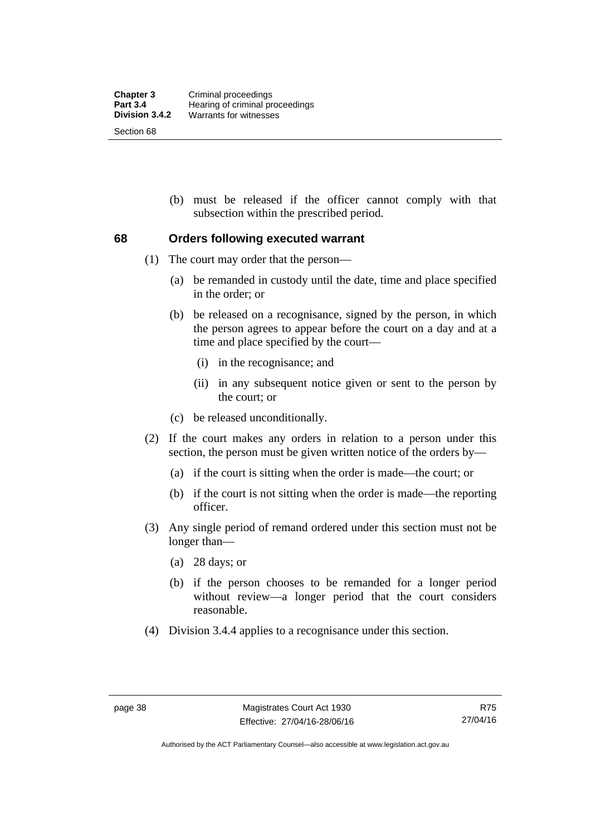(b) must be released if the officer cannot comply with that subsection within the prescribed period.

# **68 Orders following executed warrant**

- (1) The court may order that the person—
	- (a) be remanded in custody until the date, time and place specified in the order; or
	- (b) be released on a recognisance, signed by the person, in which the person agrees to appear before the court on a day and at a time and place specified by the court—
		- (i) in the recognisance; and
		- (ii) in any subsequent notice given or sent to the person by the court; or
	- (c) be released unconditionally.
- (2) If the court makes any orders in relation to a person under this section, the person must be given written notice of the orders by—
	- (a) if the court is sitting when the order is made—the court; or
	- (b) if the court is not sitting when the order is made—the reporting officer.
- (3) Any single period of remand ordered under this section must not be longer than—
	- (a) 28 days; or
	- (b) if the person chooses to be remanded for a longer period without review—a longer period that the court considers reasonable.
- (4) Division 3.4.4 applies to a recognisance under this section.

Authorised by the ACT Parliamentary Counsel—also accessible at www.legislation.act.gov.au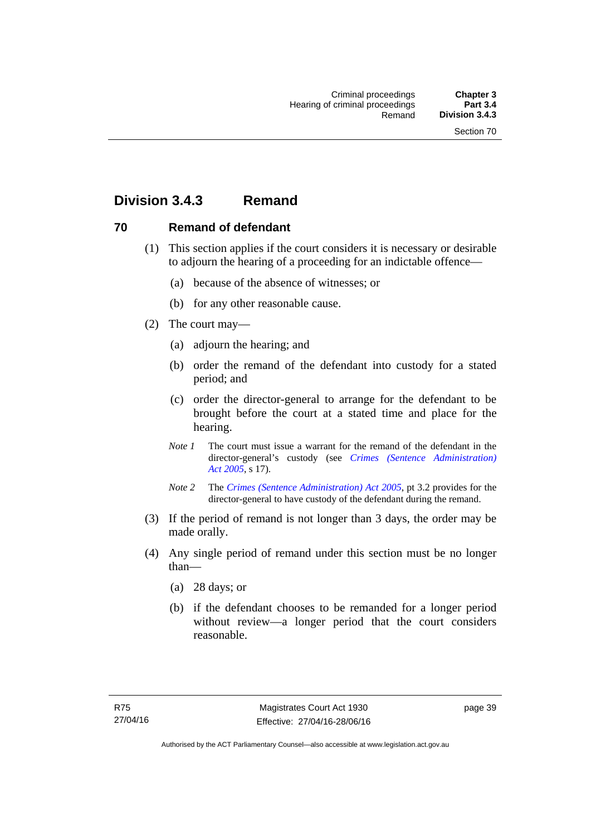# **Division 3.4.3 Remand**

# **70 Remand of defendant**

- (1) This section applies if the court considers it is necessary or desirable to adjourn the hearing of a proceeding for an indictable offence—
	- (a) because of the absence of witnesses; or
	- (b) for any other reasonable cause.
- (2) The court may—
	- (a) adjourn the hearing; and
	- (b) order the remand of the defendant into custody for a stated period; and
	- (c) order the director-general to arrange for the defendant to be brought before the court at a stated time and place for the hearing.
	- *Note 1* The court must issue a warrant for the remand of the defendant in the director-general's custody (see *[Crimes \(Sentence Administration\)](http://www.legislation.act.gov.au/a/2005-59)  [Act 2005](http://www.legislation.act.gov.au/a/2005-59)*, s 17).
	- *Note 2* The *[Crimes \(Sentence Administration\) Act 2005](http://www.legislation.act.gov.au/a/2005-59)*, pt 3.2 provides for the director-general to have custody of the defendant during the remand.
- (3) If the period of remand is not longer than 3 days, the order may be made orally.
- (4) Any single period of remand under this section must be no longer than—
	- (a) 28 days; or
	- (b) if the defendant chooses to be remanded for a longer period without review—a longer period that the court considers reasonable.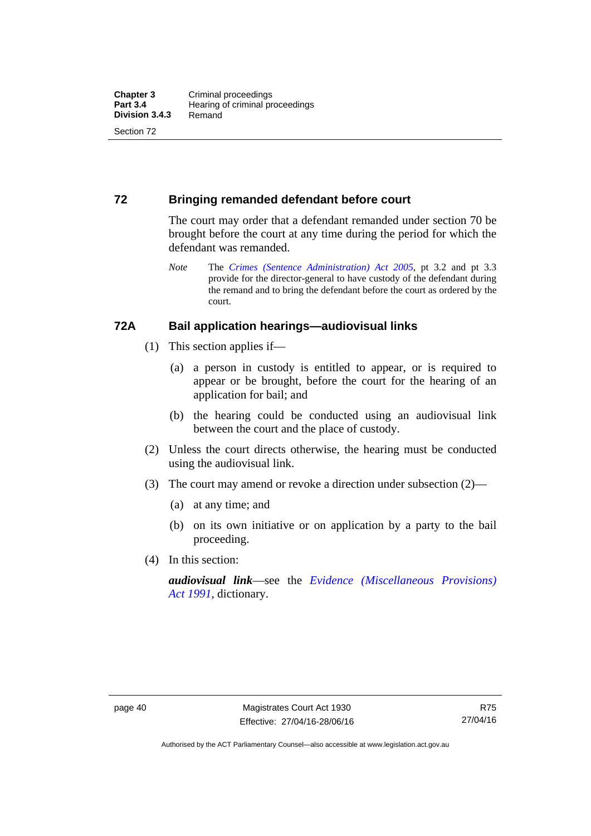# **72 Bringing remanded defendant before court**

The court may order that a defendant remanded under section 70 be brought before the court at any time during the period for which the defendant was remanded.

*Note* The *[Crimes \(Sentence Administration\) Act 2005](http://www.legislation.act.gov.au/a/2005-59)*, pt 3.2 and pt 3.3 provide for the director-general to have custody of the defendant during the remand and to bring the defendant before the court as ordered by the court.

## **72A Bail application hearings—audiovisual links**

- (1) This section applies if—
	- (a) a person in custody is entitled to appear, or is required to appear or be brought, before the court for the hearing of an application for bail; and
	- (b) the hearing could be conducted using an audiovisual link between the court and the place of custody.
- (2) Unless the court directs otherwise, the hearing must be conducted using the audiovisual link.
- (3) The court may amend or revoke a direction under subsection (2)—
	- (a) at any time; and
	- (b) on its own initiative or on application by a party to the bail proceeding.
- (4) In this section:

*audiovisual link*—see the *[Evidence \(Miscellaneous Provisions\)](http://www.legislation.act.gov.au/a/1991-34)  [Act 1991](http://www.legislation.act.gov.au/a/1991-34)*, dictionary.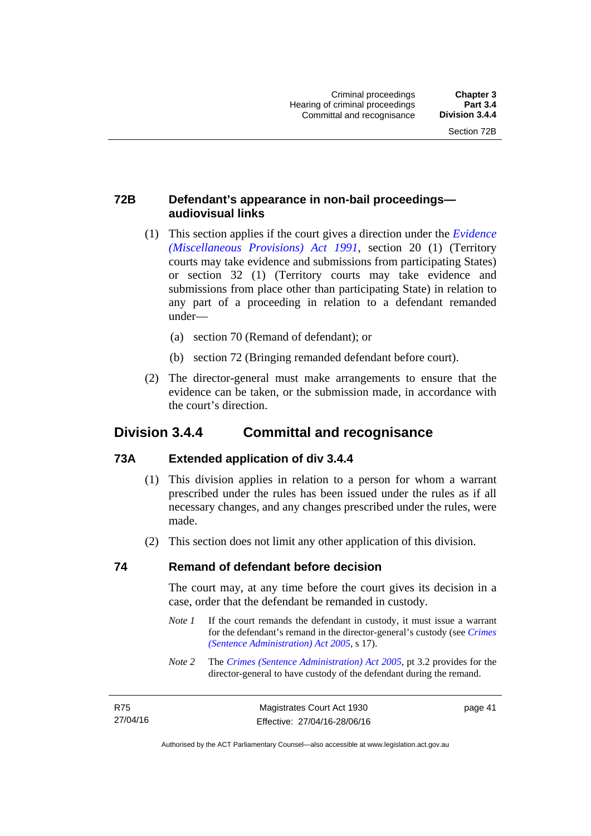# **72B Defendant's appearance in non-bail proceedings audiovisual links**

- (1) This section applies if the court gives a direction under the *[Evidence](http://www.legislation.act.gov.au/a/1991-34)  [\(Miscellaneous Provisions\) Act 1991](http://www.legislation.act.gov.au/a/1991-34)*, section 20 (1) (Territory courts may take evidence and submissions from participating States) or section 32 (1) (Territory courts may take evidence and submissions from place other than participating State) in relation to any part of a proceeding in relation to a defendant remanded under—
	- (a) section 70 (Remand of defendant); or
	- (b) section 72 (Bringing remanded defendant before court).
- (2) The director-general must make arrangements to ensure that the evidence can be taken, or the submission made, in accordance with the court's direction.

# **Division 3.4.4 Committal and recognisance**

# **73A Extended application of div 3.4.4**

- (1) This division applies in relation to a person for whom a warrant prescribed under the rules has been issued under the rules as if all necessary changes, and any changes prescribed under the rules, were made.
- (2) This section does not limit any other application of this division.

# **74 Remand of defendant before decision**

The court may, at any time before the court gives its decision in a case, order that the defendant be remanded in custody.

- *Note 1* If the court remands the defendant in custody, it must issue a warrant for the defendant's remand in the director-general's custody (see *[Crimes](http://www.legislation.act.gov.au/a/2005-59)  [\(Sentence Administration\) Act 2005](http://www.legislation.act.gov.au/a/2005-59)*, s 17).
- *Note 2* The *[Crimes \(Sentence Administration\) Act 2005](http://www.legislation.act.gov.au/a/2005-59)*, pt 3.2 provides for the director-general to have custody of the defendant during the remand.

| R75      | Magistrates Court Act 1930   | page 41 |
|----------|------------------------------|---------|
| 27/04/16 | Effective: 27/04/16-28/06/16 |         |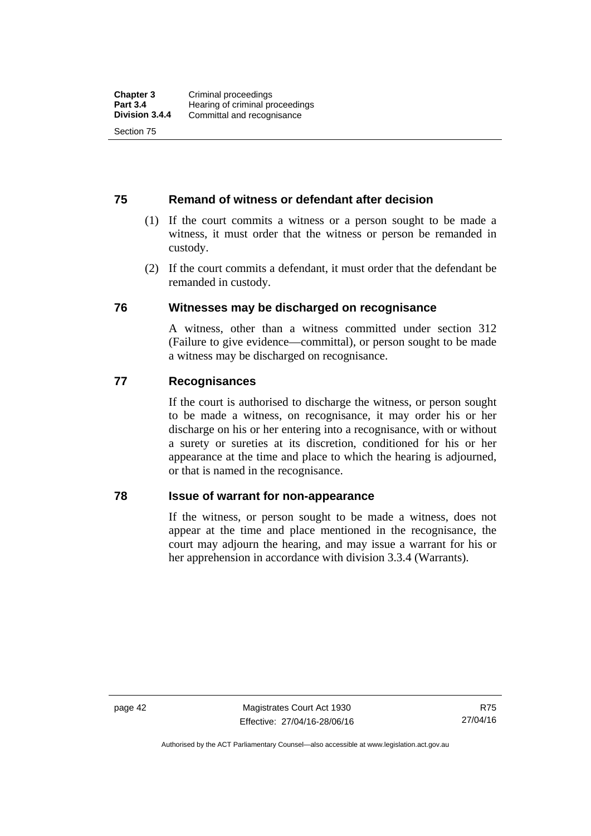# **75 Remand of witness or defendant after decision**

- (1) If the court commits a witness or a person sought to be made a witness, it must order that the witness or person be remanded in custody.
- (2) If the court commits a defendant, it must order that the defendant be remanded in custody.

## **76 Witnesses may be discharged on recognisance**

A witness, other than a witness committed under section 312 (Failure to give evidence—committal), or person sought to be made a witness may be discharged on recognisance.

## **77 Recognisances**

If the court is authorised to discharge the witness, or person sought to be made a witness, on recognisance, it may order his or her discharge on his or her entering into a recognisance, with or without a surety or sureties at its discretion, conditioned for his or her appearance at the time and place to which the hearing is adjourned, or that is named in the recognisance.

## **78 Issue of warrant for non-appearance**

If the witness, or person sought to be made a witness, does not appear at the time and place mentioned in the recognisance, the court may adjourn the hearing, and may issue a warrant for his or her apprehension in accordance with division 3.3.4 (Warrants).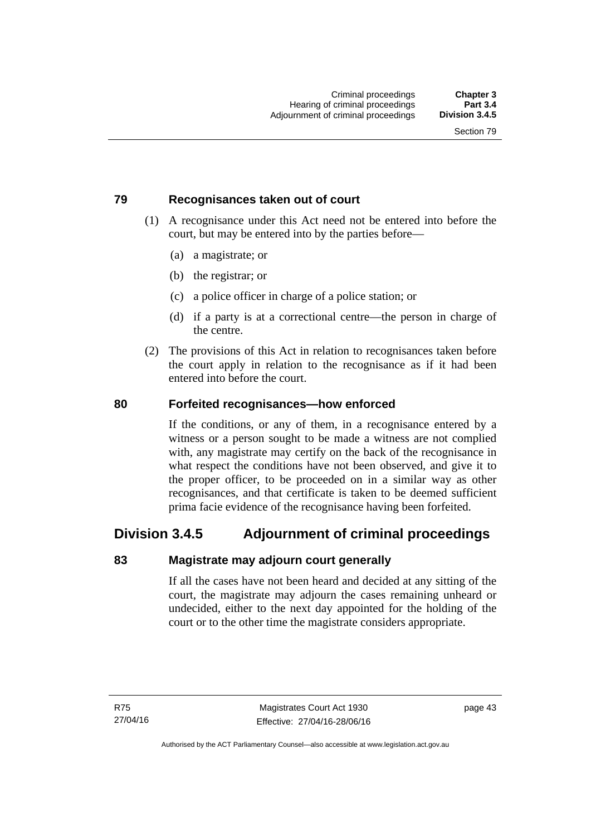# **79 Recognisances taken out of court**

- (1) A recognisance under this Act need not be entered into before the court, but may be entered into by the parties before—
	- (a) a magistrate; or
	- (b) the registrar; or
	- (c) a police officer in charge of a police station; or
	- (d) if a party is at a correctional centre—the person in charge of the centre.
- (2) The provisions of this Act in relation to recognisances taken before the court apply in relation to the recognisance as if it had been entered into before the court.

## **80 Forfeited recognisances—how enforced**

If the conditions, or any of them, in a recognisance entered by a witness or a person sought to be made a witness are not complied with, any magistrate may certify on the back of the recognisance in what respect the conditions have not been observed, and give it to the proper officer, to be proceeded on in a similar way as other recognisances, and that certificate is taken to be deemed sufficient prima facie evidence of the recognisance having been forfeited.

# **Division 3.4.5 Adjournment of criminal proceedings**

# **83 Magistrate may adjourn court generally**

If all the cases have not been heard and decided at any sitting of the court, the magistrate may adjourn the cases remaining unheard or undecided, either to the next day appointed for the holding of the court or to the other time the magistrate considers appropriate.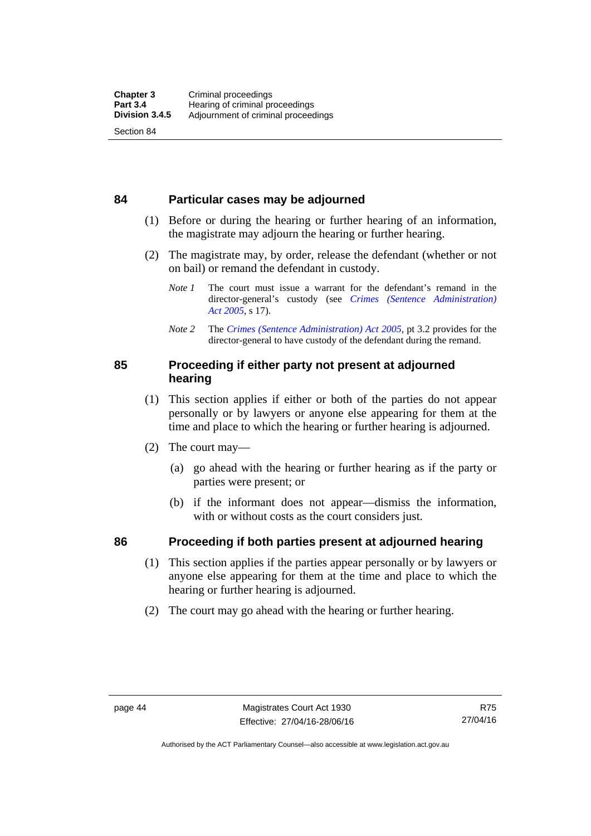## **84 Particular cases may be adjourned**

- (1) Before or during the hearing or further hearing of an information, the magistrate may adjourn the hearing or further hearing.
- (2) The magistrate may, by order, release the defendant (whether or not on bail) or remand the defendant in custody.
	- *Note 1* The court must issue a warrant for the defendant's remand in the director-general's custody (see *[Crimes \(Sentence Administration\)](http://www.legislation.act.gov.au/a/2005-59)  [Act 2005](http://www.legislation.act.gov.au/a/2005-59)*, s 17).
	- *Note 2* The *[Crimes \(Sentence Administration\) Act 2005](http://www.legislation.act.gov.au/a/2005-59)*, pt 3.2 provides for the director-general to have custody of the defendant during the remand.

# **85 Proceeding if either party not present at adjourned hearing**

- (1) This section applies if either or both of the parties do not appear personally or by lawyers or anyone else appearing for them at the time and place to which the hearing or further hearing is adjourned.
- (2) The court may—
	- (a) go ahead with the hearing or further hearing as if the party or parties were present; or
	- (b) if the informant does not appear—dismiss the information, with or without costs as the court considers just.

# **86 Proceeding if both parties present at adjourned hearing**

- (1) This section applies if the parties appear personally or by lawyers or anyone else appearing for them at the time and place to which the hearing or further hearing is adjourned.
- (2) The court may go ahead with the hearing or further hearing.

Authorised by the ACT Parliamentary Counsel—also accessible at www.legislation.act.gov.au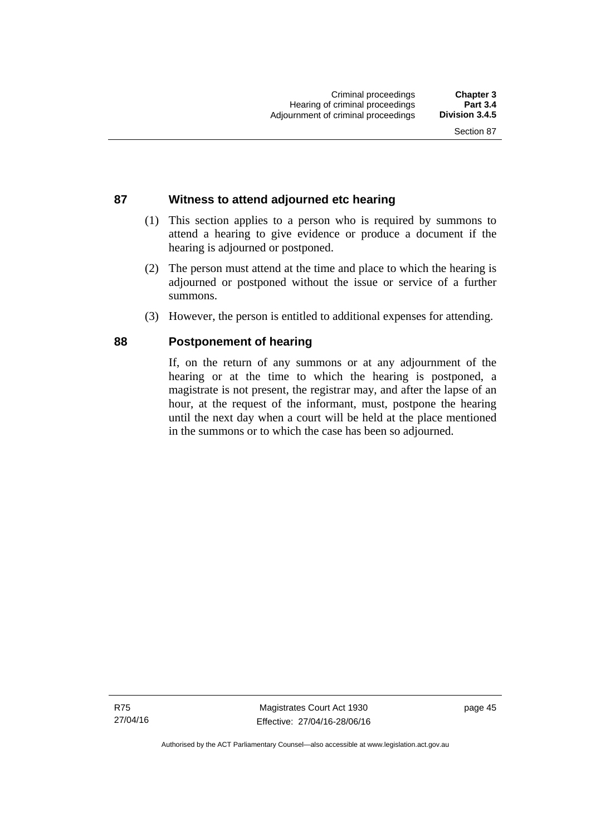# **87 Witness to attend adjourned etc hearing**

- (1) This section applies to a person who is required by summons to attend a hearing to give evidence or produce a document if the hearing is adjourned or postponed.
- (2) The person must attend at the time and place to which the hearing is adjourned or postponed without the issue or service of a further summons.
- (3) However, the person is entitled to additional expenses for attending.

## **88 Postponement of hearing**

If, on the return of any summons or at any adjournment of the hearing or at the time to which the hearing is postponed, a magistrate is not present, the registrar may, and after the lapse of an hour, at the request of the informant, must, postpone the hearing until the next day when a court will be held at the place mentioned in the summons or to which the case has been so adjourned.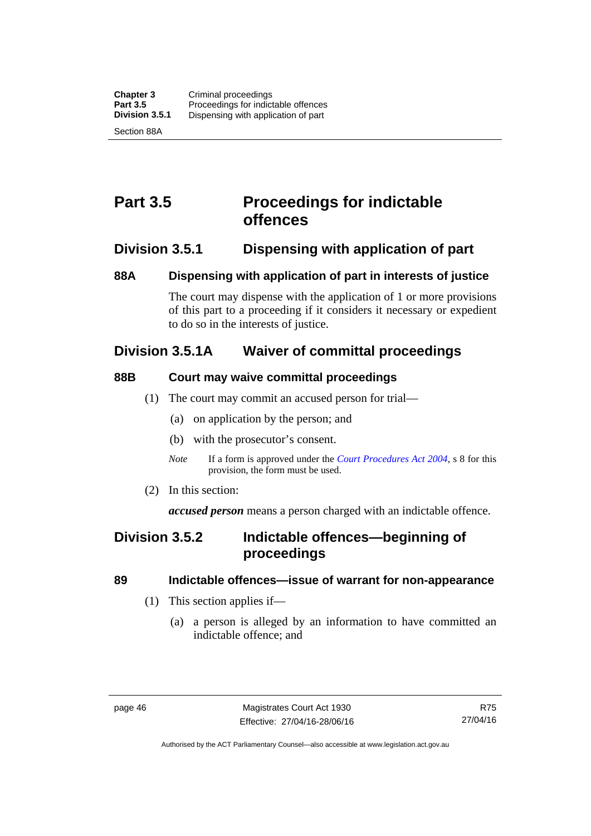# **Part 3.5 Proceedings for indictable offences**

# **Division 3.5.1 Dispensing with application of part**

# **88A Dispensing with application of part in interests of justice**

The court may dispense with the application of 1 or more provisions of this part to a proceeding if it considers it necessary or expedient to do so in the interests of justice.

# **Division 3.5.1A Waiver of committal proceedings**

# **88B Court may waive committal proceedings**

- (1) The court may commit an accused person for trial—
	- (a) on application by the person; and
	- (b) with the prosecutor's consent.
	- *Note* If a form is approved under the *[Court Procedures Act 2004](http://www.legislation.act.gov.au/a/2004-59)*, s 8 for this provision, the form must be used.
- (2) In this section:

*accused person* means a person charged with an indictable offence.

# **Division 3.5.2 Indictable offences—beginning of proceedings**

# **89 Indictable offences—issue of warrant for non-appearance**

- (1) This section applies if—
	- (a) a person is alleged by an information to have committed an indictable offence; and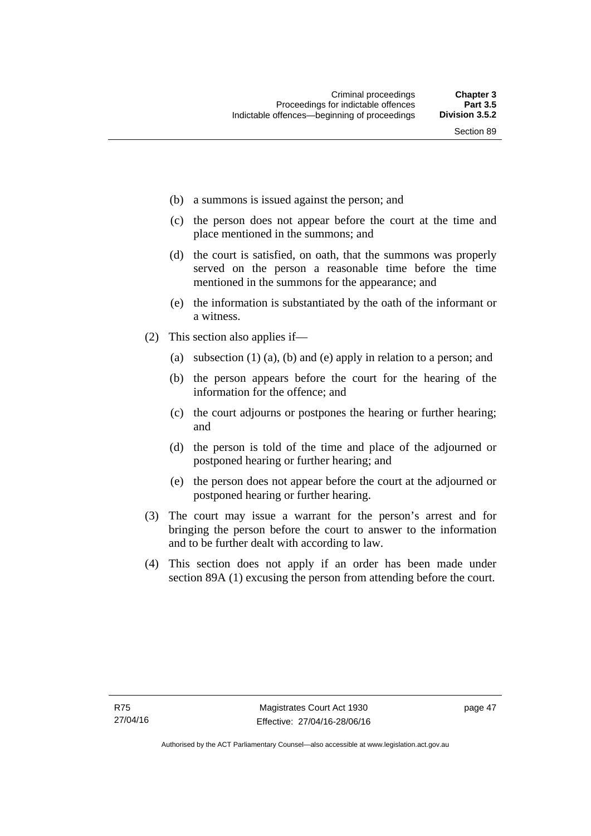- (b) a summons is issued against the person; and
- (c) the person does not appear before the court at the time and place mentioned in the summons; and
- (d) the court is satisfied, on oath, that the summons was properly served on the person a reasonable time before the time mentioned in the summons for the appearance; and
- (e) the information is substantiated by the oath of the informant or a witness.
- (2) This section also applies if—
	- (a) subsection (1) (a), (b) and (e) apply in relation to a person; and
	- (b) the person appears before the court for the hearing of the information for the offence; and
	- (c) the court adjourns or postpones the hearing or further hearing; and
	- (d) the person is told of the time and place of the adjourned or postponed hearing or further hearing; and
	- (e) the person does not appear before the court at the adjourned or postponed hearing or further hearing.
- (3) The court may issue a warrant for the person's arrest and for bringing the person before the court to answer to the information and to be further dealt with according to law.
- (4) This section does not apply if an order has been made under section 89A (1) excusing the person from attending before the court.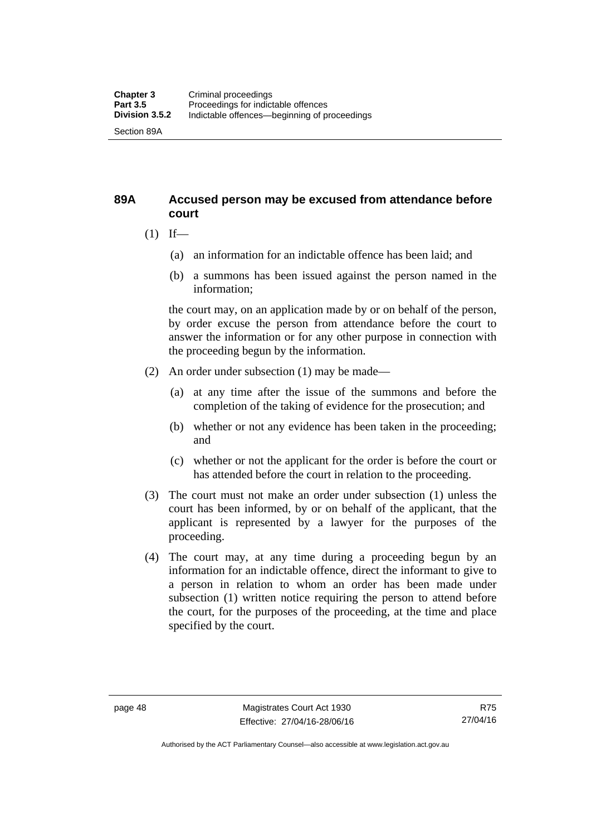# **89A Accused person may be excused from attendance before court**

- $(1)$  If—
	- (a) an information for an indictable offence has been laid; and
	- (b) a summons has been issued against the person named in the information;

the court may, on an application made by or on behalf of the person, by order excuse the person from attendance before the court to answer the information or for any other purpose in connection with the proceeding begun by the information.

- (2) An order under subsection (1) may be made—
	- (a) at any time after the issue of the summons and before the completion of the taking of evidence for the prosecution; and
	- (b) whether or not any evidence has been taken in the proceeding; and
	- (c) whether or not the applicant for the order is before the court or has attended before the court in relation to the proceeding.
- (3) The court must not make an order under subsection (1) unless the court has been informed, by or on behalf of the applicant, that the applicant is represented by a lawyer for the purposes of the proceeding.
- (4) The court may, at any time during a proceeding begun by an information for an indictable offence, direct the informant to give to a person in relation to whom an order has been made under subsection (1) written notice requiring the person to attend before the court, for the purposes of the proceeding, at the time and place specified by the court.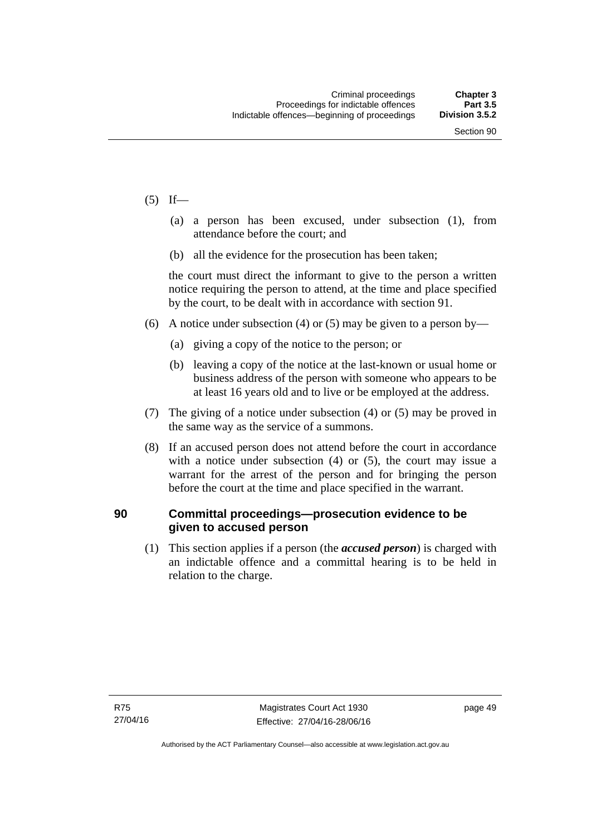- $(5)$  If—
	- (a) a person has been excused, under subsection (1), from attendance before the court; and
	- (b) all the evidence for the prosecution has been taken;

the court must direct the informant to give to the person a written notice requiring the person to attend, at the time and place specified by the court, to be dealt with in accordance with section 91.

- (6) A notice under subsection (4) or (5) may be given to a person by—
	- (a) giving a copy of the notice to the person; or
	- (b) leaving a copy of the notice at the last-known or usual home or business address of the person with someone who appears to be at least 16 years old and to live or be employed at the address.
- (7) The giving of a notice under subsection (4) or (5) may be proved in the same way as the service of a summons.
- (8) If an accused person does not attend before the court in accordance with a notice under subsection (4) or (5), the court may issue a warrant for the arrest of the person and for bringing the person before the court at the time and place specified in the warrant.

## **90 Committal proceedings—prosecution evidence to be given to accused person**

(1) This section applies if a person (the *accused person*) is charged with an indictable offence and a committal hearing is to be held in relation to the charge.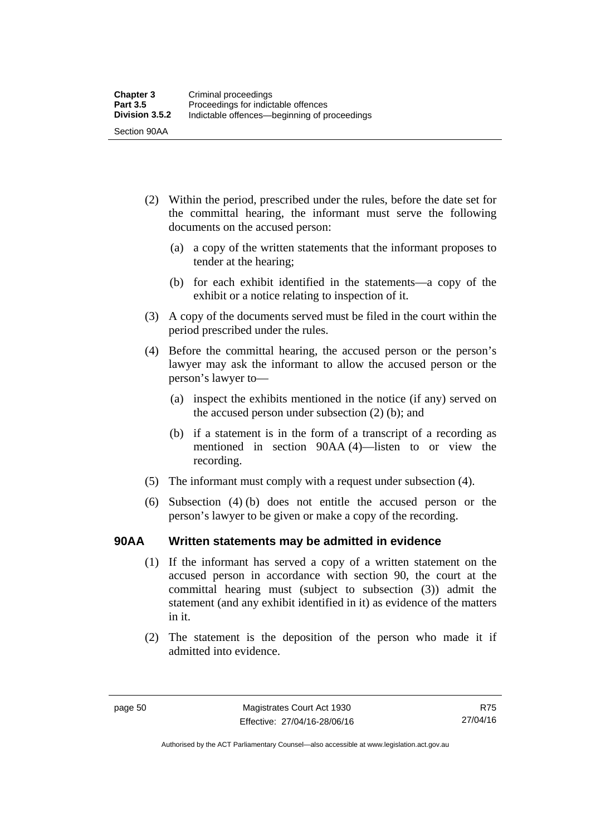- (2) Within the period, prescribed under the rules, before the date set for the committal hearing, the informant must serve the following documents on the accused person:
	- (a) a copy of the written statements that the informant proposes to tender at the hearing;
	- (b) for each exhibit identified in the statements—a copy of the exhibit or a notice relating to inspection of it.
- (3) A copy of the documents served must be filed in the court within the period prescribed under the rules.
- (4) Before the committal hearing, the accused person or the person's lawyer may ask the informant to allow the accused person or the person's lawyer to—
	- (a) inspect the exhibits mentioned in the notice (if any) served on the accused person under subsection (2) (b); and
	- (b) if a statement is in the form of a transcript of a recording as mentioned in section 90AA (4)—listen to or view the recording.
- (5) The informant must comply with a request under subsection (4).
- (6) Subsection (4) (b) does not entitle the accused person or the person's lawyer to be given or make a copy of the recording.

## **90AA Written statements may be admitted in evidence**

- (1) If the informant has served a copy of a written statement on the accused person in accordance with section 90, the court at the committal hearing must (subject to subsection (3)) admit the statement (and any exhibit identified in it) as evidence of the matters in it.
- (2) The statement is the deposition of the person who made it if admitted into evidence.

Authorised by the ACT Parliamentary Counsel—also accessible at www.legislation.act.gov.au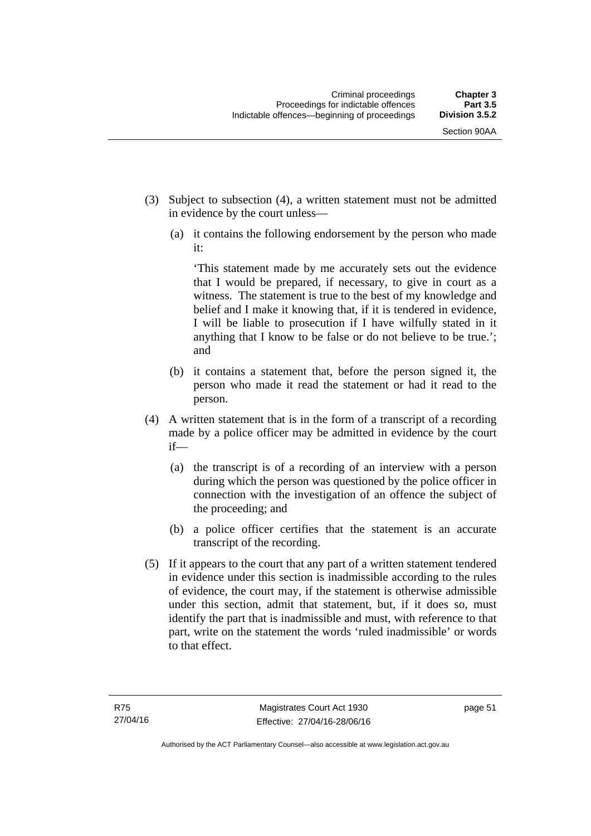- (3) Subject to subsection (4), a written statement must not be admitted in evidence by the court unless—
	- (a) it contains the following endorsement by the person who made it:

'This statement made by me accurately sets out the evidence that I would be prepared, if necessary, to give in court as a witness. The statement is true to the best of my knowledge and belief and I make it knowing that, if it is tendered in evidence, I will be liable to prosecution if I have wilfully stated in it anything that I know to be false or do not believe to be true.'; and

- (b) it contains a statement that, before the person signed it, the person who made it read the statement or had it read to the person.
- (4) A written statement that is in the form of a transcript of a recording made by a police officer may be admitted in evidence by the court if—
	- (a) the transcript is of a recording of an interview with a person during which the person was questioned by the police officer in connection with the investigation of an offence the subject of the proceeding; and
	- (b) a police officer certifies that the statement is an accurate transcript of the recording.
- (5) If it appears to the court that any part of a written statement tendered in evidence under this section is inadmissible according to the rules of evidence, the court may, if the statement is otherwise admissible under this section, admit that statement, but, if it does so, must identify the part that is inadmissible and must, with reference to that part, write on the statement the words 'ruled inadmissible' or words to that effect.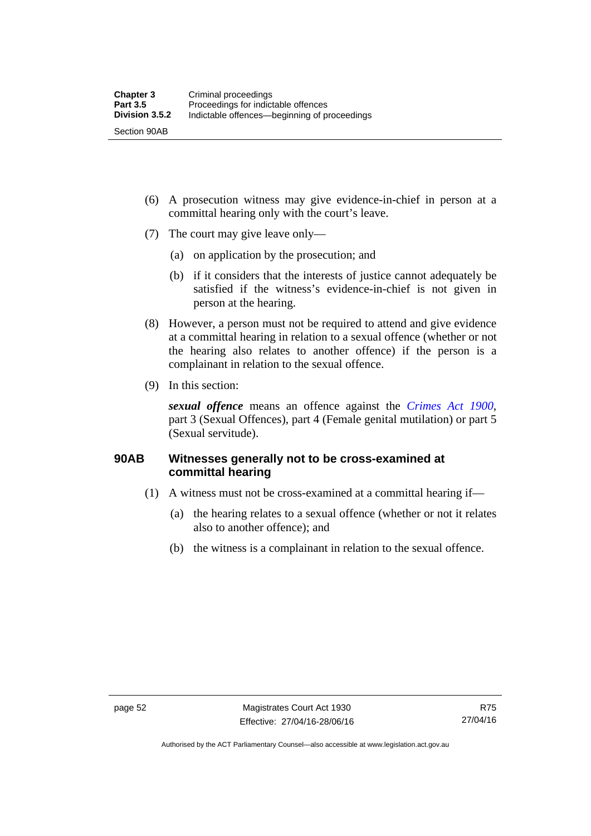- (6) A prosecution witness may give evidence-in-chief in person at a committal hearing only with the court's leave.
- (7) The court may give leave only—
	- (a) on application by the prosecution; and
	- (b) if it considers that the interests of justice cannot adequately be satisfied if the witness's evidence-in-chief is not given in person at the hearing.
- (8) However, a person must not be required to attend and give evidence at a committal hearing in relation to a sexual offence (whether or not the hearing also relates to another offence) if the person is a complainant in relation to the sexual offence.
- (9) In this section:

*sexual offence* means an offence against the *[Crimes Act 1900](http://www.legislation.act.gov.au/a/1900-40)*, part 3 (Sexual Offences), part 4 (Female genital mutilation) or part 5 (Sexual servitude).

# **90AB Witnesses generally not to be cross-examined at committal hearing**

- (1) A witness must not be cross-examined at a committal hearing if—
	- (a) the hearing relates to a sexual offence (whether or not it relates also to another offence); and
	- (b) the witness is a complainant in relation to the sexual offence.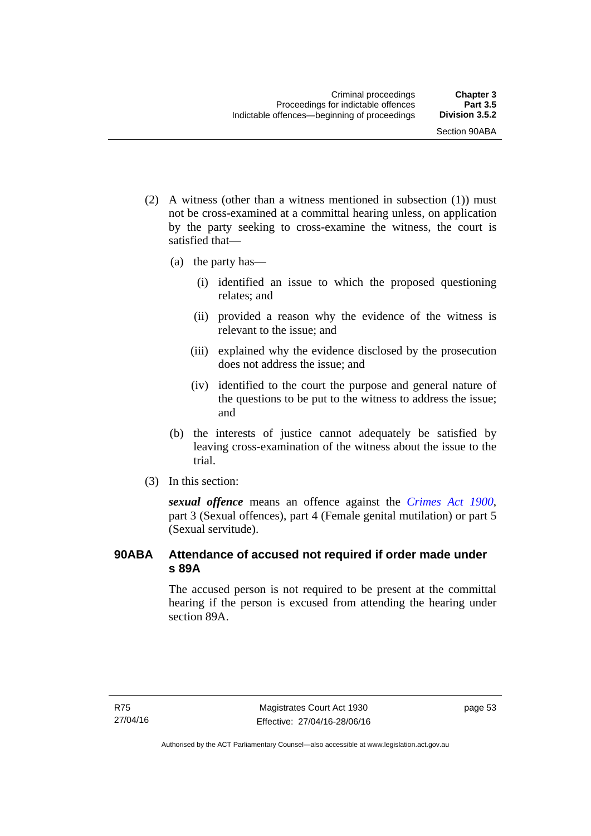- (2) A witness (other than a witness mentioned in subsection (1)) must not be cross-examined at a committal hearing unless, on application by the party seeking to cross-examine the witness, the court is satisfied that—
	- (a) the party has—
		- (i) identified an issue to which the proposed questioning relates; and
		- (ii) provided a reason why the evidence of the witness is relevant to the issue; and
		- (iii) explained why the evidence disclosed by the prosecution does not address the issue; and
		- (iv) identified to the court the purpose and general nature of the questions to be put to the witness to address the issue; and
	- (b) the interests of justice cannot adequately be satisfied by leaving cross-examination of the witness about the issue to the trial.
- (3) In this section:

*sexual offence* means an offence against the *[Crimes Act 1900](http://www.legislation.act.gov.au/a/1900-40)*, part 3 (Sexual offences), part 4 (Female genital mutilation) or part 5 (Sexual servitude).

# **90ABA Attendance of accused not required if order made under s 89A**

The accused person is not required to be present at the committal hearing if the person is excused from attending the hearing under section 89A.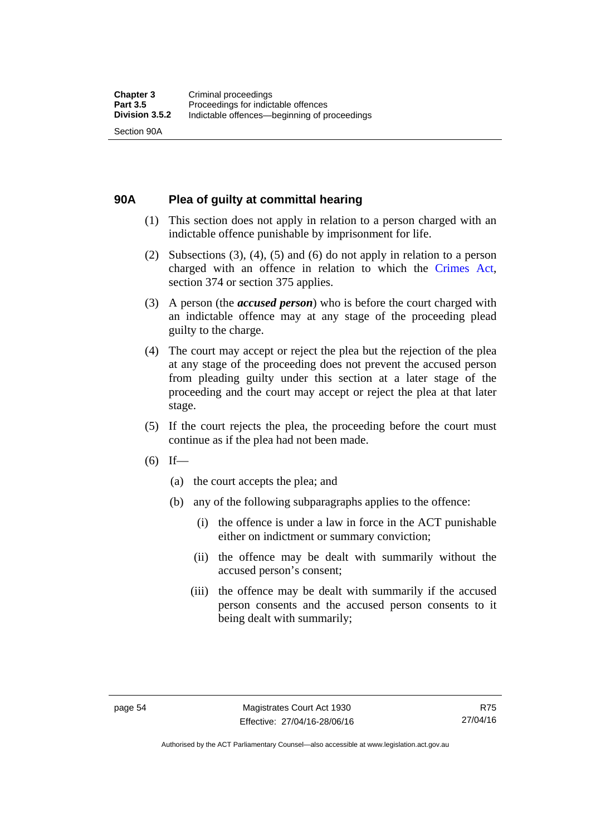# **90A Plea of guilty at committal hearing**

- (1) This section does not apply in relation to a person charged with an indictable offence punishable by imprisonment for life.
- (2) Subsections (3), (4), (5) and (6) do not apply in relation to a person charged with an offence in relation to which the [Crimes Act](http://www.legislation.act.gov.au/a/1900-40/default.asp), section 374 or section 375 applies.
- (3) A person (the *accused person*) who is before the court charged with an indictable offence may at any stage of the proceeding plead guilty to the charge.
- (4) The court may accept or reject the plea but the rejection of the plea at any stage of the proceeding does not prevent the accused person from pleading guilty under this section at a later stage of the proceeding and the court may accept or reject the plea at that later stage.
- (5) If the court rejects the plea, the proceeding before the court must continue as if the plea had not been made.
- $(6)$  If—
	- (a) the court accepts the plea; and
	- (b) any of the following subparagraphs applies to the offence:
		- (i) the offence is under a law in force in the ACT punishable either on indictment or summary conviction;
		- (ii) the offence may be dealt with summarily without the accused person's consent;
		- (iii) the offence may be dealt with summarily if the accused person consents and the accused person consents to it being dealt with summarily;

Authorised by the ACT Parliamentary Counsel—also accessible at www.legislation.act.gov.au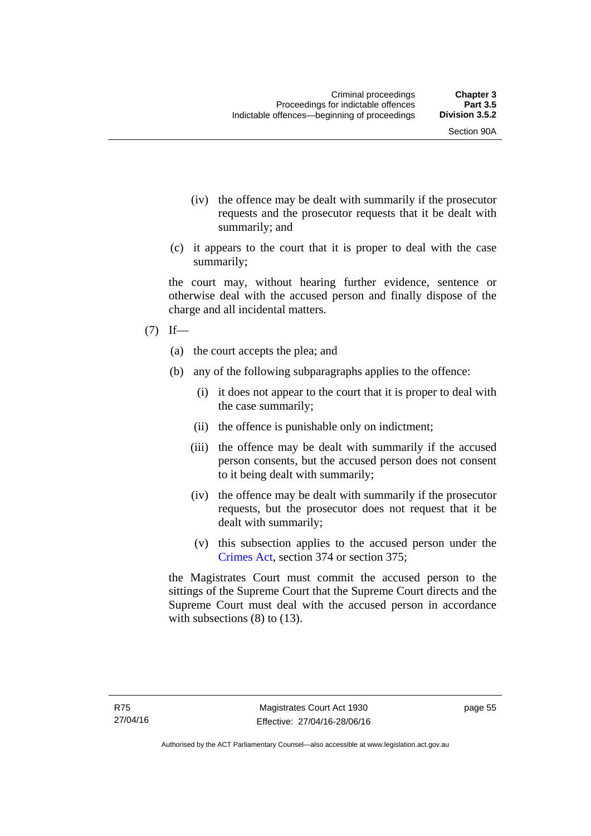- (iv) the offence may be dealt with summarily if the prosecutor requests and the prosecutor requests that it be dealt with summarily; and
- (c) it appears to the court that it is proper to deal with the case summarily;

the court may, without hearing further evidence, sentence or otherwise deal with the accused person and finally dispose of the charge and all incidental matters.

## $(7)$  If—

- (a) the court accepts the plea; and
- (b) any of the following subparagraphs applies to the offence:
	- (i) it does not appear to the court that it is proper to deal with the case summarily;
	- (ii) the offence is punishable only on indictment;
	- (iii) the offence may be dealt with summarily if the accused person consents, but the accused person does not consent to it being dealt with summarily;
	- (iv) the offence may be dealt with summarily if the prosecutor requests, but the prosecutor does not request that it be dealt with summarily;
	- (v) this subsection applies to the accused person under the [Crimes Act,](http://www.legislation.act.gov.au/a/1900-40/default.asp) section 374 or section 375;

the Magistrates Court must commit the accused person to the sittings of the Supreme Court that the Supreme Court directs and the Supreme Court must deal with the accused person in accordance with subsections (8) to (13).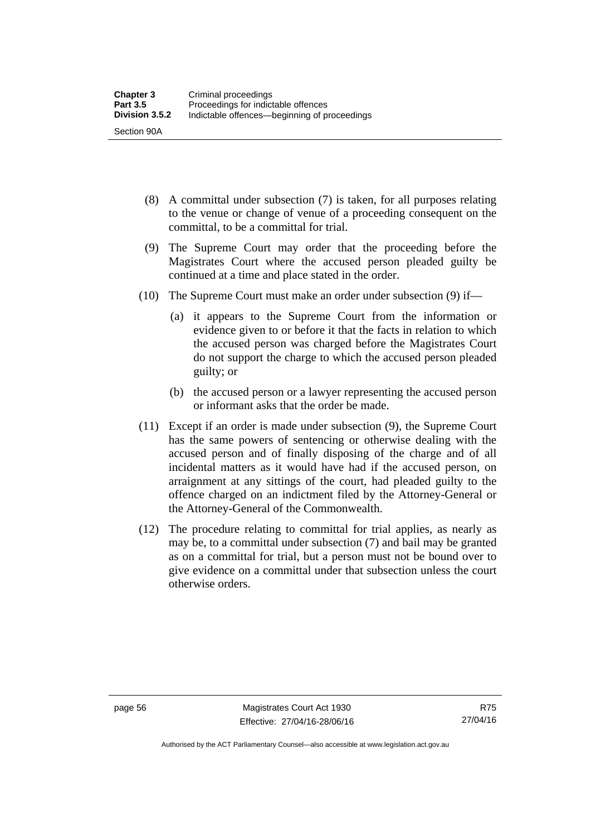- (8) A committal under subsection (7) is taken, for all purposes relating to the venue or change of venue of a proceeding consequent on the committal, to be a committal for trial.
- (9) The Supreme Court may order that the proceeding before the Magistrates Court where the accused person pleaded guilty be continued at a time and place stated in the order.
- (10) The Supreme Court must make an order under subsection (9) if—
	- (a) it appears to the Supreme Court from the information or evidence given to or before it that the facts in relation to which the accused person was charged before the Magistrates Court do not support the charge to which the accused person pleaded guilty; or
	- (b) the accused person or a lawyer representing the accused person or informant asks that the order be made.
- (11) Except if an order is made under subsection (9), the Supreme Court has the same powers of sentencing or otherwise dealing with the accused person and of finally disposing of the charge and of all incidental matters as it would have had if the accused person, on arraignment at any sittings of the court, had pleaded guilty to the offence charged on an indictment filed by the Attorney-General or the Attorney-General of the Commonwealth.
- (12) The procedure relating to committal for trial applies, as nearly as may be, to a committal under subsection (7) and bail may be granted as on a committal for trial, but a person must not be bound over to give evidence on a committal under that subsection unless the court otherwise orders.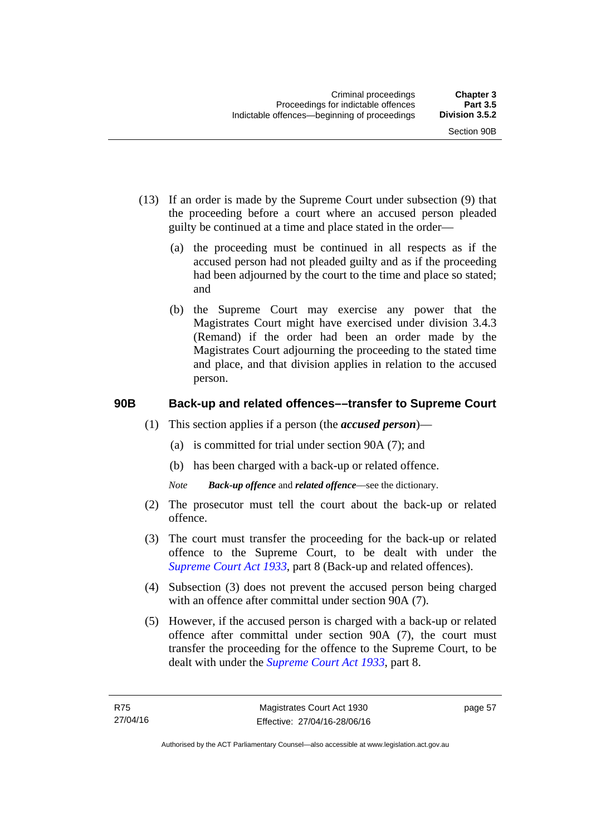- (13) If an order is made by the Supreme Court under subsection (9) that the proceeding before a court where an accused person pleaded guilty be continued at a time and place stated in the order—
	- (a) the proceeding must be continued in all respects as if the accused person had not pleaded guilty and as if the proceeding had been adjourned by the court to the time and place so stated; and
	- (b) the Supreme Court may exercise any power that the Magistrates Court might have exercised under division 3.4.3 (Remand) if the order had been an order made by the Magistrates Court adjourning the proceeding to the stated time and place, and that division applies in relation to the accused person.

# **90B Back-up and related offences––transfer to Supreme Court**

- (1) This section applies if a person (the *accused person*)––
	- (a) is committed for trial under section 90A (7); and
	- (b) has been charged with a back-up or related offence.
	- *Note Back-up offence* and *related offence*––see the dictionary.
- (2) The prosecutor must tell the court about the back-up or related offence.
- (3) The court must transfer the proceeding for the back-up or related offence to the Supreme Court, to be dealt with under the *[Supreme Court Act 1933](http://www.legislation.act.gov.au/a/1933-34)*, part 8 (Back-up and related offences).
- (4) Subsection (3) does not prevent the accused person being charged with an offence after committal under section 90A (7).
- (5) However, if the accused person is charged with a back-up or related offence after committal under section 90A (7), the court must transfer the proceeding for the offence to the Supreme Court, to be dealt with under the *[Supreme Court Act 1933](http://www.legislation.act.gov.au/a/1933-34)*, part 8.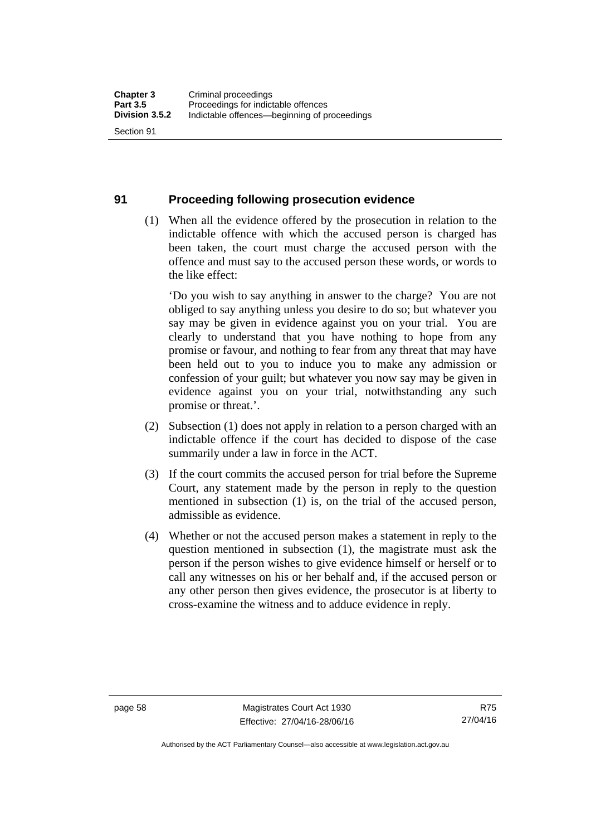#### **91 Proceeding following prosecution evidence**

 (1) When all the evidence offered by the prosecution in relation to the indictable offence with which the accused person is charged has been taken, the court must charge the accused person with the offence and must say to the accused person these words, or words to the like effect:

'Do you wish to say anything in answer to the charge? You are not obliged to say anything unless you desire to do so; but whatever you say may be given in evidence against you on your trial. You are clearly to understand that you have nothing to hope from any promise or favour, and nothing to fear from any threat that may have been held out to you to induce you to make any admission or confession of your guilt; but whatever you now say may be given in evidence against you on your trial, notwithstanding any such promise or threat.'.

- (2) Subsection (1) does not apply in relation to a person charged with an indictable offence if the court has decided to dispose of the case summarily under a law in force in the ACT.
- (3) If the court commits the accused person for trial before the Supreme Court, any statement made by the person in reply to the question mentioned in subsection (1) is, on the trial of the accused person, admissible as evidence.
- (4) Whether or not the accused person makes a statement in reply to the question mentioned in subsection (1), the magistrate must ask the person if the person wishes to give evidence himself or herself or to call any witnesses on his or her behalf and, if the accused person or any other person then gives evidence, the prosecutor is at liberty to cross-examine the witness and to adduce evidence in reply.

Authorised by the ACT Parliamentary Counsel—also accessible at www.legislation.act.gov.au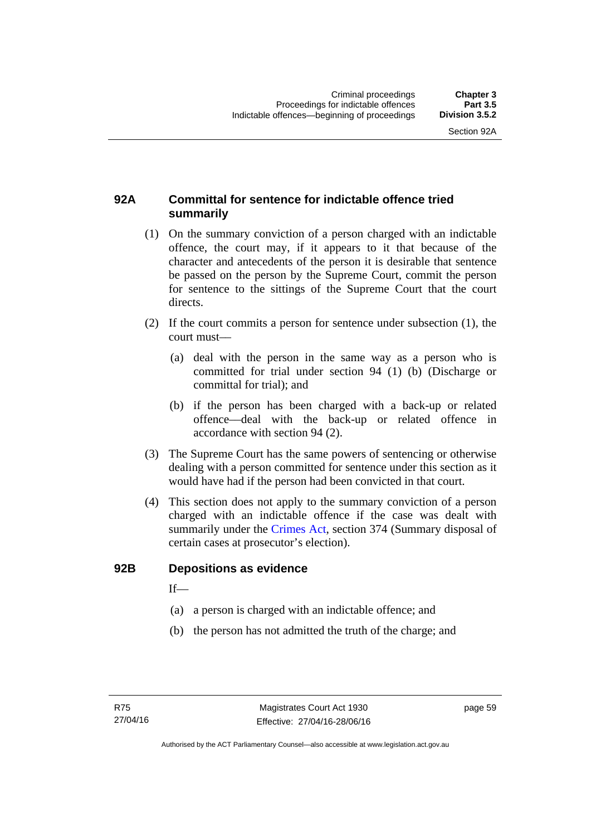# **92A Committal for sentence for indictable offence tried summarily**

- (1) On the summary conviction of a person charged with an indictable offence, the court may, if it appears to it that because of the character and antecedents of the person it is desirable that sentence be passed on the person by the Supreme Court, commit the person for sentence to the sittings of the Supreme Court that the court directs.
- (2) If the court commits a person for sentence under subsection (1), the court must––
	- (a) deal with the person in the same way as a person who is committed for trial under section 94 (1) (b) (Discharge or committal for trial); and
	- (b) if the person has been charged with a back-up or related offence––deal with the back-up or related offence in accordance with section 94 (2).
- (3) The Supreme Court has the same powers of sentencing or otherwise dealing with a person committed for sentence under this section as it would have had if the person had been convicted in that court.
- (4) This section does not apply to the summary conviction of a person charged with an indictable offence if the case was dealt with summarily under the [Crimes Act,](http://www.legislation.act.gov.au/a/1900-40/default.asp) section 374 (Summary disposal of certain cases at prosecutor's election).

#### **92B Depositions as evidence**

 $If$ —

- (a) a person is charged with an indictable offence; and
- (b) the person has not admitted the truth of the charge; and

page 59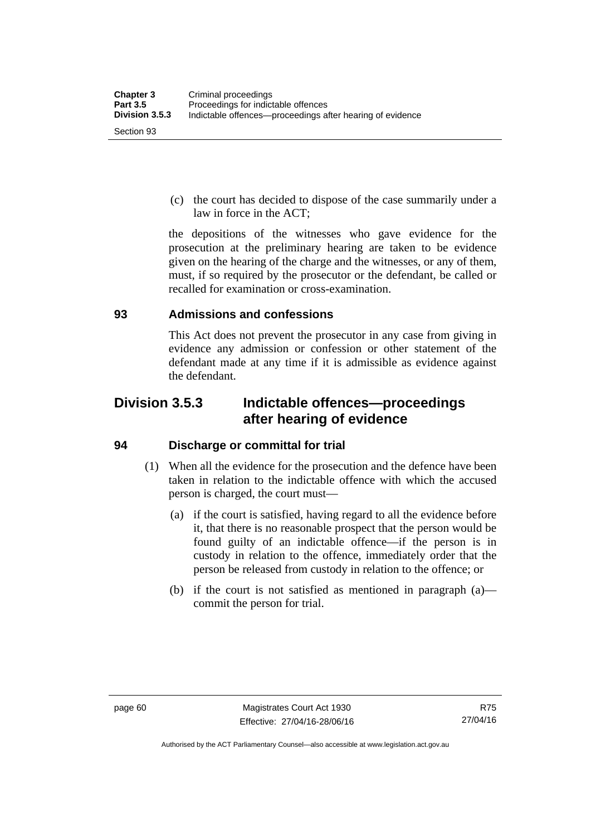(c) the court has decided to dispose of the case summarily under a law in force in the ACT;

the depositions of the witnesses who gave evidence for the prosecution at the preliminary hearing are taken to be evidence given on the hearing of the charge and the witnesses, or any of them, must, if so required by the prosecutor or the defendant, be called or recalled for examination or cross-examination.

#### **93 Admissions and confessions**

This Act does not prevent the prosecutor in any case from giving in evidence any admission or confession or other statement of the defendant made at any time if it is admissible as evidence against the defendant.

# **Division 3.5.3 Indictable offences—proceedings after hearing of evidence**

# **94 Discharge or committal for trial**

- (1) When all the evidence for the prosecution and the defence have been taken in relation to the indictable offence with which the accused person is charged, the court must—
	- (a) if the court is satisfied, having regard to all the evidence before it, that there is no reasonable prospect that the person would be found guilty of an indictable offence—if the person is in custody in relation to the offence, immediately order that the person be released from custody in relation to the offence; or
	- (b) if the court is not satisfied as mentioned in paragraph (a) commit the person for trial.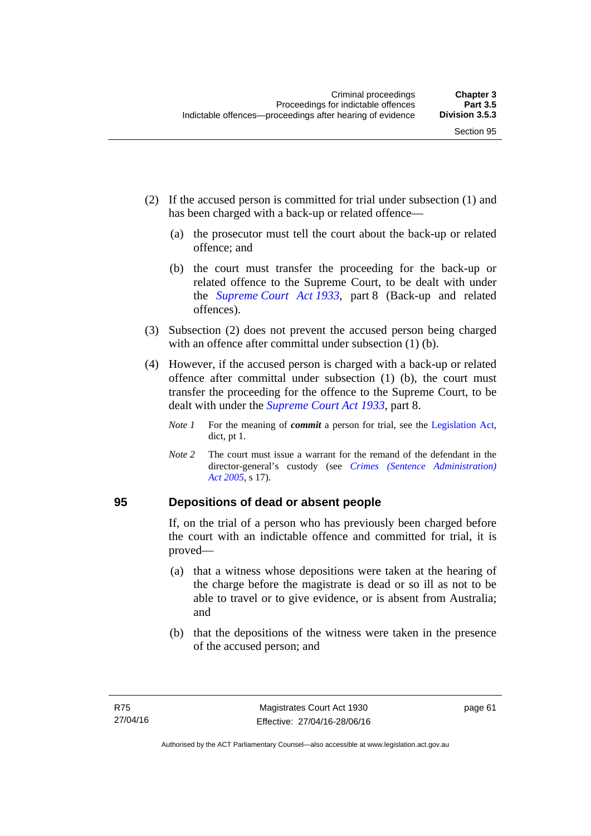- (2) If the accused person is committed for trial under subsection (1) and has been charged with a back-up or related offence—
	- (a) the prosecutor must tell the court about the back-up or related offence; and
	- (b) the court must transfer the proceeding for the back-up or related offence to the Supreme Court, to be dealt with under the *[Supreme Court Act 1933](http://www.legislation.act.gov.au/a/1933-34)*, part 8 (Back-up and related offences).
- (3) Subsection (2) does not prevent the accused person being charged with an offence after committal under subsection (1) (b).
- (4) However, if the accused person is charged with a back-up or related offence after committal under subsection (1) (b), the court must transfer the proceeding for the offence to the Supreme Court, to be dealt with under the *[Supreme Court Act 1933](http://www.legislation.act.gov.au/a/1933-34)*, part 8.
	- *Note 1* For the meaning of *commit* a person for trial, see the [Legislation Act,](http://www.legislation.act.gov.au/a/2001-14) dict, pt 1.
	- *Note 2* The court must issue a warrant for the remand of the defendant in the director-general's custody (see *[Crimes \(Sentence Administration\)](http://www.legislation.act.gov.au/a/2005-59)  [Act 2005](http://www.legislation.act.gov.au/a/2005-59)*, s 17).

#### **95 Depositions of dead or absent people**

If, on the trial of a person who has previously been charged before the court with an indictable offence and committed for trial, it is proved—

- (a) that a witness whose depositions were taken at the hearing of the charge before the magistrate is dead or so ill as not to be able to travel or to give evidence, or is absent from Australia; and
- (b) that the depositions of the witness were taken in the presence of the accused person; and

page 61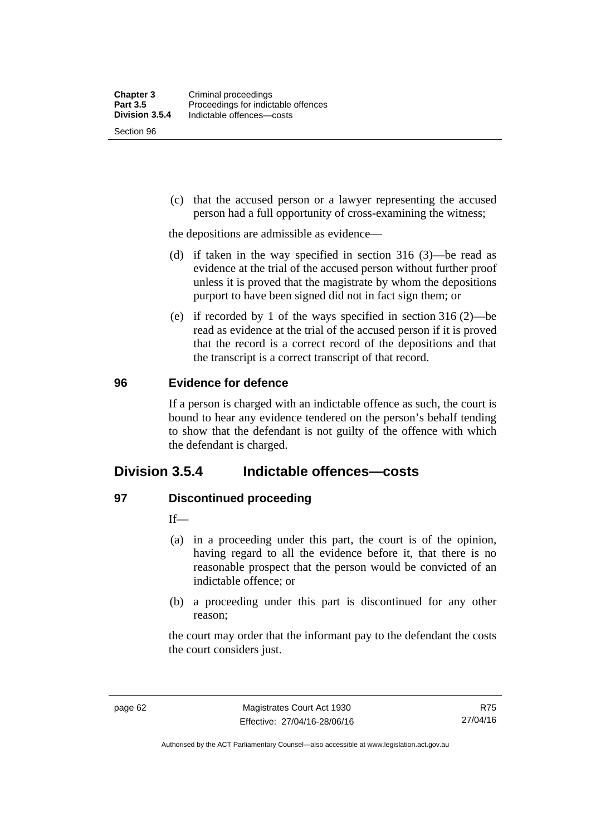Section 96

 (c) that the accused person or a lawyer representing the accused person had a full opportunity of cross-examining the witness;

the depositions are admissible as evidence—

- (d) if taken in the way specified in section 316 (3)—be read as evidence at the trial of the accused person without further proof unless it is proved that the magistrate by whom the depositions purport to have been signed did not in fact sign them; or
- (e) if recorded by 1 of the ways specified in section 316 (2)—be read as evidence at the trial of the accused person if it is proved that the record is a correct record of the depositions and that the transcript is a correct transcript of that record.

#### **96 Evidence for defence**

If a person is charged with an indictable offence as such, the court is bound to hear any evidence tendered on the person's behalf tending to show that the defendant is not guilty of the offence with which the defendant is charged.

# **Division 3.5.4 Indictable offences—costs**

# **97 Discontinued proceeding**

If—

- (a) in a proceeding under this part, the court is of the opinion, having regard to all the evidence before it, that there is no reasonable prospect that the person would be convicted of an indictable offence; or
- (b) a proceeding under this part is discontinued for any other reason;

the court may order that the informant pay to the defendant the costs the court considers just.

R75 27/04/16

Authorised by the ACT Parliamentary Counsel—also accessible at www.legislation.act.gov.au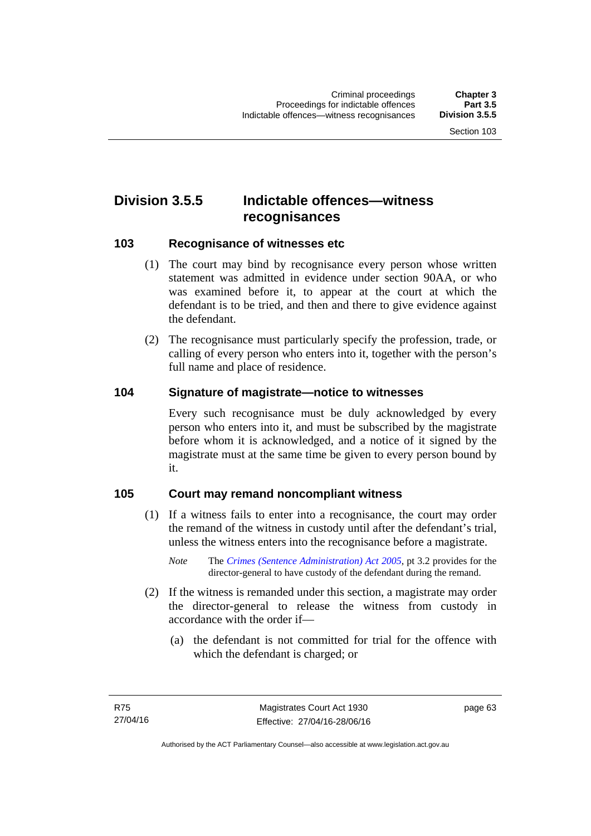# **Division 3.5.5 Indictable offences—witness recognisances**

#### **103 Recognisance of witnesses etc**

- (1) The court may bind by recognisance every person whose written statement was admitted in evidence under section 90AA, or who was examined before it, to appear at the court at which the defendant is to be tried, and then and there to give evidence against the defendant.
- (2) The recognisance must particularly specify the profession, trade, or calling of every person who enters into it, together with the person's full name and place of residence.

#### **104 Signature of magistrate—notice to witnesses**

Every such recognisance must be duly acknowledged by every person who enters into it, and must be subscribed by the magistrate before whom it is acknowledged, and a notice of it signed by the magistrate must at the same time be given to every person bound by it.

#### **105 Court may remand noncompliant witness**

- (1) If a witness fails to enter into a recognisance, the court may order the remand of the witness in custody until after the defendant's trial, unless the witness enters into the recognisance before a magistrate.
	- *Note* The *[Crimes \(Sentence Administration\) Act 2005](http://www.legislation.act.gov.au/a/2005-59)*, pt 3.2 provides for the director-general to have custody of the defendant during the remand.
- (2) If the witness is remanded under this section, a magistrate may order the director-general to release the witness from custody in accordance with the order if—
	- (a) the defendant is not committed for trial for the offence with which the defendant is charged; or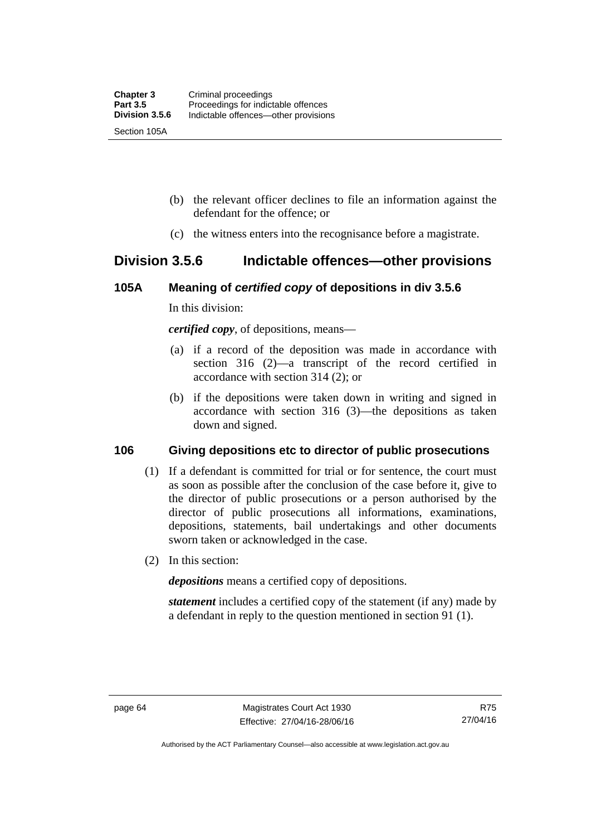- (b) the relevant officer declines to file an information against the defendant for the offence; or
- (c) the witness enters into the recognisance before a magistrate.

# **Division 3.5.6 Indictable offences—other provisions**

#### **105A Meaning of** *certified copy* **of depositions in div 3.5.6**

In this division:

*certified copy*, of depositions, means—

- (a) if a record of the deposition was made in accordance with section 316 (2)—a transcript of the record certified in accordance with section 314 (2); or
- (b) if the depositions were taken down in writing and signed in accordance with section 316 (3)—the depositions as taken down and signed.

# **106 Giving depositions etc to director of public prosecutions**

- (1) If a defendant is committed for trial or for sentence, the court must as soon as possible after the conclusion of the case before it, give to the director of public prosecutions or a person authorised by the director of public prosecutions all informations, examinations, depositions, statements, bail undertakings and other documents sworn taken or acknowledged in the case.
- (2) In this section:

*depositions* means a certified copy of depositions.

*statement* includes a certified copy of the statement (if any) made by a defendant in reply to the question mentioned in section 91 (1).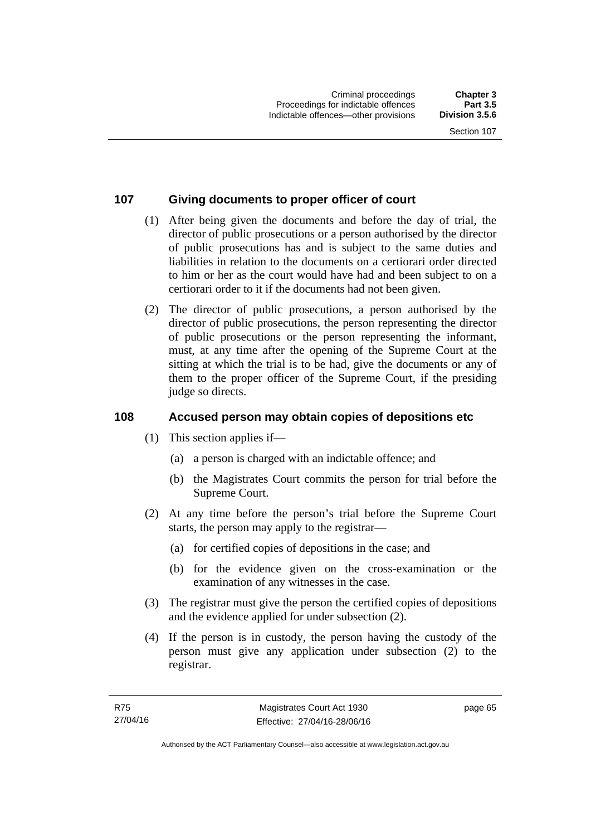# **107 Giving documents to proper officer of court**

- (1) After being given the documents and before the day of trial, the director of public prosecutions or a person authorised by the director of public prosecutions has and is subject to the same duties and liabilities in relation to the documents on a certiorari order directed to him or her as the court would have had and been subject to on a certiorari order to it if the documents had not been given.
- (2) The director of public prosecutions, a person authorised by the director of public prosecutions, the person representing the director of public prosecutions or the person representing the informant, must, at any time after the opening of the Supreme Court at the sitting at which the trial is to be had, give the documents or any of them to the proper officer of the Supreme Court, if the presiding judge so directs.

# **108 Accused person may obtain copies of depositions etc**

- (1) This section applies if—
	- (a) a person is charged with an indictable offence; and
	- (b) the Magistrates Court commits the person for trial before the Supreme Court.
- (2) At any time before the person's trial before the Supreme Court starts, the person may apply to the registrar—
	- (a) for certified copies of depositions in the case; and
	- (b) for the evidence given on the cross-examination or the examination of any witnesses in the case.
- (3) The registrar must give the person the certified copies of depositions and the evidence applied for under subsection (2).
- (4) If the person is in custody, the person having the custody of the person must give any application under subsection (2) to the registrar.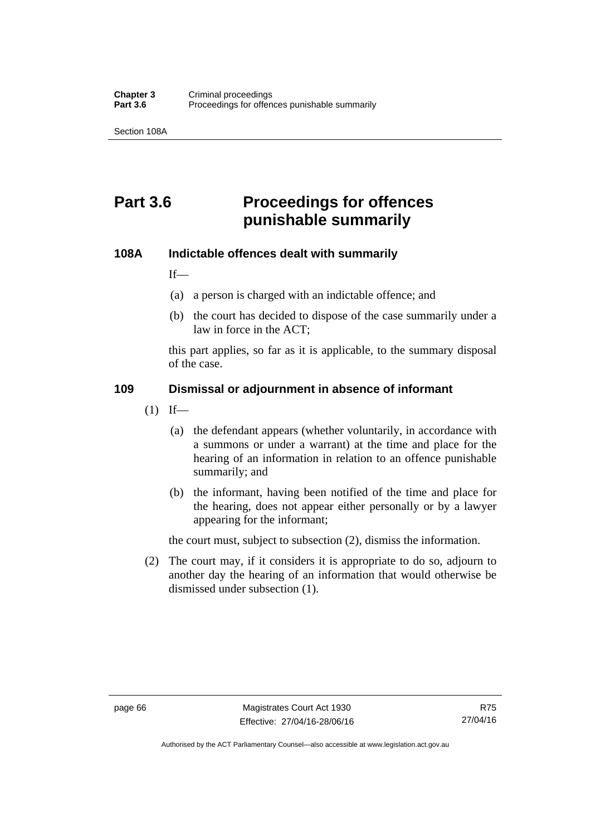Section 108A

# **Part 3.6 Proceedings for offences punishable summarily**

#### **108A Indictable offences dealt with summarily**

If—

- (a) a person is charged with an indictable offence; and
- (b) the court has decided to dispose of the case summarily under a law in force in the ACT;

this part applies, so far as it is applicable, to the summary disposal of the case.

#### **109 Dismissal or adjournment in absence of informant**

- $(1)$  If—
	- (a) the defendant appears (whether voluntarily, in accordance with a summons or under a warrant) at the time and place for the hearing of an information in relation to an offence punishable summarily; and
	- (b) the informant, having been notified of the time and place for the hearing, does not appear either personally or by a lawyer appearing for the informant;

the court must, subject to subsection (2), dismiss the information.

 (2) The court may, if it considers it is appropriate to do so, adjourn to another day the hearing of an information that would otherwise be dismissed under subsection (1).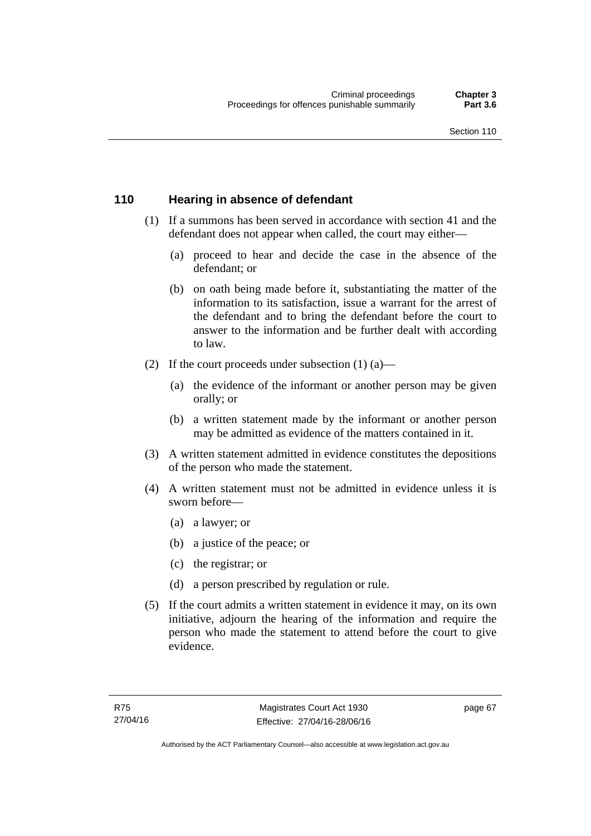#### **110 Hearing in absence of defendant**

- (1) If a summons has been served in accordance with section 41 and the defendant does not appear when called, the court may either—
	- (a) proceed to hear and decide the case in the absence of the defendant; or
	- (b) on oath being made before it, substantiating the matter of the information to its satisfaction, issue a warrant for the arrest of the defendant and to bring the defendant before the court to answer to the information and be further dealt with according to law.
- (2) If the court proceeds under subsection  $(1)$   $(a)$ 
	- (a) the evidence of the informant or another person may be given orally; or
	- (b) a written statement made by the informant or another person may be admitted as evidence of the matters contained in it.
- (3) A written statement admitted in evidence constitutes the depositions of the person who made the statement.
- (4) A written statement must not be admitted in evidence unless it is sworn before—
	- (a) a lawyer; or
	- (b) a justice of the peace; or
	- (c) the registrar; or
	- (d) a person prescribed by regulation or rule.
- (5) If the court admits a written statement in evidence it may, on its own initiative, adjourn the hearing of the information and require the person who made the statement to attend before the court to give evidence.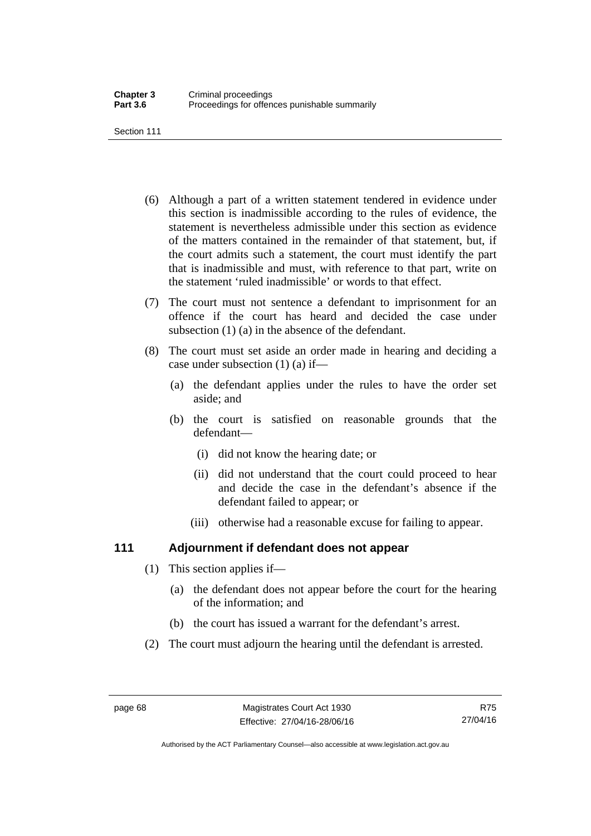Section 111

- (6) Although a part of a written statement tendered in evidence under this section is inadmissible according to the rules of evidence, the statement is nevertheless admissible under this section as evidence of the matters contained in the remainder of that statement, but, if the court admits such a statement, the court must identify the part that is inadmissible and must, with reference to that part, write on the statement 'ruled inadmissible' or words to that effect.
- (7) The court must not sentence a defendant to imprisonment for an offence if the court has heard and decided the case under subsection (1) (a) in the absence of the defendant.
- (8) The court must set aside an order made in hearing and deciding a case under subsection (1) (a) if—
	- (a) the defendant applies under the rules to have the order set aside; and
	- (b) the court is satisfied on reasonable grounds that the defendant—
		- (i) did not know the hearing date; or
		- (ii) did not understand that the court could proceed to hear and decide the case in the defendant's absence if the defendant failed to appear; or
		- (iii) otherwise had a reasonable excuse for failing to appear.

# **111 Adjournment if defendant does not appear**

- (1) This section applies if—
	- (a) the defendant does not appear before the court for the hearing of the information; and
	- (b) the court has issued a warrant for the defendant's arrest.
- (2) The court must adjourn the hearing until the defendant is arrested.

Authorised by the ACT Parliamentary Counsel—also accessible at www.legislation.act.gov.au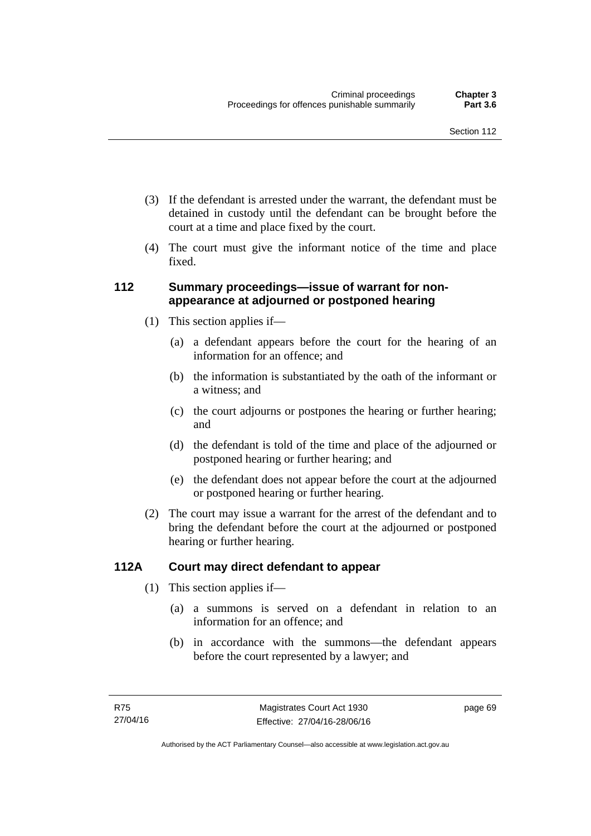- (3) If the defendant is arrested under the warrant, the defendant must be detained in custody until the defendant can be brought before the court at a time and place fixed by the court.
- (4) The court must give the informant notice of the time and place fixed.

## **112 Summary proceedings—issue of warrant for nonappearance at adjourned or postponed hearing**

- (1) This section applies if—
	- (a) a defendant appears before the court for the hearing of an information for an offence; and
	- (b) the information is substantiated by the oath of the informant or a witness; and
	- (c) the court adjourns or postpones the hearing or further hearing; and
	- (d) the defendant is told of the time and place of the adjourned or postponed hearing or further hearing; and
	- (e) the defendant does not appear before the court at the adjourned or postponed hearing or further hearing.
- (2) The court may issue a warrant for the arrest of the defendant and to bring the defendant before the court at the adjourned or postponed hearing or further hearing.

# **112A Court may direct defendant to appear**

- (1) This section applies if—
	- (a) a summons is served on a defendant in relation to an information for an offence; and
	- (b) in accordance with the summons—the defendant appears before the court represented by a lawyer; and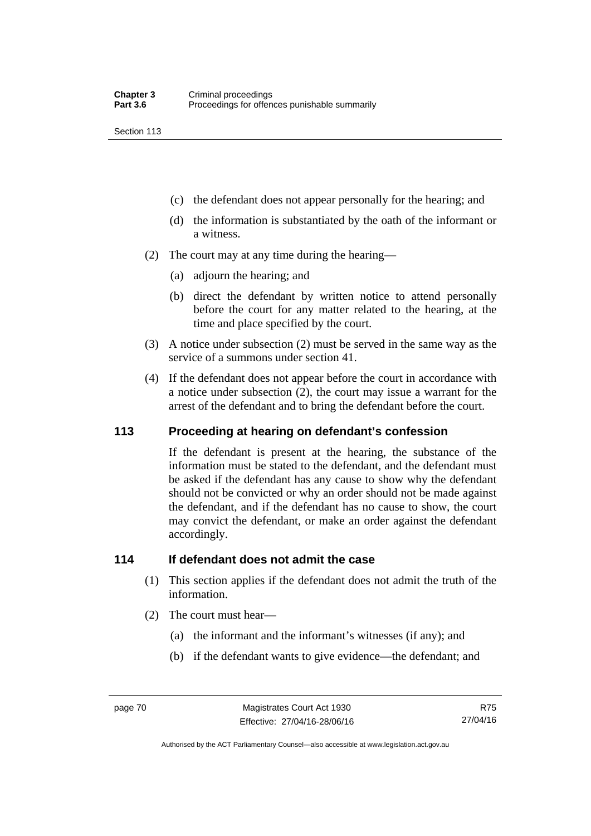Section 113

- (c) the defendant does not appear personally for the hearing; and
- (d) the information is substantiated by the oath of the informant or a witness.
- (2) The court may at any time during the hearing—
	- (a) adjourn the hearing; and
	- (b) direct the defendant by written notice to attend personally before the court for any matter related to the hearing, at the time and place specified by the court.
- (3) A notice under subsection (2) must be served in the same way as the service of a summons under section 41.
- (4) If the defendant does not appear before the court in accordance with a notice under subsection (2), the court may issue a warrant for the arrest of the defendant and to bring the defendant before the court.

#### **113 Proceeding at hearing on defendant's confession**

If the defendant is present at the hearing, the substance of the information must be stated to the defendant, and the defendant must be asked if the defendant has any cause to show why the defendant should not be convicted or why an order should not be made against the defendant, and if the defendant has no cause to show, the court may convict the defendant, or make an order against the defendant accordingly.

#### **114 If defendant does not admit the case**

- (1) This section applies if the defendant does not admit the truth of the information.
- (2) The court must hear—
	- (a) the informant and the informant's witnesses (if any); and
	- (b) if the defendant wants to give evidence—the defendant; and

R75 27/04/16

Authorised by the ACT Parliamentary Counsel—also accessible at www.legislation.act.gov.au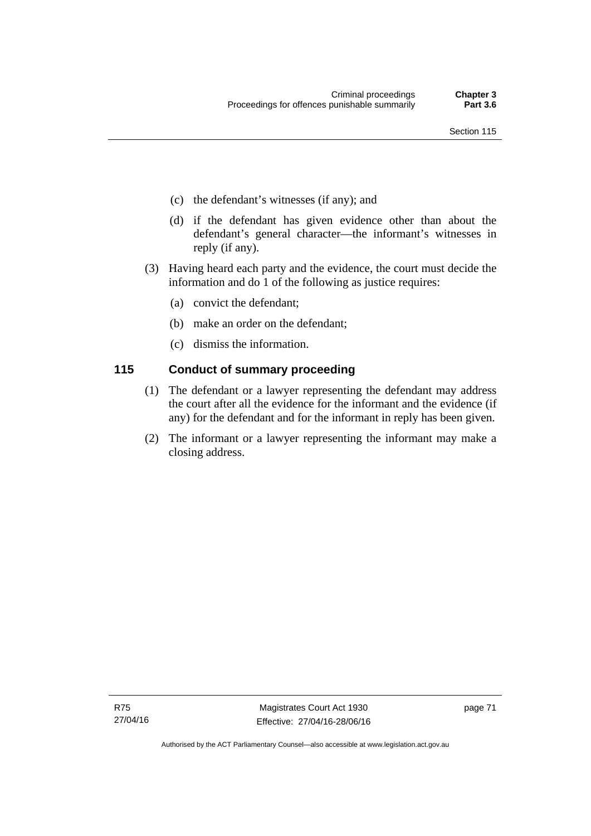- (c) the defendant's witnesses (if any); and
- (d) if the defendant has given evidence other than about the defendant's general character—the informant's witnesses in reply (if any).
- (3) Having heard each party and the evidence, the court must decide the information and do 1 of the following as justice requires:
	- (a) convict the defendant;
	- (b) make an order on the defendant;
	- (c) dismiss the information.

# **115 Conduct of summary proceeding**

- (1) The defendant or a lawyer representing the defendant may address the court after all the evidence for the informant and the evidence (if any) for the defendant and for the informant in reply has been given.
- (2) The informant or a lawyer representing the informant may make a closing address.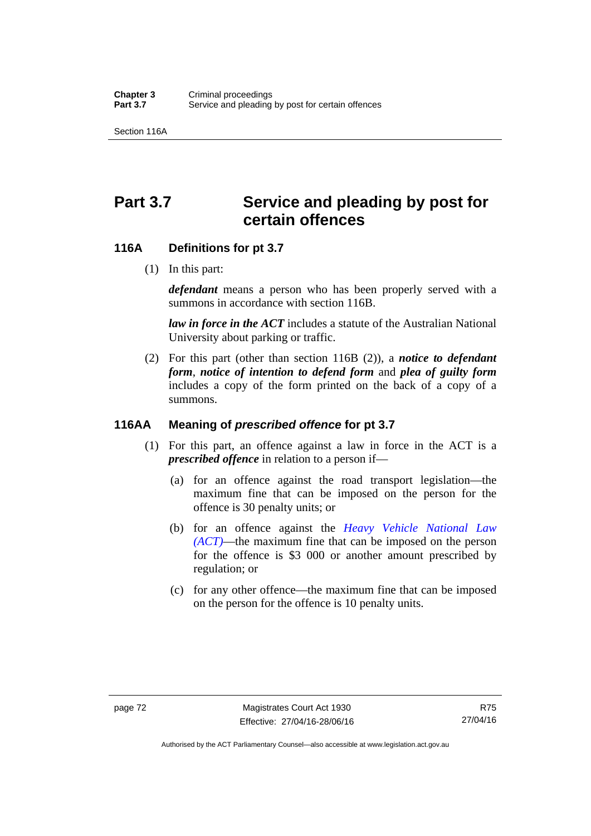Section 116A

# Part 3.7 Service and pleading by post for **certain offences**

#### **116A Definitions for pt 3.7**

(1) In this part:

*defendant* means a person who has been properly served with a summons in accordance with section 116B.

*law in force in the ACT* includes a statute of the Australian National University about parking or traffic.

 (2) For this part (other than section 116B (2)), a *notice to defendant form*, *notice of intention to defend form* and *plea of guilty form* includes a copy of the form printed on the back of a copy of a summons.

## **116AA Meaning of** *prescribed offence* **for pt 3.7**

- (1) For this part, an offence against a law in force in the ACT is a *prescribed offence* in relation to a person if—
	- (a) for an offence against the road transport legislation—the maximum fine that can be imposed on the person for the offence is 30 penalty units; or
	- (b) for an offence against the *[Heavy Vehicle National Law](http://www.legislation.act.gov.au/a/db_49155/default.asp)  [\(ACT\)](http://www.legislation.act.gov.au/a/db_49155/default.asp)*—the maximum fine that can be imposed on the person for the offence is \$3 000 or another amount prescribed by regulation; or
	- (c) for any other offence—the maximum fine that can be imposed on the person for the offence is 10 penalty units.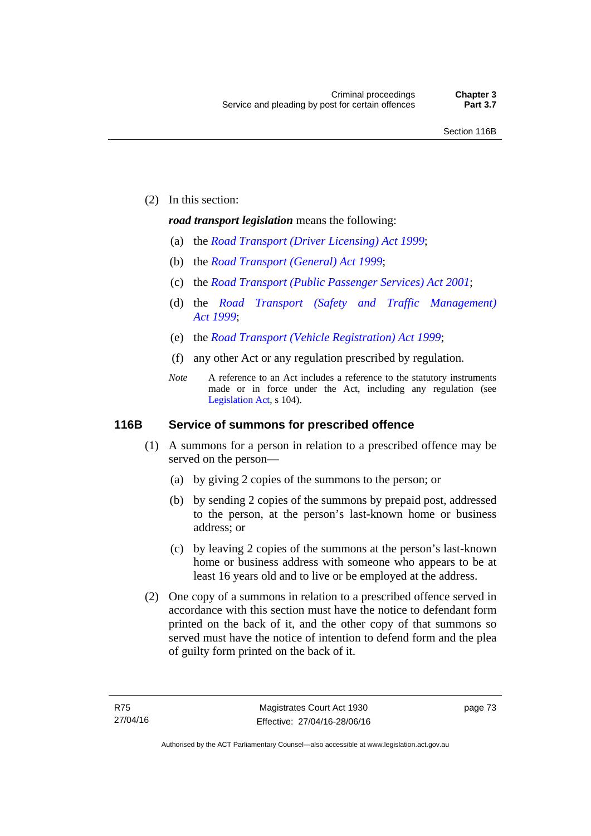(2) In this section:

#### *road transport legislation* means the following:

- (a) the *[Road Transport \(Driver Licensing\) Act 1999](http://www.legislation.act.gov.au/a/1999-78)*;
- (b) the *[Road Transport \(General\) Act 1999](http://www.legislation.act.gov.au/a/1999-77)*;
- (c) the *[Road Transport \(Public Passenger Services\) Act 2001](http://www.legislation.act.gov.au/a/2001-62)*;
- (d) the *[Road Transport \(Safety and Traffic Management\)](http://www.legislation.act.gov.au/a/1999-80)  [Act 1999](http://www.legislation.act.gov.au/a/1999-80)*;
- (e) the *[Road Transport \(Vehicle Registration\) Act 1999](http://www.legislation.act.gov.au/a/1999-81)*;
- (f) any other Act or any regulation prescribed by regulation.
- *Note* A reference to an Act includes a reference to the statutory instruments made or in force under the Act, including any regulation (see [Legislation Act,](http://www.legislation.act.gov.au/a/2001-14) s 104).

#### **116B Service of summons for prescribed offence**

- (1) A summons for a person in relation to a prescribed offence may be served on the person—
	- (a) by giving 2 copies of the summons to the person; or
	- (b) by sending 2 copies of the summons by prepaid post, addressed to the person, at the person's last-known home or business address; or
	- (c) by leaving 2 copies of the summons at the person's last-known home or business address with someone who appears to be at least 16 years old and to live or be employed at the address.
- (2) One copy of a summons in relation to a prescribed offence served in accordance with this section must have the notice to defendant form printed on the back of it, and the other copy of that summons so served must have the notice of intention to defend form and the plea of guilty form printed on the back of it.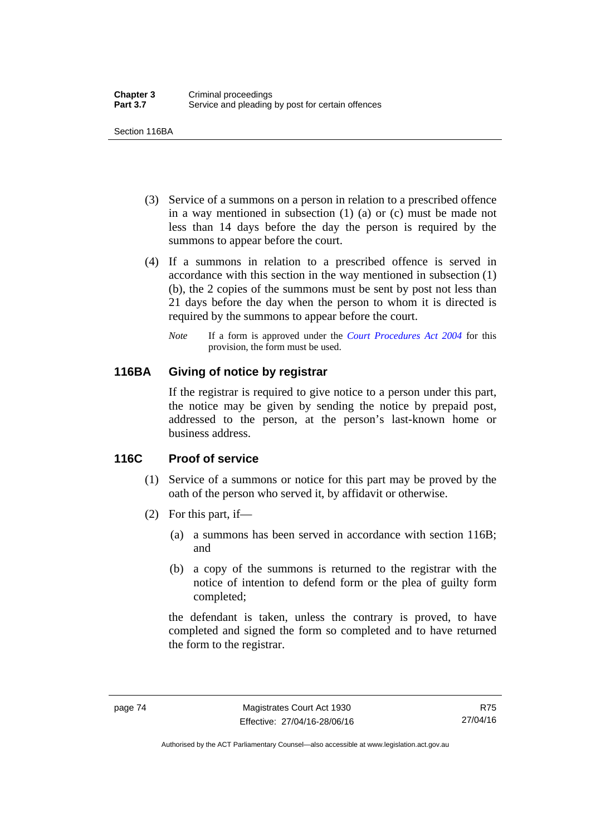Section 116BA

- (3) Service of a summons on a person in relation to a prescribed offence in a way mentioned in subsection (1) (a) or (c) must be made not less than 14 days before the day the person is required by the summons to appear before the court.
- (4) If a summons in relation to a prescribed offence is served in accordance with this section in the way mentioned in subsection (1) (b), the 2 copies of the summons must be sent by post not less than 21 days before the day when the person to whom it is directed is required by the summons to appear before the court.
	- *Note* If a form is approved under the *[Court Procedures Act 2004](http://www.legislation.act.gov.au/a/2004-59)* for this provision, the form must be used.

# **116BA Giving of notice by registrar**

If the registrar is required to give notice to a person under this part, the notice may be given by sending the notice by prepaid post, addressed to the person, at the person's last-known home or business address.

# **116C Proof of service**

- (1) Service of a summons or notice for this part may be proved by the oath of the person who served it, by affidavit or otherwise.
- (2) For this part, if—
	- (a) a summons has been served in accordance with section 116B; and
	- (b) a copy of the summons is returned to the registrar with the notice of intention to defend form or the plea of guilty form completed;

the defendant is taken, unless the contrary is proved, to have completed and signed the form so completed and to have returned the form to the registrar.

Authorised by the ACT Parliamentary Counsel—also accessible at www.legislation.act.gov.au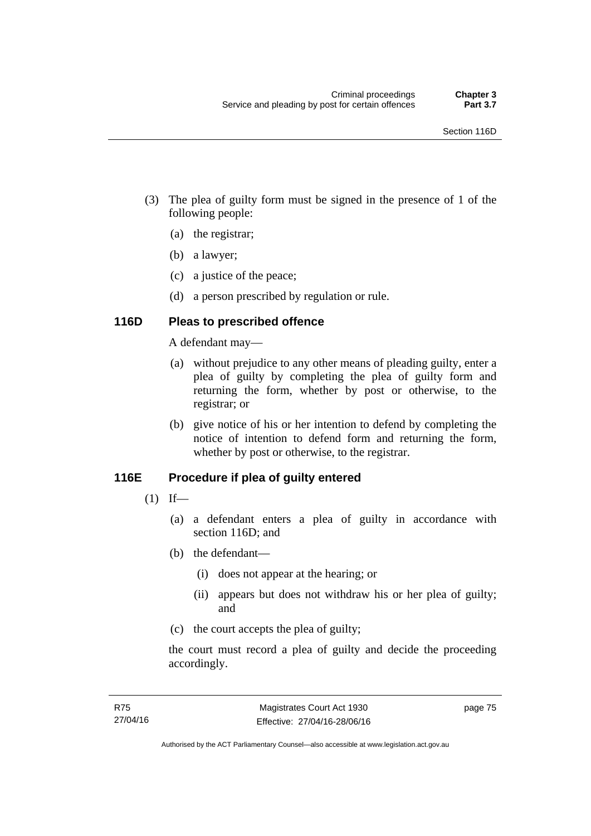- (3) The plea of guilty form must be signed in the presence of 1 of the following people:
	- (a) the registrar;
	- (b) a lawyer;
	- (c) a justice of the peace;
	- (d) a person prescribed by regulation or rule.

# **116D Pleas to prescribed offence**

A defendant may—

- (a) without prejudice to any other means of pleading guilty, enter a plea of guilty by completing the plea of guilty form and returning the form, whether by post or otherwise, to the registrar; or
- (b) give notice of his or her intention to defend by completing the notice of intention to defend form and returning the form, whether by post or otherwise, to the registrar.

# **116E Procedure if plea of guilty entered**

- $(1)$  If—
	- (a) a defendant enters a plea of guilty in accordance with section 116D; and
	- (b) the defendant—
		- (i) does not appear at the hearing; or
		- (ii) appears but does not withdraw his or her plea of guilty; and
	- (c) the court accepts the plea of guilty;

the court must record a plea of guilty and decide the proceeding accordingly.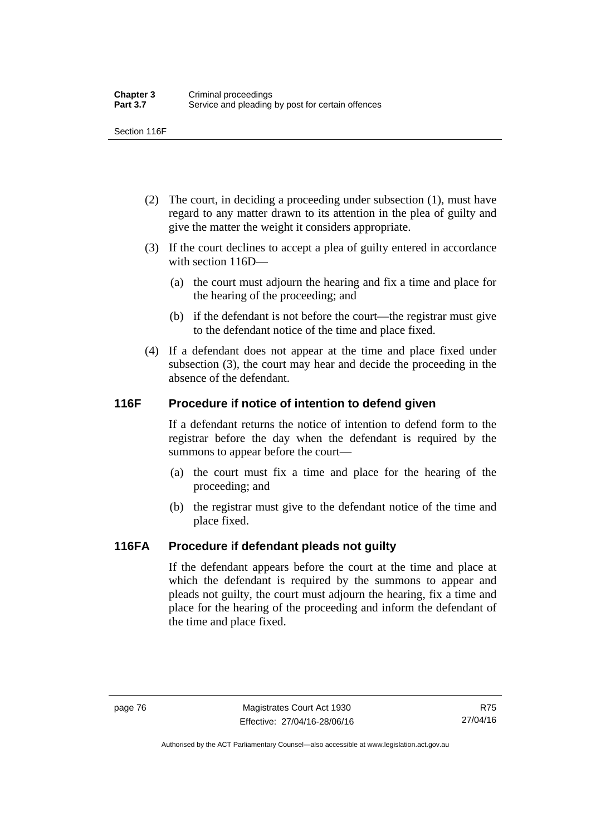Section 116F

- (2) The court, in deciding a proceeding under subsection (1), must have regard to any matter drawn to its attention in the plea of guilty and give the matter the weight it considers appropriate.
- (3) If the court declines to accept a plea of guilty entered in accordance with section 116D—
	- (a) the court must adjourn the hearing and fix a time and place for the hearing of the proceeding; and
	- (b) if the defendant is not before the court—the registrar must give to the defendant notice of the time and place fixed.
- (4) If a defendant does not appear at the time and place fixed under subsection (3), the court may hear and decide the proceeding in the absence of the defendant.

# **116F Procedure if notice of intention to defend given**

If a defendant returns the notice of intention to defend form to the registrar before the day when the defendant is required by the summons to appear before the court—

- (a) the court must fix a time and place for the hearing of the proceeding; and
- (b) the registrar must give to the defendant notice of the time and place fixed.

# **116FA Procedure if defendant pleads not guilty**

If the defendant appears before the court at the time and place at which the defendant is required by the summons to appear and pleads not guilty, the court must adjourn the hearing, fix a time and place for the hearing of the proceeding and inform the defendant of the time and place fixed.

Authorised by the ACT Parliamentary Counsel—also accessible at www.legislation.act.gov.au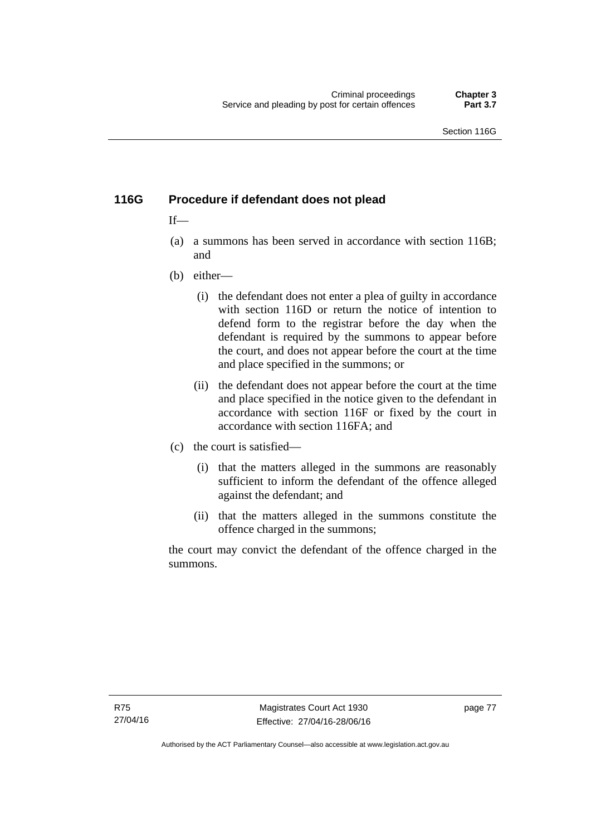# **116G Procedure if defendant does not plead**

# $If$ —

- (a) a summons has been served in accordance with section 116B; and
- (b) either—
	- (i) the defendant does not enter a plea of guilty in accordance with section 116D or return the notice of intention to defend form to the registrar before the day when the defendant is required by the summons to appear before the court, and does not appear before the court at the time and place specified in the summons; or
	- (ii) the defendant does not appear before the court at the time and place specified in the notice given to the defendant in accordance with section 116F or fixed by the court in accordance with section 116FA; and
- (c) the court is satisfied—
	- (i) that the matters alleged in the summons are reasonably sufficient to inform the defendant of the offence alleged against the defendant; and
	- (ii) that the matters alleged in the summons constitute the offence charged in the summons;

the court may convict the defendant of the offence charged in the summons.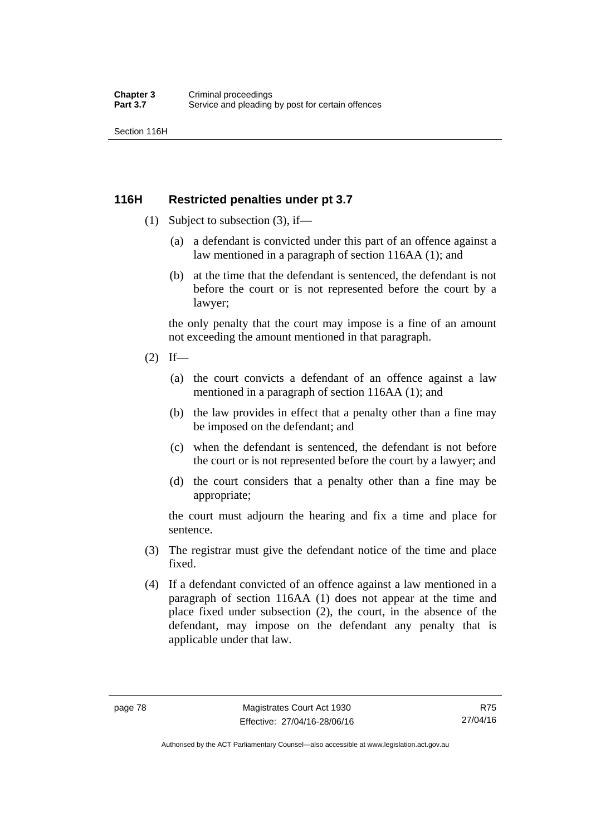Section 116H

# **116H Restricted penalties under pt 3.7**

- (1) Subject to subsection (3), if—
	- (a) a defendant is convicted under this part of an offence against a law mentioned in a paragraph of section 116AA (1); and
	- (b) at the time that the defendant is sentenced, the defendant is not before the court or is not represented before the court by a lawyer;

the only penalty that the court may impose is a fine of an amount not exceeding the amount mentioned in that paragraph.

- $(2)$  If—
	- (a) the court convicts a defendant of an offence against a law mentioned in a paragraph of section 116AA (1); and
	- (b) the law provides in effect that a penalty other than a fine may be imposed on the defendant; and
	- (c) when the defendant is sentenced, the defendant is not before the court or is not represented before the court by a lawyer; and
	- (d) the court considers that a penalty other than a fine may be appropriate;

the court must adjourn the hearing and fix a time and place for sentence.

- (3) The registrar must give the defendant notice of the time and place fixed.
- (4) If a defendant convicted of an offence against a law mentioned in a paragraph of section 116AA (1) does not appear at the time and place fixed under subsection (2), the court, in the absence of the defendant, may impose on the defendant any penalty that is applicable under that law.

R75 27/04/16

Authorised by the ACT Parliamentary Counsel—also accessible at www.legislation.act.gov.au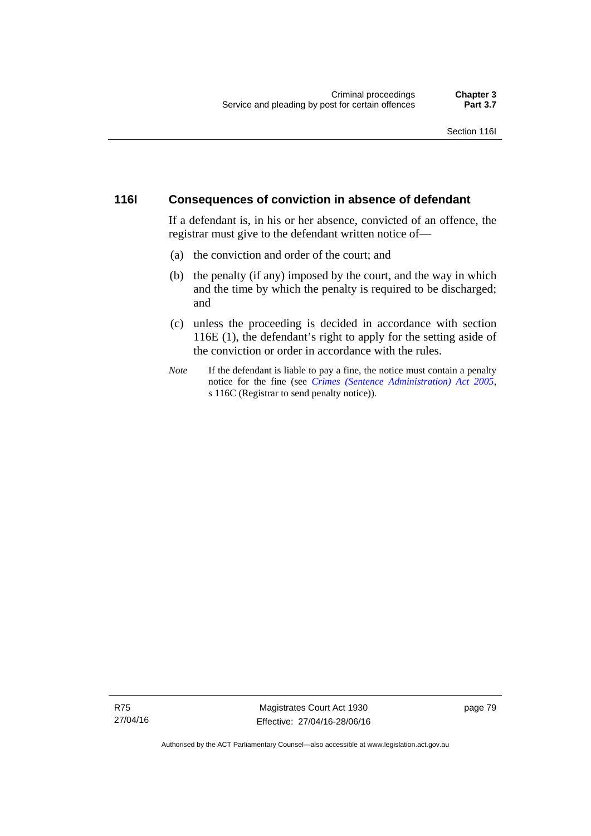#### **116I Consequences of conviction in absence of defendant**

If a defendant is, in his or her absence, convicted of an offence, the registrar must give to the defendant written notice of—

- (a) the conviction and order of the court; and
- (b) the penalty (if any) imposed by the court, and the way in which and the time by which the penalty is required to be discharged; and
- (c) unless the proceeding is decided in accordance with section 116E (1), the defendant's right to apply for the setting aside of the conviction or order in accordance with the rules.
- *Note* If the defendant is liable to pay a fine, the notice must contain a penalty notice for the fine (see *[Crimes \(Sentence Administration\) Act 2005](http://www.legislation.act.gov.au/a/2005-59)*, s 116C (Registrar to send penalty notice)).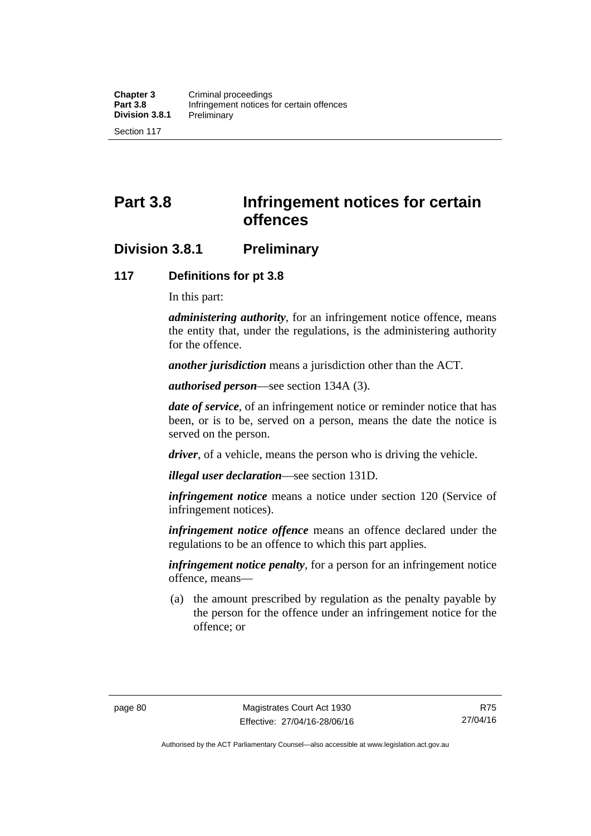# **Part 3.8 Infringement notices for certain offences**

# **Division 3.8.1 Preliminary**

#### **117 Definitions for pt 3.8**

In this part:

*administering authority*, for an infringement notice offence, means the entity that, under the regulations, is the administering authority for the offence.

*another jurisdiction* means a jurisdiction other than the ACT.

*authorised person*—see section 134A (3).

*date of service*, of an infringement notice or reminder notice that has been, or is to be, served on a person, means the date the notice is served on the person.

*driver*, of a vehicle, means the person who is driving the vehicle.

*illegal user declaration*—see section 131D.

*infringement notice* means a notice under section 120 (Service of infringement notices).

*infringement notice offence* means an offence declared under the regulations to be an offence to which this part applies.

*infringement notice penalty*, for a person for an infringement notice offence, means—

 (a) the amount prescribed by regulation as the penalty payable by the person for the offence under an infringement notice for the offence; or

Authorised by the ACT Parliamentary Counsel—also accessible at www.legislation.act.gov.au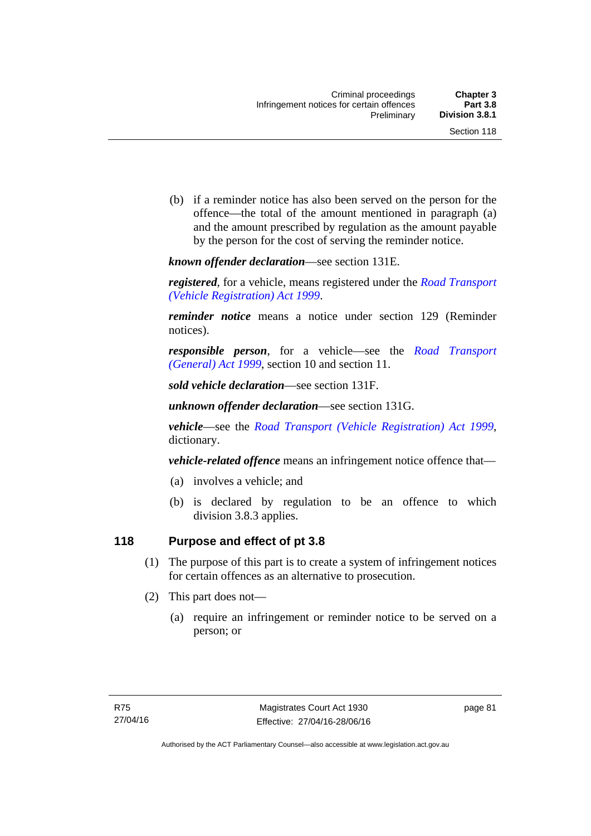(b) if a reminder notice has also been served on the person for the offence—the total of the amount mentioned in paragraph (a) and the amount prescribed by regulation as the amount payable by the person for the cost of serving the reminder notice.

*known offender declaration*—see section 131E.

*registered*, for a vehicle, means registered under the *[Road Transport](http://www.legislation.act.gov.au/a/1999-81)  [\(Vehicle Registration\) Act 1999](http://www.legislation.act.gov.au/a/1999-81)*.

*reminder notice* means a notice under section 129 (Reminder notices).

*responsible person*, for a vehicle—see the *[Road Transport](http://www.legislation.act.gov.au/a/1999-77)  [\(General\) Act 1999](http://www.legislation.act.gov.au/a/1999-77)*, section 10 and section 11.

*sold vehicle declaration*—see section 131F.

*unknown offender declaration*—see section 131G.

*vehicle*—see the *[Road Transport \(Vehicle Registration\) Act 1999](http://www.legislation.act.gov.au/a/1999-81)*, dictionary.

*vehicle-related offence* means an infringement notice offence that—

- (a) involves a vehicle; and
- (b) is declared by regulation to be an offence to which division 3.8.3 applies.

# **118 Purpose and effect of pt 3.8**

- (1) The purpose of this part is to create a system of infringement notices for certain offences as an alternative to prosecution.
- (2) This part does not—
	- (a) require an infringement or reminder notice to be served on a person; or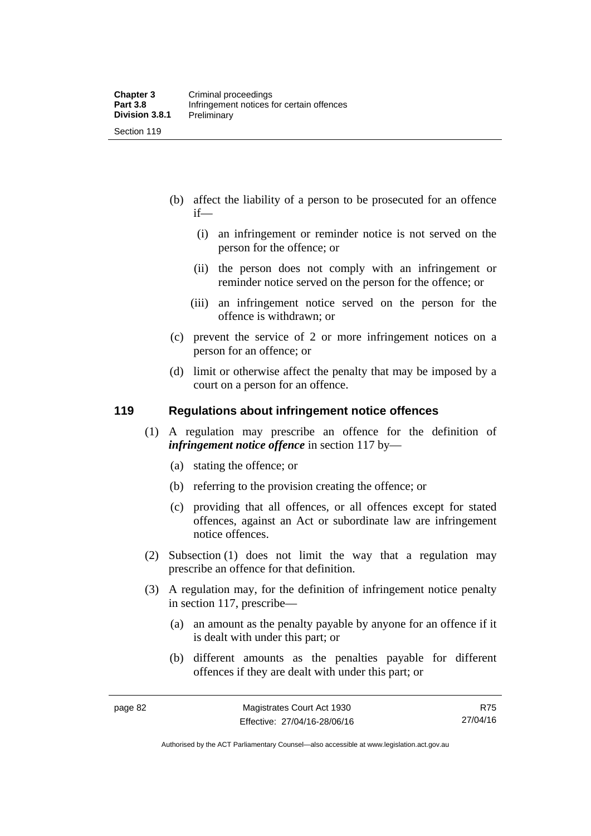- (b) affect the liability of a person to be prosecuted for an offence if—
	- (i) an infringement or reminder notice is not served on the person for the offence; or
	- (ii) the person does not comply with an infringement or reminder notice served on the person for the offence; or
	- (iii) an infringement notice served on the person for the offence is withdrawn; or
- (c) prevent the service of 2 or more infringement notices on a person for an offence; or
- (d) limit or otherwise affect the penalty that may be imposed by a court on a person for an offence.

#### **119 Regulations about infringement notice offences**

- (1) A regulation may prescribe an offence for the definition of *infringement notice offence* in section 117 by—
	- (a) stating the offence; or
	- (b) referring to the provision creating the offence; or
	- (c) providing that all offences, or all offences except for stated offences, against an Act or subordinate law are infringement notice offences.
- (2) Subsection (1) does not limit the way that a regulation may prescribe an offence for that definition.
- (3) A regulation may, for the definition of infringement notice penalty in section 117, prescribe—
	- (a) an amount as the penalty payable by anyone for an offence if it is dealt with under this part; or
	- (b) different amounts as the penalties payable for different offences if they are dealt with under this part; or

R75 27/04/16

Authorised by the ACT Parliamentary Counsel—also accessible at www.legislation.act.gov.au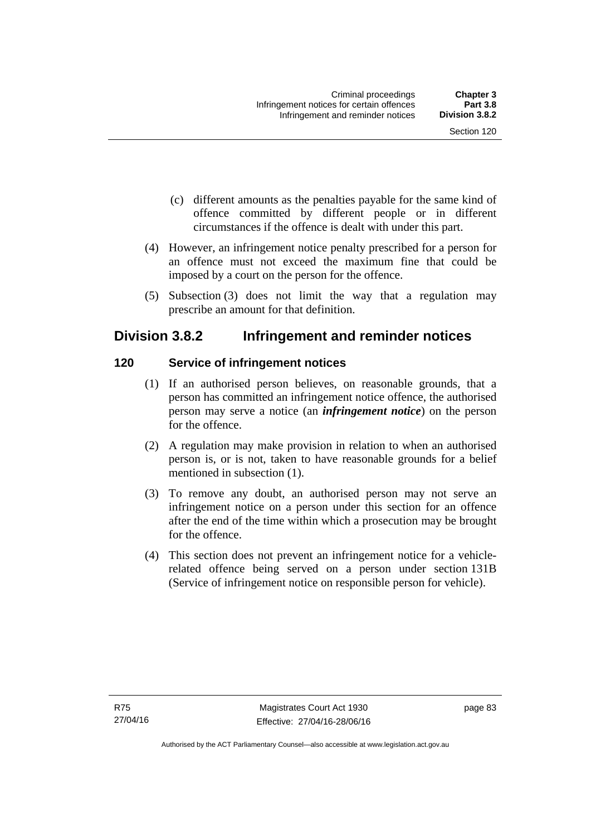- (c) different amounts as the penalties payable for the same kind of offence committed by different people or in different circumstances if the offence is dealt with under this part.
- (4) However, an infringement notice penalty prescribed for a person for an offence must not exceed the maximum fine that could be imposed by a court on the person for the offence.
- (5) Subsection (3) does not limit the way that a regulation may prescribe an amount for that definition.

# **Division 3.8.2 Infringement and reminder notices**

# **120 Service of infringement notices**

- (1) If an authorised person believes, on reasonable grounds, that a person has committed an infringement notice offence, the authorised person may serve a notice (an *infringement notice*) on the person for the offence.
- (2) A regulation may make provision in relation to when an authorised person is, or is not, taken to have reasonable grounds for a belief mentioned in subsection (1).
- (3) To remove any doubt, an authorised person may not serve an infringement notice on a person under this section for an offence after the end of the time within which a prosecution may be brought for the offence.
- (4) This section does not prevent an infringement notice for a vehiclerelated offence being served on a person under section 131B (Service of infringement notice on responsible person for vehicle).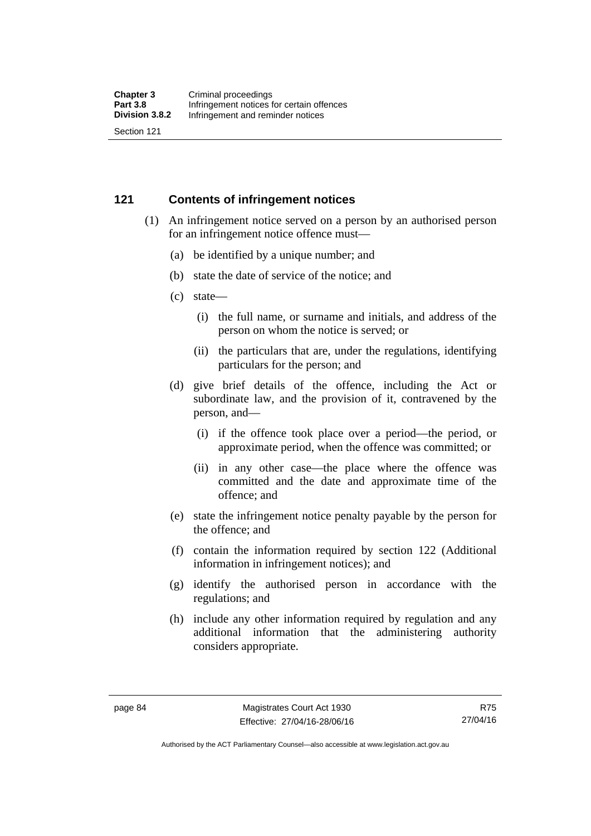#### **121 Contents of infringement notices**

- (1) An infringement notice served on a person by an authorised person for an infringement notice offence must—
	- (a) be identified by a unique number; and
	- (b) state the date of service of the notice; and
	- (c) state—
		- (i) the full name, or surname and initials, and address of the person on whom the notice is served; or
		- (ii) the particulars that are, under the regulations, identifying particulars for the person; and
	- (d) give brief details of the offence, including the Act or subordinate law, and the provision of it, contravened by the person, and—
		- (i) if the offence took place over a period—the period, or approximate period, when the offence was committed; or
		- (ii) in any other case—the place where the offence was committed and the date and approximate time of the offence; and
	- (e) state the infringement notice penalty payable by the person for the offence; and
	- (f) contain the information required by section 122 (Additional information in infringement notices); and
	- (g) identify the authorised person in accordance with the regulations; and
	- (h) include any other information required by regulation and any additional information that the administering authority considers appropriate.

R75 27/04/16

Authorised by the ACT Parliamentary Counsel—also accessible at www.legislation.act.gov.au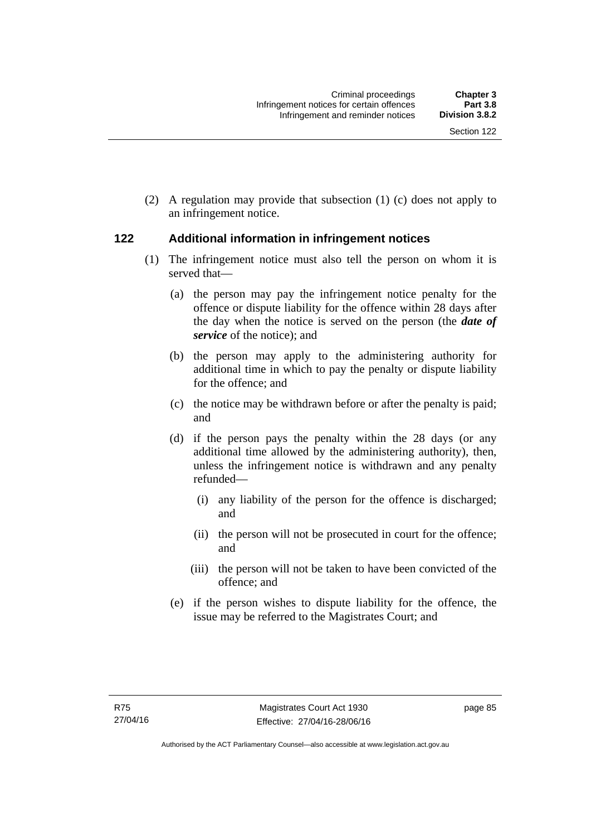(2) A regulation may provide that subsection (1) (c) does not apply to an infringement notice.

# **122 Additional information in infringement notices**

- (1) The infringement notice must also tell the person on whom it is served that—
	- (a) the person may pay the infringement notice penalty for the offence or dispute liability for the offence within 28 days after the day when the notice is served on the person (the *date of service* of the notice); and
	- (b) the person may apply to the administering authority for additional time in which to pay the penalty or dispute liability for the offence; and
	- (c) the notice may be withdrawn before or after the penalty is paid; and
	- (d) if the person pays the penalty within the 28 days (or any additional time allowed by the administering authority), then, unless the infringement notice is withdrawn and any penalty refunded—
		- (i) any liability of the person for the offence is discharged; and
		- (ii) the person will not be prosecuted in court for the offence; and
		- (iii) the person will not be taken to have been convicted of the offence; and
	- (e) if the person wishes to dispute liability for the offence, the issue may be referred to the Magistrates Court; and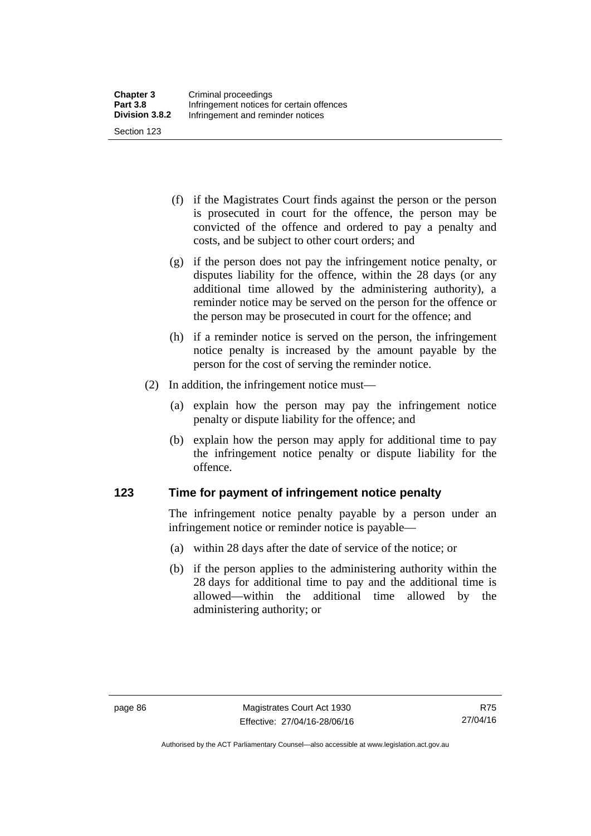(f) if the Magistrates Court finds against the person or the person is prosecuted in court for the offence, the person may be convicted of the offence and ordered to pay a penalty and costs, and be subject to other court orders; and

- (g) if the person does not pay the infringement notice penalty, or disputes liability for the offence, within the 28 days (or any additional time allowed by the administering authority), a reminder notice may be served on the person for the offence or the person may be prosecuted in court for the offence; and
- (h) if a reminder notice is served on the person, the infringement notice penalty is increased by the amount payable by the person for the cost of serving the reminder notice.
- (2) In addition, the infringement notice must—
	- (a) explain how the person may pay the infringement notice penalty or dispute liability for the offence; and
	- (b) explain how the person may apply for additional time to pay the infringement notice penalty or dispute liability for the offence.

#### **123 Time for payment of infringement notice penalty**

The infringement notice penalty payable by a person under an infringement notice or reminder notice is payable—

- (a) within 28 days after the date of service of the notice; or
- (b) if the person applies to the administering authority within the 28 days for additional time to pay and the additional time is allowed—within the additional time allowed by the administering authority; or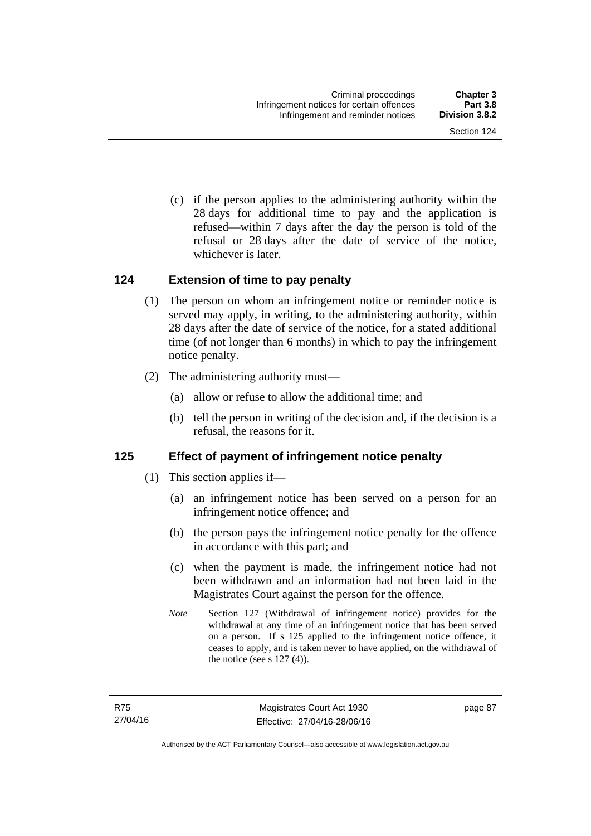(c) if the person applies to the administering authority within the 28 days for additional time to pay and the application is refused—within 7 days after the day the person is told of the refusal or 28 days after the date of service of the notice, whichever is later.

#### **124 Extension of time to pay penalty**

- (1) The person on whom an infringement notice or reminder notice is served may apply, in writing, to the administering authority, within 28 days after the date of service of the notice, for a stated additional time (of not longer than 6 months) in which to pay the infringement notice penalty.
- (2) The administering authority must—
	- (a) allow or refuse to allow the additional time; and
	- (b) tell the person in writing of the decision and, if the decision is a refusal, the reasons for it.

# **125 Effect of payment of infringement notice penalty**

- (1) This section applies if—
	- (a) an infringement notice has been served on a person for an infringement notice offence; and
	- (b) the person pays the infringement notice penalty for the offence in accordance with this part; and
	- (c) when the payment is made, the infringement notice had not been withdrawn and an information had not been laid in the Magistrates Court against the person for the offence.
	- *Note* Section 127 (Withdrawal of infringement notice) provides for the withdrawal at any time of an infringement notice that has been served on a person. If s 125 applied to the infringement notice offence, it ceases to apply, and is taken never to have applied, on the withdrawal of the notice (see s  $127(4)$ ).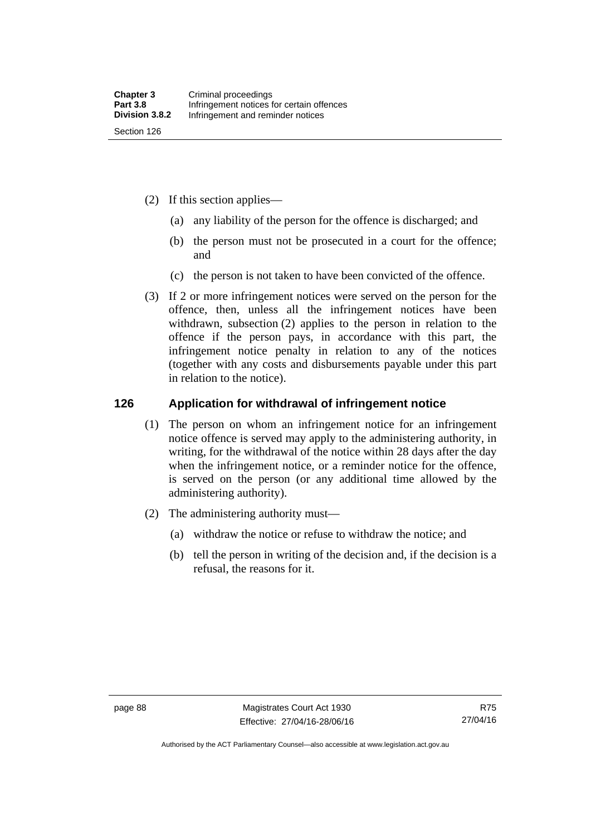- (2) If this section applies—
	- (a) any liability of the person for the offence is discharged; and
	- (b) the person must not be prosecuted in a court for the offence; and
	- (c) the person is not taken to have been convicted of the offence.
- (3) If 2 or more infringement notices were served on the person for the offence, then, unless all the infringement notices have been withdrawn, subsection (2) applies to the person in relation to the offence if the person pays, in accordance with this part, the infringement notice penalty in relation to any of the notices (together with any costs and disbursements payable under this part in relation to the notice).

#### **126 Application for withdrawal of infringement notice**

- (1) The person on whom an infringement notice for an infringement notice offence is served may apply to the administering authority, in writing, for the withdrawal of the notice within 28 days after the day when the infringement notice, or a reminder notice for the offence, is served on the person (or any additional time allowed by the administering authority).
- (2) The administering authority must—
	- (a) withdraw the notice or refuse to withdraw the notice; and
	- (b) tell the person in writing of the decision and, if the decision is a refusal, the reasons for it.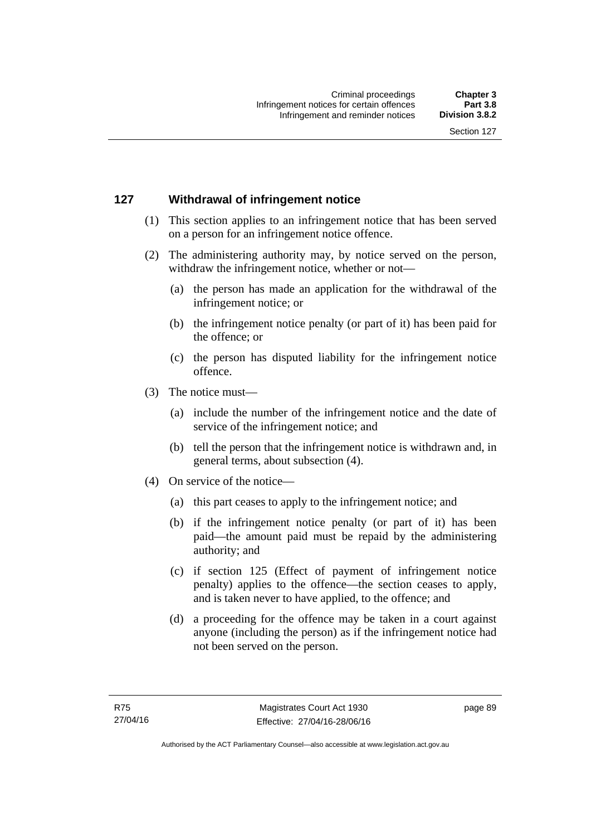# **127 Withdrawal of infringement notice**

- (1) This section applies to an infringement notice that has been served on a person for an infringement notice offence.
- (2) The administering authority may, by notice served on the person, withdraw the infringement notice, whether or not—
	- (a) the person has made an application for the withdrawal of the infringement notice; or
	- (b) the infringement notice penalty (or part of it) has been paid for the offence; or
	- (c) the person has disputed liability for the infringement notice offence.
- (3) The notice must—
	- (a) include the number of the infringement notice and the date of service of the infringement notice; and
	- (b) tell the person that the infringement notice is withdrawn and, in general terms, about subsection (4).
- (4) On service of the notice—
	- (a) this part ceases to apply to the infringement notice; and
	- (b) if the infringement notice penalty (or part of it) has been paid—the amount paid must be repaid by the administering authority; and
	- (c) if section 125 (Effect of payment of infringement notice penalty) applies to the offence—the section ceases to apply, and is taken never to have applied, to the offence; and
	- (d) a proceeding for the offence may be taken in a court against anyone (including the person) as if the infringement notice had not been served on the person.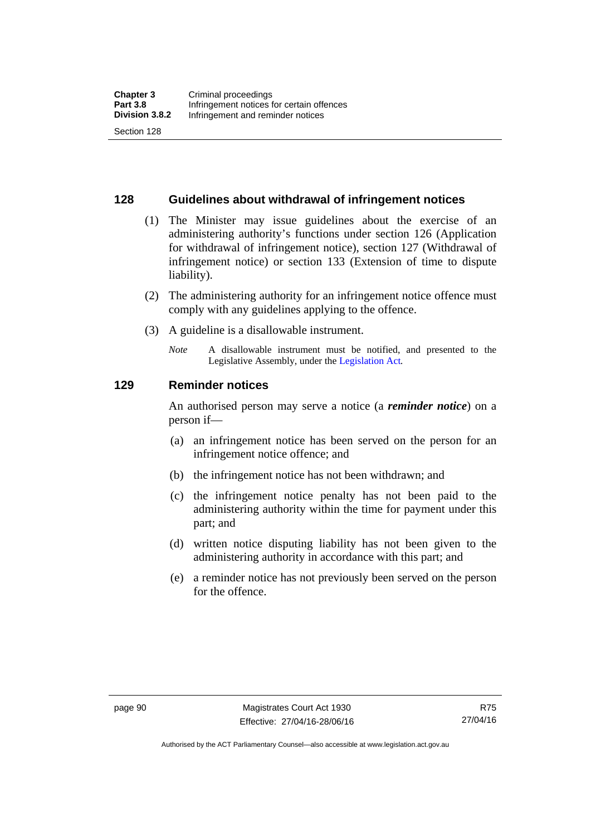#### **128 Guidelines about withdrawal of infringement notices**

- (1) The Minister may issue guidelines about the exercise of an administering authority's functions under section 126 (Application for withdrawal of infringement notice), section 127 (Withdrawal of infringement notice) or section 133 (Extension of time to dispute liability).
- (2) The administering authority for an infringement notice offence must comply with any guidelines applying to the offence.
- (3) A guideline is a disallowable instrument.
	- *Note* A disallowable instrument must be notified, and presented to the Legislative Assembly, under the [Legislation Act](http://www.legislation.act.gov.au/a/2001-14)*.*

#### **129 Reminder notices**

An authorised person may serve a notice (a *reminder notice*) on a person if—

- (a) an infringement notice has been served on the person for an infringement notice offence; and
- (b) the infringement notice has not been withdrawn; and
- (c) the infringement notice penalty has not been paid to the administering authority within the time for payment under this part; and
- (d) written notice disputing liability has not been given to the administering authority in accordance with this part; and
- (e) a reminder notice has not previously been served on the person for the offence.

Authorised by the ACT Parliamentary Counsel—also accessible at www.legislation.act.gov.au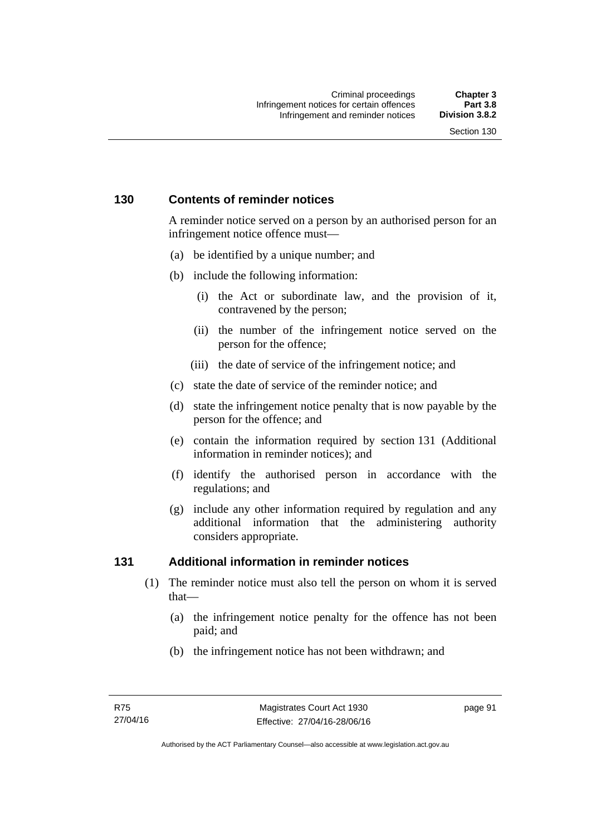## **130 Contents of reminder notices**

A reminder notice served on a person by an authorised person for an infringement notice offence must—

- (a) be identified by a unique number; and
- (b) include the following information:
	- (i) the Act or subordinate law, and the provision of it, contravened by the person;
	- (ii) the number of the infringement notice served on the person for the offence;
	- (iii) the date of service of the infringement notice; and
- (c) state the date of service of the reminder notice; and
- (d) state the infringement notice penalty that is now payable by the person for the offence; and
- (e) contain the information required by section 131 (Additional information in reminder notices); and
- (f) identify the authorised person in accordance with the regulations; and
- (g) include any other information required by regulation and any additional information that the administering authority considers appropriate.

## **131 Additional information in reminder notices**

- (1) The reminder notice must also tell the person on whom it is served that—
	- (a) the infringement notice penalty for the offence has not been paid; and
	- (b) the infringement notice has not been withdrawn; and

page 91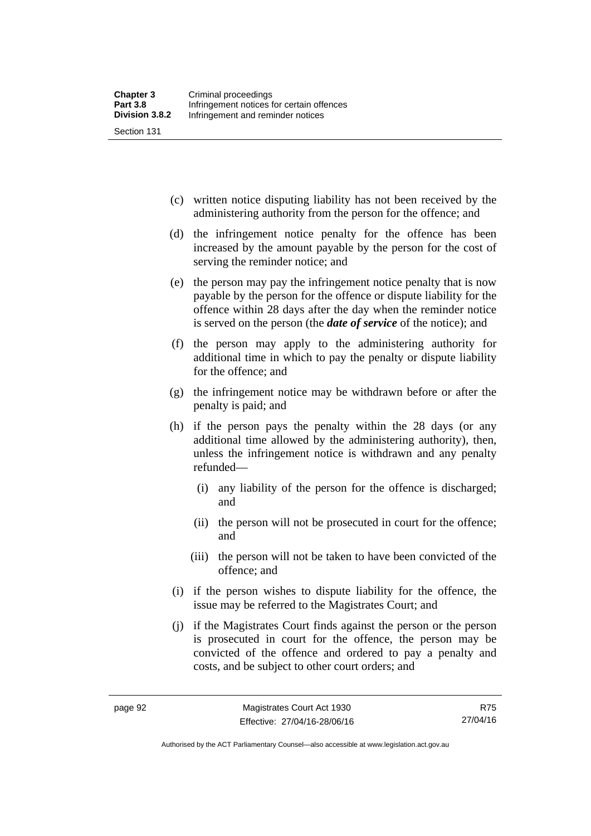(c) written notice disputing liability has not been received by the administering authority from the person for the offence; and

- (d) the infringement notice penalty for the offence has been increased by the amount payable by the person for the cost of serving the reminder notice; and
- (e) the person may pay the infringement notice penalty that is now payable by the person for the offence or dispute liability for the offence within 28 days after the day when the reminder notice is served on the person (the *date of service* of the notice); and
- (f) the person may apply to the administering authority for additional time in which to pay the penalty or dispute liability for the offence; and
- (g) the infringement notice may be withdrawn before or after the penalty is paid; and
- (h) if the person pays the penalty within the 28 days (or any additional time allowed by the administering authority), then, unless the infringement notice is withdrawn and any penalty refunded—
	- (i) any liability of the person for the offence is discharged; and
	- (ii) the person will not be prosecuted in court for the offence; and
	- (iii) the person will not be taken to have been convicted of the offence; and
- (i) if the person wishes to dispute liability for the offence, the issue may be referred to the Magistrates Court; and
- (j) if the Magistrates Court finds against the person or the person is prosecuted in court for the offence, the person may be convicted of the offence and ordered to pay a penalty and costs, and be subject to other court orders; and

Authorised by the ACT Parliamentary Counsel—also accessible at www.legislation.act.gov.au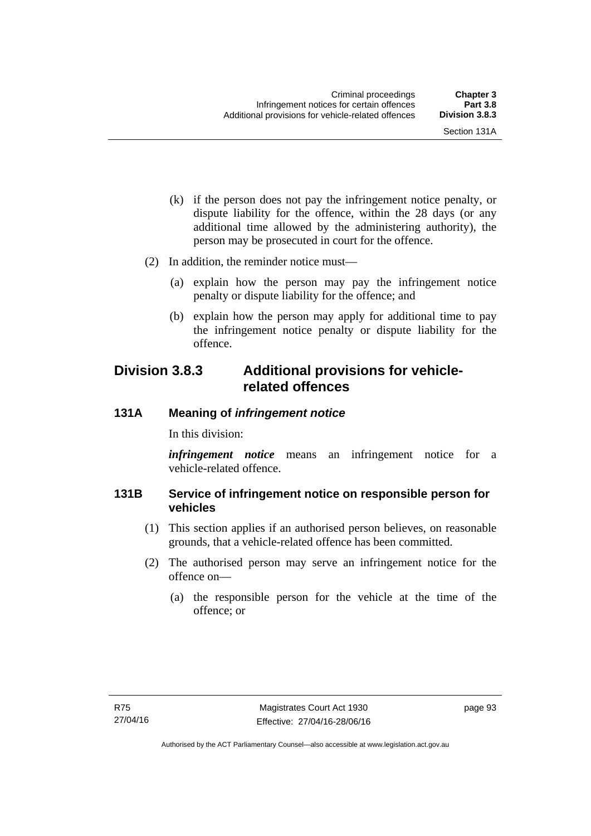- (k) if the person does not pay the infringement notice penalty, or dispute liability for the offence, within the 28 days (or any additional time allowed by the administering authority), the person may be prosecuted in court for the offence.
- (2) In addition, the reminder notice must—
	- (a) explain how the person may pay the infringement notice penalty or dispute liability for the offence; and
	- (b) explain how the person may apply for additional time to pay the infringement notice penalty or dispute liability for the offence.

# **Division 3.8.3 Additional provisions for vehiclerelated offences**

#### **131A Meaning of** *infringement notice*

In this division:

*infringement notice* means an infringement notice for a vehicle-related offence.

## **131B Service of infringement notice on responsible person for vehicles**

- (1) This section applies if an authorised person believes, on reasonable grounds, that a vehicle-related offence has been committed.
- (2) The authorised person may serve an infringement notice for the offence on—
	- (a) the responsible person for the vehicle at the time of the offence; or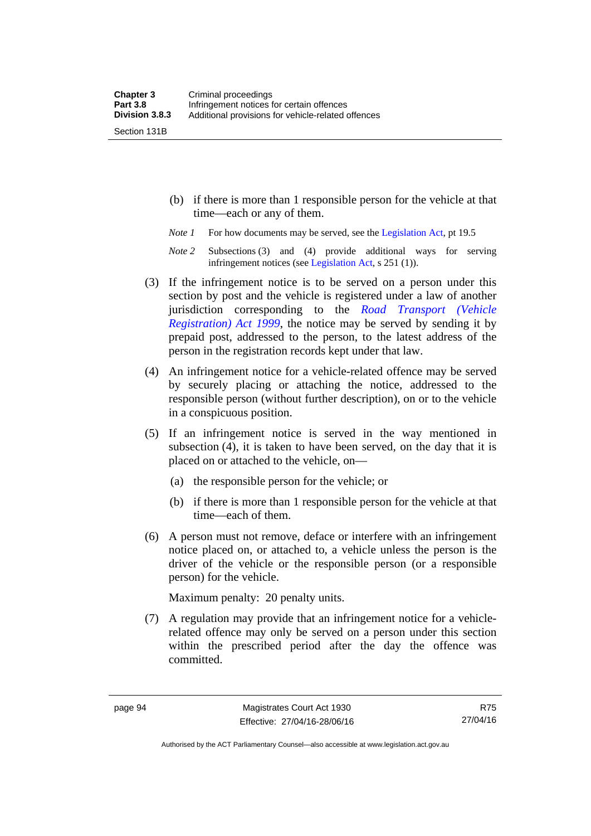Section 131B

- (b) if there is more than 1 responsible person for the vehicle at that time—each or any of them.
- *Note 1* For how documents may be served, see the [Legislation Act,](http://www.legislation.act.gov.au/a/2001-14) pt 19.5
- *Note 2* Subsections (3) and (4) provide additional ways for serving infringement notices (see [Legislation Act,](http://www.legislation.act.gov.au/a/2001-14) s 251 (1)).
- (3) If the infringement notice is to be served on a person under this section by post and the vehicle is registered under a law of another jurisdiction corresponding to the *[Road Transport \(Vehicle](http://www.legislation.act.gov.au/a/1999-81)  [Registration\) Act 1999](http://www.legislation.act.gov.au/a/1999-81)*, the notice may be served by sending it by prepaid post, addressed to the person, to the latest address of the person in the registration records kept under that law.
- (4) An infringement notice for a vehicle-related offence may be served by securely placing or attaching the notice, addressed to the responsible person (without further description), on or to the vehicle in a conspicuous position.
- (5) If an infringement notice is served in the way mentioned in subsection (4), it is taken to have been served, on the day that it is placed on or attached to the vehicle, on—
	- (a) the responsible person for the vehicle; or
	- (b) if there is more than 1 responsible person for the vehicle at that time—each of them.
- (6) A person must not remove, deface or interfere with an infringement notice placed on, or attached to, a vehicle unless the person is the driver of the vehicle or the responsible person (or a responsible person) for the vehicle.

Maximum penalty: 20 penalty units.

 (7) A regulation may provide that an infringement notice for a vehiclerelated offence may only be served on a person under this section within the prescribed period after the day the offence was committed.

R75 27/04/16

Authorised by the ACT Parliamentary Counsel—also accessible at www.legislation.act.gov.au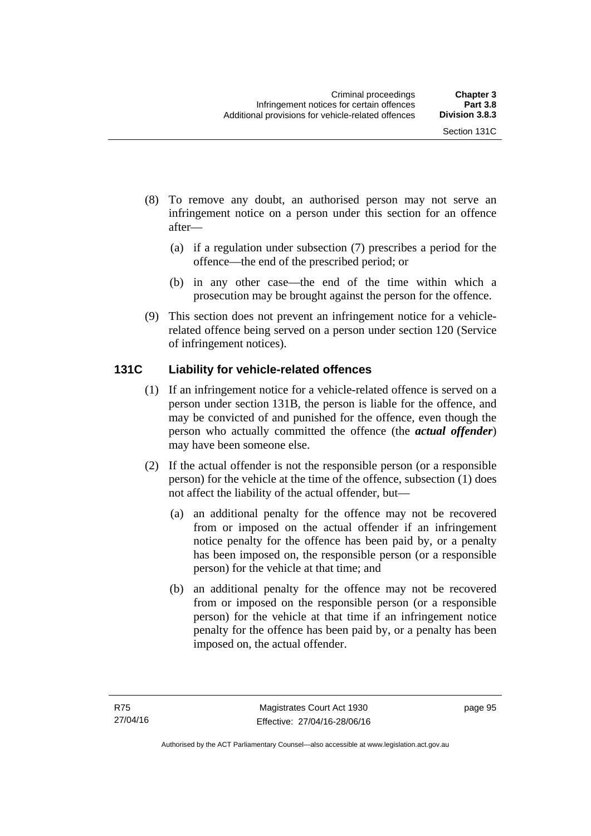- (8) To remove any doubt, an authorised person may not serve an infringement notice on a person under this section for an offence after—
	- (a) if a regulation under subsection (7) prescribes a period for the offence—the end of the prescribed period; or
	- (b) in any other case—the end of the time within which a prosecution may be brought against the person for the offence.
- (9) This section does not prevent an infringement notice for a vehiclerelated offence being served on a person under section 120 (Service of infringement notices).

# **131C Liability for vehicle-related offences**

- (1) If an infringement notice for a vehicle-related offence is served on a person under section 131B, the person is liable for the offence, and may be convicted of and punished for the offence, even though the person who actually committed the offence (the *actual offender*) may have been someone else.
- (2) If the actual offender is not the responsible person (or a responsible person) for the vehicle at the time of the offence, subsection (1) does not affect the liability of the actual offender, but—
	- (a) an additional penalty for the offence may not be recovered from or imposed on the actual offender if an infringement notice penalty for the offence has been paid by, or a penalty has been imposed on, the responsible person (or a responsible person) for the vehicle at that time; and
	- (b) an additional penalty for the offence may not be recovered from or imposed on the responsible person (or a responsible person) for the vehicle at that time if an infringement notice penalty for the offence has been paid by, or a penalty has been imposed on, the actual offender.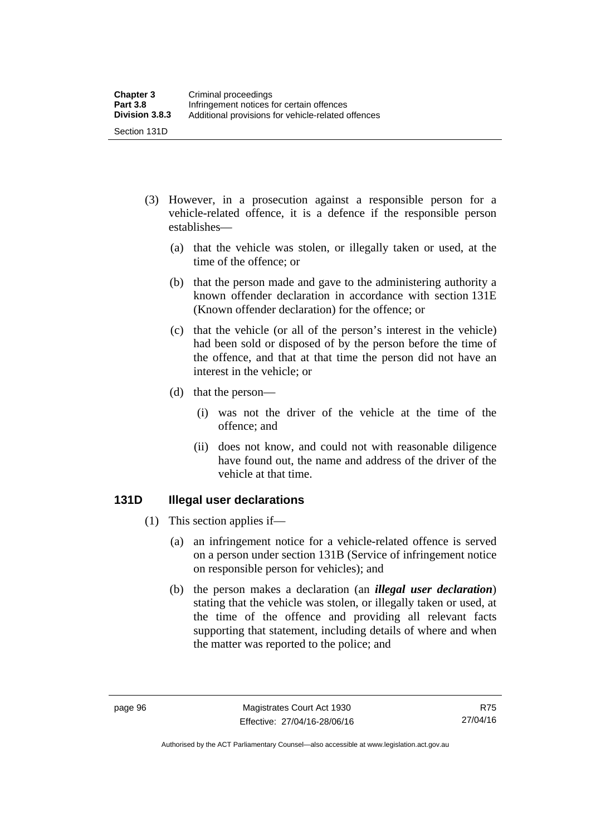- (3) However, in a prosecution against a responsible person for a vehicle-related offence, it is a defence if the responsible person establishes—
	- (a) that the vehicle was stolen, or illegally taken or used, at the time of the offence; or
	- (b) that the person made and gave to the administering authority a known offender declaration in accordance with section 131E (Known offender declaration) for the offence; or
	- (c) that the vehicle (or all of the person's interest in the vehicle) had been sold or disposed of by the person before the time of the offence, and that at that time the person did not have an interest in the vehicle; or
	- (d) that the person—
		- (i) was not the driver of the vehicle at the time of the offence; and
		- (ii) does not know, and could not with reasonable diligence have found out, the name and address of the driver of the vehicle at that time.

#### **131D Illegal user declarations**

- (1) This section applies if—
	- (a) an infringement notice for a vehicle-related offence is served on a person under section 131B (Service of infringement notice on responsible person for vehicles); and
	- (b) the person makes a declaration (an *illegal user declaration*) stating that the vehicle was stolen, or illegally taken or used, at the time of the offence and providing all relevant facts supporting that statement, including details of where and when the matter was reported to the police; and

R75 27/04/16

Authorised by the ACT Parliamentary Counsel—also accessible at www.legislation.act.gov.au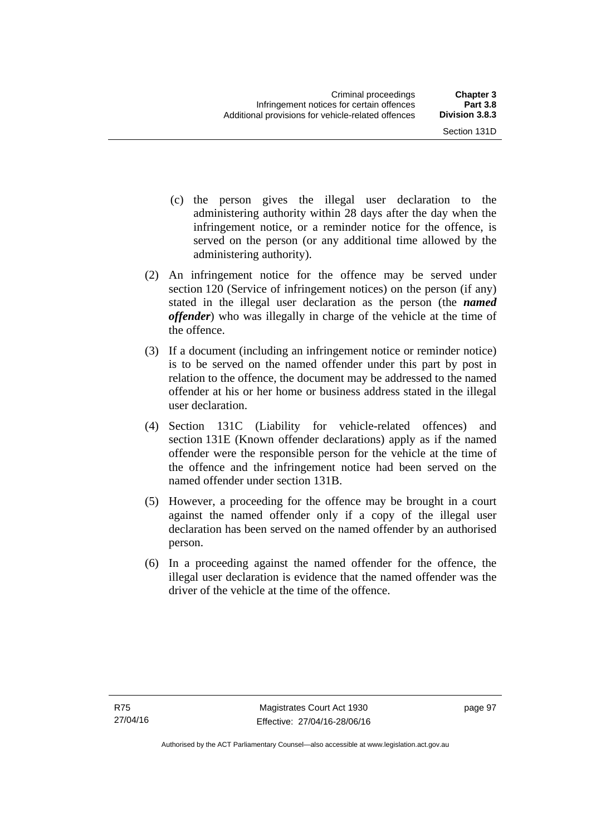- (c) the person gives the illegal user declaration to the administering authority within 28 days after the day when the infringement notice, or a reminder notice for the offence, is served on the person (or any additional time allowed by the administering authority).
- (2) An infringement notice for the offence may be served under section 120 (Service of infringement notices) on the person (if any) stated in the illegal user declaration as the person (the *named offender*) who was illegally in charge of the vehicle at the time of the offence.
- (3) If a document (including an infringement notice or reminder notice) is to be served on the named offender under this part by post in relation to the offence, the document may be addressed to the named offender at his or her home or business address stated in the illegal user declaration.
- (4) Section 131C (Liability for vehicle-related offences) and section 131E (Known offender declarations) apply as if the named offender were the responsible person for the vehicle at the time of the offence and the infringement notice had been served on the named offender under section 131B.
- (5) However, a proceeding for the offence may be brought in a court against the named offender only if a copy of the illegal user declaration has been served on the named offender by an authorised person.
- (6) In a proceeding against the named offender for the offence, the illegal user declaration is evidence that the named offender was the driver of the vehicle at the time of the offence.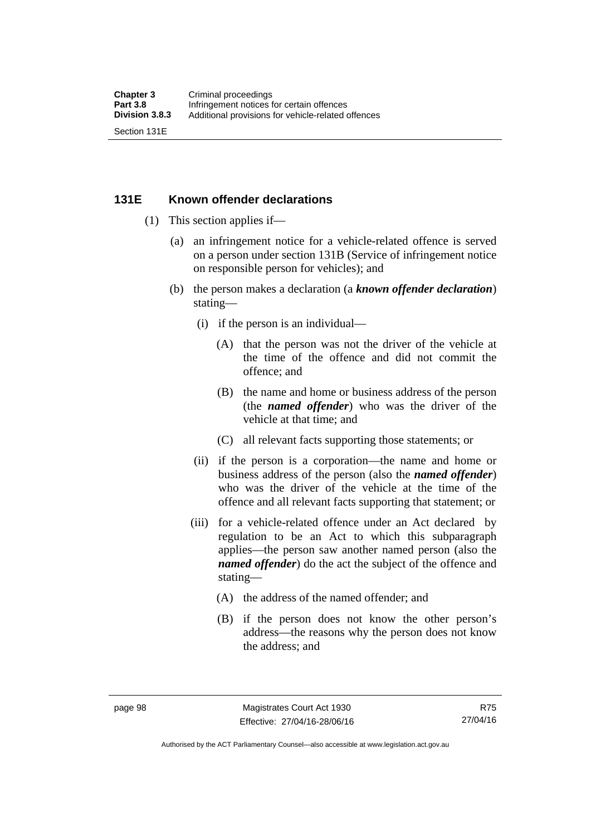### **131E Known offender declarations**

- (1) This section applies if—
	- (a) an infringement notice for a vehicle-related offence is served on a person under section 131B (Service of infringement notice on responsible person for vehicles); and
	- (b) the person makes a declaration (a *known offender declaration*) stating—
		- (i) if the person is an individual—
			- (A) that the person was not the driver of the vehicle at the time of the offence and did not commit the offence; and
			- (B) the name and home or business address of the person (the *named offender*) who was the driver of the vehicle at that time; and
			- (C) all relevant facts supporting those statements; or
		- (ii) if the person is a corporation—the name and home or business address of the person (also the *named offender*) who was the driver of the vehicle at the time of the offence and all relevant facts supporting that statement; or
		- (iii) for a vehicle-related offence under an Act declared by regulation to be an Act to which this subparagraph applies—the person saw another named person (also the *named offender*) do the act the subject of the offence and stating—
			- (A) the address of the named offender; and
			- (B) if the person does not know the other person's address—the reasons why the person does not know the address; and

R75 27/04/16

Authorised by the ACT Parliamentary Counsel—also accessible at www.legislation.act.gov.au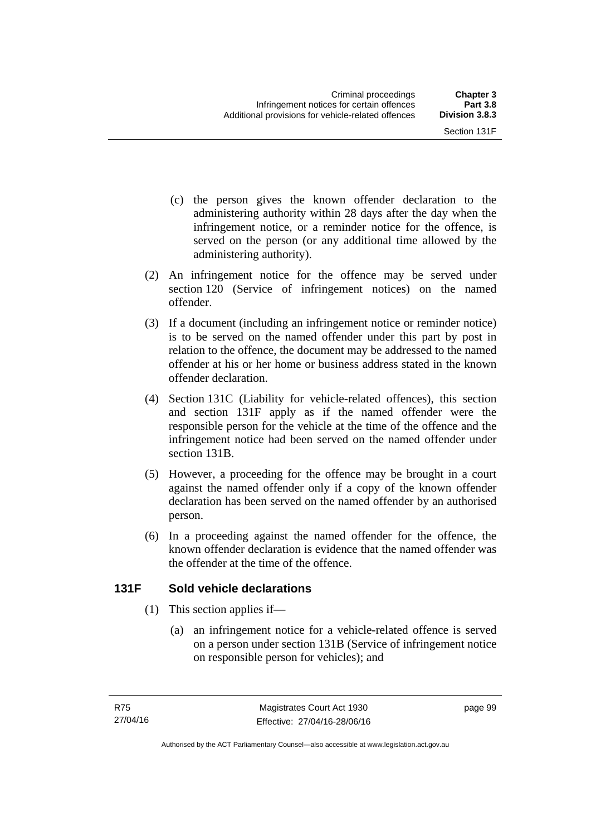- (c) the person gives the known offender declaration to the administering authority within 28 days after the day when the infringement notice, or a reminder notice for the offence, is served on the person (or any additional time allowed by the administering authority).
- (2) An infringement notice for the offence may be served under section 120 (Service of infringement notices) on the named offender.
- (3) If a document (including an infringement notice or reminder notice) is to be served on the named offender under this part by post in relation to the offence, the document may be addressed to the named offender at his or her home or business address stated in the known offender declaration.
- (4) Section 131C (Liability for vehicle-related offences), this section and section 131F apply as if the named offender were the responsible person for the vehicle at the time of the offence and the infringement notice had been served on the named offender under section 131B.
- (5) However, a proceeding for the offence may be brought in a court against the named offender only if a copy of the known offender declaration has been served on the named offender by an authorised person.
- (6) In a proceeding against the named offender for the offence, the known offender declaration is evidence that the named offender was the offender at the time of the offence.

# **131F Sold vehicle declarations**

- (1) This section applies if—
	- (a) an infringement notice for a vehicle-related offence is served on a person under section 131B (Service of infringement notice on responsible person for vehicles); and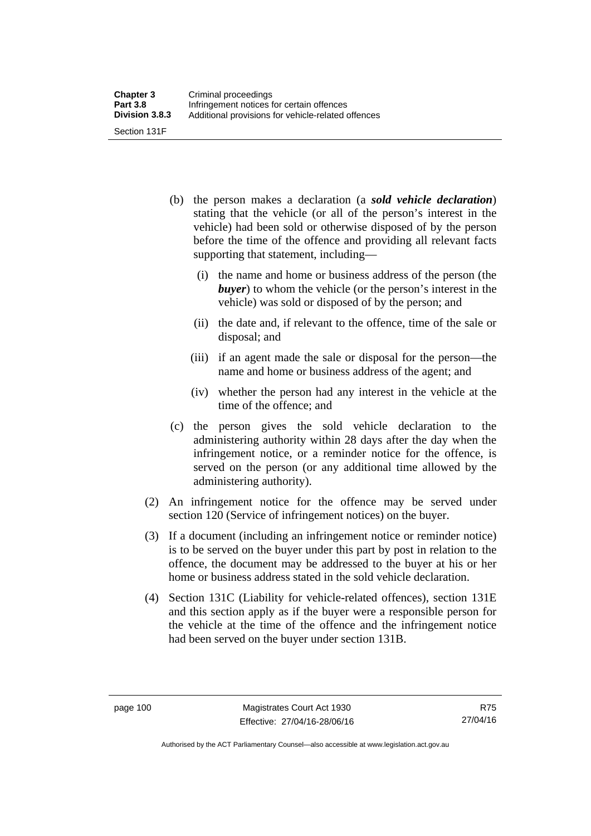- (b) the person makes a declaration (a *sold vehicle declaration*) stating that the vehicle (or all of the person's interest in the vehicle) had been sold or otherwise disposed of by the person before the time of the offence and providing all relevant facts supporting that statement, including—
	- (i) the name and home or business address of the person (the *buyer*) to whom the vehicle (or the person's interest in the vehicle) was sold or disposed of by the person; and
	- (ii) the date and, if relevant to the offence, time of the sale or disposal; and
	- (iii) if an agent made the sale or disposal for the person—the name and home or business address of the agent; and
	- (iv) whether the person had any interest in the vehicle at the time of the offence; and
- (c) the person gives the sold vehicle declaration to the administering authority within 28 days after the day when the infringement notice, or a reminder notice for the offence, is served on the person (or any additional time allowed by the administering authority).
- (2) An infringement notice for the offence may be served under section 120 (Service of infringement notices) on the buyer.
- (3) If a document (including an infringement notice or reminder notice) is to be served on the buyer under this part by post in relation to the offence, the document may be addressed to the buyer at his or her home or business address stated in the sold vehicle declaration.
- (4) Section 131C (Liability for vehicle-related offences), section 131E and this section apply as if the buyer were a responsible person for the vehicle at the time of the offence and the infringement notice had been served on the buyer under section 131B.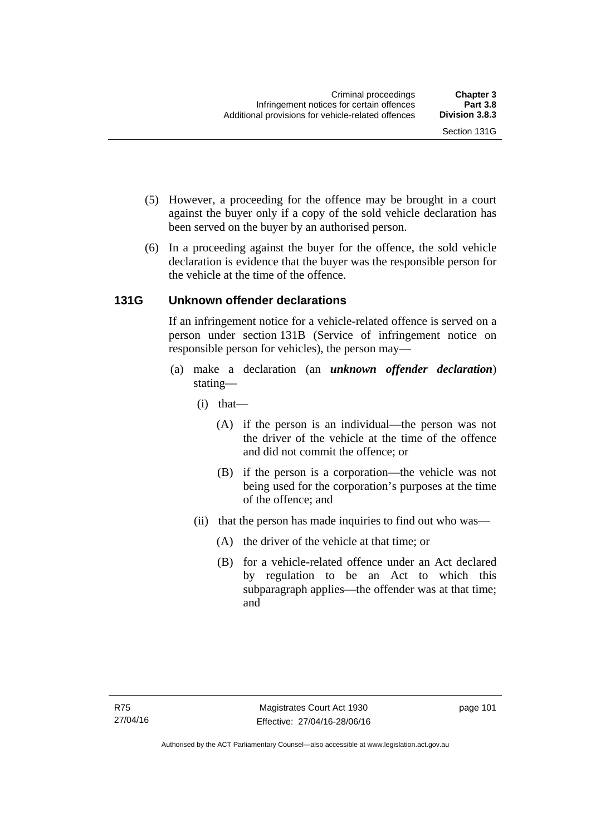- (5) However, a proceeding for the offence may be brought in a court against the buyer only if a copy of the sold vehicle declaration has been served on the buyer by an authorised person.
- (6) In a proceeding against the buyer for the offence, the sold vehicle declaration is evidence that the buyer was the responsible person for the vehicle at the time of the offence.

# **131G Unknown offender declarations**

If an infringement notice for a vehicle-related offence is served on a person under section 131B (Service of infringement notice on responsible person for vehicles), the person may—

- (a) make a declaration (an *unknown offender declaration*) stating—
	- (i) that—
		- (A) if the person is an individual—the person was not the driver of the vehicle at the time of the offence and did not commit the offence; or
		- (B) if the person is a corporation—the vehicle was not being used for the corporation's purposes at the time of the offence; and
	- (ii) that the person has made inquiries to find out who was—
		- (A) the driver of the vehicle at that time; or
		- (B) for a vehicle-related offence under an Act declared by regulation to be an Act to which this subparagraph applies—the offender was at that time; and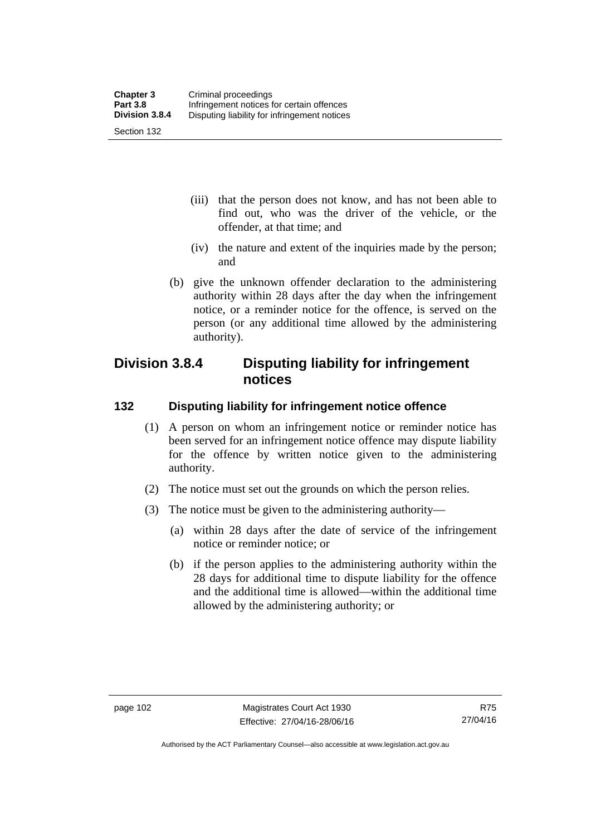- (iii) that the person does not know, and has not been able to find out, who was the driver of the vehicle, or the offender, at that time; and
- (iv) the nature and extent of the inquiries made by the person; and
- (b) give the unknown offender declaration to the administering authority within 28 days after the day when the infringement notice, or a reminder notice for the offence, is served on the person (or any additional time allowed by the administering authority).

# **Division 3.8.4 Disputing liability for infringement notices**

# **132 Disputing liability for infringement notice offence**

- (1) A person on whom an infringement notice or reminder notice has been served for an infringement notice offence may dispute liability for the offence by written notice given to the administering authority.
- (2) The notice must set out the grounds on which the person relies.
- (3) The notice must be given to the administering authority—
	- (a) within 28 days after the date of service of the infringement notice or reminder notice; or
	- (b) if the person applies to the administering authority within the 28 days for additional time to dispute liability for the offence and the additional time is allowed—within the additional time allowed by the administering authority; or

Authorised by the ACT Parliamentary Counsel—also accessible at www.legislation.act.gov.au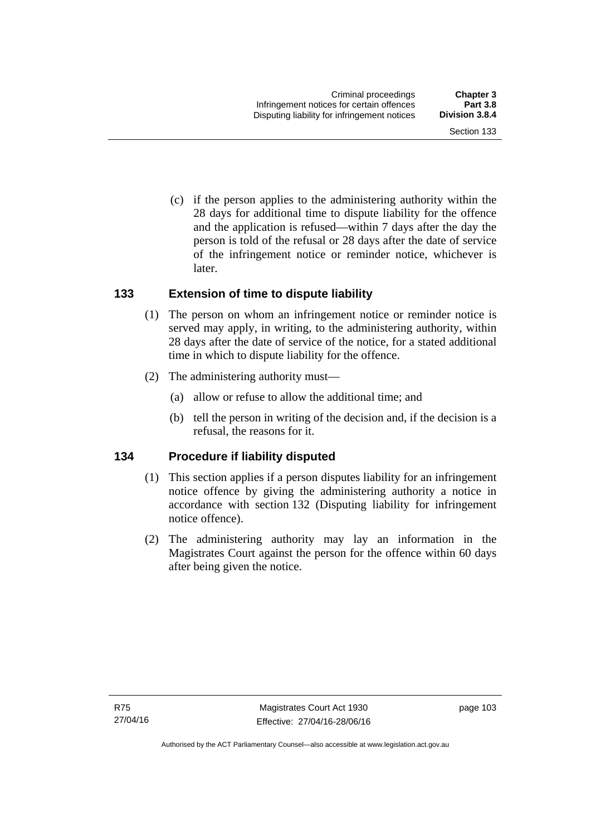Section 133

 (c) if the person applies to the administering authority within the 28 days for additional time to dispute liability for the offence and the application is refused—within 7 days after the day the person is told of the refusal or 28 days after the date of service of the infringement notice or reminder notice, whichever is

## **133 Extension of time to dispute liability**

later.

- (1) The person on whom an infringement notice or reminder notice is served may apply, in writing, to the administering authority, within 28 days after the date of service of the notice, for a stated additional time in which to dispute liability for the offence.
- (2) The administering authority must—
	- (a) allow or refuse to allow the additional time; and
	- (b) tell the person in writing of the decision and, if the decision is a refusal, the reasons for it.

## **134 Procedure if liability disputed**

- (1) This section applies if a person disputes liability for an infringement notice offence by giving the administering authority a notice in accordance with section 132 (Disputing liability for infringement notice offence).
- (2) The administering authority may lay an information in the Magistrates Court against the person for the offence within 60 days after being given the notice.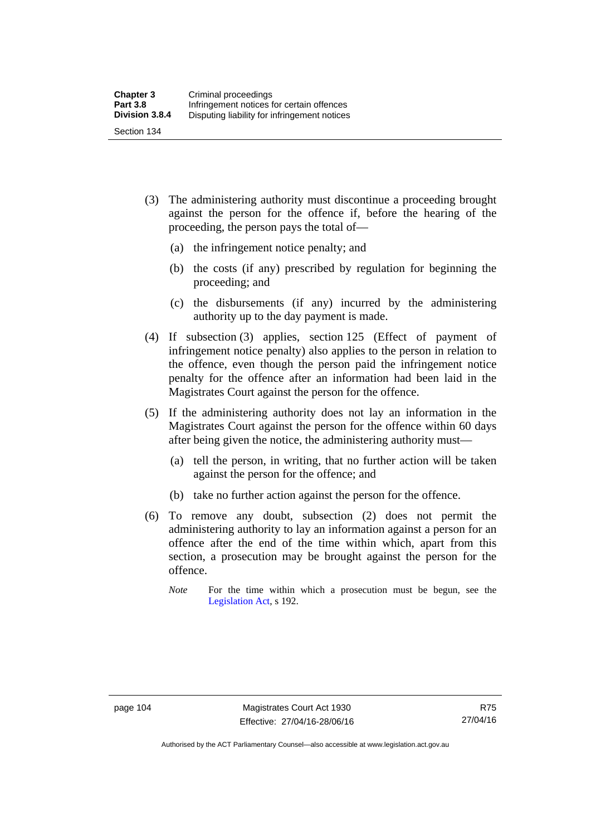- (3) The administering authority must discontinue a proceeding brought against the person for the offence if, before the hearing of the proceeding, the person pays the total of—
	- (a) the infringement notice penalty; and
	- (b) the costs (if any) prescribed by regulation for beginning the proceeding; and
	- (c) the disbursements (if any) incurred by the administering authority up to the day payment is made.
- (4) If subsection (3) applies, section 125 (Effect of payment of infringement notice penalty) also applies to the person in relation to the offence, even though the person paid the infringement notice penalty for the offence after an information had been laid in the Magistrates Court against the person for the offence.
- (5) If the administering authority does not lay an information in the Magistrates Court against the person for the offence within 60 days after being given the notice, the administering authority must—
	- (a) tell the person, in writing, that no further action will be taken against the person for the offence; and
	- (b) take no further action against the person for the offence.
- (6) To remove any doubt, subsection (2) does not permit the administering authority to lay an information against a person for an offence after the end of the time within which, apart from this section, a prosecution may be brought against the person for the offence.
	- *Note* For the time within which a prosecution must be begun, see the [Legislation Act,](http://www.legislation.act.gov.au/a/2001-14) s 192.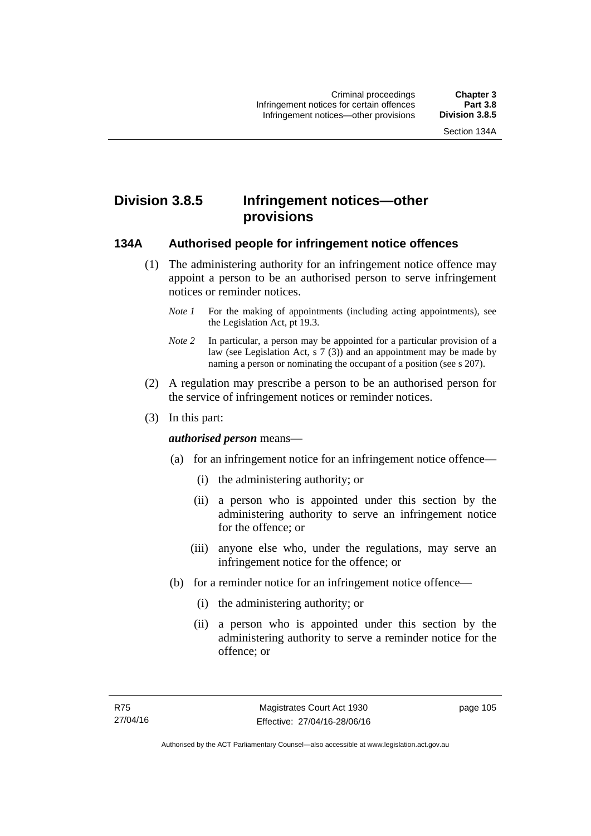# **Division 3.8.5 Infringement notices—other provisions**

#### **134A Authorised people for infringement notice offences**

- (1) The administering authority for an infringement notice offence may appoint a person to be an authorised person to serve infringement notices or reminder notices.
	- *Note 1* For the making of appointments (including acting appointments), see the [Legislation Act,](http://www.legislation.act.gov.au/a/2001-14) pt 19.3.
	- *Note 2* In particular, a person may be appointed for a particular provision of a law (see [Legislation Act,](http://www.legislation.act.gov.au/a/2001-14) s 7 (3)) and an appointment may be made by naming a person or nominating the occupant of a position (see s 207).
- (2) A regulation may prescribe a person to be an authorised person for the service of infringement notices or reminder notices.
- (3) In this part:

#### *authorised person* means—

- (a) for an infringement notice for an infringement notice offence—
	- (i) the administering authority; or
	- (ii) a person who is appointed under this section by the administering authority to serve an infringement notice for the offence; or
	- (iii) anyone else who, under the regulations, may serve an infringement notice for the offence; or
- (b) for a reminder notice for an infringement notice offence—
	- (i) the administering authority; or
	- (ii) a person who is appointed under this section by the administering authority to serve a reminder notice for the offence; or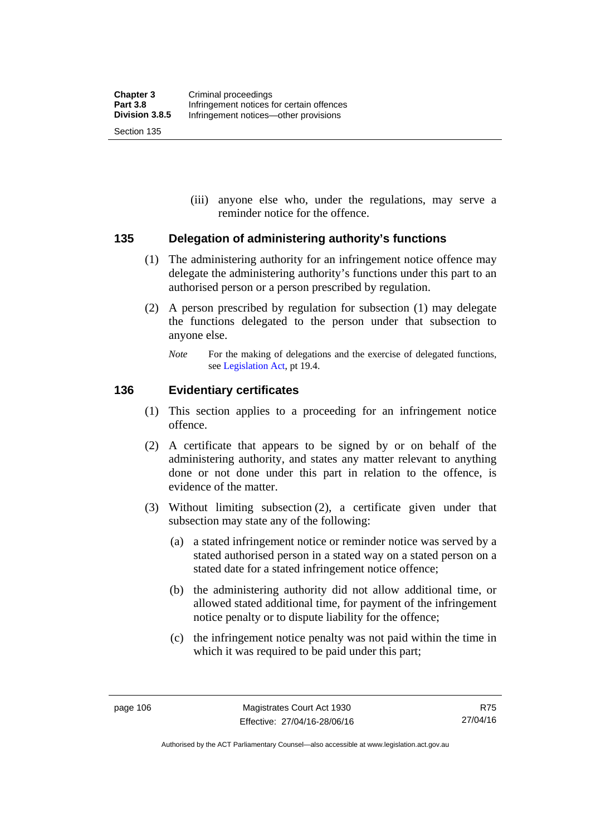(iii) anyone else who, under the regulations, may serve a reminder notice for the offence.

#### **135 Delegation of administering authority's functions**

- (1) The administering authority for an infringement notice offence may delegate the administering authority's functions under this part to an authorised person or a person prescribed by regulation.
- (2) A person prescribed by regulation for subsection (1) may delegate the functions delegated to the person under that subsection to anyone else.
	- *Note* For the making of delegations and the exercise of delegated functions, see [Legislation Act](http://www.legislation.act.gov.au/a/2001-14), pt 19.4.

#### **136 Evidentiary certificates**

- (1) This section applies to a proceeding for an infringement notice offence.
- (2) A certificate that appears to be signed by or on behalf of the administering authority, and states any matter relevant to anything done or not done under this part in relation to the offence, is evidence of the matter.
- (3) Without limiting subsection (2), a certificate given under that subsection may state any of the following:
	- (a) a stated infringement notice or reminder notice was served by a stated authorised person in a stated way on a stated person on a stated date for a stated infringement notice offence;
	- (b) the administering authority did not allow additional time, or allowed stated additional time, for payment of the infringement notice penalty or to dispute liability for the offence;
	- (c) the infringement notice penalty was not paid within the time in which it was required to be paid under this part;

Authorised by the ACT Parliamentary Counsel—also accessible at www.legislation.act.gov.au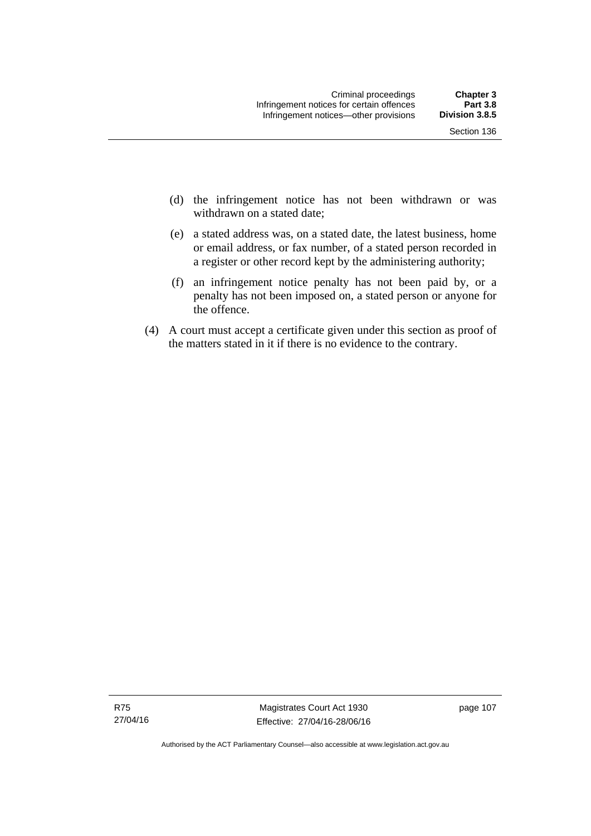- (d) the infringement notice has not been withdrawn or was withdrawn on a stated date:
- (e) a stated address was, on a stated date, the latest business, home or email address, or fax number, of a stated person recorded in a register or other record kept by the administering authority;
- (f) an infringement notice penalty has not been paid by, or a penalty has not been imposed on, a stated person or anyone for the offence.
- (4) A court must accept a certificate given under this section as proof of the matters stated in it if there is no evidence to the contrary.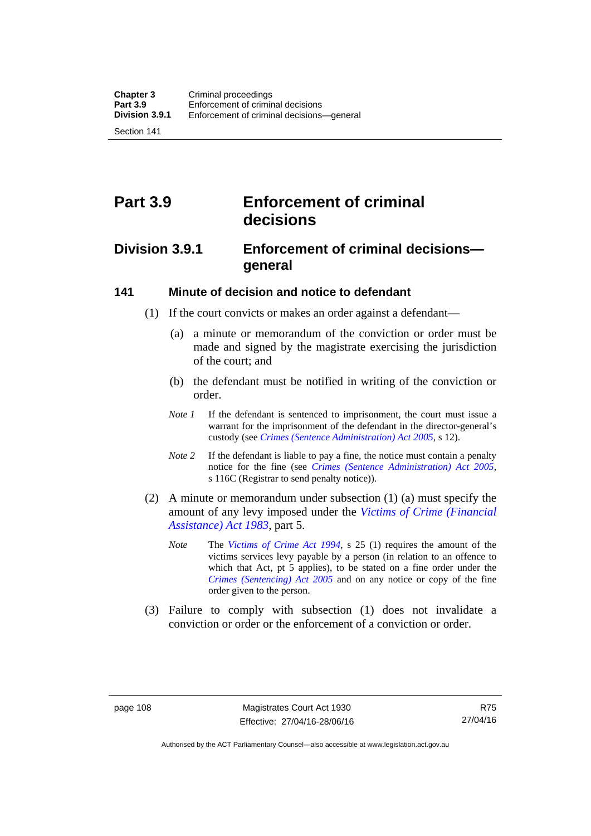Section 141

# **Part 3.9 Enforcement of criminal decisions**

# **Division 3.9.1 Enforcement of criminal decisions general**

#### **141 Minute of decision and notice to defendant**

- (1) If the court convicts or makes an order against a defendant—
	- (a) a minute or memorandum of the conviction or order must be made and signed by the magistrate exercising the jurisdiction of the court; and
	- (b) the defendant must be notified in writing of the conviction or order.
	- *Note 1* If the defendant is sentenced to imprisonment, the court must issue a warrant for the imprisonment of the defendant in the director-general's custody (see *[Crimes \(Sentence Administration\) Act 2005](http://www.legislation.act.gov.au/a/2005-59)*, s 12).
	- *Note* 2 If the defendant is liable to pay a fine, the notice must contain a penalty notice for the fine (see *[Crimes \(Sentence Administration\) Act 2005](http://www.legislation.act.gov.au/a/2005-59)*, s 116C (Registrar to send penalty notice)).
- (2) A minute or memorandum under subsection (1) (a) must specify the amount of any levy imposed under the *[Victims of Crime \(Financial](http://www.legislation.act.gov.au/a/1983-11)  [Assistance\) Act 1983](http://www.legislation.act.gov.au/a/1983-11)*, part 5.
	- *Note* The *[Victims of Crime Act 1994](http://www.legislation.act.gov.au/a/1994-83)*, s 25 (1) requires the amount of the victims services levy payable by a person (in relation to an offence to which that Act, pt 5 applies), to be stated on a fine order under the *[Crimes \(Sentencing\) Act 2005](http://www.legislation.act.gov.au/a/2005-58)* and on any notice or copy of the fine order given to the person.
- (3) Failure to comply with subsection (1) does not invalidate a conviction or order or the enforcement of a conviction or order.

R75 27/04/16

Authorised by the ACT Parliamentary Counsel—also accessible at www.legislation.act.gov.au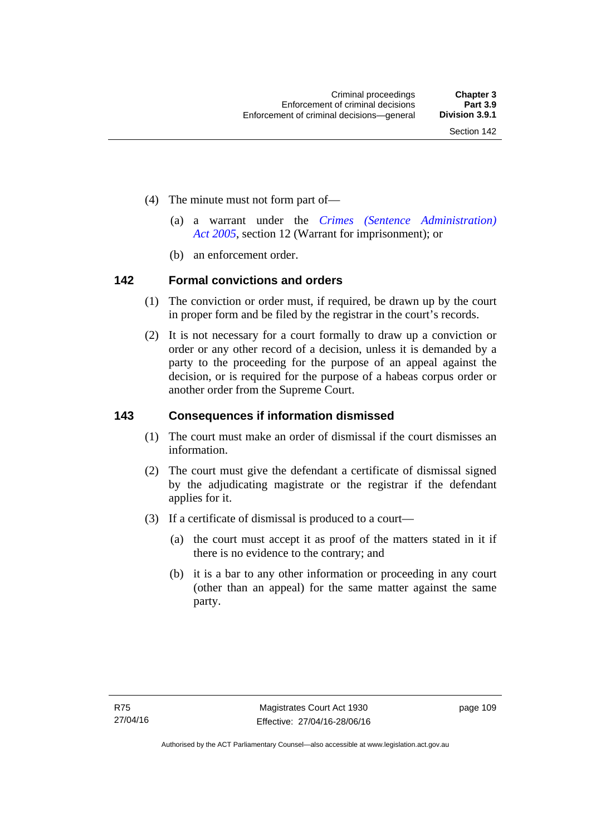- (4) The minute must not form part of—
	- (a) a warrant under the *[Crimes \(Sentence Administration\)](http://www.legislation.act.gov.au/a/2005-59)  [Act 2005](http://www.legislation.act.gov.au/a/2005-59)*, section 12 (Warrant for imprisonment); or
	- (b) an enforcement order.

#### **142 Formal convictions and orders**

- (1) The conviction or order must, if required, be drawn up by the court in proper form and be filed by the registrar in the court's records.
- (2) It is not necessary for a court formally to draw up a conviction or order or any other record of a decision, unless it is demanded by a party to the proceeding for the purpose of an appeal against the decision, or is required for the purpose of a habeas corpus order or another order from the Supreme Court.

#### **143 Consequences if information dismissed**

- (1) The court must make an order of dismissal if the court dismisses an information.
- (2) The court must give the defendant a certificate of dismissal signed by the adjudicating magistrate or the registrar if the defendant applies for it.
- (3) If a certificate of dismissal is produced to a court—
	- (a) the court must accept it as proof of the matters stated in it if there is no evidence to the contrary; and
	- (b) it is a bar to any other information or proceeding in any court (other than an appeal) for the same matter against the same party.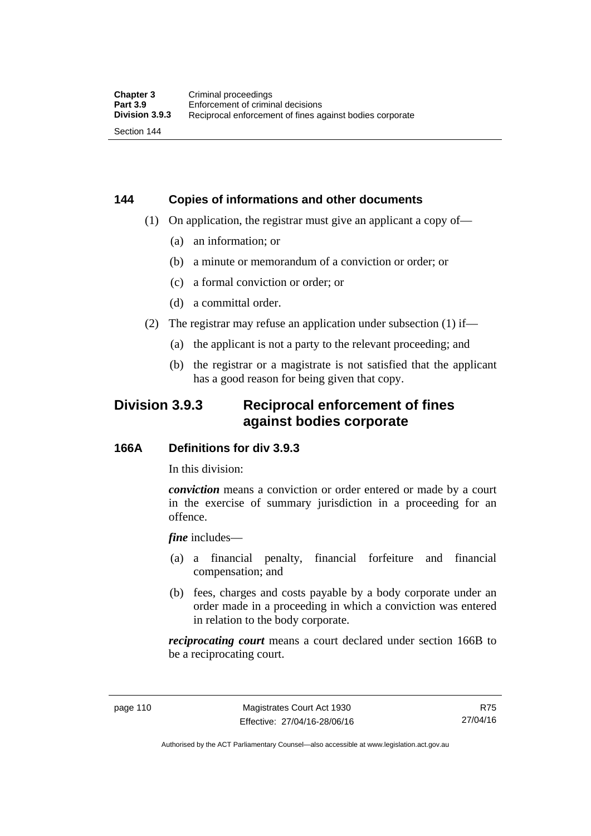# **144 Copies of informations and other documents**

- (1) On application, the registrar must give an applicant a copy of—
	- (a) an information; or
	- (b) a minute or memorandum of a conviction or order; or
	- (c) a formal conviction or order; or
	- (d) a committal order.
- (2) The registrar may refuse an application under subsection (1) if—
	- (a) the applicant is not a party to the relevant proceeding; and
	- (b) the registrar or a magistrate is not satisfied that the applicant has a good reason for being given that copy.

# **Division 3.9.3 Reciprocal enforcement of fines against bodies corporate**

## **166A Definitions for div 3.9.3**

In this division:

*conviction* means a conviction or order entered or made by a court in the exercise of summary jurisdiction in a proceeding for an offence.

*fine* includes—

- (a) a financial penalty, financial forfeiture and financial compensation; and
- (b) fees, charges and costs payable by a body corporate under an order made in a proceeding in which a conviction was entered in relation to the body corporate.

*reciprocating court* means a court declared under section 166B to be a reciprocating court.

Authorised by the ACT Parliamentary Counsel—also accessible at www.legislation.act.gov.au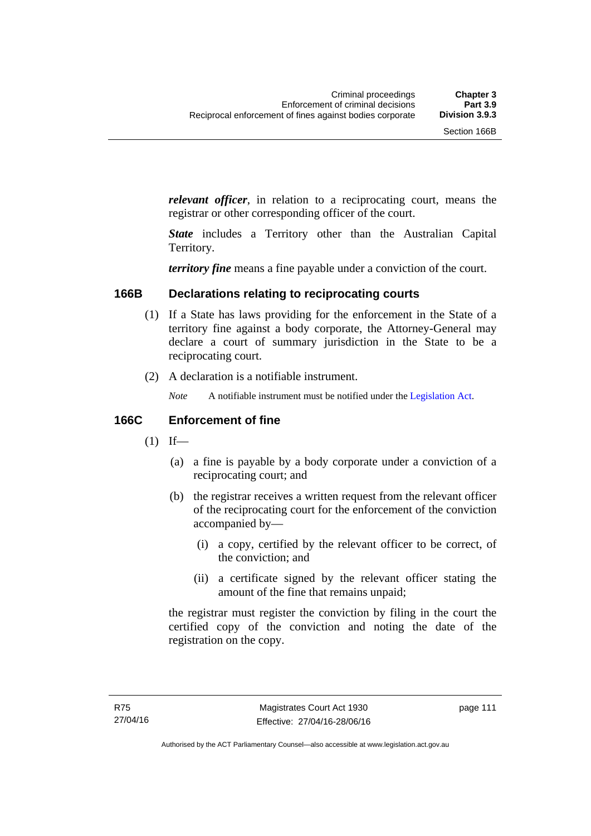*relevant officer*, in relation to a reciprocating court, means the registrar or other corresponding officer of the court.

*State* includes a Territory other than the Australian Capital Territory.

*territory fine* means a fine payable under a conviction of the court.

#### **166B Declarations relating to reciprocating courts**

- (1) If a State has laws providing for the enforcement in the State of a territory fine against a body corporate, the Attorney-General may declare a court of summary jurisdiction in the State to be a reciprocating court.
- (2) A declaration is a notifiable instrument.
	- *Note* A notifiable instrument must be notified under the [Legislation Act](http://www.legislation.act.gov.au/a/2001-14).

### **166C Enforcement of fine**

- $(1)$  If—
	- (a) a fine is payable by a body corporate under a conviction of a reciprocating court; and
	- (b) the registrar receives a written request from the relevant officer of the reciprocating court for the enforcement of the conviction accompanied by—
		- (i) a copy, certified by the relevant officer to be correct, of the conviction; and
		- (ii) a certificate signed by the relevant officer stating the amount of the fine that remains unpaid;

the registrar must register the conviction by filing in the court the certified copy of the conviction and noting the date of the registration on the copy.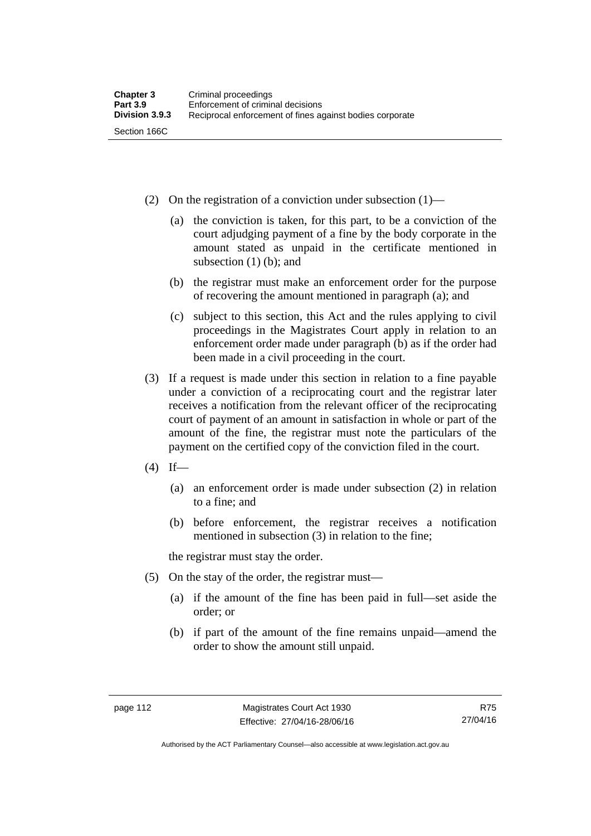- (2) On the registration of a conviction under subsection (1)—
	- (a) the conviction is taken, for this part, to be a conviction of the court adjudging payment of a fine by the body corporate in the amount stated as unpaid in the certificate mentioned in subsection (1) (b); and
	- (b) the registrar must make an enforcement order for the purpose of recovering the amount mentioned in paragraph (a); and
	- (c) subject to this section, this Act and the rules applying to civil proceedings in the Magistrates Court apply in relation to an enforcement order made under paragraph (b) as if the order had been made in a civil proceeding in the court.
- (3) If a request is made under this section in relation to a fine payable under a conviction of a reciprocating court and the registrar later receives a notification from the relevant officer of the reciprocating court of payment of an amount in satisfaction in whole or part of the amount of the fine, the registrar must note the particulars of the payment on the certified copy of the conviction filed in the court.
- $(4)$  If—
	- (a) an enforcement order is made under subsection (2) in relation to a fine; and
	- (b) before enforcement, the registrar receives a notification mentioned in subsection (3) in relation to the fine;

the registrar must stay the order.

- (5) On the stay of the order, the registrar must—
	- (a) if the amount of the fine has been paid in full—set aside the order; or
	- (b) if part of the amount of the fine remains unpaid—amend the order to show the amount still unpaid.

R75 27/04/16

Authorised by the ACT Parliamentary Counsel—also accessible at www.legislation.act.gov.au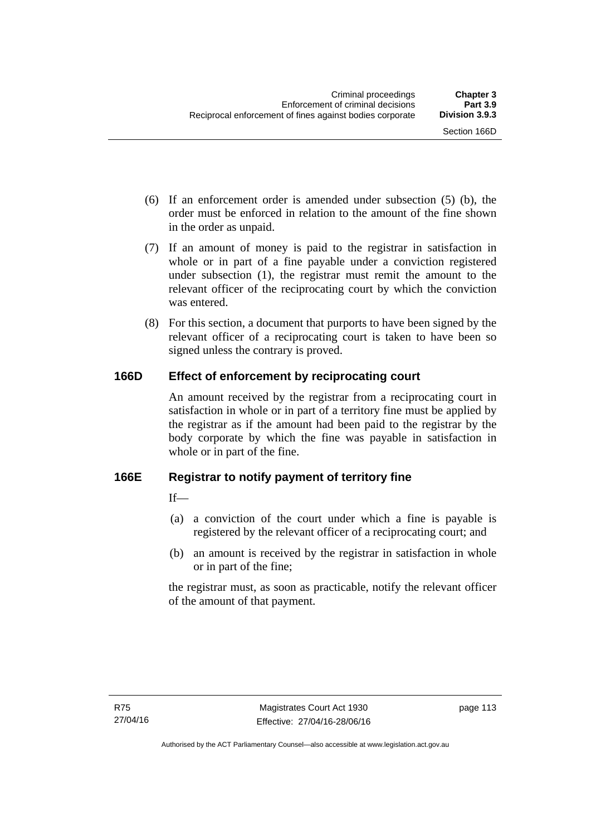- (6) If an enforcement order is amended under subsection (5) (b), the order must be enforced in relation to the amount of the fine shown in the order as unpaid.
- (7) If an amount of money is paid to the registrar in satisfaction in whole or in part of a fine payable under a conviction registered under subsection (1), the registrar must remit the amount to the relevant officer of the reciprocating court by which the conviction was entered.
- (8) For this section, a document that purports to have been signed by the relevant officer of a reciprocating court is taken to have been so signed unless the contrary is proved.

# **166D Effect of enforcement by reciprocating court**

An amount received by the registrar from a reciprocating court in satisfaction in whole or in part of a territory fine must be applied by the registrar as if the amount had been paid to the registrar by the body corporate by which the fine was payable in satisfaction in whole or in part of the fine.

# **166E Registrar to notify payment of territory fine**

 $If$ <sub>—</sub>

- (a) a conviction of the court under which a fine is payable is registered by the relevant officer of a reciprocating court; and
- (b) an amount is received by the registrar in satisfaction in whole or in part of the fine;

the registrar must, as soon as practicable, notify the relevant officer of the amount of that payment.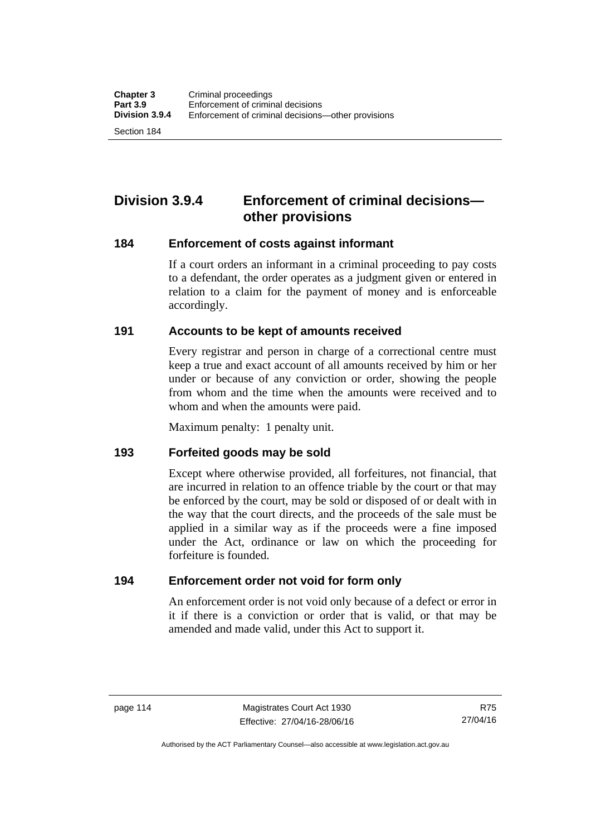Section 184

# **Division 3.9.4 Enforcement of criminal decisions other provisions**

#### **184 Enforcement of costs against informant**

If a court orders an informant in a criminal proceeding to pay costs to a defendant, the order operates as a judgment given or entered in relation to a claim for the payment of money and is enforceable accordingly.

#### **191 Accounts to be kept of amounts received**

Every registrar and person in charge of a correctional centre must keep a true and exact account of all amounts received by him or her under or because of any conviction or order, showing the people from whom and the time when the amounts were received and to whom and when the amounts were paid.

Maximum penalty: 1 penalty unit.

#### **193 Forfeited goods may be sold**

Except where otherwise provided, all forfeitures, not financial, that are incurred in relation to an offence triable by the court or that may be enforced by the court, may be sold or disposed of or dealt with in the way that the court directs, and the proceeds of the sale must be applied in a similar way as if the proceeds were a fine imposed under the Act, ordinance or law on which the proceeding for forfeiture is founded.

## **194 Enforcement order not void for form only**

An enforcement order is not void only because of a defect or error in it if there is a conviction or order that is valid, or that may be amended and made valid, under this Act to support it.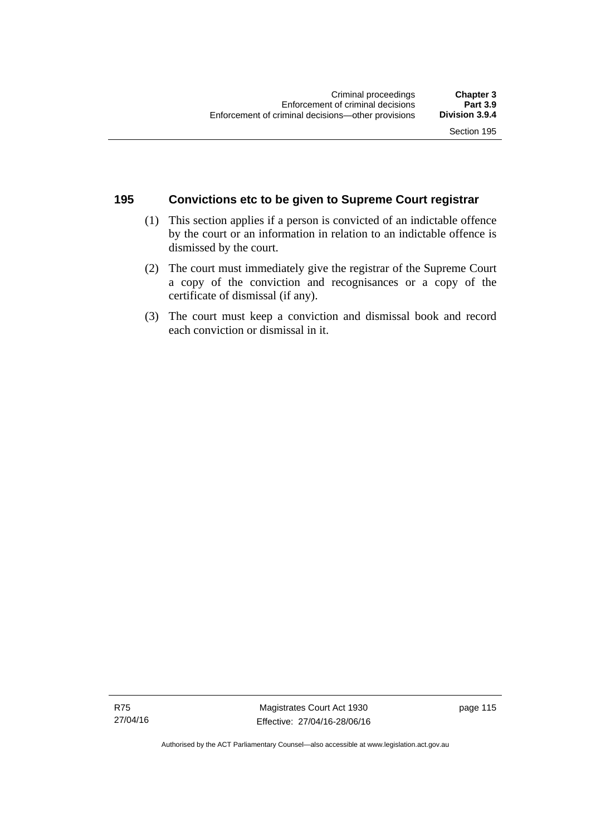# **195 Convictions etc to be given to Supreme Court registrar**

- (1) This section applies if a person is convicted of an indictable offence by the court or an information in relation to an indictable offence is dismissed by the court.
- (2) The court must immediately give the registrar of the Supreme Court a copy of the conviction and recognisances or a copy of the certificate of dismissal (if any).
- (3) The court must keep a conviction and dismissal book and record each conviction or dismissal in it.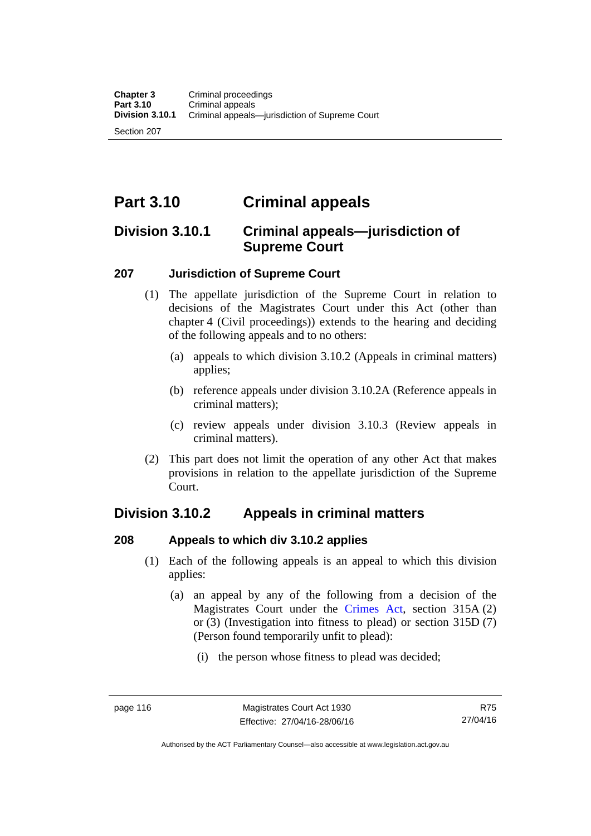Section 207

# **Part 3.10 Criminal appeals**

# **Division 3.10.1 Criminal appeals—jurisdiction of Supreme Court**

## **207 Jurisdiction of Supreme Court**

- (1) The appellate jurisdiction of the Supreme Court in relation to decisions of the Magistrates Court under this Act (other than chapter 4 (Civil proceedings)) extends to the hearing and deciding of the following appeals and to no others:
	- (a) appeals to which division 3.10.2 (Appeals in criminal matters) applies;
	- (b) reference appeals under division 3.10.2A (Reference appeals in criminal matters);
	- (c) review appeals under division 3.10.3 (Review appeals in criminal matters).
- (2) This part does not limit the operation of any other Act that makes provisions in relation to the appellate jurisdiction of the Supreme Court.

# **Division 3.10.2 Appeals in criminal matters**

## **208 Appeals to which div 3.10.2 applies**

- (1) Each of the following appeals is an appeal to which this division applies:
	- (a) an appeal by any of the following from a decision of the Magistrates Court under the [Crimes Act](http://www.legislation.act.gov.au/a/1900-40/default.asp), section 315A (2) or (3) (Investigation into fitness to plead) or section 315D (7) (Person found temporarily unfit to plead):
		- (i) the person whose fitness to plead was decided;

Authorised by the ACT Parliamentary Counsel—also accessible at www.legislation.act.gov.au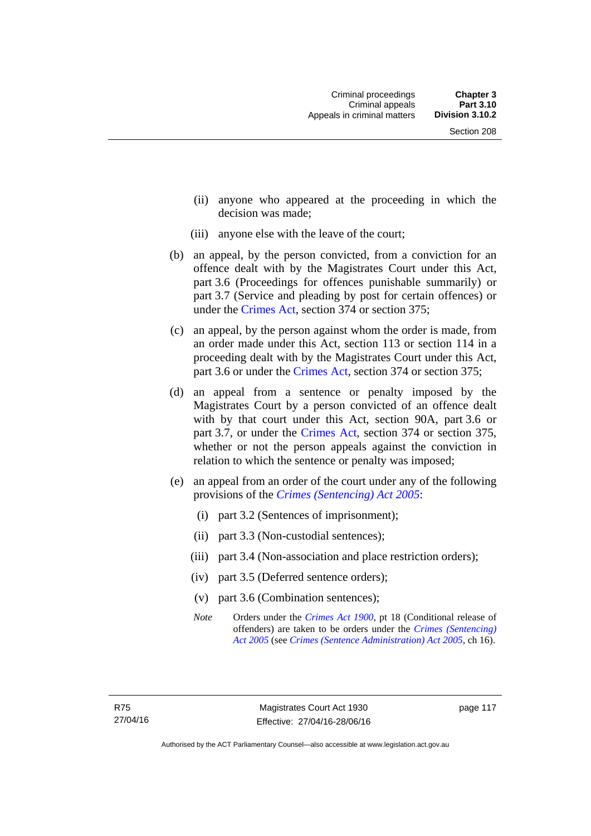- (ii) anyone who appeared at the proceeding in which the decision was made;
- (iii) anyone else with the leave of the court;
- (b) an appeal, by the person convicted, from a conviction for an offence dealt with by the Magistrates Court under this Act, part 3.6 (Proceedings for offences punishable summarily) or part 3.7 (Service and pleading by post for certain offences) or under the [Crimes Act,](http://www.legislation.act.gov.au/a/1900-40/default.asp) section 374 or section 375;
- (c) an appeal, by the person against whom the order is made, from an order made under this Act, section 113 or section 114 in a proceeding dealt with by the Magistrates Court under this Act, part 3.6 or under the [Crimes Act,](http://www.legislation.act.gov.au/a/1900-40/default.asp) section 374 or section 375;
- (d) an appeal from a sentence or penalty imposed by the Magistrates Court by a person convicted of an offence dealt with by that court under this Act, section 90A, part 3.6 or part 3.7, or under the [Crimes Act,](http://www.legislation.act.gov.au/a/1900-40/default.asp) section 374 or section 375, whether or not the person appeals against the conviction in relation to which the sentence or penalty was imposed;
- (e) an appeal from an order of the court under any of the following provisions of the *[Crimes \(Sentencing\) Act 2005](http://www.legislation.act.gov.au/a/2005-58)*:
	- (i) part 3.2 (Sentences of imprisonment);
	- (ii) part 3.3 (Non-custodial sentences);
	- (iii) part 3.4 (Non-association and place restriction orders);
	- (iv) part 3.5 (Deferred sentence orders);
	- (v) part 3.6 (Combination sentences);
	- *Note* Orders under the *[Crimes Act 1900](http://www.legislation.act.gov.au/a/1900-40)*, pt 18 (Conditional release of offenders) are taken to be orders under the *[Crimes \(Sentencing\)](http://www.legislation.act.gov.au/a/2005-58)  [Act 2005](http://www.legislation.act.gov.au/a/2005-58)* (see *[Crimes \(Sentence Administration\) Act 2005](http://www.legislation.act.gov.au/a/2005-59)*, ch 16).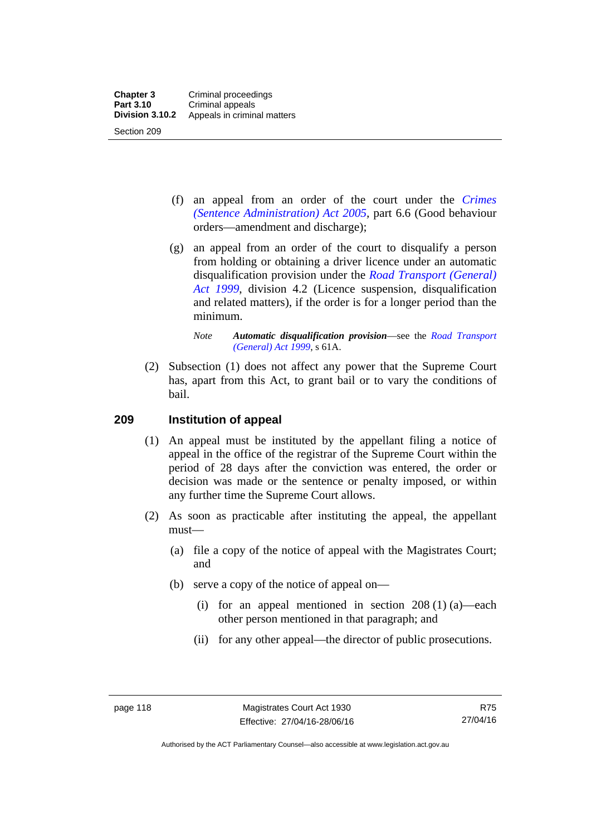- (f) an appeal from an order of the court under the *[Crimes](http://www.legislation.act.gov.au/a/2005-59)  [\(Sentence Administration\) Act 2005](http://www.legislation.act.gov.au/a/2005-59),* part 6.6 (Good behaviour orders—amendment and discharge);
- (g) an appeal from an order of the court to disqualify a person from holding or obtaining a driver licence under an automatic disqualification provision under the *[Road Transport \(General\)](http://www.legislation.act.gov.au/a/1999-77)  [Act 1999](http://www.legislation.act.gov.au/a/1999-77)*, division 4.2 (Licence suspension, disqualification and related matters), if the order is for a longer period than the minimum.

 (2) Subsection (1) does not affect any power that the Supreme Court has, apart from this Act, to grant bail or to vary the conditions of bail.

#### **209 Institution of appeal**

- (1) An appeal must be instituted by the appellant filing a notice of appeal in the office of the registrar of the Supreme Court within the period of 28 days after the conviction was entered, the order or decision was made or the sentence or penalty imposed, or within any further time the Supreme Court allows.
- (2) As soon as practicable after instituting the appeal, the appellant must—
	- (a) file a copy of the notice of appeal with the Magistrates Court; and
	- (b) serve a copy of the notice of appeal on—
		- (i) for an appeal mentioned in section  $208(1)(a)$ —each other person mentioned in that paragraph; and
		- (ii) for any other appeal—the director of public prosecutions.

*Note Automatic disqualification provision*—see the *[Road Transport](http://www.legislation.act.gov.au/a/1999-77)  [\(General\) Act 1999](http://www.legislation.act.gov.au/a/1999-77)*, s 61A.

Authorised by the ACT Parliamentary Counsel—also accessible at www.legislation.act.gov.au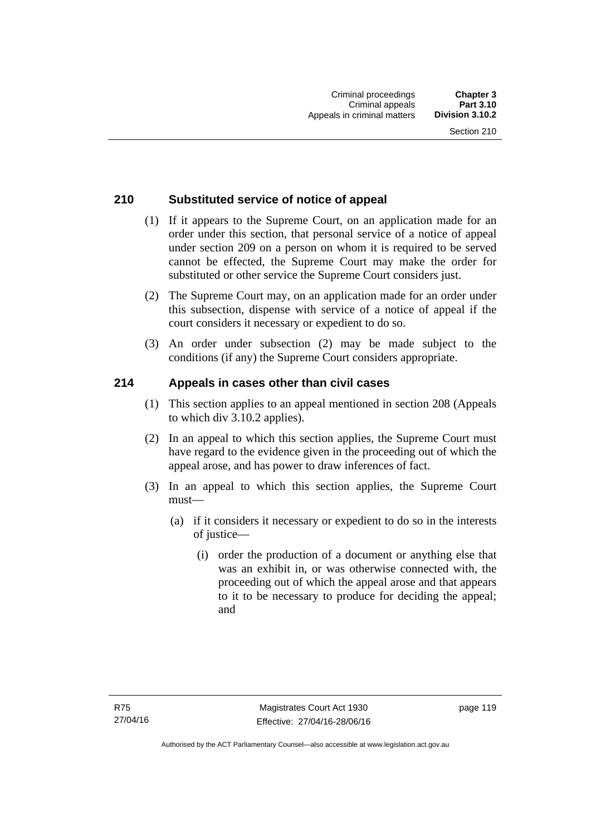# **210 Substituted service of notice of appeal**

- (1) If it appears to the Supreme Court, on an application made for an order under this section, that personal service of a notice of appeal under section 209 on a person on whom it is required to be served cannot be effected, the Supreme Court may make the order for substituted or other service the Supreme Court considers just.
- (2) The Supreme Court may, on an application made for an order under this subsection, dispense with service of a notice of appeal if the court considers it necessary or expedient to do so.
- (3) An order under subsection (2) may be made subject to the conditions (if any) the Supreme Court considers appropriate.

## **214 Appeals in cases other than civil cases**

- (1) This section applies to an appeal mentioned in section 208 (Appeals to which div 3.10.2 applies).
- (2) In an appeal to which this section applies, the Supreme Court must have regard to the evidence given in the proceeding out of which the appeal arose, and has power to draw inferences of fact.
- (3) In an appeal to which this section applies, the Supreme Court must—
	- (a) if it considers it necessary or expedient to do so in the interests of justice—
		- (i) order the production of a document or anything else that was an exhibit in, or was otherwise connected with, the proceeding out of which the appeal arose and that appears to it to be necessary to produce for deciding the appeal; and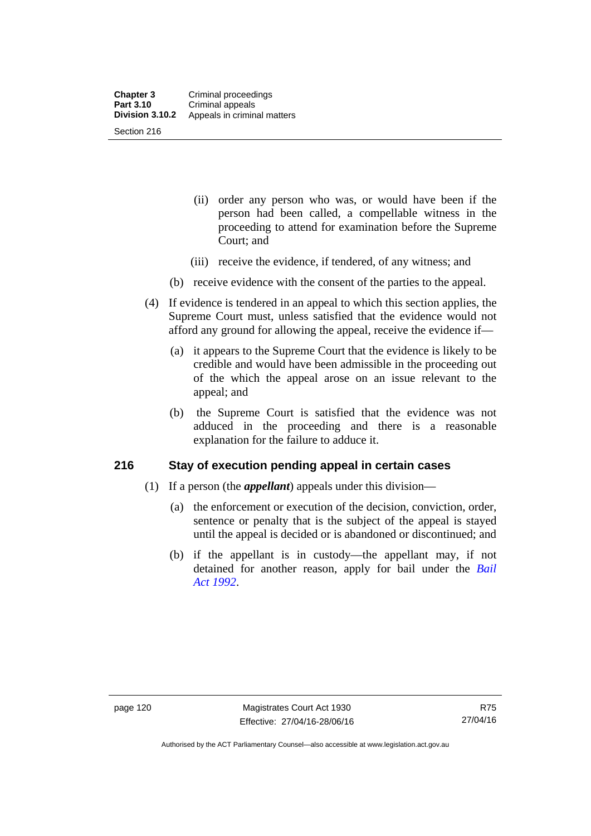- (ii) order any person who was, or would have been if the person had been called, a compellable witness in the proceeding to attend for examination before the Supreme Court; and
- (iii) receive the evidence, if tendered, of any witness; and
- (b) receive evidence with the consent of the parties to the appeal.
- (4) If evidence is tendered in an appeal to which this section applies, the Supreme Court must, unless satisfied that the evidence would not afford any ground for allowing the appeal, receive the evidence if—
	- (a) it appears to the Supreme Court that the evidence is likely to be credible and would have been admissible in the proceeding out of the which the appeal arose on an issue relevant to the appeal; and
	- (b) the Supreme Court is satisfied that the evidence was not adduced in the proceeding and there is a reasonable explanation for the failure to adduce it.

#### **216 Stay of execution pending appeal in certain cases**

- (1) If a person (the *appellant*) appeals under this division—
	- (a) the enforcement or execution of the decision, conviction, order, sentence or penalty that is the subject of the appeal is stayed until the appeal is decided or is abandoned or discontinued; and
	- (b) if the appellant is in custody—the appellant may, if not detained for another reason, apply for bail under the *[Bail](http://www.legislation.act.gov.au/a/1992-8)  [Act 1992](http://www.legislation.act.gov.au/a/1992-8)*.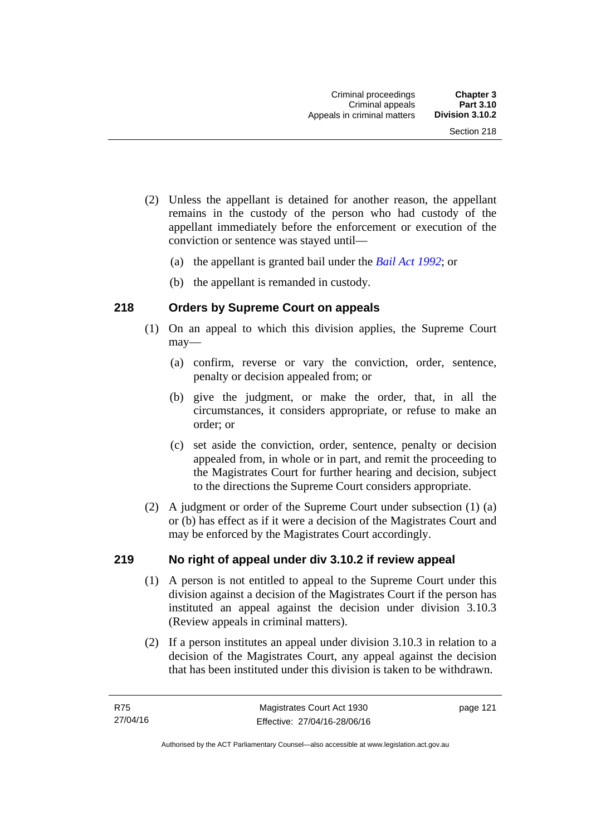- (2) Unless the appellant is detained for another reason, the appellant remains in the custody of the person who had custody of the appellant immediately before the enforcement or execution of the conviction or sentence was stayed until—
	- (a) the appellant is granted bail under the *[Bail Act 1992](http://www.legislation.act.gov.au/a/1992-8)*; or
	- (b) the appellant is remanded in custody.

# **218 Orders by Supreme Court on appeals**

- (1) On an appeal to which this division applies, the Supreme Court may—
	- (a) confirm, reverse or vary the conviction, order, sentence, penalty or decision appealed from; or
	- (b) give the judgment, or make the order, that, in all the circumstances, it considers appropriate, or refuse to make an order; or
	- (c) set aside the conviction, order, sentence, penalty or decision appealed from, in whole or in part, and remit the proceeding to the Magistrates Court for further hearing and decision, subject to the directions the Supreme Court considers appropriate.
- (2) A judgment or order of the Supreme Court under subsection (1) (a) or (b) has effect as if it were a decision of the Magistrates Court and may be enforced by the Magistrates Court accordingly.

## **219 No right of appeal under div 3.10.2 if review appeal**

- (1) A person is not entitled to appeal to the Supreme Court under this division against a decision of the Magistrates Court if the person has instituted an appeal against the decision under division 3.10.3 (Review appeals in criminal matters).
- (2) If a person institutes an appeal under division 3.10.3 in relation to a decision of the Magistrates Court, any appeal against the decision that has been instituted under this division is taken to be withdrawn.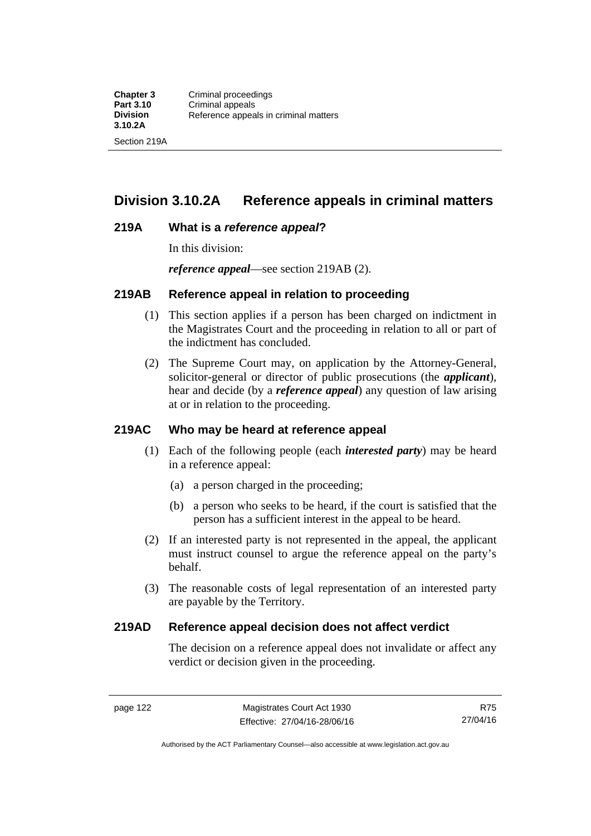# **Division 3.10.2A Reference appeals in criminal matters**

#### **219A What is a** *reference appeal***?**

In this division:

*reference appeal*—see section 219AB (2).

#### **219AB Reference appeal in relation to proceeding**

- (1) This section applies if a person has been charged on indictment in the Magistrates Court and the proceeding in relation to all or part of the indictment has concluded.
- (2) The Supreme Court may, on application by the Attorney-General, solicitor-general or director of public prosecutions (the *applicant*), hear and decide (by a *reference appeal*) any question of law arising at or in relation to the proceeding.

## **219AC Who may be heard at reference appeal**

- (1) Each of the following people (each *interested party*) may be heard in a reference appeal:
	- (a) a person charged in the proceeding;
	- (b) a person who seeks to be heard, if the court is satisfied that the person has a sufficient interest in the appeal to be heard.
- (2) If an interested party is not represented in the appeal, the applicant must instruct counsel to argue the reference appeal on the party's behalf.
- (3) The reasonable costs of legal representation of an interested party are payable by the Territory.

#### **219AD Reference appeal decision does not affect verdict**

The decision on a reference appeal does not invalidate or affect any verdict or decision given in the proceeding.

Authorised by the ACT Parliamentary Counsel—also accessible at www.legislation.act.gov.au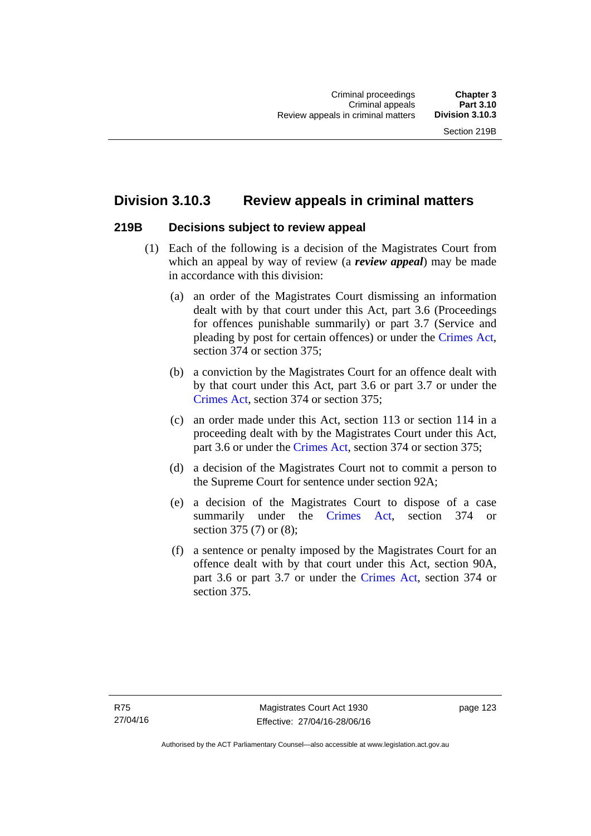# **Division 3.10.3 Review appeals in criminal matters**

#### **219B Decisions subject to review appeal**

- (1) Each of the following is a decision of the Magistrates Court from which an appeal by way of review (a *review appeal*) may be made in accordance with this division:
	- (a) an order of the Magistrates Court dismissing an information dealt with by that court under this Act, part 3.6 (Proceedings for offences punishable summarily) or part 3.7 (Service and pleading by post for certain offences) or under the [Crimes Act](http://www.legislation.act.gov.au/a/1900-40/default.asp), section 374 or section 375;
	- (b) a conviction by the Magistrates Court for an offence dealt with by that court under this Act, part 3.6 or part 3.7 or under the [Crimes Act,](http://www.legislation.act.gov.au/a/1900-40/default.asp) section 374 or section 375;
	- (c) an order made under this Act, section 113 or section 114 in a proceeding dealt with by the Magistrates Court under this Act, part 3.6 or under the [Crimes Act,](http://www.legislation.act.gov.au/a/1900-40/default.asp) section 374 or section 375;
	- (d) a decision of the Magistrates Court not to commit a person to the Supreme Court for sentence under section 92A;
	- (e) a decision of the Magistrates Court to dispose of a case summarily under the [Crimes Act,](http://www.legislation.act.gov.au/a/1900-40/default.asp) section 374 or section 375 (7) or (8);
	- (f) a sentence or penalty imposed by the Magistrates Court for an offence dealt with by that court under this Act, section 90A, part 3.6 or part 3.7 or under the [Crimes Act,](http://www.legislation.act.gov.au/a/1900-40/default.asp) section 374 or section 375.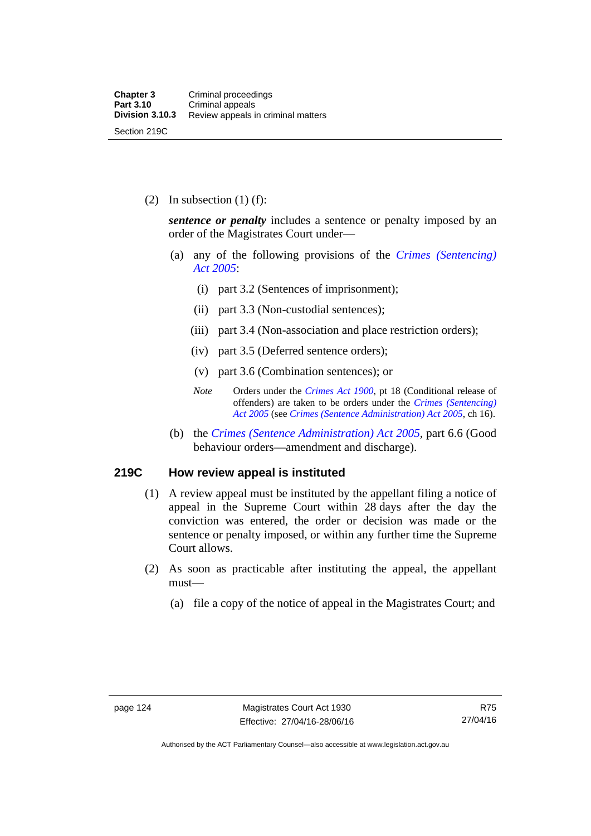(2) In subsection  $(1)$  (f):

*sentence or penalty* includes a sentence or penalty imposed by an order of the Magistrates Court under—

- (a) any of the following provisions of the *[Crimes \(Sentencing\)](http://www.legislation.act.gov.au/a/2005-58)  [Act 2005](http://www.legislation.act.gov.au/a/2005-58)*:
	- (i) part 3.2 (Sentences of imprisonment);
	- (ii) part 3.3 (Non-custodial sentences);
	- (iii) part 3.4 (Non-association and place restriction orders);
	- (iv) part 3.5 (Deferred sentence orders);
	- (v) part 3.6 (Combination sentences); or
	- *Note* Orders under the *[Crimes Act 1900](http://www.legislation.act.gov.au/a/1900-40)*, pt 18 (Conditional release of offenders) are taken to be orders under the *[Crimes \(Sentencing\)](http://www.legislation.act.gov.au/a/2005-58)  [Act 2005](http://www.legislation.act.gov.au/a/2005-58)* (see *[Crimes \(Sentence Administration\) Act 2005](http://www.legislation.act.gov.au/a/2005-59)*, ch 16).
- (b) the *[Crimes \(Sentence Administration\) Act 2005](http://www.legislation.act.gov.au/a/2005-59),* part 6.6 (Good behaviour orders—amendment and discharge).

#### **219C How review appeal is instituted**

- (1) A review appeal must be instituted by the appellant filing a notice of appeal in the Supreme Court within 28 days after the day the conviction was entered, the order or decision was made or the sentence or penalty imposed, or within any further time the Supreme Court allows.
- (2) As soon as practicable after instituting the appeal, the appellant must—
	- (a) file a copy of the notice of appeal in the Magistrates Court; and

Authorised by the ACT Parliamentary Counsel—also accessible at www.legislation.act.gov.au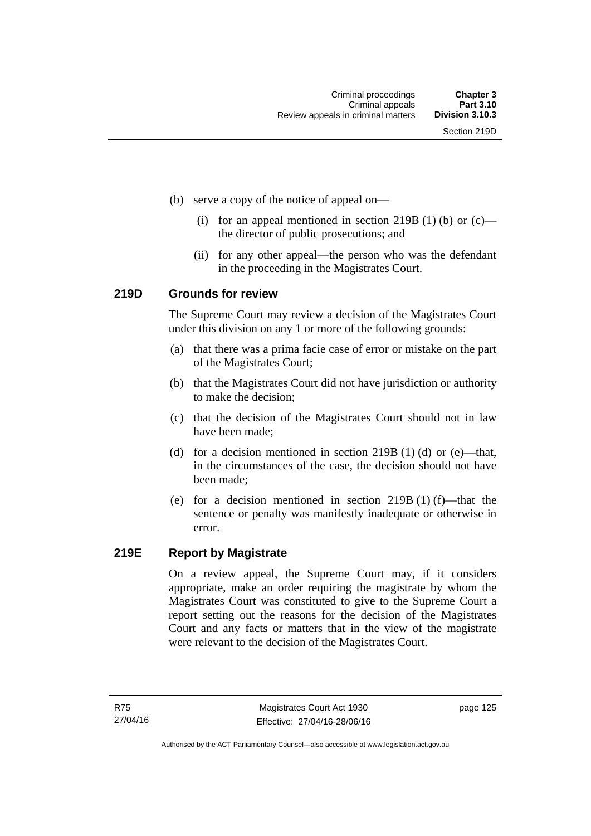- (b) serve a copy of the notice of appeal on—
	- (i) for an appeal mentioned in section 219B (1) (b) or  $(c)$  the director of public prosecutions; and
	- (ii) for any other appeal—the person who was the defendant in the proceeding in the Magistrates Court.

#### **219D Grounds for review**

The Supreme Court may review a decision of the Magistrates Court under this division on any 1 or more of the following grounds:

- (a) that there was a prima facie case of error or mistake on the part of the Magistrates Court;
- (b) that the Magistrates Court did not have jurisdiction or authority to make the decision;
- (c) that the decision of the Magistrates Court should not in law have been made;
- (d) for a decision mentioned in section 219B (1) (d) or (e)—that, in the circumstances of the case, the decision should not have been made;
- (e) for a decision mentioned in section 219B (1) (f)—that the sentence or penalty was manifestly inadequate or otherwise in error.

## **219E Report by Magistrate**

On a review appeal, the Supreme Court may, if it considers appropriate, make an order requiring the magistrate by whom the Magistrates Court was constituted to give to the Supreme Court a report setting out the reasons for the decision of the Magistrates Court and any facts or matters that in the view of the magistrate were relevant to the decision of the Magistrates Court.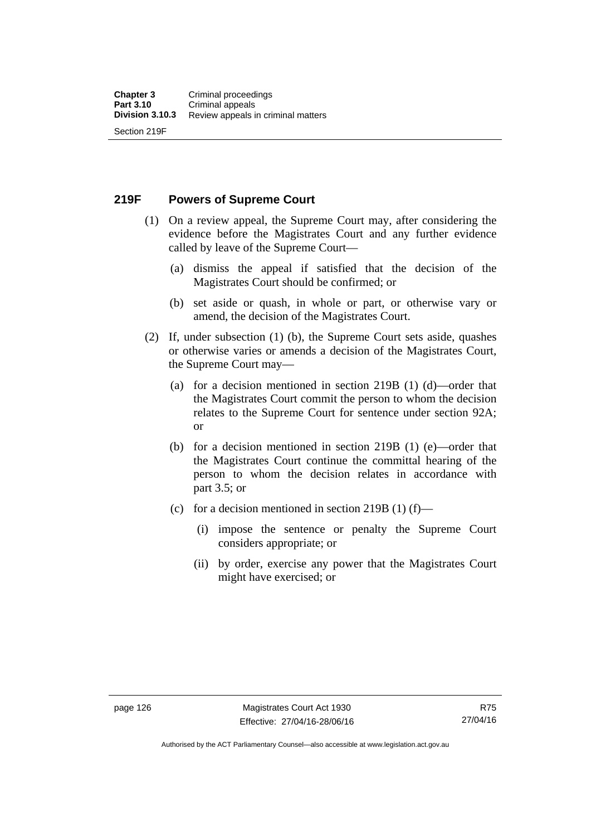**219F Powers of Supreme Court** 

- (1) On a review appeal, the Supreme Court may, after considering the evidence before the Magistrates Court and any further evidence called by leave of the Supreme Court—
	- (a) dismiss the appeal if satisfied that the decision of the Magistrates Court should be confirmed; or
	- (b) set aside or quash, in whole or part, or otherwise vary or amend, the decision of the Magistrates Court.
- (2) If, under subsection (1) (b), the Supreme Court sets aside, quashes or otherwise varies or amends a decision of the Magistrates Court, the Supreme Court may—
	- (a) for a decision mentioned in section 219B (1) (d)—order that the Magistrates Court commit the person to whom the decision relates to the Supreme Court for sentence under section 92A; or
	- (b) for a decision mentioned in section 219B (1) (e)—order that the Magistrates Court continue the committal hearing of the person to whom the decision relates in accordance with part 3.5; or
	- (c) for a decision mentioned in section 219B (1) (f)—
		- (i) impose the sentence or penalty the Supreme Court considers appropriate; or
		- (ii) by order, exercise any power that the Magistrates Court might have exercised; or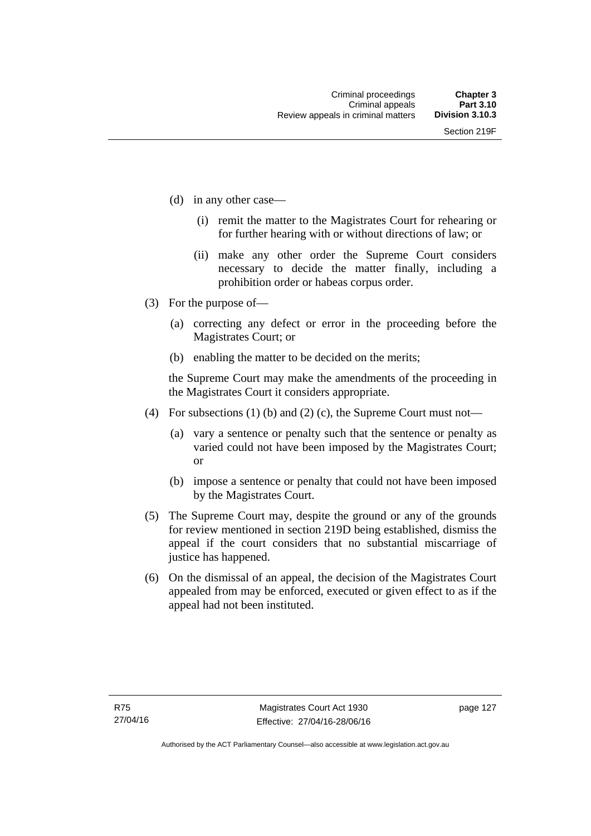- (d) in any other case—
	- (i) remit the matter to the Magistrates Court for rehearing or for further hearing with or without directions of law; or
	- (ii) make any other order the Supreme Court considers necessary to decide the matter finally, including a prohibition order or habeas corpus order.
- (3) For the purpose of—
	- (a) correcting any defect or error in the proceeding before the Magistrates Court; or
	- (b) enabling the matter to be decided on the merits;

the Supreme Court may make the amendments of the proceeding in the Magistrates Court it considers appropriate.

- (4) For subsections (1) (b) and (2) (c), the Supreme Court must not—
	- (a) vary a sentence or penalty such that the sentence or penalty as varied could not have been imposed by the Magistrates Court; or
	- (b) impose a sentence or penalty that could not have been imposed by the Magistrates Court.
- (5) The Supreme Court may, despite the ground or any of the grounds for review mentioned in section 219D being established, dismiss the appeal if the court considers that no substantial miscarriage of justice has happened.
- (6) On the dismissal of an appeal, the decision of the Magistrates Court appealed from may be enforced, executed or given effect to as if the appeal had not been instituted.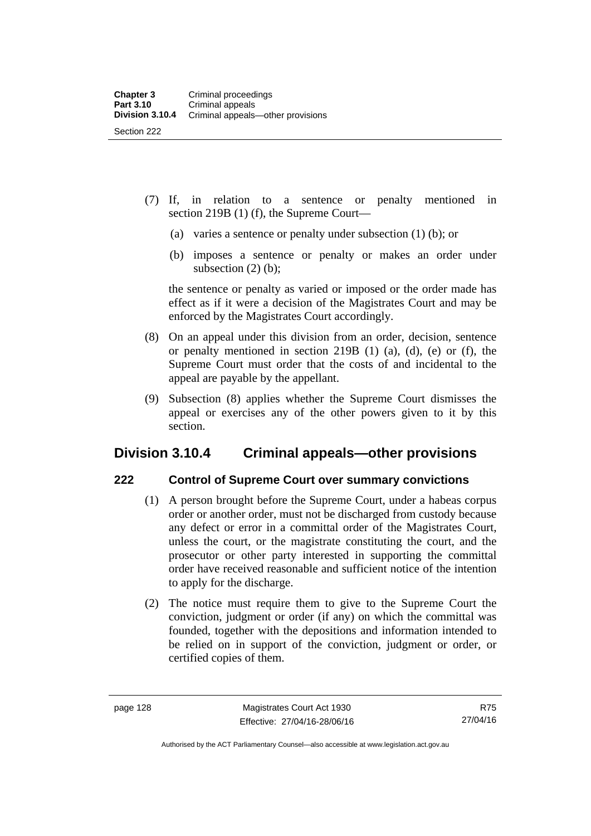- (7) If, in relation to a sentence or penalty mentioned in section 219B (1) (f), the Supreme Court—
	- (a) varies a sentence or penalty under subsection (1) (b); or
	- (b) imposes a sentence or penalty or makes an order under subsection  $(2)$  (b);

the sentence or penalty as varied or imposed or the order made has effect as if it were a decision of the Magistrates Court and may be enforced by the Magistrates Court accordingly.

- (8) On an appeal under this division from an order, decision, sentence or penalty mentioned in section 219B (1) (a), (d), (e) or (f), the Supreme Court must order that the costs of and incidental to the appeal are payable by the appellant.
- (9) Subsection (8) applies whether the Supreme Court dismisses the appeal or exercises any of the other powers given to it by this section.

# **Division 3.10.4 Criminal appeals—other provisions**

## **222 Control of Supreme Court over summary convictions**

- (1) A person brought before the Supreme Court, under a habeas corpus order or another order, must not be discharged from custody because any defect or error in a committal order of the Magistrates Court, unless the court, or the magistrate constituting the court, and the prosecutor or other party interested in supporting the committal order have received reasonable and sufficient notice of the intention to apply for the discharge.
- (2) The notice must require them to give to the Supreme Court the conviction, judgment or order (if any) on which the committal was founded, together with the depositions and information intended to be relied on in support of the conviction, judgment or order, or certified copies of them.

Authorised by the ACT Parliamentary Counsel—also accessible at www.legislation.act.gov.au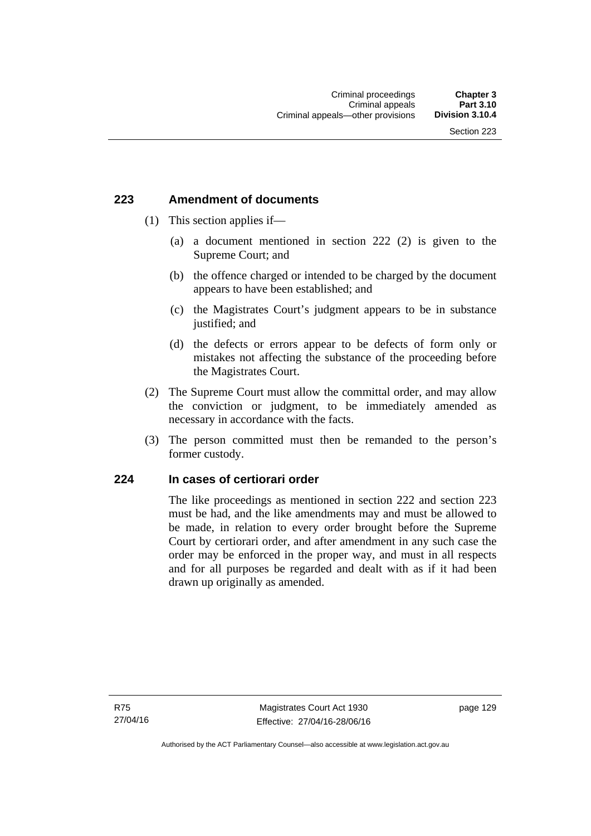### **223 Amendment of documents**

- (1) This section applies if—
	- (a) a document mentioned in section 222 (2) is given to the Supreme Court; and
	- (b) the offence charged or intended to be charged by the document appears to have been established; and
	- (c) the Magistrates Court's judgment appears to be in substance justified; and
	- (d) the defects or errors appear to be defects of form only or mistakes not affecting the substance of the proceeding before the Magistrates Court.
- (2) The Supreme Court must allow the committal order, and may allow the conviction or judgment, to be immediately amended as necessary in accordance with the facts.
- (3) The person committed must then be remanded to the person's former custody.

### **224 In cases of certiorari order**

The like proceedings as mentioned in section 222 and section 223 must be had, and the like amendments may and must be allowed to be made, in relation to every order brought before the Supreme Court by certiorari order, and after amendment in any such case the order may be enforced in the proper way, and must in all respects and for all purposes be regarded and dealt with as if it had been drawn up originally as amended.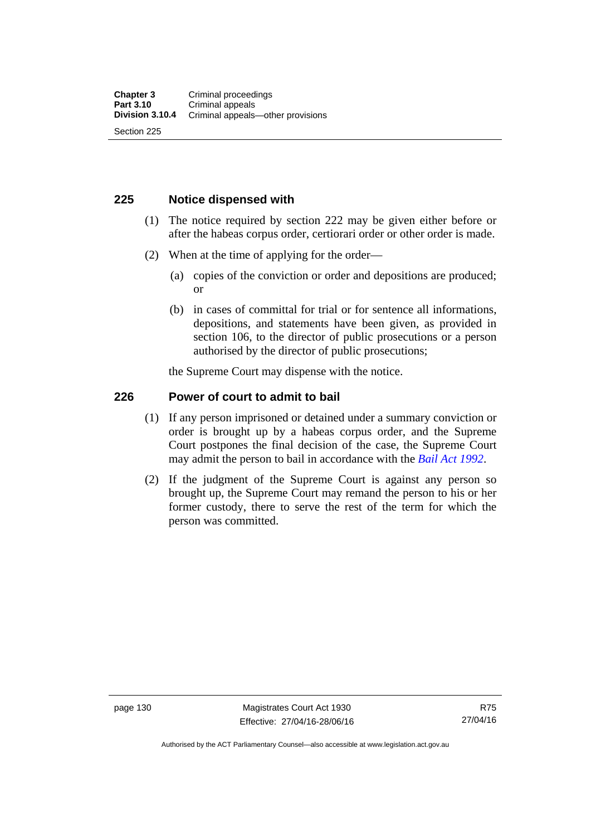### **225 Notice dispensed with**

- (1) The notice required by section 222 may be given either before or after the habeas corpus order, certiorari order or other order is made.
- (2) When at the time of applying for the order—
	- (a) copies of the conviction or order and depositions are produced; or
	- (b) in cases of committal for trial or for sentence all informations, depositions, and statements have been given, as provided in section 106, to the director of public prosecutions or a person authorised by the director of public prosecutions;

the Supreme Court may dispense with the notice.

### **226 Power of court to admit to bail**

- (1) If any person imprisoned or detained under a summary conviction or order is brought up by a habeas corpus order, and the Supreme Court postpones the final decision of the case, the Supreme Court may admit the person to bail in accordance with the *[Bail Act 1992](http://www.legislation.act.gov.au/a/1992-8)*.
- (2) If the judgment of the Supreme Court is against any person so brought up, the Supreme Court may remand the person to his or her former custody, there to serve the rest of the term for which the person was committed.

page 130 Magistrates Court Act 1930 Effective: 27/04/16-28/06/16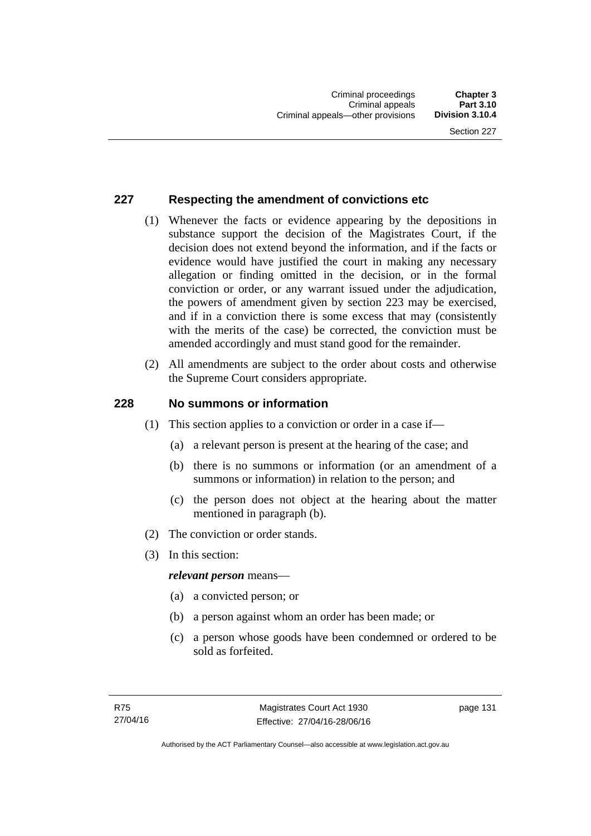### **227 Respecting the amendment of convictions etc**

- (1) Whenever the facts or evidence appearing by the depositions in substance support the decision of the Magistrates Court, if the decision does not extend beyond the information, and if the facts or evidence would have justified the court in making any necessary allegation or finding omitted in the decision, or in the formal conviction or order, or any warrant issued under the adjudication, the powers of amendment given by section 223 may be exercised, and if in a conviction there is some excess that may (consistently with the merits of the case) be corrected, the conviction must be amended accordingly and must stand good for the remainder.
- (2) All amendments are subject to the order about costs and otherwise the Supreme Court considers appropriate.

### **228 No summons or information**

- (1) This section applies to a conviction or order in a case if—
	- (a) a relevant person is present at the hearing of the case; and
	- (b) there is no summons or information (or an amendment of a summons or information) in relation to the person; and
	- (c) the person does not object at the hearing about the matter mentioned in paragraph (b).
- (2) The conviction or order stands.
- (3) In this section:

### *relevant person* means—

- (a) a convicted person; or
- (b) a person against whom an order has been made; or
- (c) a person whose goods have been condemned or ordered to be sold as forfeited.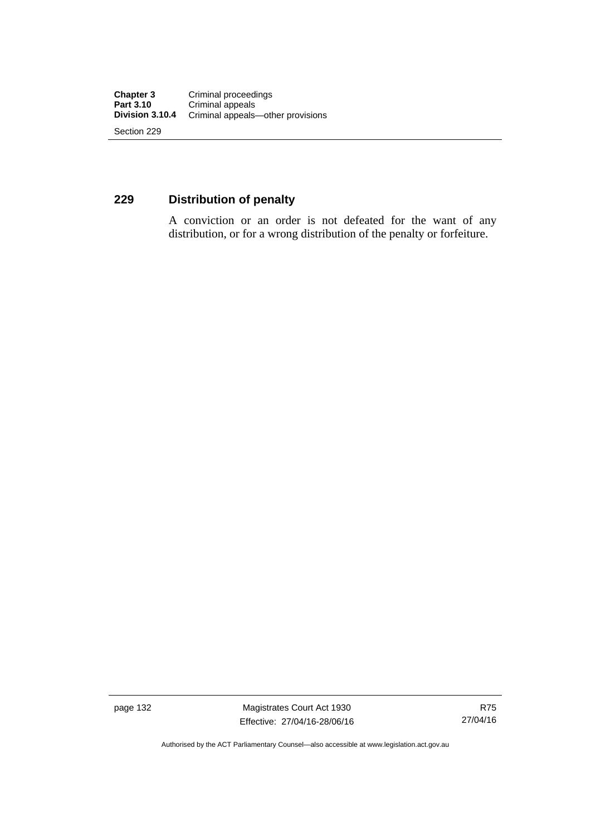### **229 Distribution of penalty**

A conviction or an order is not defeated for the want of any distribution, or for a wrong distribution of the penalty or forfeiture.

page 132 Magistrates Court Act 1930 Effective: 27/04/16-28/06/16

Authorised by the ACT Parliamentary Counsel—also accessible at www.legislation.act.gov.au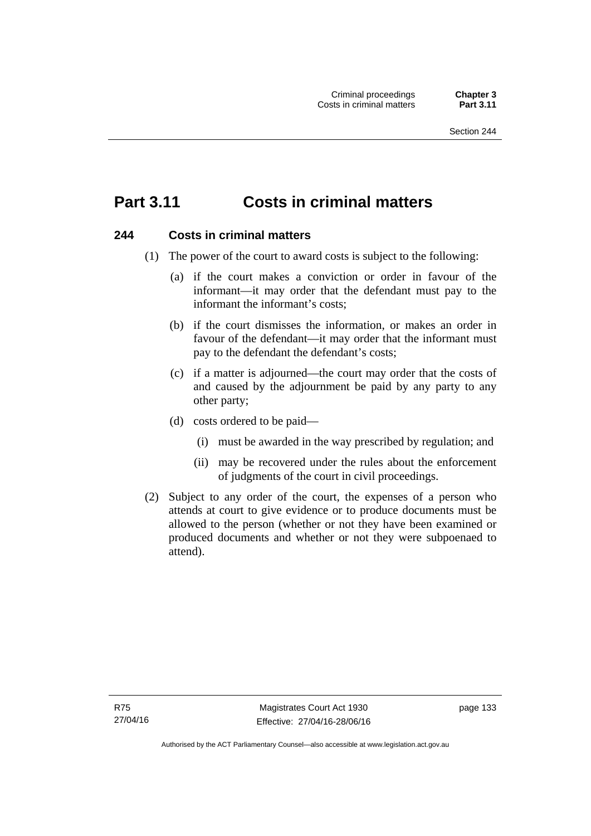# **Part 3.11 Costs in criminal matters**

### **244 Costs in criminal matters**

- (1) The power of the court to award costs is subject to the following:
	- (a) if the court makes a conviction or order in favour of the informant—it may order that the defendant must pay to the informant the informant's costs;
	- (b) if the court dismisses the information, or makes an order in favour of the defendant—it may order that the informant must pay to the defendant the defendant's costs;
	- (c) if a matter is adjourned—the court may order that the costs of and caused by the adjournment be paid by any party to any other party;
	- (d) costs ordered to be paid—
		- (i) must be awarded in the way prescribed by regulation; and
		- (ii) may be recovered under the rules about the enforcement of judgments of the court in civil proceedings.
- (2) Subject to any order of the court, the expenses of a person who attends at court to give evidence or to produce documents must be allowed to the person (whether or not they have been examined or produced documents and whether or not they were subpoenaed to attend).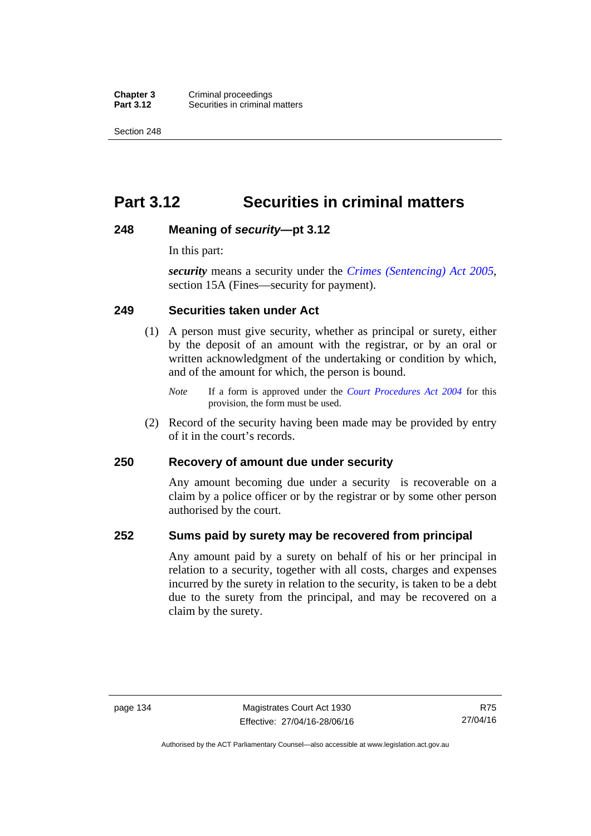**Chapter 3** Criminal proceedings<br>**Part 3.12** Securities in criminal **Securities in criminal matters** 

Section 248

# **Part 3.12 Securities in criminal matters**

### **248 Meaning of** *security***—pt 3.12**

In this part:

*security* means a security under the *[Crimes \(Sentencing\) Act 2005](http://www.legislation.act.gov.au/a/2005-58)*, section 15A (Fines—security for payment).

### **249 Securities taken under Act**

- (1) A person must give security, whether as principal or surety, either by the deposit of an amount with the registrar, or by an oral or written acknowledgment of the undertaking or condition by which, and of the amount for which, the person is bound.
	- *Note* If a form is approved under the *[Court Procedures Act 2004](http://www.legislation.act.gov.au/a/2004-59)* for this provision, the form must be used.
- (2) Record of the security having been made may be provided by entry of it in the court's records.

### **250 Recovery of amount due under security**

Any amount becoming due under a security is recoverable on a claim by a police officer or by the registrar or by some other person authorised by the court.

### **252 Sums paid by surety may be recovered from principal**

Any amount paid by a surety on behalf of his or her principal in relation to a security, together with all costs, charges and expenses incurred by the surety in relation to the security, is taken to be a debt due to the surety from the principal, and may be recovered on a claim by the surety.

Authorised by the ACT Parliamentary Counsel—also accessible at www.legislation.act.gov.au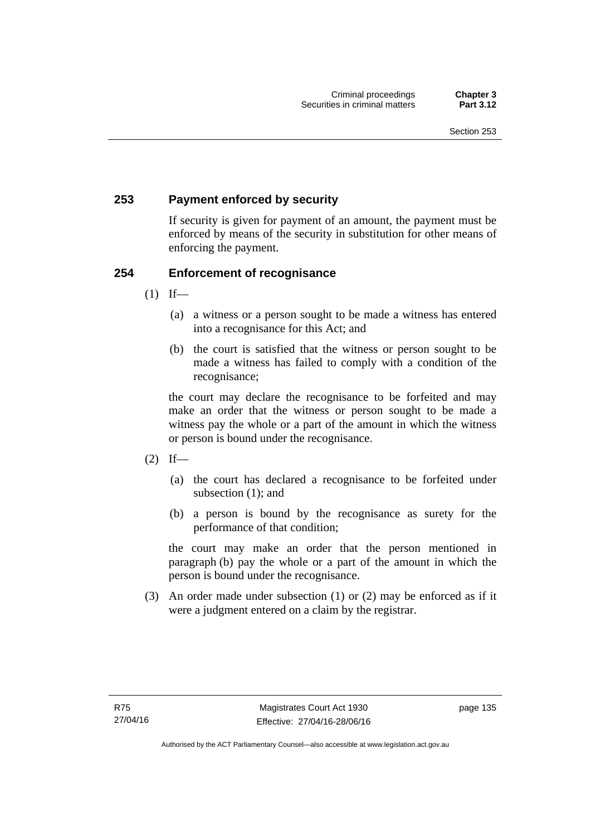### **253 Payment enforced by security**

If security is given for payment of an amount, the payment must be enforced by means of the security in substitution for other means of enforcing the payment.

### **254 Enforcement of recognisance**

- $(1)$  If—
	- (a) a witness or a person sought to be made a witness has entered into a recognisance for this Act; and
	- (b) the court is satisfied that the witness or person sought to be made a witness has failed to comply with a condition of the recognisance;

the court may declare the recognisance to be forfeited and may make an order that the witness or person sought to be made a witness pay the whole or a part of the amount in which the witness or person is bound under the recognisance.

- $(2)$  If—
	- (a) the court has declared a recognisance to be forfeited under subsection (1); and
	- (b) a person is bound by the recognisance as surety for the performance of that condition;

the court may make an order that the person mentioned in paragraph (b) pay the whole or a part of the amount in which the person is bound under the recognisance.

 (3) An order made under subsection (1) or (2) may be enforced as if it were a judgment entered on a claim by the registrar.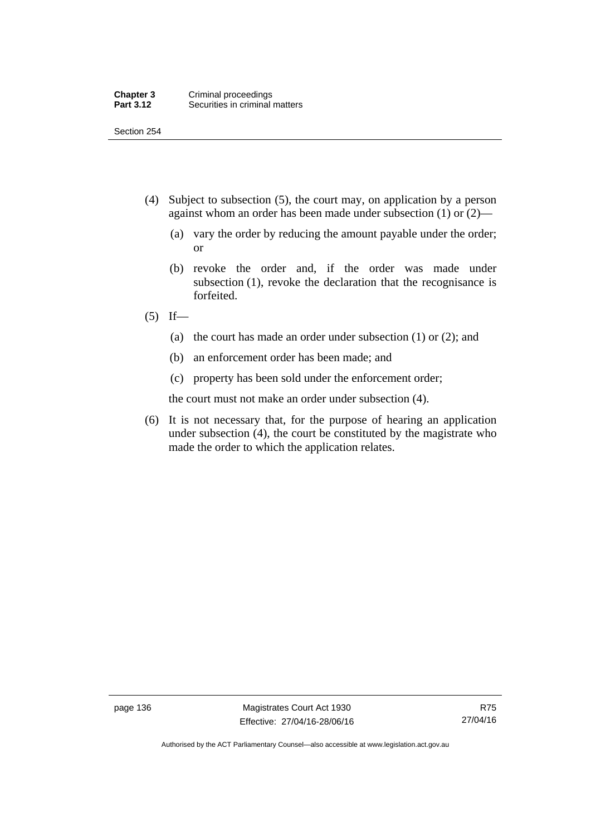Section 254

- (4) Subject to subsection (5), the court may, on application by a person against whom an order has been made under subsection (1) or (2)—
	- (a) vary the order by reducing the amount payable under the order; or
	- (b) revoke the order and, if the order was made under subsection (1), revoke the declaration that the recognisance is forfeited.
- $(5)$  If—
	- (a) the court has made an order under subsection (1) or (2); and
	- (b) an enforcement order has been made; and
	- (c) property has been sold under the enforcement order;

the court must not make an order under subsection (4).

 (6) It is not necessary that, for the purpose of hearing an application under subsection (4), the court be constituted by the magistrate who made the order to which the application relates.

page 136 Magistrates Court Act 1930 Effective: 27/04/16-28/06/16

Authorised by the ACT Parliamentary Counsel—also accessible at www.legislation.act.gov.au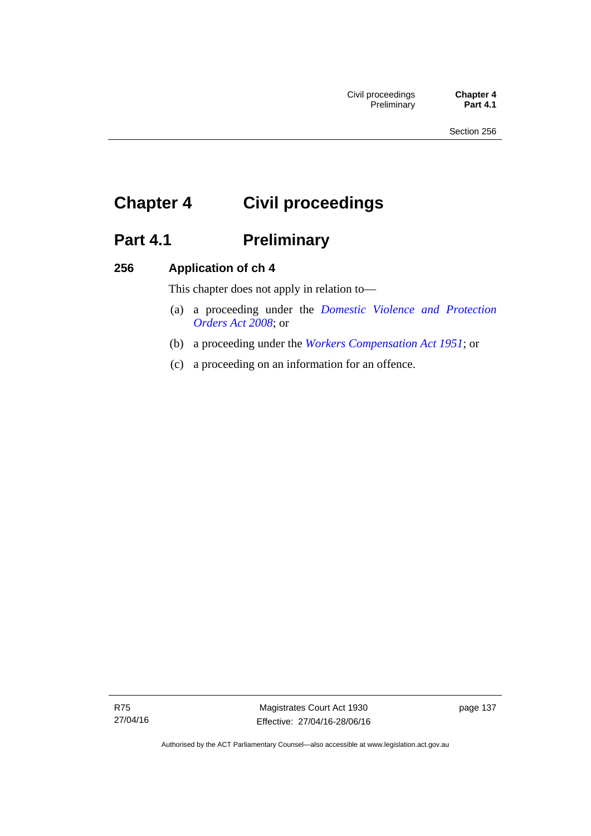# **Chapter 4 Civil proceedings**

# Part 4.1 **Preliminary**

### **256 Application of ch 4**

This chapter does not apply in relation to—

- (a) a proceeding under the *[Domestic Violence and Protection](http://www.legislation.act.gov.au/a/2008-46)  [Orders Act 2008](http://www.legislation.act.gov.au/a/2008-46)*; or
- (b) a proceeding under the *[Workers Compensation Act 1951](http://www.legislation.act.gov.au/a/1951-2)*; or
- (c) a proceeding on an information for an offence.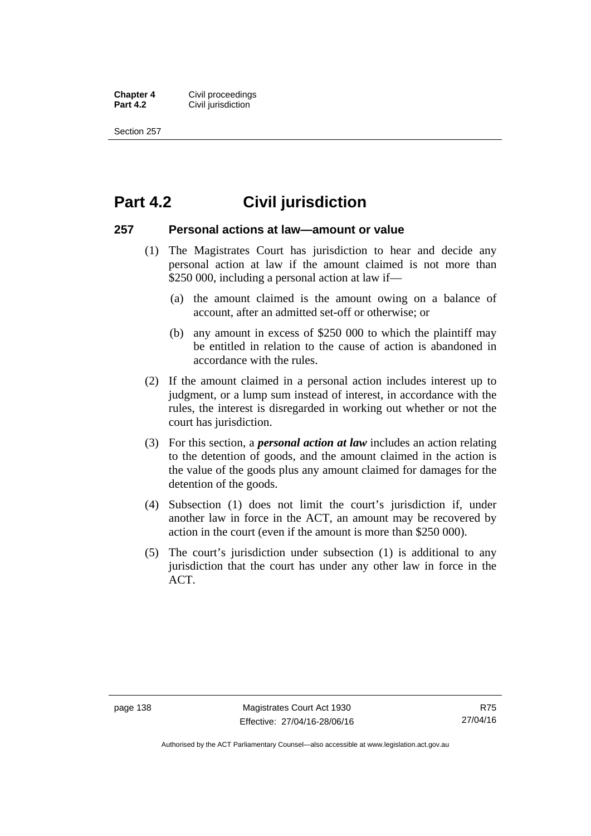**Chapter 4 Civil proceedings**<br>**Part 4.2 Civil iurisdiction Civil jurisdiction** 

Section 257

### **Part 4.2 Civil jurisdiction**

### **257 Personal actions at law—amount or value**

- (1) The Magistrates Court has jurisdiction to hear and decide any personal action at law if the amount claimed is not more than \$250 000, including a personal action at law if—
	- (a) the amount claimed is the amount owing on a balance of account, after an admitted set-off or otherwise; or
	- (b) any amount in excess of \$250 000 to which the plaintiff may be entitled in relation to the cause of action is abandoned in accordance with the rules.
- (2) If the amount claimed in a personal action includes interest up to judgment, or a lump sum instead of interest, in accordance with the rules, the interest is disregarded in working out whether or not the court has jurisdiction.
- (3) For this section, a *personal action at law* includes an action relating to the detention of goods, and the amount claimed in the action is the value of the goods plus any amount claimed for damages for the detention of the goods.
- (4) Subsection (1) does not limit the court's jurisdiction if, under another law in force in the ACT, an amount may be recovered by action in the court (even if the amount is more than \$250 000).
- (5) The court's jurisdiction under subsection (1) is additional to any jurisdiction that the court has under any other law in force in the ACT.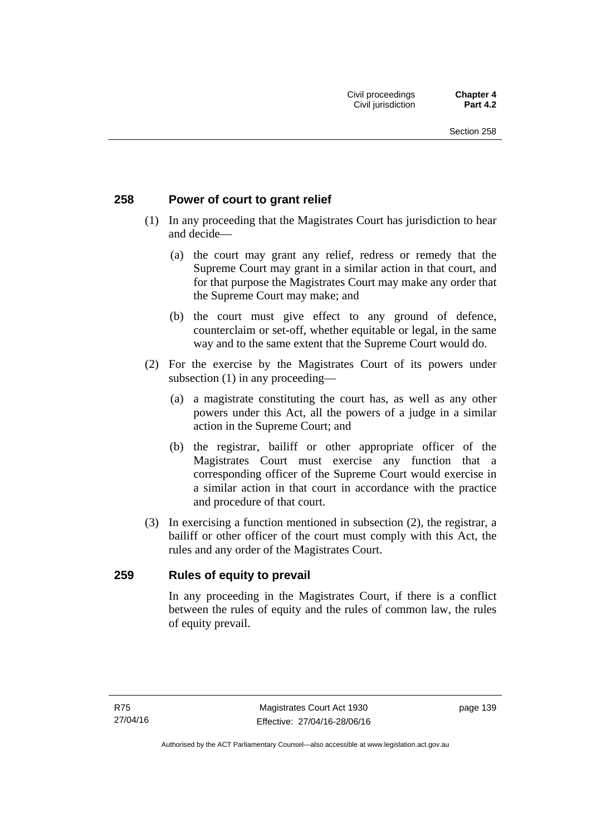### **258 Power of court to grant relief**

- (1) In any proceeding that the Magistrates Court has jurisdiction to hear and decide—
	- (a) the court may grant any relief, redress or remedy that the Supreme Court may grant in a similar action in that court, and for that purpose the Magistrates Court may make any order that the Supreme Court may make; and
	- (b) the court must give effect to any ground of defence, counterclaim or set-off, whether equitable or legal, in the same way and to the same extent that the Supreme Court would do.
- (2) For the exercise by the Magistrates Court of its powers under subsection (1) in any proceeding—
	- (a) a magistrate constituting the court has, as well as any other powers under this Act, all the powers of a judge in a similar action in the Supreme Court; and
	- (b) the registrar, bailiff or other appropriate officer of the Magistrates Court must exercise any function that a corresponding officer of the Supreme Court would exercise in a similar action in that court in accordance with the practice and procedure of that court.
- (3) In exercising a function mentioned in subsection (2), the registrar, a bailiff or other officer of the court must comply with this Act, the rules and any order of the Magistrates Court.

### **259 Rules of equity to prevail**

In any proceeding in the Magistrates Court, if there is a conflict between the rules of equity and the rules of common law, the rules of equity prevail.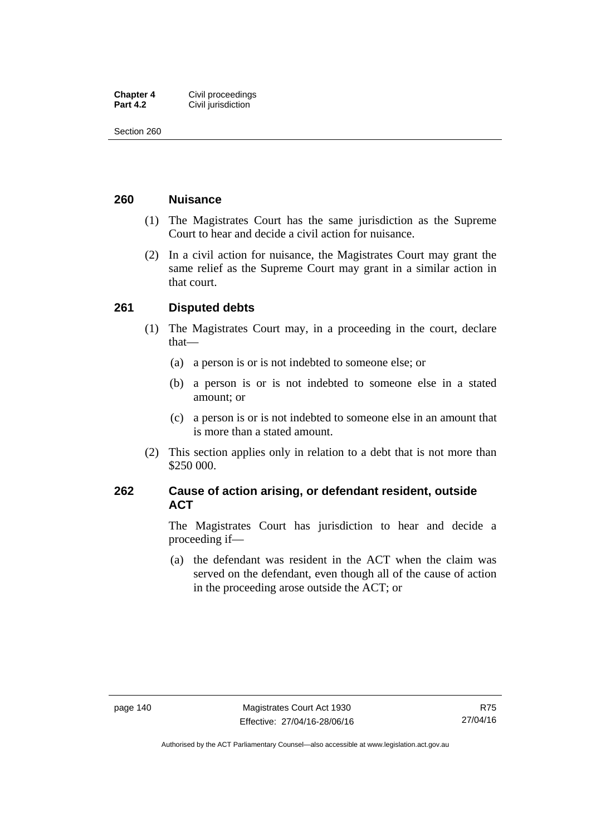| <b>Chapter 4</b> | Civil proceedings  |
|------------------|--------------------|
| <b>Part 4.2</b>  | Civil jurisdiction |

Section 260

### **260 Nuisance**

- (1) The Magistrates Court has the same jurisdiction as the Supreme Court to hear and decide a civil action for nuisance.
- (2) In a civil action for nuisance, the Magistrates Court may grant the same relief as the Supreme Court may grant in a similar action in that court.

### **261 Disputed debts**

- (1) The Magistrates Court may, in a proceeding in the court, declare that—
	- (a) a person is or is not indebted to someone else; or
	- (b) a person is or is not indebted to someone else in a stated amount; or
	- (c) a person is or is not indebted to someone else in an amount that is more than a stated amount.
- (2) This section applies only in relation to a debt that is not more than \$250 000.

### **262 Cause of action arising, or defendant resident, outside ACT**

The Magistrates Court has jurisdiction to hear and decide a proceeding if—

 (a) the defendant was resident in the ACT when the claim was served on the defendant, even though all of the cause of action in the proceeding arose outside the ACT; or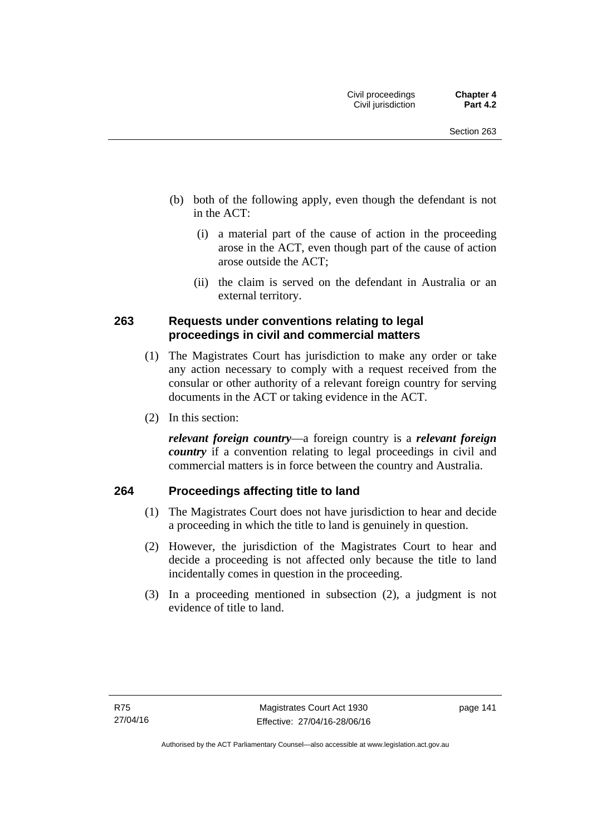- (b) both of the following apply, even though the defendant is not in the ACT:
	- (i) a material part of the cause of action in the proceeding arose in the ACT, even though part of the cause of action arose outside the ACT;
	- (ii) the claim is served on the defendant in Australia or an external territory.

### **263 Requests under conventions relating to legal proceedings in civil and commercial matters**

- (1) The Magistrates Court has jurisdiction to make any order or take any action necessary to comply with a request received from the consular or other authority of a relevant foreign country for serving documents in the ACT or taking evidence in the ACT.
- (2) In this section:

*relevant foreign country*—a foreign country is a *relevant foreign country* if a convention relating to legal proceedings in civil and commercial matters is in force between the country and Australia.

### **264 Proceedings affecting title to land**

- (1) The Magistrates Court does not have jurisdiction to hear and decide a proceeding in which the title to land is genuinely in question.
- (2) However, the jurisdiction of the Magistrates Court to hear and decide a proceeding is not affected only because the title to land incidentally comes in question in the proceeding.
- (3) In a proceeding mentioned in subsection (2), a judgment is not evidence of title to land.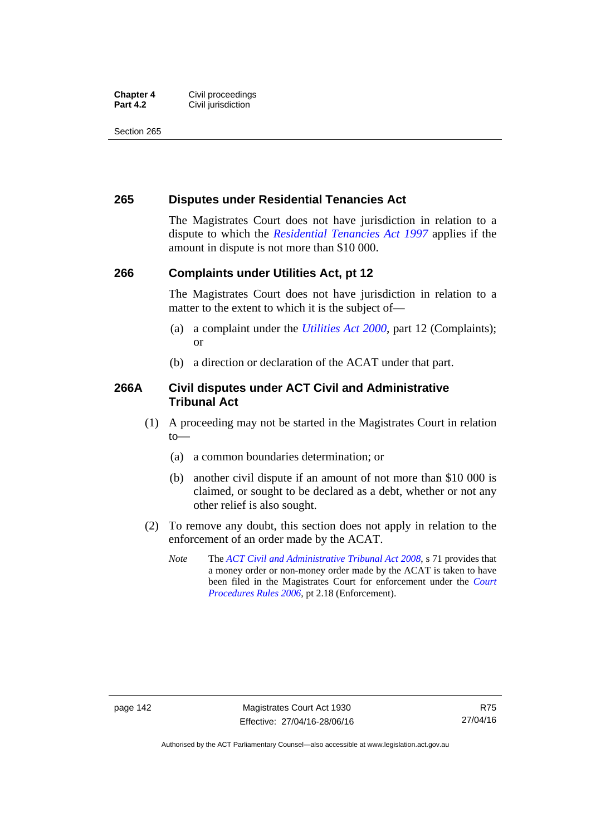#### **Chapter 4 Civil proceedings**<br>**Part 4.2 Civil iurisdiction Civil jurisdiction**

Section 265

### **265 Disputes under Residential Tenancies Act**

The Magistrates Court does not have jurisdiction in relation to a dispute to which the *[Residential Tenancies Act 1997](http://www.legislation.act.gov.au/a/1997-84)* applies if the amount in dispute is not more than \$10 000.

### **266 Complaints under Utilities Act, pt 12**

The Magistrates Court does not have jurisdiction in relation to a matter to the extent to which it is the subject of—

- (a) a complaint under the *[Utilities Act 2000](http://www.legislation.act.gov.au/a/2000-65)*, part 12 (Complaints); or
- (b) a direction or declaration of the ACAT under that part.

### **266A Civil disputes under ACT Civil and Administrative Tribunal Act**

- (1) A proceeding may not be started in the Magistrates Court in relation to—
	- (a) a common boundaries determination; or
	- (b) another civil dispute if an amount of not more than \$10 000 is claimed, or sought to be declared as a debt, whether or not any other relief is also sought.
- (2) To remove any doubt, this section does not apply in relation to the enforcement of an order made by the ACAT.
	- *Note* The *[ACT Civil and Administrative Tribunal Act 2008](http://www.legislation.act.gov.au/a/2008-35)*, s 71 provides that a money order or non-money order made by the ACAT is taken to have been filed in the Magistrates Court for enforcement under the *[Court](http://www.legislation.act.gov.au/sl/2006-29)  [Procedures Rules 2006](http://www.legislation.act.gov.au/sl/2006-29)*, pt 2.18 (Enforcement).

Authorised by the ACT Parliamentary Counsel—also accessible at www.legislation.act.gov.au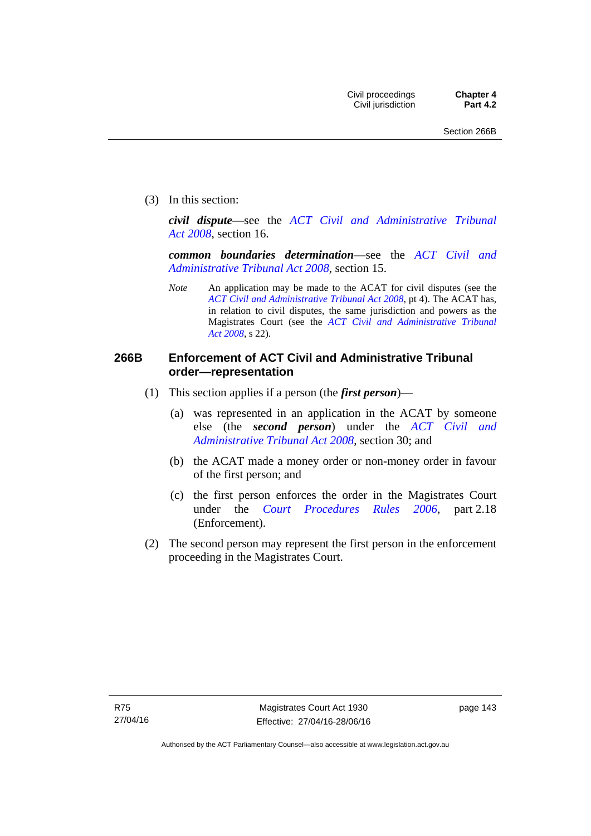(3) In this section:

*civil dispute*—see the *[ACT Civil and Administrative Tribunal](http://www.legislation.act.gov.au/a/2008-35)  [Act 2008](http://www.legislation.act.gov.au/a/2008-35)*, section 16.

*common boundaries determination*—see the *[ACT Civil and](http://www.legislation.act.gov.au/a/2008-35)  [Administrative Tribunal Act 2008](http://www.legislation.act.gov.au/a/2008-35)*, section 15.

*Note* An application may be made to the ACAT for civil disputes (see the *[ACT Civil and Administrative Tribunal Act 2008](http://www.legislation.act.gov.au/a/2008-35/default.asp)*, pt 4). The ACAT has, in relation to civil disputes, the same jurisdiction and powers as the Magistrates Court (see the *[ACT Civil and Administrative Tribunal](http://www.legislation.act.gov.au/a/2008-35)  [Act 2008](http://www.legislation.act.gov.au/a/2008-35)*, s 22).

### **266B Enforcement of ACT Civil and Administrative Tribunal order—representation**

- (1) This section applies if a person (the *first person*)—
	- (a) was represented in an application in the ACAT by someone else (the *second person*) under the *[ACT Civil and](http://www.legislation.act.gov.au/a/2008-35)  [Administrative Tribunal Act 2008](http://www.legislation.act.gov.au/a/2008-35)*, section 30; and
	- (b) the ACAT made a money order or non-money order in favour of the first person; and
	- (c) the first person enforces the order in the Magistrates Court under the *[Court Procedures Rules 2006](http://www.legislation.act.gov.au/sl/2006-29)*, part 2.18 (Enforcement).
- (2) The second person may represent the first person in the enforcement proceeding in the Magistrates Court.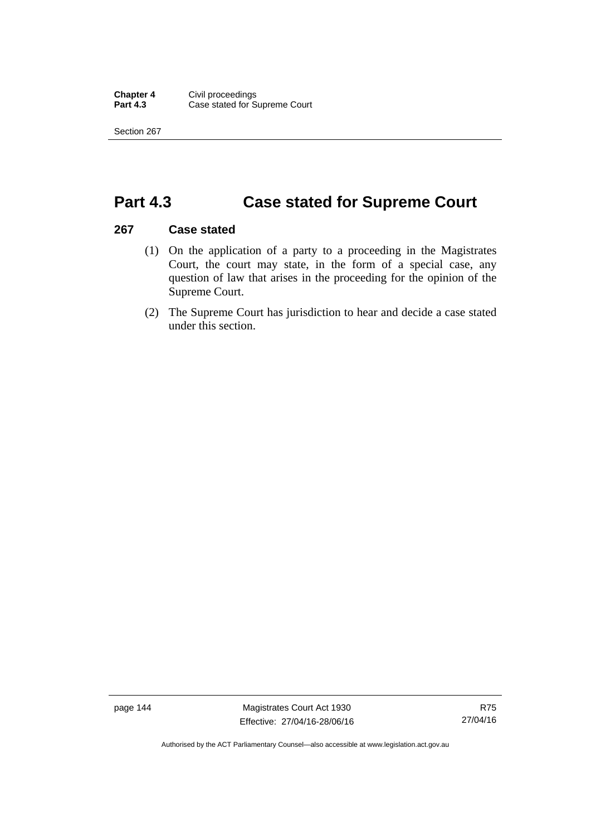Section 267

## **Part 4.3 Case stated for Supreme Court**

### **267 Case stated**

- (1) On the application of a party to a proceeding in the Magistrates Court, the court may state, in the form of a special case, any question of law that arises in the proceeding for the opinion of the Supreme Court.
- (2) The Supreme Court has jurisdiction to hear and decide a case stated under this section.

page 144 Magistrates Court Act 1930 Effective: 27/04/16-28/06/16

Authorised by the ACT Parliamentary Counsel—also accessible at www.legislation.act.gov.au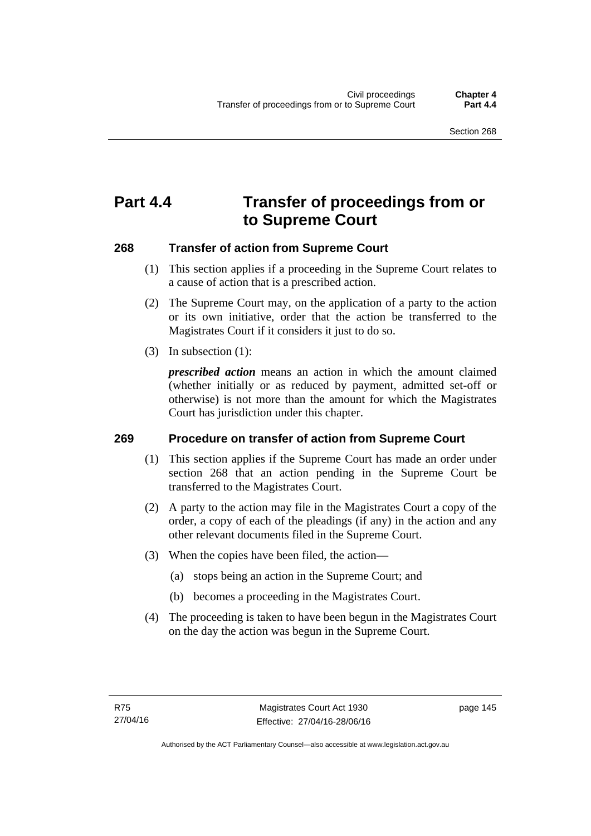# **Part 4.4 Transfer of proceedings from or to Supreme Court**

### **268 Transfer of action from Supreme Court**

- (1) This section applies if a proceeding in the Supreme Court relates to a cause of action that is a prescribed action.
- (2) The Supreme Court may, on the application of a party to the action or its own initiative, order that the action be transferred to the Magistrates Court if it considers it just to do so.
- (3) In subsection (1):

*prescribed action* means an action in which the amount claimed (whether initially or as reduced by payment, admitted set-off or otherwise) is not more than the amount for which the Magistrates Court has jurisdiction under this chapter.

### **269 Procedure on transfer of action from Supreme Court**

- (1) This section applies if the Supreme Court has made an order under section 268 that an action pending in the Supreme Court be transferred to the Magistrates Court.
- (2) A party to the action may file in the Magistrates Court a copy of the order, a copy of each of the pleadings (if any) in the action and any other relevant documents filed in the Supreme Court.
- (3) When the copies have been filed, the action—
	- (a) stops being an action in the Supreme Court; and
	- (b) becomes a proceeding in the Magistrates Court.
- (4) The proceeding is taken to have been begun in the Magistrates Court on the day the action was begun in the Supreme Court.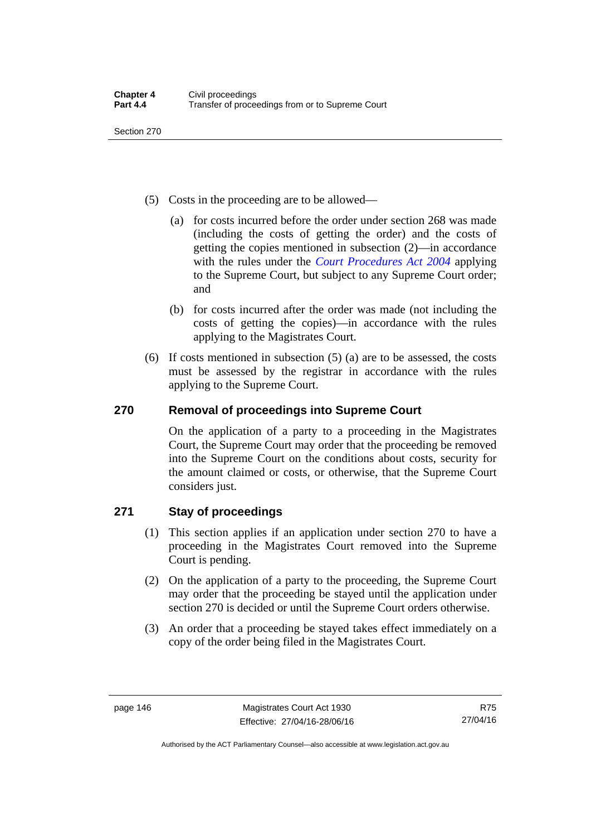Section 270

- (5) Costs in the proceeding are to be allowed—
	- (a) for costs incurred before the order under section 268 was made (including the costs of getting the order) and the costs of getting the copies mentioned in subsection (2)—in accordance with the rules under the *[Court Procedures Act 2004](http://www.legislation.act.gov.au/a/2004-59)* applying to the Supreme Court, but subject to any Supreme Court order; and
	- (b) for costs incurred after the order was made (not including the costs of getting the copies)—in accordance with the rules applying to the Magistrates Court.
- (6) If costs mentioned in subsection (5) (a) are to be assessed, the costs must be assessed by the registrar in accordance with the rules applying to the Supreme Court.

### **270 Removal of proceedings into Supreme Court**

On the application of a party to a proceeding in the Magistrates Court, the Supreme Court may order that the proceeding be removed into the Supreme Court on the conditions about costs, security for the amount claimed or costs, or otherwise, that the Supreme Court considers just.

### **271 Stay of proceedings**

- (1) This section applies if an application under section 270 to have a proceeding in the Magistrates Court removed into the Supreme Court is pending.
- (2) On the application of a party to the proceeding, the Supreme Court may order that the proceeding be stayed until the application under section 270 is decided or until the Supreme Court orders otherwise.
- (3) An order that a proceeding be stayed takes effect immediately on a copy of the order being filed in the Magistrates Court.

Authorised by the ACT Parliamentary Counsel—also accessible at www.legislation.act.gov.au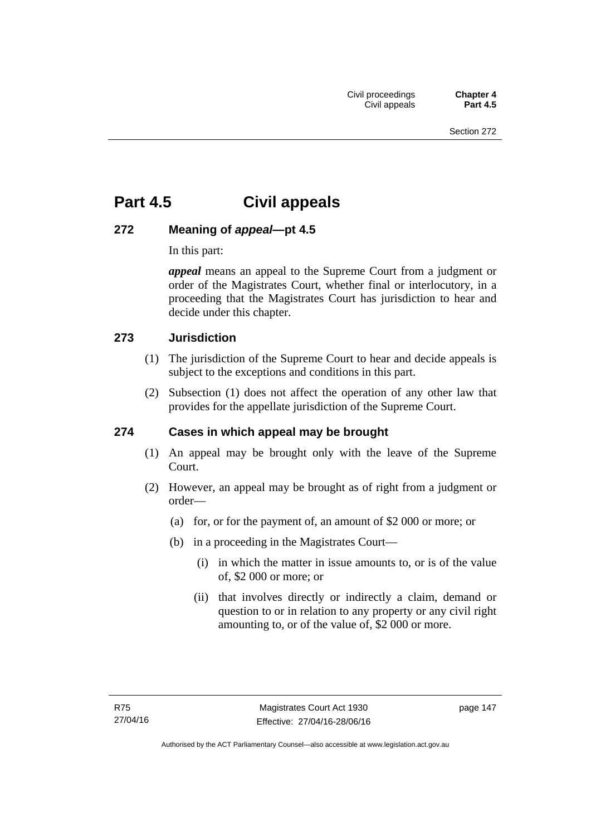# **Part 4.5 Civil appeals**

### **272 Meaning of** *appeal***—pt 4.5**

In this part:

*appeal* means an appeal to the Supreme Court from a judgment or order of the Magistrates Court, whether final or interlocutory, in a proceeding that the Magistrates Court has jurisdiction to hear and decide under this chapter.

### **273 Jurisdiction**

- (1) The jurisdiction of the Supreme Court to hear and decide appeals is subject to the exceptions and conditions in this part.
- (2) Subsection (1) does not affect the operation of any other law that provides for the appellate jurisdiction of the Supreme Court.

### **274 Cases in which appeal may be brought**

- (1) An appeal may be brought only with the leave of the Supreme Court.
- (2) However, an appeal may be brought as of right from a judgment or order—
	- (a) for, or for the payment of, an amount of \$2 000 or more; or
	- (b) in a proceeding in the Magistrates Court—
		- (i) in which the matter in issue amounts to, or is of the value of, \$2 000 or more; or
		- (ii) that involves directly or indirectly a claim, demand or question to or in relation to any property or any civil right amounting to, or of the value of, \$2 000 or more.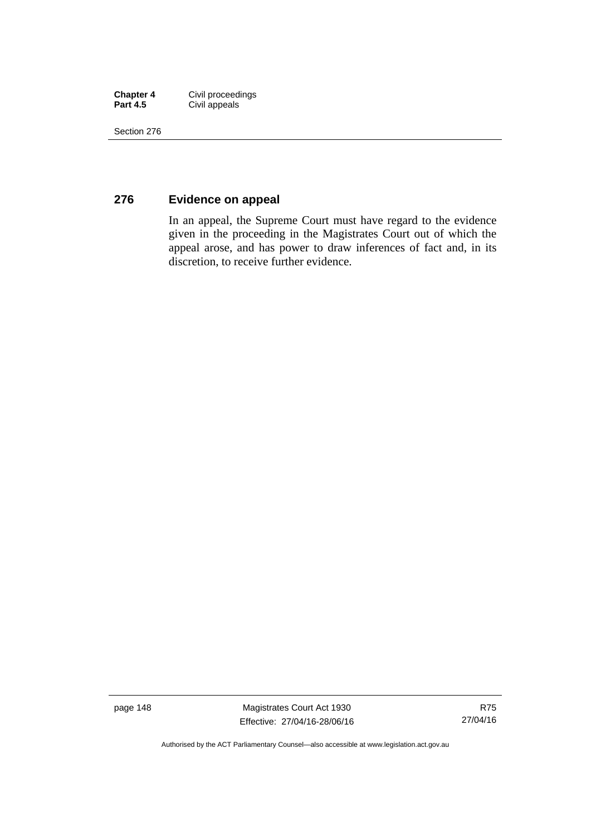| <b>Chapter 4</b> | Civil proceedings |
|------------------|-------------------|
| <b>Part 4.5</b>  | Civil appeals     |

Section 276

### **276 Evidence on appeal**

In an appeal, the Supreme Court must have regard to the evidence given in the proceeding in the Magistrates Court out of which the appeal arose, and has power to draw inferences of fact and, in its discretion, to receive further evidence.

page 148 Magistrates Court Act 1930 Effective: 27/04/16-28/06/16

Authorised by the ACT Parliamentary Counsel—also accessible at www.legislation.act.gov.au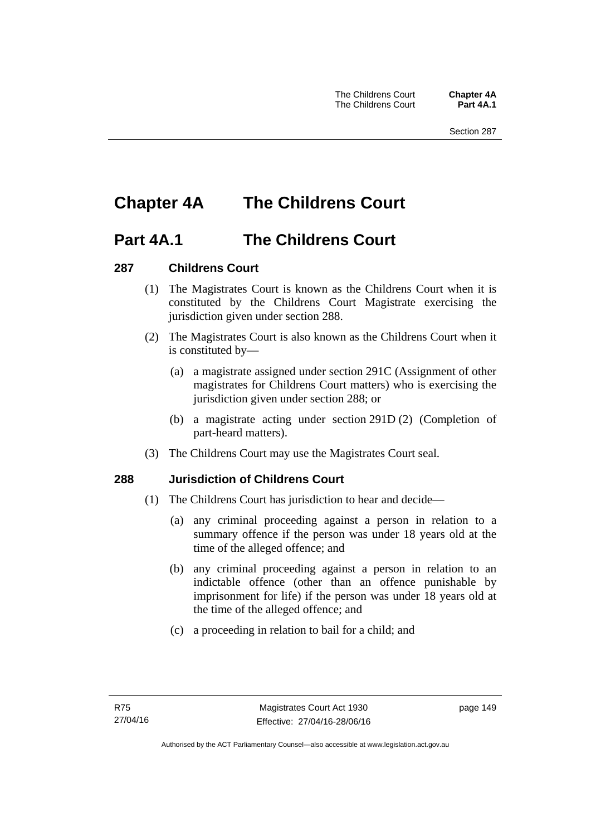# **Chapter 4A The Childrens Court**

### **Part 4A.1 The Childrens Court**

### **287 Childrens Court**

- (1) The Magistrates Court is known as the Childrens Court when it is constituted by the Childrens Court Magistrate exercising the jurisdiction given under section 288.
- (2) The Magistrates Court is also known as the Childrens Court when it is constituted by—
	- (a) a magistrate assigned under section 291C (Assignment of other magistrates for Childrens Court matters) who is exercising the jurisdiction given under section 288; or
	- (b) a magistrate acting under section 291D (2) (Completion of part-heard matters).
- (3) The Childrens Court may use the Magistrates Court seal.

### **288 Jurisdiction of Childrens Court**

- (1) The Childrens Court has jurisdiction to hear and decide—
	- (a) any criminal proceeding against a person in relation to a summary offence if the person was under 18 years old at the time of the alleged offence; and
	- (b) any criminal proceeding against a person in relation to an indictable offence (other than an offence punishable by imprisonment for life) if the person was under 18 years old at the time of the alleged offence; and
	- (c) a proceeding in relation to bail for a child; and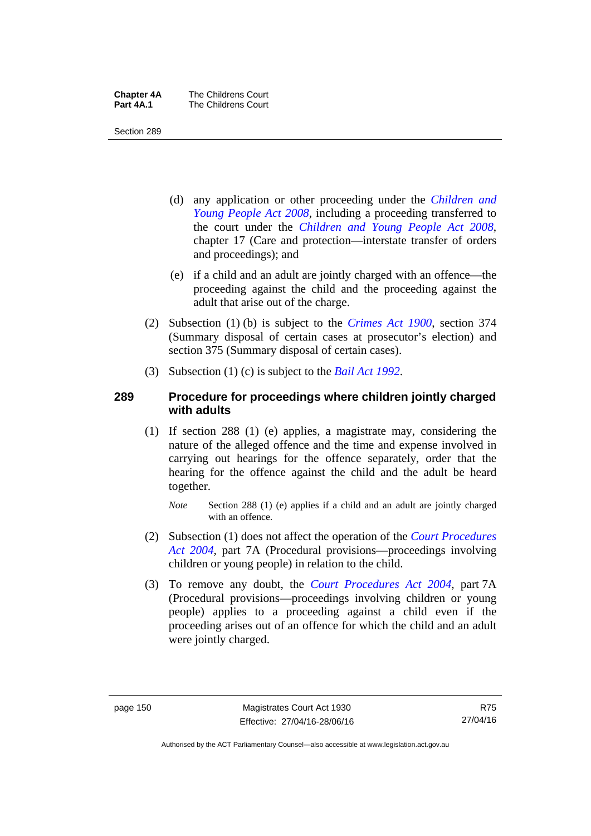| <b>Chapter 4A</b> | The Childrens Court |
|-------------------|---------------------|
| Part 4A.1         | The Childrens Court |

Section 289

- (d) any application or other proceeding under the *[Children and](http://www.legislation.act.gov.au/a/2008-19)  [Young People Act 2008](http://www.legislation.act.gov.au/a/2008-19)*, including a proceeding transferred to the court under the *[Children and Young People Act 2008](http://www.legislation.act.gov.au/a/2008-19)*, chapter 17 (Care and protection—interstate transfer of orders and proceedings); and
- (e) if a child and an adult are jointly charged with an offence—the proceeding against the child and the proceeding against the adult that arise out of the charge.
- (2) Subsection (1) (b) is subject to the *[Crimes Act 1900](http://www.legislation.act.gov.au/a/1900-40)*, section 374 (Summary disposal of certain cases at prosecutor's election) and section 375 (Summary disposal of certain cases).
- (3) Subsection (1) (c) is subject to the *[Bail Act 1992](http://www.legislation.act.gov.au/a/1992-8)*.

### **289 Procedure for proceedings where children jointly charged with adults**

- (1) If section 288 (1) (e) applies, a magistrate may, considering the nature of the alleged offence and the time and expense involved in carrying out hearings for the offence separately, order that the hearing for the offence against the child and the adult be heard together.
	- *Note* Section 288 (1) (e) applies if a child and an adult are jointly charged with an offence.
- (2) Subsection (1) does not affect the operation of the *[Court Procedures](http://www.legislation.act.gov.au/a/2004-59)  [Act 2004](http://www.legislation.act.gov.au/a/2004-59)*, part 7A (Procedural provisions—proceedings involving children or young people) in relation to the child.
- (3) To remove any doubt, the *[Court Procedures Act 2004](http://www.legislation.act.gov.au/a/2004-59)*, part 7A (Procedural provisions—proceedings involving children or young people) applies to a proceeding against a child even if the proceeding arises out of an offence for which the child and an adult were jointly charged.

R75 27/04/16

Authorised by the ACT Parliamentary Counsel—also accessible at www.legislation.act.gov.au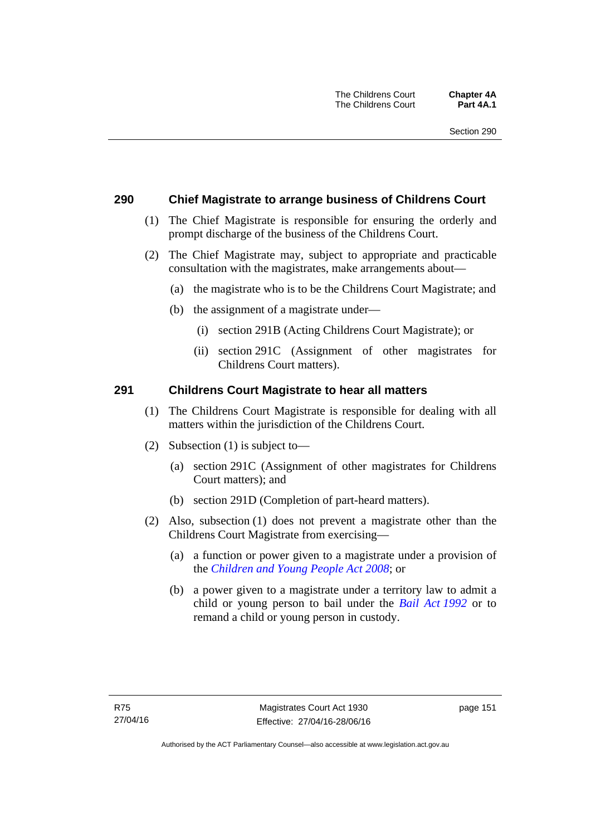### **290 Chief Magistrate to arrange business of Childrens Court**

- (1) The Chief Magistrate is responsible for ensuring the orderly and prompt discharge of the business of the Childrens Court.
- (2) The Chief Magistrate may, subject to appropriate and practicable consultation with the magistrates, make arrangements about—
	- (a) the magistrate who is to be the Childrens Court Magistrate; and
	- (b) the assignment of a magistrate under—
		- (i) section 291B (Acting Childrens Court Magistrate); or
		- (ii) section 291C (Assignment of other magistrates for Childrens Court matters).

#### **291 Childrens Court Magistrate to hear all matters**

- (1) The Childrens Court Magistrate is responsible for dealing with all matters within the jurisdiction of the Childrens Court.
- (2) Subsection (1) is subject to—
	- (a) section 291C (Assignment of other magistrates for Childrens Court matters); and
	- (b) section 291D (Completion of part-heard matters).
- (2) Also, subsection (1) does not prevent a magistrate other than the Childrens Court Magistrate from exercising—
	- (a) a function or power given to a magistrate under a provision of the *[Children and Young People Act 2008](http://www.legislation.act.gov.au/a/2008-19)*; or
	- (b) a power given to a magistrate under a territory law to admit a child or young person to bail under the *[Bail Act 1992](http://www.legislation.act.gov.au/a/1992-8)* or to remand a child or young person in custody.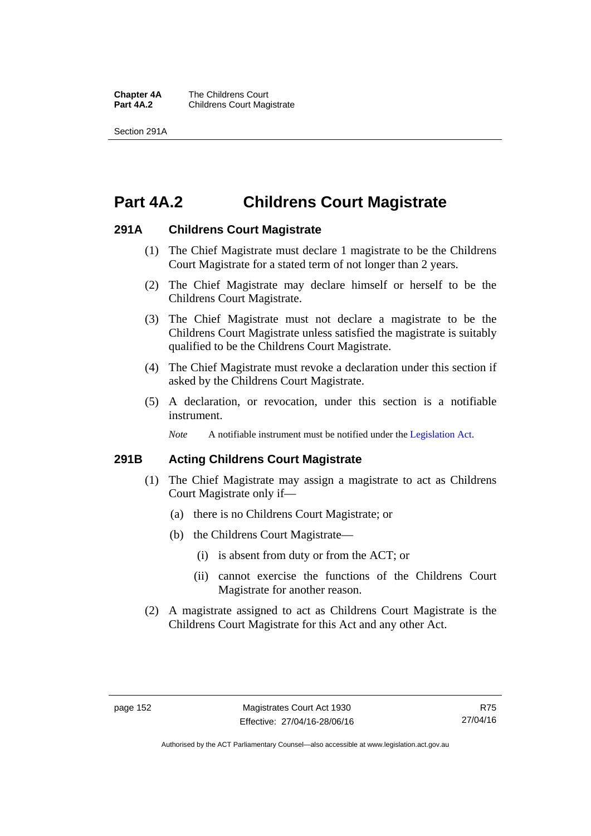**Chapter 4A** The Childrens Court<br>**Part 4A.2** Childrens Court Mag **Childrens Court Magistrate** 

Section 291A

# **Part 4A.2 Childrens Court Magistrate**

### **291A Childrens Court Magistrate**

- (1) The Chief Magistrate must declare 1 magistrate to be the Childrens Court Magistrate for a stated term of not longer than 2 years.
- (2) The Chief Magistrate may declare himself or herself to be the Childrens Court Magistrate.
- (3) The Chief Magistrate must not declare a magistrate to be the Childrens Court Magistrate unless satisfied the magistrate is suitably qualified to be the Childrens Court Magistrate.
- (4) The Chief Magistrate must revoke a declaration under this section if asked by the Childrens Court Magistrate.
- (5) A declaration, or revocation, under this section is a notifiable instrument.

*Note* A notifiable instrument must be notified under the [Legislation Act](http://www.legislation.act.gov.au/a/2001-14).

### **291B Acting Childrens Court Magistrate**

- (1) The Chief Magistrate may assign a magistrate to act as Childrens Court Magistrate only if—
	- (a) there is no Childrens Court Magistrate; or
	- (b) the Childrens Court Magistrate—
		- (i) is absent from duty or from the ACT; or
		- (ii) cannot exercise the functions of the Childrens Court Magistrate for another reason.
- (2) A magistrate assigned to act as Childrens Court Magistrate is the Childrens Court Magistrate for this Act and any other Act.

Authorised by the ACT Parliamentary Counsel—also accessible at www.legislation.act.gov.au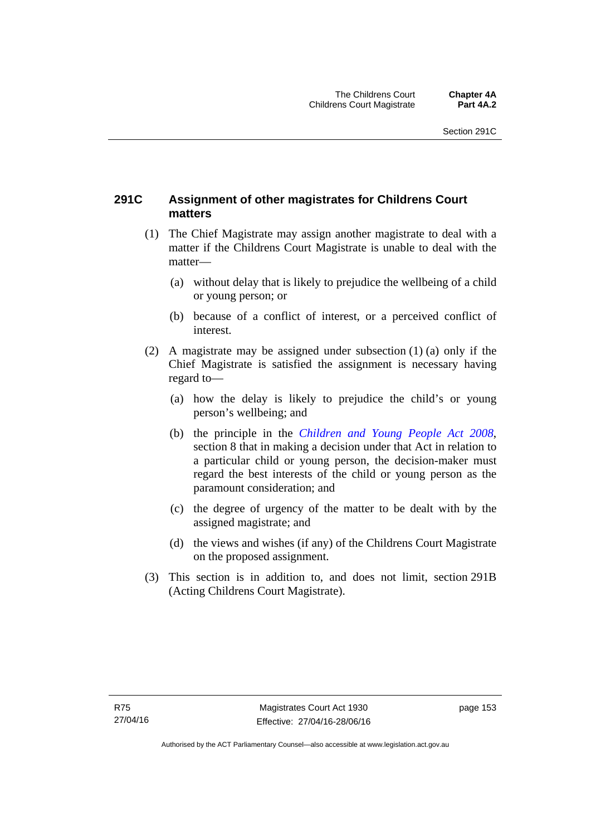### **291C Assignment of other magistrates for Childrens Court matters**

- (1) The Chief Magistrate may assign another magistrate to deal with a matter if the Childrens Court Magistrate is unable to deal with the matter—
	- (a) without delay that is likely to prejudice the wellbeing of a child or young person; or
	- (b) because of a conflict of interest, or a perceived conflict of interest.
- (2) A magistrate may be assigned under subsection (1) (a) only if the Chief Magistrate is satisfied the assignment is necessary having regard to—
	- (a) how the delay is likely to prejudice the child's or young person's wellbeing; and
	- (b) the principle in the *[Children and Young People Act 2008](http://www.legislation.act.gov.au/a/2008-19)*, section 8 that in making a decision under that Act in relation to a particular child or young person, the decision-maker must regard the best interests of the child or young person as the paramount consideration; and
	- (c) the degree of urgency of the matter to be dealt with by the assigned magistrate; and
	- (d) the views and wishes (if any) of the Childrens Court Magistrate on the proposed assignment.
- (3) This section is in addition to, and does not limit, section 291B (Acting Childrens Court Magistrate).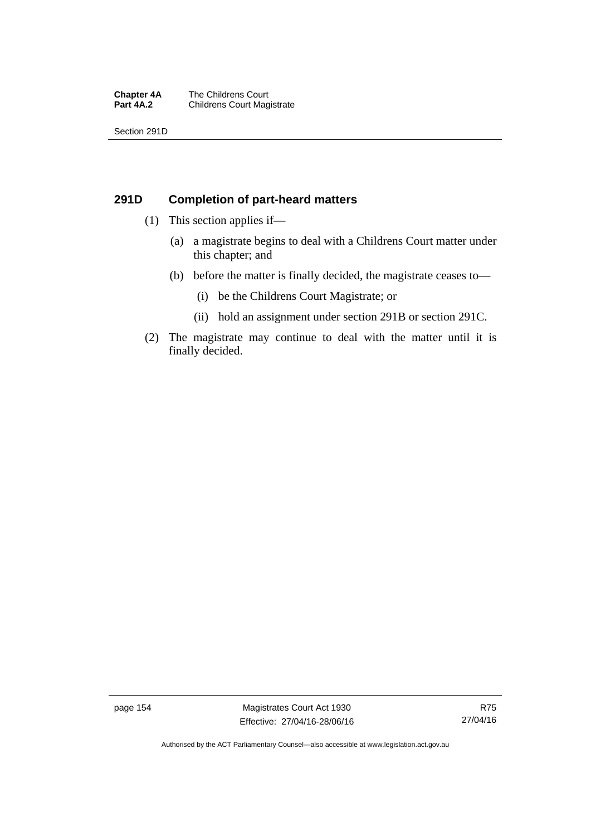#### **Chapter 4A** The Childrens Court<br>**Part 4A.2** Childrens Court Mag **Childrens Court Magistrate**

Section 291D

### **291D Completion of part-heard matters**

- (1) This section applies if—
	- (a) a magistrate begins to deal with a Childrens Court matter under this chapter; and
	- (b) before the matter is finally decided, the magistrate ceases to—
		- (i) be the Childrens Court Magistrate; or
		- (ii) hold an assignment under section 291B or section 291C.
- (2) The magistrate may continue to deal with the matter until it is finally decided.

page 154 Magistrates Court Act 1930 Effective: 27/04/16-28/06/16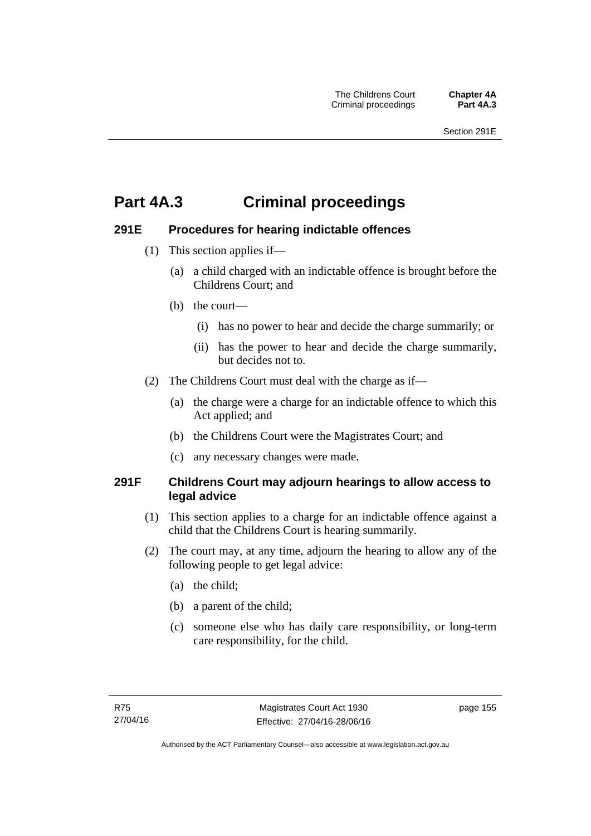# **Part 4A.3 Criminal proceedings**

### **291E Procedures for hearing indictable offences**

- (1) This section applies if—
	- (a) a child charged with an indictable offence is brought before the Childrens Court; and
	- (b) the court—
		- (i) has no power to hear and decide the charge summarily; or
		- (ii) has the power to hear and decide the charge summarily, but decides not to.
- (2) The Childrens Court must deal with the charge as if—
	- (a) the charge were a charge for an indictable offence to which this Act applied; and
	- (b) the Childrens Court were the Magistrates Court; and
	- (c) any necessary changes were made.

### **291F Childrens Court may adjourn hearings to allow access to legal advice**

- (1) This section applies to a charge for an indictable offence against a child that the Childrens Court is hearing summarily.
- (2) The court may, at any time, adjourn the hearing to allow any of the following people to get legal advice:
	- (a) the child;
	- (b) a parent of the child;
	- (c) someone else who has daily care responsibility, or long-term care responsibility, for the child.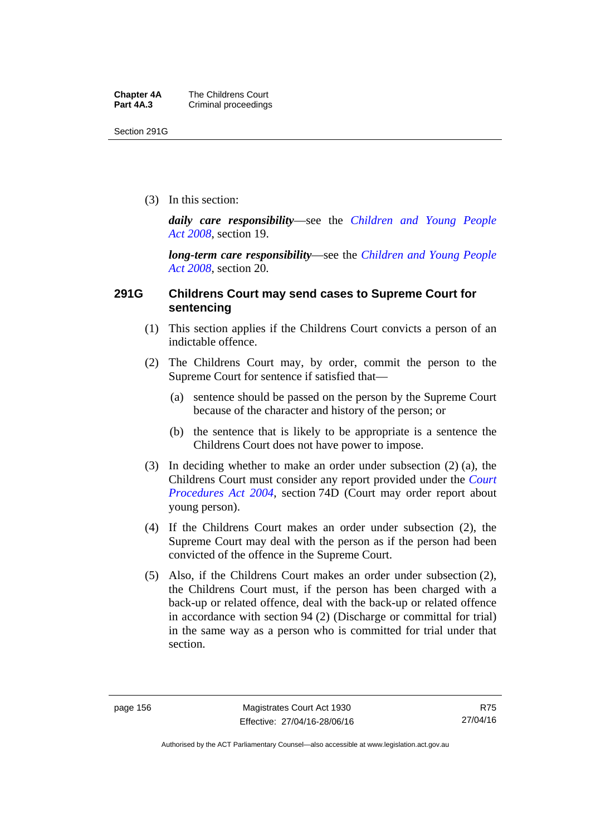Section 291G

(3) In this section:

*daily care responsibility*—see the *[Children and Young People](http://www.legislation.act.gov.au/a/2008-19)  [Act 2008](http://www.legislation.act.gov.au/a/2008-19)*, section 19.

*long-term care responsibility*—see the *[Children and Young People](http://www.legislation.act.gov.au/a/2008-19)  [Act 2008](http://www.legislation.act.gov.au/a/2008-19)*, section 20.

### **291G Childrens Court may send cases to Supreme Court for sentencing**

- (1) This section applies if the Childrens Court convicts a person of an indictable offence.
- (2) The Childrens Court may, by order, commit the person to the Supreme Court for sentence if satisfied that—
	- (a) sentence should be passed on the person by the Supreme Court because of the character and history of the person; or
	- (b) the sentence that is likely to be appropriate is a sentence the Childrens Court does not have power to impose.
- (3) In deciding whether to make an order under subsection (2) (a), the Childrens Court must consider any report provided under the *[Court](http://www.legislation.act.gov.au/a/2004-59)  [Procedures Act 2004](http://www.legislation.act.gov.au/a/2004-59)*, section 74D (Court may order report about young person).
- (4) If the Childrens Court makes an order under subsection (2), the Supreme Court may deal with the person as if the person had been convicted of the offence in the Supreme Court.
- (5) Also, if the Childrens Court makes an order under subsection (2), the Childrens Court must, if the person has been charged with a back-up or related offence, deal with the back-up or related offence in accordance with section 94 (2) (Discharge or committal for trial) in the same way as a person who is committed for trial under that section.

R75 27/04/16

Authorised by the ACT Parliamentary Counsel—also accessible at www.legislation.act.gov.au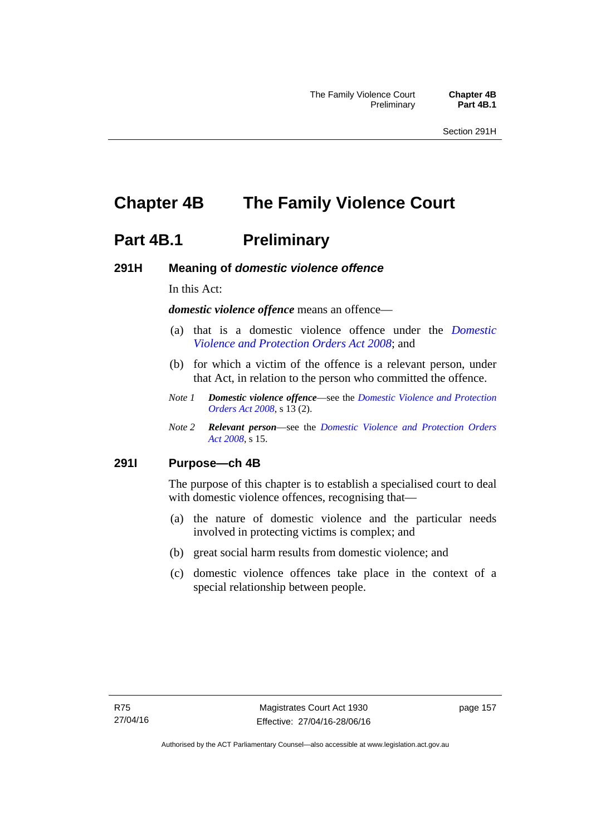# **Chapter 4B The Family Violence Court**

### **Part 4B.1** Preliminary

### **291H Meaning of** *domestic violence offence*

In this Act:

*domestic violence offence* means an offence—

- (a) that is a domestic violence offence under the *[Domestic](http://www.legislation.act.gov.au/a/2008-46)  [Violence and Protection Orders Act 2008](http://www.legislation.act.gov.au/a/2008-46)*; and
- (b) for which a victim of the offence is a relevant person, under that Act, in relation to the person who committed the offence.
- *Note 1 Domestic violence offence*—see the *[Domestic Violence and Protection](http://www.legislation.act.gov.au/a/2008-46)  [Orders Act 2008](http://www.legislation.act.gov.au/a/2008-46)*, s 13 (2).
- *Note 2 Relevant person*—see the *[Domestic Violence and Protection Orders](http://www.legislation.act.gov.au/a/2008-46)  [Act 2008](http://www.legislation.act.gov.au/a/2008-46)*, s 15.

#### **291I Purpose—ch 4B**

The purpose of this chapter is to establish a specialised court to deal with domestic violence offences, recognising that—

- (a) the nature of domestic violence and the particular needs involved in protecting victims is complex; and
- (b) great social harm results from domestic violence; and
- (c) domestic violence offences take place in the context of a special relationship between people.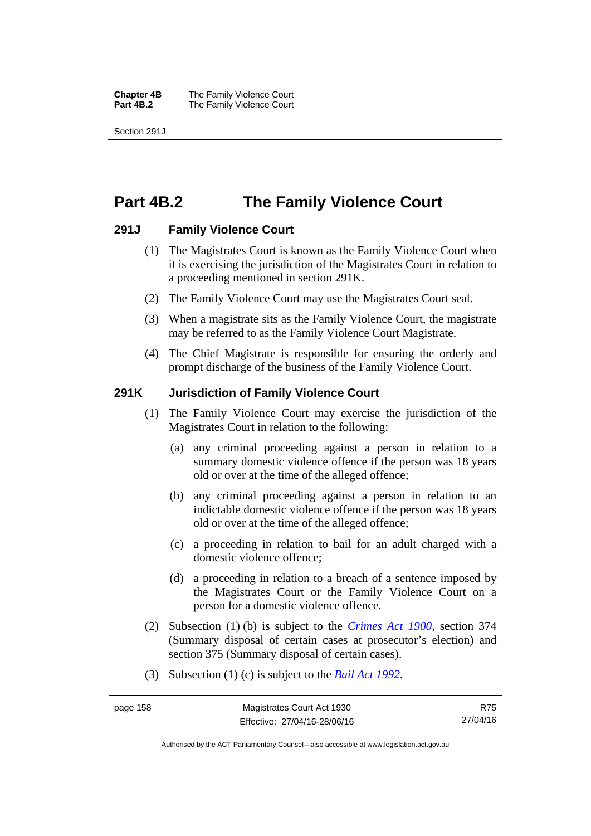**Chapter 4B** The Family Violence Court<br>**Part 4B.2** The Family Violence Court **The Family Violence Court** 

Section 291J

## **Part 4B.2 The Family Violence Court**

### **291J Family Violence Court**

- (1) The Magistrates Court is known as the Family Violence Court when it is exercising the jurisdiction of the Magistrates Court in relation to a proceeding mentioned in section 291K.
- (2) The Family Violence Court may use the Magistrates Court seal.
- (3) When a magistrate sits as the Family Violence Court, the magistrate may be referred to as the Family Violence Court Magistrate.
- (4) The Chief Magistrate is responsible for ensuring the orderly and prompt discharge of the business of the Family Violence Court.

### **291K Jurisdiction of Family Violence Court**

- (1) The Family Violence Court may exercise the jurisdiction of the Magistrates Court in relation to the following:
	- (a) any criminal proceeding against a person in relation to a summary domestic violence offence if the person was 18 years old or over at the time of the alleged offence;
	- (b) any criminal proceeding against a person in relation to an indictable domestic violence offence if the person was 18 years old or over at the time of the alleged offence;
	- (c) a proceeding in relation to bail for an adult charged with a domestic violence offence;
	- (d) a proceeding in relation to a breach of a sentence imposed by the Magistrates Court or the Family Violence Court on a person for a domestic violence offence.
- (2) Subsection (1) (b) is subject to the *[Crimes Act 1900](http://www.legislation.act.gov.au/a/1900-40)*, section 374 (Summary disposal of certain cases at prosecutor's election) and section 375 (Summary disposal of certain cases).
- (3) Subsection (1) (c) is subject to the *[Bail Act 1992](http://www.legislation.act.gov.au/a/1992-8)*.

R75 27/04/16

Authorised by the ACT Parliamentary Counsel—also accessible at www.legislation.act.gov.au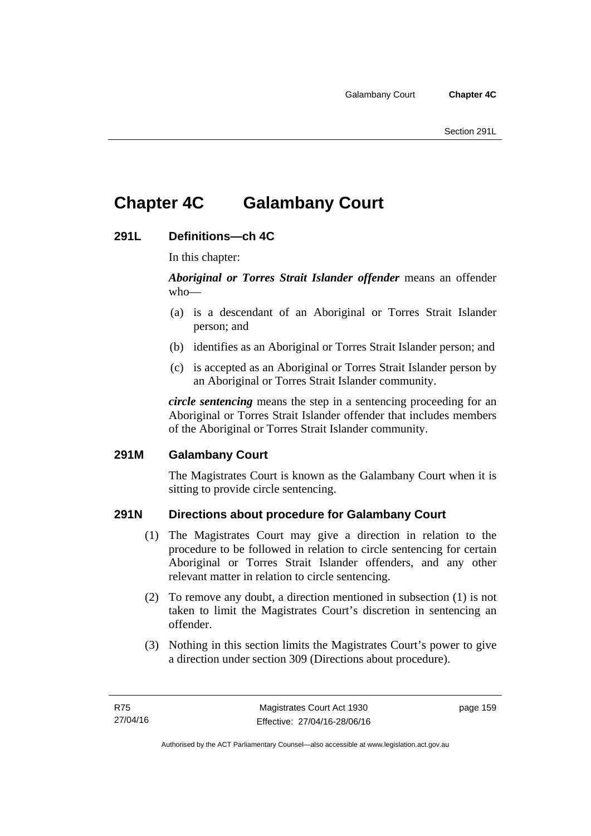# **Chapter 4C Galambany Court**

### **291L Definitions—ch 4C**

In this chapter:

*Aboriginal or Torres Strait Islander offender* means an offender who—

- (a) is a descendant of an Aboriginal or Torres Strait Islander person; and
- (b) identifies as an Aboriginal or Torres Strait Islander person; and
- (c) is accepted as an Aboriginal or Torres Strait Islander person by an Aboriginal or Torres Strait Islander community.

*circle sentencing* means the step in a sentencing proceeding for an Aboriginal or Torres Strait Islander offender that includes members of the Aboriginal or Torres Strait Islander community.

### **291M Galambany Court**

The Magistrates Court is known as the Galambany Court when it is sitting to provide circle sentencing.

### **291N Directions about procedure for Galambany Court**

- (1) The Magistrates Court may give a direction in relation to the procedure to be followed in relation to circle sentencing for certain Aboriginal or Torres Strait Islander offenders, and any other relevant matter in relation to circle sentencing.
- (2) To remove any doubt, a direction mentioned in subsection (1) is not taken to limit the Magistrates Court's discretion in sentencing an offender.
- (3) Nothing in this section limits the Magistrates Court's power to give a direction under section 309 (Directions about procedure).

page 159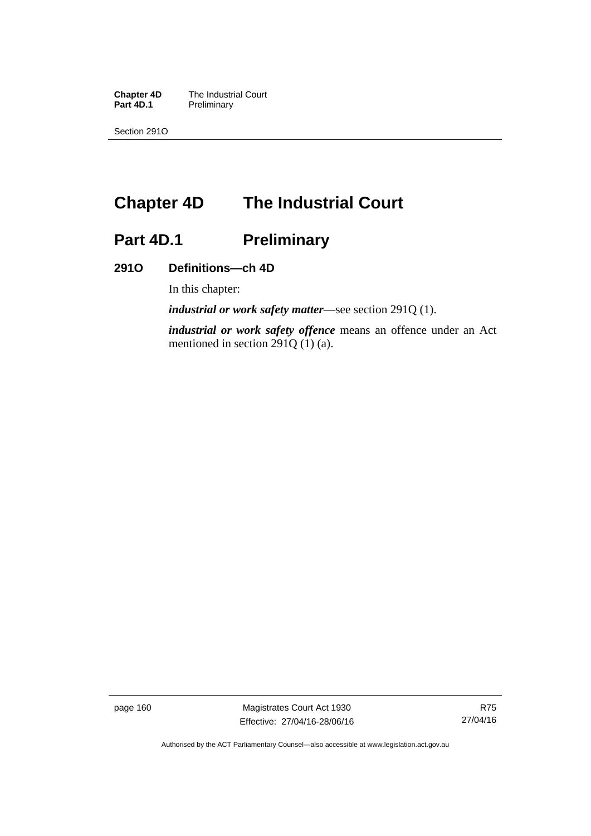**Chapter 4D** The Industrial Court<br>**Part 4D.1** Preliminary **Preliminary** 

Section 291O

# **Chapter 4D The Industrial Court**

# Part 4D.1 **Preliminary**

### **291O Definitions—ch 4D**

In this chapter:

*industrial or work safety matter*—see section 291Q (1).

*industrial or work safety offence* means an offence under an Act mentioned in section 291Q (1) (a).

page 160 Magistrates Court Act 1930 Effective: 27/04/16-28/06/16

Authorised by the ACT Parliamentary Counsel—also accessible at www.legislation.act.gov.au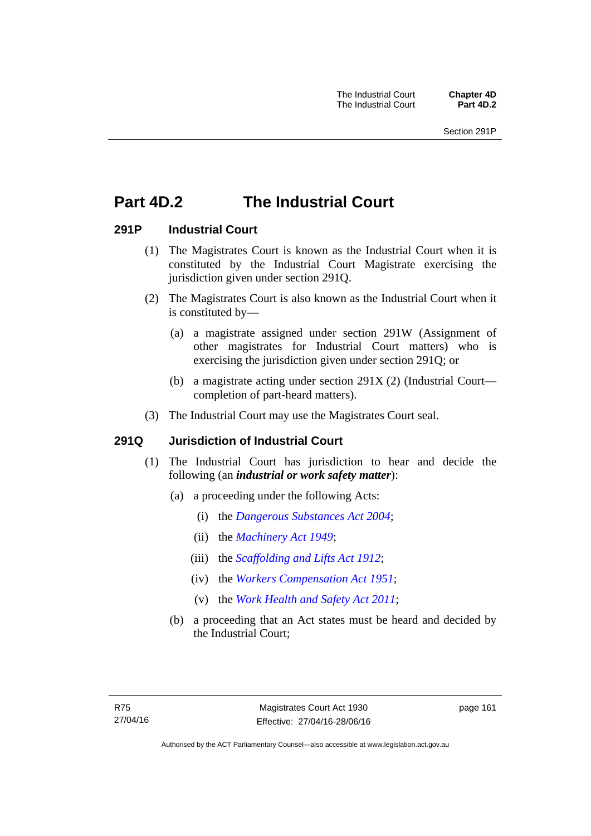# **Part 4D.2 The Industrial Court**

### **291P Industrial Court**

- (1) The Magistrates Court is known as the Industrial Court when it is constituted by the Industrial Court Magistrate exercising the jurisdiction given under section 291Q.
- (2) The Magistrates Court is also known as the Industrial Court when it is constituted by—
	- (a) a magistrate assigned under section 291W (Assignment of other magistrates for Industrial Court matters) who is exercising the jurisdiction given under section 291Q; or
	- (b) a magistrate acting under section 291X (2) (Industrial Court completion of part-heard matters).
- (3) The Industrial Court may use the Magistrates Court seal.

### **291Q Jurisdiction of Industrial Court**

- (1) The Industrial Court has jurisdiction to hear and decide the following (an *industrial or work safety matter*):
	- (a) a proceeding under the following Acts:
		- (i) the *[Dangerous Substances Act 2004](http://www.legislation.act.gov.au/a/2004-7)*;
		- (ii) the *[Machinery Act 1949](http://www.legislation.act.gov.au/a/1949-11)*;
		- (iii) the *[Scaffolding and Lifts Act 1912](http://www.legislation.act.gov.au/a/1912-38)*;
		- (iv) the *[Workers Compensation Act 1951](http://www.legislation.act.gov.au/a/1951-2)*;
		- (v) the *[Work Health and Safety Act 2011](http://www.legislation.act.gov.au/a/2011-35)*;
	- (b) a proceeding that an Act states must be heard and decided by the Industrial Court;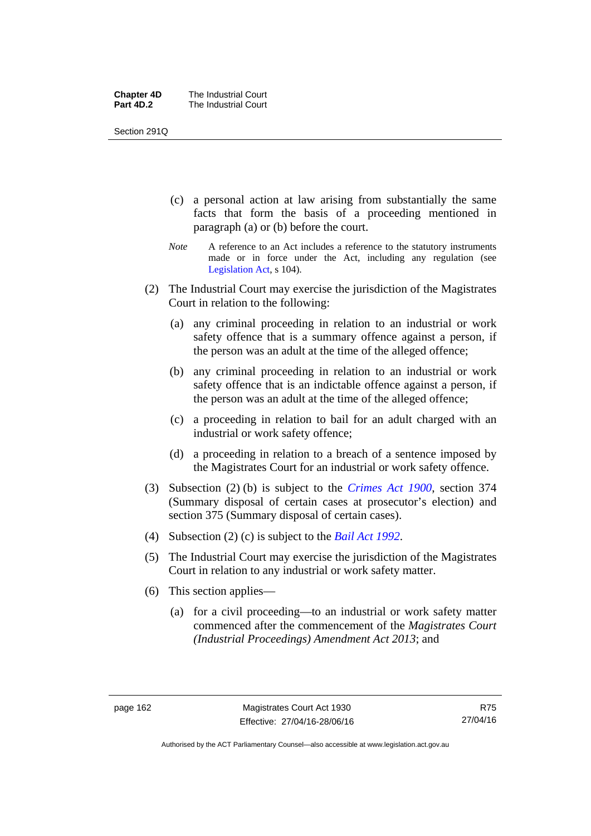| <b>Chapter 4D</b> | The Industrial Court |
|-------------------|----------------------|
| Part 4D.2         | The Industrial Court |

Section 291Q

- (c) a personal action at law arising from substantially the same facts that form the basis of a proceeding mentioned in paragraph (a) or (b) before the court.
- *Note* A reference to an Act includes a reference to the statutory instruments made or in force under the Act, including any regulation (see [Legislation Act,](http://www.legislation.act.gov.au/a/2001-14) s 104).
- (2) The Industrial Court may exercise the jurisdiction of the Magistrates Court in relation to the following:
	- (a) any criminal proceeding in relation to an industrial or work safety offence that is a summary offence against a person, if the person was an adult at the time of the alleged offence;
	- (b) any criminal proceeding in relation to an industrial or work safety offence that is an indictable offence against a person, if the person was an adult at the time of the alleged offence;
	- (c) a proceeding in relation to bail for an adult charged with an industrial or work safety offence;
	- (d) a proceeding in relation to a breach of a sentence imposed by the Magistrates Court for an industrial or work safety offence.
- (3) Subsection (2) (b) is subject to the *[Crimes Act 1900](http://www.legislation.act.gov.au/a/1900-40)*, section 374 (Summary disposal of certain cases at prosecutor's election) and section 375 (Summary disposal of certain cases).
- (4) Subsection (2) (c) is subject to the *[Bail Act 1992](http://www.legislation.act.gov.au/a/1992-8)*.
- (5) The Industrial Court may exercise the jurisdiction of the Magistrates Court in relation to any industrial or work safety matter.
- (6) This section applies—
	- (a) for a civil proceeding—to an industrial or work safety matter commenced after the commencement of the *Magistrates Court (Industrial Proceedings) Amendment Act 2013*; and

R75 27/04/16

Authorised by the ACT Parliamentary Counsel—also accessible at www.legislation.act.gov.au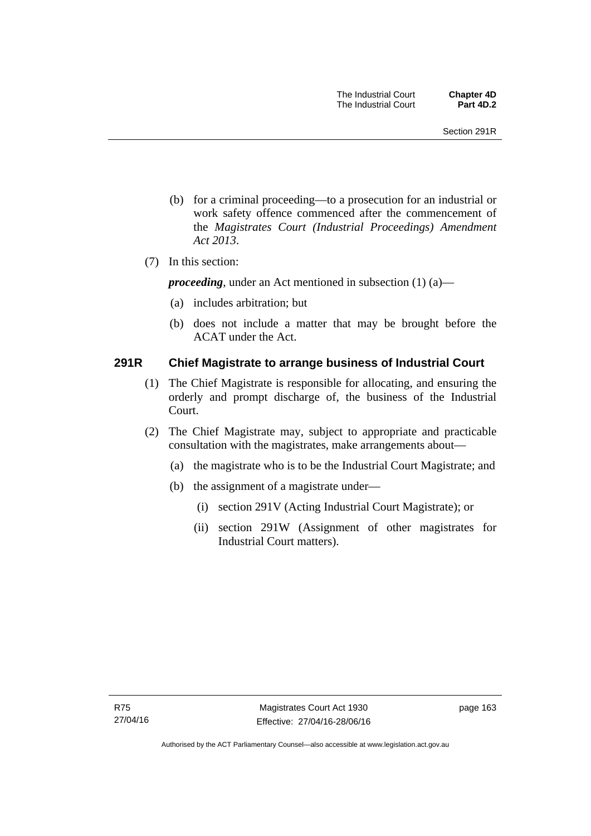- (b) for a criminal proceeding—to a prosecution for an industrial or work safety offence commenced after the commencement of the *Magistrates Court (Industrial Proceedings) Amendment Act 2013*.
- (7) In this section:

*proceeding*, under an Act mentioned in subsection (1) (a)—

- (a) includes arbitration; but
- (b) does not include a matter that may be brought before the ACAT under the Act.

### **291R Chief Magistrate to arrange business of Industrial Court**

- (1) The Chief Magistrate is responsible for allocating, and ensuring the orderly and prompt discharge of, the business of the Industrial Court.
- (2) The Chief Magistrate may, subject to appropriate and practicable consultation with the magistrates, make arrangements about—
	- (a) the magistrate who is to be the Industrial Court Magistrate; and
	- (b) the assignment of a magistrate under—
		- (i) section 291V (Acting Industrial Court Magistrate); or
		- (ii) section 291W (Assignment of other magistrates for Industrial Court matters).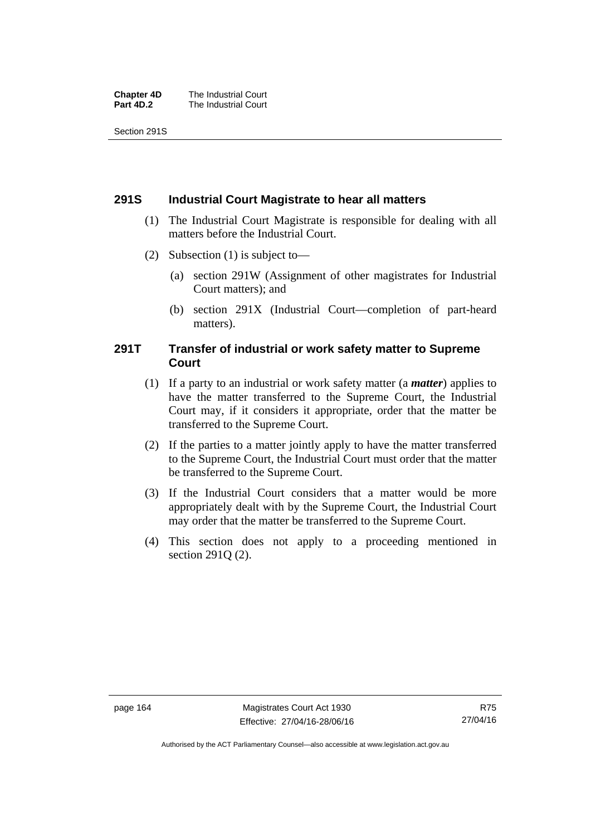| <b>Chapter 4D</b> | The Industrial Court |
|-------------------|----------------------|
| Part 4D.2         | The Industrial Court |

Section 291S

### **291S Industrial Court Magistrate to hear all matters**

- (1) The Industrial Court Magistrate is responsible for dealing with all matters before the Industrial Court.
- (2) Subsection (1) is subject to—
	- (a) section 291W (Assignment of other magistrates for Industrial Court matters); and
	- (b) section 291X (Industrial Court—completion of part-heard matters).

### **291T Transfer of industrial or work safety matter to Supreme Court**

- (1) If a party to an industrial or work safety matter (a *matter*) applies to have the matter transferred to the Supreme Court, the Industrial Court may, if it considers it appropriate, order that the matter be transferred to the Supreme Court.
- (2) If the parties to a matter jointly apply to have the matter transferred to the Supreme Court, the Industrial Court must order that the matter be transferred to the Supreme Court.
- (3) If the Industrial Court considers that a matter would be more appropriately dealt with by the Supreme Court, the Industrial Court may order that the matter be transferred to the Supreme Court.
- (4) This section does not apply to a proceeding mentioned in section 291Q (2).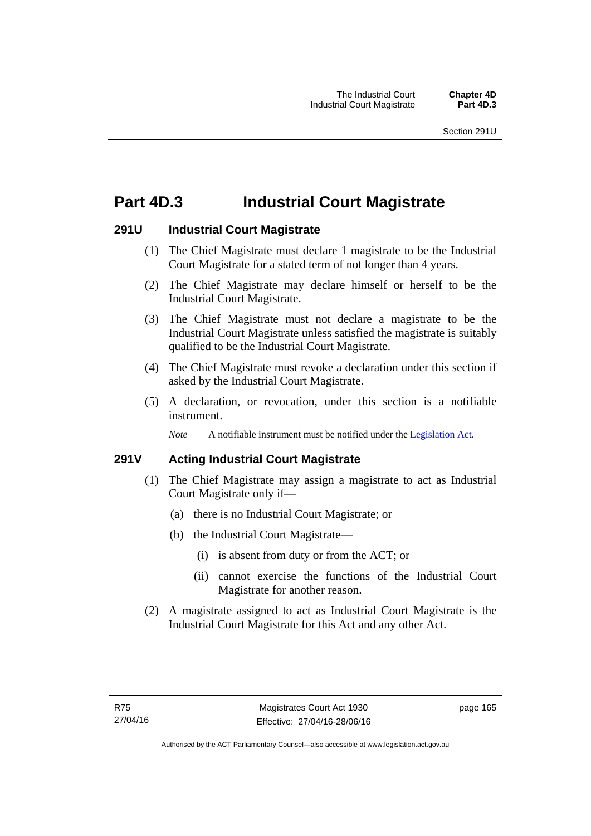# **Part 4D.3 Industrial Court Magistrate**

## **291U Industrial Court Magistrate**

- (1) The Chief Magistrate must declare 1 magistrate to be the Industrial Court Magistrate for a stated term of not longer than 4 years.
- (2) The Chief Magistrate may declare himself or herself to be the Industrial Court Magistrate.
- (3) The Chief Magistrate must not declare a magistrate to be the Industrial Court Magistrate unless satisfied the magistrate is suitably qualified to be the Industrial Court Magistrate.
- (4) The Chief Magistrate must revoke a declaration under this section if asked by the Industrial Court Magistrate.
- (5) A declaration, or revocation, under this section is a notifiable instrument.

*Note* A notifiable instrument must be notified under the [Legislation Act](http://www.legislation.act.gov.au/a/2001-14).

# **291V Acting Industrial Court Magistrate**

- (1) The Chief Magistrate may assign a magistrate to act as Industrial Court Magistrate only if—
	- (a) there is no Industrial Court Magistrate; or
	- (b) the Industrial Court Magistrate—
		- (i) is absent from duty or from the ACT; or
		- (ii) cannot exercise the functions of the Industrial Court Magistrate for another reason.
- (2) A magistrate assigned to act as Industrial Court Magistrate is the Industrial Court Magistrate for this Act and any other Act.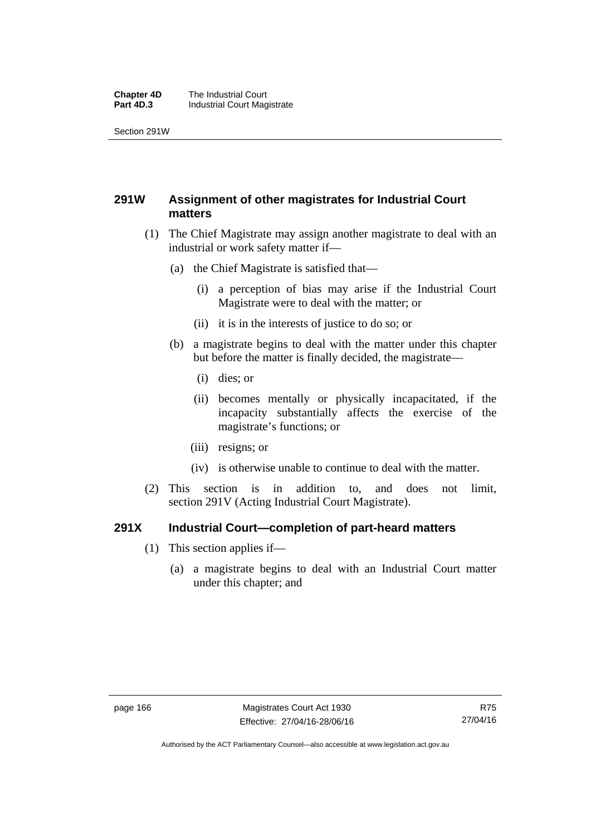#### **Chapter 4D** The Industrial Court<br>**Part 4D.3** Industrial Court Mag **Industrial Court Magistrate**

Section 291W

# **291W Assignment of other magistrates for Industrial Court matters**

- (1) The Chief Magistrate may assign another magistrate to deal with an industrial or work safety matter if—
	- (a) the Chief Magistrate is satisfied that—
		- (i) a perception of bias may arise if the Industrial Court Magistrate were to deal with the matter; or
		- (ii) it is in the interests of justice to do so; or
	- (b) a magistrate begins to deal with the matter under this chapter but before the matter is finally decided, the magistrate—
		- (i) dies; or
		- (ii) becomes mentally or physically incapacitated, if the incapacity substantially affects the exercise of the magistrate's functions; or
		- (iii) resigns; or
		- (iv) is otherwise unable to continue to deal with the matter.
- (2) This section is in addition to, and does not limit, section 291V (Acting Industrial Court Magistrate).

## **291X Industrial Court—completion of part-heard matters**

- (1) This section applies if—
	- (a) a magistrate begins to deal with an Industrial Court matter under this chapter; and

Authorised by the ACT Parliamentary Counsel—also accessible at www.legislation.act.gov.au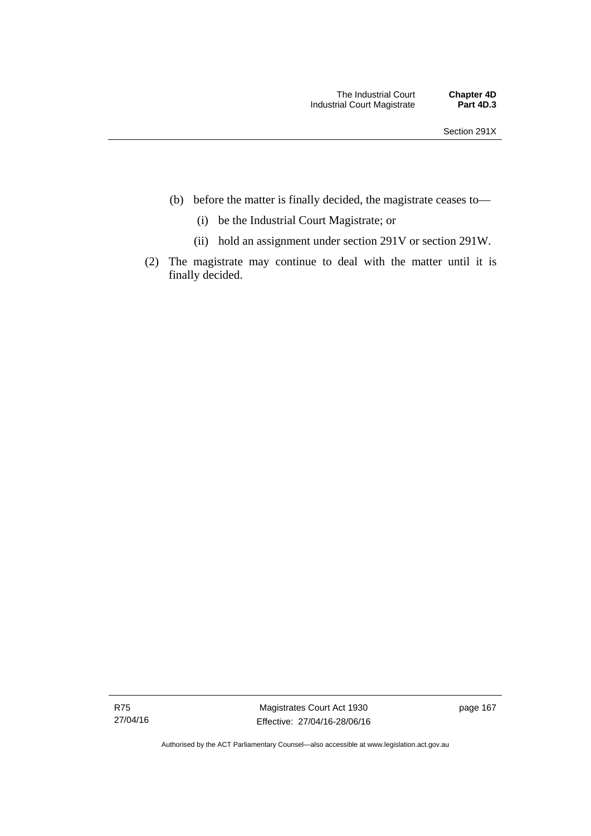- (b) before the matter is finally decided, the magistrate ceases to—
	- (i) be the Industrial Court Magistrate; or
	- (ii) hold an assignment under section 291V or section 291W.
- (2) The magistrate may continue to deal with the matter until it is finally decided.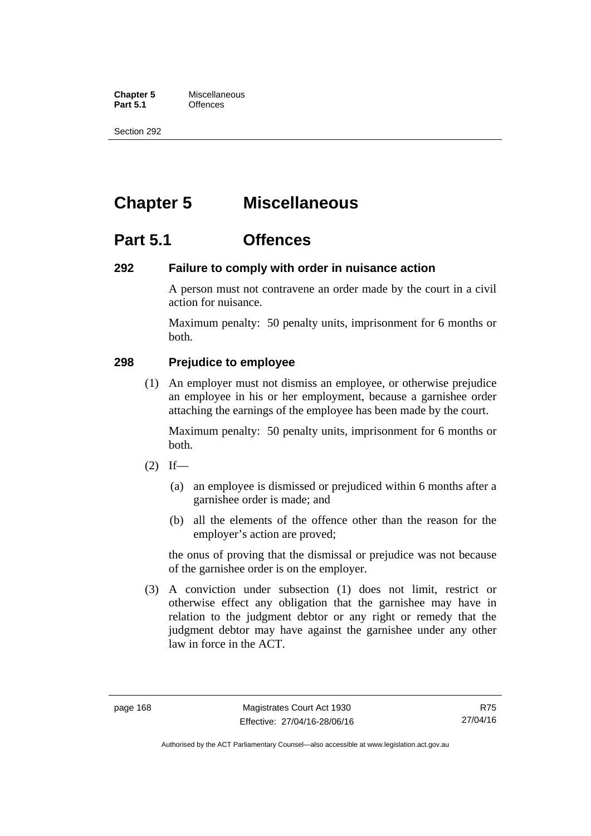**Chapter 5** Miscellaneous<br>**Part 5.1** Offences **Part 5.1** 

Section 292

# **Chapter 5 Miscellaneous**

# **Part 5.1 Offences**

## **292 Failure to comply with order in nuisance action**

A person must not contravene an order made by the court in a civil action for nuisance.

Maximum penalty: 50 penalty units, imprisonment for 6 months or both.

# **298 Prejudice to employee**

(1) An employer must not dismiss an employee, or otherwise prejudice an employee in his or her employment, because a garnishee order attaching the earnings of the employee has been made by the court.

Maximum penalty: 50 penalty units, imprisonment for 6 months or both.

- $(2)$  If—
	- (a) an employee is dismissed or prejudiced within 6 months after a garnishee order is made; and
	- (b) all the elements of the offence other than the reason for the employer's action are proved;

the onus of proving that the dismissal or prejudice was not because of the garnishee order is on the employer.

 (3) A conviction under subsection (1) does not limit, restrict or otherwise effect any obligation that the garnishee may have in relation to the judgment debtor or any right or remedy that the judgment debtor may have against the garnishee under any other law in force in the ACT.

R75 27/04/16

Authorised by the ACT Parliamentary Counsel—also accessible at www.legislation.act.gov.au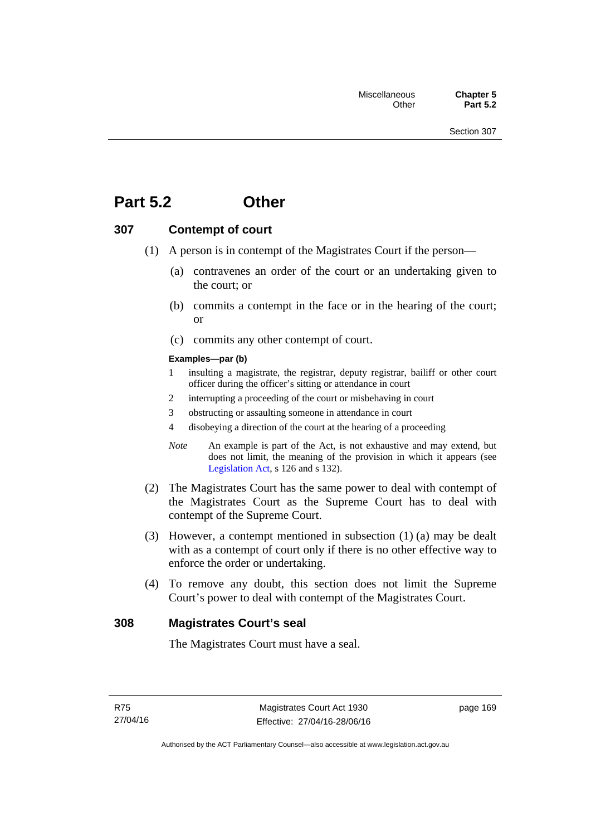# **Part 5.2 Other**

## **307 Contempt of court**

- (1) A person is in contempt of the Magistrates Court if the person—
	- (a) contravenes an order of the court or an undertaking given to the court; or
	- (b) commits a contempt in the face or in the hearing of the court; or
	- (c) commits any other contempt of court.

### **Examples—par (b)**

- 1 insulting a magistrate, the registrar, deputy registrar, bailiff or other court officer during the officer's sitting or attendance in court
- 2 interrupting a proceeding of the court or misbehaving in court
- 3 obstructing or assaulting someone in attendance in court
- 4 disobeying a direction of the court at the hearing of a proceeding
- *Note* An example is part of the Act, is not exhaustive and may extend, but does not limit, the meaning of the provision in which it appears (see [Legislation Act,](http://www.legislation.act.gov.au/a/2001-14) s 126 and s 132).
- (2) The Magistrates Court has the same power to deal with contempt of the Magistrates Court as the Supreme Court has to deal with contempt of the Supreme Court.
- (3) However, a contempt mentioned in subsection (1) (a) may be dealt with as a contempt of court only if there is no other effective way to enforce the order or undertaking.
- (4) To remove any doubt, this section does not limit the Supreme Court's power to deal with contempt of the Magistrates Court.

## **308 Magistrates Court's seal**

The Magistrates Court must have a seal.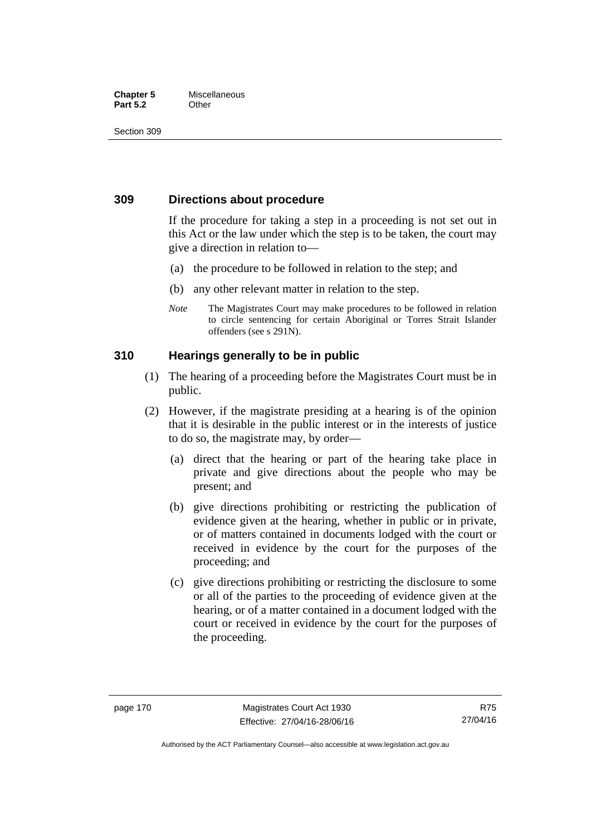## **Chapter 5** Miscellaneous **Part 5.2** Other

Section 309

# **309 Directions about procedure**

If the procedure for taking a step in a proceeding is not set out in this Act or the law under which the step is to be taken, the court may give a direction in relation to—

- (a) the procedure to be followed in relation to the step; and
- (b) any other relevant matter in relation to the step.
- *Note* The Magistrates Court may make procedures to be followed in relation to circle sentencing for certain Aboriginal or Torres Strait Islander offenders (see s 291N).

# **310 Hearings generally to be in public**

- (1) The hearing of a proceeding before the Magistrates Court must be in public.
- (2) However, if the magistrate presiding at a hearing is of the opinion that it is desirable in the public interest or in the interests of justice to do so, the magistrate may, by order—
	- (a) direct that the hearing or part of the hearing take place in private and give directions about the people who may be present; and
	- (b) give directions prohibiting or restricting the publication of evidence given at the hearing, whether in public or in private, or of matters contained in documents lodged with the court or received in evidence by the court for the purposes of the proceeding; and
	- (c) give directions prohibiting or restricting the disclosure to some or all of the parties to the proceeding of evidence given at the hearing, or of a matter contained in a document lodged with the court or received in evidence by the court for the purposes of the proceeding.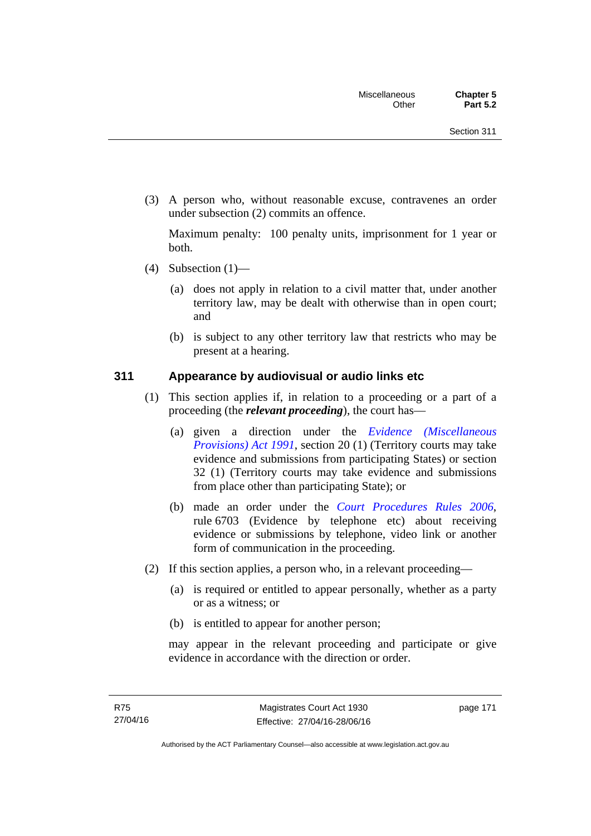(3) A person who, without reasonable excuse, contravenes an order under subsection (2) commits an offence.

Maximum penalty: 100 penalty units, imprisonment for 1 year or both.

- (4) Subsection  $(1)$ 
	- (a) does not apply in relation to a civil matter that, under another territory law, may be dealt with otherwise than in open court; and
	- (b) is subject to any other territory law that restricts who may be present at a hearing.

## **311 Appearance by audiovisual or audio links etc**

- (1) This section applies if, in relation to a proceeding or a part of a proceeding (the *relevant proceeding*), the court has—
	- (a) given a direction under the *[Evidence \(Miscellaneous](http://www.legislation.act.gov.au/a/1991-34)  [Provisions\) Act 1991](http://www.legislation.act.gov.au/a/1991-34)*, section 20 (1) (Territory courts may take evidence and submissions from participating States) or section 32 (1) (Territory courts may take evidence and submissions from place other than participating State); or
	- (b) made an order under the *[Court Procedures Rules 2006](http://www.legislation.act.gov.au/sl/2006-29)*, rule 6703 (Evidence by telephone etc) about receiving evidence or submissions by telephone, video link or another form of communication in the proceeding.
- (2) If this section applies, a person who, in a relevant proceeding—
	- (a) is required or entitled to appear personally, whether as a party or as a witness; or
	- (b) is entitled to appear for another person;

may appear in the relevant proceeding and participate or give evidence in accordance with the direction or order.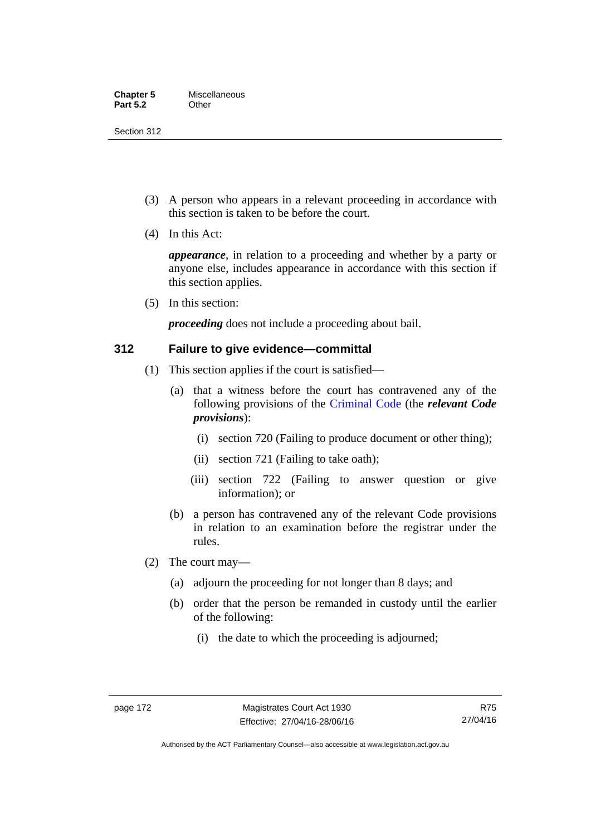Section 312

- (3) A person who appears in a relevant proceeding in accordance with this section is taken to be before the court.
- (4) In this Act:

*appearance*, in relation to a proceeding and whether by a party or anyone else, includes appearance in accordance with this section if this section applies.

(5) In this section:

*proceeding* does not include a proceeding about bail.

## **312 Failure to give evidence—committal**

- (1) This section applies if the court is satisfied—
	- (a) that a witness before the court has contravened any of the following provisions of the [Criminal Code](http://www.legislation.act.gov.au/a/2002-51) (the *relevant Code provisions*):
		- (i) section 720 (Failing to produce document or other thing);
		- (ii) section 721 (Failing to take oath);
		- (iii) section 722 (Failing to answer question or give information); or
	- (b) a person has contravened any of the relevant Code provisions in relation to an examination before the registrar under the rules.
- (2) The court may—
	- (a) adjourn the proceeding for not longer than 8 days; and
	- (b) order that the person be remanded in custody until the earlier of the following:
		- (i) the date to which the proceeding is adjourned;

R75 27/04/16

Authorised by the ACT Parliamentary Counsel—also accessible at www.legislation.act.gov.au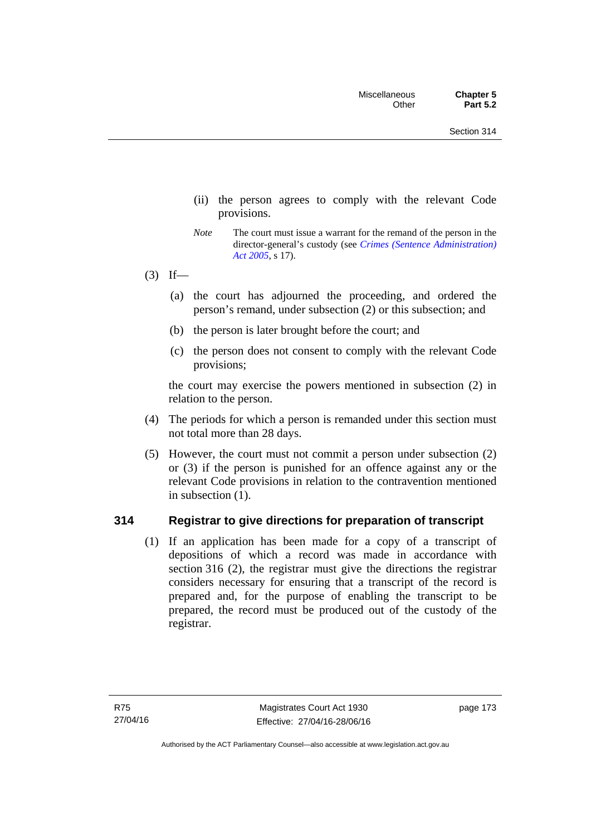- (ii) the person agrees to comply with the relevant Code provisions.
- *Note* The court must issue a warrant for the remand of the person in the director-general's custody (see *[Crimes \(Sentence Administration\)](http://www.legislation.act.gov.au/a/2005-59)  [Act 2005](http://www.legislation.act.gov.au/a/2005-59)*, s 17).
- $(3)$  If—
	- (a) the court has adjourned the proceeding, and ordered the person's remand, under subsection (2) or this subsection; and
	- (b) the person is later brought before the court; and
	- (c) the person does not consent to comply with the relevant Code provisions;

the court may exercise the powers mentioned in subsection (2) in relation to the person.

- (4) The periods for which a person is remanded under this section must not total more than 28 days.
- (5) However, the court must not commit a person under subsection (2) or (3) if the person is punished for an offence against any or the relevant Code provisions in relation to the contravention mentioned in subsection (1).

## **314 Registrar to give directions for preparation of transcript**

(1) If an application has been made for a copy of a transcript of depositions of which a record was made in accordance with section 316 (2), the registrar must give the directions the registrar considers necessary for ensuring that a transcript of the record is prepared and, for the purpose of enabling the transcript to be prepared, the record must be produced out of the custody of the registrar.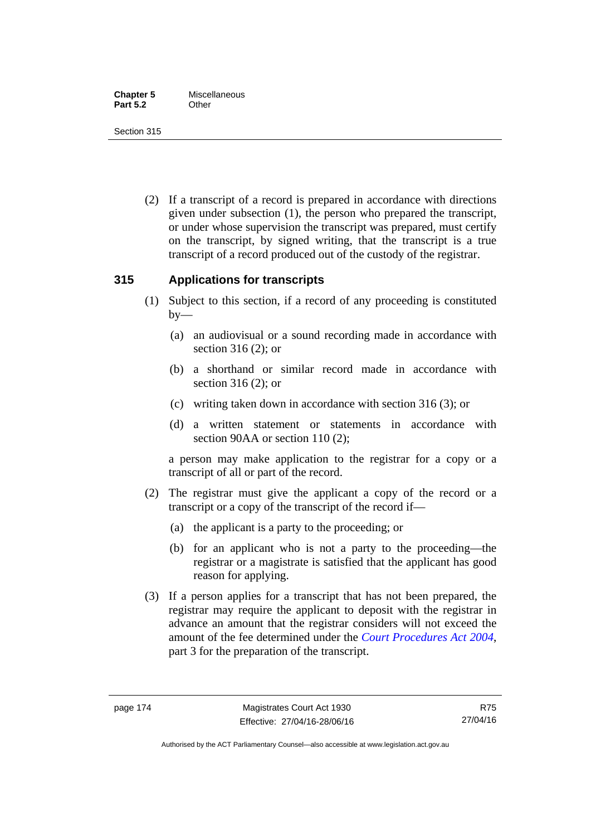Section 315

 (2) If a transcript of a record is prepared in accordance with directions given under subsection (1), the person who prepared the transcript, or under whose supervision the transcript was prepared, must certify on the transcript, by signed writing, that the transcript is a true transcript of a record produced out of the custody of the registrar.

# **315 Applications for transcripts**

- (1) Subject to this section, if a record of any proceeding is constituted  $by-$ 
	- (a) an audiovisual or a sound recording made in accordance with section 316 (2); or
	- (b) a shorthand or similar record made in accordance with section 316 (2); or
	- (c) writing taken down in accordance with section 316 (3); or
	- (d) a written statement or statements in accordance with section 90AA or section 110 (2);

a person may make application to the registrar for a copy or a transcript of all or part of the record.

- (2) The registrar must give the applicant a copy of the record or a transcript or a copy of the transcript of the record if—
	- (a) the applicant is a party to the proceeding; or
	- (b) for an applicant who is not a party to the proceeding—the registrar or a magistrate is satisfied that the applicant has good reason for applying.
- (3) If a person applies for a transcript that has not been prepared, the registrar may require the applicant to deposit with the registrar in advance an amount that the registrar considers will not exceed the amount of the fee determined under the *[Court Procedures Act 2004](http://www.legislation.act.gov.au/a/2004-59)*, part 3 for the preparation of the transcript.

R75 27/04/16

Authorised by the ACT Parliamentary Counsel—also accessible at www.legislation.act.gov.au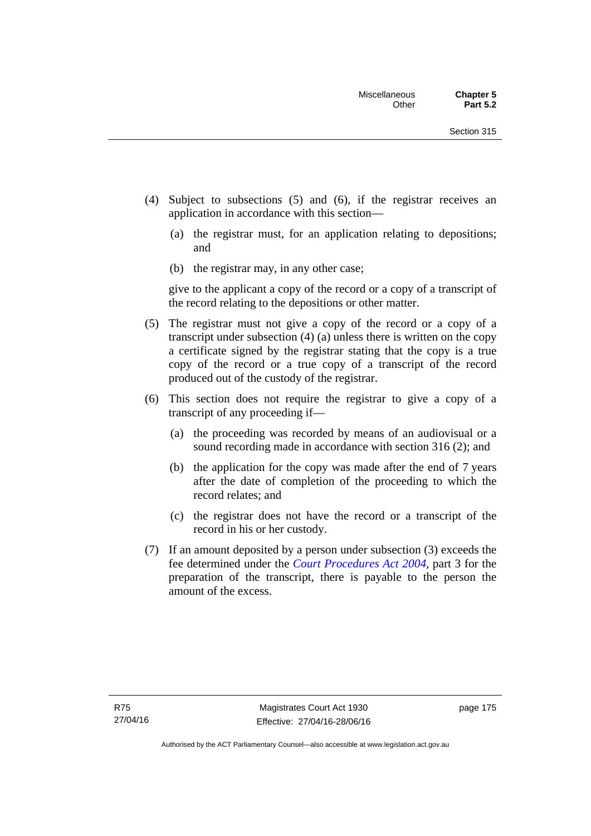- (4) Subject to subsections (5) and (6), if the registrar receives an application in accordance with this section—
	- (a) the registrar must, for an application relating to depositions; and
	- (b) the registrar may, in any other case;

give to the applicant a copy of the record or a copy of a transcript of the record relating to the depositions or other matter.

- (5) The registrar must not give a copy of the record or a copy of a transcript under subsection (4) (a) unless there is written on the copy a certificate signed by the registrar stating that the copy is a true copy of the record or a true copy of a transcript of the record produced out of the custody of the registrar.
- (6) This section does not require the registrar to give a copy of a transcript of any proceeding if—
	- (a) the proceeding was recorded by means of an audiovisual or a sound recording made in accordance with section 316 (2); and
	- (b) the application for the copy was made after the end of 7 years after the date of completion of the proceeding to which the record relates; and
	- (c) the registrar does not have the record or a transcript of the record in his or her custody.
- (7) If an amount deposited by a person under subsection (3) exceeds the fee determined under the *[Court Procedures Act 2004](http://www.legislation.act.gov.au/a/2004-59)*, part 3 for the preparation of the transcript, there is payable to the person the amount of the excess.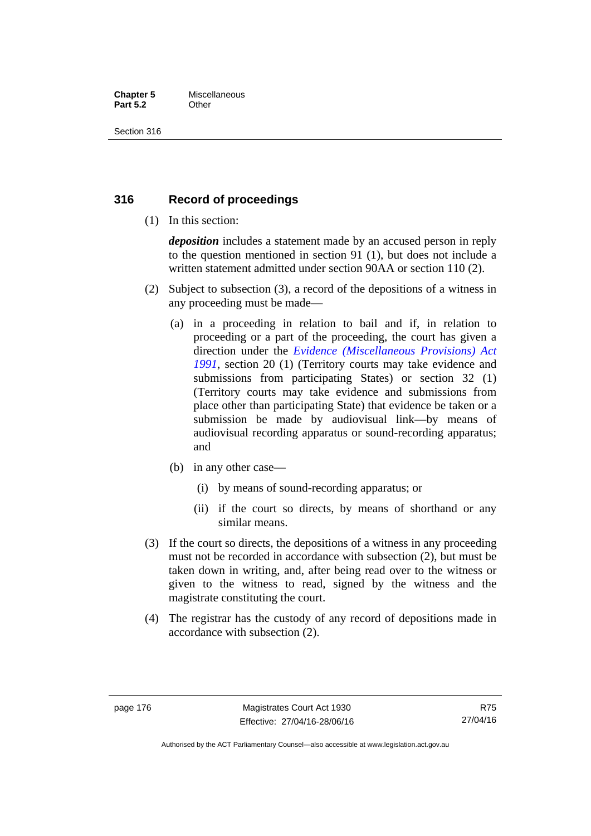## **Chapter 5** Miscellaneous **Part 5.2** Other

Section 316

# **316 Record of proceedings**

(1) In this section:

*deposition* includes a statement made by an accused person in reply to the question mentioned in section 91 (1), but does not include a written statement admitted under section 90AA or section 110 (2).

- (2) Subject to subsection (3), a record of the depositions of a witness in any proceeding must be made—
	- (a) in a proceeding in relation to bail and if, in relation to proceeding or a part of the proceeding, the court has given a direction under the *[Evidence \(Miscellaneous Provisions\) Act](http://www.legislation.act.gov.au/a/1991-34)  [1991](http://www.legislation.act.gov.au/a/1991-34)*, section 20 (1) (Territory courts may take evidence and submissions from participating States) or section 32 (1) (Territory courts may take evidence and submissions from place other than participating State) that evidence be taken or a submission be made by audiovisual link—by means of audiovisual recording apparatus or sound-recording apparatus; and
	- (b) in any other case—
		- (i) by means of sound-recording apparatus; or
		- (ii) if the court so directs, by means of shorthand or any similar means.
- (3) If the court so directs, the depositions of a witness in any proceeding must not be recorded in accordance with subsection (2), but must be taken down in writing, and, after being read over to the witness or given to the witness to read, signed by the witness and the magistrate constituting the court.
- (4) The registrar has the custody of any record of depositions made in accordance with subsection (2).

R75 27/04/16

Authorised by the ACT Parliamentary Counsel—also accessible at www.legislation.act.gov.au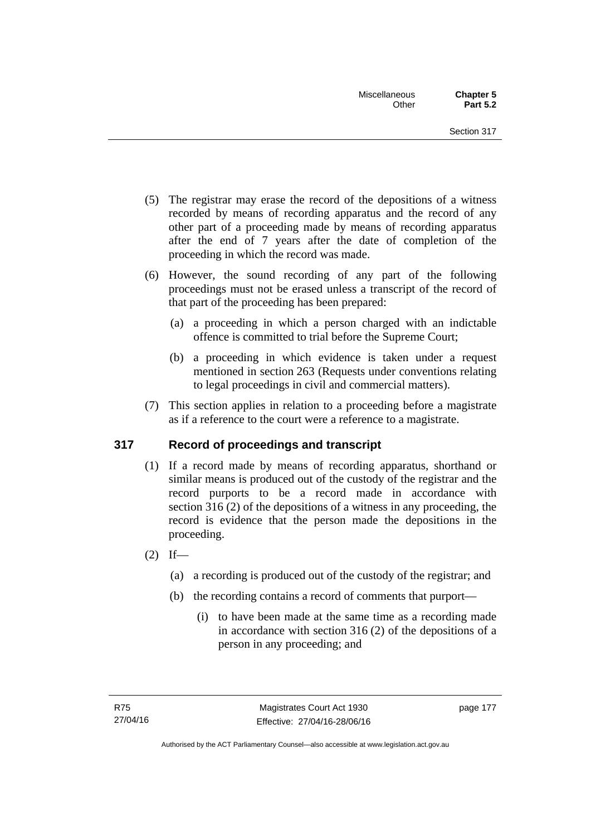- (5) The registrar may erase the record of the depositions of a witness recorded by means of recording apparatus and the record of any other part of a proceeding made by means of recording apparatus after the end of 7 years after the date of completion of the proceeding in which the record was made.
- (6) However, the sound recording of any part of the following proceedings must not be erased unless a transcript of the record of that part of the proceeding has been prepared:
	- (a) a proceeding in which a person charged with an indictable offence is committed to trial before the Supreme Court;
	- (b) a proceeding in which evidence is taken under a request mentioned in section 263 (Requests under conventions relating to legal proceedings in civil and commercial matters).
- (7) This section applies in relation to a proceeding before a magistrate as if a reference to the court were a reference to a magistrate.

# **317 Record of proceedings and transcript**

- (1) If a record made by means of recording apparatus, shorthand or similar means is produced out of the custody of the registrar and the record purports to be a record made in accordance with section 316 (2) of the depositions of a witness in any proceeding, the record is evidence that the person made the depositions in the proceeding.
- $(2)$  If—
	- (a) a recording is produced out of the custody of the registrar; and
	- (b) the recording contains a record of comments that purport—
		- (i) to have been made at the same time as a recording made in accordance with section 316 (2) of the depositions of a person in any proceeding; and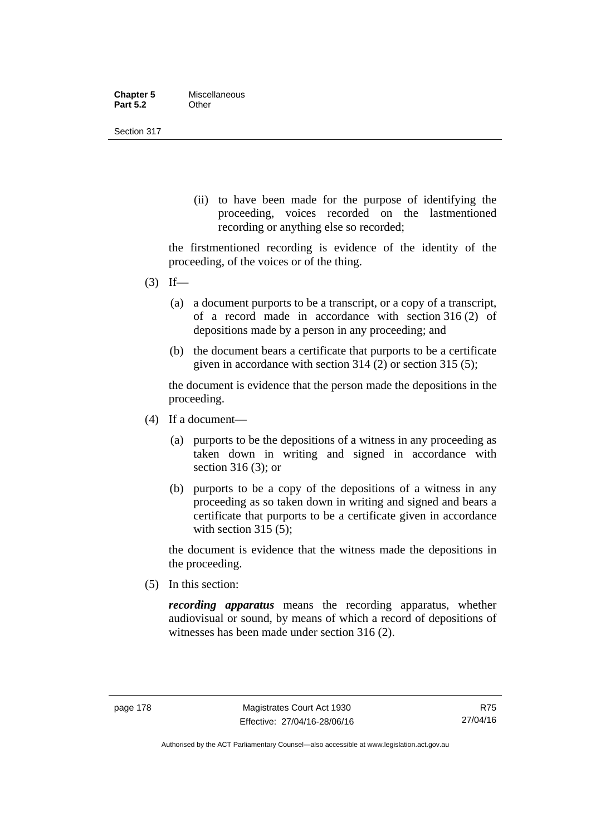| <b>Chapter 5</b> | Miscellaneous |
|------------------|---------------|
| <b>Part 5.2</b>  | Other         |

Section 317

(ii) to have been made for the purpose of identifying the proceeding, voices recorded on the lastmentioned recording or anything else so recorded;

the firstmentioned recording is evidence of the identity of the proceeding, of the voices or of the thing.

- $(3)$  If—
	- (a) a document purports to be a transcript, or a copy of a transcript, of a record made in accordance with section 316 (2) of depositions made by a person in any proceeding; and
	- (b) the document bears a certificate that purports to be a certificate given in accordance with section 314 (2) or section 315 (5);

the document is evidence that the person made the depositions in the proceeding.

- (4) If a document—
	- (a) purports to be the depositions of a witness in any proceeding as taken down in writing and signed in accordance with section 316 (3); or
	- (b) purports to be a copy of the depositions of a witness in any proceeding as so taken down in writing and signed and bears a certificate that purports to be a certificate given in accordance with section 315 (5):

the document is evidence that the witness made the depositions in the proceeding.

(5) In this section:

*recording apparatus* means the recording apparatus, whether audiovisual or sound, by means of which a record of depositions of witnesses has been made under section 316 (2).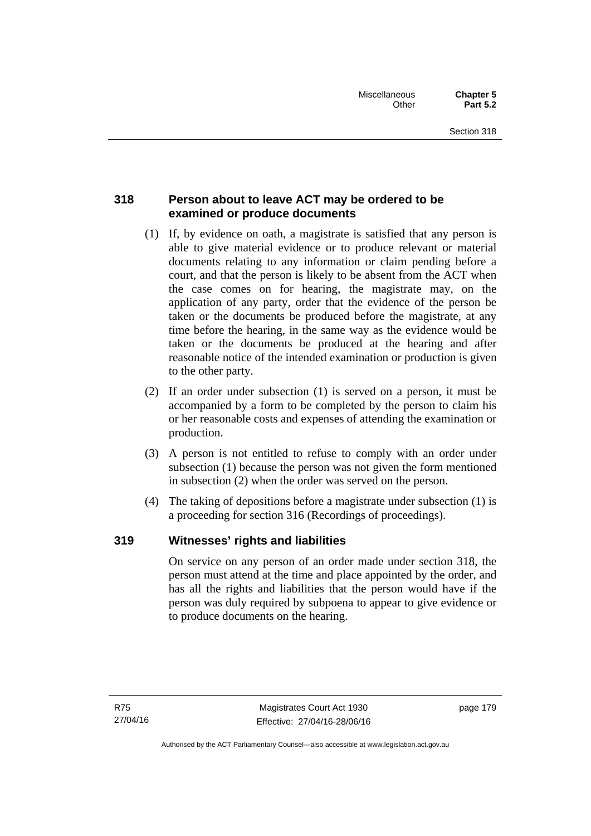# **318 Person about to leave ACT may be ordered to be examined or produce documents**

- (1) If, by evidence on oath, a magistrate is satisfied that any person is able to give material evidence or to produce relevant or material documents relating to any information or claim pending before a court, and that the person is likely to be absent from the ACT when the case comes on for hearing, the magistrate may, on the application of any party, order that the evidence of the person be taken or the documents be produced before the magistrate, at any time before the hearing, in the same way as the evidence would be taken or the documents be produced at the hearing and after reasonable notice of the intended examination or production is given to the other party.
- (2) If an order under subsection (1) is served on a person, it must be accompanied by a form to be completed by the person to claim his or her reasonable costs and expenses of attending the examination or production.
- (3) A person is not entitled to refuse to comply with an order under subsection (1) because the person was not given the form mentioned in subsection (2) when the order was served on the person.
- (4) The taking of depositions before a magistrate under subsection (1) is a proceeding for section 316 (Recordings of proceedings).

# **319 Witnesses' rights and liabilities**

On service on any person of an order made under section 318, the person must attend at the time and place appointed by the order, and has all the rights and liabilities that the person would have if the person was duly required by subpoena to appear to give evidence or to produce documents on the hearing.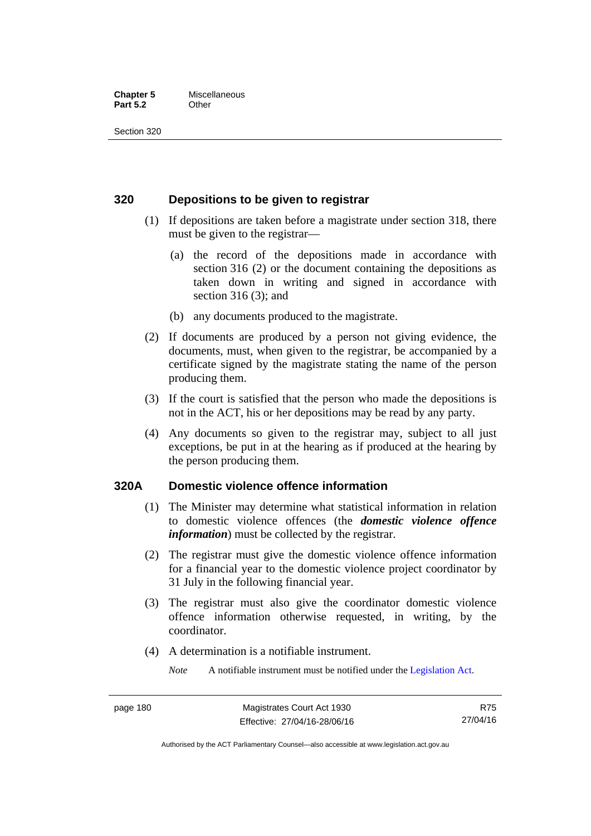## **Chapter 5** Miscellaneous **Part 5.2** Other

Section 320

## **320 Depositions to be given to registrar**

- (1) If depositions are taken before a magistrate under section 318, there must be given to the registrar—
	- (a) the record of the depositions made in accordance with section 316 (2) or the document containing the depositions as taken down in writing and signed in accordance with section 316 (3); and
	- (b) any documents produced to the magistrate.
- (2) If documents are produced by a person not giving evidence, the documents, must, when given to the registrar, be accompanied by a certificate signed by the magistrate stating the name of the person producing them.
- (3) If the court is satisfied that the person who made the depositions is not in the ACT, his or her depositions may be read by any party.
- (4) Any documents so given to the registrar may, subject to all just exceptions, be put in at the hearing as if produced at the hearing by the person producing them.

## **320A Domestic violence offence information**

- (1) The Minister may determine what statistical information in relation to domestic violence offences (the *domestic violence offence information*) must be collected by the registrar.
- (2) The registrar must give the domestic violence offence information for a financial year to the domestic violence project coordinator by 31 July in the following financial year.
- (3) The registrar must also give the coordinator domestic violence offence information otherwise requested, in writing, by the coordinator.
- (4) A determination is a notifiable instrument.

*Note* A notifiable instrument must be notified under the [Legislation Act](http://www.legislation.act.gov.au/a/2001-14).

R75 27/04/16

Authorised by the ACT Parliamentary Counsel—also accessible at www.legislation.act.gov.au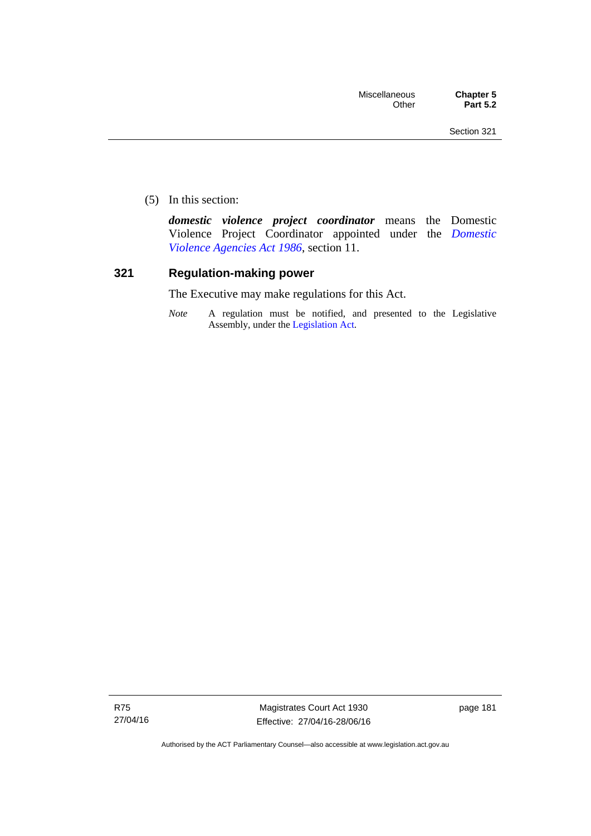(5) In this section:

*domestic violence project coordinator* means the Domestic Violence Project Coordinator appointed under the *[Domestic](http://www.legislation.act.gov.au/a/1986-52)  [Violence Agencies Act 1986](http://www.legislation.act.gov.au/a/1986-52)*, section 11.

## **321 Regulation-making power**

The Executive may make regulations for this Act.

*Note* A regulation must be notified, and presented to the Legislative Assembly, under the [Legislation Act](http://www.legislation.act.gov.au/a/2001-14).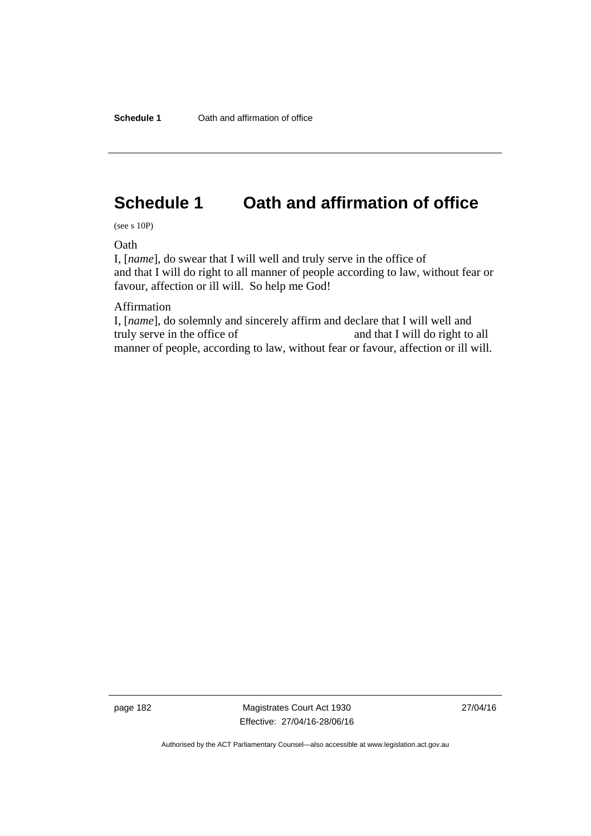# **Schedule 1 Oath and affirmation of office**

(see s 10P)

**Oath** 

I, [*name*], do swear that I will well and truly serve in the office of and that I will do right to all manner of people according to law, without fear or favour, affection or ill will. So help me God!

Affirmation

I, [*name*], do solemnly and sincerely affirm and declare that I will well and truly serve in the office of and that I will do right to all manner of people, according to law, without fear or favour, affection or ill will.

page 182 Magistrates Court Act 1930 Effective: 27/04/16-28/06/16 27/04/16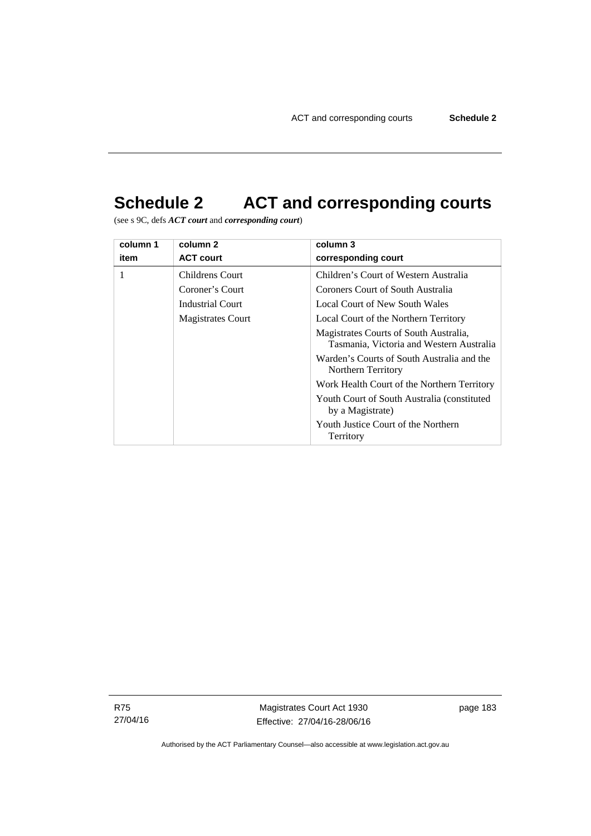# **Schedule 2 ACT and corresponding courts**

(see s 9C, defs *ACT court* and *corresponding court*)

| column 1 | column 2                 | column 3                                                                           |
|----------|--------------------------|------------------------------------------------------------------------------------|
| item     | <b>ACT court</b>         | corresponding court                                                                |
| 1        | Childrens Court          | Children's Court of Western Australia                                              |
|          | Coroner's Court          | Coroners Court of South Australia                                                  |
|          | <b>Industrial Court</b>  | Local Court of New South Wales                                                     |
|          | <b>Magistrates Court</b> | Local Court of the Northern Territory                                              |
|          |                          | Magistrates Courts of South Australia,<br>Tasmania, Victoria and Western Australia |
|          |                          | Warden's Courts of South Australia and the<br>Northern Territory                   |
|          |                          | Work Health Court of the Northern Territory                                        |
|          |                          | Youth Court of South Australia (constituted)<br>by a Magistrate)                   |
|          |                          | Youth Justice Court of the Northern<br>Territory                                   |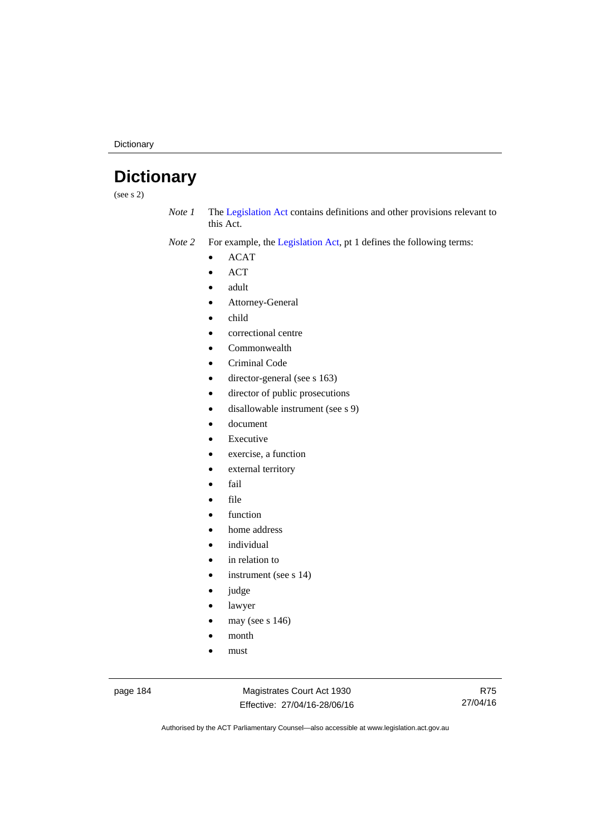**Dictionary** 

# **Dictionary**

(see s 2)

*Note 1* The [Legislation Act](http://www.legislation.act.gov.au/a/2001-14) contains definitions and other provisions relevant to this Act.

*Note 2* For example, the [Legislation Act,](http://www.legislation.act.gov.au/a/2001-14) pt 1 defines the following terms:

- ACAT
- ACT
- adult
- Attorney-General
- child
- correctional centre
- Commonwealth
- Criminal Code
- director-general (see s 163)
- director of public prosecutions
- disallowable instrument (see s 9)
- document
- Executive
- exercise, a function
- external territory
- fail
- file
- function
- home address
- individual
- in relation to
- instrument (see s 14)
- judge
- lawyer
- may (see s 146)
- month
- must

page 184 Magistrates Court Act 1930 Effective: 27/04/16-28/06/16

R75 27/04/16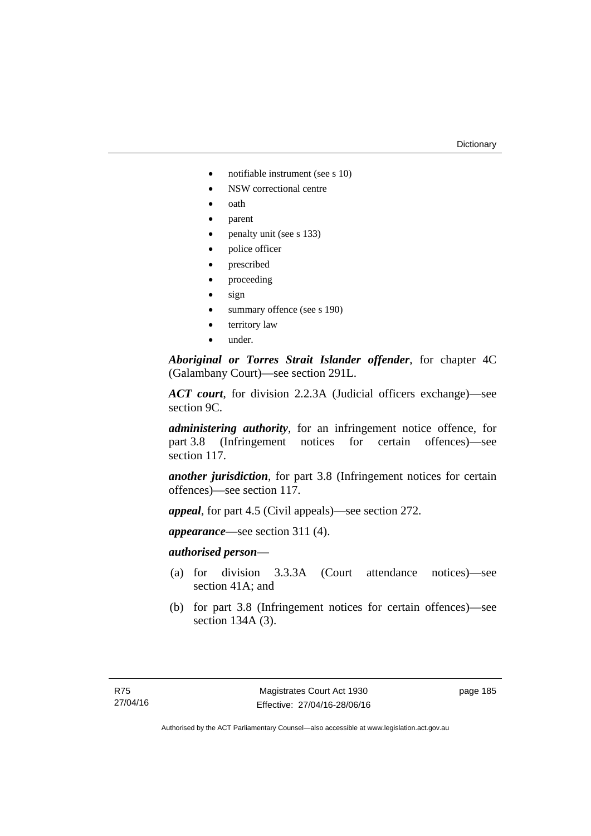#### **Dictionary**

- notifiable instrument (see s 10)
- NSW correctional centre
- oath
- parent
- penalty unit (see s 133)
- police officer
- prescribed
- proceeding
- sign
- summary offence (see s 190)
- territory law
- under.

*Aboriginal or Torres Strait Islander offender*, for chapter 4C (Galambany Court)—see section 291L.

*ACT court*, for division 2.2.3A (Judicial officers exchange)—see section 9C.

*administering authority*, for an infringement notice offence, for part 3.8 (Infringement notices for certain offences)—see section 117.

*another jurisdiction*, for part 3.8 (Infringement notices for certain offences)—see section 117.

*appeal*, for part 4.5 (Civil appeals)—see section 272.

*appearance*—see section 311 (4).

## *authorised person*—

- (a) for division 3.3.3A (Court attendance notices)—see section 41A; and
- (b) for part 3.8 (Infringement notices for certain offences)—see section 134A (3).

page 185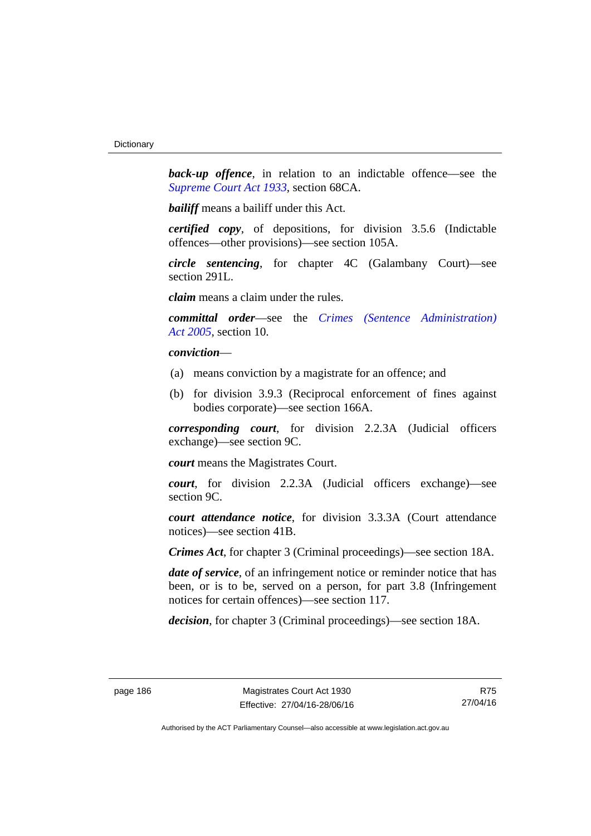**back-up** offence, in relation to an indictable offence—see the *[Supreme Court Act 1933](http://www.legislation.act.gov.au/a/1933-34)*, section 68CA.

*bailiff* means a bailiff under this Act.

*certified copy*, of depositions, for division 3.5.6 (Indictable offences—other provisions)—see section 105A.

*circle sentencing*, for chapter 4C (Galambany Court)—see section 291L.

*claim* means a claim under the rules.

*committal order*—see the *[Crimes \(Sentence Administration\)](http://www.legislation.act.gov.au/a/2005-59)  [Act 2005](http://www.legislation.act.gov.au/a/2005-59)*, section 10.

## *conviction*—

- (a) means conviction by a magistrate for an offence; and
- (b) for division 3.9.3 (Reciprocal enforcement of fines against bodies corporate)—see section 166A.

*corresponding court*, for division 2.2.3A (Judicial officers exchange)—see section 9C.

*court* means the Magistrates Court.

*court*, for division 2.2.3A (Judicial officers exchange)—see section 9C.

*court attendance notice*, for division 3.3.3A (Court attendance notices)—see section 41B.

*Crimes Act*, for chapter 3 (Criminal proceedings)—see section 18A.

*date of service*, of an infringement notice or reminder notice that has been, or is to be, served on a person, for part 3.8 (Infringement notices for certain offences)—see section 117.

*decision*, for chapter 3 (Criminal proceedings)—see section 18A.

R75 27/04/16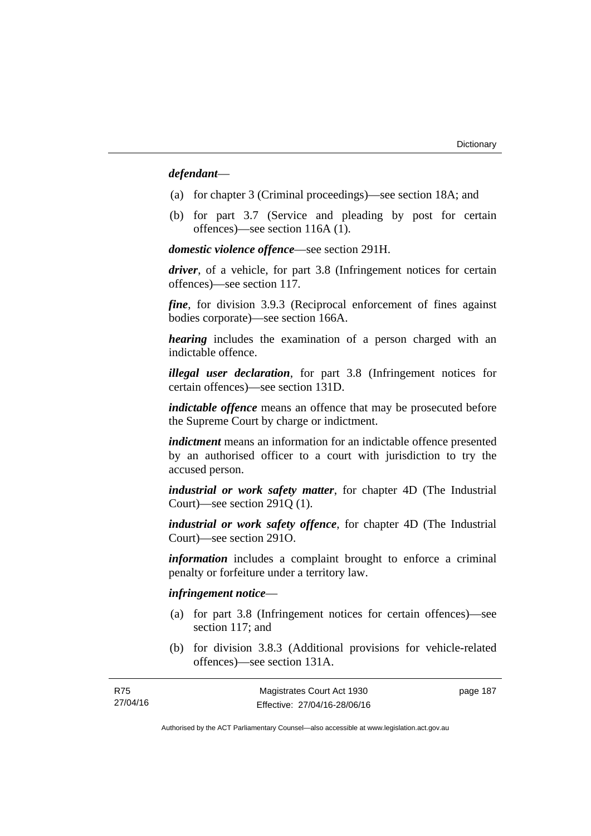## *defendant*—

- (a) for chapter 3 (Criminal proceedings)—see section 18A; and
- (b) for part 3.7 (Service and pleading by post for certain offences)—see section 116A (1).

*domestic violence offence*—see section 291H.

*driver*, of a vehicle, for part 3.8 (Infringement notices for certain offences)—see section 117.

*fine*, for division 3.9.3 (Reciprocal enforcement of fines against bodies corporate)—see section 166A.

*hearing* includes the examination of a person charged with an indictable offence.

*illegal user declaration*, for part 3.8 (Infringement notices for certain offences)—see section 131D.

*indictable offence* means an offence that may be prosecuted before the Supreme Court by charge or indictment.

*indictment* means an information for an indictable offence presented by an authorised officer to a court with jurisdiction to try the accused person.

*industrial or work safety matter*, for chapter 4D (The Industrial Court)—see section 291Q (1).

*industrial or work safety offence*, for chapter 4D (The Industrial Court)—see section 291O.

*information* includes a complaint brought to enforce a criminal penalty or forfeiture under a territory law.

## *infringement notice*—

R75

- (a) for part 3.8 (Infringement notices for certain offences)—see section 117; and
- (b) for division 3.8.3 (Additional provisions for vehicle-related offences)—see section 131A.

| R75      | Magistrates Court Act 1930   | page 187 |
|----------|------------------------------|----------|
| 27/04/16 | Effective: 27/04/16-28/06/16 |          |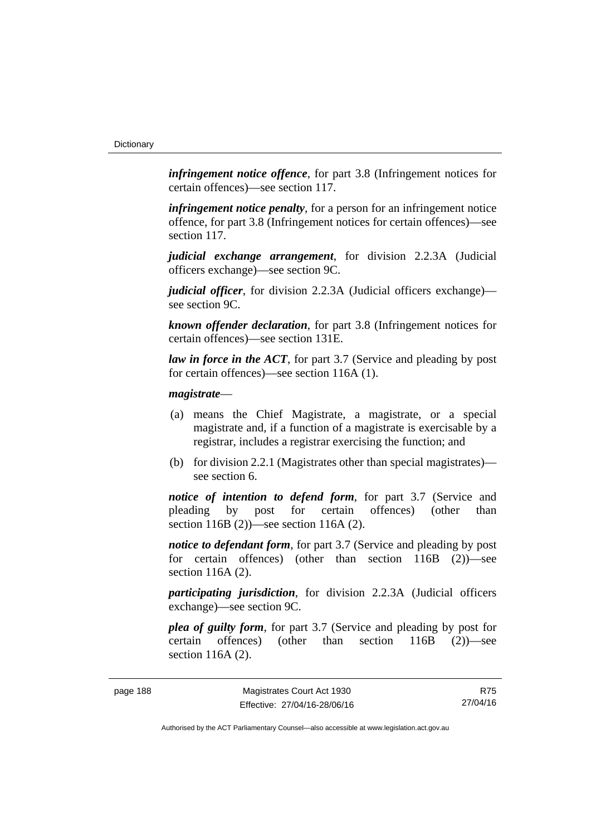*infringement notice offence*, for part 3.8 (Infringement notices for certain offences)—see section 117.

*infringement notice penalty*, for a person for an infringement notice offence, for part 3.8 (Infringement notices for certain offences)—see section 117.

*judicial exchange arrangement*, for division 2.2.3A (Judicial officers exchange)—see section 9C.

*judicial officer*, for division 2.2.3A (Judicial officers exchange) see section 9C.

*known offender declaration*, for part 3.8 (Infringement notices for certain offences)—see section 131E.

*law in force in the ACT*, for part 3.7 (Service and pleading by post for certain offences)—see section 116A (1).

## *magistrate*—

- (a) means the Chief Magistrate, a magistrate, or a special magistrate and, if a function of a magistrate is exercisable by a registrar, includes a registrar exercising the function; and
- (b) for division 2.2.1 (Magistrates other than special magistrates) see section 6.

*notice of intention to defend form*, for part 3.7 (Service and pleading by post for certain offences) (other than section 116B (2))—see section 116A (2).

*notice to defendant form*, for part 3.7 (Service and pleading by post) for certain offences) (other than section 116B (2))—see section 116A (2).

*participating jurisdiction*, for division 2.2.3A (Judicial officers exchange)—see section 9C.

*plea of guilty form*, for part 3.7 (Service and pleading by post for certain offences) (other than section 116B (2))—see section 116A (2).

R75 27/04/16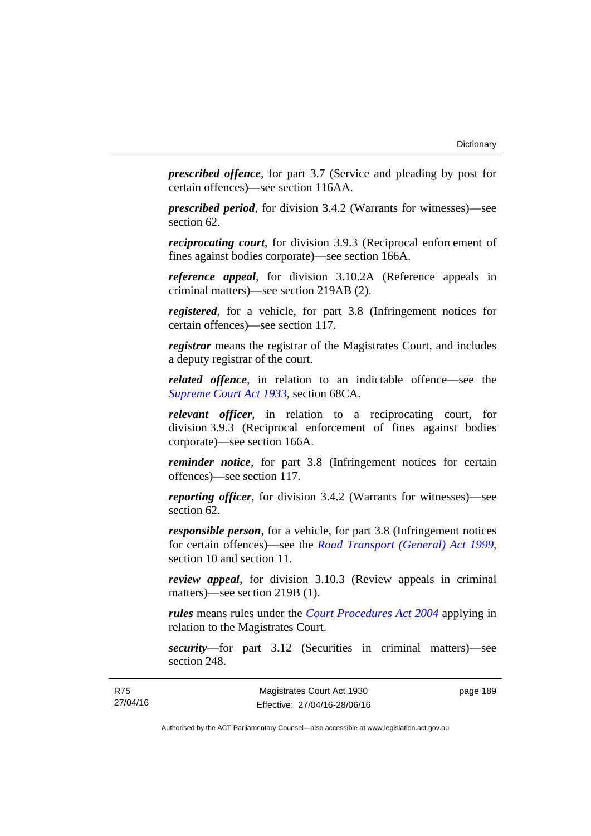*prescribed offence*, for part 3.7 (Service and pleading by post for certain offences)—see section 116AA.

*prescribed period*, for division 3.4.2 (Warrants for witnesses)—see section 62.

*reciprocating court*, for division 3.9.3 (Reciprocal enforcement of fines against bodies corporate)—see section 166A.

*reference appeal*, for division 3.10.2A (Reference appeals in criminal matters)—see section 219AB (2).

*registered*, for a vehicle, for part 3.8 (Infringement notices for certain offences)—see section 117.

*registrar* means the registrar of the Magistrates Court, and includes a deputy registrar of the court.

*related offence*, in relation to an indictable offence––see the *[Supreme Court Act 1933](http://www.legislation.act.gov.au/a/1933-34)*, section 68CA.

*relevant officer*, in relation to a reciprocating court, for division 3.9.3 (Reciprocal enforcement of fines against bodies corporate)—see section 166A.

*reminder notice*, for part 3.8 (Infringement notices for certain offences)—see section 117.

*reporting officer*, for division 3.4.2 (Warrants for witnesses)—see section 62.

*responsible person*, for a vehicle, for part 3.8 (Infringement notices for certain offences)—see the *[Road Transport \(General\) Act 1999](http://www.legislation.act.gov.au/a/1999-77)*, section 10 and section 11.

*review appeal*, for division 3.10.3 (Review appeals in criminal matters)—see section 219B (1).

*rules* means rules under the *[Court Procedures Act 2004](http://www.legislation.act.gov.au/a/2004-59)* applying in relation to the Magistrates Court.

*security*—for part 3.12 (Securities in criminal matters)—see section 248.

page 189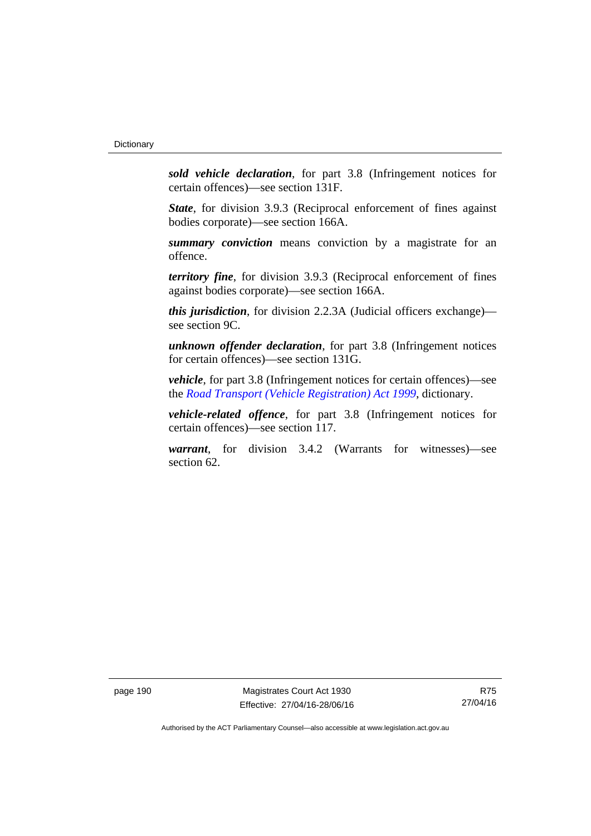*sold vehicle declaration*, for part 3.8 (Infringement notices for certain offences)—see section 131F.

*State*, for division 3.9.3 (Reciprocal enforcement of fines against bodies corporate)—see section 166A.

*summary conviction* means conviction by a magistrate for an offence.

*territory fine*, for division 3.9.3 (Reciprocal enforcement of fines against bodies corporate)—see section 166A.

*this jurisdiction*, for division 2.2.3A (Judicial officers exchange) see section 9C.

*unknown offender declaration*, for part 3.8 (Infringement notices for certain offences)—see section 131G.

*vehicle*, for part 3.8 (Infringement notices for certain offences)—see the *[Road Transport \(Vehicle Registration\) Act 1999](http://www.legislation.act.gov.au/a/1999-81)*, dictionary.

*vehicle-related offence*, for part 3.8 (Infringement notices for certain offences)—see section 117.

*warrant*, for division 3.4.2 (Warrants for witnesses)—see section 62.

page 190 Magistrates Court Act 1930 Effective: 27/04/16-28/06/16

R75 27/04/16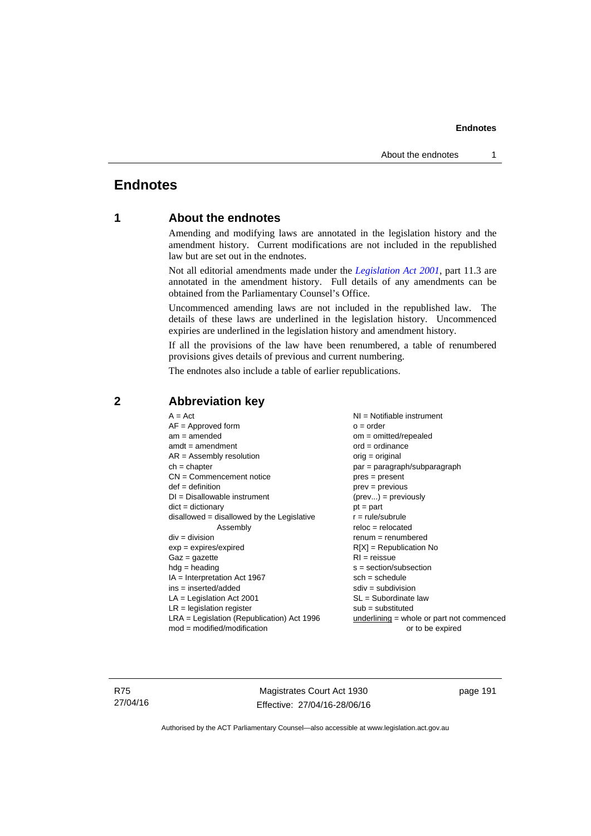# **Endnotes**

## **1 About the endnotes**

Amending and modifying laws are annotated in the legislation history and the amendment history. Current modifications are not included in the republished law but are set out in the endnotes.

Not all editorial amendments made under the *[Legislation Act 2001](http://www.legislation.act.gov.au/a/2001-14)*, part 11.3 are annotated in the amendment history. Full details of any amendments can be obtained from the Parliamentary Counsel's Office.

Uncommenced amending laws are not included in the republished law. The details of these laws are underlined in the legislation history. Uncommenced expiries are underlined in the legislation history and amendment history.

If all the provisions of the law have been renumbered, a table of renumbered provisions gives details of previous and current numbering.

The endnotes also include a table of earlier republications.

| $A = Act$                                    | NI = Notifiable instrument                  |
|----------------------------------------------|---------------------------------------------|
| $AF =$ Approved form                         | $o = order$                                 |
| $am = amended$                               | $om = omitted/repealed$                     |
| $amdt = amendment$                           | $ord = ordinance$                           |
| $AR = Assembly resolution$                   | $orig = original$                           |
| $ch = chapter$                               | par = paragraph/subparagraph                |
| $CN =$ Commencement notice                   | $pres = present$                            |
| $def = definition$                           | $prev = previous$                           |
| $DI = Disallowable instrument$               | $(\text{prev}) = \text{previously}$         |
| $dict = dictionary$                          | $pt = part$                                 |
| $disallowed = disallowed by the Legislative$ | $r = rule/subrule$                          |
| Assembly                                     | $reloc = relocated$                         |
| $div = division$                             | $renum = renumbered$                        |
| $exp = expires/expired$                      | $R[X]$ = Republication No                   |
| $Gaz = gazette$                              | $RI = reissue$                              |
| $hdg = heading$                              | $s = section/subsection$                    |
| $IA = Interpretation Act 1967$               | $sch = schedule$                            |
| $ins = inserted/added$                       | $sdiv = subdivision$                        |
| $LA =$ Legislation Act 2001                  | $SL = Subordinate$ law                      |
| $LR =$ legislation register                  | $sub =$ substituted                         |
| LRA = Legislation (Republication) Act 1996   | $underlining = whole or part not commenced$ |
| $mod = modified/modification$                | or to be expired                            |
|                                              |                                             |

# **2 Abbreviation key**

R75 27/04/16

Magistrates Court Act 1930 Effective: 27/04/16-28/06/16 page 191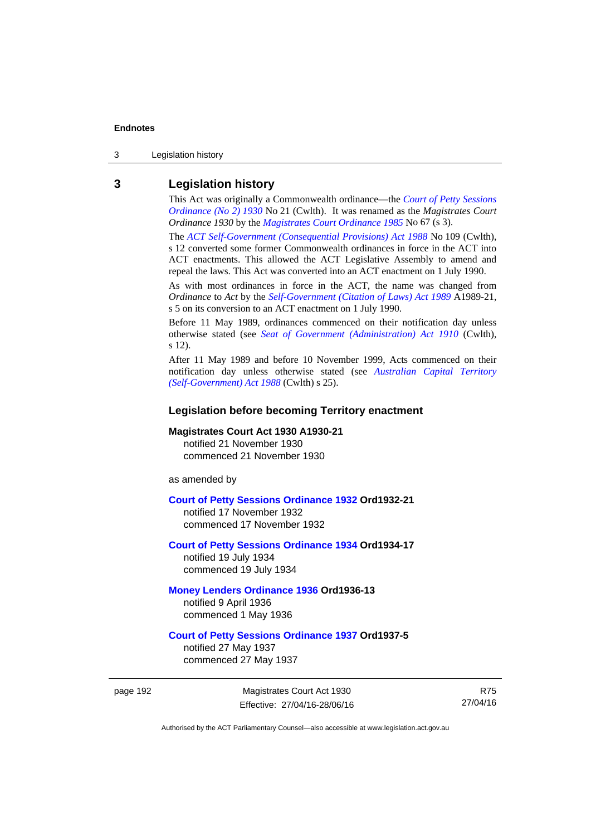3 Legislation history

## **3 Legislation history**

This Act was originally a Commonwealth ordinance—the *[Court of Petty Sessions](http://www.legislation.act.gov.au/a/1930-21)  [Ordinance \(No 2\) 1930](http://www.legislation.act.gov.au/a/1930-21)* No 21 (Cwlth). It was renamed as the *Magistrates Court Ordinance 1930* by the *[Magistrates Court Ordinance 1985](http://www.legislation.act.gov.au/a/1985-67)* No 67 (s 3).

The *[ACT Self-Government \(Consequential Provisions\) Act 1988](http://www.comlaw.gov.au/Details/C2004A03702)* No 109 (Cwlth), s 12 converted some former Commonwealth ordinances in force in the ACT into ACT enactments. This allowed the ACT Legislative Assembly to amend and repeal the laws. This Act was converted into an ACT enactment on 1 July 1990.

As with most ordinances in force in the ACT, the name was changed from *Ordinance* to *Act* by the *[Self-Government \(Citation of Laws\) Act 1989](http://www.legislation.act.gov.au/a/alt_ord1989-21/default.asp)* A1989-21, s 5 on its conversion to an ACT enactment on 1 July 1990.

Before 11 May 1989, ordinances commenced on their notification day unless otherwise stated (see *[Seat of Government \(Administration\) Act 1910](http://www.comlaw.gov.au/Current/C1910A00025)* (Cwlth), s 12).

After 11 May 1989 and before 10 November 1999, Acts commenced on their notification day unless otherwise stated (see *[Australian Capital Territory](http://www.comlaw.gov.au/Current/C2004A03699)  [\(Self-Government\) Act 1988](http://www.comlaw.gov.au/Current/C2004A03699)* (Cwlth) s 25).

## **Legislation before becoming Territory enactment**

## **Magistrates Court Act 1930 A1930-21**

notified 21 November 1930 commenced 21 November 1930

as amended by

### **[Court of Petty Sessions Ordinance 1932](http://www.legislation.act.gov.au/a/1932-21) Ord1932-21**

notified 17 November 1932 commenced 17 November 1932

## **[Court of Petty Sessions Ordinance 1934](http://www.legislation.act.gov.au/a/1934-17) Ord1934-17**  notified 19 July 1934

commenced 19 July 1934

## **[Money Lenders Ordinance 1936](http://www.legislation.act.gov.au/ord/1936-13) Ord1936-13**  notified 9 April 1936

commenced 1 May 1936

## **[Court of Petty Sessions Ordinance 1937](http://www.legislation.act.gov.au/a/1937-5) Ord1937-5**

notified 27 May 1937 commenced 27 May 1937

page 192 Magistrates Court Act 1930 Effective: 27/04/16-28/06/16

R75 27/04/16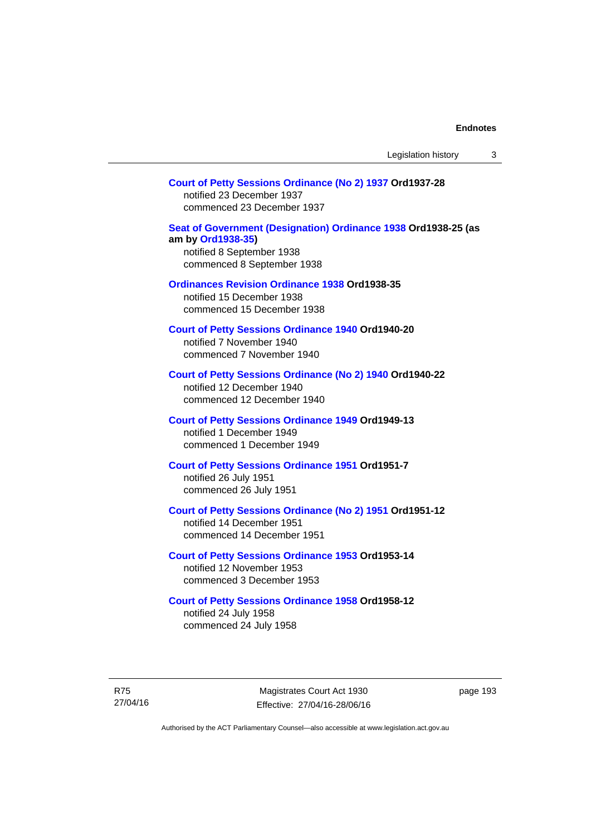## **[Court of Petty Sessions Ordinance \(No 2\) 1937](http://www.legislation.act.gov.au/a/1937-28) Ord1937-28**

notified 23 December 1937 commenced 23 December 1937

## **[Seat of Government \(Designation\) Ordinance 1938](http://www.legislation.act.gov.au/a/1938-25) Ord1938-25 (as am by [Ord1938-35](http://www.legislation.act.gov.au/a/1938-35))**  notified 8 September 1938

commenced 8 September 1938

## **[Ordinances Revision Ordinance 1938](http://www.legislation.act.gov.au/a/1938-35) Ord1938-35**

notified 15 December 1938 commenced 15 December 1938

**[Court of Petty Sessions Ordinance 1940](http://www.legislation.act.gov.au/a/1940-20) Ord1940-20**  notified 7 November 1940 commenced 7 November 1940

## **[Court of Petty Sessions Ordinance \(No 2\) 1940](http://www.legislation.act.gov.au/a/1940-22) Ord1940-22**

notified 12 December 1940 commenced 12 December 1940

## **[Court of Petty Sessions Ordinance 1949](http://www.legislation.act.gov.au/a/1949-13) Ord1949-13**

notified 1 December 1949 commenced 1 December 1949

## **[Court of Petty Sessions Ordinance 1951](http://www.legislation.act.gov.au/a/1951-7) Ord1951-7**  notified 26 July 1951

commenced 26 July 1951

## **[Court of Petty Sessions Ordinance \(No 2\) 1951](http://www.legislation.act.gov.au/a/1951-12) Ord1951-12**

notified 14 December 1951 commenced 14 December 1951

## **[Court of Petty Sessions Ordinance 1953](http://www.legislation.act.gov.au/a/1953-14) Ord1953-14**  notified 12 November 1953

commenced 3 December 1953

## **[Court of Petty Sessions Ordinance 1958](http://www.legislation.act.gov.au/a/1958-12) Ord1958-12**

notified 24 July 1958 commenced 24 July 1958

R75 27/04/16

Magistrates Court Act 1930 Effective: 27/04/16-28/06/16 page 193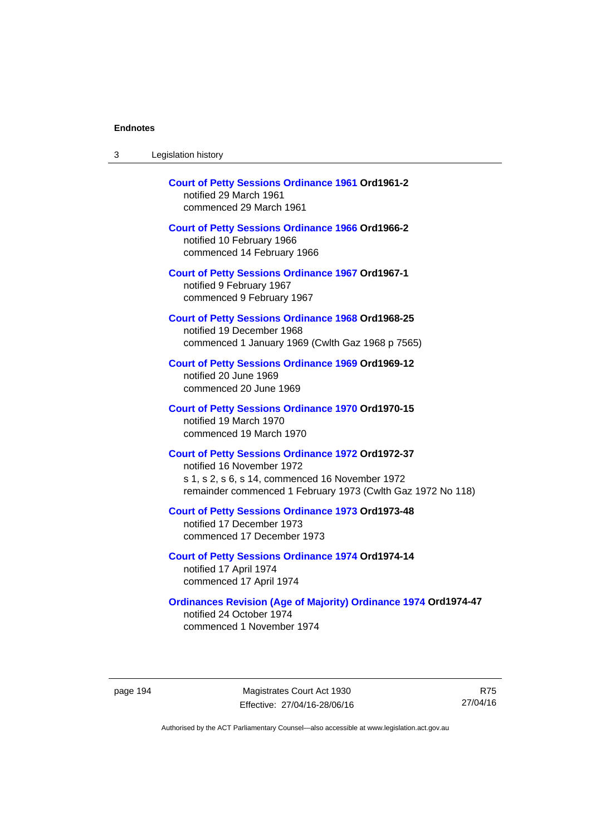| <b>Court of Petty Sessions Ordinance 1961 Ord1961-2</b><br>notified 29 March 1961<br>commenced 29 March 1961                                                                                            |
|---------------------------------------------------------------------------------------------------------------------------------------------------------------------------------------------------------|
| <b>Court of Petty Sessions Ordinance 1966 Ord1966-2</b><br>notified 10 February 1966<br>commenced 14 February 1966                                                                                      |
| <b>Court of Petty Sessions Ordinance 1967 Ord1967-1</b><br>notified 9 February 1967<br>commenced 9 February 1967                                                                                        |
| <b>Court of Petty Sessions Ordinance 1968 Ord1968-25</b><br>notified 19 December 1968<br>commenced 1 January 1969 (Cwlth Gaz 1968 p 7565)                                                               |
| <b>Court of Petty Sessions Ordinance 1969 Ord1969-12</b><br>notified 20 June 1969<br>commenced 20 June 1969                                                                                             |
| <b>Court of Petty Sessions Ordinance 1970 Ord1970-15</b><br>notified 19 March 1970<br>commenced 19 March 1970                                                                                           |
| <b>Court of Petty Sessions Ordinance 1972 Ord1972-37</b><br>notified 16 November 1972<br>s 1, s 2, s 6, s 14, commenced 16 November 1972<br>remainder commenced 1 February 1973 (Cwlth Gaz 1972 No 118) |
| <b>Court of Petty Sessions Ordinance 1973 Ord1973-48</b><br>notified 17 December 1973<br>commenced 17 December 1973                                                                                     |
| <b>Court of Petty Sessions Ordinance 1974 Ord1974-14</b><br>notified 17 April 1974<br>commenced 17 April 1974                                                                                           |
| <b>Ordinances Revision (Age of Majority) Ordinance 1974 Ord1974-47</b><br>notified 24 October 1974<br>commenced 1 November 1974                                                                         |

page 194 Magistrates Court Act 1930 Effective: 27/04/16-28/06/16

R75 27/04/16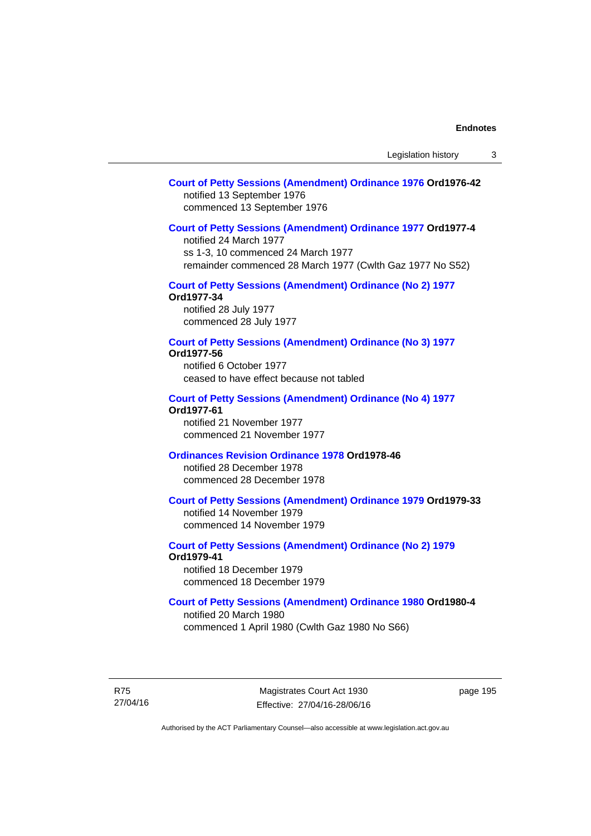## **[Court of Petty Sessions \(Amendment\) Ordinance 1976](http://www.legislation.act.gov.au/a/1976-42) Ord1976-42**  notified 13 September 1976 commenced 13 September 1976

## **[Court of Petty Sessions \(Amendment\) Ordinance 1977](http://www.legislation.act.gov.au/a/1977-4) Ord1977-4**

notified 24 March 1977 ss 1-3, 10 commenced 24 March 1977 remainder commenced 28 March 1977 (Cwlth Gaz 1977 No S52)

## **[Court of Petty Sessions \(Amendment\) Ordinance \(No 2\) 1977](http://www.legislation.act.gov.au/a/1977-34)**

**Ord1977-34**  notified 28 July 1977

commenced 28 July 1977

## **[Court of Petty Sessions \(Amendment\) Ordinance \(No 3\) 1977](http://www.legislation.act.gov.au/ord/1977-56)**

**Ord1977-56**  notified 6 October 1977 ceased to have effect because not tabled

#### **[Court of Petty Sessions \(Amendment\) Ordinance \(No 4\) 1977](http://www.legislation.act.gov.au/a/1977-61) Ord1977-61**

notified 21 November 1977 commenced 21 November 1977

## **[Ordinances Revision Ordinance 1978](http://www.legislation.act.gov.au/a/1978-46) Ord1978-46**

notified 28 December 1978 commenced 28 December 1978

## **[Court of Petty Sessions \(Amendment\) Ordinance 1979](http://www.legislation.act.gov.au/a/1979-33) Ord1979-33**

notified 14 November 1979 commenced 14 November 1979

## **[Court of Petty Sessions \(Amendment\) Ordinance \(No 2\) 1979](http://www.legislation.act.gov.au/a/1979-41) Ord1979-41**

notified 18 December 1979 commenced 18 December 1979

## **[Court of Petty Sessions \(Amendment\) Ordinance 1980](http://www.legislation.act.gov.au/a/1980-4) Ord1980-4**

notified 20 March 1980 commenced 1 April 1980 (Cwlth Gaz 1980 No S66)

R75 27/04/16

Magistrates Court Act 1930 Effective: 27/04/16-28/06/16 page 195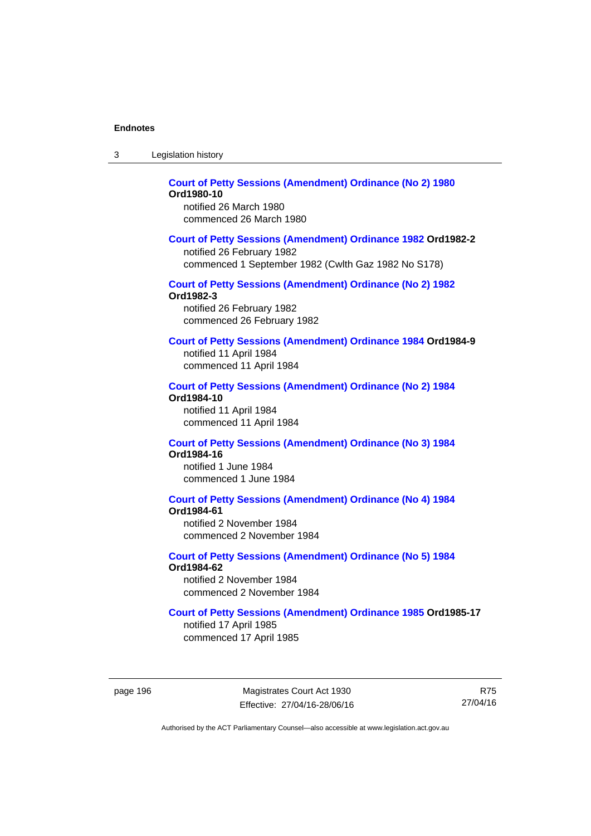| -3 | Legislation history |  |
|----|---------------------|--|
|----|---------------------|--|

#### **[Court of Petty Sessions \(Amendment\) Ordinance \(No 2\) 1980](http://www.legislation.act.gov.au/a/1980-10) Ord1980-10**  notified 26 March 1980

commenced 26 March 1980

## **[Court of Petty Sessions \(Amendment\) Ordinance 1982](http://www.legislation.act.gov.au/a/1982-2) Ord1982-2**

notified 26 February 1982 commenced 1 September 1982 (Cwlth Gaz 1982 No S178)

# **[Court of Petty Sessions \(Amendment\) Ordinance \(No 2\) 1982](http://www.legislation.act.gov.au/a/1982-3)**

**Ord1982-3** 

notified 26 February 1982 commenced 26 February 1982

## **[Court of Petty Sessions \(Amendment\) Ordinance 1984](http://www.legislation.act.gov.au/a/1984-9) Ord1984-9**

notified 11 April 1984 commenced 11 April 1984

#### **[Court of Petty Sessions \(Amendment\) Ordinance \(No 2\) 1984](http://www.legislation.act.gov.au/a/1984-10) Ord1984-10**

notified 11 April 1984 commenced 11 April 1984

#### **[Court of Petty Sessions \(Amendment\) Ordinance \(No 3\) 1984](http://www.legislation.act.gov.au/a/1984-16) Ord1984-16**

notified 1 June 1984 commenced 1 June 1984

# **[Court of Petty Sessions \(Amendment\) Ordinance \(No 4\) 1984](http://www.legislation.act.gov.au/a/1984-61)**

**Ord1984-61** 

notified 2 November 1984 commenced 2 November 1984

#### **[Court of Petty Sessions \(Amendment\) Ordinance \(No 5\) 1984](http://www.legislation.act.gov.au/a/1984-62) Ord1984-62**

notified 2 November 1984 commenced 2 November 1984

## **[Court of Petty Sessions \(Amendment\) Ordinance 1985](http://www.legislation.act.gov.au/a/1985-17) Ord1985-17**

notified 17 April 1985 commenced 17 April 1985

page 196 Magistrates Court Act 1930 Effective: 27/04/16-28/06/16

R75 27/04/16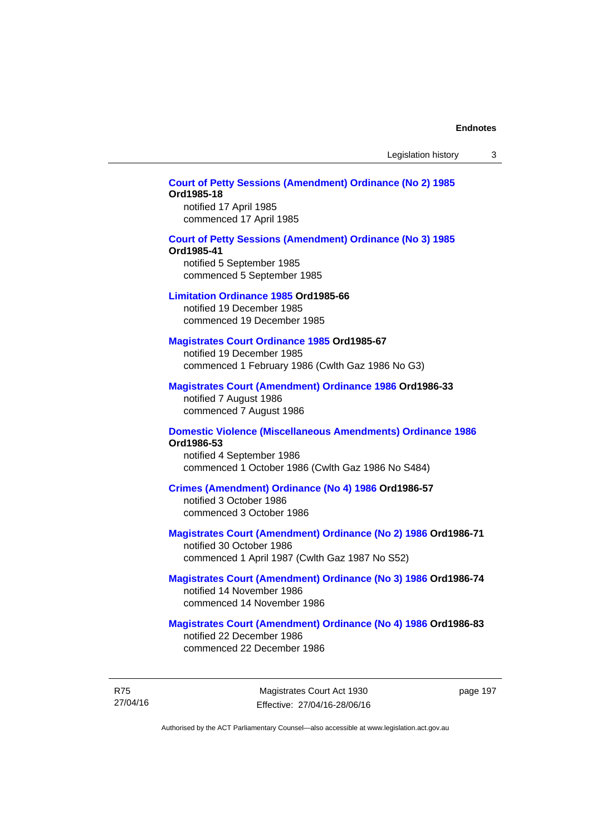Legislation history 3

## **[Court of Petty Sessions \(Amendment\) Ordinance \(No 2\) 1985](http://www.legislation.act.gov.au/a/1985-18) Ord1985-18**

notified 17 April 1985 commenced 17 April 1985

#### **[Court of Petty Sessions \(Amendment\) Ordinance \(No 3\) 1985](http://www.legislation.act.gov.au/a/1985-41)**

#### **Ord1985-41**

notified 5 September 1985 commenced 5 September 1985

#### **[Limitation Ordinance 1985](http://www.legislation.act.gov.au/a/1985-66) Ord1985-66**

notified 19 December 1985 commenced 19 December 1985

## **[Magistrates Court Ordinance 1985](http://www.legislation.act.gov.au/a/1985-67) Ord1985-67**

notified 19 December 1985 commenced 1 February 1986 (Cwlth Gaz 1986 No G3)

## **[Magistrates Court \(Amendment\) Ordinance 1986](http://www.legislation.act.gov.au/a/1986-33) Ord1986-33**

notified 7 August 1986 commenced 7 August 1986

#### **[Domestic Violence \(Miscellaneous Amendments\) Ordinance 1986](http://www.legislation.act.gov.au/a/1986-53) Ord1986-53**

notified 4 September 1986 commenced 1 October 1986 (Cwlth Gaz 1986 No S484)

## **[Crimes \(Amendment\) Ordinance \(No 4\) 1986](http://www.legislation.act.gov.au/a/1986-57) Ord1986-57**

notified 3 October 1986 commenced 3 October 1986

## **[Magistrates Court \(Amendment\) Ordinance \(No 2\) 1986](http://www.legislation.act.gov.au/a/1986-71) Ord1986-71**

notified 30 October 1986 commenced 1 April 1987 (Cwlth Gaz 1987 No S52)

## **[Magistrates Court \(Amendment\) Ordinance \(No 3\) 1986](http://www.legislation.act.gov.au/a/1986-74) Ord1986-74**  notified 14 November 1986 commenced 14 November 1986

## **[Magistrates Court \(Amendment\) Ordinance \(No 4\) 1986](http://www.legislation.act.gov.au/a/1986-83) Ord1986-83**  notified 22 December 1986

commenced 22 December 1986

R75 27/04/16

Magistrates Court Act 1930 Effective: 27/04/16-28/06/16 page 197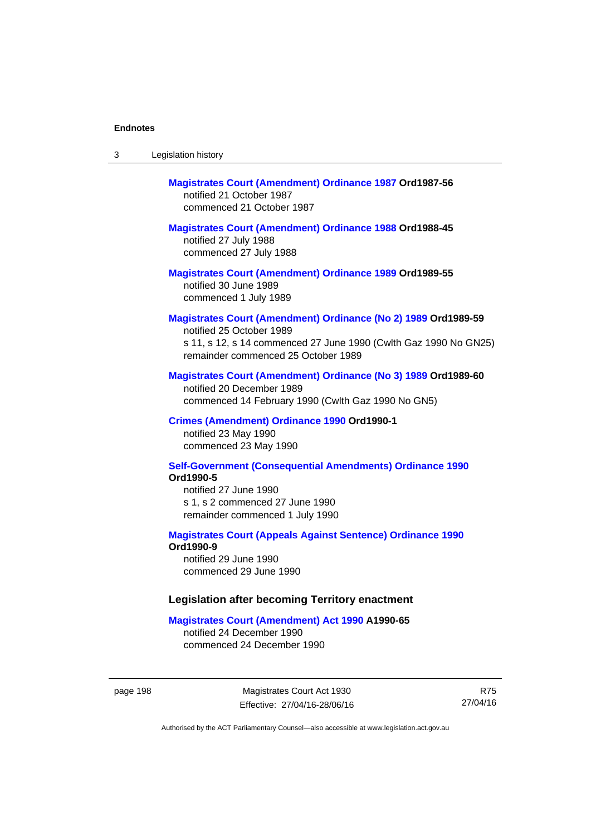| -3 | Legislation history |  |
|----|---------------------|--|
|----|---------------------|--|

# **[Magistrates Court \(Amendment\) Ordinance 1987](http://www.legislation.act.gov.au/a/1987-56) Ord1987-56**  notified 21 October 1987 commenced 21 October 1987

# **[Magistrates Court \(Amendment\) Ordinance 1988](http://www.legislation.act.gov.au/a/1988-45) Ord1988-45**

notified 27 July 1988 commenced 27 July 1988

**[Magistrates Court \(Amendment\) Ordinance 1989](http://www.legislation.act.gov.au/a/1989-55) Ord1989-55**  notified 30 June 1989 commenced 1 July 1989

## **[Magistrates Court \(Amendment\) Ordinance \(No 2\) 1989](http://www.legislation.act.gov.au/a/1989-59) Ord1989-59**

notified 25 October 1989 s 11, s 12, s 14 commenced 27 June 1990 (Cwlth Gaz 1990 No GN25) remainder commenced 25 October 1989

## **[Magistrates Court \(Amendment\) Ordinance \(No 3\) 1989](http://www.legislation.act.gov.au/a/1989-60) Ord1989-60**

notified 20 December 1989 commenced 14 February 1990 (Cwlth Gaz 1990 No GN5)

## **[Crimes \(Amendment\) Ordinance 1990](http://www.legislation.act.gov.au/a/alt_ord1990-1) Ord1990-1**

notified 23 May 1990 commenced 23 May 1990

## **[Self-Government \(Consequential Amendments\) Ordinance 1990](http://www.legislation.act.gov.au/a/alt_ord1990-5) Ord1990-5**

notified 27 June 1990 s 1, s 2 commenced 27 June 1990 remainder commenced 1 July 1990

#### **[Magistrates Court \(Appeals Against Sentence\) Ordinance 1990](http://www.legislation.act.gov.au/a/alt_ord1990-9) Ord1990-9**

notified 29 June 1990 commenced 29 June 1990

## **Legislation after becoming Territory enactment**

#### **[Magistrates Court \(Amendment\) Act 1990](http://www.legislation.act.gov.au/a/1990-65) A1990-65**

notified 24 December 1990 commenced 24 December 1990

page 198 Magistrates Court Act 1930 Effective: 27/04/16-28/06/16

R75 27/04/16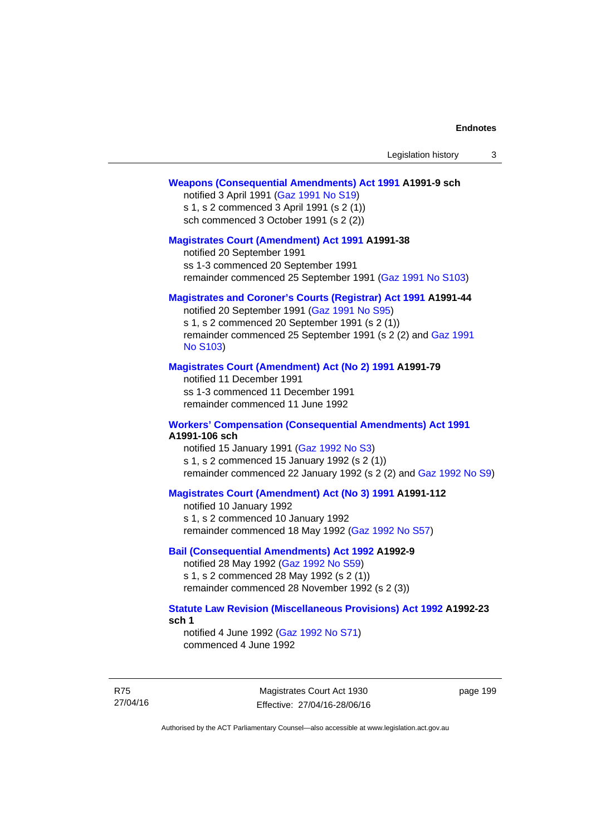#### **[Weapons \(Consequential Amendments\) Act 1991](http://www.legislation.act.gov.au/a/1991-9) A1991-9 sch**

notified 3 April 1991 ([Gaz 1991 No S19](http://www.legislation.act.gov.au/gaz/1991-S19/default.asp)) s 1, s 2 commenced 3 April 1991 (s 2 (1)) sch commenced 3 October 1991 (s 2 (2))

#### **[Magistrates Court \(Amendment\) Act 1991](http://www.legislation.act.gov.au/a/1991-38) A1991-38**

notified 20 September 1991 ss 1-3 commenced 20 September 1991 remainder commenced 25 September 1991 [\(Gaz 1991 No S103](http://www.legislation.act.gov.au/gaz/1991-S103/default.asp))

## **[Magistrates and Coroner's Courts \(Registrar\) Act 1991](http://www.legislation.act.gov.au/a/1991-44) A1991-44**

notified 20 September 1991 [\(Gaz 1991 No S95\)](http://www.legislation.act.gov.au/gaz/1991-S95/default.asp) s 1, s 2 commenced 20 September 1991 (s 2 (1)) remainder commenced 25 September 1991 (s 2 (2) and [Gaz 1991](http://www.legislation.act.gov.au/gaz/1991-S103/default.asp)  [No S103\)](http://www.legislation.act.gov.au/gaz/1991-S103/default.asp)

#### **[Magistrates Court \(Amendment\) Act \(No 2\) 1991](http://www.legislation.act.gov.au/a/1991-79) A1991-79**

notified 11 December 1991 ss 1-3 commenced 11 December 1991 remainder commenced 11 June 1992

#### **[Workers' Compensation \(Consequential Amendments\) Act 1991](http://www.legislation.act.gov.au/a/1991-106) A1991-106 sch**

notified 15 January 1991 ([Gaz 1992 No S3\)](http://www.legislation.act.gov.au/gaz/1992-S3/default.asp) s 1, s 2 commenced 15 January 1992 (s 2 (1)) remainder commenced 22 January 1992 (s 2 (2) and [Gaz 1992 No S9](http://www.legislation.act.gov.au/gaz/1992-S9/default.asp))

## **[Magistrates Court \(Amendment\) Act \(No 3\) 1991](http://www.legislation.act.gov.au/a/1991-112) A1991-112**

notified 10 January 1992 s 1, s 2 commenced 10 January 1992 remainder commenced 18 May 1992 [\(Gaz 1992 No S57\)](http://www.legislation.act.gov.au/gaz/1992-S57/default.asp)

## **[Bail \(Consequential Amendments\) Act 1992](http://www.legislation.act.gov.au/a/1992-9) A1992-9**

notified 28 May 1992 ([Gaz 1992 No S59](http://www.legislation.act.gov.au/gaz/1992-S59/default.asp)) s 1, s 2 commenced 28 May 1992 (s 2 (1)) remainder commenced 28 November 1992 (s 2 (3))

## **[Statute Law Revision \(Miscellaneous Provisions\) Act 1992](http://www.legislation.act.gov.au/a/1992-23) A1992-23 sch 1**

notified 4 June 1992 [\(Gaz 1992 No S71\)](http://www.legislation.act.gov.au/gaz/1992-S71/default.asp) commenced 4 June 1992

R75 27/04/16

Magistrates Court Act 1930 Effective: 27/04/16-28/06/16 page 199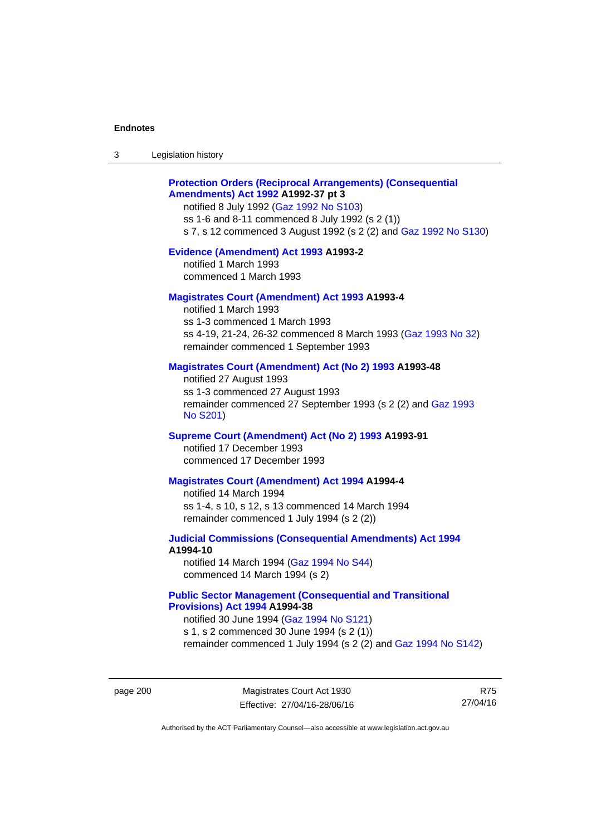| 3 | Legislation history |  |
|---|---------------------|--|
|---|---------------------|--|

## **[Protection Orders \(Reciprocal Arrangements\) \(Consequential](http://www.legislation.act.gov.au/a/1992-37)  [Amendments\) Act 1992](http://www.legislation.act.gov.au/a/1992-37) A1992-37 pt 3**

notified 8 July 1992 [\(Gaz 1992 No S103](http://www.legislation.act.gov.au/gaz/1992-S103/default.asp)) ss 1-6 and 8-11 commenced 8 July 1992 (s 2 (1)) s 7, s 12 commenced 3 August 1992 (s 2 (2) and [Gaz 1992 No S130](http://www.legislation.act.gov.au/gaz/1992-S130/default.asp))

## **[Evidence \(Amendment\) Act 1993](http://www.legislation.act.gov.au/a/1993-2) A1993-2**

notified 1 March 1993 commenced 1 March 1993

## **[Magistrates Court \(Amendment\) Act 1993](http://www.legislation.act.gov.au/a/1993-4) A1993-4**

notified 1 March 1993 ss 1-3 commenced 1 March 1993 ss 4-19, 21-24, 26-32 commenced 8 March 1993 [\(Gaz 1993 No 32](http://www.legislation.act.gov.au/gaz/1993-32/default.asp)) remainder commenced 1 September 1993

## **[Magistrates Court \(Amendment\) Act \(No 2\) 1993](http://www.legislation.act.gov.au/a/1993-48) A1993-48**

notified 27 August 1993 ss 1-3 commenced 27 August 1993 remainder commenced 27 September 1993 (s 2 (2) and [Gaz 1993](http://www.legislation.act.gov.au/gaz/1993-S201/default.asp)  [No S201\)](http://www.legislation.act.gov.au/gaz/1993-S201/default.asp)

## **[Supreme Court \(Amendment\) Act \(No 2\) 1993](http://www.legislation.act.gov.au/a/1993-91) A1993-91**

notified 17 December 1993 commenced 17 December 1993

#### **[Magistrates Court \(Amendment\) Act 1994](http://www.legislation.act.gov.au/a/1994-4) A1994-4**

notified 14 March 1994 ss 1-4, s 10, s 12, s 13 commenced 14 March 1994 remainder commenced 1 July 1994 (s 2 (2))

## **[Judicial Commissions \(Consequential Amendments\) Act 1994](http://www.legislation.act.gov.au/a/1994-10) A1994-10**

notified 14 March 1994 ([Gaz 1994 No S44](http://www.legislation.act.gov.au/gaz/1994-S44/default.asp)) commenced 14 March 1994 (s 2)

## **[Public Sector Management \(Consequential and Transitional](http://www.legislation.act.gov.au/a/1994-38)  [Provisions\) Act 1994](http://www.legislation.act.gov.au/a/1994-38) A1994-38**

notified 30 June 1994 ([Gaz 1994 No S121\)](http://www.legislation.act.gov.au/gaz/1994-S121/default.asp) s 1, s 2 commenced 30 June 1994 (s 2 (1)) remainder commenced 1 July 1994 (s 2 (2) and [Gaz 1994 No S142\)](http://www.legislation.act.gov.au/gaz/1994-S142/default.asp)

page 200 Magistrates Court Act 1930 Effective: 27/04/16-28/06/16

R75 27/04/16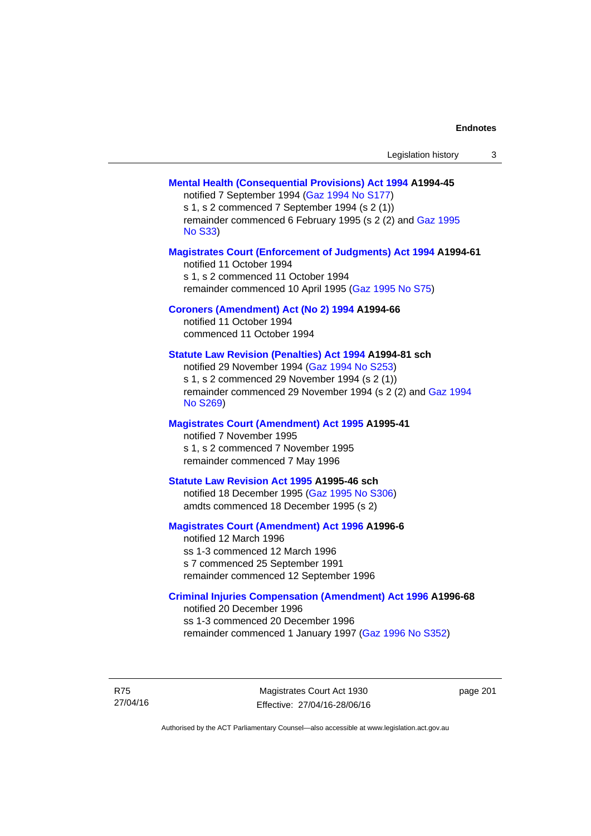| Legislation history |  |
|---------------------|--|
|---------------------|--|

## **[Mental Health \(Consequential Provisions\) Act 1994](http://www.legislation.act.gov.au/a/1994-45) A1994-45**

notified 7 September 1994 [\(Gaz 1994 No S177\)](http://www.legislation.act.gov.au/gaz/1994-S177/default.asp) s 1, s 2 commenced 7 September 1994 (s 2 (1)) remainder commenced 6 February 1995 (s 2 (2) and [Gaz 1995](http://www.legislation.act.gov.au/gaz/1995-S33/default.asp)  [No S33](http://www.legislation.act.gov.au/gaz/1995-S33/default.asp))

### **[Magistrates Court \(Enforcement of Judgments\) Act 1994](http://www.legislation.act.gov.au/a/1994-61) A1994-61**

notified 11 October 1994 s 1, s 2 commenced 11 October 1994 remainder commenced 10 April 1995 [\(Gaz 1995 No S75\)](http://www.legislation.act.gov.au/gaz/1995-S75/default.asp)

## **[Coroners \(Amendment\) Act \(No 2\) 1994](http://www.legislation.act.gov.au/a/1994-66) A1994-66**

notified 11 October 1994 commenced 11 October 1994

## **[Statute Law Revision \(Penalties\) Act 1994](http://www.legislation.act.gov.au/a/1994-81) A1994-81 sch**

notified 29 November 1994 [\(Gaz 1994 No S253](http://www.legislation.act.gov.au/gaz/1994-S253/default.asp)) s 1, s 2 commenced 29 November 1994 (s 2 (1)) remainder commenced 29 November 1994 (s 2 (2) and [Gaz 1994](http://www.legislation.act.gov.au/gaz/1994-S269/default.asp)  [No S269\)](http://www.legislation.act.gov.au/gaz/1994-S269/default.asp)

## **[Magistrates Court \(Amendment\) Act 1995](http://www.legislation.act.gov.au/a/1995-41) A1995-41**

notified 7 November 1995 s 1, s 2 commenced 7 November 1995 remainder commenced 7 May 1996

#### **[Statute Law Revision Act 1995](http://www.legislation.act.gov.au/a/1995-46) A1995-46 sch**

notified 18 December 1995 [\(Gaz 1995 No S306](http://www.legislation.act.gov.au/gaz/1995-S306/default.asp)) amdts commenced 18 December 1995 (s 2)

## **[Magistrates Court \(Amendment\) Act 1996](http://www.legislation.act.gov.au/a/1996-6) A1996-6**

notified 12 March 1996 ss 1-3 commenced 12 March 1996 s 7 commenced 25 September 1991 remainder commenced 12 September 1996

## **[Criminal Injuries Compensation \(Amendment\) Act 1996](http://www.legislation.act.gov.au/a/1996-68) A1996-68**

notified 20 December 1996 ss 1-3 commenced 20 December 1996 remainder commenced 1 January 1997 [\(Gaz 1996 No S352](http://www.legislation.act.gov.au/gaz/1996-S352/default.asp))

R75 27/04/16

Magistrates Court Act 1930 Effective: 27/04/16-28/06/16 page 201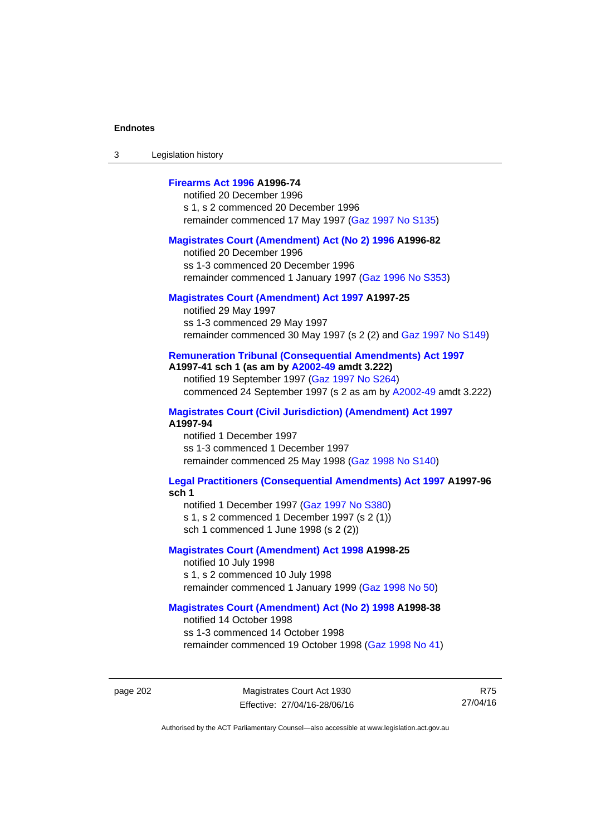3 Legislation history

# **[Firearms Act 1996](http://www.legislation.act.gov.au/a/1996-74) A1996-74**

notified 20 December 1996 s 1, s 2 commenced 20 December 1996 remainder commenced 17 May 1997 [\(Gaz 1997 No S135](http://www.legislation.act.gov.au/gaz/1997-S135/default.asp))

#### **[Magistrates Court \(Amendment\) Act \(No 2\) 1996](http://www.legislation.act.gov.au/a/1996-82) A1996-82**

notified 20 December 1996 ss 1-3 commenced 20 December 1996 remainder commenced 1 January 1997 [\(Gaz 1996 No S353](http://www.legislation.act.gov.au/gaz/1996-S353/default.asp))

## **[Magistrates Court \(Amendment\) Act 1997](http://www.legislation.act.gov.au/a/1997-25) A1997-25**

notified 29 May 1997 ss 1-3 commenced 29 May 1997 remainder commenced 30 May 1997 (s 2 (2) and [Gaz 1997 No S149\)](http://www.legislation.act.gov.au/gaz/1997-S149/default.asp)

## **[Remuneration Tribunal \(Consequential Amendments\) Act 1997](http://www.legislation.act.gov.au/a/1997-41) A1997-41 sch 1 (as am by [A2002-49](http://www.legislation.act.gov.au/a/2002-49) amdt 3.222)**

notified 19 September 1997 [\(Gaz 1997 No S264](http://www.legislation.act.gov.au/gaz/1997-S264/default.asp)) commenced 24 September 1997 (s 2 as am by [A2002-49](http://www.legislation.act.gov.au/a/2002-49) amdt 3.222)

**[Magistrates Court \(Civil Jurisdiction\) \(Amendment\) Act 1997](http://www.legislation.act.gov.au/a/1997-94) A1997-94** 

notified 1 December 1997 ss 1-3 commenced 1 December 1997 remainder commenced 25 May 1998 [\(Gaz 1998 No S140](http://www.legislation.act.gov.au/gaz/1998-S140/default.asp))

#### **[Legal Practitioners \(Consequential Amendments\) Act 1997](http://www.legislation.act.gov.au/a/1997-96) A1997-96 sch 1**

notified 1 December 1997 ([Gaz 1997 No S380\)](http://www.legislation.act.gov.au/gaz/1997-S380/default.asp) s 1, s 2 commenced 1 December 1997 (s 2 (1))

sch 1 commenced 1 June 1998 (s 2 (2))

### **[Magistrates Court \(Amendment\) Act 1998](http://www.legislation.act.gov.au/a/1998-25) A1998-25**

notified 10 July 1998 s 1, s 2 commenced 10 July 1998 remainder commenced 1 January 1999 [\(Gaz 1998 No 50](http://www.legislation.act.gov.au/gaz/1998-50/default.asp))

## **[Magistrates Court \(Amendment\) Act \(No 2\) 1998](http://www.legislation.act.gov.au/a/1998-38) A1998-38**

notified 14 October 1998 ss 1-3 commenced 14 October 1998 remainder commenced 19 October 1998 ([Gaz 1998 No 41\)](http://www.legislation.act.gov.au/gaz/1998-41/default.asp)

R75 27/04/16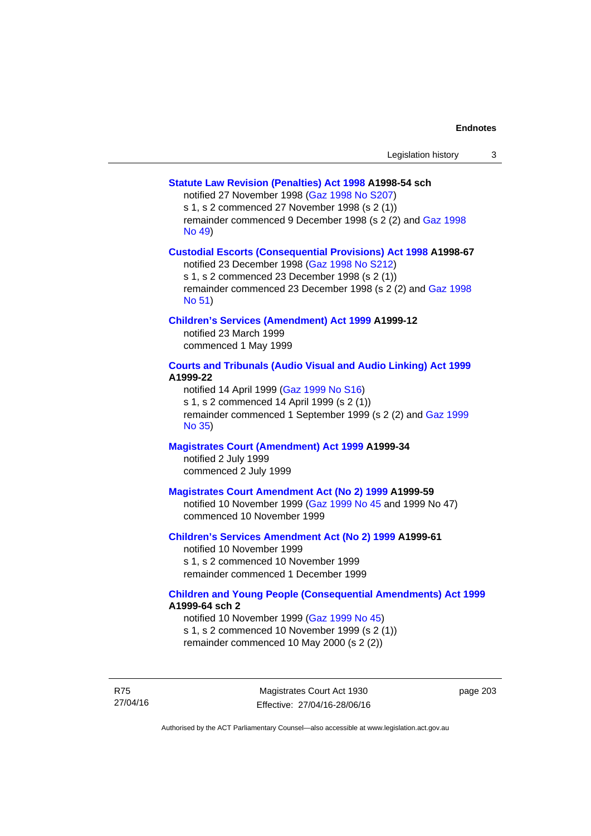## **[Statute Law Revision \(Penalties\) Act 1998](http://www.legislation.act.gov.au/a/1998-54) A1998-54 sch**

notified 27 November 1998 [\(Gaz 1998 No S207](http://www.legislation.act.gov.au/gaz/1998-S207/default.asp))

s 1, s 2 commenced 27 November 1998 (s 2 (1))

remainder commenced 9 December 1998 (s 2 (2) and [Gaz 1998](http://www.legislation.act.gov.au/gaz/1998-49/default.asp)  [No 49\)](http://www.legislation.act.gov.au/gaz/1998-49/default.asp)

## **[Custodial Escorts \(Consequential Provisions\) Act 1998](http://www.legislation.act.gov.au/a/1998-67) A1998-67**

notified 23 December 1998 [\(Gaz 1998 No S212](http://www.legislation.act.gov.au/gaz/1998-S212/default.asp)) s 1, s 2 commenced 23 December 1998 (s 2 (1)) remainder commenced 23 December 1998 (s 2 (2) and [Gaz 1998](http://www.legislation.act.gov.au/gaz/1998-51/default.asp)  [No 51\)](http://www.legislation.act.gov.au/gaz/1998-51/default.asp)

## **[Children's Services \(Amendment\) Act 1999](http://www.legislation.act.gov.au/a/1999-12) A1999-12**

notified 23 March 1999 commenced 1 May 1999

# **[Courts and Tribunals \(Audio Visual and Audio Linking\) Act 1999](http://www.legislation.act.gov.au/a/1999-22) A1999-22**

notified 14 April 1999 [\(Gaz 1999 No S16\)](http://www.legislation.act.gov.au/gaz/1999-S16/default.asp) s 1, s 2 commenced 14 April 1999 (s 2 (1)) remainder commenced 1 September 1999 (s 2 (2) and [Gaz 1999](http://www.legislation.act.gov.au/gaz/1999-35/default.asp)  [No 35\)](http://www.legislation.act.gov.au/gaz/1999-35/default.asp)

# **[Magistrates Court \(Amendment\) Act 1999](http://www.legislation.act.gov.au/a/1999-34) A1999-34**

notified 2 July 1999 commenced 2 July 1999

## **[Magistrates Court Amendment Act \(No 2\) 1999](http://www.legislation.act.gov.au/a/1999-59) A1999-59**

notified 10 November 1999 [\(Gaz 1999 No 45 a](http://www.legislation.act.gov.au/gaz/1999-45/default.asp)nd 1999 No 47) commenced 10 November 1999

#### **[Children's Services Amendment Act \(No 2\) 1999](http://www.legislation.act.gov.au/a/1999-61) A1999-61**  notified 10 November 1999

s 1, s 2 commenced 10 November 1999 remainder commenced 1 December 1999

## **[Children and Young People \(Consequential Amendments\) Act 1999](http://www.legislation.act.gov.au/a/1999-64) A1999-64 sch 2**

notified 10 November 1999 [\(Gaz 1999 No 45](http://www.legislation.act.gov.au/gaz/1999-45/default.asp)) s 1, s 2 commenced 10 November 1999 (s 2 (1)) remainder commenced 10 May 2000 (s 2 (2))

R75 27/04/16

Magistrates Court Act 1930 Effective: 27/04/16-28/06/16 page 203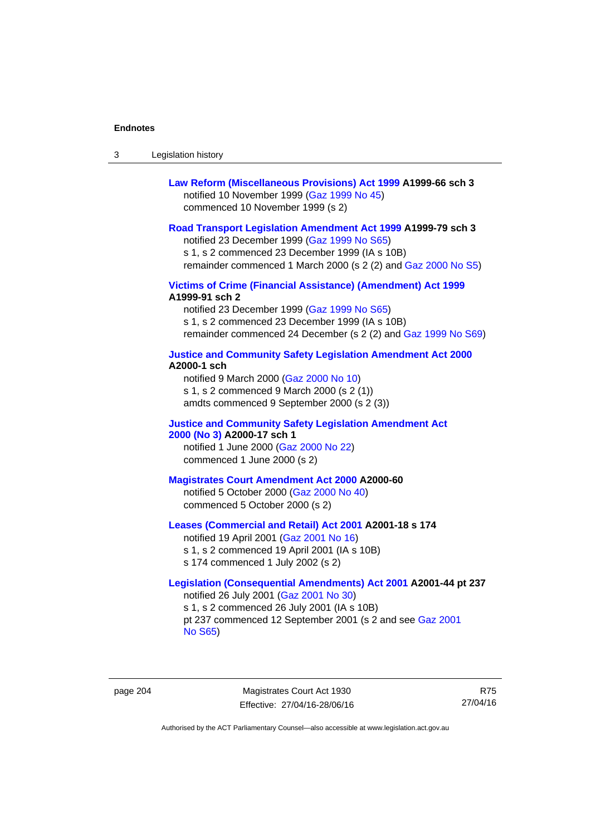| -3 | Legislation history |  |
|----|---------------------|--|
|----|---------------------|--|

| Law Reform (Miscellaneous Provisions) Act 1999 A1999-66 sch 3 |
|---------------------------------------------------------------|
| notified 10 November 1999 (Gaz 1999 No 45)                    |
| commenced 10 November 1999 (s 2)                              |

### **[Road Transport Legislation Amendment Act 1999](http://www.legislation.act.gov.au/a/1999-79) A1999-79 sch 3**

notified 23 December 1999 [\(Gaz 1999 No S65\)](http://www.legislation.act.gov.au/gaz/1999-S65/default.asp) s 1, s 2 commenced 23 December 1999 (IA s 10B) remainder commenced 1 March 2000 (s 2 (2) and [Gaz 2000 No S5\)](http://www.legislation.act.gov.au/gaz/2000-S5/default.asp)

## **[Victims of Crime \(Financial Assistance\) \(Amendment\) Act 1999](http://www.legislation.act.gov.au/a/1999-91) A1999-91 sch 2**

notified 23 December 1999 [\(Gaz 1999 No S65\)](http://www.legislation.act.gov.au/gaz/1999-S65/default.asp) s 1, s 2 commenced 23 December 1999 (IA s 10B) remainder commenced 24 December (s 2 (2) and [Gaz 1999 No S69](http://www.legislation.act.gov.au/gaz/1999-S69/default.asp))

#### **[Justice and Community Safety Legislation Amendment Act 2000](http://www.legislation.act.gov.au/a/2000-1) A2000-1 sch**

notified 9 March 2000 [\(Gaz 2000 No 10](http://www.legislation.act.gov.au/gaz/2000-10/default.asp)) s 1, s 2 commenced 9 March 2000 (s 2 (1)) amdts commenced 9 September 2000 (s 2 (3))

## **[Justice and Community Safety Legislation Amendment Act](http://www.legislation.act.gov.au/a/2000-17)  [2000 \(No 3\)](http://www.legislation.act.gov.au/a/2000-17) A2000-17 sch 1**

notified 1 June 2000 [\(Gaz 2000 No 22](http://www.legislation.act.gov.au/gaz/2000-22/default.asp)) commenced 1 June 2000 (s 2)

# **[Magistrates Court Amendment Act 2000](http://www.legislation.act.gov.au/a/2000-60) A2000-60**

notified 5 October 2000 [\(Gaz 2000 No 40\)](http://www.legislation.act.gov.au/gaz/2000-40/default.asp) commenced 5 October 2000 (s 2)

## **[Leases \(Commercial and Retail\) Act 2001](http://www.legislation.act.gov.au/a/2001-18) A2001-18 s 174**

notified 19 April 2001 [\(Gaz 2001 No 16\)](http://www.legislation.act.gov.au/gaz/2001-16/default.asp) s 1, s 2 commenced 19 April 2001 (IA s 10B) s 174 commenced 1 July 2002 (s 2)

# **[Legislation \(Consequential Amendments\) Act 2001](http://www.legislation.act.gov.au/a/2001-44) A2001-44 pt 237**  notified 26 July 2001 ([Gaz 2001 No 30\)](http://www.legislation.act.gov.au/gaz/2001-30/default.asp)

s 1, s 2 commenced 26 July 2001 (IA s 10B) pt 237 commenced 12 September 2001 (s 2 and see [Gaz 2001](http://www.legislation.act.gov.au/gaz/2001-S65/default.asp)  [No S65](http://www.legislation.act.gov.au/gaz/2001-S65/default.asp))

page 204 Magistrates Court Act 1930 Effective: 27/04/16-28/06/16

R75 27/04/16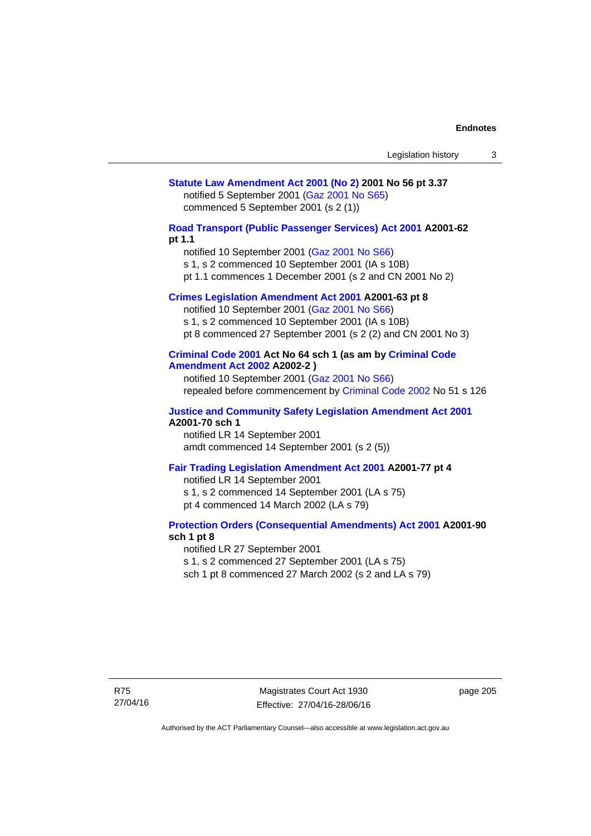# **[Statute Law Amendment Act 2001 \(No 2\)](http://www.legislation.act.gov.au/a/2001-56) 2001 No 56 pt 3.37**  notified 5 September 2001 [\(Gaz 2001 No S65\)](http://www.legislation.act.gov.au/gaz/2001-S65/default.asp) commenced 5 September 2001 (s 2 (1))

**[Road Transport \(Public Passenger Services\) Act 2001](http://www.legislation.act.gov.au/a/2001-62) A2001-62 pt 1.1** 

notified 10 September 2001 [\(Gaz 2001 No S66\)](http://www.legislation.act.gov.au/gaz/2001-S66/default.asp)

s 1, s 2 commenced 10 September 2001 (IA s 10B)

pt 1.1 commences 1 December 2001 (s 2 and CN 2001 No 2)

# **[Crimes Legislation Amendment Act 2001](http://www.legislation.act.gov.au/a/2001-63) A2001-63 pt 8**

notified 10 September 2001 [\(Gaz 2001 No S66\)](http://www.legislation.act.gov.au/gaz/2001-S66/default.asp) s 1, s 2 commenced 10 September 2001 (IA s 10B) pt 8 commenced 27 September 2001 (s 2 (2) and CN 2001 No 3)

## **[Criminal Code 2001](http://www.legislation.act.gov.au/a/2001-64) Act No 64 sch 1 (as am by [Criminal Code](http://www.legislation.act.gov.au/a/2002-2)  [Amendment Act 2002](http://www.legislation.act.gov.au/a/2002-2) A2002-2 )**

notified 10 September 2001 [\(Gaz 2001 No S66\)](http://www.legislation.act.gov.au/gaz/2001-S66/default.asp) repealed before commencement by [Criminal Code 2002](http://www.legislation.act.gov.au/a/2002-51) No 51 s 126

#### **[Justice and Community Safety Legislation Amendment Act 2001](http://www.legislation.act.gov.au/a/2001-70) A2001-70 sch 1**

notified LR 14 September 2001 amdt commenced 14 September 2001 (s 2 (5))

## **[Fair Trading Legislation Amendment Act 2001](http://www.legislation.act.gov.au/a/2001-77) A2001-77 pt 4**

notified LR 14 September 2001 s 1, s 2 commenced 14 September 2001 (LA s 75) pt 4 commenced 14 March 2002 (LA s 79)

## **[Protection Orders \(Consequential Amendments\) Act 2001](http://www.legislation.act.gov.au/a/2001-90) A2001-90 sch 1 pt 8**

notified LR 27 September 2001

s 1, s 2 commenced 27 September 2001 (LA s 75)

sch 1 pt 8 commenced 27 March 2002 (s 2 and LA s 79)

page 205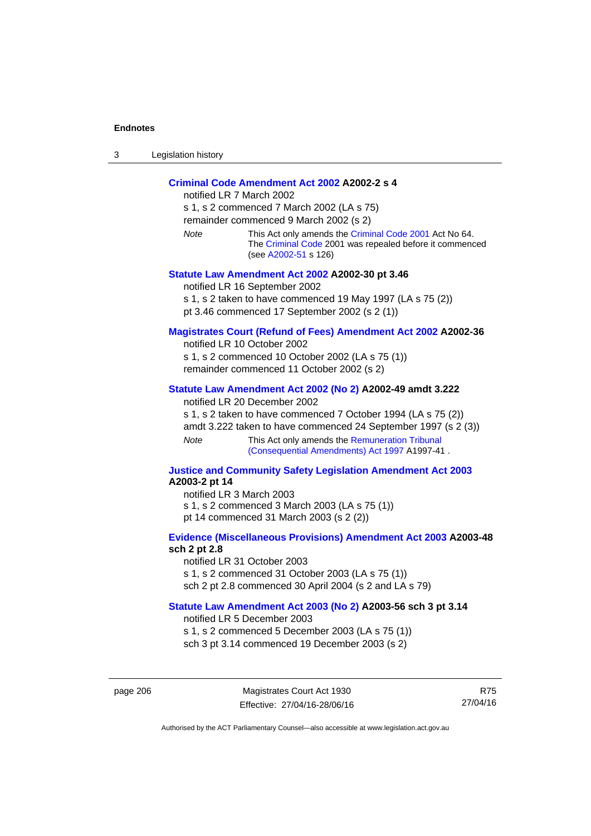| ⌒<br>- 3 | Legislation history |
|----------|---------------------|
|----------|---------------------|

# **[Criminal Code Amendment Act 2002](http://www.legislation.act.gov.au/a/2002-2) A2002-2 s 4**

notified LR 7 March 2002 s 1, s 2 commenced 7 March 2002 (LA s 75) remainder commenced 9 March 2002 (s 2) *Note* This Act only amends the [Criminal Code 2001](http://www.legislation.act.gov.au/a/2001-64) Act No 64. The [Criminal Code](http://www.legislation.act.gov.au/a/2002-51) 2001 was repealed before it commenced (see [A2002-51](http://www.legislation.act.gov.au/a/2002-51) s 126) **[Statute Law Amendment Act 2002](http://www.legislation.act.gov.au/a/2002-30) A2002-30 pt 3.46**  notified LR 16 September 2002

s 1, s 2 taken to have commenced 19 May 1997 (LA s 75 (2))

pt 3.46 commenced 17 September 2002 (s 2 (1))

# **[Magistrates Court \(Refund of Fees\) Amendment Act 2002](http://www.legislation.act.gov.au/a/2002-36) A2002-36**

notified LR 10 October 2002 s 1, s 2 commenced 10 October 2002 (LA s 75 (1)) remainder commenced 11 October 2002 (s 2)

# **[Statute Law Amendment Act 2002 \(No 2\)](http://www.legislation.act.gov.au/a/2002-49) A2002-49 amdt 3.222**

notified LR 20 December 2002

s 1, s 2 taken to have commenced 7 October 1994 (LA s 75 (2)) amdt 3.222 taken to have commenced 24 September 1997 (s 2 (3)) *Note* This Act only amends the Remuneration Tribunal [\(Consequential Amendments\) Act 1997](http://www.legislation.act.gov.au/a/1997-41) A1997-41 .

### **[Justice and Community Safety Legislation Amendment Act 2003](http://www.legislation.act.gov.au/a/2003-2) A2003-2 pt 14**

notified LR 3 March 2003 s 1, s 2 commenced 3 March 2003 (LA s 75 (1)) pt 14 commenced 31 March 2003 (s 2 (2))

## **[Evidence \(Miscellaneous Provisions\) Amendment Act 2003](http://www.legislation.act.gov.au/a/2003-48) A2003-48 sch 2 pt 2.8**

notified LR 31 October 2003 s 1, s 2 commenced 31 October 2003 (LA s 75 (1)) sch 2 pt 2.8 commenced 30 April 2004 (s 2 and LA s 79)

## **[Statute Law Amendment Act 2003 \(No 2\)](http://www.legislation.act.gov.au/a/2003-56) A2003-56 sch 3 pt 3.14**

notified LR 5 December 2003 s 1, s 2 commenced 5 December 2003 (LA s 75 (1)) sch 3 pt 3.14 commenced 19 December 2003 (s 2)

page 206 Magistrates Court Act 1930 Effective: 27/04/16-28/06/16

R75 27/04/16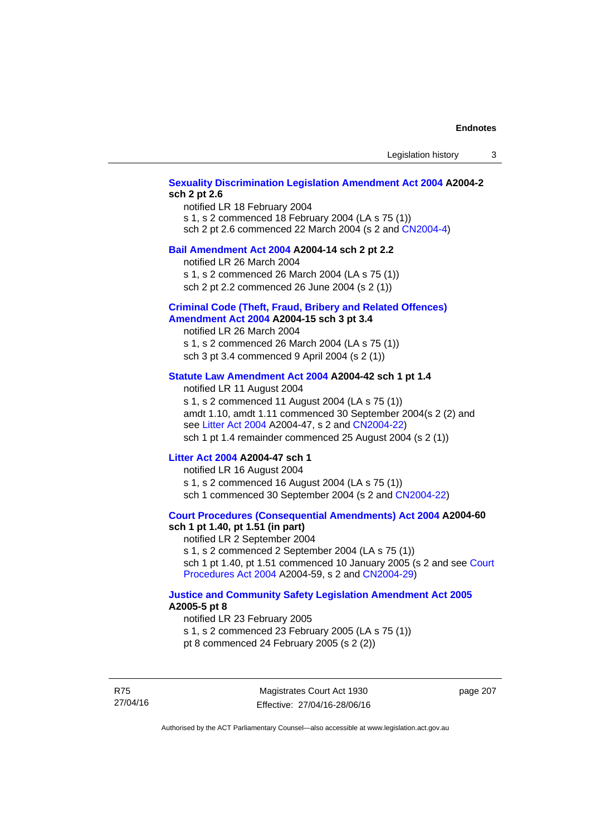# **[Sexuality Discrimination Legislation Amendment Act 2004](http://www.legislation.act.gov.au/a/2004-2) A2004-2 sch 2 pt 2.6**

notified LR 18 February 2004 s 1, s 2 commenced 18 February 2004 (LA s 75 (1)) sch 2 pt 2.6 commenced 22 March 2004 (s 2 and [CN2004-4\)](http://www.legislation.act.gov.au/cn/2004-4/default.asp)

### **[Bail Amendment Act 2004](http://www.legislation.act.gov.au/a/2004-14) A2004-14 sch 2 pt 2.2**

notified LR 26 March 2004

s 1, s 2 commenced 26 March 2004 (LA s 75 (1))

sch 2 pt 2.2 commenced 26 June 2004 (s 2 (1))

### **[Criminal Code \(Theft, Fraud, Bribery and Related Offences\)](http://www.legislation.act.gov.au/a/2004-15)  [Amendment Act 2004](http://www.legislation.act.gov.au/a/2004-15) A2004-15 sch 3 pt 3.4**

notified LR 26 March 2004 s 1, s 2 commenced 26 March 2004 (LA s 75 (1)) sch 3 pt 3.4 commenced 9 April 2004 (s 2 (1))

## **[Statute Law Amendment Act 2004](http://www.legislation.act.gov.au/a/2004-42) A2004-42 sch 1 pt 1.4**

notified LR 11 August 2004 s 1, s 2 commenced 11 August 2004 (LA s 75 (1)) amdt 1.10, amdt 1.11 commenced 30 September 2004(s 2 (2) and see [Litter Act 2004](http://www.legislation.act.gov.au/a/2004-47) A2004-47, s 2 and [CN2004-22\)](http://www.legislation.act.gov.au/cn/2004-22/default.asp) sch 1 pt 1.4 remainder commenced 25 August 2004 (s 2 (1))

## **[Litter Act 2004](http://www.legislation.act.gov.au/a/2004-47) A2004-47 sch 1**

notified LR 16 August 2004 s 1, s 2 commenced 16 August 2004 (LA s 75 (1)) sch 1 commenced 30 September 2004 (s 2 and [CN2004-22\)](http://www.legislation.act.gov.au/cn/2004-22/default.asp)

#### **[Court Procedures \(Consequential Amendments\) Act 2004](http://www.legislation.act.gov.au/a/2004-60) A2004-60 sch 1 pt 1.40, pt 1.51 (in part)**

notified LR 2 September 2004 s 1, s 2 commenced 2 September 2004 (LA s 75 (1)) sch 1 pt 1.40, pt 1.51 commenced 10 January 2005 (s 2 and see [Court](http://www.legislation.act.gov.au/a/2004-59)  [Procedures Act 2004](http://www.legislation.act.gov.au/a/2004-59) A2004-59, s 2 and [CN2004-29\)](http://www.legislation.act.gov.au/cn/2004-29/default.asp)

### **[Justice and Community Safety Legislation Amendment Act 2005](http://www.legislation.act.gov.au/a/2005-5) A2005-5 pt 8**

notified LR 23 February 2005 s 1, s 2 commenced 23 February 2005 (LA s 75 (1)) pt 8 commenced 24 February 2005 (s 2 (2))

R75 27/04/16

Magistrates Court Act 1930 Effective: 27/04/16-28/06/16 page 207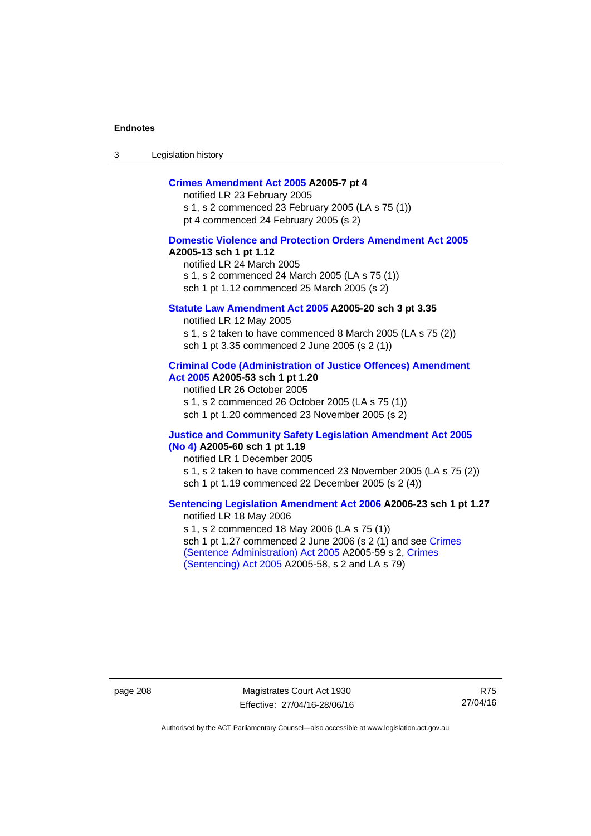3 Legislation history

## **[Crimes Amendment Act 2005](http://www.legislation.act.gov.au/a/2005-7) A2005-7 pt 4**

notified LR 23 February 2005 s 1, s 2 commenced 23 February 2005 (LA s 75 (1)) pt 4 commenced 24 February 2005 (s 2)

## **[Domestic Violence and Protection Orders Amendment Act 2005](http://www.legislation.act.gov.au/a/2005-13) A2005-13 sch 1 pt 1.12**

notified LR 24 March 2005 s 1, s 2 commenced 24 March 2005 (LA s 75 (1)) sch 1 pt 1.12 commenced 25 March 2005 (s 2)

## **[Statute Law Amendment Act 2005](http://www.legislation.act.gov.au/a/2005-20) A2005-20 sch 3 pt 3.35**

notified LR 12 May 2005 s 1, s 2 taken to have commenced 8 March 2005 (LA s 75 (2)) sch 1 pt 3.35 commenced 2 June 2005 (s 2 (1))

#### **[Criminal Code \(Administration of Justice Offences\) Amendment](http://www.legislation.act.gov.au/a/2005-53)  [Act 2005](http://www.legislation.act.gov.au/a/2005-53) A2005-53 sch 1 pt 1.20**

notified LR 26 October 2005 s 1, s 2 commenced 26 October 2005 (LA s 75 (1)) sch 1 pt 1.20 commenced 23 November 2005 (s 2)

#### **[Justice and Community Safety Legislation Amendment Act 2005](http://www.legislation.act.gov.au/a/2005-60)  [\(No 4\)](http://www.legislation.act.gov.au/a/2005-60) A2005-60 sch 1 pt 1.19**

notified LR 1 December 2005 s 1, s 2 taken to have commenced 23 November 2005 (LA s 75 (2)) sch 1 pt 1.19 commenced 22 December 2005 (s 2 (4))

## **[Sentencing Legislation Amendment Act 2006](http://www.legislation.act.gov.au/a/2006-23) A2006-23 sch 1 pt 1.27**  notified LR 18 May 2006

s 1, s 2 commenced 18 May 2006 (LA s 75 (1)) sch 1 pt 1.27 commenced 2 June 2006 (s 2 (1) and see [Crimes](http://www.legislation.act.gov.au/a/2005-59)  [\(Sentence Administration\) Act 2005](http://www.legislation.act.gov.au/a/2005-59) A2005-59 s 2, [Crimes](http://www.legislation.act.gov.au/a/2005-58)  [\(Sentencing\) Act 2005](http://www.legislation.act.gov.au/a/2005-58) A2005-58, s 2 and LA s 79)

page 208 Magistrates Court Act 1930 Effective: 27/04/16-28/06/16

R75 27/04/16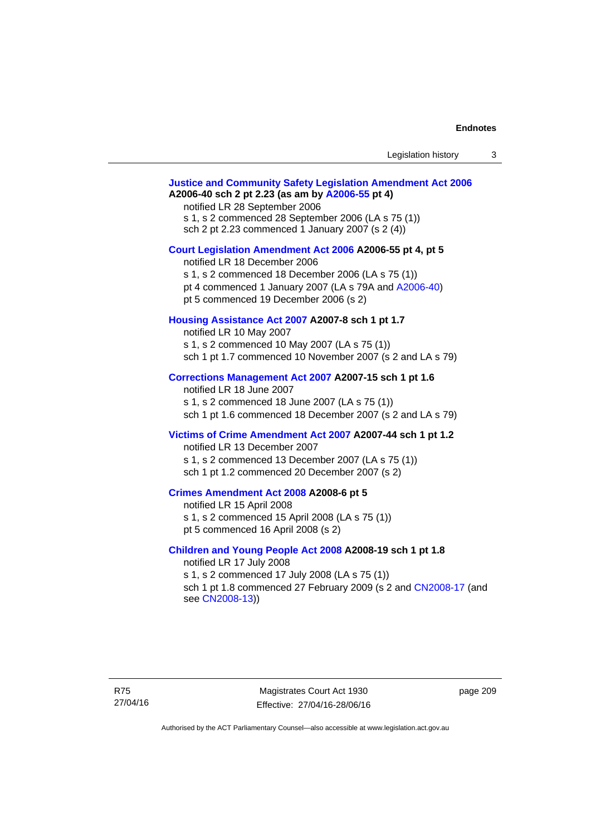| Legislation history |  |
|---------------------|--|
|---------------------|--|

# **[Justice and Community Safety Legislation Amendment Act 2006](http://www.legislation.act.gov.au/a/2006-40) A2006-40 sch 2 pt 2.23 (as am by [A2006-55](http://www.legislation.act.gov.au/a/2006-55) pt 4)**  notified LR 28 September 2006 s 1, s 2 commenced 28 September 2006 (LA s 75 (1)) sch 2 pt 2.23 commenced 1 January 2007 (s 2 (4)) **[Court Legislation Amendment Act 2006](http://www.legislation.act.gov.au/a/2006-55) A2006-55 pt 4, pt 5**  notified LR 18 December 2006 s 1, s 2 commenced 18 December 2006 (LA s 75 (1)) pt 4 commenced 1 January 2007 (LA s 79A and [A2006-40](http://www.legislation.act.gov.au/a/2006-40)) pt 5 commenced 19 December 2006 (s 2) **[Housing Assistance Act 2007](http://www.legislation.act.gov.au/a/2007-8) A2007-8 sch 1 pt 1.7**  notified LR 10 May 2007 s 1, s 2 commenced 10 May 2007 (LA s 75 (1)) sch 1 pt 1.7 commenced 10 November 2007 (s 2 and LA s 79) **[Corrections Management Act 2007](http://www.legislation.act.gov.au/a/2007-15) A2007-15 sch 1 pt 1.6**  notified LR 18 June 2007 s 1, s 2 commenced 18 June 2007 (LA s 75 (1)) sch 1 pt 1.6 commenced 18 December 2007 (s 2 and LA s 79) **[Victims of Crime Amendment Act 2007](http://www.legislation.act.gov.au/a/2007-44) A2007-44 sch 1 pt 1.2**  notified LR 13 December 2007 s 1, s 2 commenced 13 December 2007 (LA s 75 (1)) sch 1 pt 1.2 commenced 20 December 2007 (s 2) **[Crimes Amendment Act 2008](http://www.legislation.act.gov.au/a/2008-6) A2008-6 pt 5**  notified LR 15 April 2008 s 1, s 2 commenced 15 April 2008 (LA s 75 (1)) pt 5 commenced 16 April 2008 (s 2) **[Children and Young People Act 2008](http://www.legislation.act.gov.au/a/2008-19) A2008-19 sch 1 pt 1.8**  notified LR 17 July 2008 s 1, s 2 commenced 17 July 2008 (LA s 75 (1)) sch 1 pt 1.8 commenced 27 February 2009 (s 2 and [CN2008-17](http://www.legislation.act.gov.au/cn/2008-17/default.asp) (and see [CN2008-13](http://www.legislation.act.gov.au/cn/2008-13/default.asp)))

page 209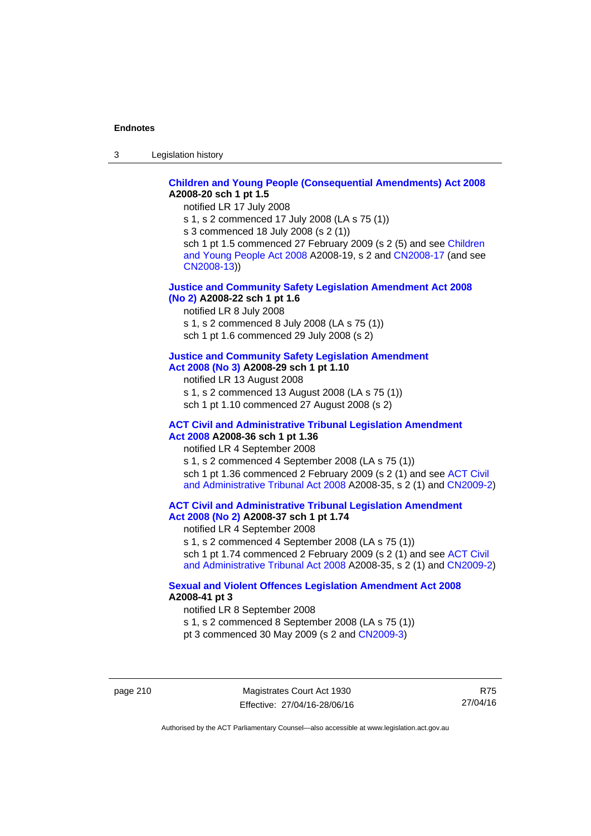3 Legislation history

# **[Children and Young People \(Consequential Amendments\) Act 2008](http://www.legislation.act.gov.au/a/2008-20) A2008-20 sch 1 pt 1.5**

notified LR 17 July 2008

s 1, s 2 commenced 17 July 2008 (LA s 75 (1))

s 3 commenced 18 July 2008 (s 2 (1))

sch 1 pt 1.5 commenced 27 February 2009 (s 2 (5) and see Children [and Young People Act 2008](http://www.legislation.act.gov.au/a/2008-19) A2008-19, s 2 and [CN2008-17 \(](http://www.legislation.act.gov.au/cn/2008-17/default.asp)and see [CN2008-13](http://www.legislation.act.gov.au/cn/2008-13/default.asp)))

## **[Justice and Community Safety Legislation Amendment Act 2008](http://www.legislation.act.gov.au/a/2008-22)  [\(No 2\)](http://www.legislation.act.gov.au/a/2008-22) A2008-22 sch 1 pt 1.6**

notified LR 8 July 2008

s 1, s 2 commenced 8 July 2008 (LA s 75 (1))

sch 1 pt 1.6 commenced 29 July 2008 (s 2)

# **[Justice and Community Safety Legislation Amendment](http://www.legislation.act.gov.au/a/2008-29)**

**[Act 2008 \(No 3\)](http://www.legislation.act.gov.au/a/2008-29) A2008-29 sch 1 pt 1.10** 

notified LR 13 August 2008 s 1, s 2 commenced 13 August 2008 (LA s 75 (1))

sch 1 pt 1.10 commenced 27 August 2008 (s 2)

### **[ACT Civil and Administrative Tribunal Legislation Amendment](http://www.legislation.act.gov.au/a/2008-36)  [Act 2008](http://www.legislation.act.gov.au/a/2008-36) A2008-36 sch 1 pt 1.36**

notified LR 4 September 2008

s 1, s 2 commenced 4 September 2008 (LA s 75 (1)) sch 1 pt 1.36 commenced 2 February 2009 (s 2 (1) and see [ACT Civil](http://www.legislation.act.gov.au/a/2008-35)  [and Administrative Tribunal Act 2008](http://www.legislation.act.gov.au/a/2008-35) A2008-35, s 2 (1) and [CN2009-2](http://www.legislation.act.gov.au/cn/2009-2/default.asp))

**[ACT Civil and Administrative Tribunal Legislation Amendment](http://www.legislation.act.gov.au/a/2008-37)  [Act 2008 \(No 2\)](http://www.legislation.act.gov.au/a/2008-37) A2008-37 sch 1 pt 1.74** 

notified LR 4 September 2008

s 1, s 2 commenced 4 September 2008 (LA s 75 (1)) sch 1 pt 1.74 commenced 2 February 2009 (s 2 (1) and see ACT Civil

[and Administrative Tribunal Act 2008](http://www.legislation.act.gov.au/a/2008-35) A2008-35, s 2 (1) and [CN2009-2](http://www.legislation.act.gov.au/cn/2009-2/default.asp))

# **[Sexual and Violent Offences Legislation Amendment Act 2008](http://www.legislation.act.gov.au/a/2008-41) A2008-41 pt 3**

notified LR 8 September 2008

s 1, s 2 commenced 8 September 2008 (LA s 75 (1))

pt 3 commenced 30 May 2009 (s 2 and [CN2009-3\)](http://www.legislation.act.gov.au/cn/2009-3/default.asp)

page 210 Magistrates Court Act 1930 Effective: 27/04/16-28/06/16

R75 27/04/16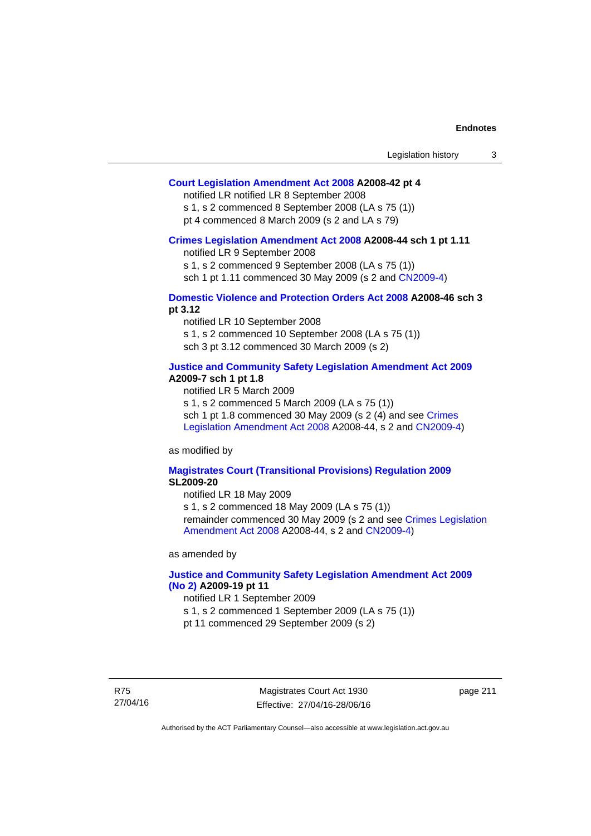## **[Court Legislation Amendment Act 2008](http://www.legislation.act.gov.au/a/2008-42) A2008-42 pt 4**

notified LR notified LR 8 September 2008

s 1, s 2 commenced 8 September 2008 (LA s 75 (1)) pt 4 commenced 8 March 2009 (s 2 and LA s 79)

#### **[Crimes Legislation Amendment Act 2008](http://www.legislation.act.gov.au/a/2008-44) A2008-44 sch 1 pt 1.11**

notified LR 9 September 2008

s 1, s 2 commenced 9 September 2008 (LA s 75 (1))

sch 1 pt 1.11 commenced 30 May 2009 (s 2 and [CN2009-4](http://www.legislation.act.gov.au/cn/2009-4/default.asp))

## **[Domestic Violence and Protection Orders Act 2008](http://www.legislation.act.gov.au/a/2008-46) A2008-46 sch 3 pt 3.12**

notified LR 10 September 2008 s 1, s 2 commenced 10 September 2008 (LA s 75 (1)) sch 3 pt 3.12 commenced 30 March 2009 (s 2)

## **[Justice and Community Safety Legislation Amendment Act 2009](http://www.legislation.act.gov.au/a/2009-7) A2009-7 sch 1 pt 1.8**

notified LR 5 March 2009

s 1, s 2 commenced 5 March 2009 (LA s 75 (1))

sch 1 pt 1.8 commenced 30 May 2009 (s 2 (4) and see Crimes [Legislation Amendment Act 2008](http://www.legislation.act.gov.au/a/2008-44) A2008-44, s 2 and [CN2009-4\)](http://www.legislation.act.gov.au/cn/2009-4/default.asp)

as modified by

### **[Magistrates Court \(Transitional Provisions\) Regulation 2009](http://www.legislation.act.gov.au/sl/2009-20) SL2009-20**

notified LR 18 May 2009

s 1, s 2 commenced 18 May 2009 (LA s 75 (1)) remainder commenced 30 May 2009 (s 2 and see [Crimes Legislation](http://www.legislation.act.gov.au/a/2008-44)  [Amendment Act 2008](http://www.legislation.act.gov.au/a/2008-44) A2008-44, s 2 and [CN2009-4](http://www.legislation.act.gov.au/cn/2009-4/default.asp))

as amended by

## **[Justice and Community Safety Legislation Amendment Act 2009](http://www.legislation.act.gov.au/a/2009-19)  [\(No 2\)](http://www.legislation.act.gov.au/a/2009-19) A2009-19 pt 11**

notified LR 1 September 2009

s 1, s 2 commenced 1 September 2009 (LA s 75 (1))

pt 11 commenced 29 September 2009 (s 2)

R75 27/04/16

Magistrates Court Act 1930 Effective: 27/04/16-28/06/16 page 211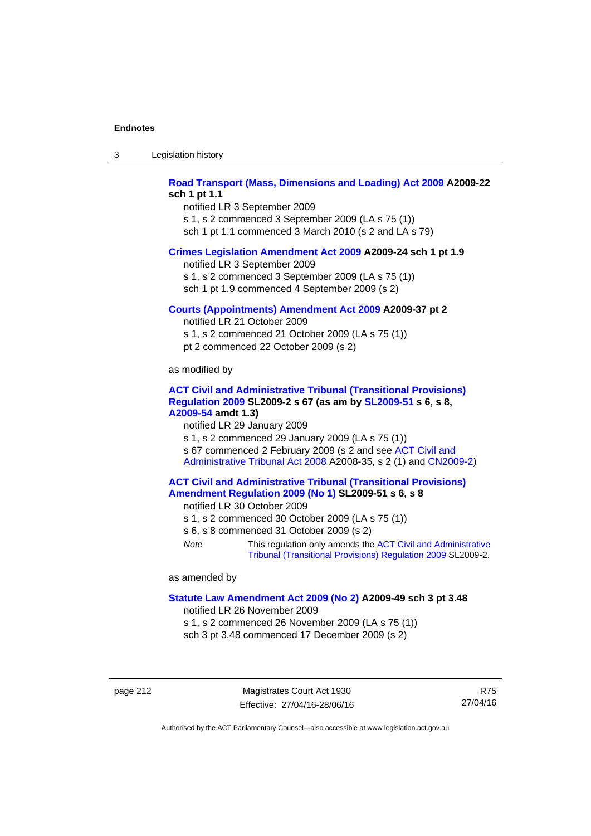| -3 | Legislation history |  |
|----|---------------------|--|
|----|---------------------|--|

# **[Road Transport \(Mass, Dimensions and Loading\) Act 2009](http://www.legislation.act.gov.au/a/2009-22) A2009-22 sch 1 pt 1.1**

notified LR 3 September 2009 s 1, s 2 commenced 3 September 2009 (LA s 75 (1)) sch 1 pt 1.1 commenced 3 March 2010 (s 2 and LA s 79)

#### **[Crimes Legislation Amendment Act 2009](http://www.legislation.act.gov.au/a/2009-24) A2009-24 sch 1 pt 1.9**

notified LR 3 September 2009

s 1, s 2 commenced 3 September 2009 (LA s 75 (1))

sch 1 pt 1.9 commenced 4 September 2009 (s 2)

### **[Courts \(Appointments\) Amendment Act 2009](http://www.legislation.act.gov.au/a/2009-37) A2009-37 pt 2**

notified LR 21 October 2009 s 1, s 2 commenced 21 October 2009 (LA s 75 (1)) pt 2 commenced 22 October 2009 (s 2)

as modified by

### **[ACT Civil and Administrative Tribunal \(Transitional Provisions\)](http://www.legislation.act.gov.au/sl/2009-2)  [Regulation 2009](http://www.legislation.act.gov.au/sl/2009-2) SL2009-2 s 67 (as am by [SL2009-51](http://www.legislation.act.gov.au/sl/2009-51) s 6, s 8, [A2009-54](http://www.legislation.act.gov.au/a/2009-54) amdt 1.3)**

notified LR 29 January 2009

s 1, s 2 commenced 29 January 2009 (LA s 75 (1)) s 67 commenced 2 February 2009 (s 2 and see [ACT Civil and](http://www.legislation.act.gov.au/a/2008-35)  [Administrative Tribunal Act 2008](http://www.legislation.act.gov.au/a/2008-35) A2008-35, s 2 (1) and [CN2009-2\)](http://www.legislation.act.gov.au/cn/2009-2/default.asp)

## **[ACT Civil and Administrative Tribunal \(Transitional Provisions\)](http://www.legislation.act.gov.au/sl/2009-51)  [Amendment Regulation 2009 \(No 1\)](http://www.legislation.act.gov.au/sl/2009-51) SL2009-51 s 6, s 8**

notified LR 30 October 2009

- s 1, s 2 commenced 30 October 2009 (LA s 75 (1))
- s 6, s 8 commenced 31 October 2009 (s 2)
- *Note* This regulation only amends the [ACT Civil and Administrative](http://www.legislation.act.gov.au/sl/2009-2)  [Tribunal \(Transitional Provisions\) Regulation 2009](http://www.legislation.act.gov.au/sl/2009-2) SL2009-2.

as amended by

#### **[Statute Law Amendment Act 2009 \(No 2\)](http://www.legislation.act.gov.au/a/2009-49) A2009-49 sch 3 pt 3.48**

notified LR 26 November 2009

s 1, s 2 commenced 26 November 2009 (LA s 75 (1)) sch 3 pt 3.48 commenced 17 December 2009 (s 2)

page 212 Magistrates Court Act 1930 Effective: 27/04/16-28/06/16

R75 27/04/16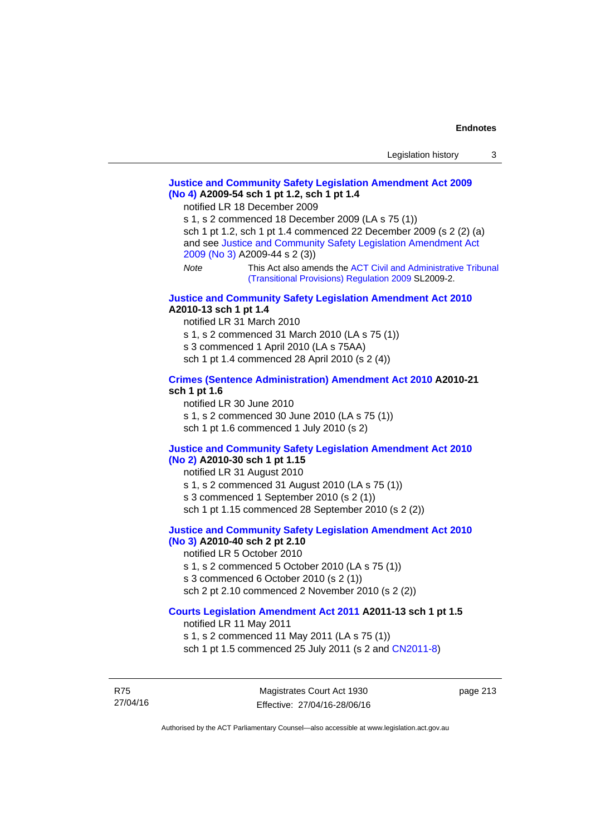# **[Justice and Community Safety Legislation Amendment Act 2009](http://www.legislation.act.gov.au/a/2009-54)  [\(No 4\)](http://www.legislation.act.gov.au/a/2009-54) A2009-54 sch 1 pt 1.2, sch 1 pt 1.4**

notified LR 18 December 2009

s 1, s 2 commenced 18 December 2009 (LA s 75 (1)) sch 1 pt 1.2, sch 1 pt 1.4 commenced 22 December 2009 (s 2 (2) (a) and see [Justice and Community Safety Legislation Amendment Act](http://www.legislation.act.gov.au/a/2009-44)  [2009 \(No 3\)](http://www.legislation.act.gov.au/a/2009-44) A2009-44 s 2 (3)) *Note* This Act also amends the [ACT Civil and Administrative Tribunal](http://www.legislation.act.gov.au/sl/2009-2) 

[\(Transitional Provisions\) Regulation 2009](http://www.legislation.act.gov.au/sl/2009-2) SL2009-2.

#### **[Justice and Community Safety Legislation Amendment Act 2010](http://www.legislation.act.gov.au/a/2010-13) A2010-13 sch 1 pt 1.4**

notified LR 31 March 2010 s 1, s 2 commenced 31 March 2010 (LA s 75 (1)) s 3 commenced 1 April 2010 (LA s 75AA) sch 1 pt 1.4 commenced 28 April 2010 (s 2 (4))

#### **[Crimes \(Sentence Administration\) Amendment Act 2010](http://www.legislation.act.gov.au/a/2010-21) A2010-21 sch 1 pt 1.6**

notified LR 30 June 2010 s 1, s 2 commenced 30 June 2010 (LA s 75 (1)) sch 1 pt 1.6 commenced 1 July 2010 (s 2)

#### **[Justice and Community Safety Legislation Amendment Act 2010](http://www.legislation.act.gov.au/a/2010-30)**

# **[\(No 2\)](http://www.legislation.act.gov.au/a/2010-30) A2010-30 sch 1 pt 1.15**

notified LR 31 August 2010

s 1, s 2 commenced 31 August 2010 (LA s 75 (1))

s 3 commenced 1 September 2010 (s 2 (1))

sch 1 pt 1.15 commenced 28 September 2010 (s 2 (2))

# **[Justice and Community Safety Legislation Amendment Act 2010](http://www.legislation.act.gov.au/a/2010-40)**

# **[\(No 3\)](http://www.legislation.act.gov.au/a/2010-40) A2010-40 sch 2 pt 2.10**

notified LR 5 October 2010

- s 1, s 2 commenced 5 October 2010 (LA s 75 (1))
- s 3 commenced 6 October 2010 (s 2 (1))

sch 2 pt 2.10 commenced 2 November 2010 (s 2 (2))

# **[Courts Legislation Amendment Act 2011](http://www.legislation.act.gov.au/a/2011-13) A2011-13 sch 1 pt 1.5**

notified LR 11 May 2011 s 1, s 2 commenced 11 May 2011 (LA s 75 (1)) sch 1 pt 1.5 commenced 25 July 2011 (s 2 and [CN2011-8\)](http://www.legislation.act.gov.au/cn/2011-8/default.asp)

R75 27/04/16

Magistrates Court Act 1930 Effective: 27/04/16-28/06/16 page 213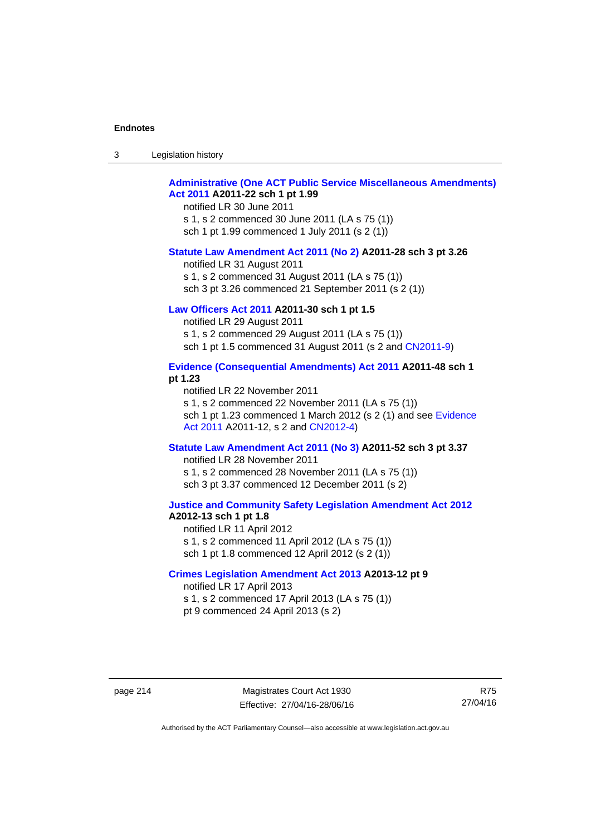| -3 | Legislation history |  |
|----|---------------------|--|
|----|---------------------|--|

# **[Administrative \(One ACT Public Service Miscellaneous Amendments\)](http://www.legislation.act.gov.au/a/2011-22)  [Act 2011](http://www.legislation.act.gov.au/a/2011-22) A2011-22 sch 1 pt 1.99**

notified LR 30 June 2011 s 1, s 2 commenced 30 June 2011 (LA s 75 (1)) sch 1 pt 1.99 commenced 1 July 2011 (s 2 (1))

#### **[Statute Law Amendment Act 2011 \(No 2\)](http://www.legislation.act.gov.au/a/2011-28) A2011-28 sch 3 pt 3.26**

notified LR 31 August 2011 s 1, s 2 commenced 31 August 2011 (LA s 75 (1)) sch 3 pt 3.26 commenced 21 September 2011 (s 2 (1))

# **[Law Officers Act 2011](http://www.legislation.act.gov.au/a/2011-30) A2011-30 sch 1 pt 1.5**

notified LR 29 August 2011 s 1, s 2 commenced 29 August 2011 (LA s 75 (1)) sch 1 pt 1.5 commenced 31 August 2011 (s 2 and [CN2011-9](http://www.legislation.act.gov.au/cn/2011-9/default.asp))

## **[Evidence \(Consequential Amendments\) Act 2011](http://www.legislation.act.gov.au/a/2011-48) A2011-48 sch 1 pt 1.23**

notified LR 22 November 2011 s 1, s 2 commenced 22 November 2011 (LA s 75 (1)) sch 1 pt 1.23 commenced 1 March 2012 (s 2 (1) and see [Evidence](http://www.legislation.act.gov.au/a/2011-12)  [Act 2011](http://www.legislation.act.gov.au/a/2011-12) A2011-12, s 2 and [CN2012-4](http://www.legislation.act.gov.au/cn/2012-4/default.asp))

#### **[Statute Law Amendment Act 2011 \(No 3\)](http://www.legislation.act.gov.au/a/2011-52) A2011-52 sch 3 pt 3.37**

notified LR 28 November 2011 s 1, s 2 commenced 28 November 2011 (LA s 75 (1)) sch 3 pt 3.37 commenced 12 December 2011 (s 2)

#### **[Justice and Community Safety Legislation Amendment Act 2012](http://www.legislation.act.gov.au/a/2012-13) A2012-13 sch 1 pt 1.8**

notified LR 11 April 2012 s 1, s 2 commenced 11 April 2012 (LA s 75 (1)) sch 1 pt 1.8 commenced 12 April 2012 (s 2 (1))

## **[Crimes Legislation Amendment Act 2013](http://www.legislation.act.gov.au/a/2013-12) A2013-12 pt 9**  notified LR 17 April 2013

s 1, s 2 commenced 17 April 2013 (LA s 75 (1)) pt 9 commenced 24 April 2013 (s 2)

R75 27/04/16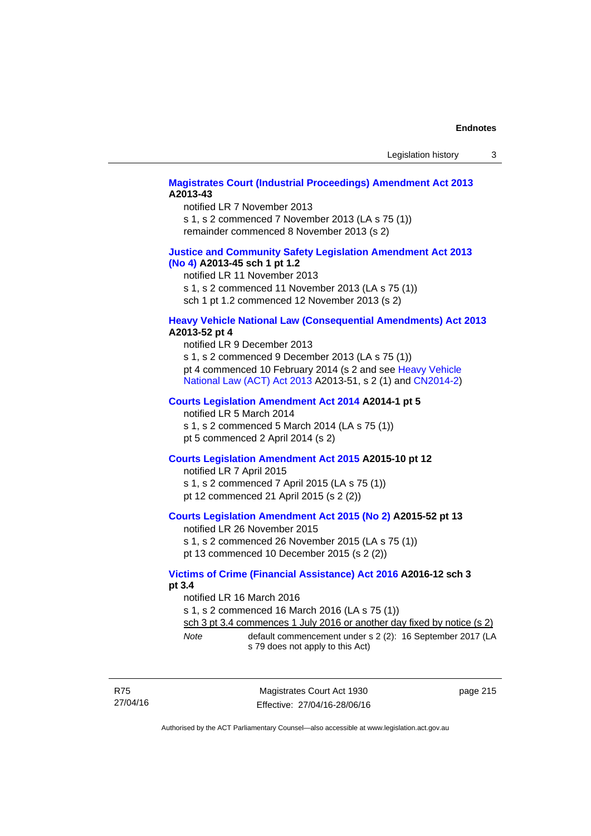# **[Magistrates Court \(Industrial Proceedings\) Amendment Act 2013](http://www.legislation.act.gov.au/a/2013-43) A2013-43**

notified LR 7 November 2013 s 1, s 2 commenced 7 November 2013 (LA s 75 (1)) remainder commenced 8 November 2013 (s 2)

## **[Justice and Community Safety Legislation Amendment Act 2013](http://www.legislation.act.gov.au/a/2013-45)  [\(No](http://www.legislation.act.gov.au/a/2013-45) 4) A2013-45 sch 1 pt 1.2**

notified LR 11 November 2013 s 1, s 2 commenced 11 November 2013 (LA s 75 (1)) sch 1 pt 1.2 commenced 12 November 2013 (s 2)

## **[Heavy Vehicle National Law \(Consequential Amendments\) Act 2013](http://www.legislation.act.gov.au/a/2013-52) A2013-52 pt 4**

notified LR 9 December 2013 s 1, s 2 commenced 9 December 2013 (LA s 75 (1)) pt 4 commenced 10 February 2014 (s 2 and see [Heavy Vehicle](http://www.legislation.act.gov.au/a/2013-51/default.asp)  [National Law \(ACT\) Act 2013](http://www.legislation.act.gov.au/a/2013-51/default.asp) A2013-51, s 2 (1) and [CN2014-2](http://www.legislation.act.gov.au/cn/2014-2/default.asp))

# **[Courts Legislation Amendment Act 2014](http://www.legislation.act.gov.au/a/2014-1) A2014-1 pt 5**

notified LR 5 March 2014

s 1, s 2 commenced 5 March 2014 (LA s 75 (1)) pt 5 commenced 2 April 2014 (s 2)

## **[Courts Legislation Amendment Act 2015](http://www.legislation.act.gov.au/a/2015-10) A2015-10 pt 12**

notified LR 7 April 2015 s 1, s 2 commenced 7 April 2015 (LA s 75 (1)) pt 12 commenced 21 April 2015 (s 2 (2))

## **[Courts Legislation Amendment Act 2015 \(No 2\)](http://www.legislation.act.gov.au/a/2015-52/default.asp) A2015-52 pt 13**

notified LR 26 November 2015 s 1, s 2 commenced 26 November 2015 (LA s 75 (1)) pt 13 commenced 10 December 2015 (s 2 (2))

## **[Victims of Crime \(Financial Assistance\) Act 2016](http://www.legislation.act.gov.au/a/2016-12/default.asp) A2016-12 sch 3 pt 3.4**

notified LR 16 March 2016 s 1, s 2 commenced 16 March 2016 (LA s 75 (1)) sch 3 pt 3.4 commences 1 July 2016 or another day fixed by notice (s 2) *Note* default commencement under s 2 (2): 16 September 2017 (LA s 79 does not apply to this Act)

| R75      |
|----------|
| 27/04/16 |

Magistrates Court Act 1930 Effective: 27/04/16-28/06/16 page 215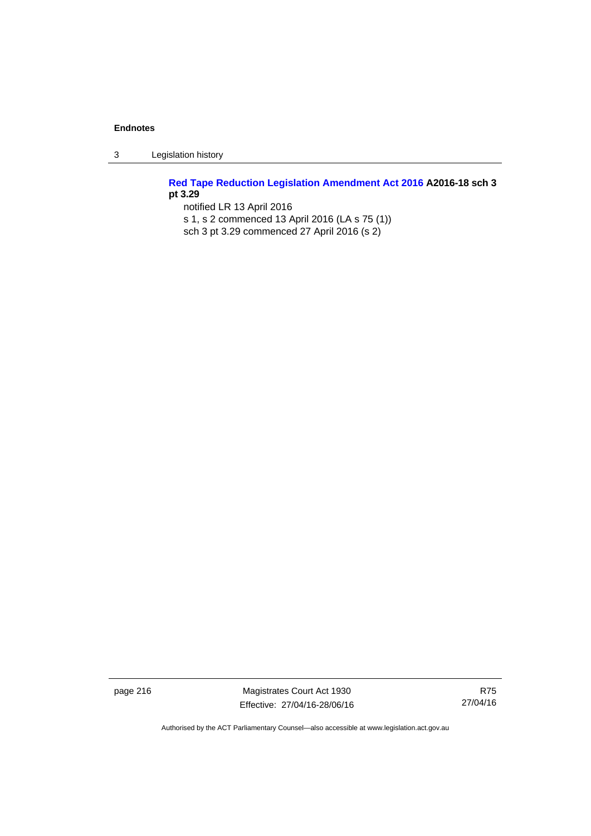3 Legislation history

**[Red Tape Reduction Legislation Amendment Act 2016](http://www.legislation.act.gov.au/a/2016-18) A2016-18 sch 3 pt 3.29** 

notified LR 13 April 2016 s 1, s 2 commenced 13 April 2016 (LA s 75 (1)) sch 3 pt 3.29 commenced 27 April 2016 (s 2)

page 216 Magistrates Court Act 1930 Effective: 27/04/16-28/06/16

R75 27/04/16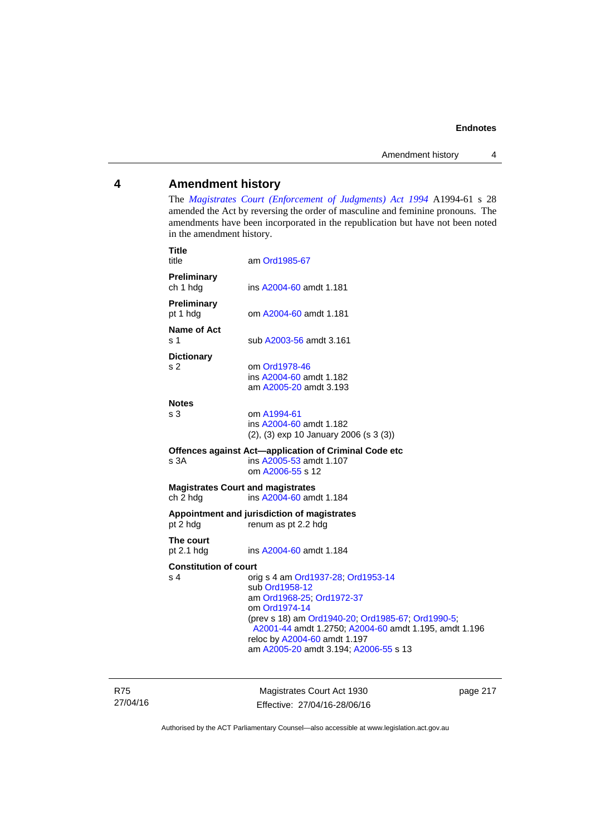# **4 Amendment history**

The *[Magistrates Court \(Enforcement of Judgments\) Act 1994](http://www.legislation.act.gov.au/a/1994-61/default.asp)* A1994-61 s 28 amended the Act by reversing the order of masculine and feminine pronouns. The amendments have been incorporated in the republication but have not been noted in the amendment history.

| <b>Title</b><br>title                                | am Ord1985-67                                                                                                                                                                                                                                                                             |
|------------------------------------------------------|-------------------------------------------------------------------------------------------------------------------------------------------------------------------------------------------------------------------------------------------------------------------------------------------|
| Preliminary<br>ch 1 hdg                              | ins A2004-60 amdt 1.181                                                                                                                                                                                                                                                                   |
| <b>Preliminary</b><br>pt 1 hdg                       | om A2004-60 amdt 1.181                                                                                                                                                                                                                                                                    |
| <b>Name of Act</b><br>s 1                            | sub A2003-56 amdt 3.161                                                                                                                                                                                                                                                                   |
| <b>Dictionary</b><br>s <sub>2</sub>                  | om Ord1978-46<br>ins A2004-60 amdt 1.182<br>am A2005-20 amdt 3.193                                                                                                                                                                                                                        |
| <b>Notes</b><br>s <sub>3</sub>                       | om A1994-61<br>ins A2004-60 amdt 1.182<br>$(2)$ , $(3)$ exp 10 January 2006 (s 3 $(3)$ )                                                                                                                                                                                                  |
| s 3A                                                 | Offences against Act-application of Criminal Code etc<br>ins A2005-53 amdt 1.107<br>om A2006-55 s 12                                                                                                                                                                                      |
| <b>Magistrates Court and magistrates</b><br>ch 2 hdg | ins A2004-60 amdt 1.184                                                                                                                                                                                                                                                                   |
| pt 2 hdg                                             | Appointment and jurisdiction of magistrates<br>renum as pt 2.2 hdg                                                                                                                                                                                                                        |
| The court<br>pt 2.1 hdg                              | ins A2004-60 amdt 1.184                                                                                                                                                                                                                                                                   |
| <b>Constitution of court</b><br>s <sub>4</sub>       | orig s 4 am Ord1937-28, Ord1953-14<br>sub Ord1958-12<br>am Ord1968-25; Ord1972-37<br>om Ord1974-14<br>(prev s 18) am Ord1940-20; Ord1985-67; Ord1990-5;<br>A2001-44 amdt 1.2750; A2004-60 amdt 1.195, amdt 1.196<br>reloc by A2004-60 amdt 1.197<br>am A2005-20 amdt 3.194; A2006-55 s 13 |

R75 27/04/16

Magistrates Court Act 1930 Effective: 27/04/16-28/06/16 page 217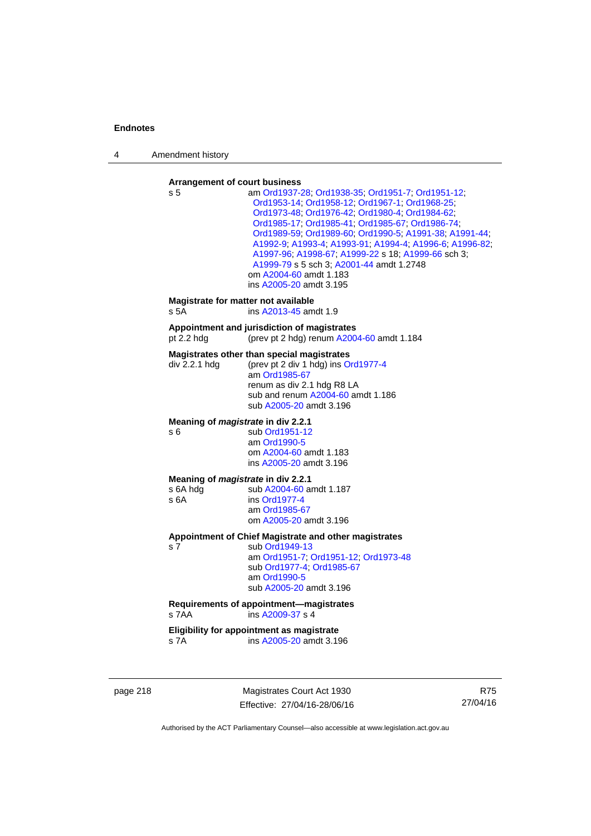4 Amendment history

#### **Arrangement of court business**

| s 5                                                    | am Ord1937-28; Ord1938-35; Ord1951-7; Ord1951-12;<br>Ord1953-14; Ord1958-12; Ord1967-1; Ord1968-25;<br>Ord1973-48; Ord1976-42; Ord1980-4; Ord1984-62;<br>Ord1985-17, Ord1985-41, Ord1985-67, Ord1986-74,<br>Ord1989-59, Ord1989-60, Ord1990-5, A1991-38, A1991-44,<br>A1992-9; A1993-4; A1993-91; A1994-4; A1996-6; A1996-82;<br>A1997-96, A1998-67, A1999-22 s 18; A1999-66 sch 3;<br>A1999-79 s 5 sch 3; A2001-44 amdt 1.2748<br>om A2004-60 amdt 1.183<br>ins A2005-20 amdt 3.195 |
|--------------------------------------------------------|--------------------------------------------------------------------------------------------------------------------------------------------------------------------------------------------------------------------------------------------------------------------------------------------------------------------------------------------------------------------------------------------------------------------------------------------------------------------------------------|
| Magistrate for matter not available<br>s 5A            | ins A2013-45 amdt 1.9                                                                                                                                                                                                                                                                                                                                                                                                                                                                |
| pt 2.2 h dq                                            | Appointment and jurisdiction of magistrates<br>(prev pt 2 hdg) renum A2004-60 amdt 1.184                                                                                                                                                                                                                                                                                                                                                                                             |
| div 2.2.1 hdg                                          | Magistrates other than special magistrates<br>(prev pt 2 div 1 hdg) ins Ord1977-4<br>am Ord1985-67<br>renum as div 2.1 hdg R8 LA<br>sub and renum A2004-60 amdt 1.186<br>sub A2005-20 amdt 3.196                                                                                                                                                                                                                                                                                     |
| Meaning of <i>magistrate</i> in div 2.2.1<br>s 6       | sub Ord1951-12<br>am Ord1990-5<br>om A2004-60 amdt 1.183<br>ins A2005-20 amdt 3.196                                                                                                                                                                                                                                                                                                                                                                                                  |
| Meaning of magistrate in div 2.2.1<br>s 6A hdg<br>s 6A | sub A2004-60 amdt 1.187<br>ins Ord1977-4<br>am Ord1985-67<br>om A2005-20 amdt 3.196                                                                                                                                                                                                                                                                                                                                                                                                  |
| s 7                                                    | Appointment of Chief Magistrate and other magistrates<br>sub Ord1949-13<br>am Ord1951-7; Ord1951-12; Ord1973-48<br>sub Ord1977-4, Ord1985-67<br>am Ord1990-5<br>sub A2005-20 amdt 3.196                                                                                                                                                                                                                                                                                              |
| s 7AA                                                  | Requirements of appointment-magistrates<br>ins A2009-37 s 4                                                                                                                                                                                                                                                                                                                                                                                                                          |
| s 7A                                                   | Eligibility for appointment as magistrate<br>ins A2005-20 amdt 3.196                                                                                                                                                                                                                                                                                                                                                                                                                 |

page 218 Magistrates Court Act 1930 Effective: 27/04/16-28/06/16

R75 27/04/16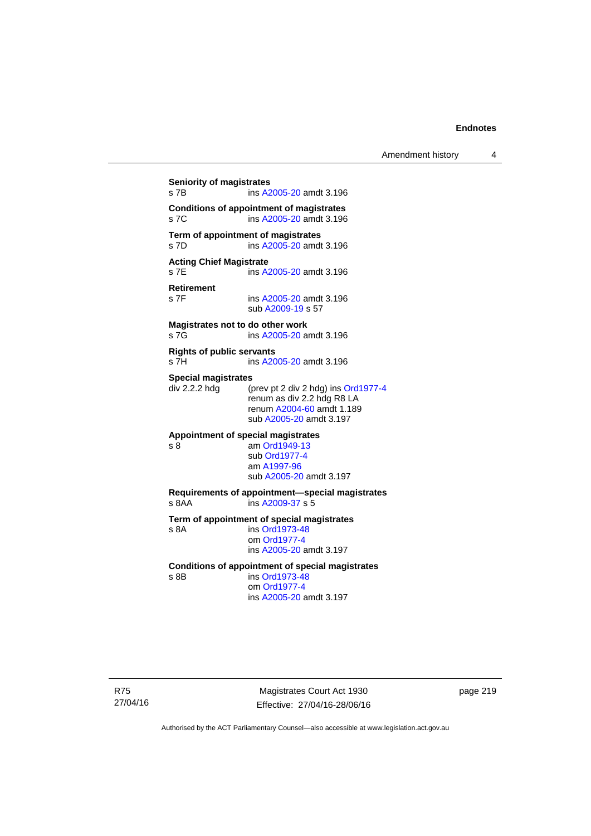# **Seniority of magistrates**  s 7B ins [A2005-20](http://www.legislation.act.gov.au/a/2005-20) amdt 3.196 **Conditions of appointment of magistrates**  s 7C ins [A2005-20](http://www.legislation.act.gov.au/a/2005-20) amdt 3.196 **Term of appointment of magistrates**  s 7D ins [A2005-20](http://www.legislation.act.gov.au/a/2005-20) amdt 3.196 **Acting Chief Magistrate**  s 7E ins [A2005-20](http://www.legislation.act.gov.au/a/2005-20) amdt 3.196 **Retirement**  ins [A2005-20](http://www.legislation.act.gov.au/a/2005-20) amdt 3.196 sub [A2009-19](http://www.legislation.act.gov.au/a/2009-19) s 57 **Magistrates not to do other work**  s 7G **ins [A2005-20](http://www.legislation.act.gov.au/a/2005-20)** amdt 3.196 **Rights of public servants**  s 7H ins [A2005-20](http://www.legislation.act.gov.au/a/2005-20) amdt 3.196 **Special magistrates**<br>div 2.2.2 hdg (p (prev pt 2 div 2 hdg) ins [Ord1977-4](http://www.legislation.act.gov.au/a/1977-4) renum as div 2.2 hdg R8 LA renum [A2004-60](http://www.legislation.act.gov.au/a/2004-60) amdt 1.189 sub [A2005-20](http://www.legislation.act.gov.au/a/2005-20) amdt 3.197 **Appointment of special magistrates**  s 8 am [Ord1949-13](http://www.legislation.act.gov.au/a/1949-13) sub [Ord1977-4](http://www.legislation.act.gov.au/a/1977-4) am [A1997-96](http://www.legislation.act.gov.au/a/1997-96) sub [A2005-20](http://www.legislation.act.gov.au/a/2005-20) amdt 3.197 **Requirements of appointment—special magistrates**  s 8AA ins [A2009-37](http://www.legislation.act.gov.au/a/2009-37) s 5 **Term of appointment of special magistrates**  s 8A ins [Ord1973-48](http://www.legislation.act.gov.au/a/1973-48) om [Ord1977-4](http://www.legislation.act.gov.au/a/1977-4) ins [A2005-20](http://www.legislation.act.gov.au/a/2005-20) amdt 3.197 **Conditions of appointment of special magistrates**  s 8B ins [Ord1973-48](http://www.legislation.act.gov.au/a/1973-48) om [Ord1977-4](http://www.legislation.act.gov.au/a/1977-4) ins [A2005-20](http://www.legislation.act.gov.au/a/2005-20) amdt 3.197

R75 27/04/16

Magistrates Court Act 1930 Effective: 27/04/16-28/06/16 page 219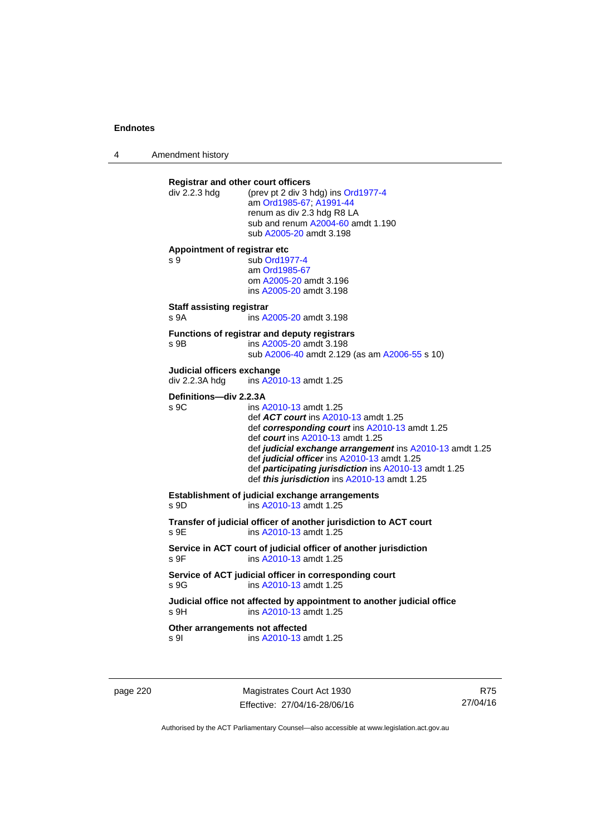4 Amendment history

| div 2.2.3 hdg                                | <b>Registrar and other court officers</b><br>(prev pt 2 div 3 hdg) ins Ord1977-4<br>am Ord1985-67; A1991-44<br>renum as div 2.3 hdg R8 LA<br>sub and renum A2004-60 amdt 1.190<br>sub A2005-20 amdt 3.198                                                                                                                                                                |
|----------------------------------------------|--------------------------------------------------------------------------------------------------------------------------------------------------------------------------------------------------------------------------------------------------------------------------------------------------------------------------------------------------------------------------|
| Appointment of registrar etc<br>s 9          | sub Ord1977-4<br>am Ord1985-67<br>om A2005-20 amdt 3.196<br>ins A2005-20 amdt 3.198                                                                                                                                                                                                                                                                                      |
| <b>Staff assisting registrar</b><br>s 9A     | ins A2005-20 amdt 3.198                                                                                                                                                                                                                                                                                                                                                  |
| s 9B                                         | Functions of registrar and deputy registrars<br>ins A2005-20 amdt 3.198<br>sub A2006-40 amdt 2.129 (as am A2006-55 s 10)                                                                                                                                                                                                                                                 |
| Judicial officers exchange<br>div 2.2.3A hdg | ins A2010-13 amdt 1.25                                                                                                                                                                                                                                                                                                                                                   |
| Definitions-div 2.2.3A<br>s 9C               | ins A2010-13 amdt 1.25<br>def ACT court ins A2010-13 amdt 1.25<br>def corresponding court ins A2010-13 amdt 1.25<br>def court ins A2010-13 amdt 1.25<br>def judicial exchange arrangement ins A2010-13 amdt 1.25<br>def judicial officer ins A2010-13 amdt 1.25<br>def participating jurisdiction ins A2010-13 amdt 1.25<br>def this jurisdiction ins A2010-13 amdt 1.25 |
| s 9D                                         | Establishment of judicial exchange arrangements<br>ins A2010-13 amdt 1.25                                                                                                                                                                                                                                                                                                |
| s 9E                                         | Transfer of judicial officer of another jurisdiction to ACT court<br>ins A2010-13 amdt 1.25                                                                                                                                                                                                                                                                              |
| s 9F                                         | Service in ACT court of judicial officer of another jurisdiction<br>ins A2010-13 amdt 1.25                                                                                                                                                                                                                                                                               |
| s.9G                                         | Service of ACT judicial officer in corresponding court<br>ins A2010-13 amdt 1.25                                                                                                                                                                                                                                                                                         |
| s 9H                                         | Judicial office not affected by appointment to another judicial office<br>ins A2010-13 amdt 1.25                                                                                                                                                                                                                                                                         |
|                                              | Other arrangements not affected                                                                                                                                                                                                                                                                                                                                          |

page 220 Magistrates Court Act 1930 Effective: 27/04/16-28/06/16

R75 27/04/16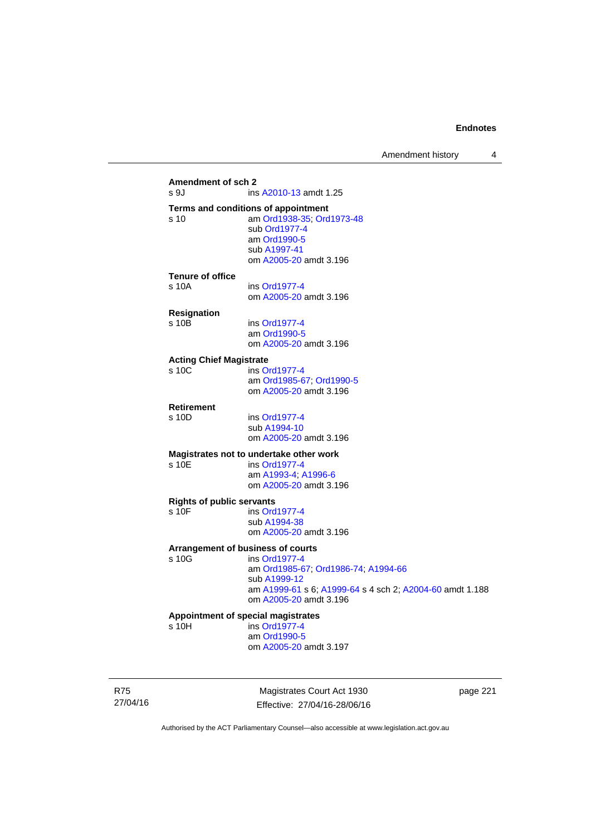# **Amendment of sch 2**  ins [A2010-13](http://www.legislation.act.gov.au/a/2010-13) amdt 1.25 **Terms and conditions of appointment**  s 10 am [Ord1938-35](http://www.legislation.act.gov.au/a/1938-35); [Ord1973-48](http://www.legislation.act.gov.au/a/1973-48) sub [Ord1977-4](http://www.legislation.act.gov.au/a/1977-4) am [Ord1990-5](http://www.legislation.act.gov.au/a/alt_ord1990-5) sub [A1997-41](http://www.legislation.act.gov.au/a/1997-41) om [A2005-20](http://www.legislation.act.gov.au/a/2005-20) amdt 3.196 **Tenure of office**  s 10A ins [Ord1977-4](http://www.legislation.act.gov.au/a/1977-4) om [A2005-20](http://www.legislation.act.gov.au/a/2005-20) amdt 3.196 **Resignation**  ins [Ord1977-4](http://www.legislation.act.gov.au/a/1977-4) am [Ord1990-5](http://www.legislation.act.gov.au/a/alt_ord1990-5) om [A2005-20](http://www.legislation.act.gov.au/a/2005-20) amdt 3.196 **Acting Chief Magistrate**  s 10C ins [Ord1977-4](http://www.legislation.act.gov.au/a/1977-4) am [Ord1985-67](http://www.legislation.act.gov.au/a/1985-67); [Ord1990-5](http://www.legislation.act.gov.au/a/alt_ord1990-5) om [A2005-20](http://www.legislation.act.gov.au/a/2005-20) amdt 3.196 **Retirement**  s 10D ins [Ord1977-4](http://www.legislation.act.gov.au/a/1977-4) sub [A1994-10](http://www.legislation.act.gov.au/a/1994-10) om [A2005-20](http://www.legislation.act.gov.au/a/2005-20) amdt 3.196 **Magistrates not to undertake other work**  ins [Ord1977-4](http://www.legislation.act.gov.au/a/1977-4) am [A1993-4;](http://www.legislation.act.gov.au/a/1993-4) [A1996-6](http://www.legislation.act.gov.au/a/1996-6) om [A2005-20](http://www.legislation.act.gov.au/a/2005-20) amdt 3.196 **Rights of public servants**  s 10F ins [Ord1977-4](http://www.legislation.act.gov.au/a/1977-4) sub [A1994-38](http://www.legislation.act.gov.au/a/1994-38) om [A2005-20](http://www.legislation.act.gov.au/a/2005-20) amdt 3.196 **Arrangement of business of courts**  ins [Ord1977-4](http://www.legislation.act.gov.au/a/1977-4) am [Ord1985-67](http://www.legislation.act.gov.au/a/1985-67); [Ord1986-74](http://www.legislation.act.gov.au/a/1986-74); [A1994-66](http://www.legislation.act.gov.au/a/1994-66) sub [A1999-12](http://www.legislation.act.gov.au/a/1999-12) am [A1999-61](http://www.legislation.act.gov.au/a/1999-61) s 6; [A1999-64](http://www.legislation.act.gov.au/a/1999-64) s 4 sch 2; [A2004-60](http://www.legislation.act.gov.au/a/2004-60) amdt 1.188 om [A2005-20](http://www.legislation.act.gov.au/a/2005-20) amdt 3.196 **Appointment of special magistrates**  s 10H ins [Ord1977-4](http://www.legislation.act.gov.au/a/1977-4) am [Ord1990-5](http://www.legislation.act.gov.au/a/alt_ord1990-5) om [A2005-20](http://www.legislation.act.gov.au/a/2005-20) amdt 3.197

R75 27/04/16

Magistrates Court Act 1930 Effective: 27/04/16-28/06/16 page 221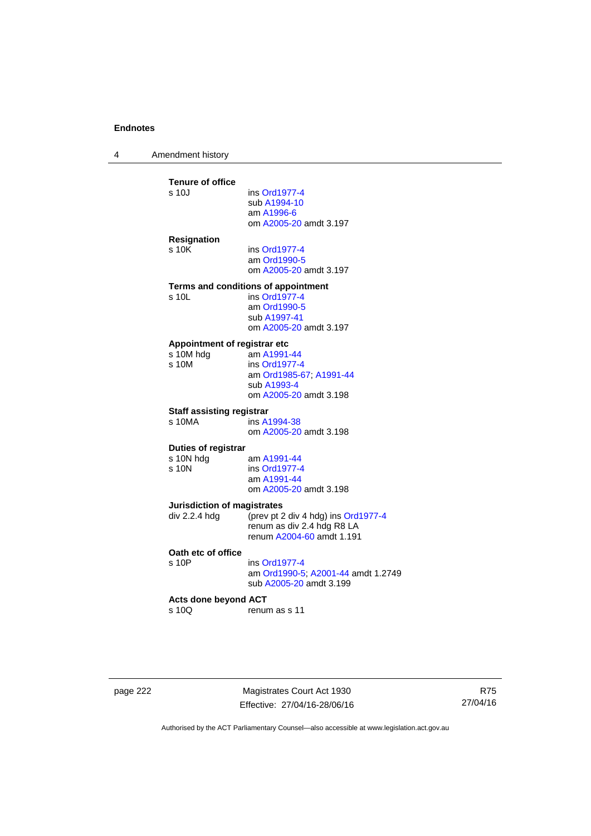4 Amendment history

| s 10J                                | ins Ord1977-4                          |
|--------------------------------------|----------------------------------------|
|                                      | sub A1994-10<br>am A1996-6             |
|                                      | om A2005-20 amdt 3.197                 |
|                                      |                                        |
| <b>Resignation</b>                   |                                        |
| s 10K                                | ins Ord1977-4                          |
|                                      | am Ord1990-5<br>om A2005-20 amdt 3.197 |
|                                      |                                        |
|                                      | Terms and conditions of appointment    |
| s 10L                                | ins Ord1977-4                          |
|                                      | am Ord1990-5                           |
|                                      | sub A1997-41                           |
|                                      | om A2005-20 amdt 3.197                 |
| Appointment of registrar etc         |                                        |
| s 10M hdg                            | am A1991-44                            |
| s 10M                                | ins Ord1977-4                          |
|                                      | am Ord1985-67; A1991-44                |
|                                      | sub A1993-4                            |
|                                      | om A2005-20 amdt 3.198                 |
| <b>Staff assisting registrar</b>     |                                        |
| s 10MA                               | ins A1994-38                           |
|                                      | om A2005-20 amdt 3.198                 |
| Duties of registrar                  |                                        |
| s 10N hdg                            | am A1991-44                            |
| $s$ 10 $N$                           | ins Ord1977-4                          |
|                                      | am A1991-44                            |
|                                      | om A2005-20 amdt 3.198                 |
| <b>Jurisdiction of magistrates</b>   |                                        |
| div 2.2.4 hdg                        | (prev pt 2 div 4 hdg) ins Ord1977-4    |
|                                      | renum as div 2.4 hdg R8 LA             |
|                                      | renum A2004-60 amdt 1.191              |
| Oath etc of office                   |                                        |
| s 10P                                | ins Ord1977-4                          |
|                                      | am Ord1990-5; A2001-44 amdt 1.2749     |
|                                      | sub A2005-20 amdt 3.199                |
|                                      |                                        |
|                                      |                                        |
| <b>Acts done beyond ACT</b><br>s 10Q | renum as s 11                          |

page 222 Magistrates Court Act 1930 Effective: 27/04/16-28/06/16

R75 27/04/16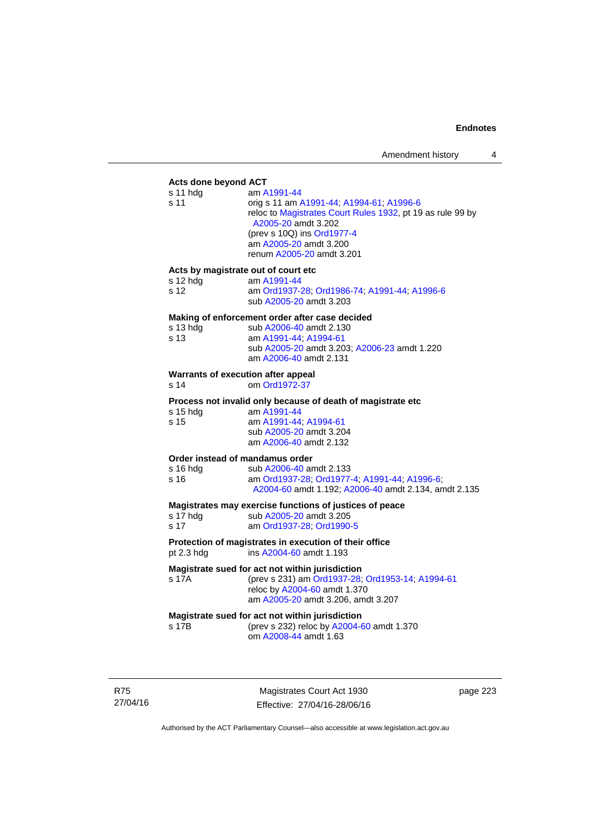# **Acts done beyond ACT**

| Acts done beyond ACT                                               |                                                                                                                                                                                                                                   |
|--------------------------------------------------------------------|-----------------------------------------------------------------------------------------------------------------------------------------------------------------------------------------------------------------------------------|
| s 11 hdg<br>s 11                                                   | am A1991-44<br>orig s 11 am A1991-44; A1994-61; A1996-6<br>reloc to Magistrates Court Rules 1932, pt 19 as rule 99 by<br>A2005-20 amdt 3.202<br>(prev s 10Q) ins Ord1977-4<br>am A2005-20 amdt 3.200<br>renum A2005-20 amdt 3.201 |
| Acts by magistrate out of court etc<br>s 12 hdg<br>s <sub>12</sub> | am A1991-44<br>am Ord1937-28; Ord1986-74; A1991-44; A1996-6<br>sub A2005-20 amdt 3.203                                                                                                                                            |
| s 13 hdg<br>s 13                                                   | Making of enforcement order after case decided<br>sub A2006-40 amdt 2.130<br>am A1991-44; A1994-61<br>sub A2005-20 amdt 3.203; A2006-23 amdt 1.220<br>am A2006-40 amdt 2.131                                                      |
| Warrants of execution after appeal<br>s <sub>14</sub>              | om Ord1972-37                                                                                                                                                                                                                     |
| s 15 hdg<br>s 15                                                   | Process not invalid only because of death of magistrate etc<br>am A1991-44<br>am A1991-44, A1994-61<br>sub A2005-20 amdt 3.204<br>am A2006-40 amdt 2.132                                                                          |
| Order instead of mandamus order<br>s 16 hdg<br>s 16                | sub A2006-40 amdt 2.133<br>am Ord1937-28, Ord1977-4, A1991-44, A1996-6,<br>A2004-60 amdt 1.192; A2006-40 amdt 2.134, amdt 2.135                                                                                                   |
| s 17 hdg<br>s <sub>17</sub>                                        | Magistrates may exercise functions of justices of peace<br>sub A2005-20 amdt 3.205<br>am Ord1937-28; Ord1990-5                                                                                                                    |
| pt 2.3 hdg                                                         | Protection of magistrates in execution of their office<br>ins A2004-60 amdt 1.193                                                                                                                                                 |
| s 17A                                                              | Magistrate sued for act not within jurisdiction<br>(prev s 231) am Ord1937-28; Ord1953-14; A1994-61<br>reloc by A2004-60 amdt 1.370<br>am A2005-20 amdt 3.206, amdt 3.207                                                         |
| s 17B                                                              | Magistrate sued for act not within jurisdiction<br>(prev s 232) reloc by A2004-60 amdt 1.370<br>om A2008-44 amdt 1.63                                                                                                             |

R75 27/04/16

Magistrates Court Act 1930 Effective: 27/04/16-28/06/16 page 223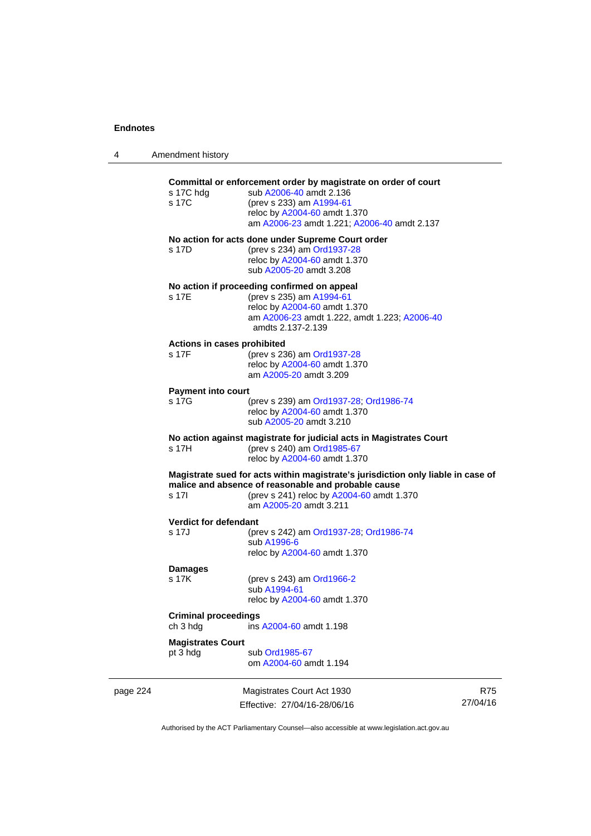4 Amendment history

|          | s 17C                                   | (prev s 233) am A1994-61<br>reloc by A2004-60 amdt 1.370<br>am A2006-23 amdt 1.221; A2006-40 amdt 2.137                                                                                                        |                        |
|----------|-----------------------------------------|----------------------------------------------------------------------------------------------------------------------------------------------------------------------------------------------------------------|------------------------|
|          | s 17D                                   | No action for acts done under Supreme Court order<br>(prev s 234) am Ord1937-28<br>reloc by A2004-60 amdt 1.370<br>sub A2005-20 amdt 3.208                                                                     |                        |
|          | s 17E                                   | No action if proceeding confirmed on appeal<br>(prev s 235) am A1994-61<br>reloc by A2004-60 amdt 1.370<br>am A2006-23 amdt 1.222, amdt 1.223; A2006-40<br>amdts 2.137-2.139                                   |                        |
|          | Actions in cases prohibited<br>s 17F    | (prev s 236) am Ord1937-28<br>reloc by A2004-60 amdt 1.370<br>am A2005-20 amdt 3.209                                                                                                                           |                        |
|          | <b>Payment into court</b><br>s 17G      | (prev s 239) am Ord1937-28; Ord1986-74<br>reloc by A2004-60 amdt 1.370<br>sub A2005-20 amdt 3.210                                                                                                              |                        |
|          | s 17H                                   | No action against magistrate for judicial acts in Magistrates Court<br>(prev s 240) am Ord1985-67<br>reloc by A2004-60 amdt 1.370                                                                              |                        |
|          | s 17l                                   | Magistrate sued for acts within magistrate's jurisdiction only liable in case of<br>malice and absence of reasonable and probable cause<br>(prev s 241) reloc by A2004-60 amdt 1.370<br>am A2005-20 amdt 3.211 |                        |
|          | <b>Verdict for defendant</b><br>s 17J   | (prev s 242) am Ord1937-28; Ord1986-74<br>sub A1996-6<br>reloc by A2004-60 amdt 1.370                                                                                                                          |                        |
|          | <b>Damages</b><br>s 17K                 | (prev s 243) am Ord1966-2<br>sub A1994-61<br>reloc by A2004-60 amdt 1.370                                                                                                                                      |                        |
|          | <b>Criminal proceedings</b><br>ch 3 hdg | ins A2004-60 amdt 1.198                                                                                                                                                                                        |                        |
|          | <b>Magistrates Court</b><br>pt 3 hdg    | sub Ord1985-67<br>om A2004-60 amdt 1.194                                                                                                                                                                       |                        |
| page 224 |                                         | Magistrates Court Act 1930<br>Effective: 27/04/16-28/06/16                                                                                                                                                     | <b>R75</b><br>27/04/16 |

Authorised by the ACT Parliamentary Counsel—also accessible at www.legislation.act.gov.au

Effective: 27/04/16-28/06/16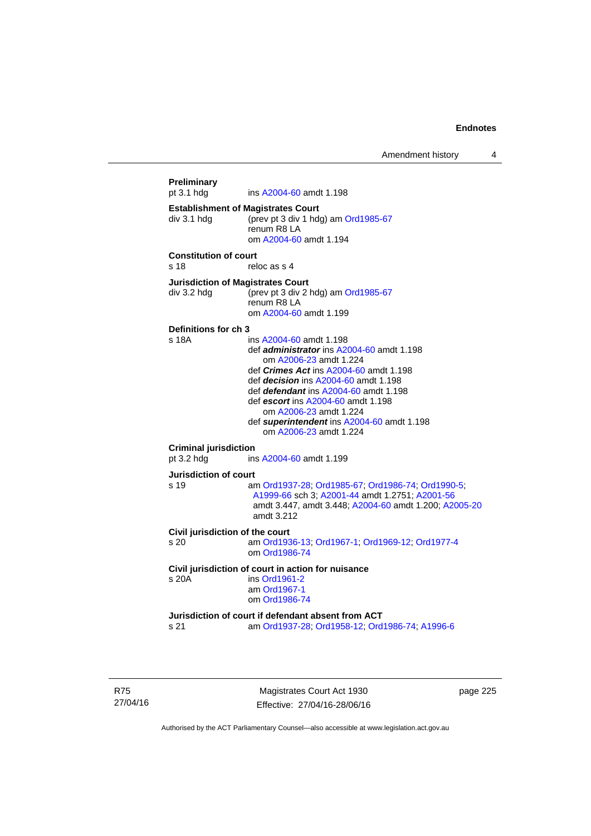Amendment history 4

```
Preliminary 
                 A2004-60 amdt 1.198
Establishment of Magistrates Court 
div 3.1 hdg (prev pt 3 div 1 hdg) am Ord1985-67
                 renum R8 LA 
                  om A2004-60 amdt 1.194
Constitution of court 
s 18 reloc as s 4
Jurisdiction of Magistrates Court 
div 3.2 hdg (prev pt 3 div 2 hdg) am Ord1985-67
                 renum R8 LA 
                  om A2004-60 amdt 1.199
Definitions for ch 3 
s 18A ins A2004-60 amdt 1.198 
                  def administrator ins A2004-60 amdt 1.198 
                      om A2006-23 amdt 1.224
                  def Crimes Act ins A2004-60 amdt 1.198
                  def decision ins A2004-60 amdt 1.198 
                  def defendant ins A2004-60 amdt 1.198 
                  def escort ins A2004-60 amdt 1.198 
                      om A2006-23 amdt 1.224
                  def superintendent ins A2004-60 amdt 1.198 
                     om A2006-23 amdt 1.224
Criminal jurisdiction 
pt 3.2 hdg ins A2004-60 amdt 1.199 
Jurisdiction of court 
s 19 am Ord1937-28; Ord1985-67; Ord1986-74; Ord1990-5; 
                  A1999-66 sch 3; A2001-44 amdt 1.2751; A2001-56
                  amdt 3.447, amdt 3.448; A2004-60 amdt 1.200; A2005-20
                  amdt 3.212
Civil jurisdiction of the court 
s 20 am Ord1936-13; Ord1967-1; Ord1969-12; Ord1977-4
                  om Ord1986-74
Civil jurisdiction of court in action for nuisance 
s 20A ins Ord1961-2
                  am Ord1967-1
                  om Ord1986-74
Jurisdiction of court if defendant absent from ACT 
s 21 am Ord1937-28; Ord1958-12; Ord1986-74; A1996-6
```
R75 27/04/16

Magistrates Court Act 1930 Effective: 27/04/16-28/06/16 page 225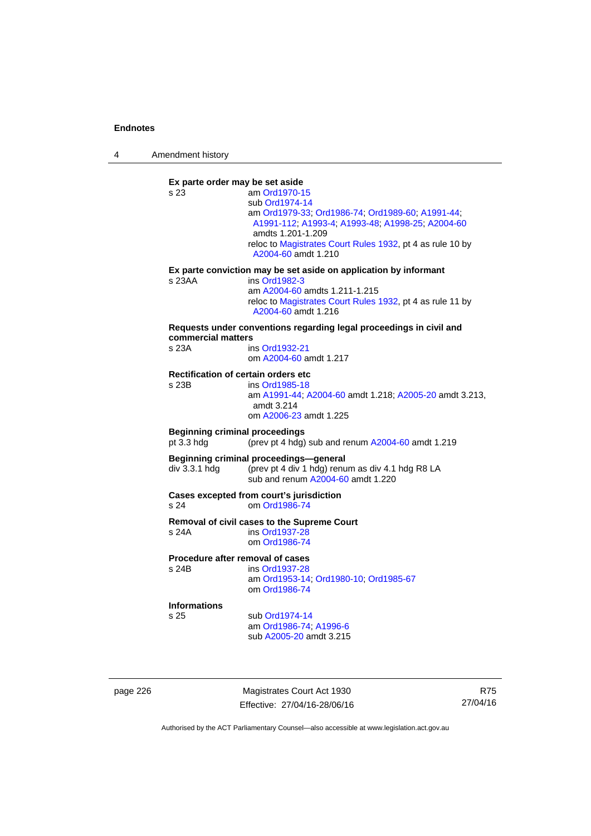4 Amendment history

**Ex parte order may be set aside**  s 23 am [Ord1970-15](http://www.legislation.act.gov.au/a/1970-15) sub [Ord1974-14](http://www.legislation.act.gov.au/a/1974-14) am [Ord1979-33](http://www.legislation.act.gov.au/a/1979-33); [Ord1986-74;](http://www.legislation.act.gov.au/a/1986-74) [Ord1989-60](http://www.legislation.act.gov.au/a/1989-60); [A1991-44](http://www.legislation.act.gov.au/a/1991-44); [A1991-112;](http://www.legislation.act.gov.au/a/1991-112) [A1993-4](http://www.legislation.act.gov.au/a/1993-4); [A1993-48](http://www.legislation.act.gov.au/a/1993-48); [A1998-25](http://www.legislation.act.gov.au/a/1998-25); [A2004-60](http://www.legislation.act.gov.au/a/2004-60) amdts 1.201-1.209 reloc to [Magistrates Court Rules 1932](http://www.legislation.act.gov.au/sl/1932-4/default.asp), pt 4 as rule 10 by [A2004-60](http://www.legislation.act.gov.au/a/2004-60) amdt 1.210 **Ex parte conviction may be set aside on application by informant**  s 23AA ins [Ord1982-3](http://www.legislation.act.gov.au/a/1982-3) am [A2004-60](http://www.legislation.act.gov.au/a/2004-60) amdts 1.211-1.215 reloc to [Magistrates Court Rules 1932](http://www.legislation.act.gov.au/sl/1932-4/default.asp), pt 4 as rule 11 by [A2004-60](http://www.legislation.act.gov.au/a/2004-60) amdt 1.216 **Requests under conventions regarding legal proceedings in civil and commercial matters**  s 23A ins [Ord1932-21](http://www.legislation.act.gov.au/a/1932-21) om [A2004-60](http://www.legislation.act.gov.au/a/2004-60) amdt 1.217 **Rectification of certain orders etc**<br>s 23B ins Ord1985-18 ins [Ord1985-18](http://www.legislation.act.gov.au/a/1985-18) am [A1991-44](http://www.legislation.act.gov.au/a/1991-44); [A2004-60](http://www.legislation.act.gov.au/a/2004-60) amdt 1.218; [A2005-20](http://www.legislation.act.gov.au/a/2005-20) amdt 3.213, amdt 3.214 om [A2006-23](http://www.legislation.act.gov.au/a/2006-23) amdt 1.225 **Beginning criminal proceedings**  pt 3.3 hdg (prev pt 4 hdg) sub and renum [A2004-60](http://www.legislation.act.gov.au/a/2004-60) amdt 1.219 **Beginning criminal proceedings—general**  div 3.3.1 hdg (prev pt 4 div 1 hdg) renum as div 4.1 hdg R8 LA sub and renum [A2004-60](http://www.legislation.act.gov.au/a/2004-60) amdt 1.220 **Cases excepted from court's jurisdiction**  s 24 om [Ord1986-74](http://www.legislation.act.gov.au/a/1986-74) **Removal of civil cases to the Supreme Court**  s 24A ins [Ord1937-28](http://www.legislation.act.gov.au/a/1937-28) om [Ord1986-74](http://www.legislation.act.gov.au/a/1986-74) **Procedure after removal of cases**  s 24B ins [Ord1937-28](http://www.legislation.act.gov.au/a/1937-28) am [Ord1953-14](http://www.legislation.act.gov.au/a/1953-14); [Ord1980-10;](http://www.legislation.act.gov.au/a/1980-10) [Ord1985-67](http://www.legislation.act.gov.au/a/1985-67) om [Ord1986-74](http://www.legislation.act.gov.au/a/1986-74) **Informations** sub [Ord1974-14](http://www.legislation.act.gov.au/a/1974-14) am [Ord1986-74](http://www.legislation.act.gov.au/a/1986-74); [A1996-6](http://www.legislation.act.gov.au/a/1996-6) sub [A2005-20](http://www.legislation.act.gov.au/a/2005-20) amdt 3.215

page 226 Magistrates Court Act 1930 Effective: 27/04/16-28/06/16

R75 27/04/16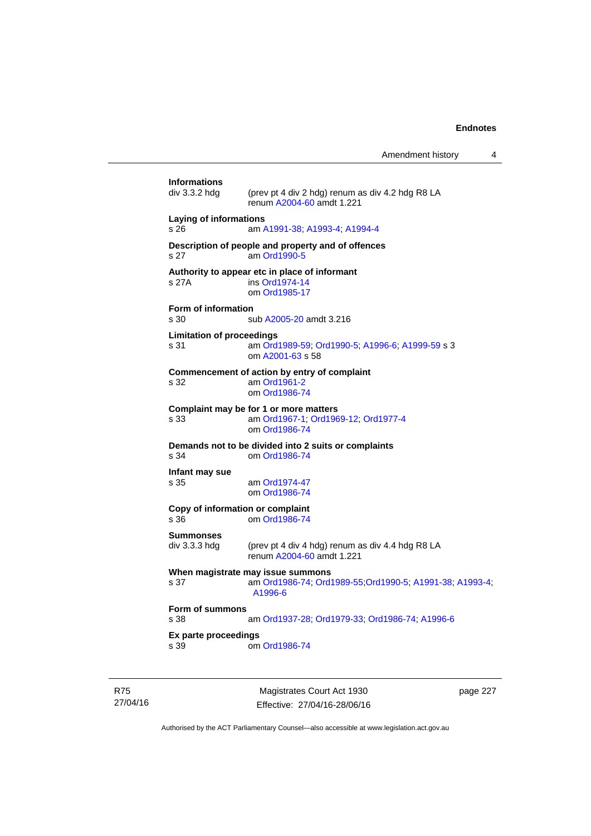Amendment history 4

|                                                                 | Magistrates Court Act 1930                                                                               | page 227 |  |
|-----------------------------------------------------------------|----------------------------------------------------------------------------------------------------------|----------|--|
| Ex parte proceedings<br>s 39                                    | om Ord1986-74                                                                                            |          |  |
| Form of summons<br>s 38                                         | am Ord1937-28; Ord1979-33; Ord1986-74; A1996-6                                                           |          |  |
| s 37                                                            | When magistrate may issue summons<br>am Ord1986-74; Ord1989-55; Ord1990-5; A1991-38; A1993-4;<br>A1996-6 |          |  |
| <b>Summonses</b><br>div 3.3.3 hdg                               | (prev pt 4 div 4 hdg) renum as div 4.4 hdg R8 LA<br>renum A2004-60 amdt 1.221                            |          |  |
| Copy of information or complaint<br>s 36                        | om Ord1986-74                                                                                            |          |  |
| Infant may sue<br>s 35                                          | am Ord1974-47<br>om Ord1986-74                                                                           |          |  |
| s 34                                                            | Demands not to be divided into 2 suits or complaints<br>om Ord1986-74                                    |          |  |
| s 33                                                            | Complaint may be for 1 or more matters<br>am Ord1967-1, Ord1969-12, Ord1977-4<br>om Ord1986-74           |          |  |
| s 32                                                            | Commencement of action by entry of complaint<br>am Ord1961-2<br>om Ord1986-74                            |          |  |
| <b>Limitation of proceedings</b><br>s 31                        | am Ord1989-59; Ord1990-5; A1996-6; A1999-59 s 3<br>om A2001-63 s 58                                      |          |  |
| Form of information<br>s 30                                     | sub A2005-20 amdt 3.216                                                                                  |          |  |
| s 27A                                                           | Authority to appear etc in place of informant<br>ins Ord1974-14<br>om Ord1985-17                         |          |  |
| s 27                                                            | Description of people and property and of offences<br>am Ord1990-5                                       |          |  |
| Laying of informations<br>s 26<br>am A1991-38, A1993-4, A1994-4 |                                                                                                          |          |  |
| <b>Informations</b><br>div 3.3.2 hdg                            | (prev pt 4 div 2 hdg) renum as div 4.2 hdg R8 LA<br>renum A2004-60 amdt 1.221                            |          |  |
|                                                                 |                                                                                                          |          |  |

R75 27/04/16

Effective: 27/04/16-28/06/16

page 227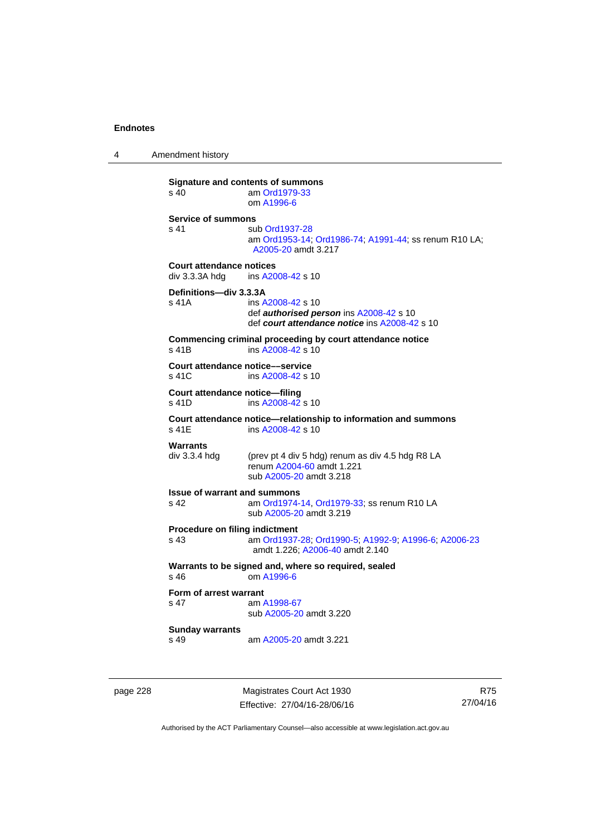4 Amendment history

**Signature and contents of summons**<br>s 40 am Ord1979-33 am [Ord1979-33](http://www.legislation.act.gov.au/a/1979-33) om [A1996-6](http://www.legislation.act.gov.au/a/1996-6) **Service of summons**  s 41 sub [Ord1937-28](http://www.legislation.act.gov.au/a/1937-28) am [Ord1953-14](http://www.legislation.act.gov.au/a/1953-14); [Ord1986-74](http://www.legislation.act.gov.au/a/1986-74); [A1991-44](http://www.legislation.act.gov.au/a/1991-44); ss renum R10 LA; [A2005-20](http://www.legislation.act.gov.au/a/2005-20) amdt 3.217 **Court attendance notices**<br>div 3.3.3A hdq ins A20 ins [A2008-42](http://www.legislation.act.gov.au/a/2008-42) s 10 **Definitions—div 3.3.3A**  s 41A ins [A2008-42](http://www.legislation.act.gov.au/a/2008-42) s 10 def *authorised person* ins [A2008-42](http://www.legislation.act.gov.au/a/2008-42) s 10 def *court attendance notice* ins [A2008-42](http://www.legislation.act.gov.au/a/2008-42) s 10 **Commencing criminal proceeding by court attendance notice**  s 41B ins [A2008-42](http://www.legislation.act.gov.au/a/2008-42) s 10 **Court attendance notice—service**<br>s 41C **ins A2008-42 s** 1 ins [A2008-42](http://www.legislation.act.gov.au/a/2008-42) s 10 **Court attendance notice—filing**  s 41D ins [A2008-42](http://www.legislation.act.gov.au/a/2008-42) s 10 **Court attendance notice—relationship to information and summons**  ins [A2008-42](http://www.legislation.act.gov.au/a/2008-42) s 10 **Warrants**  div 3.3.4 hdg (prev pt 4 div 5 hdg) renum as div 4.5 hdg R8 LA renum [A2004-60](http://www.legislation.act.gov.au/a/2004-60) amdt 1.221 sub [A2005-20](http://www.legislation.act.gov.au/a/2005-20) amdt 3.218 **Issue of warrant and summons**  s 42 am [Ord1974-14](http://www.legislation.act.gov.au/a/1974-14), [Ord1979-33](http://www.legislation.act.gov.au/a/1979-33); ss renum R10 LA sub [A2005-20](http://www.legislation.act.gov.au/a/2005-20) amdt 3.219 **Procedure on filing indictment**  s 43 am [Ord1937-28](http://www.legislation.act.gov.au/a/1937-28); [Ord1990-5](http://www.legislation.act.gov.au/a/alt_ord1990-5); [A1992-9](http://www.legislation.act.gov.au/a/1992-9); [A1996-6](http://www.legislation.act.gov.au/a/1996-6); [A2006-23](http://www.legislation.act.gov.au/a/2006-23) amdt 1.226; [A2006-40](http://www.legislation.act.gov.au/a/2006-40) amdt 2.140 **Warrants to be signed and, where so required, sealed**  s 46 om [A1996-6](http://www.legislation.act.gov.au/a/1996-6) **Form of arrest warrant**<br>**s** 47 am / am [A1998-67](http://www.legislation.act.gov.au/a/1998-67) sub [A2005-20](http://www.legislation.act.gov.au/a/2005-20) amdt 3.220 **Sunday warrants**  s 49 am [A2005-20](http://www.legislation.act.gov.au/a/2005-20) amdt 3.221

page 228 Magistrates Court Act 1930 Effective: 27/04/16-28/06/16

R75 27/04/16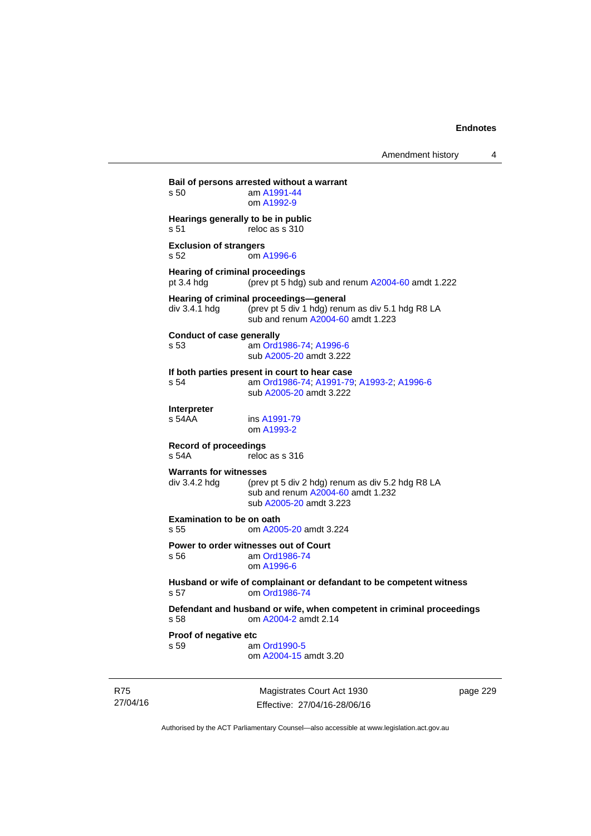**Bail of persons arrested without a warrant**  s 50 am [A1991-44](http://www.legislation.act.gov.au/a/1991-44) om [A1992-9](http://www.legislation.act.gov.au/a/1992-9) **Hearings generally to be in public**  s 51 reloc as s 310 **Exclusion of strangers**  s 52 om [A1996-6](http://www.legislation.act.gov.au/a/1996-6) **Hearing of criminal proceedings**  pt 3.4 hdg (prev pt 5 hdg) sub and renum [A2004-60](http://www.legislation.act.gov.au/a/2004-60) amdt 1.222 **Hearing of criminal proceedings—general**  div 3.4.1 hdg (prev pt 5 div 1 hdg) renum as div 5.1 hdg R8 LA sub and renum [A2004-60](http://www.legislation.act.gov.au/a/2004-60) amdt 1.223 **Conduct of case generally**  s 53 am [Ord1986-74](http://www.legislation.act.gov.au/a/1986-74); [A1996-6](http://www.legislation.act.gov.au/a/1996-6) sub [A2005-20](http://www.legislation.act.gov.au/a/2005-20) amdt 3.222 **If both parties present in court to hear case**  s 54 am [Ord1986-74](http://www.legislation.act.gov.au/a/1986-74); [A1991-79](http://www.legislation.act.gov.au/a/1991-79); [A1993-2](http://www.legislation.act.gov.au/a/1993-2); [A1996-6](http://www.legislation.act.gov.au/a/1996-6) sub [A2005-20](http://www.legislation.act.gov.au/a/2005-20) amdt 3.222 **Interpreter**  ins [A1991-79](http://www.legislation.act.gov.au/a/1991-79) om [A1993-2](http://www.legislation.act.gov.au/a/1993-2) **Record of proceedings**  s 54A reloc as s 316 **Warrants for witnesses**<br>div 3.4.2 hda (prev (prev pt 5 div 2 hdg) renum as div 5.2 hdg R8 LA sub and renum [A2004-60](http://www.legislation.act.gov.au/a/2004-60) amdt 1.232 sub [A2005-20](http://www.legislation.act.gov.au/a/2005-20) amdt 3.223 **Examination to be on oath**  s 55 om [A2005-20](http://www.legislation.act.gov.au/a/2005-20) amdt 3.224 **Power to order witnesses out of Court**  s 56 am [Ord1986-74](http://www.legislation.act.gov.au/a/1986-74) om [A1996-6](http://www.legislation.act.gov.au/a/1996-6) **Husband or wife of complainant or defandant to be competent witness**  s 57 om [Ord1986-74](http://www.legislation.act.gov.au/a/1986-74) **Defendant and husband or wife, when competent in criminal proceedings**  s 58 om [A2004-2](http://www.legislation.act.gov.au/a/2004-2) amdt 2.14 **Proof of negative etc**  s 59 am [Ord1990-5](http://www.legislation.act.gov.au/a/alt_ord1990-5) om [A2004-15](http://www.legislation.act.gov.au/a/2004-15) amdt 3.20

R75 27/04/16

Magistrates Court Act 1930 Effective: 27/04/16-28/06/16 page 229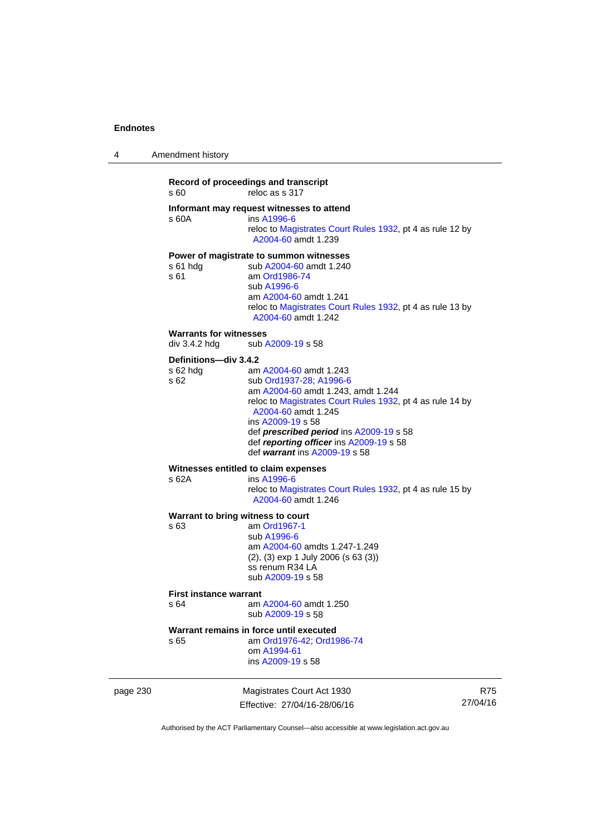| 4 | Amendment history |  |
|---|-------------------|--|
|   |                   |  |

## **Record of proceedings and transcript**  s 60 reloc as s 317 **Informant may request witnesses to attend**  ins [A1996-6](http://www.legislation.act.gov.au/a/1996-6) reloc to [Magistrates Court Rules 1932](http://www.legislation.act.gov.au/sl/1932-4/default.asp), pt 4 as rule 12 by [A2004-60](http://www.legislation.act.gov.au/a/2004-60) amdt 1.239 **Power of magistrate to summon witnesses**  s 61 hdg sub [A2004-60](http://www.legislation.act.gov.au/a/2004-60) amdt 1.240<br>s 61 am Ord1986-74 am [Ord1986-74](http://www.legislation.act.gov.au/a/1986-74) sub [A1996-6](http://www.legislation.act.gov.au/a/1996-6) am [A2004-60](http://www.legislation.act.gov.au/a/2004-60) amdt 1.241 reloc to [Magistrates Court Rules 1932](http://www.legislation.act.gov.au/sl/1932-4/default.asp), pt 4 as rule 13 by [A2004-60](http://www.legislation.act.gov.au/a/2004-60) amdt 1.242 **Warrants for witnesses**<br>div 3.4.2 hdg sub / sub [A2009-19](http://www.legislation.act.gov.au/a/2009-19) s 58 **Definitions—div 3.4.2**  s 62 hdg am [A2004-60](http://www.legislation.act.gov.au/a/2004-60) amdt 1.243 s 62 sub [Ord1937-28](http://www.legislation.act.gov.au/a/1937-28); [A1996-6](http://www.legislation.act.gov.au/a/1996-6) am [A2004-60](http://www.legislation.act.gov.au/a/2004-60) amdt 1.243, amdt 1.244 reloc to [Magistrates Court Rules 1932](http://www.legislation.act.gov.au/sl/1932-4/default.asp), pt 4 as rule 14 by [A2004-60](http://www.legislation.act.gov.au/a/2004-60) amdt 1.245 ins [A2009-19](http://www.legislation.act.gov.au/a/2009-19) s 58 def *prescribed period* ins [A2009-19](http://www.legislation.act.gov.au/a/2009-19) s 58 def *reporting officer* ins [A2009-19](http://www.legislation.act.gov.au/a/2009-19) s 58 def *warrant* ins [A2009-19](http://www.legislation.act.gov.au/a/2009-19) s 58 **Witnesses entitled to claim expenses**  s 62A ins [A1996-6](http://www.legislation.act.gov.au/a/1996-6) reloc to [Magistrates Court Rules 1932](http://www.legislation.act.gov.au/sl/1932-4/default.asp), pt 4 as rule 15 by [A2004-60](http://www.legislation.act.gov.au/a/2004-60) amdt 1.246 **Warrant to bring witness to court**  s 63 am [Ord1967-1](http://www.legislation.act.gov.au/a/1967-1) sub [A1996-6](http://www.legislation.act.gov.au/a/1996-6) am [A2004-60](http://www.legislation.act.gov.au/a/2004-60) amdts 1.247-1.249 (2), (3) exp 1 July 2006 (s 63 (3)) ss renum R34 LA

sub [A2009-19](http://www.legislation.act.gov.au/a/2009-19) s 58

#### **First instance warrant**

s 64 am [A2004-60](http://www.legislation.act.gov.au/a/2004-60) amdt 1.250 sub [A2009-19](http://www.legislation.act.gov.au/a/2009-19) s 58

#### **Warrant remains in force until executed**

s 65 am [Ord1976-42](http://www.legislation.act.gov.au/a/1976-42); [Ord1986-74](http://www.legislation.act.gov.au/a/1986-74) om [A1994-61](http://www.legislation.act.gov.au/a/1994-61) ins [A2009-19](http://www.legislation.act.gov.au/a/2009-19) s 58

page 230 Magistrates Court Act 1930 Effective: 27/04/16-28/06/16

R75 27/04/16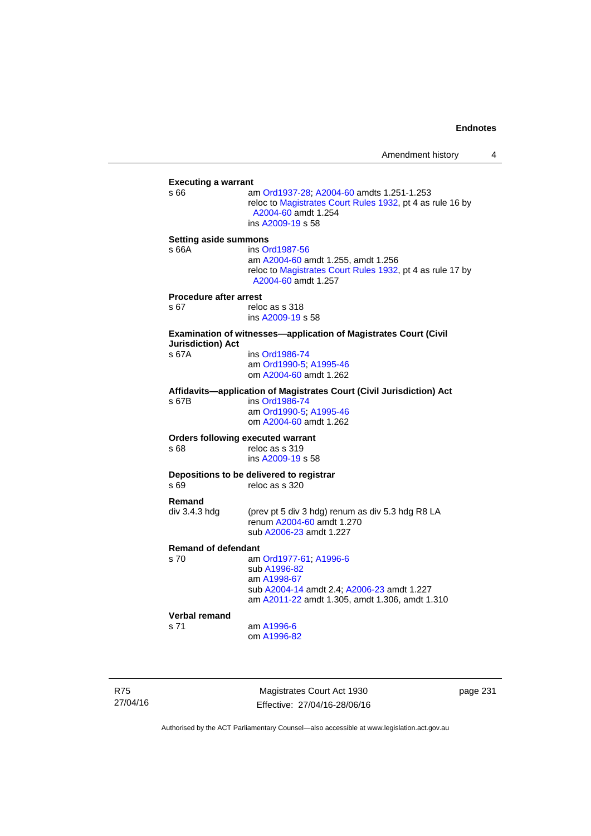| <b>Executing a warrant</b>    |                                                                                                                                                    |
|-------------------------------|----------------------------------------------------------------------------------------------------------------------------------------------------|
| s 66                          | am Ord1937-28; A2004-60 amdts 1.251-1.253<br>reloc to Magistrates Court Rules 1932, pt 4 as rule 16 by<br>A2004-60 amdt 1.254<br>ins A2009-19 s 58 |
| <b>Setting aside summons</b>  |                                                                                                                                                    |
| s 66A                         | ins Ord1987-56                                                                                                                                     |
|                               | am A2004-60 amdt 1.255, amdt 1.256<br>reloc to Magistrates Court Rules 1932, pt 4 as rule 17 by<br>A2004-60 amdt 1.257                             |
| <b>Procedure after arrest</b> |                                                                                                                                                    |
| s 67                          | reloc as s 318                                                                                                                                     |
|                               | ins A2009-19 s 58                                                                                                                                  |
| <b>Jurisdiction) Act</b>      | Examination of witnesses-application of Magistrates Court (Civil                                                                                   |
| s 67A                         | ins Ord1986-74                                                                                                                                     |
|                               | am Ord1990-5; A1995-46                                                                                                                             |
|                               | om A2004-60 amdt 1.262                                                                                                                             |
|                               | Affidavits-application of Magistrates Court (Civil Jurisdiction) Act                                                                               |
| s 67B                         | ins Ord1986-74                                                                                                                                     |
|                               | am Ord1990-5; A1995-46                                                                                                                             |
|                               | om A2004-60 amdt 1.262                                                                                                                             |
|                               | <b>Orders following executed warrant</b>                                                                                                           |
| s 68                          | reloc as s 319                                                                                                                                     |
|                               | ins A2009-19 s 58                                                                                                                                  |
|                               | Depositions to be delivered to registrar                                                                                                           |
| s 69                          | reloc as s 320                                                                                                                                     |
| Remand                        |                                                                                                                                                    |
| div 3.4.3 hdg                 | (prev pt 5 div 3 hdg) renum as div 5.3 hdg R8 LA                                                                                                   |
|                               | renum A2004-60 amdt 1.270                                                                                                                          |
|                               | sub A2006-23 amdt 1.227                                                                                                                            |
| <b>Remand of defendant</b>    |                                                                                                                                                    |
| s 70                          | am Ord1977-61; A1996-6                                                                                                                             |
|                               | sub A1996-82                                                                                                                                       |
|                               | am A1998-67                                                                                                                                        |
|                               | sub A2004-14 amdt 2.4; A2006-23 amdt 1.227<br>am A2011-22 amdt 1.305, amdt 1.306, amdt 1.310                                                       |
| <b>Verbal remand</b>          |                                                                                                                                                    |
| s 71                          | am A1996-6                                                                                                                                         |
|                               | om A1996-82                                                                                                                                        |

R75 27/04/16

Magistrates Court Act 1930 Effective: 27/04/16-28/06/16 page 231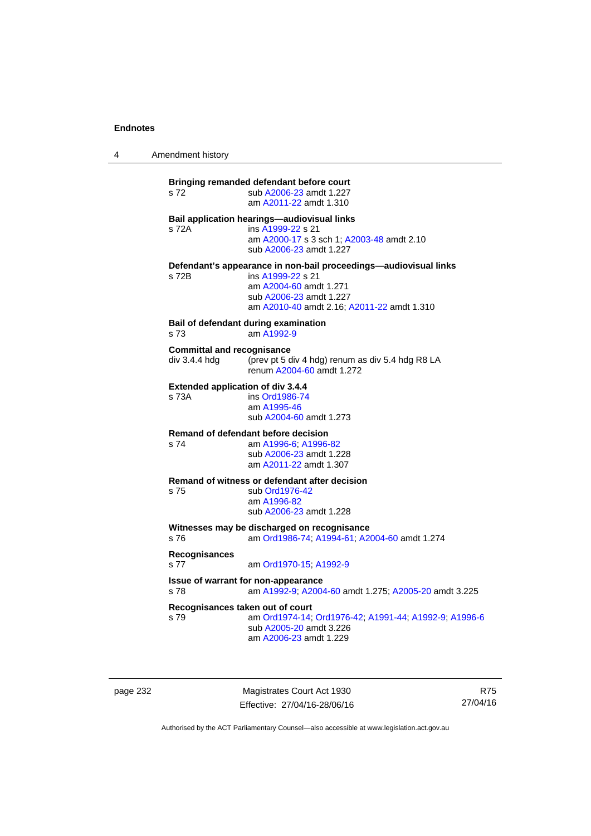4 Amendment history

**Bringing remanded defendant before court**  s 72 sub [A2006-23](http://www.legislation.act.gov.au/a/2006-23) amdt 1.227 am [A2011-22](http://www.legislation.act.gov.au/a/2011-22) amdt 1.310 **Bail application hearings—audiovisual links**  s 72A ins [A1999-22](http://www.legislation.act.gov.au/a/1999-22) s 21 am [A2000-17](http://www.legislation.act.gov.au/a/2000-17) s 3 sch 1; [A2003-48](http://www.legislation.act.gov.au/a/2003-48) amdt 2.10 sub [A2006-23](http://www.legislation.act.gov.au/a/2006-23) amdt 1.227 **Defendant's appearance in non-bail proceedings—audiovisual links**  s 72B ins [A1999-22](http://www.legislation.act.gov.au/a/1999-22) s 21 am [A2004-60](http://www.legislation.act.gov.au/a/2004-60) amdt 1.271 sub [A2006-23](http://www.legislation.act.gov.au/a/2006-23) amdt 1.227 am [A2010-40](http://www.legislation.act.gov.au/a/2010-40) amdt 2.16; [A2011-22](http://www.legislation.act.gov.au/a/2011-22) amdt 1.310 **Bail of defendant during examination**  s 73 am [A1992-9](http://www.legislation.act.gov.au/a/1992-9) **Committal and recognisance**  div 3.4.4 hdg (prev pt 5 div 4 hdg) renum as div 5.4 hdg R8 LA renum [A2004-60](http://www.legislation.act.gov.au/a/2004-60) amdt 1.272 **Extended application of div 3.4.4**  ins [Ord1986-74](http://www.legislation.act.gov.au/a/1986-74) am [A1995-46](http://www.legislation.act.gov.au/a/1995-46) sub [A2004-60](http://www.legislation.act.gov.au/a/2004-60) amdt 1.273 **Remand of defendant before decision**  s 74 am [A1996-6;](http://www.legislation.act.gov.au/a/1996-6) [A1996-82](http://www.legislation.act.gov.au/a/1996-82) sub [A2006-23](http://www.legislation.act.gov.au/a/2006-23) amdt 1.228 am [A2011-22](http://www.legislation.act.gov.au/a/2011-22) amdt 1.307 **Remand of witness or defendant after decision**  s 75 sub [Ord1976-42](http://www.legislation.act.gov.au/a/1976-42) am [A1996-82](http://www.legislation.act.gov.au/a/1996-82) sub [A2006-23](http://www.legislation.act.gov.au/a/2006-23) amdt 1.228 **Witnesses may be discharged on recognisance**<br>s 76 am Ord1986-74: A1994-61: A2 s 76 am [Ord1986-74](http://www.legislation.act.gov.au/a/1986-74); [A1994-61](http://www.legislation.act.gov.au/a/1994-61); [A2004-60](http://www.legislation.act.gov.au/a/2004-60) amdt 1.274 **Recognisances**  s 77 am [Ord1970-15](http://www.legislation.act.gov.au/a/1970-15); [A1992-9](http://www.legislation.act.gov.au/a/1992-9) **Issue of warrant for non-appearance**  s 78 am [A1992-9;](http://www.legislation.act.gov.au/a/1992-9) [A2004-60](http://www.legislation.act.gov.au/a/2004-60) amdt 1.275; [A2005-20](http://www.legislation.act.gov.au/a/2005-20) amdt 3.225 **Recognisances taken out of court**  s 79 am [Ord1974-14](http://www.legislation.act.gov.au/a/1974-14); [Ord1976-42](http://www.legislation.act.gov.au/a/1976-42); [A1991-44](http://www.legislation.act.gov.au/a/1991-44); [A1992-9](http://www.legislation.act.gov.au/a/1992-9); [A1996-6](http://www.legislation.act.gov.au/a/1996-6) sub [A2005-20](http://www.legislation.act.gov.au/a/2005-20) amdt 3.226 am [A2006-23](http://www.legislation.act.gov.au/a/2006-23) amdt 1.229

page 232 Magistrates Court Act 1930 Effective: 27/04/16-28/06/16

R75 27/04/16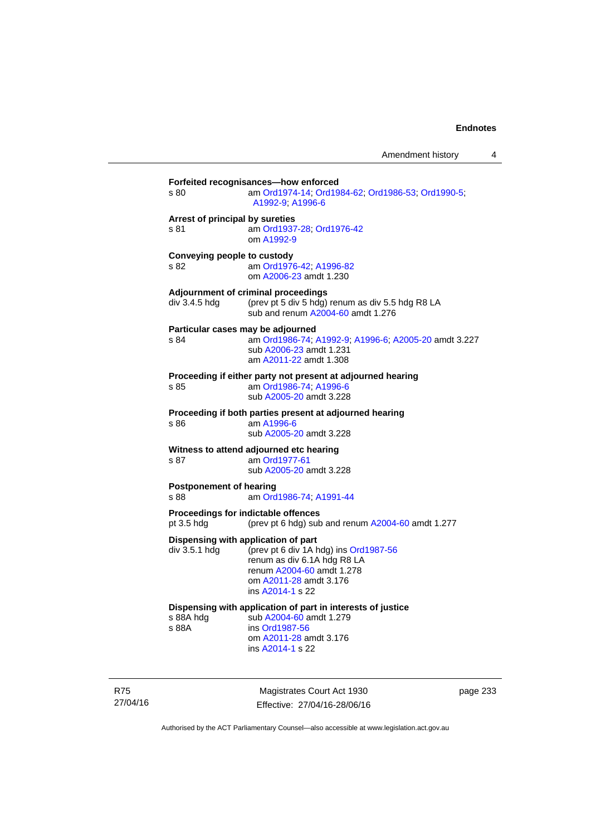| s 80                                    | am Ord1974-14; Ord1984-62; Ord1986-53; Ord1990-5;<br>A1992-9, A1996-6                                                                                                                  |
|-----------------------------------------|----------------------------------------------------------------------------------------------------------------------------------------------------------------------------------------|
| Arrest of principal by sureties<br>s 81 | am Ord1937-28; Ord1976-42<br>om A1992-9                                                                                                                                                |
| Conveying people to custody<br>S.82     | am Ord1976-42; A1996-82<br>om A2006-23 amdt 1.230                                                                                                                                      |
| div 3.4.5 hdg                           | Adjournment of criminal proceedings<br>(prev pt 5 div 5 hdg) renum as div 5.5 hdg R8 LA<br>sub and renum A2004-60 amdt 1.276                                                           |
| s 84                                    | Particular cases may be adjourned<br>am Ord1986-74, A1992-9, A1996-6, A2005-20 amdt 3.227<br>sub A2006-23 amdt 1.231<br>am A2011-22 amdt 1.308                                         |
| s 85                                    | Proceeding if either party not present at adjourned hearing<br>am Ord1986-74: A1996-6<br>sub A2005-20 amdt 3.228                                                                       |
| s 86                                    | Proceeding if both parties present at adjourned hearing<br>am A1996-6<br>sub A2005-20 amdt 3.228                                                                                       |
| s 87                                    | Witness to attend adjourned etc hearing<br>am Ord1977-61<br>sub A2005-20 amdt 3.228                                                                                                    |
| <b>Postponement of hearing</b><br>s 88  | am Ord1986-74; A1991-44                                                                                                                                                                |
| pt 3.5 hdg                              | Proceedings for indictable offences<br>(prev pt 6 hdg) sub and renum A2004-60 amdt 1.277                                                                                               |
| div 3.5.1 hdg                           | Dispensing with application of part<br>(prev pt 6 div 1A hdg) ins Ord1987-56<br>renum as div 6.1A hdg R8 LA<br>renum A2004-60 amdt 1.278<br>om A2011-28 amdt 3.176<br>ins A2014-1 s 22 |
| s 88A hdg<br>s 88A                      | Dispensing with application of part in interests of justice<br>sub A2004-60 amdt 1.279<br>ins Ord1987-56<br>om A2011-28 amdt 3.176<br>ins A2014-1 s 22                                 |

R75 27/04/16

Magistrates Court Act 1930 Effective: 27/04/16-28/06/16 page 233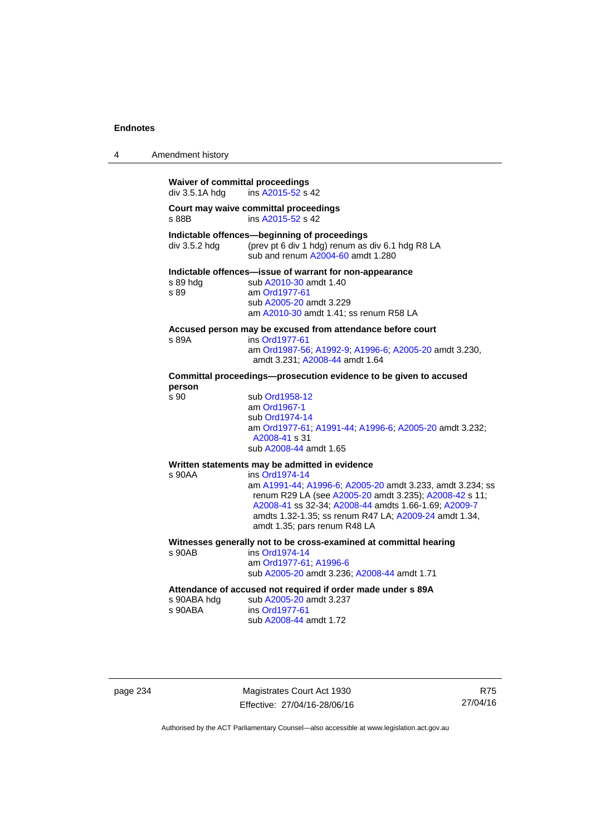| 4 | Amendment history                                        |                                                                                                                                                                                                                                                                                        |
|---|----------------------------------------------------------|----------------------------------------------------------------------------------------------------------------------------------------------------------------------------------------------------------------------------------------------------------------------------------------|
|   | <b>Waiver of committal proceedings</b><br>div 3.5.1A hdg | ins A2015-52 s 42                                                                                                                                                                                                                                                                      |
|   | s 88B                                                    | Court may waive committal proceedings<br>ins A2015-52 s 42                                                                                                                                                                                                                             |
|   | div 3.5.2 hdg                                            | Indictable offences-beginning of proceedings<br>(prev pt 6 div 1 hdg) renum as div 6.1 hdg R8 LA<br>sub and renum A2004-60 amdt 1.280                                                                                                                                                  |
|   | s 89 hda<br>s 89                                         | Indictable offences-issue of warrant for non-appearance<br>sub A2010-30 amdt 1.40<br>am Ord1977-61<br>sub A2005-20 amdt 3.229<br>am A2010-30 amdt 1.41; ss renum R58 LA                                                                                                                |
|   | s 89A                                                    | Accused person may be excused from attendance before court<br>ins Ord1977-61<br>am Ord1987-56; A1992-9; A1996-6; A2005-20 amdt 3.230,<br>amdt 3.231; A2008-44 amdt 1.64                                                                                                                |
|   | person                                                   | Committal proceedings--prosecution evidence to be given to accused                                                                                                                                                                                                                     |
|   | s 90                                                     | sub Ord1958-12<br>am Ord1967-1<br>sub Ord1974-14<br>am Ord1977-61, A1991-44, A1996-6; A2005-20 amdt 3.232;<br>A2008-41 s 31<br>sub A2008-44 amdt 1.65                                                                                                                                  |
|   |                                                          | Written statements may be admitted in evidence                                                                                                                                                                                                                                         |
|   | s 90AA                                                   | ins Ord1974-14<br>am A1991-44; A1996-6; A2005-20 amdt 3.233, amdt 3.234; ss<br>renum R29 LA (see A2005-20 amdt 3.235); A2008-42 s 11;<br>A2008-41 ss 32-34; A2008-44 amdts 1.66-1.69; A2009-7<br>amdts 1.32-1.35; ss renum R47 LA; A2009-24 amdt 1.34,<br>amdt 1.35; pars renum R48 LA |
|   | s 90AB                                                   | Witnesses generally not to be cross-examined at committal hearing<br>ins Ord1974-14<br>am Ord1977-61; A1996-6<br>sub A2005-20 amdt 3.236; A2008-44 amdt 1.71                                                                                                                           |
|   | s 90ABA hdg<br>s 90ABA                                   | Attendance of accused not required if order made under s 89A<br>sub A2005-20 amdt 3.237<br>ins Ord1977-61<br>sub A2008-44 amdt 1.72                                                                                                                                                    |

page 234 Magistrates Court Act 1930 Effective: 27/04/16-28/06/16

R75 27/04/16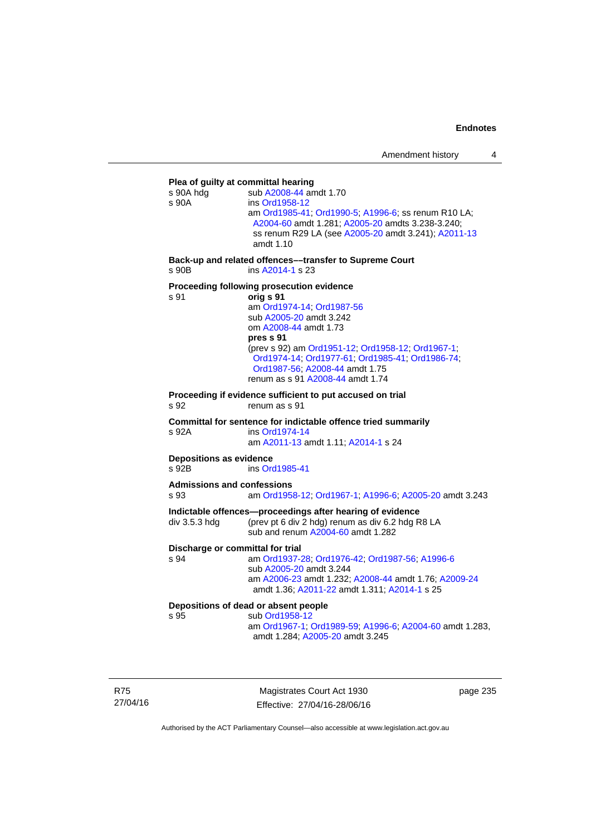# **Plea of guilty at committal hearing**  s 90A hdg sub [A2008-44](http://www.legislation.act.gov.au/a/2008-44) amdt 1.70 s 90A ins [Ord1958-12](http://www.legislation.act.gov.au/a/1958-12) am [Ord1985-41](http://www.legislation.act.gov.au/a/1985-41); [Ord1990-5](http://www.legislation.act.gov.au/a/alt_ord1990-5); [A1996-6](http://www.legislation.act.gov.au/a/1996-6); ss renum R10 LA; [A2004-60](http://www.legislation.act.gov.au/a/2004-60) amdt 1.281; [A2005-20](http://www.legislation.act.gov.au/a/2005-20) amdts 3.238-3.240; ss renum R29 LA (see [A2005-20](http://www.legislation.act.gov.au/a/2005-20) amdt 3.241); [A2011-13](http://www.legislation.act.gov.au/a/2011-13) amdt 1.10 **Back-up and related offences––transfer to Supreme Court**  s 90B ins [A2014-1](http://www.legislation.act.gov.au/a/2014-1) s 23 **Proceeding following prosecution evidence**  s 91 **orig s 91** am [Ord1974-14](http://www.legislation.act.gov.au/a/1974-14); [Ord1987-56](http://www.legislation.act.gov.au/a/1987-56) sub [A2005-20](http://www.legislation.act.gov.au/a/2005-20) amdt 3.242 om [A2008-44](http://www.legislation.act.gov.au/a/2008-44) amdt 1.73 **pres s 91** (prev s 92) am [Ord1951-12;](http://www.legislation.act.gov.au/a/1951-12) [Ord1958-12;](http://www.legislation.act.gov.au/a/1958-12) [Ord1967-1;](http://www.legislation.act.gov.au/a/1967-1) [Ord1974-14;](http://www.legislation.act.gov.au/a/1974-14) [Ord1977-61](http://www.legislation.act.gov.au/a/1977-61); [Ord1985-41](http://www.legislation.act.gov.au/a/1985-41); [Ord1986-74](http://www.legislation.act.gov.au/a/1986-74); [Ord1987-56;](http://www.legislation.act.gov.au/a/1987-56) [A2008-44](http://www.legislation.act.gov.au/a/2008-44) amdt 1.75 renum as s 91 [A2008-44](http://www.legislation.act.gov.au/a/2008-44) amdt 1.74 **Proceeding if evidence sufficient to put accused on trial**  s 92 renum as s 91 **Committal for sentence for indictable offence tried summarily**  s 92A ins [Ord1974-14](http://www.legislation.act.gov.au/a/1974-14) am [A2011-13](http://www.legislation.act.gov.au/a/2011-13) amdt 1.11; [A2014-1](http://www.legislation.act.gov.au/a/2014-1) s 24 **Depositions as evidence**  s 92B ins [Ord1985-41](http://www.legislation.act.gov.au/a/1985-41) **Admissions and confessions**  s 93 am [Ord1958-12](http://www.legislation.act.gov.au/a/1958-12); [Ord1967-1](http://www.legislation.act.gov.au/a/1967-1); [A1996-6](http://www.legislation.act.gov.au/a/1996-6); [A2005-20](http://www.legislation.act.gov.au/a/2005-20) amdt 3.243 **Indictable offences—proceedings after hearing of evidence**  div 3.5.3 hdg (prev pt 6 div 2 hdg) renum as div 6.2 hdg R8 LA sub and renum [A2004-60](http://www.legislation.act.gov.au/a/2004-60) amdt 1.282 **Discharge or committal for trial**  s 94 am [Ord1937-28](http://www.legislation.act.gov.au/a/1937-28); [Ord1976-42](http://www.legislation.act.gov.au/a/1976-42); [Ord1987-56](http://www.legislation.act.gov.au/a/1987-56); [A1996-6](http://www.legislation.act.gov.au/a/1996-6) sub [A2005-20](http://www.legislation.act.gov.au/a/2005-20) amdt 3.244 am [A2006-23](http://www.legislation.act.gov.au/a/2006-23) amdt 1.232; [A2008-44](http://www.legislation.act.gov.au/a/2008-44) amdt 1.76; [A2009-24](http://www.legislation.act.gov.au/a/2009-24) amdt 1.36; [A2011-22](http://www.legislation.act.gov.au/a/2011-22) amdt 1.311; [A2014-1](http://www.legislation.act.gov.au/a/2014-1) s 25 **Depositions of dead or absent people**  sub [Ord1958-12](http://www.legislation.act.gov.au/a/1958-12) am [Ord1967-1;](http://www.legislation.act.gov.au/a/1967-1) [Ord1989-59](http://www.legislation.act.gov.au/a/1989-59); [A1996-6](http://www.legislation.act.gov.au/a/1996-6); [A2004-60](http://www.legislation.act.gov.au/a/2004-60) amdt 1.283, amdt 1.284; [A2005-20](http://www.legislation.act.gov.au/a/2005-20) amdt 3.245

R75 27/04/16

Magistrates Court Act 1930 Effective: 27/04/16-28/06/16 page 235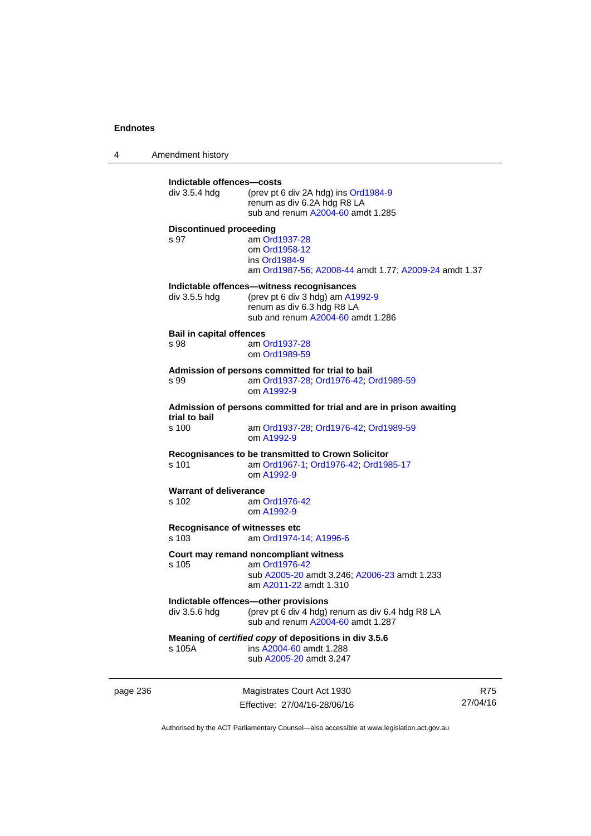4 Amendment history page 236 Magistrates Court Act 1930 27/04/16 **Indictable offences—costs**  div 3.5.4 hdg (prev pt 6 div 2A hdg) ins [Ord1984-9](http://www.legislation.act.gov.au/a/1984-9) renum as div 6.2A hdg R8 LA sub and renum [A2004-60](http://www.legislation.act.gov.au/a/2004-60) amdt 1.285 **Discontinued proceeding**  s 97 am [Ord1937-28](http://www.legislation.act.gov.au/a/1937-28) om [Ord1958-12](http://www.legislation.act.gov.au/a/1958-12) ins [Ord1984-9](http://www.legislation.act.gov.au/a/1984-9) am [Ord1987-56](http://www.legislation.act.gov.au/a/1987-56); [A2008-44](http://www.legislation.act.gov.au/a/2008-44) amdt 1.77; [A2009-24](http://www.legislation.act.gov.au/a/2009-24) amdt 1.37 **Indictable offences—witness recognisances**  div 3.5.5 hdg (prev pt 6 div 3 hdg) am [A1992-9](http://www.legislation.act.gov.au/a/1992-9) renum as div 6.3 hdg R8 LA sub and renum [A2004-60](http://www.legislation.act.gov.au/a/2004-60) amdt 1.286 **Bail in capital offences**  s 98 am [Ord1937-28](http://www.legislation.act.gov.au/a/1937-28) om [Ord1989-59](http://www.legislation.act.gov.au/a/1989-59) **Admission of persons committed for trial to bail**  s 99 am [Ord1937-28](http://www.legislation.act.gov.au/a/1937-28); [Ord1976-42](http://www.legislation.act.gov.au/a/1976-42); [Ord1989-59](http://www.legislation.act.gov.au/a/1989-59) om [A1992-9](http://www.legislation.act.gov.au/a/1992-9) **Admission of persons committed for trial and are in prison awaiting trial to bail**  am [Ord1937-28](http://www.legislation.act.gov.au/a/1937-28); [Ord1976-42;](http://www.legislation.act.gov.au/a/1976-42) [Ord1989-59](http://www.legislation.act.gov.au/a/1989-59) om [A1992-9](http://www.legislation.act.gov.au/a/1992-9) **Recognisances to be transmitted to Crown Solicitor**  s 101 am [Ord1967-1;](http://www.legislation.act.gov.au/a/1967-1) [Ord1976-42](http://www.legislation.act.gov.au/a/1976-42); [Ord1985-17](http://www.legislation.act.gov.au/a/1985-17) om [A1992-9](http://www.legislation.act.gov.au/a/1992-9) **Warrant of deliverance**  s 102 am [Ord1976-42](http://www.legislation.act.gov.au/a/1976-42) om [A1992-9](http://www.legislation.act.gov.au/a/1992-9) **Recognisance of witnesses etc**  am [Ord1974-14](http://www.legislation.act.gov.au/a/1974-14); [A1996-6](http://www.legislation.act.gov.au/a/1996-6) **Court may remand noncompliant witness**  s 105 am [Ord1976-42](http://www.legislation.act.gov.au/a/1976-42) sub [A2005-20](http://www.legislation.act.gov.au/a/2005-20) amdt 3.246; [A2006-23](http://www.legislation.act.gov.au/a/2006-23) amdt 1.233 am [A2011-22](http://www.legislation.act.gov.au/a/2011-22) amdt 1.310 **Indictable offences—other provisions**  div 3.5.6 hdg (prev pt 6 div 4 hdg) renum as div 6.4 hdg R8 LA sub and renum [A2004-60](http://www.legislation.act.gov.au/a/2004-60) amdt 1.287 **Meaning of** *certified copy* **of depositions in div 3.5.6**  s 105A ins [A2004-60](http://www.legislation.act.gov.au/a/2004-60) amdt 1.288 sub [A2005-20](http://www.legislation.act.gov.au/a/2005-20) amdt 3.247

Authorised by the ACT Parliamentary Counsel—also accessible at www.legislation.act.gov.au

R75

Effective: 27/04/16-28/06/16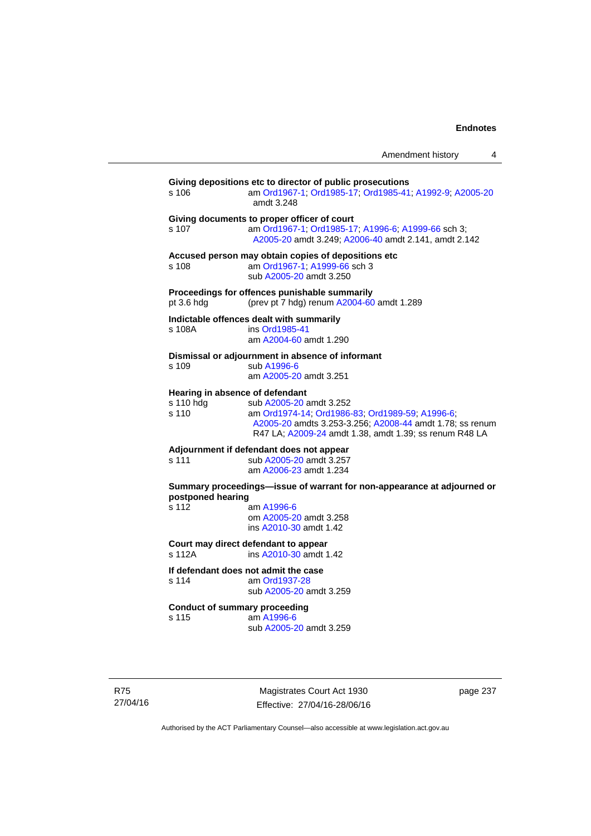| Amendment history |  |
|-------------------|--|
|                   |  |

| s 106              | Giving depositions etc to director of public prosecutions<br>am Ord1967-1; Ord1985-17; Ord1985-41; A1992-9; A2005-20<br>amdt 3.248                                                                                                  |
|--------------------|-------------------------------------------------------------------------------------------------------------------------------------------------------------------------------------------------------------------------------------|
| s 107              | Giving documents to proper officer of court<br>am Ord1967-1, Ord1985-17, A1996-6, A1999-66 sch 3;<br>A2005-20 amdt 3.249; A2006-40 amdt 2.141, amdt 2.142                                                                           |
| s 108              | Accused person may obtain copies of depositions etc<br>am Ord1967-1; A1999-66 sch 3<br>sub A2005-20 amdt 3.250                                                                                                                      |
| pt 3.6 hdg         | Proceedings for offences punishable summarily<br>(prev pt 7 hdg) renum A2004-60 amdt 1.289                                                                                                                                          |
| s 108A             | Indictable offences dealt with summarily<br>ins Ord1985-41<br>am A2004-60 amdt 1.290                                                                                                                                                |
| s 109              | Dismissal or adjournment in absence of informant<br>sub A1996-6<br>am A2005-20 amdt 3.251                                                                                                                                           |
| s 110 hdg<br>s 110 | Hearing in absence of defendant<br>sub A2005-20 amdt 3.252<br>am Ord1974-14; Ord1986-83; Ord1989-59; A1996-6;<br>A2005-20 amdts 3.253-3.256; A2008-44 amdt 1.78; ss renum<br>R47 LA; A2009-24 amdt 1.38, amdt 1.39; ss renum R48 LA |
| s 111              | Adjournment if defendant does not appear<br>sub A2005-20 amdt 3.257<br>am A2006-23 amdt 1.234                                                                                                                                       |
| postponed hearing  | Summary proceedings-issue of warrant for non-appearance at adjourned or                                                                                                                                                             |
| s 112              | am A1996-6<br>om A2005-20 amdt 3.258<br>ins A2010-30 amdt 1.42                                                                                                                                                                      |
| s 112A             | Court may direct defendant to appear<br>ins A2010-30 amdt 1.42                                                                                                                                                                      |
| s 114              | If defendant does not admit the case<br>am Ord1937-28<br>sub A2005-20 amdt 3.259                                                                                                                                                    |
| s 115              | <b>Conduct of summary proceeding</b><br>am A1996-6<br>sub A2005-20 amdt 3.259                                                                                                                                                       |

R75 27/04/16

Magistrates Court Act 1930 Effective: 27/04/16-28/06/16 page 237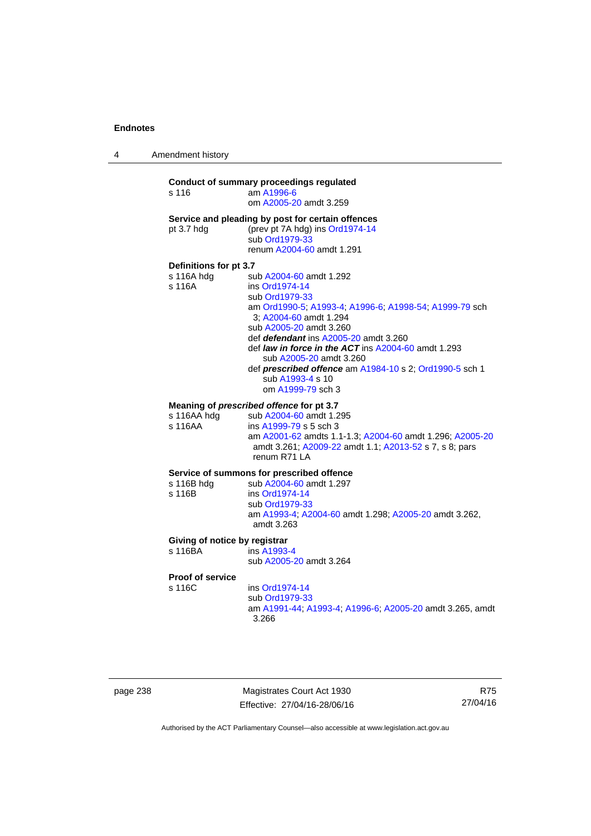4 Amendment history

## **Conduct of summary proceedings regulated**  s 116 am [A1996-6](http://www.legislation.act.gov.au/a/1996-6) om [A2005-20](http://www.legislation.act.gov.au/a/2005-20) amdt 3.259 **Service and pleading by post for certain offences**  pt 3.7 hdg (prev pt 7A hdg) ins [Ord1974-14](http://www.legislation.act.gov.au/a/1974-14) sub [Ord1979-33](http://www.legislation.act.gov.au/a/1979-33) renum [A2004-60](http://www.legislation.act.gov.au/a/2004-60) amdt 1.291 **Definitions for pt 3.7**  sub [A2004-60](http://www.legislation.act.gov.au/a/2004-60) amdt 1.292 s 116A ins [Ord1974-14](http://www.legislation.act.gov.au/a/1974-14) sub [Ord1979-33](http://www.legislation.act.gov.au/a/1979-33) am [Ord1990-5;](http://www.legislation.act.gov.au/a/alt_ord1990-5) [A1993-4](http://www.legislation.act.gov.au/a/1993-4); [A1996-6](http://www.legislation.act.gov.au/a/1996-6); [A1998-54](http://www.legislation.act.gov.au/a/1998-54); [A1999-79](http://www.legislation.act.gov.au/a/1999-79) sch 3; [A2004-60](http://www.legislation.act.gov.au/a/2004-60) amdt 1.294 sub [A2005-20](http://www.legislation.act.gov.au/a/2005-20) amdt 3.260 def *defendant* ins [A2005-20](http://www.legislation.act.gov.au/a/2005-20) amdt 3.260 def *law in force in the ACT* ins [A2004-60](http://www.legislation.act.gov.au/a/2004-60) amdt 1.293 sub [A2005-20](http://www.legislation.act.gov.au/a/2005-20) amdt 3.260 def *prescribed offence* am [A1984-10](http://www.legislation.act.gov.au/a/1984-10) s 2; [Ord1990-5](http://www.legislation.act.gov.au/a/alt_ord1990-5) sch 1 sub [A1993-4](http://www.legislation.act.gov.au/a/1993-4) s 10 om [A1999-79](http://www.legislation.act.gov.au/a/1999-79) sch 3 **Meaning of** *prescribed offence* **for pt 3.7**  s 116AA hdg sub [A2004-60](http://www.legislation.act.gov.au/a/2004-60) amdt 1.295 s 116AA ins [A1999-79](http://www.legislation.act.gov.au/a/1999-79) s 5 sch 3 am [A2001-62](http://www.legislation.act.gov.au/a/2001-62) amdts 1.1-1.3; [A2004-60](http://www.legislation.act.gov.au/a/2004-60) amdt 1.296; [A2005-20](http://www.legislation.act.gov.au/a/2005-20) amdt 3.261; [A2009-22](http://www.legislation.act.gov.au/a/2009-22) amdt 1.1; [A2013-52](http://www.legislation.act.gov.au/a/2013-52) s 7, s 8; pars renum R71 LA **Service of summons for prescribed offence**  s 116B hdg sub [A2004-60](http://www.legislation.act.gov.au/a/2004-60) amdt 1.297<br>s 116B ins Ord1974-14 ins [Ord1974-14](http://www.legislation.act.gov.au/a/1974-14) sub [Ord1979-33](http://www.legislation.act.gov.au/a/1979-33) am [A1993-4;](http://www.legislation.act.gov.au/a/1993-4) [A2004-60](http://www.legislation.act.gov.au/a/2004-60) amdt 1.298; [A2005-20](http://www.legislation.act.gov.au/a/2005-20) amdt 3.262, amdt 3.263 **Giving of notice by registrar**  s 116BA ins [A1993-4](http://www.legislation.act.gov.au/a/1993-4) sub [A2005-20](http://www.legislation.act.gov.au/a/2005-20) amdt 3.264 **Proof of service**

s 116C ins [Ord1974-14](http://www.legislation.act.gov.au/a/1974-14)

 sub [Ord1979-33](http://www.legislation.act.gov.au/a/1979-33) am [A1991-44](http://www.legislation.act.gov.au/a/1991-44); [A1993-4](http://www.legislation.act.gov.au/a/1993-4); [A1996-6](http://www.legislation.act.gov.au/a/1996-6); [A2005-20](http://www.legislation.act.gov.au/a/2005-20) amdt 3.265, amdt 3.266

| page 238 |  |
|----------|--|
|----------|--|

page 238 Magistrates Court Act 1930 Effective: 27/04/16-28/06/16

R75 27/04/16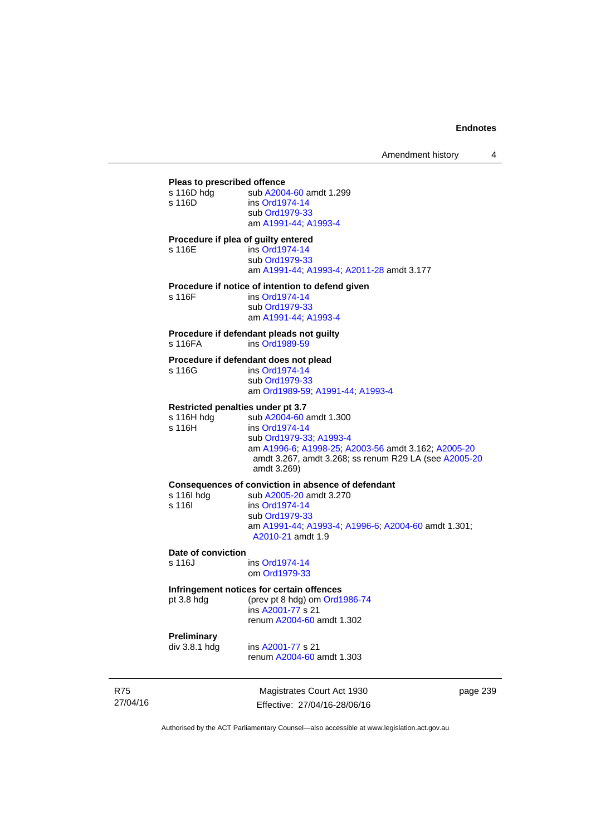| Pleas to prescribed offence                                      |                                                                                                                                                                                                     |
|------------------------------------------------------------------|-----------------------------------------------------------------------------------------------------------------------------------------------------------------------------------------------------|
| s 116D hdg<br>s 116D                                             | sub A2004-60 amdt 1.299<br>ins Ord1974-14<br>sub Ord1979-33<br>am A1991-44, A1993-4                                                                                                                 |
| Procedure if plea of guilty entered<br>s 116E                    | ins Ord1974-14<br>sub Ord1979-33<br>am A1991-44; A1993-4; A2011-28 amdt 3.177                                                                                                                       |
| s 116F                                                           | Procedure if notice of intention to defend given<br>ins Ord1974-14<br>sub Ord1979-33<br>am A1991-44, A1993-4                                                                                        |
| s 116FA                                                          | Procedure if defendant pleads not guilty<br>ins Ord1989-59                                                                                                                                          |
| s 116G                                                           | Procedure if defendant does not plead<br>ins Ord1974-14<br>sub Ord1979-33<br>am Ord1989-59; A1991-44; A1993-4                                                                                       |
| <b>Restricted penalties under pt 3.7</b><br>s 116H hda<br>s 116H | sub A2004-60 amdt 1.300<br>ins Ord1974-14<br>sub Ord1979-33, A1993-4<br>am A1996-6; A1998-25; A2003-56 amdt 3.162; A2005-20<br>amdt 3.267, amdt 3.268; ss renum R29 LA (see A2005-20<br>amdt 3.269) |
| s 116l hdg<br>s 116l                                             | Consequences of conviction in absence of defendant<br>sub A2005-20 amdt 3.270<br>ins Ord1974-14<br>sub Ord1979-33<br>am A1991-44, A1993-4, A1996-6, A2004-60 amdt 1.301;<br>A2010-21 amdt 1.9       |
| Date of conviction<br>s 116J                                     | ins Ord1974-14<br>om Ord1979-33                                                                                                                                                                     |
|                                                                  | Infringement notices for certain offenses                                                                                                                                                           |

**Infringement notices for certain offences**<br>pt 3.8 hdg (prev pt 8 hdg) om Ord1 (prev pt 8 hdg) om [Ord1986-74](http://www.legislation.act.gov.au/a/1986-74)

 ins [A2001-77](http://www.legislation.act.gov.au/a/2001-77) s 21 renum [A2004-60](http://www.legislation.act.gov.au/a/2004-60) amdt 1.302

# **Preliminary**

ins [A2001-77](http://www.legislation.act.gov.au/a/2001-77) s 21

renum [A2004-60](http://www.legislation.act.gov.au/a/2004-60) amdt 1.303

R75 27/04/16

Magistrates Court Act 1930 Effective: 27/04/16-28/06/16 page 239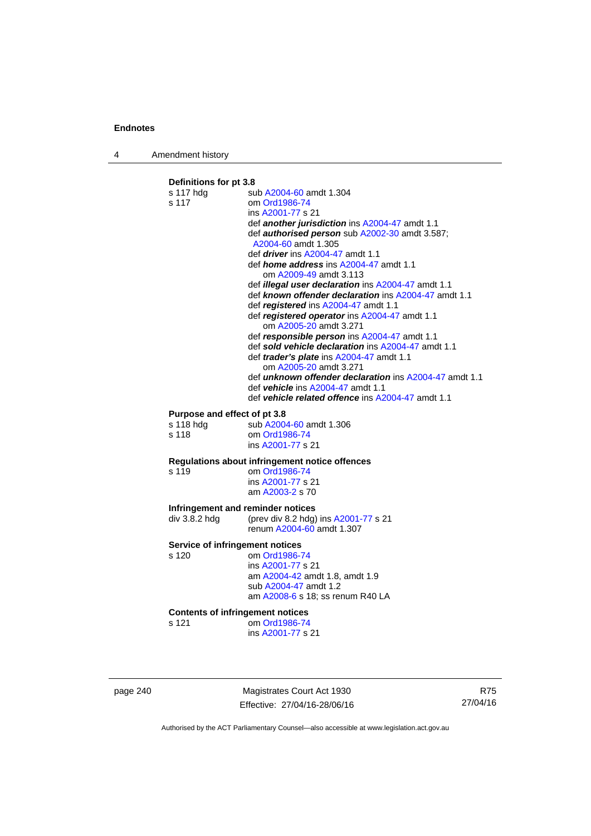4 Amendment history

## **Definitions for pt 3.8**  s 117 hdg sub [A2004-60](http://www.legislation.act.gov.au/a/2004-60) amdt 1.304 s 117 om [Ord1986-74](http://www.legislation.act.gov.au/a/1986-74) ins [A2001-77](http://www.legislation.act.gov.au/a/2001-77) s 21 def *another jurisdiction* ins [A2004-47](http://www.legislation.act.gov.au/a/2004-47) amdt 1.1 def *authorised person* sub [A2002-30](http://www.legislation.act.gov.au/a/2002-30) amdt 3.587; [A2004-60](http://www.legislation.act.gov.au/a/2004-60) amdt 1.305 def *driver* ins [A2004-47](http://www.legislation.act.gov.au/a/2004-47) amdt 1.1 def *home address* ins [A2004-47](http://www.legislation.act.gov.au/a/2004-47) amdt 1.1 om [A2009-49](http://www.legislation.act.gov.au/a/2009-49) amdt 3.113 def *illegal user declaration* ins [A2004-47](http://www.legislation.act.gov.au/a/2004-47) amdt 1.1 def *known offender declaration* ins [A2004-47](http://www.legislation.act.gov.au/a/2004-47) amdt 1.1 def *registered* ins [A2004-47](http://www.legislation.act.gov.au/a/2004-47) amdt 1.1 def *registered operator* ins [A2004-47](http://www.legislation.act.gov.au/a/2004-47) amdt 1.1 om [A2005-20](http://www.legislation.act.gov.au/a/2005-20) amdt 3.271 def *responsible person* ins [A2004-47](http://www.legislation.act.gov.au/a/2004-47) amdt 1.1 def *sold vehicle declaration* ins [A2004-47](http://www.legislation.act.gov.au/a/2004-47) amdt 1.1 def *trader's plate* ins [A2004-47](http://www.legislation.act.gov.au/a/2004-47) amdt 1.1 om [A2005-20](http://www.legislation.act.gov.au/a/2005-20) amdt 3.271 def *unknown offender declaration* ins [A2004-47](http://www.legislation.act.gov.au/a/2004-47) amdt 1.1 def *vehicle* ins [A2004-47](http://www.legislation.act.gov.au/a/2004-47) amdt 1.1 def *vehicle related offence* ins [A2004-47](http://www.legislation.act.gov.au/a/2004-47) amdt 1.1 **Purpose and effect of pt 3.8**<br>s 118 hdg sub A2004 sub [A2004-60](http://www.legislation.act.gov.au/a/2004-60) amdt 1.306 s 118 om [Ord1986-74](http://www.legislation.act.gov.au/a/1986-74) ins [A2001-77](http://www.legislation.act.gov.au/a/2001-77) s 21 **Regulations about infringement notice offences**  om [Ord1986-74](http://www.legislation.act.gov.au/a/1986-74) ins [A2001-77](http://www.legislation.act.gov.au/a/2001-77) s 21 am [A2003-2](http://www.legislation.act.gov.au/a/2003-2) s 70 **Infringement and reminder notices<br>
div 3.8.2 hdg (prev div 8.2 hdg)** (prev div 8.2 hdg) ins  $A2001-77$  s 21 renum [A2004-60](http://www.legislation.act.gov.au/a/2004-60) amdt 1.307 **Service of infringement notices**  s 120 om [Ord1986-74](http://www.legislation.act.gov.au/a/1986-74) ins [A2001-77](http://www.legislation.act.gov.au/a/2001-77) s 21 am [A2004-42](http://www.legislation.act.gov.au/a/2004-42) amdt 1.8, amdt 1.9 sub [A2004-47](http://www.legislation.act.gov.au/a/2004-47) amdt 1.2 am [A2008-6](http://www.legislation.act.gov.au/a/2008-6) s 18; ss renum R40 LA **Contents of infringement notices**  s 121 om [Ord1986-74](http://www.legislation.act.gov.au/a/1986-74) ins [A2001-77](http://www.legislation.act.gov.au/a/2001-77) s 21

page 240 Magistrates Court Act 1930 Effective: 27/04/16-28/06/16

R75 27/04/16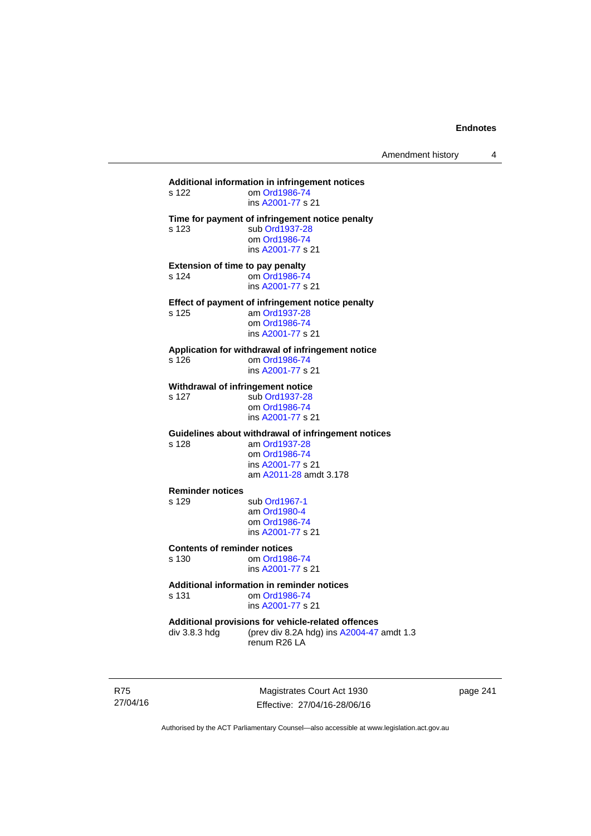## **Additional information in infringement notices**  om [Ord1986-74](http://www.legislation.act.gov.au/a/1986-74) ins [A2001-77](http://www.legislation.act.gov.au/a/2001-77) s 21 **Time for payment of infringement notice penalty**  s 123 sub [Ord1937-28](http://www.legislation.act.gov.au/a/1937-28) om [Ord1986-74](http://www.legislation.act.gov.au/a/1986-74) ins [A2001-77](http://www.legislation.act.gov.au/a/2001-77) s 21 **Extension of time to pay penalty**  s 124 om [Ord1986-74](http://www.legislation.act.gov.au/a/1986-74) ins [A2001-77](http://www.legislation.act.gov.au/a/2001-77) s 21 **Effect of payment of infringement notice penalty**<br>s 125 am Ord1937-28 am [Ord1937-28](http://www.legislation.act.gov.au/a/1937-28) om [Ord1986-74](http://www.legislation.act.gov.au/a/1986-74) ins [A2001-77](http://www.legislation.act.gov.au/a/2001-77) s 21 **Application for withdrawal of infringement notice**  s 126 om [Ord1986-74](http://www.legislation.act.gov.au/a/1986-74) ins [A2001-77](http://www.legislation.act.gov.au/a/2001-77) s 21 **Withdrawal of infringement notice**<br>s 127 sub Ord1937-28 sub [Ord1937-28](http://www.legislation.act.gov.au/a/1937-28) om [Ord1986-74](http://www.legislation.act.gov.au/a/1986-74) ins [A2001-77](http://www.legislation.act.gov.au/a/2001-77) s 21 **Guidelines about withdrawal of infringement notices**  s 128 am [Ord1937-28](http://www.legislation.act.gov.au/a/1937-28) om [Ord1986-74](http://www.legislation.act.gov.au/a/1986-74) ins [A2001-77](http://www.legislation.act.gov.au/a/2001-77) s 21 am [A2011-28](http://www.legislation.act.gov.au/a/2011-28) amdt 3.178 **Reminder notices**  s 129 sub [Ord1967-1](http://www.legislation.act.gov.au/a/1967-1) am [Ord1980-4](http://www.legislation.act.gov.au/a/1980-4) om [Ord1986-74](http://www.legislation.act.gov.au/a/1986-74) ins [A2001-77](http://www.legislation.act.gov.au/a/2001-77) s 21 **Contents of reminder notices**  om [Ord1986-74](http://www.legislation.act.gov.au/a/1986-74) ins [A2001-77](http://www.legislation.act.gov.au/a/2001-77) s 21 **Additional information in reminder notices**  s 131 om [Ord1986-74](http://www.legislation.act.gov.au/a/1986-74) ins [A2001-77](http://www.legislation.act.gov.au/a/2001-77) s 21 **Additional provisions for vehicle-related offences**  div 3.8.3 hdg (prev div 8.2A hdg) ins [A2004-47](http://www.legislation.act.gov.au/a/2004-47) amdt 1.3 renum R26 LA

R75 27/04/16

Magistrates Court Act 1930 Effective: 27/04/16-28/06/16 page 241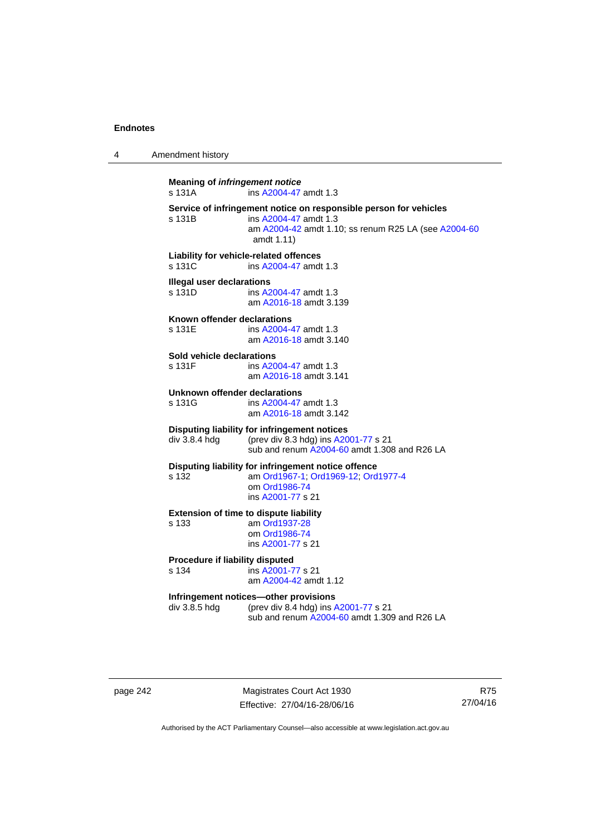4 Amendment history

**Meaning of** *infringement notice* s 131A ins [A2004-47](http://www.legislation.act.gov.au/a/2004-47) amdt 1.3 **Service of infringement notice on responsible person for vehicles**  ins [A2004-47](http://www.legislation.act.gov.au/a/2004-47) amdt 1.3 am [A2004-42](http://www.legislation.act.gov.au/a/2004-42) amdt 1.10; ss renum R25 LA (see [A2004-60](http://www.legislation.act.gov.au/a/2004-60) amdt 1.11) **Liability for vehicle-related offences**  s 131C ins [A2004-47](http://www.legislation.act.gov.au/a/2004-47) amdt 1.3 **Illegal user declarations**  s 131D ins [A2004-47](http://www.legislation.act.gov.au/a/2004-47) amdt 1.3 am [A2016-18](http://www.legislation.act.gov.au/a/2016-18/default.asp) amdt 3.139 **Known offender declarations**  s 131E ins [A2004-47](http://www.legislation.act.gov.au/a/2004-47) amdt 1.3 am [A2016-18](http://www.legislation.act.gov.au/a/2016-18/default.asp) amdt 3.140 **Sold vehicle declarations**  ins [A2004-47](http://www.legislation.act.gov.au/a/2004-47) amdt 1.3 am [A2016-18](http://www.legislation.act.gov.au/a/2016-18/default.asp) amdt 3.141 **Unknown offender declarations**  s 131G ins [A2004-47](http://www.legislation.act.gov.au/a/2004-47) amdt 1.3 am [A2016-18](http://www.legislation.act.gov.au/a/2016-18/default.asp) amdt 3.142 **Disputing liability for infringement notices**  div 3.8.4 hdg (prev div 8.3 hdg) ins [A2001-77](http://www.legislation.act.gov.au/a/2001-77) s 21 sub and renum [A2004-60](http://www.legislation.act.gov.au/a/2004-60) amdt 1.308 and R26 LA **Disputing liability for infringement notice offence**  s 132 am [Ord1967-1;](http://www.legislation.act.gov.au/a/1967-1) [Ord1969-12](http://www.legislation.act.gov.au/a/1969-12); [Ord1977-4](http://www.legislation.act.gov.au/a/1977-4) om [Ord1986-74](http://www.legislation.act.gov.au/a/1986-74) ins [A2001-77](http://www.legislation.act.gov.au/a/2001-77) s 21 **Extension of time to dispute liability**  s 133 am [Ord1937-28](http://www.legislation.act.gov.au/a/1937-28) om [Ord1986-74](http://www.legislation.act.gov.au/a/1986-74) ins [A2001-77](http://www.legislation.act.gov.au/a/2001-77) s 21 **Procedure if liability disputed**  s 134 ins [A2001-77](http://www.legislation.act.gov.au/a/2001-77) s 21 am [A2004-42](http://www.legislation.act.gov.au/a/2004-42) amdt 1.12 **Infringement notices—other provisions**  div 3.8.5 hdg (prev div 8.4 hdg) ins [A2001-77](http://www.legislation.act.gov.au/a/2001-77) s 21 sub and renum [A2004-60](http://www.legislation.act.gov.au/a/2004-60) amdt 1.309 and R26 LA

page 242 Magistrates Court Act 1930 Effective: 27/04/16-28/06/16

R75 27/04/16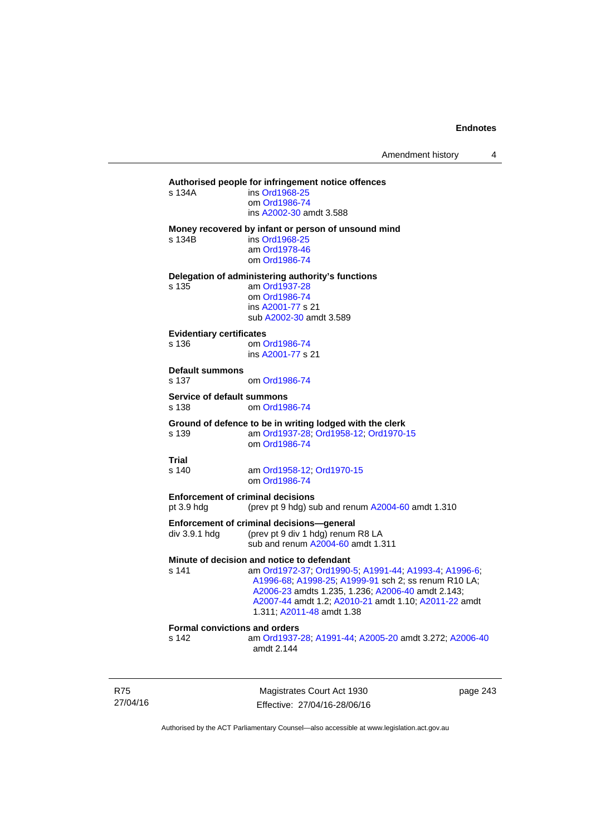## **Authorised people for infringement notice offences**

| s 134A | ins Ord1968-25          |
|--------|-------------------------|
|        | om Ord1986-74           |
|        | ins A2002-30 amdt 3.588 |
|        |                         |

#### **Money recovered by infant or person of unsound mind**

s 134B ins [Ord1968-25](http://www.legislation.act.gov.au/a/1968-25)

 am [Ord1978-46](http://www.legislation.act.gov.au/a/1978-46) om [Ord1986-74](http://www.legislation.act.gov.au/a/1986-74)

**Delegation of administering authority's functions** 

s 135 am [Ord1937-28](http://www.legislation.act.gov.au/a/1937-28) om [Ord1986-74](http://www.legislation.act.gov.au/a/1986-74) ins [A2001-77](http://www.legislation.act.gov.au/a/2001-77) s 21 sub [A2002-30](http://www.legislation.act.gov.au/a/2002-30) amdt 3.589

#### **Evidentiary certificates**

s 136 om [Ord1986-74](http://www.legislation.act.gov.au/a/1986-74) ins [A2001-77](http://www.legislation.act.gov.au/a/2001-77) s 21

#### **Default summons**

s 137 om [Ord1986-74](http://www.legislation.act.gov.au/a/1986-74)

#### **Service of default summons**

s 138 om [Ord1986-74](http://www.legislation.act.gov.au/a/1986-74)

### **Ground of defence to be in writing lodged with the clerk**

s 139 am [Ord1937-28](http://www.legislation.act.gov.au/a/1937-28); [Ord1958-12;](http://www.legislation.act.gov.au/a/1958-12) [Ord1970-15](http://www.legislation.act.gov.au/a/1970-15) om [Ord1986-74](http://www.legislation.act.gov.au/a/1986-74)

## **Trial**

s 140 am [Ord1958-12](http://www.legislation.act.gov.au/a/1958-12); [Ord1970-15](http://www.legislation.act.gov.au/a/1970-15) om [Ord1986-74](http://www.legislation.act.gov.au/a/1986-74)

**Enforcement of criminal decisions** 

pt 3.9 hdg (prev pt 9 hdg) sub and renum [A2004-60](http://www.legislation.act.gov.au/a/2004-60) amdt 1.310

#### **Enforcement of criminal decisions—general**

div 3.9.1 hdg (prev pt 9 div 1 hdg) renum R8 LA sub and renum [A2004-60](http://www.legislation.act.gov.au/a/2004-60) amdt 1.311

## **Minute of decision and notice to defendant**

s 141 am [Ord1972-37](http://www.legislation.act.gov.au/a/1972-37); [Ord1990-5](http://www.legislation.act.gov.au/a/alt_ord1990-5); [A1991-44](http://www.legislation.act.gov.au/a/1991-44); [A1993-4](http://www.legislation.act.gov.au/a/1993-4); [A1996-6](http://www.legislation.act.gov.au/a/1996-6); [A1996-68;](http://www.legislation.act.gov.au/a/1996-68) [A1998-25](http://www.legislation.act.gov.au/a/1998-25); [A1999-91](http://www.legislation.act.gov.au/a/1999-91) sch 2; ss renum R10 LA; [A2006-23](http://www.legislation.act.gov.au/a/2006-23) amdts 1.235, 1.236; [A2006-40](http://www.legislation.act.gov.au/a/2006-40) amdt 2.143; [A2007-44](http://www.legislation.act.gov.au/a/2007-44) amdt 1.2; [A2010-21](http://www.legislation.act.gov.au/a/2010-21) amdt 1.10; [A2011-22](http://www.legislation.act.gov.au/a/2011-22) amdt 1.311; [A2011-48](http://www.legislation.act.gov.au/a/2011-48) amdt 1.38

## **Formal convictions and orders**

s 142 am [Ord1937-28](http://www.legislation.act.gov.au/a/1937-28); [A1991-44;](http://www.legislation.act.gov.au/a/1991-44) [A2005-20](http://www.legislation.act.gov.au/a/2005-20) amdt 3.272; [A2006-40](http://www.legislation.act.gov.au/a/2006-40) amdt 2.144

R75 27/04/16

Magistrates Court Act 1930 Effective: 27/04/16-28/06/16 page 243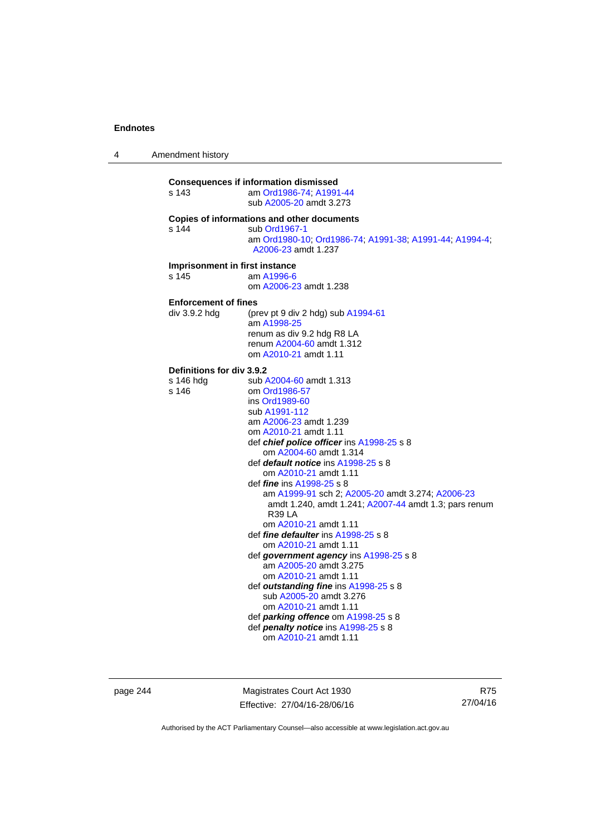4 Amendment history

| s 143                                                  | <b>Consequences if information dismissed</b><br>am Ord1986-74; A1991-44<br>sub A2005-20 amdt 3.273                                                                                                                                                                                                                                                                                                                                                                                                                                                                                                                                                                                                                                                                                                                                                          |
|--------------------------------------------------------|-------------------------------------------------------------------------------------------------------------------------------------------------------------------------------------------------------------------------------------------------------------------------------------------------------------------------------------------------------------------------------------------------------------------------------------------------------------------------------------------------------------------------------------------------------------------------------------------------------------------------------------------------------------------------------------------------------------------------------------------------------------------------------------------------------------------------------------------------------------|
| s 144                                                  | Copies of informations and other documents<br>sub Ord1967-1<br>am Ord1980-10, Ord1986-74, A1991-38, A1991-44, A1994-4,<br>A2006-23 amdt 1.237                                                                                                                                                                                                                                                                                                                                                                                                                                                                                                                                                                                                                                                                                                               |
| Imprisonment in first instance<br>s 145                | am A1996-6<br>om A2006-23 amdt 1.238                                                                                                                                                                                                                                                                                                                                                                                                                                                                                                                                                                                                                                                                                                                                                                                                                        |
| <b>Enforcement of fines</b><br>div 3.9.2 hda           | (prev pt 9 div 2 hdg) sub A1994-61<br>am A1998-25<br>renum as div 9.2 hdg R8 LA<br>renum A2004-60 amdt 1.312<br>om A2010-21 amdt 1.11                                                                                                                                                                                                                                                                                                                                                                                                                                                                                                                                                                                                                                                                                                                       |
| <b>Definitions for div 3.9.2</b><br>s 146 hdg<br>s 146 | sub A2004-60 amdt 1.313<br>om Ord1986-57<br>ins Ord1989-60<br>sub A1991-112<br>am A2006-23 amdt 1.239<br>om A2010-21 amdt 1.11<br>def <i>chief police officer</i> ins A1998-25 s 8<br>om A2004-60 amdt 1.314<br>def <i>default notice</i> ins A1998-25 s 8<br>om A2010-21 amdt 1.11<br>def <i>fine</i> ins A1998-25 s 8<br>am A1999-91 sch 2; A2005-20 amdt 3.274; A2006-23<br>amdt 1.240, amdt 1.241; A2007-44 amdt 1.3; pars renum<br>R <sub>39</sub> LA<br>om A2010-21 amdt 1.11<br>def fine defaulter ins A1998-25 s 8<br>om A2010-21 amdt 1.11<br>def government agency ins A1998-25 s 8<br>am A2005-20 amdt 3.275<br>om A2010-21 amdt 1.11<br>def outstanding fine ins A1998-25 s 8<br>sub A2005-20 amdt 3.276<br>om A2010-21 amdt 1.11<br>def <i>parking offence</i> om A1998-25 s 8<br>def penalty notice ins A1998-25 s 8<br>om A2010-21 amdt 1.11 |

page 244 Magistrates Court Act 1930 Effective: 27/04/16-28/06/16

R75 27/04/16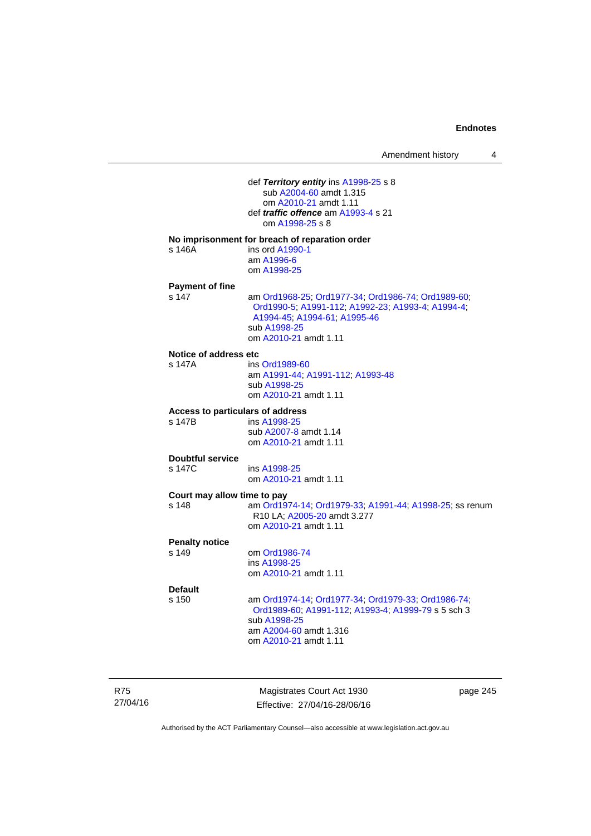| Amendment history |  |
|-------------------|--|
|-------------------|--|

 def *Territory entity* ins [A1998-25](http://www.legislation.act.gov.au/a/1998-25) s 8 sub [A2004-60](http://www.legislation.act.gov.au/a/2004-60) amdt 1.315 om [A2010-21](http://www.legislation.act.gov.au/a/2010-21) amdt 1.11 def *traffic offence* am [A1993-4](http://www.legislation.act.gov.au/a/1993-4) s 21 om [A1998-25](http://www.legislation.act.gov.au/a/1998-25) s 8 **No imprisonment for breach of reparation order**  s 146A ins ord [A1990-1](http://www.legislation.act.gov.au/a/alt_ord1990-1) am [A1996-6](http://www.legislation.act.gov.au/a/1996-6) om [A1998-25](http://www.legislation.act.gov.au/a/1998-25) **Payment of fine**  s 147 am [Ord1968-25](http://www.legislation.act.gov.au/a/1968-25); [Ord1977-34](http://www.legislation.act.gov.au/a/1977-34); [Ord1986-74](http://www.legislation.act.gov.au/a/1986-74); [Ord1989-60](http://www.legislation.act.gov.au/a/1989-60); [Ord1990-5;](http://www.legislation.act.gov.au/a/alt_ord1990-5) [A1991-112;](http://www.legislation.act.gov.au/a/1991-112) [A1992-23](http://www.legislation.act.gov.au/a/1992-23); [A1993-4](http://www.legislation.act.gov.au/a/1993-4); [A1994-4](http://www.legislation.act.gov.au/a/1994-4); [A1994-45;](http://www.legislation.act.gov.au/a/1994-45) [A1994-61](http://www.legislation.act.gov.au/a/1994-61); [A1995-46](http://www.legislation.act.gov.au/a/1995-46) sub [A1998-25](http://www.legislation.act.gov.au/a/1998-25) om [A2010-21](http://www.legislation.act.gov.au/a/2010-21) amdt 1.11 **Notice of address etc**  s 147A ins [Ord1989-60](http://www.legislation.act.gov.au/a/1989-60) am [A1991-44](http://www.legislation.act.gov.au/a/1991-44); [A1991-112](http://www.legislation.act.gov.au/a/1991-112); [A1993-48](http://www.legislation.act.gov.au/a/1993-48) sub [A1998-25](http://www.legislation.act.gov.au/a/1998-25) om [A2010-21](http://www.legislation.act.gov.au/a/2010-21) amdt 1.11 **Access to particulars of address**  ins [A1998-25](http://www.legislation.act.gov.au/a/1998-25) sub [A2007-8](http://www.legislation.act.gov.au/a/2007-8) amdt 1.14 om [A2010-21](http://www.legislation.act.gov.au/a/2010-21) amdt 1.11 **Doubtful service**  s 147C ins [A1998-25](http://www.legislation.act.gov.au/a/1998-25) om [A2010-21](http://www.legislation.act.gov.au/a/2010-21) amdt 1.11 **Court may allow time to pay**  s 148 am [Ord1974-14](http://www.legislation.act.gov.au/a/1974-14); [Ord1979-33](http://www.legislation.act.gov.au/a/1979-33); [A1991-44](http://www.legislation.act.gov.au/a/1991-44); [A1998-25](http://www.legislation.act.gov.au/a/1998-25); ss renum R10 LA; [A2005-20](http://www.legislation.act.gov.au/a/2005-20) amdt 3.277 om [A2010-21](http://www.legislation.act.gov.au/a/2010-21) amdt 1.11 **Penalty notice**  om [Ord1986-74](http://www.legislation.act.gov.au/a/1986-74) ins [A1998-25](http://www.legislation.act.gov.au/a/1998-25) om [A2010-21](http://www.legislation.act.gov.au/a/2010-21) amdt 1.11 **Default**  s 150 am [Ord1974-14](http://www.legislation.act.gov.au/a/1974-14); [Ord1977-34](http://www.legislation.act.gov.au/a/1977-34); [Ord1979-33](http://www.legislation.act.gov.au/a/1979-33); [Ord1986-74](http://www.legislation.act.gov.au/a/1986-74); [Ord1989-60](http://www.legislation.act.gov.au/a/1989-60); [A1991-112](http://www.legislation.act.gov.au/a/1991-112); [A1993-4](http://www.legislation.act.gov.au/a/1993-4); [A1999-79](http://www.legislation.act.gov.au/a/1999-79) s 5 sch 3 sub [A1998-25](http://www.legislation.act.gov.au/a/1998-25) am [A2004-60](http://www.legislation.act.gov.au/a/2004-60) amdt 1.316 om [A2010-21](http://www.legislation.act.gov.au/a/2010-21) amdt 1.11

R75 27/04/16

Magistrates Court Act 1930 Effective: 27/04/16-28/06/16 page 245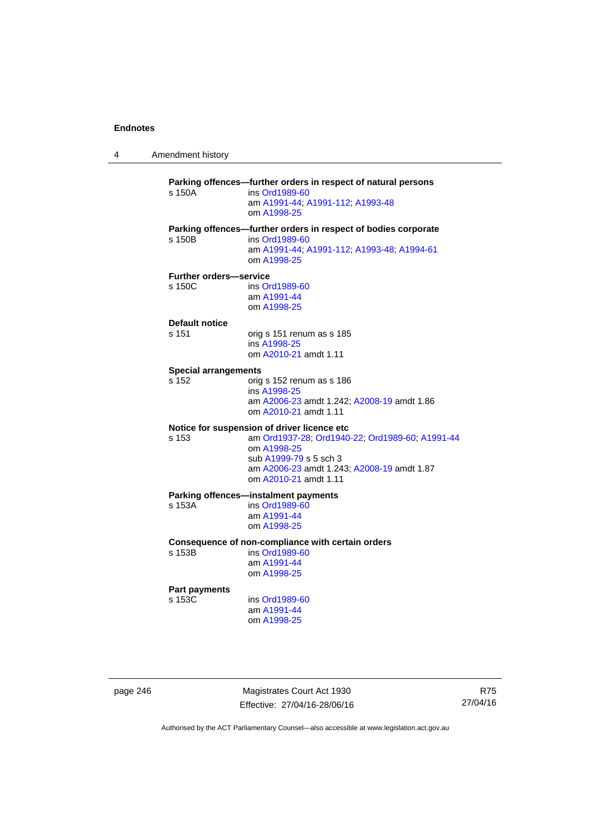4 Amendment history

**Parking offences—further orders in respect of natural persons**  s 150A ins [Ord1989-60](http://www.legislation.act.gov.au/a/1989-60) am [A1991-44](http://www.legislation.act.gov.au/a/1991-44); [A1991-112](http://www.legislation.act.gov.au/a/1991-112); [A1993-48](http://www.legislation.act.gov.au/a/1993-48) om [A1998-25](http://www.legislation.act.gov.au/a/1998-25) **Parking offences—further orders in respect of bodies corporate**  s 150B ins [Ord1989-60](http://www.legislation.act.gov.au/a/1989-60) am [A1991-44](http://www.legislation.act.gov.au/a/1991-44); [A1991-112](http://www.legislation.act.gov.au/a/1991-112); [A1993-48](http://www.legislation.act.gov.au/a/1993-48); [A1994-61](http://www.legislation.act.gov.au/a/1994-61) om [A1998-25](http://www.legislation.act.gov.au/a/1998-25) **Further orders—service**  s 150C ins [Ord1989-60](http://www.legislation.act.gov.au/a/1989-60) am [A1991-44](http://www.legislation.act.gov.au/a/1991-44) om [A1998-25](http://www.legislation.act.gov.au/a/1998-25) **Default notice**  s 151 orig s 151 renum as s 185 ins [A1998-25](http://www.legislation.act.gov.au/a/1998-25) om [A2010-21](http://www.legislation.act.gov.au/a/2010-21) amdt 1.11 **Special arrangements**  s 152 orig s 152 renum as s 186 ins [A1998-25](http://www.legislation.act.gov.au/a/1998-25) am [A2006-23](http://www.legislation.act.gov.au/a/2006-23) amdt 1.242; [A2008-19](http://www.legislation.act.gov.au/a/2008-19) amdt 1.86 om [A2010-21](http://www.legislation.act.gov.au/a/2010-21) amdt 1.11 **Notice for suspension of driver licence etc**  s 153 am [Ord1937-28](http://www.legislation.act.gov.au/a/1937-28); [Ord1940-22](http://www.legislation.act.gov.au/a/1940-22); [Ord1989-60](http://www.legislation.act.gov.au/a/1989-60); [A1991-44](http://www.legislation.act.gov.au/a/1991-44) om [A1998-25](http://www.legislation.act.gov.au/a/1998-25) sub [A1999-79](http://www.legislation.act.gov.au/a/1999-79) s 5 sch 3 am [A2006-23](http://www.legislation.act.gov.au/a/2006-23) amdt 1.243; [A2008-19](http://www.legislation.act.gov.au/a/2008-19) amdt 1.87 om [A2010-21](http://www.legislation.act.gov.au/a/2010-21) amdt 1.11 **Parking offences—instalment payments**<br>s 153A **ins Ord1989-60** ins [Ord1989-60](http://www.legislation.act.gov.au/a/1989-60) am [A1991-44](http://www.legislation.act.gov.au/a/1991-44) om [A1998-25](http://www.legislation.act.gov.au/a/1998-25) **Consequence of non-compliance with certain orders**  ins [Ord1989-60](http://www.legislation.act.gov.au/a/1989-60) am [A1991-44](http://www.legislation.act.gov.au/a/1991-44) om [A1998-25](http://www.legislation.act.gov.au/a/1998-25) **Part payments**  s 153C ins [Ord1989-60](http://www.legislation.act.gov.au/a/1989-60) am [A1991-44](http://www.legislation.act.gov.au/a/1991-44) om [A1998-25](http://www.legislation.act.gov.au/a/1998-25)

page 246 Magistrates Court Act 1930 Effective: 27/04/16-28/06/16

R75 27/04/16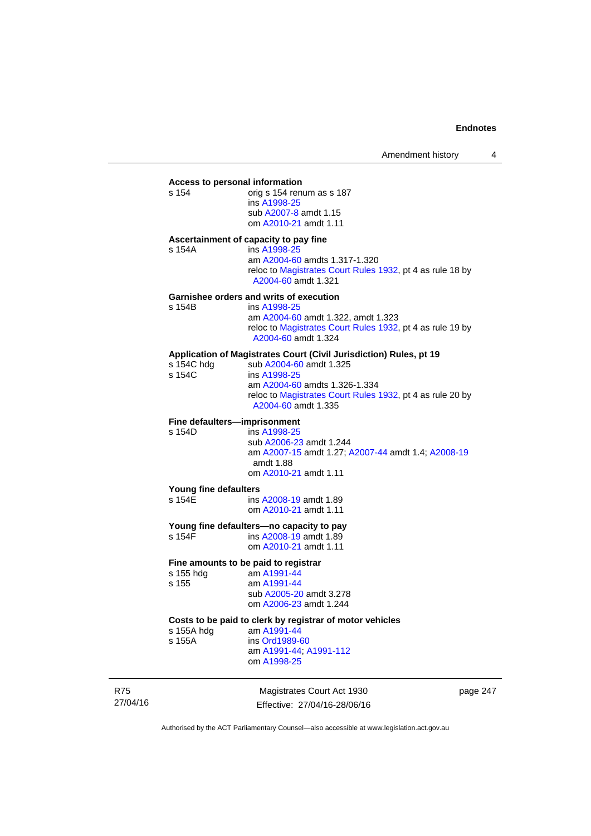## **Access to personal information**

orig s 154 renum as s 187 ins [A1998-25](http://www.legislation.act.gov.au/a/1998-25) sub [A2007-8](http://www.legislation.act.gov.au/a/2007-8) amdt 1.15 om [A2010-21](http://www.legislation.act.gov.au/a/2010-21) amdt 1.11

## **Ascertainment of capacity to pay fine**

s 154A ins [A1998-25](http://www.legislation.act.gov.au/a/1998-25) am [A2004-60](http://www.legislation.act.gov.au/a/2004-60) amdts 1.317-1.320 reloc to [Magistrates Court Rules 1932](http://www.legislation.act.gov.au/sl/1932-4/default.asp), pt 4 as rule 18 by [A2004-60](http://www.legislation.act.gov.au/a/2004-60) amdt 1.321

#### **Garnishee orders and writs of execution**

| s 154B | ins A1998-25                                                                     |
|--------|----------------------------------------------------------------------------------|
|        | am A2004-60 amdt 1.322, amdt 1.323                                               |
|        | reloc to Magistrates Court Rules 1932, pt 4 as rule 19 by<br>A2004-60 amdt 1.324 |

## **Application of Magistrates Court (Civil Jurisdiction) Rules, pt 19**

| s 154C hdg | sub A2004-60 amdt 1.325                                                          |
|------------|----------------------------------------------------------------------------------|
| s 154C     | ins A1998-25                                                                     |
|            | am A2004-60 amdts 1.326-1.334                                                    |
|            | reloc to Magistrates Court Rules 1932, pt 4 as rule 20 by<br>A2004-60 amdt 1.335 |
|            |                                                                                  |

## **Fine defaulters—imprisonment**<br>s 154D **ins A1998-25**

ins [A1998-25](http://www.legislation.act.gov.au/a/1998-25) sub [A2006-23](http://www.legislation.act.gov.au/a/2006-23) amdt 1.244 am [A2007-15](http://www.legislation.act.gov.au/a/2007-15) amdt 1.27; [A2007-44](http://www.legislation.act.gov.au/a/2007-44) amdt 1.4; [A2008-19](http://www.legislation.act.gov.au/a/2008-19) amdt 1.88 om [A2010-21](http://www.legislation.act.gov.au/a/2010-21) amdt 1.11

#### **Young fine defaulters**

s 154E ins [A2008-19](http://www.legislation.act.gov.au/a/2008-19) amdt 1.89 om [A2010-21](http://www.legislation.act.gov.au/a/2010-21) amdt 1.11

# **Young fine defaulters—no capacity to pay**<br>s 154F **ins A2008-19** amdt 1.89

ins [A2008-19](http://www.legislation.act.gov.au/a/2008-19) amdt 1.89 om [A2010-21](http://www.legislation.act.gov.au/a/2010-21) amdt 1.11

#### **Fine amounts to be paid to registrar**

| s 155 hdg | am A1991-44             |
|-----------|-------------------------|
| s 155     | am A1991-44             |
|           | sub A2005-20 amdt 3.278 |
|           | om A2006-23 amdt 1.244  |
|           |                         |

#### **Costs to be paid to clerk by registrar of motor vehicles**  am [A1991-44](http://www.legislation.act.gov.au/a/1991-44)

s 155A ins [Ord1989-60](http://www.legislation.act.gov.au/a/1989-60)

am [A1991-44](http://www.legislation.act.gov.au/a/1991-44); [A1991-112](http://www.legislation.act.gov.au/a/1991-112)

om [A1998-25](http://www.legislation.act.gov.au/a/1998-25)

R75 27/04/16

Magistrates Court Act 1930 Effective: 27/04/16-28/06/16 page 247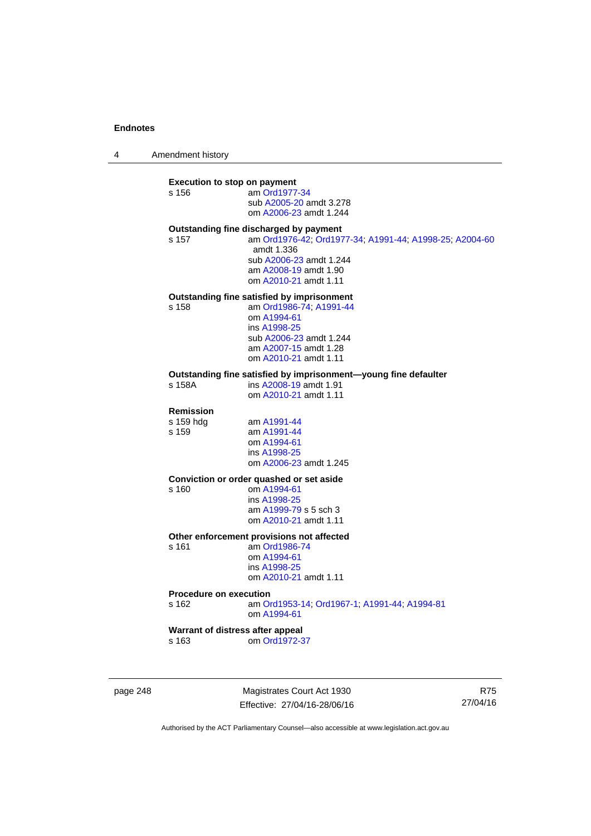4 Amendment history

## **Execution to stop on payment**

s 156 am [Ord1977-34](http://www.legislation.act.gov.au/a/1977-34) sub [A2005-20](http://www.legislation.act.gov.au/a/2005-20) amdt 3.278 om [A2006-23](http://www.legislation.act.gov.au/a/2006-23) amdt 1.244

## **Outstanding fine discharged by payment**

s 157 am [Ord1976-42](http://www.legislation.act.gov.au/a/1976-42); [Ord1977-34](http://www.legislation.act.gov.au/a/1977-34); [A1991-44](http://www.legislation.act.gov.au/a/1991-44); [A1998-25](http://www.legislation.act.gov.au/a/1998-25); [A2004-60](http://www.legislation.act.gov.au/a/2004-60) amdt 1.336 sub [A2006-23](http://www.legislation.act.gov.au/a/2006-23) amdt 1.244 am [A2008-19](http://www.legislation.act.gov.au/a/2008-19) amdt 1.90 om [A2010-21](http://www.legislation.act.gov.au/a/2010-21) amdt 1.11

## **Outstanding fine satisfied by imprisonment**

s 158 am [Ord1986-74](http://www.legislation.act.gov.au/a/1986-74); [A1991-44](http://www.legislation.act.gov.au/a/1991-44) om [A1994-61](http://www.legislation.act.gov.au/a/1994-61) ins [A1998-25](http://www.legislation.act.gov.au/a/1998-25) sub [A2006-23](http://www.legislation.act.gov.au/a/2006-23) amdt 1.244 am [A2007-15](http://www.legislation.act.gov.au/a/2007-15) amdt 1.28 om [A2010-21](http://www.legislation.act.gov.au/a/2010-21) amdt 1.11

## **Outstanding fine satisfied by imprisonment—young fine defaulter**

ins [A2008-19](http://www.legislation.act.gov.au/a/2008-19) amdt 1.91 om [A2010-21](http://www.legislation.act.gov.au/a/2010-21) amdt 1.11

### **Remission**

s 159 hdg am [A1991-44](http://www.legislation.act.gov.au/a/1991-44) s 159 am [A1991-44](http://www.legislation.act.gov.au/a/1991-44) om [A1994-61](http://www.legislation.act.gov.au/a/1994-61) ins [A1998-25](http://www.legislation.act.gov.au/a/1998-25) om [A2006-23](http://www.legislation.act.gov.au/a/2006-23) amdt 1.245

#### **Conviction or order quashed or set aside**

s 160 om [A1994-61](http://www.legislation.act.gov.au/a/1994-61) ins [A1998-25](http://www.legislation.act.gov.au/a/1998-25) am [A1999-79](http://www.legislation.act.gov.au/a/1999-79) s 5 sch 3 om [A2010-21](http://www.legislation.act.gov.au/a/2010-21) amdt 1.11

## **Other enforcement provisions not affected**

s 161 am [Ord1986-74](http://www.legislation.act.gov.au/a/1986-74) om [A1994-61](http://www.legislation.act.gov.au/a/1994-61) ins [A1998-25](http://www.legislation.act.gov.au/a/1998-25) om [A2010-21](http://www.legislation.act.gov.au/a/2010-21) amdt 1.11

## **Procedure on execution**

s 162 am [Ord1953-14](http://www.legislation.act.gov.au/a/1953-14); [Ord1967-1](http://www.legislation.act.gov.au/a/1967-1); [A1991-44](http://www.legislation.act.gov.au/a/1991-44); [A1994-81](http://www.legislation.act.gov.au/a/1994-81) om [A1994-61](http://www.legislation.act.gov.au/a/1994-61)

## **Warrant of distress after appeal**

s 163 om [Ord1972-37](http://www.legislation.act.gov.au/a/1972-37)

page 248 Magistrates Court Act 1930 Effective: 27/04/16-28/06/16

R75 27/04/16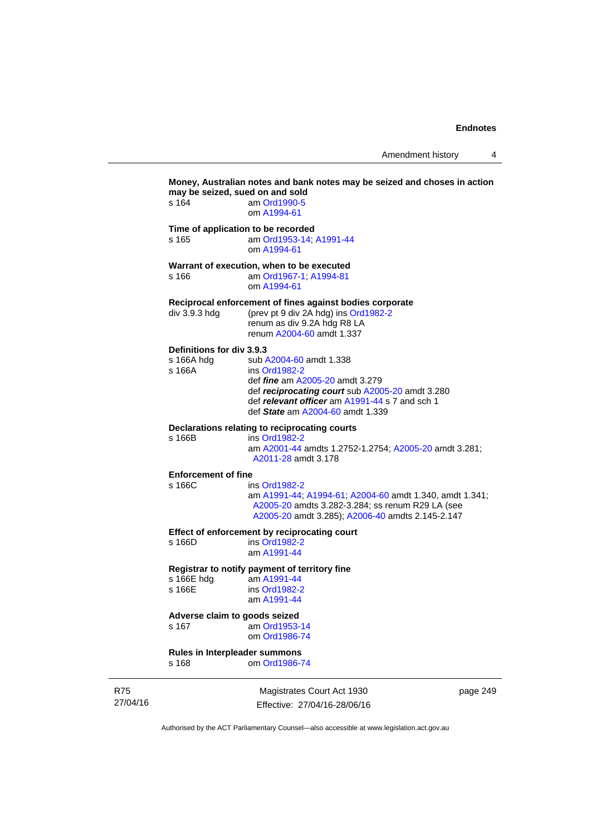Amendment history 4

|                        | may be seized, sued on and sold<br>s 164          | Money, Australian notes and bank notes may be seized and choses in action<br>am Ord1990-5                                                                                                                                   |
|------------------------|---------------------------------------------------|-----------------------------------------------------------------------------------------------------------------------------------------------------------------------------------------------------------------------------|
|                        |                                                   | om A1994-61                                                                                                                                                                                                                 |
|                        | s 165                                             | Time of application to be recorded<br>am Ord1953-14; A1991-44<br>om A1994-61                                                                                                                                                |
|                        | s 166                                             | Warrant of execution, when to be executed<br>am Ord1967-1; A1994-81<br>om A1994-61                                                                                                                                          |
|                        | div 3.9.3 hdg                                     | Reciprocal enforcement of fines against bodies corporate<br>(prev pt 9 div 2A hdg) ins Ord1982-2<br>renum as div 9.2A hdg R8 LA<br>renum A2004-60 amdt 1.337                                                                |
|                        | Definitions for div 3.9.3<br>s 166A hdg<br>s 166A | sub A2004-60 amdt 1.338<br>ins Ord1982-2<br>def <i>fine</i> am A2005-20 amdt 3.279<br>def reciprocating court sub A2005-20 amdt 3.280<br>def relevant officer am A1991-44 s 7 and sch 1<br>def State am A2004-60 amdt 1.339 |
|                        | s 166B                                            | Declarations relating to reciprocating courts<br>ins Ord1982-2<br>am A2001-44 amdts 1.2752-1.2754; A2005-20 amdt 3.281;<br>A2011-28 amdt 3.178                                                                              |
|                        | <b>Enforcement of fine</b><br>s 166C              | ins Ord1982-2<br>am A1991-44; A1994-61; A2004-60 amdt 1.340, amdt 1.341;<br>A2005-20 amdts 3.282-3.284; ss renum R29 LA (see<br>A2005-20 amdt 3.285); A2006-40 amdts 2.145-2.147                                            |
|                        | s 166D                                            | Effect of enforcement by reciprocating court<br>ins Ord1982-2<br>am A1991-44                                                                                                                                                |
|                        | s 166E hdg<br>s 166E                              | Registrar to notify payment of territory fine<br>am A1991-44<br>ins Ord1982-2<br>am A1991-44                                                                                                                                |
|                        | Adverse claim to goods seized<br>s 167            | am Ord1953-14<br>om Ord1986-74                                                                                                                                                                                              |
|                        | Rules in Interpleader summons<br>s 168            | om Ord1986-74                                                                                                                                                                                                               |
| <b>R75</b><br>27/04/16 |                                                   | Magistrates Court Act 1930<br>page 249<br>Effective: 27/04/16-28/06/16                                                                                                                                                      |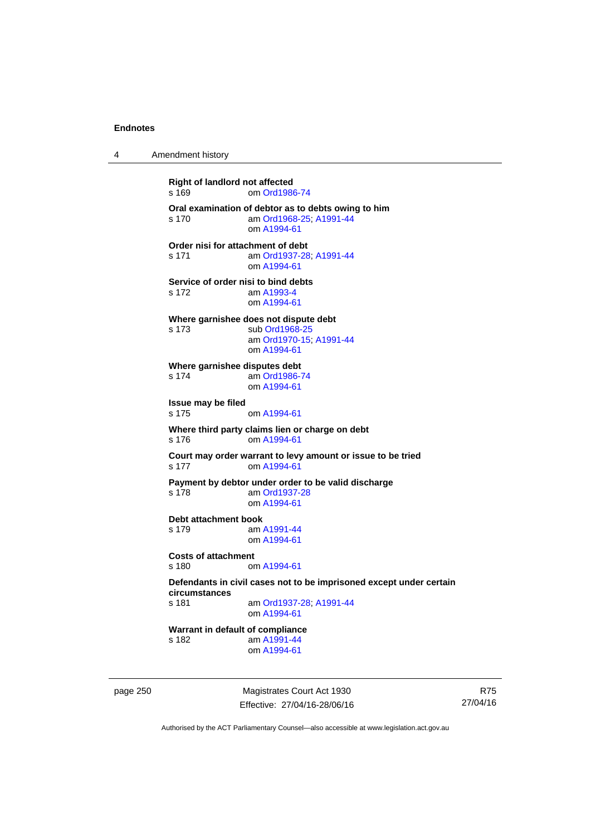4 Amendment history

**Right of landlord not affected**  s 169 om [Ord1986-74](http://www.legislation.act.gov.au/a/1986-74) **Oral examination of debtor as to debts owing to him**  s 170 am [Ord1968-25](http://www.legislation.act.gov.au/a/1968-25); [A1991-44](http://www.legislation.act.gov.au/a/1991-44) om [A1994-61](http://www.legislation.act.gov.au/a/1994-61) **Order nisi for attachment of debt**  s 171 am [Ord1937-28](http://www.legislation.act.gov.au/a/1937-28); [A1991-44](http://www.legislation.act.gov.au/a/1991-44) om [A1994-61](http://www.legislation.act.gov.au/a/1994-61) **Service of order nisi to bind debts**  s 172 am [A1993-4](http://www.legislation.act.gov.au/a/1993-4) om [A1994-61](http://www.legislation.act.gov.au/a/1994-61) **Where garnishee does not dispute debt**  s 173 sub [Ord1968-25](http://www.legislation.act.gov.au/a/1968-25) am [Ord1970-15](http://www.legislation.act.gov.au/a/1970-15); [A1991-44](http://www.legislation.act.gov.au/a/1991-44) om [A1994-61](http://www.legislation.act.gov.au/a/1994-61) **Where garnishee disputes debt**  s 174 am [Ord1986-74](http://www.legislation.act.gov.au/a/1986-74) om [A1994-61](http://www.legislation.act.gov.au/a/1994-61) **Issue may be filed**  s 175 om [A1994-61](http://www.legislation.act.gov.au/a/1994-61) **Where third party claims lien or charge on debt**  s 176 om [A1994-61](http://www.legislation.act.gov.au/a/1994-61) **Court may order warrant to levy amount or issue to be tried**  s 177 om [A1994-61](http://www.legislation.act.gov.au/a/1994-61) **Payment by debtor under order to be valid discharge**  s 178 am [Ord1937-28](http://www.legislation.act.gov.au/a/1937-28) om [A1994-61](http://www.legislation.act.gov.au/a/1994-61) **Debt attachment book**  s 179 am [A1991-44](http://www.legislation.act.gov.au/a/1991-44) om [A1994-61](http://www.legislation.act.gov.au/a/1994-61) **Costs of attachment**  s 180 om [A1994-61](http://www.legislation.act.gov.au/a/1994-61) **Defendants in civil cases not to be imprisoned except under certain circumstances**  am [Ord1937-28](http://www.legislation.act.gov.au/a/1937-28); [A1991-44](http://www.legislation.act.gov.au/a/1991-44) om [A1994-61](http://www.legislation.act.gov.au/a/1994-61) **Warrant in default of compliance**  s 182 am [A1991-44](http://www.legislation.act.gov.au/a/1991-44) om [A1994-61](http://www.legislation.act.gov.au/a/1994-61)

page 250 Magistrates Court Act 1930 Effective: 27/04/16-28/06/16

R75 27/04/16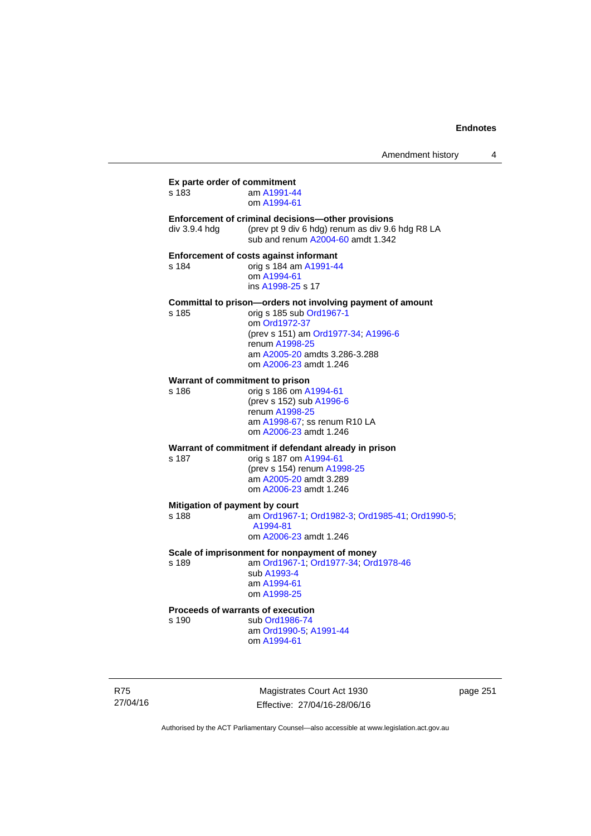| Amendment history |  |
|-------------------|--|
|-------------------|--|

**Ex parte order of commitment**  s 183 am [A1991-44](http://www.legislation.act.gov.au/a/1991-44) om [A1994-61](http://www.legislation.act.gov.au/a/1994-61) **Enforcement of criminal decisions—other provisions**  div 3.9.4 hdg (prev pt 9 div 6 hdg) renum as div 9.6 hdg R8 LA sub and renum [A2004-60](http://www.legislation.act.gov.au/a/2004-60) amdt 1.342 **Enforcement of costs against informant**  s 184 orig s 184 am [A1991-44](http://www.legislation.act.gov.au/a/1991-44) om [A1994-61](http://www.legislation.act.gov.au/a/1994-61) ins [A1998-25](http://www.legislation.act.gov.au/a/1998-25) s 17 **Committal to prison—orders not involving payment of amount**  s 185 orig s 185 sub [Ord1967-1](http://www.legislation.act.gov.au/a/1967-1) om [Ord1972-37](http://www.legislation.act.gov.au/a/1972-37) (prev s 151) am [Ord1977-34](http://www.legislation.act.gov.au/a/1977-34); [A1996-6](http://www.legislation.act.gov.au/a/1996-6) renum [A1998-25](http://www.legislation.act.gov.au/a/1998-25) am [A2005-20](http://www.legislation.act.gov.au/a/2005-20) amdts 3.286-3.288 om [A2006-23](http://www.legislation.act.gov.au/a/2006-23) amdt 1.246 **Warrant of commitment to prison**  s 186 orig s 186 om [A1994-61](http://www.legislation.act.gov.au/a/1994-61) (prev s 152) sub [A1996-6](http://www.legislation.act.gov.au/a/1996-6) renum [A1998-25](http://www.legislation.act.gov.au/a/1998-25) am [A1998-67](http://www.legislation.act.gov.au/a/1998-67); ss renum R10 LA om [A2006-23](http://www.legislation.act.gov.au/a/2006-23) amdt 1.246 **Warrant of commitment if defendant already in prison**  s 187 orig s 187 om [A1994-61](http://www.legislation.act.gov.au/a/1994-61) (prev s 154) renum [A1998-25](http://www.legislation.act.gov.au/a/1998-25) am [A2005-20](http://www.legislation.act.gov.au/a/2005-20) amdt 3.289 om [A2006-23](http://www.legislation.act.gov.au/a/2006-23) amdt 1.246 **Mitigation of payment by court**<br>s 188 am Ord1967-am [Ord1967-1;](http://www.legislation.act.gov.au/a/1967-1) [Ord1982-3](http://www.legislation.act.gov.au/a/1982-3); [Ord1985-41](http://www.legislation.act.gov.au/a/1985-41); [Ord1990-5](http://www.legislation.act.gov.au/a/alt_ord1990-5); [A1994-81](http://www.legislation.act.gov.au/a/1994-81) om [A2006-23](http://www.legislation.act.gov.au/a/2006-23) amdt 1.246 **Scale of imprisonment for nonpayment of money**  s 189 am [Ord1967-1;](http://www.legislation.act.gov.au/a/1967-1) [Ord1977-34](http://www.legislation.act.gov.au/a/1977-34); [Ord1978-46](http://www.legislation.act.gov.au/a/1978-46) sub [A1993-4](http://www.legislation.act.gov.au/a/1993-4) am [A1994-61](http://www.legislation.act.gov.au/a/1994-61) om [A1998-25](http://www.legislation.act.gov.au/a/1998-25) **Proceeds of warrants of execution**  s 190 sub [Ord1986-74](http://www.legislation.act.gov.au/a/1986-74) am [Ord1990-5;](http://www.legislation.act.gov.au/a/alt_ord1990-5) [A1991-44](http://www.legislation.act.gov.au/a/1991-44) om [A1994-61](http://www.legislation.act.gov.au/a/1994-61)

R75 27/04/16

Magistrates Court Act 1930 Effective: 27/04/16-28/06/16 page 251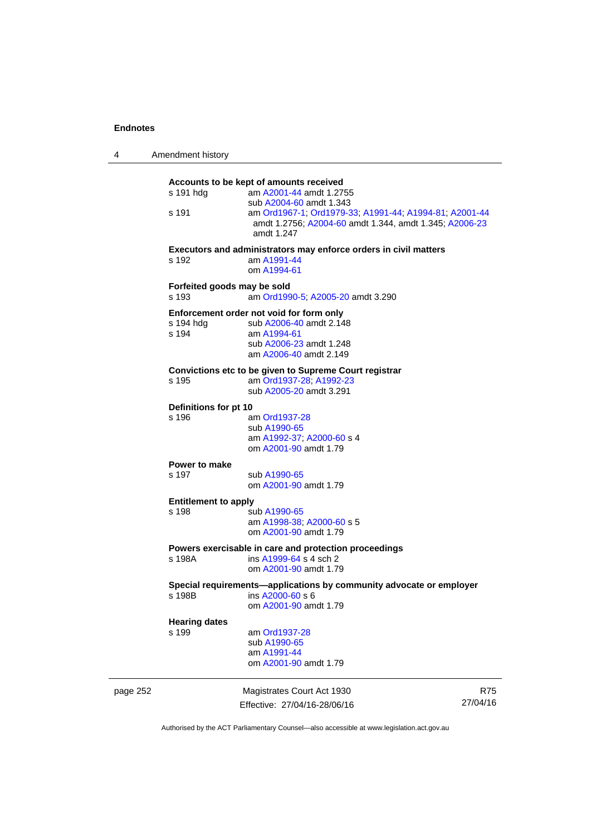| 4        | Amendment history                    |                                                                                                                                                         |            |
|----------|--------------------------------------|---------------------------------------------------------------------------------------------------------------------------------------------------------|------------|
|          | s 191 hdg<br>s 191                   | Accounts to be kept of amounts received<br>am A2001-44 amdt 1.2755<br>sub A2004-60 amdt 1.343<br>am Ord1967-1, Ord1979-33, A1991-44, A1994-81, A2001-44 |            |
|          |                                      | amdt 1.2756; A2004-60 amdt 1.344, amdt 1.345; A2006-23<br>amdt 1.247                                                                                    |            |
|          | s 192                                | Executors and administrators may enforce orders in civil matters<br>am A1991-44<br>om A1994-61                                                          |            |
|          | Forfeited goods may be sold<br>s 193 | am Ord1990-5; A2005-20 amdt 3.290                                                                                                                       |            |
|          | s 194 hdg<br>s 194                   | Enforcement order not void for form only<br>sub A2006-40 amdt 2.148<br>am A1994-61<br>sub A2006-23 amdt 1.248<br>am A2006-40 amdt 2.149                 |            |
|          | s 195                                | Convictions etc to be given to Supreme Court registrar<br>am Ord1937-28; A1992-23<br>sub A2005-20 amdt 3.291                                            |            |
|          | Definitions for pt 10                |                                                                                                                                                         |            |
|          | s 196                                | am Ord1937-28<br>sub A1990-65<br>am A1992-37, A2000-60 s 4<br>om A2001-90 amdt 1.79                                                                     |            |
|          | Power to make                        |                                                                                                                                                         |            |
|          | s 197                                | sub A1990-65<br>om A2001-90 amdt 1.79                                                                                                                   |            |
|          | <b>Entitlement to apply</b><br>s 198 | sub A1990-65                                                                                                                                            |            |
|          |                                      | am A1998-38, A2000-60 s 5<br>om A2001-90 amdt 1.79                                                                                                      |            |
|          | s 198A                               | Powers exercisable in care and protection proceedings<br>ins A1999-64 s 4 sch 2<br>om A2001-90 amdt 1.79                                                |            |
|          | s 198B                               | Special requirements-applications by community advocate or employer<br>ins A2000-60 s 6<br>om A2001-90 amdt 1.79                                        |            |
|          | <b>Hearing dates</b>                 |                                                                                                                                                         |            |
|          | s 199                                | am Ord1937-28<br>sub A1990-65<br>am A1991-44<br>om A2001-90 amdt 1.79                                                                                   |            |
| page 252 |                                      | Magistrates Court Act 1930                                                                                                                              | <b>R75</b> |
|          |                                      | Effective: 27/04/16-28/06/16                                                                                                                            | 27/04/16   |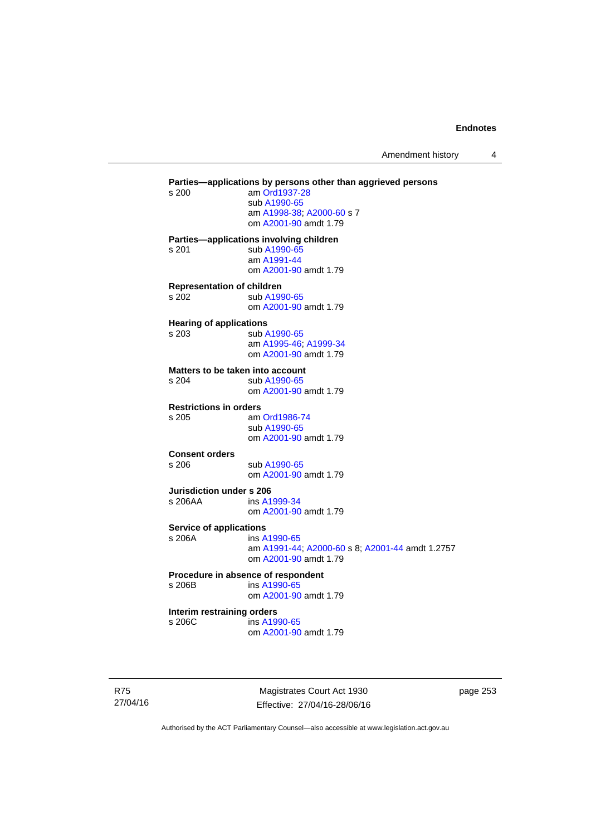Amendment history 4

**Parties—applications by persons other than aggrieved persons <br>s 200 am Ord1937-28** am [Ord1937-28](http://www.legislation.act.gov.au/a/1937-28) sub [A1990-65](http://www.legislation.act.gov.au/a/1990-65) am [A1998-38](http://www.legislation.act.gov.au/a/1998-38); [A2000-60](http://www.legislation.act.gov.au/a/2000-60) s 7 om [A2001-90](http://www.legislation.act.gov.au/a/2001-90) amdt 1.79 **Parties—applications involving children**  s 201 sub [A1990-65](http://www.legislation.act.gov.au/a/1990-65) am [A1991-44](http://www.legislation.act.gov.au/a/1991-44) om [A2001-90](http://www.legislation.act.gov.au/a/2001-90) amdt 1.79 **Representation of children**  s 202 sub [A1990-65](http://www.legislation.act.gov.au/a/1990-65) om [A2001-90](http://www.legislation.act.gov.au/a/2001-90) amdt 1.79 **Hearing of applications**  s 203 sub [A1990-65](http://www.legislation.act.gov.au/a/1990-65) am [A1995-46](http://www.legislation.act.gov.au/a/1995-46); [A1999-34](http://www.legislation.act.gov.au/a/1999-34) om [A2001-90](http://www.legislation.act.gov.au/a/2001-90) amdt 1.79 **Matters to be taken into account**  s 204 sub [A1990-65](http://www.legislation.act.gov.au/a/1990-65) om [A2001-90](http://www.legislation.act.gov.au/a/2001-90) amdt 1.79 **Restrictions in orders**  s 205 am [Ord1986-74](http://www.legislation.act.gov.au/a/1986-74) sub [A1990-65](http://www.legislation.act.gov.au/a/1990-65) om [A2001-90](http://www.legislation.act.gov.au/a/2001-90) amdt 1.79 **Consent orders**  s 206 sub [A1990-65](http://www.legislation.act.gov.au/a/1990-65) om [A2001-90](http://www.legislation.act.gov.au/a/2001-90) amdt 1.79 **Jurisdiction under s 206**  s 206AA ins [A1999-34](http://www.legislation.act.gov.au/a/1999-34) om [A2001-90](http://www.legislation.act.gov.au/a/2001-90) amdt 1.79 **Service of applications**<br> **s** 206A **ins A** ins [A1990-65](http://www.legislation.act.gov.au/a/1990-65) am [A1991-44](http://www.legislation.act.gov.au/a/1991-44); [A2000-60](http://www.legislation.act.gov.au/a/2000-60) s 8; [A2001-44](http://www.legislation.act.gov.au/a/2001-44) amdt 1.2757 om [A2001-90](http://www.legislation.act.gov.au/a/2001-90) amdt 1.79 **Procedure in absence of respondent**  s 206B ins [A1990-65](http://www.legislation.act.gov.au/a/1990-65) om [A2001-90](http://www.legislation.act.gov.au/a/2001-90) amdt 1.79 **Interim restraining orders**  s 206C ins [A1990-65](http://www.legislation.act.gov.au/a/1990-65) om [A2001-90](http://www.legislation.act.gov.au/a/2001-90) amdt 1.79

R75 27/04/16

Magistrates Court Act 1930 Effective: 27/04/16-28/06/16 page 253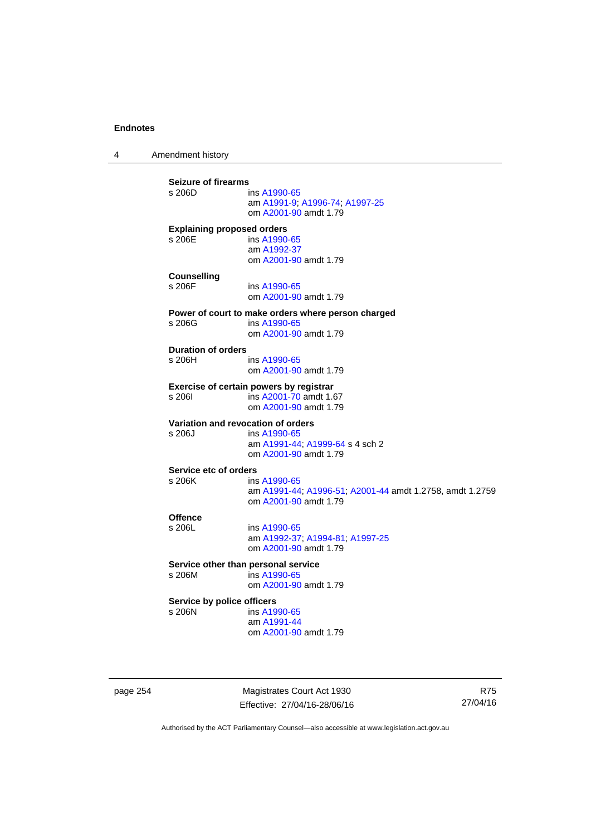4 Amendment history

**Seizure of firearms**  ins [A1990-65](http://www.legislation.act.gov.au/a/1990-65) am [A1991-9;](http://www.legislation.act.gov.au/a/1991-9) [A1996-74](http://www.legislation.act.gov.au/a/1996-74); [A1997-25](http://www.legislation.act.gov.au/a/1997-25) om [A2001-90](http://www.legislation.act.gov.au/a/2001-90) amdt 1.79 **Explaining proposed orders**  s 206E ins [A1990-65](http://www.legislation.act.gov.au/a/1990-65) am [A1992-37](http://www.legislation.act.gov.au/a/1992-37) om [A2001-90](http://www.legislation.act.gov.au/a/2001-90) amdt 1.79 **Counselling**  s 206F ins [A1990-65](http://www.legislation.act.gov.au/a/1990-65) om [A2001-90](http://www.legislation.act.gov.au/a/2001-90) amdt 1.79 **Power of court to make orders where person charged**  s 206G ins [A1990-65](http://www.legislation.act.gov.au/a/1990-65) om [A2001-90](http://www.legislation.act.gov.au/a/2001-90) amdt 1.79 **Duration of orders**  ins [A1990-65](http://www.legislation.act.gov.au/a/1990-65) om [A2001-90](http://www.legislation.act.gov.au/a/2001-90) amdt 1.79 **Exercise of certain powers by registrar**<br>s 206l **ins A2001-70** amdt 1.6 s 206I ins [A2001-70](http://www.legislation.act.gov.au/a/2001-70) amdt 1.67 om [A2001-90](http://www.legislation.act.gov.au/a/2001-90) amdt 1.79 **Variation and revocation of orders**  s 206J ins [A1990-65](http://www.legislation.act.gov.au/a/1990-65) am [A1991-44](http://www.legislation.act.gov.au/a/1991-44); [A1999-64](http://www.legislation.act.gov.au/a/1999-64) s 4 sch 2 om [A2001-90](http://www.legislation.act.gov.au/a/2001-90) amdt 1.79 **Service etc of orders**<br>s 206K ins ins [A1990-65](http://www.legislation.act.gov.au/a/1990-65) am [A1991-44](http://www.legislation.act.gov.au/a/1991-44); [A1996-51](http://www.legislation.act.gov.au/a/1996-51); [A2001-44](http://www.legislation.act.gov.au/a/2001-44) amdt 1.2758, amdt 1.2759 om [A2001-90](http://www.legislation.act.gov.au/a/2001-90) amdt 1.79 Offence<br>s 206L ins [A1990-65](http://www.legislation.act.gov.au/a/1990-65) am [A1992-37](http://www.legislation.act.gov.au/a/1992-37); [A1994-81](http://www.legislation.act.gov.au/a/1994-81); [A1997-25](http://www.legislation.act.gov.au/a/1997-25) om [A2001-90](http://www.legislation.act.gov.au/a/2001-90) amdt 1.79 **Service other than personal service**<br>s 206M ins A1990-65  $ins A1990-65$  $ins A1990-65$  om [A2001-90](http://www.legislation.act.gov.au/a/2001-90) amdt 1.79 **Service by police officers**  s 206N ins [A1990-65](http://www.legislation.act.gov.au/a/1990-65) am [A1991-44](http://www.legislation.act.gov.au/a/1991-44) om [A2001-90](http://www.legislation.act.gov.au/a/2001-90) amdt 1.79

page 254 Magistrates Court Act 1930 Effective: 27/04/16-28/06/16

R75 27/04/16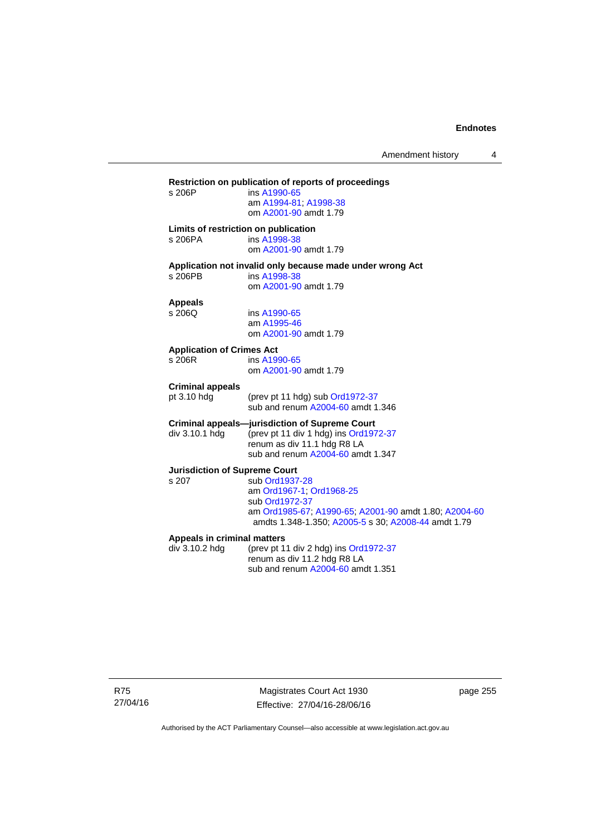## **Restriction on publication of reports of proceedings**  ins [A1990-65](http://www.legislation.act.gov.au/a/1990-65) am [A1994-81](http://www.legislation.act.gov.au/a/1994-81); [A1998-38](http://www.legislation.act.gov.au/a/1998-38) om [A2001-90](http://www.legislation.act.gov.au/a/2001-90) amdt 1.79 **Limits of restriction on publication**  s 206PA ins [A1998-38](http://www.legislation.act.gov.au/a/1998-38) om [A2001-90](http://www.legislation.act.gov.au/a/2001-90) amdt 1.79 **Application not invalid only because made under wrong Act**  ins [A1998-38](http://www.legislation.act.gov.au/a/1998-38) om [A2001-90](http://www.legislation.act.gov.au/a/2001-90) amdt 1.79 **Appeals**  ins [A1990-65](http://www.legislation.act.gov.au/a/1990-65) am [A1995-46](http://www.legislation.act.gov.au/a/1995-46) om [A2001-90](http://www.legislation.act.gov.au/a/2001-90) amdt 1.79 **Application of Crimes Act**  ins [A1990-65](http://www.legislation.act.gov.au/a/1990-65) om [A2001-90](http://www.legislation.act.gov.au/a/2001-90) amdt 1.79 **Criminal appeals**  (prev pt 11 hdg) sub [Ord1972-37](http://www.legislation.act.gov.au/a/1972-37) sub and renum [A2004-60](http://www.legislation.act.gov.au/a/2004-60) amdt 1.346 **Criminal appeals—jurisdiction of Supreme Court**  div 3.10.1 hdg (prev pt 11 div 1 hdg) ins [Ord1972-37](http://www.legislation.act.gov.au/a/1972-37) renum as div 11.1 hdg R8 LA sub and renum [A2004-60](http://www.legislation.act.gov.au/a/2004-60) amdt 1.347 **Jurisdiction of Supreme Court**  s 207 sub [Ord1937-28](http://www.legislation.act.gov.au/a/1937-28) am [Ord1967-1;](http://www.legislation.act.gov.au/a/1967-1) [Ord1968-25](http://www.legislation.act.gov.au/a/1968-25) sub [Ord1972-37](http://www.legislation.act.gov.au/a/1972-37) am [Ord1985-67](http://www.legislation.act.gov.au/a/1985-67); [A1990-65;](http://www.legislation.act.gov.au/a/1990-65) [A2001-90](http://www.legislation.act.gov.au/a/2001-90) amdt 1.80; [A2004-60](http://www.legislation.act.gov.au/a/2004-60) amdts 1.348-1.350; [A2005-5](http://www.legislation.act.gov.au/a/2005-5) s 30; [A2008-44](http://www.legislation.act.gov.au/a/2008-44) amdt 1.79 **Appeals in criminal matters**  div 3.10.2 hdg (prev pt 11 div 2 hdg) ins [Ord1972-37](http://www.legislation.act.gov.au/a/1972-37) renum as div 11.2 hdg R8 LA sub and renum [A2004-60](http://www.legislation.act.gov.au/a/2004-60) amdt 1.351

R75 27/04/16

Magistrates Court Act 1930 Effective: 27/04/16-28/06/16 page 255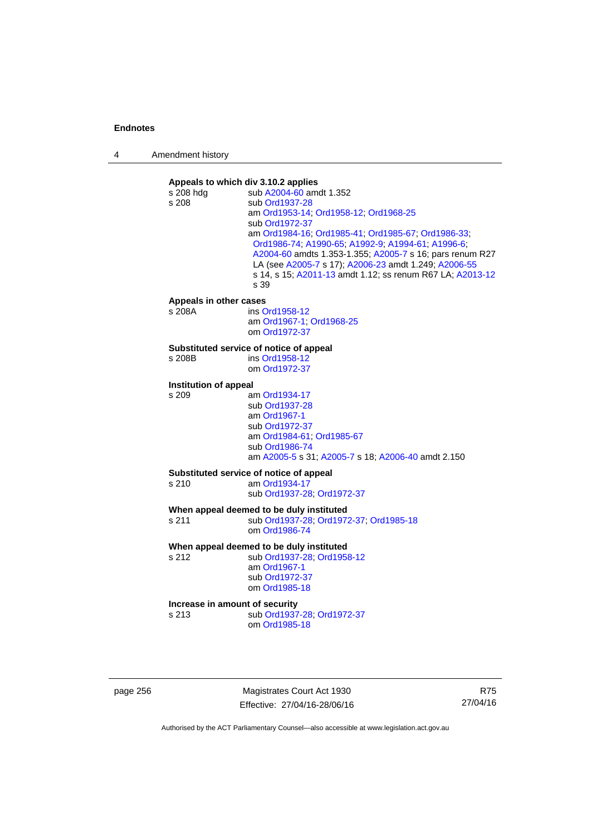| 4 | Amendment history |
|---|-------------------|
|---|-------------------|



page 256 Magistrates Court Act 1930 Effective: 27/04/16-28/06/16

R75 27/04/16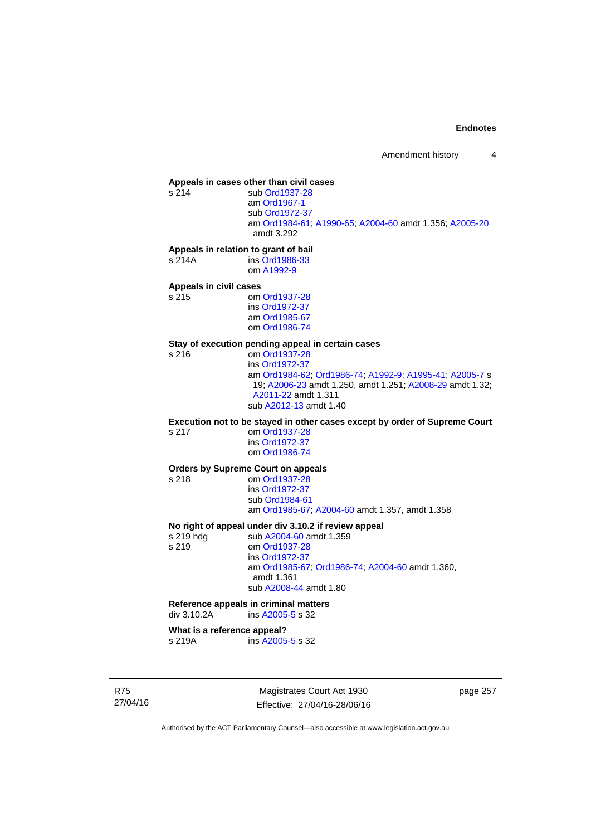## **Appeals in cases other than civil cases**

sub [Ord1937-28](http://www.legislation.act.gov.au/a/1937-28) am [Ord1967-1](http://www.legislation.act.gov.au/a/1967-1) sub [Ord1972-37](http://www.legislation.act.gov.au/a/1972-37) am [Ord1984-61](http://www.legislation.act.gov.au/a/1984-61); [A1990-65;](http://www.legislation.act.gov.au/a/1990-65) [A2004-60](http://www.legislation.act.gov.au/a/2004-60) amdt 1.356; [A2005-20](http://www.legislation.act.gov.au/a/2005-20) amdt 3.292

#### **Appeals in relation to grant of bail**

s 214A ins [Ord1986-33](http://www.legislation.act.gov.au/a/1986-33) om [A1992-9](http://www.legislation.act.gov.au/a/1992-9)

## **Appeals in civil cases**

om [Ord1937-28](http://www.legislation.act.gov.au/a/1937-28) ins [Ord1972-37](http://www.legislation.act.gov.au/a/1972-37) am [Ord1985-67](http://www.legislation.act.gov.au/a/1985-67) om [Ord1986-74](http://www.legislation.act.gov.au/a/1986-74)

# **Stay of execution pending appeal in certain cases**

om [Ord1937-28](http://www.legislation.act.gov.au/a/1937-28) ins [Ord1972-37](http://www.legislation.act.gov.au/a/1972-37) am [Ord1984-62](http://www.legislation.act.gov.au/a/1984-62); [Ord1986-74;](http://www.legislation.act.gov.au/a/1986-74) [A1992-9](http://www.legislation.act.gov.au/a/1992-9); [A1995-41](http://www.legislation.act.gov.au/a/1995-41); [A2005-7](http://www.legislation.act.gov.au/a/2005-7) s 19; [A2006-23](http://www.legislation.act.gov.au/a/2006-23) amdt 1.250, amdt 1.251; [A2008-29](http://www.legislation.act.gov.au/a/2008-29) amdt 1.32; [A2011-22](http://www.legislation.act.gov.au/a/2011-22) amdt 1.311 sub [A2012-13](http://www.legislation.act.gov.au/a/2012-13) amdt 1.40

**Execution not to be stayed in other cases except by order of Supreme Court** 

s 217 om [Ord1937-28](http://www.legislation.act.gov.au/a/1937-28) ins [Ord1972-37](http://www.legislation.act.gov.au/a/1972-37) om [Ord1986-74](http://www.legislation.act.gov.au/a/1986-74)

## **Orders by Supreme Court on appeals**

s 218 om [Ord1937-28](http://www.legislation.act.gov.au/a/1937-28)

 ins [Ord1972-37](http://www.legislation.act.gov.au/a/1972-37) sub [Ord1984-61](http://www.legislation.act.gov.au/a/1984-61) am [Ord1985-67](http://www.legislation.act.gov.au/a/1985-67); [A2004-60](http://www.legislation.act.gov.au/a/2004-60) amdt 1.357, amdt 1.358

## **No right of appeal under div 3.10.2 if review appeal**

s 219 hdg sub [A2004-60](http://www.legislation.act.gov.au/a/2004-60) amdt 1.359 s 219 om [Ord1937-28](http://www.legislation.act.gov.au/a/1937-28) ins [Ord1972-37](http://www.legislation.act.gov.au/a/1972-37) am [Ord1985-67;](http://www.legislation.act.gov.au/a/1985-67) [Ord1986-74;](http://www.legislation.act.gov.au/a/1986-74) [A2004-60](http://www.legislation.act.gov.au/a/2004-60) amdt 1.360, amdt 1.361 sub [A2008-44](http://www.legislation.act.gov.au/a/2008-44) amdt 1.80

## **Reference appeals in criminal matters**

div 3.10.2A ins [A2005-5](http://www.legislation.act.gov.au/a/2005-5) s 32

## **What is a reference appeal?**

s 219A ins [A2005-5](http://www.legislation.act.gov.au/a/2005-5) s 32

R75 27/04/16

Magistrates Court Act 1930 Effective: 27/04/16-28/06/16 page 257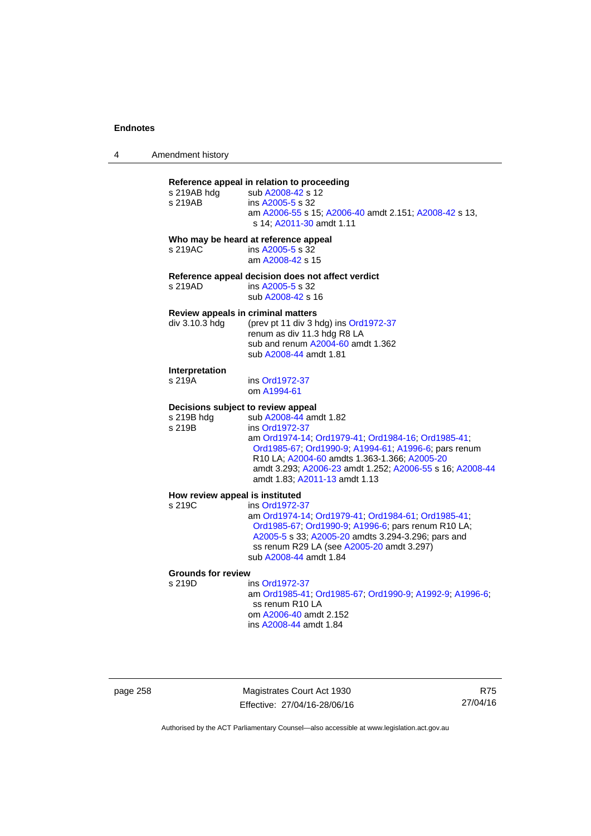## **Reference appeal in relation to proceeding**

| s 219AB                                   | s 219AB hdg sub A2008-42 s 12<br>ins A2005-5 s 32<br>am A2006-55 s 15; A2006-40 amdt 2.151; A2008-42 s 13,<br>s 14; A2011-30 amdt 1.11                                                                                                                                                                                                    |
|-------------------------------------------|-------------------------------------------------------------------------------------------------------------------------------------------------------------------------------------------------------------------------------------------------------------------------------------------------------------------------------------------|
| s 219AC                                   | Who may be heard at reference appeal<br>ins A2005-5 s 32<br>am A2008-42 s 15                                                                                                                                                                                                                                                              |
| s 219AD                                   | Reference appeal decision does not affect verdict<br>ins A2005-5 s 32<br>sub A2008-42 s 16                                                                                                                                                                                                                                                |
| div 3.10.3 hdg                            | Review appeals in criminal matters<br>(prev pt 11 div 3 hdg) ins Ord1972-37<br>renum as div 11.3 hdg R8 LA<br>sub and renum A2004-60 amdt 1.362<br>sub A2008-44 amdt 1.81                                                                                                                                                                 |
| Interpretation<br>s 219A                  | ins Ord1972-37<br>om A1994-61                                                                                                                                                                                                                                                                                                             |
| s 219B hdg<br>s 219B                      | Decisions subject to review appeal<br>sub A2008-44 amdt 1.82<br>ins Ord1972-37<br>am Ord1974-14; Ord1979-41; Ord1984-16; Ord1985-41;<br>Ord1985-67; Ord1990-9; A1994-61; A1996-6; pars renum<br>R10 LA; A2004-60 amdts 1.363-1.366; A2005-20<br>amdt 3.293; A2006-23 amdt 1.252; A2006-55 s 16; A2008-44<br>amdt 1.83; A2011-13 amdt 1.13 |
| How review appeal is instituted<br>s 219C | ins Ord1972-37<br>am Ord1974-14; Ord1979-41; Ord1984-61; Ord1985-41;<br>Ord1985-67; Ord1990-9; A1996-6; pars renum R10 LA;<br>A2005-5 s 33; A2005-20 amdts 3.294-3.296; pars and<br>ss renum R29 LA (see A2005-20 amdt 3.297)                                                                                                             |

sub [A2008-44](http://www.legislation.act.gov.au/a/2008-44) amdt 1.84

# **Grounds for review**

ins [Ord1972-37](http://www.legislation.act.gov.au/a/1972-37) am [Ord1985-41](http://www.legislation.act.gov.au/a/1985-41); [Ord1985-67;](http://www.legislation.act.gov.au/a/1985-67) [Ord1990-9](http://www.legislation.act.gov.au/a/alt_ord1990-9); [A1992-9](http://www.legislation.act.gov.au/a/1992-9); [A1996-6](http://www.legislation.act.gov.au/a/1996-6); ss renum R10 LA om [A2006-40](http://www.legislation.act.gov.au/a/2006-40) amdt 2.152 ins [A2008-44](http://www.legislation.act.gov.au/a/2008-44) amdt 1.84

page 258 Magistrates Court Act 1930 Effective: 27/04/16-28/06/16

R75 27/04/16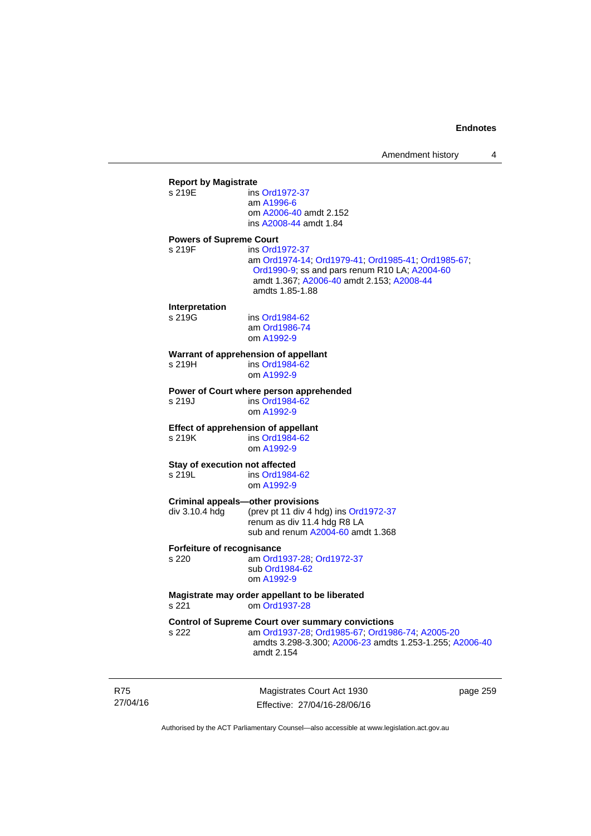| <b>Report by Magistrate</b>              |                                                                                            |
|------------------------------------------|--------------------------------------------------------------------------------------------|
| s 219E                                   | ins Ord1972-37                                                                             |
|                                          | am A1996-6                                                                                 |
|                                          | om A2006-40 amdt 2.152                                                                     |
|                                          | ins A2008-44 amdt 1.84                                                                     |
|                                          |                                                                                            |
| <b>Powers of Supreme Court</b><br>s 219F |                                                                                            |
|                                          | ins Ord1972-37                                                                             |
|                                          | am Ord1974-14; Ord1979-41; Ord1985-41; Ord1985-67;                                         |
|                                          | Ord1990-9; ss and pars renum R10 LA; A2004-60<br>amdt 1.367; A2006-40 amdt 2.153; A2008-44 |
|                                          | amdts 1.85-1.88                                                                            |
|                                          |                                                                                            |
| Interpretation                           |                                                                                            |
| s 219G                                   | ins Ord1984-62                                                                             |
|                                          | am Ord1986-74                                                                              |
|                                          | om A1992-9                                                                                 |
|                                          |                                                                                            |
| s 219H                                   | Warrant of apprehension of appellant<br>ins Ord1984-62                                     |
|                                          | om A1992-9                                                                                 |
|                                          |                                                                                            |
|                                          | Power of Court where person apprehended                                                    |
| s 219J                                   | ins Ord1984-62                                                                             |
|                                          | om A1992-9                                                                                 |
|                                          | <b>Effect of apprehension of appellant</b>                                                 |
| s 219K                                   | ins Ord1984-62                                                                             |
|                                          | om A1992-9                                                                                 |
|                                          |                                                                                            |
| Stay of execution not affected           |                                                                                            |
| s 219L                                   | ins Ord1984-62                                                                             |
|                                          | om A1992-9                                                                                 |
|                                          | <b>Criminal appeals-other provisions</b>                                                   |
| div 3.10.4 hdg                           | (prev pt 11 div 4 hdg) ins Ord1972-37                                                      |
|                                          | renum as div 11.4 hdg R8 LA                                                                |
|                                          | sub and renum A2004-60 amdt 1.368                                                          |
|                                          |                                                                                            |
| Forfeiture of recognisance               |                                                                                            |
| s 220                                    | am Ord1937-28; Ord1972-37                                                                  |
|                                          | sub Ord1984-62                                                                             |
|                                          | om A1992-9                                                                                 |
|                                          | Magistrate may order appellant to be liberated                                             |
| s 221                                    | om Ord1937-28                                                                              |
|                                          |                                                                                            |
|                                          | <b>Control of Supreme Court over summary convictions</b>                                   |
| s 222                                    | am Ord1937-28; Ord1985-67; Ord1986-74; A2005-20                                            |
|                                          | amdts 3.298-3.300; A2006-23 amdts 1.253-1.255; A2006-40                                    |
|                                          | amdt 2.154                                                                                 |
|                                          |                                                                                            |
|                                          |                                                                                            |

R75 27/04/16

Magistrates Court Act 1930 Effective: 27/04/16-28/06/16 page 259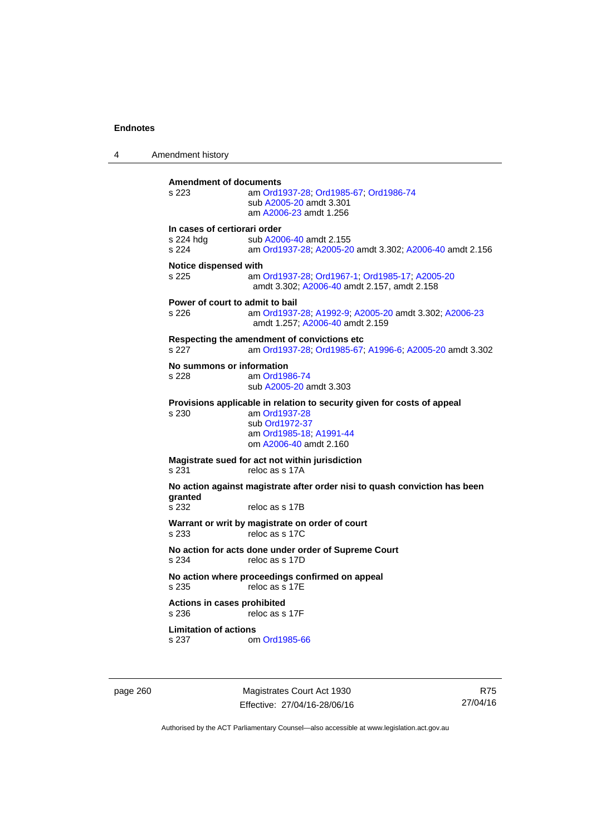4 Amendment history **Amendment of documents**  s 223 am [Ord1937-28](http://www.legislation.act.gov.au/a/1937-28); [Ord1985-67](http://www.legislation.act.gov.au/a/1985-67); [Ord1986-74](http://www.legislation.act.gov.au/a/1986-74) sub [A2005-20](http://www.legislation.act.gov.au/a/2005-20) amdt 3.301 am [A2006-23](http://www.legislation.act.gov.au/a/2006-23) amdt 1.256 **In cases of certiorari order**  s 224 hdg sub [A2006-40](http://www.legislation.act.gov.au/a/2006-40) amdt 2.155<br>s 224 am Ord1937-28: A2005-20 am [Ord1937-28](http://www.legislation.act.gov.au/a/1937-28); [A2005-20](http://www.legislation.act.gov.au/a/2005-20) amdt 3.302; [A2006-40](http://www.legislation.act.gov.au/a/2006-40) amdt 2.156 **Notice dispensed with**  s 225 am [Ord1937-28](http://www.legislation.act.gov.au/a/1937-28); [Ord1967-1](http://www.legislation.act.gov.au/a/1967-1); [Ord1985-17](http://www.legislation.act.gov.au/a/1985-17); [A2005-20](http://www.legislation.act.gov.au/a/2005-20) amdt 3.302; [A2006-40](http://www.legislation.act.gov.au/a/2006-40) amdt 2.157, amdt 2.158 **Power of court to admit to bail**  s 226 am [Ord1937-28](http://www.legislation.act.gov.au/a/1937-28); [A1992-9](http://www.legislation.act.gov.au/a/1992-9); [A2005-20](http://www.legislation.act.gov.au/a/2005-20) amdt 3.302; [A2006-23](http://www.legislation.act.gov.au/a/2006-23) amdt 1.257; [A2006-40](http://www.legislation.act.gov.au/a/2006-40) amdt 2.159 **Respecting the amendment of convictions etc**  s 227 am [Ord1937-28](http://www.legislation.act.gov.au/a/1937-28); [Ord1985-67;](http://www.legislation.act.gov.au/a/1985-67) [A1996-6](http://www.legislation.act.gov.au/a/1996-6); [A2005-20](http://www.legislation.act.gov.au/a/2005-20) amdt 3.302 **No summons or information**  s 228 am [Ord1986-74](http://www.legislation.act.gov.au/a/1986-74) sub [A2005-20](http://www.legislation.act.gov.au/a/2005-20) amdt 3.303 **Provisions applicable in relation to security given for costs of appeal**  s 230 am [Ord1937-28](http://www.legislation.act.gov.au/a/1937-28) sub [Ord1972-37](http://www.legislation.act.gov.au/a/1972-37) am [Ord1985-18;](http://www.legislation.act.gov.au/a/1985-18) [A1991-44](http://www.legislation.act.gov.au/a/1991-44) om [A2006-40](http://www.legislation.act.gov.au/a/2006-40) amdt 2.160 **Magistrate sued for act not within jurisdiction**  s 231 reloc as s 17A **No action against magistrate after order nisi to quash conviction has been granted**  reloc as s 17B **Warrant or writ by magistrate on order of court**  s 233 reloc as s 17C **No action for acts done under order of Supreme Court**<br>s 234 reloc as s 17D reloc as s 17D **No action where proceedings confirmed on appeal**  s 235 reloc as s 17E **Actions in cases prohibited**  s 236 reloc as s 17F **Limitation of actions**  s 237 om [Ord1985-66](http://www.legislation.act.gov.au/a/1985-66)

page 260 Magistrates Court Act 1930 Effective: 27/04/16-28/06/16

R75 27/04/16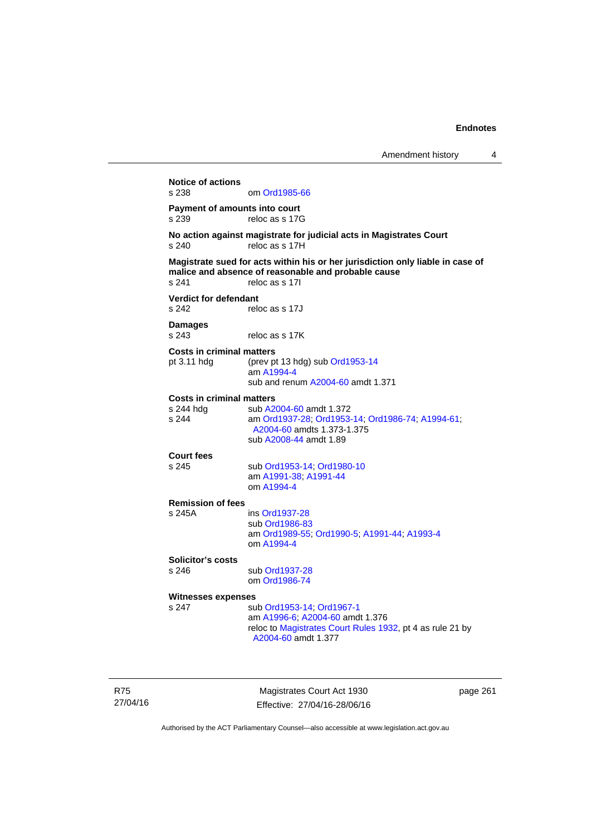**Notice of actions**  om [Ord1985-66](http://www.legislation.act.gov.au/a/1985-66) **Payment of amounts into court**  s 239 reloc as s 17G **No action against magistrate for judicial acts in Magistrates Court**  s 240 reloc as s 17H **Magistrate sued for acts within his or her jurisdiction only liable in case of malice and absence of reasonable and probable cause**  s 241 reloc as s 17I **Verdict for defendant**  s 242 reloc as s 17J **Damages**  s 243 reloc as s 17K **Costs in criminal matters**  pt 3.11 hdg (prev pt 13 hdg) sub [Ord1953-14](http://www.legislation.act.gov.au/a/1953-14) am [A1994-4](http://www.legislation.act.gov.au/a/1994-4) sub and renum [A2004-60](http://www.legislation.act.gov.au/a/2004-60) amdt 1.371 **Costs in criminal matters**  s 244 hdg sub [A2004-60](http://www.legislation.act.gov.au/a/2004-60) amdt 1.372<br>s 244 am Ord1937-28: Ord1953 s 244 am [Ord1937-28](http://www.legislation.act.gov.au/a/1937-28); [Ord1953-14;](http://www.legislation.act.gov.au/a/1953-14) [Ord1986-74](http://www.legislation.act.gov.au/a/1986-74); [A1994-61](http://www.legislation.act.gov.au/a/1994-61); [A2004-60](http://www.legislation.act.gov.au/a/2004-60) amdts 1.373-1.375 sub [A2008-44](http://www.legislation.act.gov.au/a/2008-44) amdt 1.89 **Court fees**  s 245 sub [Ord1953-14](http://www.legislation.act.gov.au/a/1953-14); [Ord1980-10](http://www.legislation.act.gov.au/a/1980-10) am [A1991-38;](http://www.legislation.act.gov.au/a/1991-38) [A1991-44](http://www.legislation.act.gov.au/a/1991-44) om [A1994-4](http://www.legislation.act.gov.au/a/1994-4) **Remission of fees**  s 245A ins [Ord1937-28](http://www.legislation.act.gov.au/a/1937-28) sub [Ord1986-83](http://www.legislation.act.gov.au/a/1986-83) am [Ord1989-55](http://www.legislation.act.gov.au/a/1989-55); [Ord1990-5](http://www.legislation.act.gov.au/a/alt_ord1990-5); [A1991-44](http://www.legislation.act.gov.au/a/1991-44); [A1993-4](http://www.legislation.act.gov.au/a/1993-4) om [A1994-4](http://www.legislation.act.gov.au/a/1994-4) **Solicitor's costs**  s 246 sub [Ord1937-28](http://www.legislation.act.gov.au/a/1937-28) om [Ord1986-74](http://www.legislation.act.gov.au/a/1986-74) **Witnesses expenses**  s 247 sub [Ord1953-14](http://www.legislation.act.gov.au/a/1953-14); [Ord1967-1](http://www.legislation.act.gov.au/a/1967-1) am [A1996-6;](http://www.legislation.act.gov.au/a/1996-6) [A2004-60](http://www.legislation.act.gov.au/a/2004-60) amdt 1.376 reloc to [Magistrates Court Rules 1932](http://www.legislation.act.gov.au/sl/1932-4/default.asp), pt 4 as rule 21 by [A2004-60](http://www.legislation.act.gov.au/a/2004-60) amdt 1.377

R75 27/04/16

Magistrates Court Act 1930 Effective: 27/04/16-28/06/16 page 261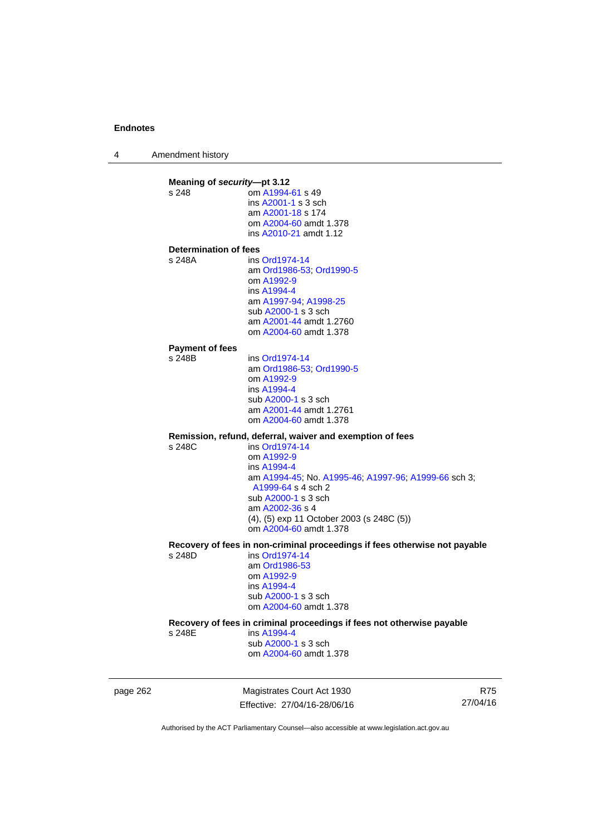4 Amendment history

**Meaning of** *security***—pt 3.12**<br>s 248 **com A1994** om [A1994-61](http://www.legislation.act.gov.au/a/1994-61) s 49 ins [A2001-1](http://www.legislation.act.gov.au/a/2001-1) s 3 sch am [A2001-18](http://www.legislation.act.gov.au/a/2001-18) s 174 om [A2004-60](http://www.legislation.act.gov.au/a/2004-60) amdt 1.378 ins [A2010-21](http://www.legislation.act.gov.au/a/2010-21) amdt 1.12 **Determination of fees**  s 248A ins [Ord1974-14](http://www.legislation.act.gov.au/a/1974-14) am [Ord1986-53](http://www.legislation.act.gov.au/a/1986-53); [Ord1990-5](http://www.legislation.act.gov.au/a/alt_ord1990-5) om [A1992-9](http://www.legislation.act.gov.au/a/1992-9) ins [A1994-4](http://www.legislation.act.gov.au/a/1994-4) am [A1997-94](http://www.legislation.act.gov.au/a/1997-94); [A1998-25](http://www.legislation.act.gov.au/a/1998-25) sub [A2000-1](http://www.legislation.act.gov.au/a/2000-1) s 3 sch am [A2001-44](http://www.legislation.act.gov.au/a/2001-44) amdt 1.2760 om [A2004-60](http://www.legislation.act.gov.au/a/2004-60) amdt 1.378 **Payment of fees**  s 248B ins [Ord1974-14](http://www.legislation.act.gov.au/a/1974-14) am [Ord1986-53](http://www.legislation.act.gov.au/a/1986-53); [Ord1990-5](http://www.legislation.act.gov.au/a/alt_ord1990-5) om [A1992-9](http://www.legislation.act.gov.au/a/1992-9) ins [A1994-4](http://www.legislation.act.gov.au/a/1994-4) sub [A2000-1](http://www.legislation.act.gov.au/a/2000-1) s 3 sch am [A2001-44](http://www.legislation.act.gov.au/a/2001-44) amdt 1.2761 om [A2004-60](http://www.legislation.act.gov.au/a/2004-60) amdt 1.378 **Remission, refund, deferral, waiver and exemption of fees**   $ins$  [Ord1974-14](http://www.legislation.act.gov.au/a/1974-14) om [A1992-9](http://www.legislation.act.gov.au/a/1992-9) ins [A1994-4](http://www.legislation.act.gov.au/a/1994-4) am [A1994-45](http://www.legislation.act.gov.au/a/1994-45); No. [A1995-46;](http://www.legislation.act.gov.au/a/1995-46) [A1997-96;](http://www.legislation.act.gov.au/a/1997-96) [A1999-66](http://www.legislation.act.gov.au/a/1999-66) sch 3; [A1999-64](http://www.legislation.act.gov.au/a/1999-64) s 4 sch 2 sub [A2000-1](http://www.legislation.act.gov.au/a/2000-1) s 3 sch am [A2002-36](http://www.legislation.act.gov.au/a/2002-36) s 4 (4), (5) exp 11 October 2003 (s 248C (5)) om [A2004-60](http://www.legislation.act.gov.au/a/2004-60) amdt 1.378 **Recovery of fees in non-criminal proceedings if fees otherwise not payable**  s 248D ins [Ord1974-14](http://www.legislation.act.gov.au/a/1974-14) am [Ord1986-53](http://www.legislation.act.gov.au/a/1986-53) om [A1992-9](http://www.legislation.act.gov.au/a/1992-9) ins [A1994-4](http://www.legislation.act.gov.au/a/1994-4) sub [A2000-1](http://www.legislation.act.gov.au/a/2000-1) s 3 sch om [A2004-60](http://www.legislation.act.gov.au/a/2004-60) amdt 1.378 **Recovery of fees in criminal proceedings if fees not otherwise payable**  s 248E ins [A1994-4](http://www.legislation.act.gov.au/a/1994-4) sub [A2000-1](http://www.legislation.act.gov.au/a/2000-1) s 3 sch om [A2004-60](http://www.legislation.act.gov.au/a/2004-60) amdt 1.378

page 262 Magistrates Court Act 1930 Effective: 27/04/16-28/06/16

R75 27/04/16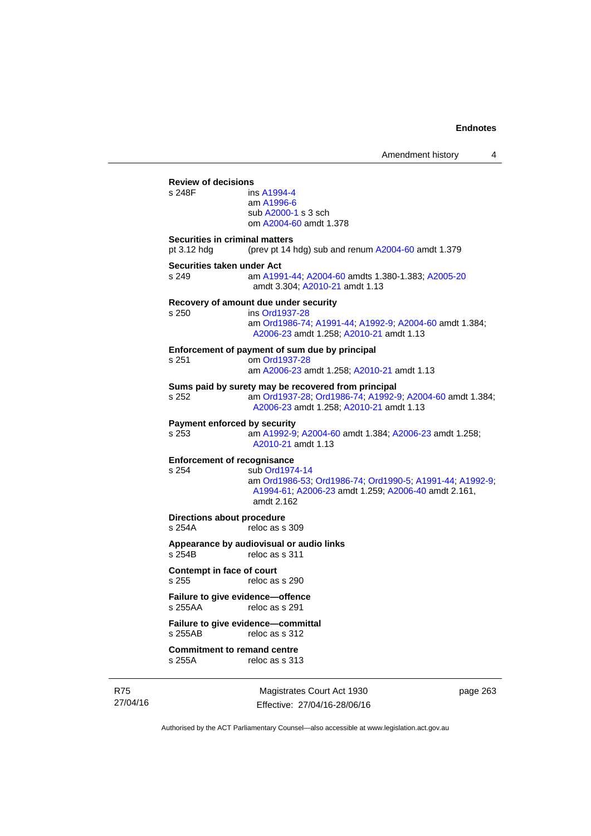|                                               |                                                                                                                                                              | Amendment history | 4 |
|-----------------------------------------------|--------------------------------------------------------------------------------------------------------------------------------------------------------------|-------------------|---|
| <b>Review of decisions</b><br>s 248F          | ins A1994-4<br>am A1996-6<br>sub A2000-1 s 3 sch<br>om A2004-60 amdt 1.378                                                                                   |                   |   |
| Securities in criminal matters<br>pt 3.12 hdg | (prev pt 14 hdg) sub and renum A2004-60 amdt 1.379                                                                                                           |                   |   |
| Securities taken under Act<br>s 249           | am A1991-44, A2004-60 amdts 1.380-1.383; A2005-20<br>amdt 3.304; A2010-21 amdt 1.13                                                                          |                   |   |
| s 250                                         | Recovery of amount due under security<br>ins Ord1937-28<br>am Ord1986-74; A1991-44; A1992-9; A2004-60 amdt 1.384;<br>A2006-23 amdt 1.258; A2010-21 amdt 1.13 |                   |   |
| s 251                                         | Enforcement of payment of sum due by principal<br>om Ord1937-28<br>am A2006-23 amdt 1.258; A2010-21 amdt 1.13                                                |                   |   |
| s 252                                         | Sums paid by surety may be recovered from principal<br>am Ord1937-28, Ord1986-74, A1992-9, A2004-60 amdt 1.384;<br>A2006-23 amdt 1.258; A2010-21 amdt 1.13   |                   |   |
| <b>Payment enforced by security</b><br>s 253  | am A1992-9; A2004-60 amdt 1.384; A2006-23 amdt 1.258;<br>A2010-21 amdt 1.13                                                                                  |                   |   |
| <b>Enforcement of recognisance</b><br>s 254   | sub Ord1974-14<br>am Ord1986-53, Ord1986-74, Ord1990-5, A1991-44, A1992-9;<br>A1994-61; A2006-23 amdt 1.259; A2006-40 amdt 2.161,<br>amdt 2.162              |                   |   |
| Directions about procedure<br>s 254A          | reloc as s 309                                                                                                                                               |                   |   |
| s 254B                                        | Appearance by audiovisual or audio links<br>reloc as s 311                                                                                                   |                   |   |
| <b>Contempt in face of court</b><br>s 255     | reloc as s 290                                                                                                                                               |                   |   |
| Failure to give evidence-offence<br>s 255AA   | reloc as s 291                                                                                                                                               |                   |   |
| s 255AB                                       | Failure to give evidence-committal<br>reloc as s 312                                                                                                         |                   |   |
| <b>Commitment to remand centre</b><br>s 255A  | reloc as s 313                                                                                                                                               |                   |   |

R75 27/04/16

Magistrates Court Act 1930 Effective: 27/04/16-28/06/16 page 263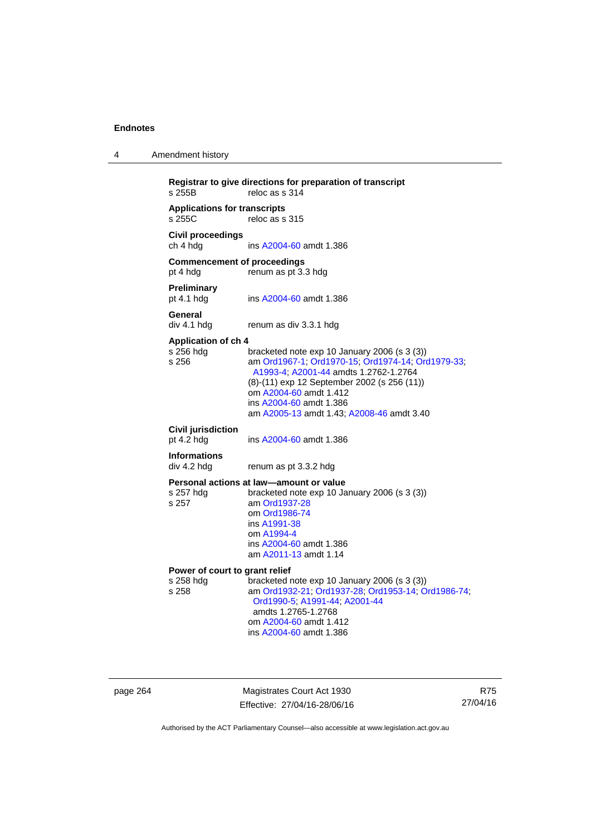| 4 | Amendment history |
|---|-------------------|
|---|-------------------|

```
Registrar to give directions for preparation of transcript 
                  reloc as s 314Applications for transcripts 
                  reloc as s 315
Civil proceedings 
ch 4 hdg ins A2004-60 amdt 1.386 
Commencement of proceedings 
pt 4 hdg renum as pt 3.3 hdg 
Preliminary 
                  A2004-60 amdt 1.386
General 
div 4.1 hdg renum as div 3.3.1 hdg 
Application of ch 4 
                  bracketed note exp 10 January 2006 (s 3 (3))
s 256 am Ord1967-1; Ord1970-15; Ord1974-14; Ord1979-33; 
                   A1993-4; A2001-44 amdts 1.2762-1.2764 
                  (8)-(11) exp 12 September 2002 (s 256 (11)) 
                   om A2004-60 amdt 1.412
                   ins A2004-60 amdt 1.386 
                   am A2005-13 amdt 1.43; A2008-46 amdt 3.40 
Civil jurisdiction 
A2004-60 amdt 1.386
Informations 
div 4.2 hdg renum as pt 3.3.2 hdg 
Personal actions at law—amount or value 
s 257 hdg bracketed note exp 10 January 2006 (s 3 (3))
s 257 am Ord1937-28
                   om Ord1986-74
                   ins A1991-38
                   om A1994-4
                   ins A2004-60 amdt 1.386 
                   am A2011-13 amdt 1.14
Power of court to grant relief<br>s 258 hdg bracketed r
s 258 hdg bracketed note exp 10 January 2006 (s 3 (3)) 
                  s 258 am Ord1932-21; Ord1937-28; Ord1953-14; Ord1986-74; 
                   Ord1990-5; A1991-44; A2001-44 
                   amdts 1.2765-1.2768 
                   om A2004-60 amdt 1.412
                   ins A2004-60 amdt 1.386
```
page 264 Magistrates Court Act 1930 Effective: 27/04/16-28/06/16

R75 27/04/16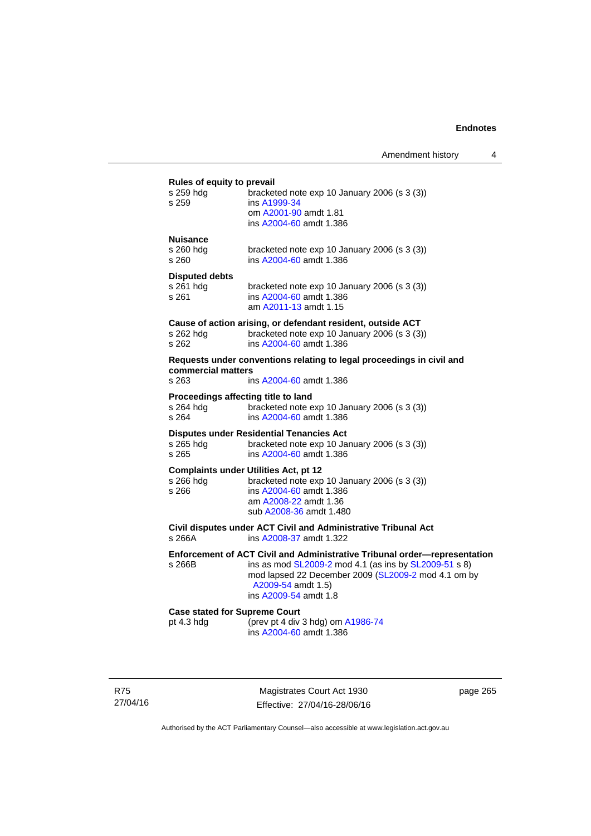#### **Rules of equity to prevail**

| s 259 hdg<br>s 259                                        | bracketed note exp 10 January 2006 (s 3 (3))<br>ins A1999-34<br>om A2001-90 amdt 1.81<br>ins A2004-60 amdt 1.386                                                                                                                         |
|-----------------------------------------------------------|------------------------------------------------------------------------------------------------------------------------------------------------------------------------------------------------------------------------------------------|
| <b>Nuisance</b><br>s 260 hda<br>s 260                     | bracketed note exp 10 January 2006 (s 3 (3))<br>ins A2004-60 amdt 1.386                                                                                                                                                                  |
| <b>Disputed debts</b><br>s 261 hda<br>s 261               | bracketed note $exp 10$ January 2006 (s 3 (3))<br>ins A2004-60 amdt 1.386<br>am A2011-13 amdt 1.15                                                                                                                                       |
| s 262 hdg<br>s 262                                        | Cause of action arising, or defendant resident, outside ACT<br>bracketed note exp 10 January 2006 (s 3 (3))<br>ins A2004-60 amdt 1.386                                                                                                   |
| commercial matters<br>s 263                               | Requests under conventions relating to legal proceedings in civil and<br>ins A2004-60 amdt 1.386                                                                                                                                         |
| Proceedings affecting title to land<br>s 264 hdg<br>s 264 | bracketed note exp 10 January 2006 (s 3 (3))<br>ins A2004-60 amdt 1.386                                                                                                                                                                  |
| s 265 hdg<br>s 265                                        | <b>Disputes under Residential Tenancies Act</b><br>bracketed note exp 10 January 2006 (s 3 (3))<br>ins A2004-60 amdt 1.386                                                                                                               |
| s 266 hdq<br>s 266                                        | <b>Complaints under Utilities Act, pt 12</b><br>bracketed note exp 10 January 2006 (s 3 (3))<br>ins A2004-60 amdt 1.386<br>am A2008-22 amdt 1.36<br>sub A2008-36 amdt 1.480                                                              |
| s 266A                                                    | Civil disputes under ACT Civil and Administrative Tribunal Act<br>ins A2008-37 amdt 1.322                                                                                                                                                |
| s 266B                                                    | Enforcement of ACT Civil and Administrative Tribunal order-representation<br>ins as mod SL2009-2 mod 4.1 (as ins by SL2009-51 s 8)<br>mod lapsed 22 December 2009 (SL2009-2 mod 4.1 om by<br>A2009-54 amdt 1.5)<br>ins A2009-54 amdt 1.8 |

**Case stated for Supreme Court** pt 4.3 hdg (prev pt 4 div pt 4.3 hdg (prev pt 4 div 3 hdg) om [A1986-74](http://www.legislation.act.gov.au/a/1986-74) ins [A2004-60](http://www.legislation.act.gov.au/a/2004-60) amdt 1.386

R75 27/04/16

Magistrates Court Act 1930 Effective: 27/04/16-28/06/16 page 265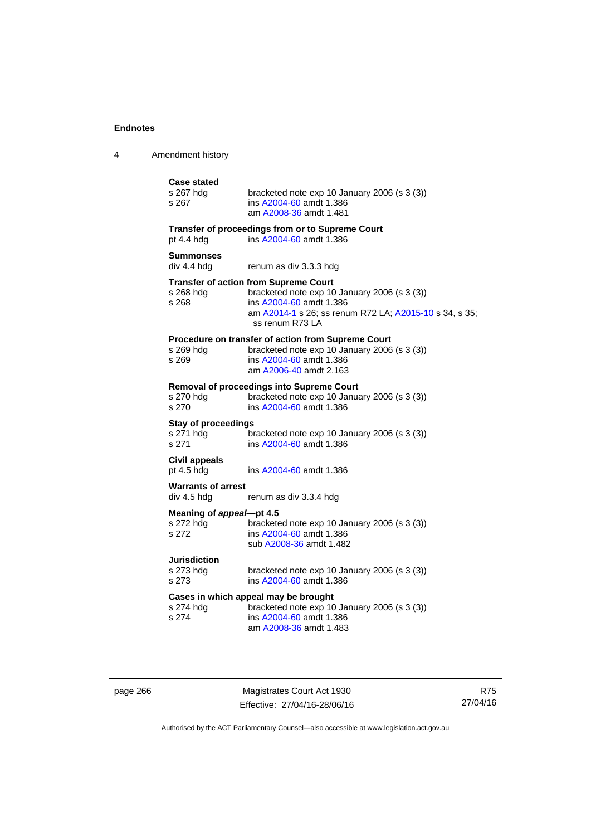| 4 | Amendment history |
|---|-------------------|
|---|-------------------|

| <b>Case stated</b><br>s 267 hdg<br>s 267         | bracketed note exp 10 January 2006 (s 3 (3))<br>ins A2004-60 amdt 1.386<br>am A2008-36 amdt 1.481                                                                                                    |
|--------------------------------------------------|------------------------------------------------------------------------------------------------------------------------------------------------------------------------------------------------------|
| pt 4.4 hdg                                       | Transfer of proceedings from or to Supreme Court<br>ins A2004-60 amdt 1.386                                                                                                                          |
| <b>Summonses</b><br>div 4.4 hdg                  | renum as div 3.3.3 hdg                                                                                                                                                                               |
| s 268 hdg<br>s 268                               | <b>Transfer of action from Supreme Court</b><br>bracketed note exp 10 January 2006 (s 3 (3))<br>ins A2004-60 amdt 1.386<br>am A2014-1 s 26; ss renum R72 LA; A2015-10 s 34, s 35;<br>ss renum R73 LA |
| s 269 hdg<br>s 269                               | Procedure on transfer of action from Supreme Court<br>bracketed note exp 10 January 2006 (s 3 (3))<br>ins A2004-60 amdt 1.386<br>am A2006-40 amdt 2.163                                              |
| s 270 hdg<br>s 270                               | Removal of proceedings into Supreme Court<br>bracketed note exp 10 January 2006 (s 3 (3))<br>ins A2004-60 amdt 1.386                                                                                 |
| <b>Stay of proceedings</b><br>s 271 hdg<br>s 271 | bracketed note exp 10 January 2006 (s 3 (3))<br>ins A2004-60 amdt 1.386                                                                                                                              |
| <b>Civil appeals</b><br>pt 4.5 hdg               | ins A2004-60 amdt 1.386                                                                                                                                                                              |
| <b>Warrants of arrest</b><br>div 4.5 hdg         | renum as div 3.3.4 hdg                                                                                                                                                                               |
| Meaning of appeal-pt 4.5<br>s 272 hdg<br>s 272   | bracketed note exp 10 January 2006 (s 3 (3))<br>ins A2004-60 amdt 1.386<br>sub A2008-36 amdt 1.482                                                                                                   |
| Jurisdiction<br>s 273 hdg<br>s 273               | bracketed note exp 10 January 2006 (s 3 (3))<br>ins A2004-60 amdt 1.386                                                                                                                              |
| s 274 hdg<br>s 274                               | Cases in which appeal may be brought<br>bracketed note exp 10 January 2006 (s 3 (3))<br>ins A2004-60 amdt 1.386<br>am A2008-36 amdt 1.483                                                            |

page 266 Magistrates Court Act 1930 Effective: 27/04/16-28/06/16

R75 27/04/16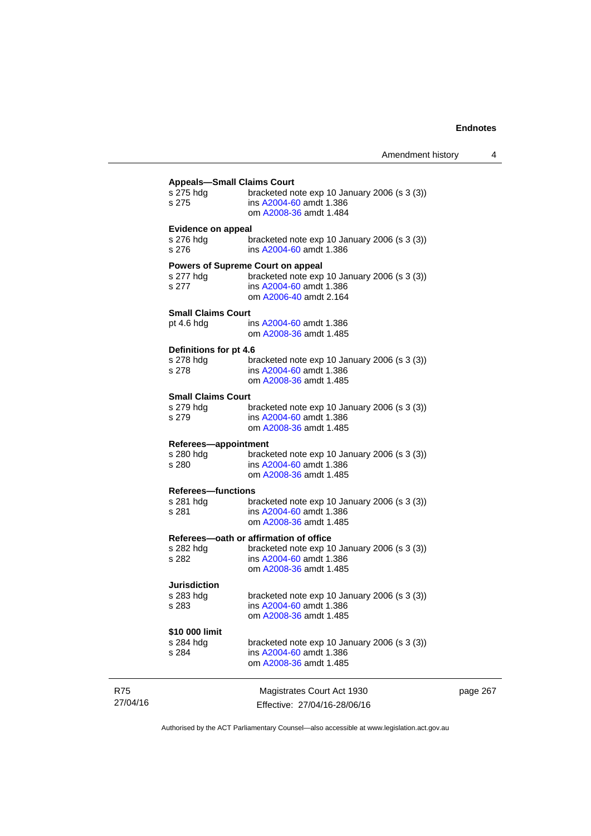page 267

|                           | <b>Appeals-Small Claims Court</b>              |
|---------------------------|------------------------------------------------|
| s 275 hdg                 | bracketed note exp 10 January 2006 (s 3 (3))   |
| s 275                     | ins A2004-60 amdt 1.386                        |
|                           | om A2008-36 amdt 1.484                         |
|                           |                                                |
| <b>Evidence on appeal</b> |                                                |
| s 276 hdg                 | bracketed note $exp 10$ January 2006 (s 3 (3)) |
| s 276                     | ins A2004-60 amdt 1.386                        |
|                           |                                                |
|                           | <b>Powers of Supreme Court on appeal</b>       |
| s 277 hdg                 | bracketed note exp 10 January 2006 (s 3 (3))   |
| s 277                     | ins A2004-60 amdt 1.386                        |
|                           | om A2006-40 amdt 2.164                         |
| <b>Small Claims Court</b> |                                                |
|                           | ins A2004-60 amdt 1.386                        |
| pt 4.6 hdg                |                                                |
|                           | om A2008-36 amdt 1.485                         |
| Definitions for pt 4.6    |                                                |
| s 278 hdg                 | bracketed note $exp 10$ January 2006 (s 3 (3)) |
| s 278                     | ins A2004-60 amdt 1.386                        |
|                           | om A2008-36 amdt 1.485                         |
|                           |                                                |
| <b>Small Claims Court</b> |                                                |
| s 279 hdg                 | bracketed note $exp 10$ January 2006 (s 3 (3)) |
| s 279                     | ins A2004-60 amdt 1.386                        |
|                           | om A2008-36 amdt 1.485                         |
|                           |                                                |
| Referees-appointment      |                                                |
| s 280 hdg                 | bracketed note $exp 10$ January 2006 (s 3 (3)) |
| s 280                     | ins A2004-60 amdt 1.386                        |
|                           | om A2008-36 amdt 1.485                         |
| <b>Referees-functions</b> |                                                |
| s 281 hdg                 | bracketed note $exp 10$ January 2006 (s 3 (3)) |
| s 281                     | ins A2004-60 amdt 1.386                        |
|                           | om A2008-36 amdt 1.485                         |
|                           |                                                |
|                           | Referees-oath or affirmation of office         |
| s 282 hdg                 | bracketed note $exp 10$ January 2006 (s 3 (3)) |
| s 282                     | ins A2004-60 amdt 1.386                        |
|                           | om A2008-36 amdt 1.485                         |
|                           |                                                |
| Jurisdiction              |                                                |
| s 283 hdg                 | bracketed note exp 10 January 2006 (s 3 (3))   |
| s 283                     | ins A2004-60 amdt 1.386                        |
|                           | om A2008-36 amdt 1.485                         |
| \$10 000 limit            |                                                |
| s 284 hdg                 | bracketed note exp 10 January 2006 (s 3 (3))   |
|                           | ins A2004-60 amdt 1.386                        |
| s 284                     |                                                |
|                           | om A2008-36 amdt 1.485                         |
|                           |                                                |
|                           | Magistrates Court Act 1930                     |
|                           | Effective: 27/04/16-28/06/16                   |
|                           |                                                |

Authorised by the ACT Parliamentary Counsel—also accessible at www.legislation.act.gov.au

R75 27/04/16

L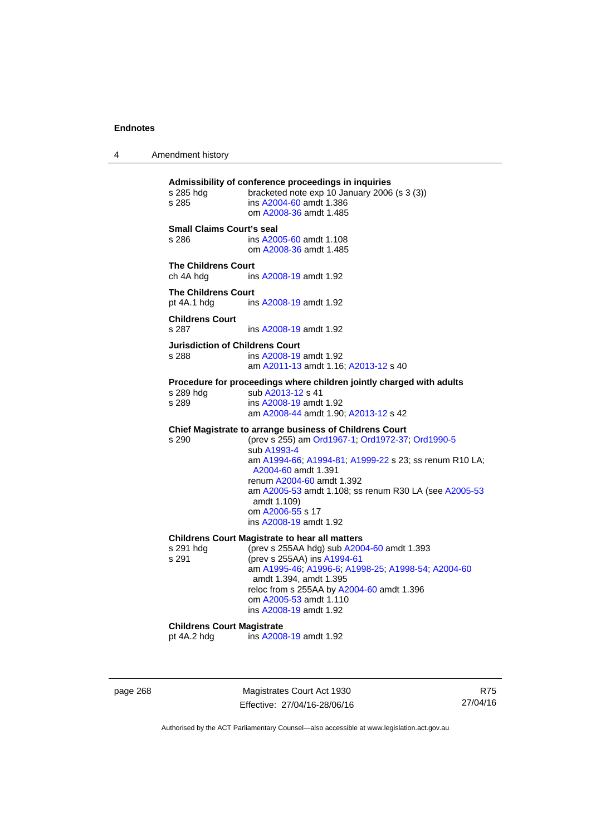4 Amendment history

**Admissibility of conference proceedings in inquiries**  bracketed note exp 10 January 2006 (s  $3$  (3)) s 285 ins [A2004-60](http://www.legislation.act.gov.au/a/2004-60) amdt 1.386 om [A2008-36](http://www.legislation.act.gov.au/a/2008-36) amdt 1.485 **Small Claims Court's seal**  s 286 ins [A2005-60](http://www.legislation.act.gov.au/a/2005-60) amdt 1.108 om [A2008-36](http://www.legislation.act.gov.au/a/2008-36) amdt 1.485 **The Childrens Court**  ch 4A hdg ins [A2008-19](http://www.legislation.act.gov.au/a/2008-19) amdt 1.92 **The Childrens Court**  pt 4A.1 hdg ins [A2008-19](http://www.legislation.act.gov.au/a/2008-19) amdt 1.92 **Childrens Court**  s 287 ins [A2008-19](http://www.legislation.act.gov.au/a/2008-19) amdt 1.92 **Jurisdiction of Childrens Court**  s 288 ins [A2008-19](http://www.legislation.act.gov.au/a/2008-19) amdt 1.92 am [A2011-13](http://www.legislation.act.gov.au/a/2011-13) amdt 1.16; [A2013-12](http://www.legislation.act.gov.au/a/2013-12) s 40 **Procedure for proceedings where children jointly charged with adults**  s 289 hdg sub [A2013-12](http://www.legislation.act.gov.au/a/2013-12) s 41 s 289 ins [A2008-19](http://www.legislation.act.gov.au/a/2008-19) amdt 1.92 am [A2008-44](http://www.legislation.act.gov.au/a/2008-44) amdt 1.90; [A2013-12](http://www.legislation.act.gov.au/a/2013-12) s 42 **Chief Magistrate to arrange business of Childrens Court**  s 290 (prev s 255) am [Ord1967-1](http://www.legislation.act.gov.au/a/1967-1); [Ord1972-37;](http://www.legislation.act.gov.au/a/1972-37) [Ord1990-5](http://www.legislation.act.gov.au/a/alt_ord1990-5) sub [A1993-4](http://www.legislation.act.gov.au/a/1993-4) am [A1994-66](http://www.legislation.act.gov.au/a/1994-66); [A1994-81](http://www.legislation.act.gov.au/a/1994-81); [A1999-22](http://www.legislation.act.gov.au/a/1999-22) s 23; ss renum R10 LA; [A2004-60](http://www.legislation.act.gov.au/a/2004-60) amdt 1.391 renum [A2004-60](http://www.legislation.act.gov.au/a/2004-60) amdt 1.392 am [A2005-53](http://www.legislation.act.gov.au/a/2005-53) amdt 1.108; ss renum R30 LA (see [A2005-53](http://www.legislation.act.gov.au/a/2005-53) amdt 1.109) om [A2006-55](http://www.legislation.act.gov.au/a/2006-55) s 17 ins [A2008-19](http://www.legislation.act.gov.au/a/2008-19) amdt 1.92 **Childrens Court Magistrate to hear all matters**  s 291 hdg (prev s 255AA hdg) sub [A2004-60](http://www.legislation.act.gov.au/a/2004-60) amdt 1.393<br>s 291 (prev s 255AA) ins A1994-61 (prev s 255AA) ins [A1994-61](http://www.legislation.act.gov.au/a/1994-61) am [A1995-46](http://www.legislation.act.gov.au/a/1995-46); [A1996-6;](http://www.legislation.act.gov.au/a/1996-6) [A1998-25](http://www.legislation.act.gov.au/a/1998-25); [A1998-54](http://www.legislation.act.gov.au/a/1998-54); [A2004-60](http://www.legislation.act.gov.au/a/2004-60) amdt 1.394, amdt 1.395 reloc from s 255AA by [A2004-60](http://www.legislation.act.gov.au/a/2004-60) amdt 1.396 om [A2005-53](http://www.legislation.act.gov.au/a/2005-53) amdt 1.110 ins [A2008-19](http://www.legislation.act.gov.au/a/2008-19) amdt 1.92 **Childrens Court Magistrate**<br>
ot 4A.2 hdg ins A200 ins [A2008-19](http://www.legislation.act.gov.au/a/2008-19) amdt 1.92

page 268 Magistrates Court Act 1930 Effective: 27/04/16-28/06/16

R75 27/04/16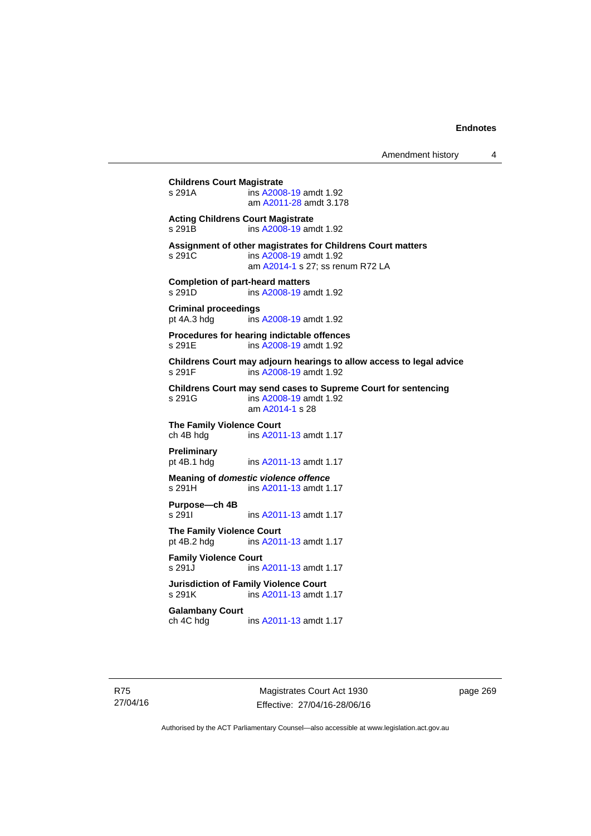## **Childrens Court Magistrate**  s 291A ins [A2008-19](http://www.legislation.act.gov.au/a/2008-19) amdt 1.92 am [A2011-28](http://www.legislation.act.gov.au/a/2011-28) amdt 3.178 **Acting Childrens Court Magistrate**  s 291B ins [A2008-19](http://www.legislation.act.gov.au/a/2008-19) amdt 1.92 **Assignment of other magistrates for Childrens Court matters**  s 291C ins [A2008-19](http://www.legislation.act.gov.au/a/2008-19) amdt 1.92 am [A2014-1](http://www.legislation.act.gov.au/a/2014-1) s 27; ss renum R72 LA **Completion of part-heard matters**  s 291D ins [A2008-19](http://www.legislation.act.gov.au/a/2008-19) amdt 1.92 **Criminal proceedings**  pt 4A.3 hdg ins [A2008-19](http://www.legislation.act.gov.au/a/2008-19) amdt 1.92 **Procedures for hearing indictable offences**  s 291E ins [A2008-19](http://www.legislation.act.gov.au/a/2008-19) amdt 1.92 **Childrens Court may adjourn hearings to allow access to legal advice**  ins [A2008-19](http://www.legislation.act.gov.au/a/2008-19) amdt 1.92 **Childrens Court may send cases to Supreme Court for sentencing**  ins [A2008-19](http://www.legislation.act.gov.au/a/2008-19) amdt 1.92 am [A2014-1](http://www.legislation.act.gov.au/a/2014-1) s 28 **The Family Violence Court**  ch 4B hdg ins [A2011-13](http://www.legislation.act.gov.au/a/2011-13) amdt 1.17 **Preliminary**  pt 4B.1 hdg ins [A2011-13](http://www.legislation.act.gov.au/a/2011-13) amdt 1.17 **Meaning of** *domestic violence offence* s 291H ins [A2011-13](http://www.legislation.act.gov.au/a/2011-13) amdt 1.17 **Purpose—ch 4B**  s 291I **ins [A2011-13](http://www.legislation.act.gov.au/a/2011-13) amdt 1.17 The Family Violence Court**  pt 4B.2 hdg ins [A2011-13](http://www.legislation.act.gov.au/a/2011-13) amdt 1.17 **Family Violence Court**  s 291J ins [A2011-13](http://www.legislation.act.gov.au/a/2011-13) amdt 1.17 **Jurisdiction of Family Violence Court**  ins [A2011-13](http://www.legislation.act.gov.au/a/2011-13) amdt 1.17 **Galambany Court**  ch 4C hdg ins [A2011-13](http://www.legislation.act.gov.au/a/2011-13) amdt 1.17

Magistrates Court Act 1930 Effective: 27/04/16-28/06/16 page 269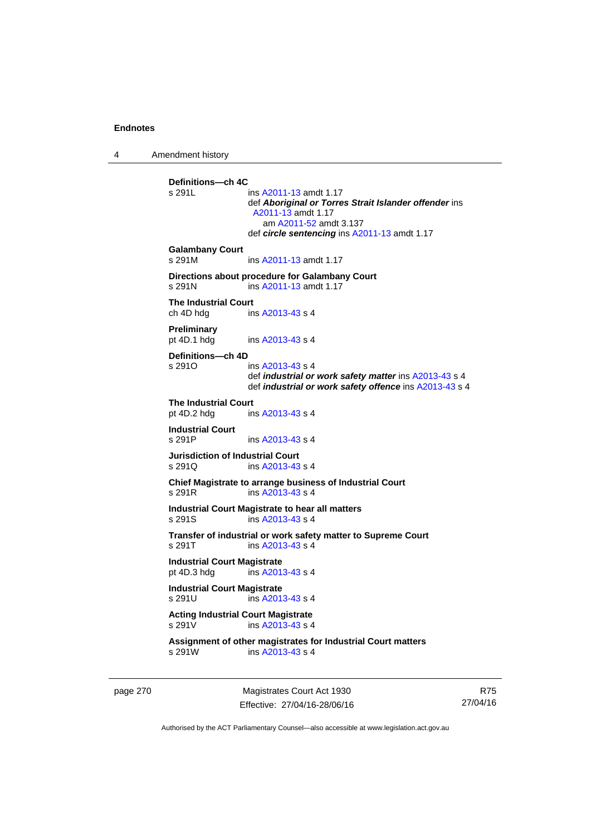4 Amendment history

**Definitions—ch 4C**  ins [A2011-13](http://www.legislation.act.gov.au/a/2011-13) amdt 1.17 def *Aboriginal or Torres Strait Islander offender* ins [A2011-13](http://www.legislation.act.gov.au/a/2011-13) amdt 1.17 am [A2011-52](http://www.legislation.act.gov.au/a/2011-52) amdt 3.137 def *circle sentencing* ins [A2011-13](http://www.legislation.act.gov.au/a/2011-13) amdt 1.17 **Galambany Court**  s 291M ins [A2011-13](http://www.legislation.act.gov.au/a/2011-13) amdt 1.17 **Directions about procedure for Galambany Court**  s 291N ins [A2011-13](http://www.legislation.act.gov.au/a/2011-13) amdt 1.17 **The Industrial Court**  ch 4D hdg ins [A2013-43](http://www.legislation.act.gov.au/a/2013-43) s 4 **Preliminary**  pt 4D.1 hdg ins [A2013-43](http://www.legislation.act.gov.au/a/2013-43) s 4 **Definitions—ch 4D**   $ins A2013-43 s 4$  $ins A2013-43 s 4$  $ins A2013-43 s 4$  def *industrial or work safety matter* ins [A2013-43](http://www.legislation.act.gov.au/a/2013-43) s 4 def *industrial or work safety offence* ins [A2013-43](http://www.legislation.act.gov.au/a/2013-43) s 4 **The Industrial Court** pt 4D.2 hdg in ins  $A2013-43 s 4$ **Industrial Court**  s 291P ins [A2013-43](http://www.legislation.act.gov.au/a/2013-43) s 4 **Jurisdiction of Industrial Court**  s 291Q ins [A2013-43](http://www.legislation.act.gov.au/a/2013-43) s 4 **Chief Magistrate to arrange business of Industrial Court**  s 291R ins [A2013-43](http://www.legislation.act.gov.au/a/2013-43) s 4 **Industrial Court Magistrate to hear all matters**  s 291S ins [A2013-43](http://www.legislation.act.gov.au/a/2013-43) s 4 **Transfer of industrial or work safety matter to Supreme Court**  s 291T ins [A2013-43](http://www.legislation.act.gov.au/a/2013-43) s 4 **Industrial Court Magistrate**<br>
pt 4D.3 hdq ins A201  $ins$  [A2013-43](http://www.legislation.act.gov.au/a/2013-43) s 4 **Industrial Court Magistrate**  s 291U ins [A2013-43](http://www.legislation.act.gov.au/a/2013-43) s 4 **Acting Industrial Court Magistrate**  s 291V ins [A2013-43](http://www.legislation.act.gov.au/a/2013-43) s 4 **Assignment of other magistrates for Industrial Court matters**  s 291W ins [A2013-43](http://www.legislation.act.gov.au/a/2013-43) s 4

page 270 Magistrates Court Act 1930 Effective: 27/04/16-28/06/16

R75 27/04/16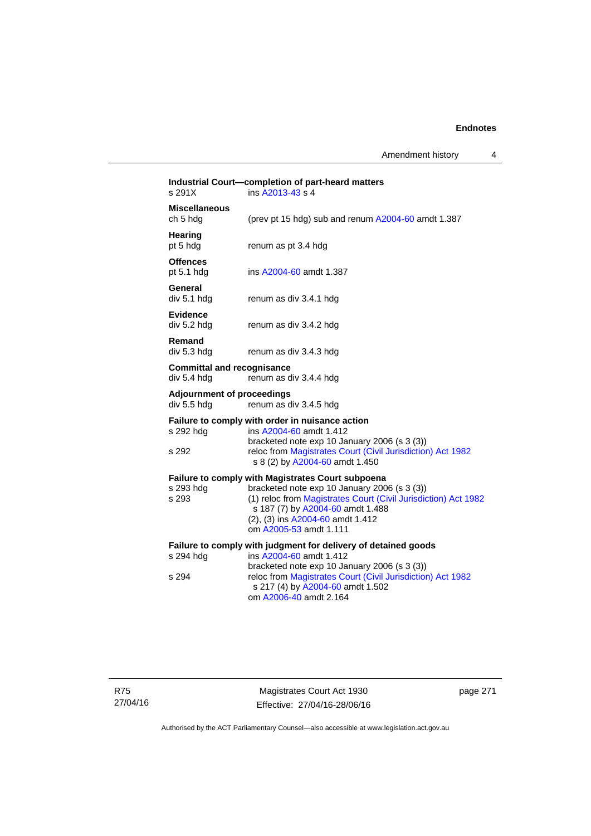Amendment history 4

|                                                  | Industrial Court-completion of part-heard matters                                                                                                                                                                |
|--------------------------------------------------|------------------------------------------------------------------------------------------------------------------------------------------------------------------------------------------------------------------|
| s 291X                                           | ins A2013-43 s 4                                                                                                                                                                                                 |
| <b>Miscellaneous</b><br>ch 5 hdg                 | (prev pt 15 hdg) sub and renum A2004-60 amdt 1.387                                                                                                                                                               |
| Hearing<br>pt 5 hdg                              | renum as pt 3.4 hdg                                                                                                                                                                                              |
| <b>Offences</b><br>pt 5.1 h dq                   | ins A2004-60 amdt 1.387                                                                                                                                                                                          |
| General<br>div 5.1 h dq                          | renum as div 3.4.1 hdg                                                                                                                                                                                           |
| <b>Evidence</b><br>div 5.2 hdg                   | renum as div 3.4.2 hdg                                                                                                                                                                                           |
| Remand<br>div 5.3 hdg                            | renum as div 3.4.3 hdg                                                                                                                                                                                           |
| <b>Committal and recognisance</b><br>div 5.4 hdg | renum as div 3.4.4 hdg                                                                                                                                                                                           |
| <b>Adjournment of proceedings</b><br>div 5.5 hdg | renum as div 3.4.5 hdg                                                                                                                                                                                           |
| s 292 hdg                                        | Failure to comply with order in nuisance action<br>ins A2004-60 amdt 1.412<br>bracketed note exp 10 January 2006 (s 3 (3))                                                                                       |
| s 292                                            | reloc from Magistrates Court (Civil Jurisdiction) Act 1982<br>s 8 (2) by A2004-60 amdt 1.450                                                                                                                     |
|                                                  | Failure to comply with Magistrates Court subpoena                                                                                                                                                                |
| s 293 hdg<br>s 293                               | bracketed note exp 10 January 2006 (s 3 (3))<br>(1) reloc from Magistrates Court (Civil Jurisdiction) Act 1982<br>s 187 (7) by A2004-60 amdt 1.488<br>(2), (3) ins A2004-60 amdt 1.412<br>om A2005-53 amdt 1.111 |
|                                                  | Failure to comply with judgment for delivery of detained goods                                                                                                                                                   |
| s 294 hdg                                        | ins A2004-60 amdt 1.412                                                                                                                                                                                          |
| s 294                                            | bracketed note exp 10 January 2006 (s 3 (3))<br>reloc from Magistrates Court (Civil Jurisdiction) Act 1982<br>s 217 (4) by A2004-60 amdt 1.502<br>om A2006-40 amdt 2.164                                         |
|                                                  |                                                                                                                                                                                                                  |

Magistrates Court Act 1930 Effective: 27/04/16-28/06/16 page 271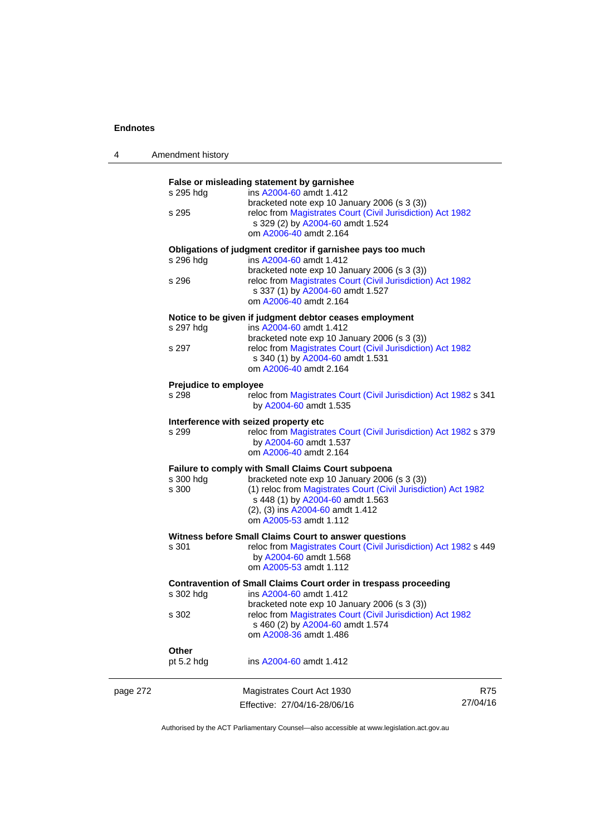4 Amendment history

|          |                                                                  | False or misleading statement by garnishee                       |          |
|----------|------------------------------------------------------------------|------------------------------------------------------------------|----------|
|          | s 295 hdg                                                        | ins A2004-60 amdt 1.412                                          |          |
|          |                                                                  | bracketed note exp 10 January 2006 (s 3 (3))                     |          |
|          | s 295                                                            | reloc from Magistrates Court (Civil Jurisdiction) Act 1982       |          |
|          |                                                                  | s 329 (2) by A2004-60 amdt 1.524                                 |          |
|          |                                                                  | om A2006-40 amdt 2.164                                           |          |
|          | Obligations of judgment creditor if garnishee pays too much      |                                                                  |          |
|          | s 296 hdg                                                        | ins A2004-60 amdt 1.412                                          |          |
|          |                                                                  | bracketed note exp 10 January 2006 (s 3 (3))                     |          |
|          | s 296                                                            | reloc from Magistrates Court (Civil Jurisdiction) Act 1982       |          |
|          |                                                                  | s 337 (1) by A2004-60 amdt 1.527                                 |          |
|          |                                                                  | om A2006-40 amdt 2.164                                           |          |
|          | Notice to be given if judgment debtor ceases employment          |                                                                  |          |
|          | s 297 hdg                                                        | ins A2004-60 amdt 1.412                                          |          |
|          |                                                                  | bracketed note exp 10 January 2006 (s 3 (3))                     |          |
|          | s 297                                                            | reloc from Magistrates Court (Civil Jurisdiction) Act 1982       |          |
|          |                                                                  | s 340 (1) by A2004-60 amdt 1.531                                 |          |
|          |                                                                  | om A2006-40 amdt 2.164                                           |          |
|          |                                                                  |                                                                  |          |
|          | Prejudice to employee                                            |                                                                  |          |
|          | s 298                                                            | reloc from Magistrates Court (Civil Jurisdiction) Act 1982 s 341 |          |
|          |                                                                  | by A2004-60 amdt 1.535                                           |          |
|          | Interference with seized property etc                            |                                                                  |          |
|          | s 299                                                            | reloc from Magistrates Court (Civil Jurisdiction) Act 1982 s 379 |          |
|          |                                                                  | by A2004-60 amdt 1.537                                           |          |
|          |                                                                  | om A2006-40 amdt 2.164                                           |          |
|          |                                                                  |                                                                  |          |
|          | Failure to comply with Small Claims Court subpoena               |                                                                  |          |
|          | s 300 hdg                                                        | bracketed note exp 10 January 2006 (s 3 (3))                     |          |
|          | s 300                                                            | (1) reloc from Magistrates Court (Civil Jurisdiction) Act 1982   |          |
|          |                                                                  | s 448 (1) by A2004-60 amdt 1.563                                 |          |
|          |                                                                  | (2), (3) ins A2004-60 amdt 1.412                                 |          |
|          |                                                                  | om A2005-53 amdt 1.112                                           |          |
|          | Witness before Small Claims Court to answer questions            |                                                                  |          |
|          | s 301                                                            | reloc from Magistrates Court (Civil Jurisdiction) Act 1982 s 449 |          |
|          |                                                                  | by A2004-60 amdt 1.568                                           |          |
|          |                                                                  | om A2005-53 amdt 1.112                                           |          |
|          |                                                                  |                                                                  |          |
|          | Contravention of Small Claims Court order in trespass proceeding |                                                                  |          |
|          | s 302 hdg                                                        | ins A2004-60 amdt 1.412                                          |          |
|          |                                                                  | bracketed note exp 10 January 2006 (s 3 (3))                     |          |
|          | s 302                                                            | reloc from Magistrates Court (Civil Jurisdiction) Act 1982       |          |
|          |                                                                  | s 460 (2) by A2004-60 amdt 1.574                                 |          |
|          |                                                                  | om A2008-36 amdt 1.486                                           |          |
|          | Other                                                            |                                                                  |          |
|          | pt $5.2$ hdg                                                     | ins A2004-60 amdt 1.412                                          |          |
|          |                                                                  | Magistrates Court Act 1930                                       | R75      |
| page 272 |                                                                  |                                                                  |          |
|          |                                                                  | Effective: 27/04/16-28/06/16                                     | 27/04/16 |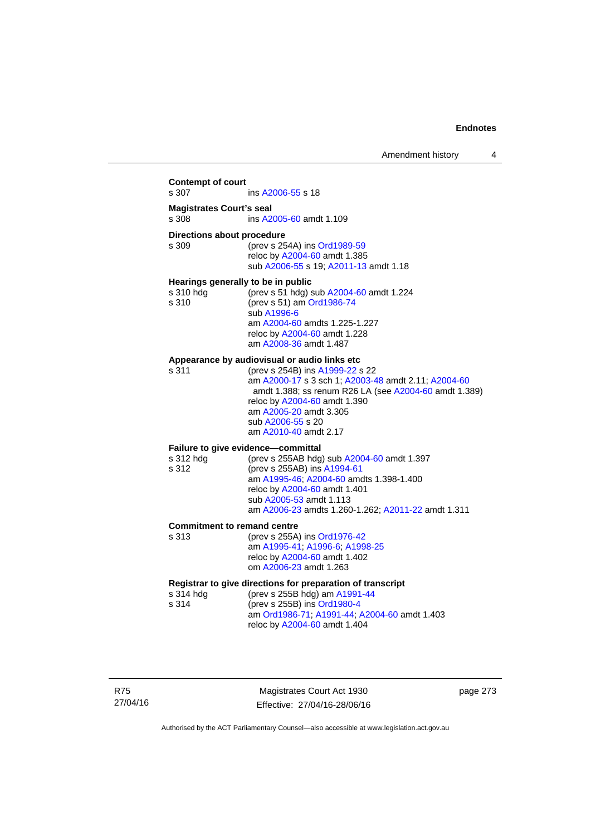### **Contempt of court**  s 307 ins [A2006-55](http://www.legislation.act.gov.au/a/2006-55) s 18 **Magistrates Court's seal**  s 308 ins [A2005-60](http://www.legislation.act.gov.au/a/2005-60) amdt 1.109 **Directions about procedure**<br>s 309 (prev s 25) (prev s 254A) ins [Ord1989-59](http://www.legislation.act.gov.au/a/1989-59) reloc by [A2004-60](http://www.legislation.act.gov.au/a/2004-60) amdt 1.385 sub [A2006-55](http://www.legislation.act.gov.au/a/2006-55) s 19; [A2011-13](http://www.legislation.act.gov.au/a/2011-13) amdt 1.18 **Hearings generally to be in public**  s 310 hdg (prev s 51 hdg) sub [A2004-60](http://www.legislation.act.gov.au/a/2004-60) amdt 1.224 s 310 (prev s 51) am [Ord1986-74](http://www.legislation.act.gov.au/a/1986-74) sub [A1996-6](http://www.legislation.act.gov.au/a/1996-6) am [A2004-60](http://www.legislation.act.gov.au/a/2004-60) amdts 1.225-1.227 reloc by [A2004-60](http://www.legislation.act.gov.au/a/2004-60) amdt 1.228 am [A2008-36](http://www.legislation.act.gov.au/a/2008-36) amdt 1.487 **Appearance by audiovisual or audio links etc**  s 311 (prev s 254B) ins [A1999-22](http://www.legislation.act.gov.au/a/1999-22) s 22 am [A2000-17](http://www.legislation.act.gov.au/a/2000-17) s 3 sch 1; [A2003-48](http://www.legislation.act.gov.au/a/2003-48) amdt 2.11; [A2004-60](http://www.legislation.act.gov.au/a/2004-60) amdt 1.388; ss renum R26 LA (see [A2004-60](http://www.legislation.act.gov.au/a/2004-60) amdt 1.389) reloc by [A2004-60](http://www.legislation.act.gov.au/a/2004-60) amdt 1.390 am [A2005-20](http://www.legislation.act.gov.au/a/2005-20) amdt 3.305 sub [A2006-55](http://www.legislation.act.gov.au/a/2006-55) s 20 am [A2010-40](http://www.legislation.act.gov.au/a/2010-40) amdt 2.17 **Failure to give evidence—committal**  s 312 hdg (prev s 255AB hdg) sub [A2004-60](http://www.legislation.act.gov.au/a/2004-60) amdt 1.397 s 312 (prev s 255AB) ins [A1994-61](http://www.legislation.act.gov.au/a/1994-61) am [A1995-46](http://www.legislation.act.gov.au/a/1995-46); [A2004-60](http://www.legislation.act.gov.au/a/2004-60) amdts 1.398-1.400 reloc by [A2004-60](http://www.legislation.act.gov.au/a/2004-60) amdt 1.401 sub [A2005-53](http://www.legislation.act.gov.au/a/2005-53) amdt 1.113 am [A2006-23](http://www.legislation.act.gov.au/a/2006-23) amdts 1.260-1.262; [A2011-22](http://www.legislation.act.gov.au/a/2011-22) amdt 1.311 **Commitment to remand centre**  s 313 (prev s 255A) ins [Ord1976-42](http://www.legislation.act.gov.au/a/1976-42) am [A1995-41](http://www.legislation.act.gov.au/a/1995-41); [A1996-6](http://www.legislation.act.gov.au/a/1996-6); [A1998-25](http://www.legislation.act.gov.au/a/1998-25) reloc by [A2004-60](http://www.legislation.act.gov.au/a/2004-60) amdt 1.402 om [A2006-23](http://www.legislation.act.gov.au/a/2006-23) amdt 1.263 **Registrar to give directions for preparation of transcript**<br>s 314 hdd (prev s 255B hdd) am A1991-44 (prev s 255B hdg) am [A1991-44](http://www.legislation.act.gov.au/a/1991-44) s 314 (prev s 255B) ins [Ord1980-4](http://www.legislation.act.gov.au/a/1980-4) am [Ord1986-71](http://www.legislation.act.gov.au/a/1986-71); [A1991-44](http://www.legislation.act.gov.au/a/1991-44); [A2004-60](http://www.legislation.act.gov.au/a/2004-60) amdt 1.403 reloc by [A2004-60](http://www.legislation.act.gov.au/a/2004-60) amdt 1.404

R75 27/04/16

Magistrates Court Act 1930 Effective: 27/04/16-28/06/16 page 273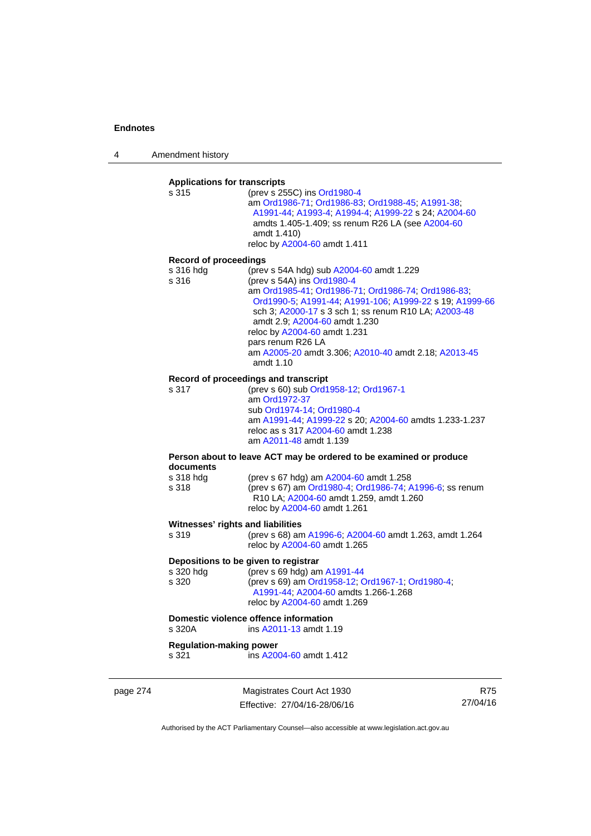4 Amendment history

# **Applications for transcripts**

s 315 (prev s 255C) ins [Ord1980-4](http://www.legislation.act.gov.au/a/1980-4) am [Ord1986-71](http://www.legislation.act.gov.au/a/1986-71); [Ord1986-83;](http://www.legislation.act.gov.au/a/1986-83) [Ord1988-45](http://www.legislation.act.gov.au/a/1988-45); [A1991-38](http://www.legislation.act.gov.au/a/1991-38); [A1991-44;](http://www.legislation.act.gov.au/a/1991-44) [A1993-4;](http://www.legislation.act.gov.au/a/1993-4) [A1994-4](http://www.legislation.act.gov.au/a/1994-4); [A1999-22](http://www.legislation.act.gov.au/a/1999-22) s 24; [A2004-60](http://www.legislation.act.gov.au/a/2004-60) amdts 1.405-1.409; ss renum R26 LA (see [A2004-60](http://www.legislation.act.gov.au/a/2004-60) amdt 1.410) reloc by [A2004-60](http://www.legislation.act.gov.au/a/2004-60) amdt 1.411

#### **Record of proceedings**

| s 316 hda | (prev s 54A hdg) sub A2004-60 amdt 1.229                |
|-----------|---------------------------------------------------------|
| s 316     | (prev s 54A) ins Ord1980-4                              |
|           | am Ord1985-41, Ord1986-71, Ord1986-74, Ord1986-83,      |
|           | Ord1990-5; A1991-44; A1991-106; A1999-22 s 19; A1999-66 |
|           | sch 3; A2000-17 s 3 sch 1; ss renum R10 LA; A2003-48    |
|           | amdt 2.9: A2004-60 amdt 1.230                           |
|           | reloc by A2004-60 amdt 1.231                            |
|           | pars renum R26 LA                                       |
|           | am A2005-20 amdt 3.306; A2010-40 amdt 2.18; A2013-45    |
|           | amdt 1.10                                               |

#### **Record of proceedings and transcript**

s 317 (prev s 60) sub [Ord1958-12](http://www.legislation.act.gov.au/a/1958-12); [Ord1967-1](http://www.legislation.act.gov.au/a/1967-1) am [Ord1972-37](http://www.legislation.act.gov.au/a/1972-37) sub [Ord1974-14](http://www.legislation.act.gov.au/a/1974-14); [Ord1980-4](http://www.legislation.act.gov.au/a/1980-4) am [A1991-44](http://www.legislation.act.gov.au/a/1991-44); [A1999-22](http://www.legislation.act.gov.au/a/1999-22) s 20; [A2004-60](http://www.legislation.act.gov.au/a/2004-60) amdts 1.233-1.237 reloc as s 317 [A2004-60](http://www.legislation.act.gov.au/a/2004-60) amdt 1.238 am [A2011-48](http://www.legislation.act.gov.au/a/2011-48) amdt 1.139

#### **Person about to leave ACT may be ordered to be examined or produce documents**

| s 318 hda | (prev s 67 hdg) am A2004-60 amdt 1.258                  |
|-----------|---------------------------------------------------------|
| s 318     | (prev s 67) am Ord1980-4; Ord1986-74; A1996-6; ss renum |
|           | R10 LA: A2004-60 amdt 1.259, amdt 1.260                 |
|           | reloc by A2004-60 amdt 1.261                            |

#### **Witnesses' rights and liabilities**

| s 319 | (prev s 68) am A1996-6, A2004-60 amdt 1.263, amdt 1.264 |
|-------|---------------------------------------------------------|
|       | reloc by A2004-60 amdt 1.265                            |

### **Depositions to be given to registrar**

| s 320 hdg | (prev s 69 hdg) am $A1991-44$                    |
|-----------|--------------------------------------------------|
| s 320     | (prev s 69) am Ord1958-12; Ord1967-1; Ord1980-4; |
|           | A1991-44: A2004-60 amdts 1.266-1.268             |
|           | reloc by A2004-60 amdt 1.269                     |

# **Domestic violence offence information**<br>s 320A **ins A2011-13** amdt 1.

ins [A2011-13](http://www.legislation.act.gov.au/a/2011-13) amdt 1.19

### **Regulation-making power**

s 321 ins [A2004-60](http://www.legislation.act.gov.au/a/2004-60) amdt 1.412

page 274 Magistrates Court Act 1930 Effective: 27/04/16-28/06/16

R75 27/04/16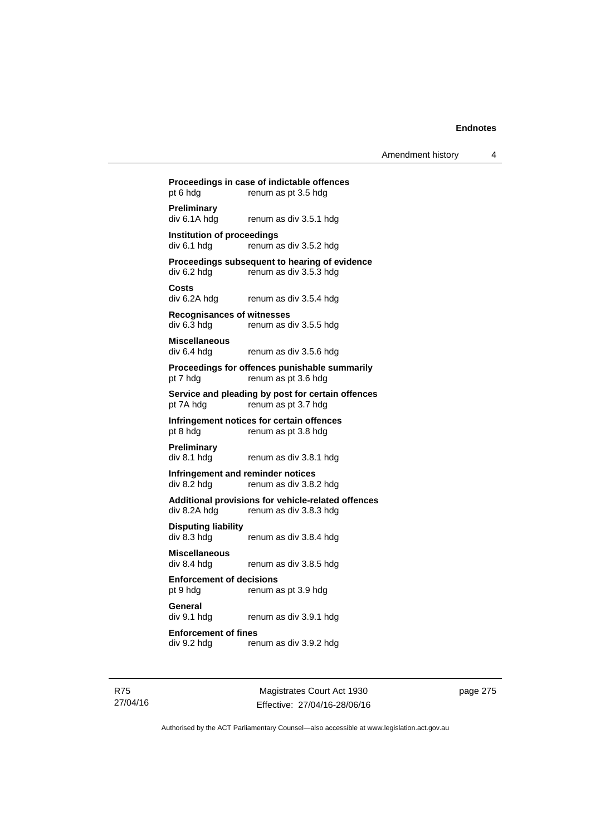## **Proceedings in case of indictable offences**  pt 6 hdg renum as pt 3.5 hdg **Preliminary**  div 6.1A hdg renum as div 3.5.1 hdg **Institution of proceedings**   $div 6.1$  hdg renum as div  $3.5.2$  hdg **Proceedings subsequent to hearing of evidence**  div 6.2 hdg renum as div 3.5.3 hdg **Costs**  renum as div 3.5.4 hdg **Recognisances of witnesses**  div 6.3 hdg renum as div 3.5.5 hdg **Miscellaneous**  div 6.4 hdg renum as div 3.5.6 hdg **Proceedings for offences punishable summarily**  pt 7 hdg renum as pt 3.6 hdg **Service and pleading by post for certain offences**  pt 7A hdg renum as pt 3.7 hdg **Infringement notices for certain offences**  pt 8 hdg renum as pt 3.8 hdg **Preliminary**  div 8.1 hdg renum as div 3.8.1 hdg **Infringement and reminder notices**  div 8.2 hdg renum as div 3.8.2 hdg **Additional provisions for vehicle-related offences**  div 8.2A hdg renum as div 3.8.3 hdg **Disputing liability**  div 8.3 hdg renum as div 3.8.4 hdg **Miscellaneous**  renum as div 3.8.5 hdg **Enforcement of decisions**  pt 9 hdg renum as pt 3.9 hdg **General**  div 9.1 hdg renum as div 3.9.1 hdg **Enforcement of fines**  div 9.2 hdg renum as div 3.9.2 hdg

R75 27/04/16

Magistrates Court Act 1930 Effective: 27/04/16-28/06/16 page 275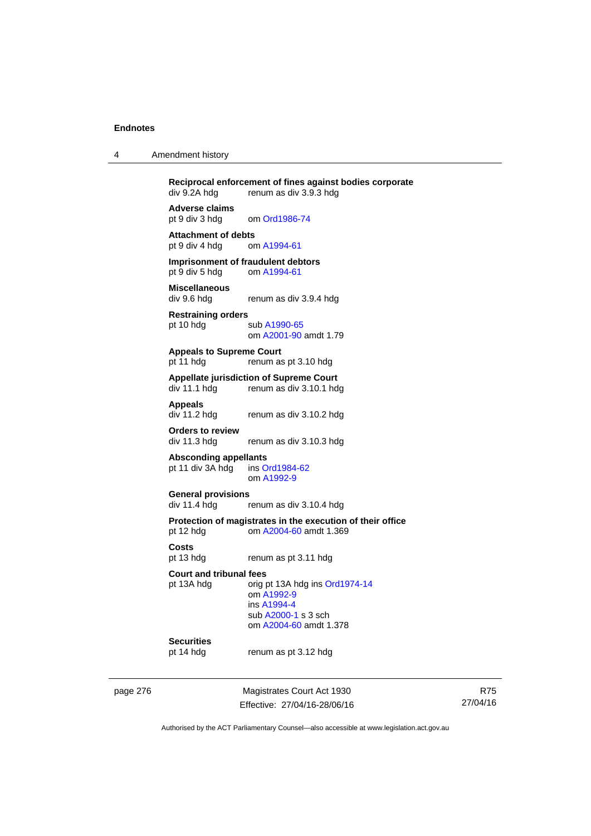| 4 | Amendment history |  |
|---|-------------------|--|
|---|-------------------|--|

**Reciprocal enforcement of fines against bodies corporate**<br>div 9.2A hdg renum as div 3.9.3 hdg renum as div 3.9.3 hdg **Adverse claims** 

pt 9 div 3 hdg om [Ord1986-74](http://www.legislation.act.gov.au/a/1986-74)

**Attachment of debts**<br>
pt 9 div 4 hdg om A1994-61 pt 9 div 4 hdg

**Imprisonment of fraudulent debtors**  pt 9 div 5 hdg om [A1994-61](http://www.legislation.act.gov.au/a/1994-61)

**Miscellaneous**  renum as div 3.9.4 hdg

**Restraining orders**  pt 10 hdg sub [A1990-65](http://www.legislation.act.gov.au/a/1990-65) om [A2001-90](http://www.legislation.act.gov.au/a/2001-90) amdt 1.79

**Appeals to Supreme Court**  pt 11 hdg renum as pt 3.10 hdg

# **Appellate jurisdiction of Supreme Court**

renum as div 3.10.1 hdg

**Appeals** 

renum as div 3.10.2 hdg

**Orders to review** 

renum as div 3.10.3 hdg

**Absconding appellants** 

pt 11 div 3A hdg ins [Ord1984-62](http://www.legislation.act.gov.au/a/1984-62) om [A1992-9](http://www.legislation.act.gov.au/a/1992-9)

**General provisions**  renum as div 3.10.4 hdg

**Protection of magistrates in the execution of their office**  pt 12 hdg om [A2004-60](http://www.legislation.act.gov.au/a/2004-60) amdt 1.369

**Costs** 

pt 13 hdg renum as pt 3.11 hdg

**Court and tribunal fees** 

pt 13A hdg orig pt 13A hdg ins [Ord1974-14](http://www.legislation.act.gov.au/a/1974-14) om [A1992-9](http://www.legislation.act.gov.au/a/1992-9) ins [A1994-4](http://www.legislation.act.gov.au/a/1994-4) sub [A2000-1](http://www.legislation.act.gov.au/a/2000-1) s 3 sch om [A2004-60](http://www.legislation.act.gov.au/a/2004-60) amdt 1.378

## **Securities**

pt 14 hdg renum as pt 3.12 hdg

page 276 Magistrates Court Act 1930 Effective: 27/04/16-28/06/16

R75 27/04/16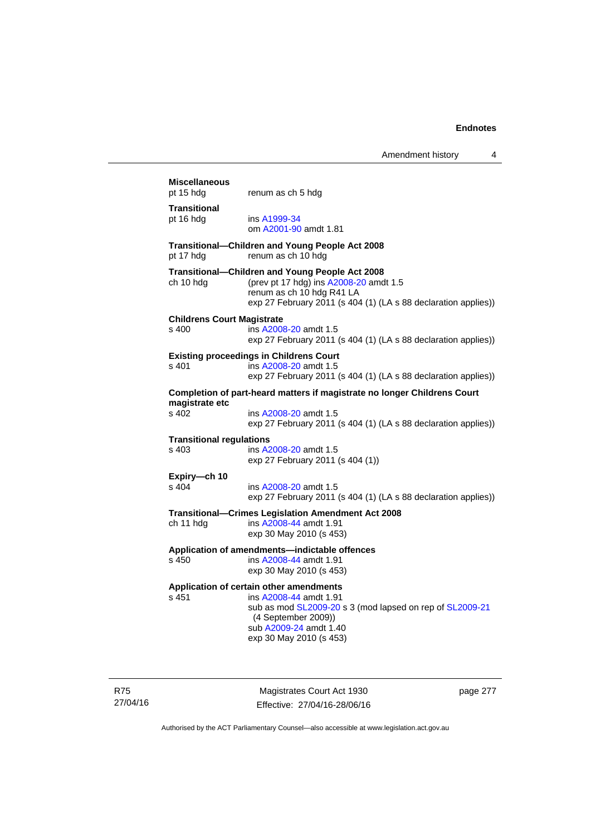## **Miscellaneous**  pt 15 hdg renum as ch 5 hdg **Transitional**  pt 16 hdg ins [A1999-34](http://www.legislation.act.gov.au/a/1999-34) om [A2001-90](http://www.legislation.act.gov.au/a/2001-90) amdt 1.81 **Transitional—Children and Young People Act 2008**  pt 17 hdg renum as ch 10 hdg **Transitional—Children and Young People Act 2008**  ch 10 hdg (prev pt 17 hdg) ins [A2008-20](http://www.legislation.act.gov.au/a/2008-20) amdt 1.5 renum as ch 10 hdg R41 LA exp 27 February 2011 (s 404 (1) (LA s 88 declaration applies)) **Childrens Court Magistrate**  s 400 ins [A2008-20](http://www.legislation.act.gov.au/a/2008-20) amdt 1.5 exp 27 February 2011 (s 404 (1) (LA s 88 declaration applies)) **Existing proceedings in Childrens Court**  s 401 ins [A2008-20](http://www.legislation.act.gov.au/a/2008-20) amdt 1.5 exp 27 February 2011 (s 404 (1) (LA s 88 declaration applies)) **Completion of part-heard matters if magistrate no longer Childrens Court magistrate etc**  s 402 ins [A2008-20](http://www.legislation.act.gov.au/a/2008-20) amdt 1.5 exp 27 February 2011 (s 404 (1) (LA s 88 declaration applies)) **Transitional regulations**  s 403 ins [A2008-20](http://www.legislation.act.gov.au/a/2008-20) amdt 1.5 exp 27 February 2011 (s 404 (1)) **Expiry—ch 10**  s 404 ins [A2008-20](http://www.legislation.act.gov.au/a/2008-20) amdt 1.5 exp 27 February 2011 (s 404 (1) (LA s 88 declaration applies)) **Transitional—Crimes Legislation Amendment Act 2008**  ch 11 hdg ins [A2008-44](http://www.legislation.act.gov.au/a/2008-44) amdt 1.91 exp 30 May 2010 (s 453) **Application of amendments—indictable offences**  s 450 ins [A2008-44](http://www.legislation.act.gov.au/a/2008-44) amdt 1.91 exp 30 May 2010 (s 453) **Application of certain other amendments**  s 451 ins [A2008-44](http://www.legislation.act.gov.au/a/2008-44) amdt 1.91 sub as mod [SL2009-20](http://www.legislation.act.gov.au/sl/2009-20) s 3 (mod lapsed on rep of [SL2009-21](http://www.legislation.act.gov.au/sl/2009-21) (4 September 2009)) sub [A2009-24](http://www.legislation.act.gov.au/a/2009-24) amdt 1.40 exp 30 May 2010 (s 453)

R75 27/04/16

Magistrates Court Act 1930 Effective: 27/04/16-28/06/16 page 277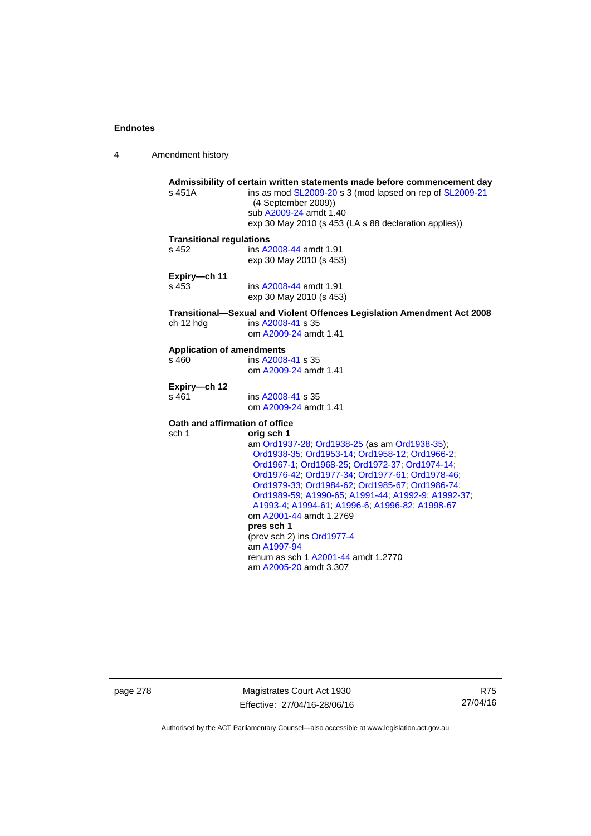4 Amendment history

| s 451A                                             | Admissibility of certain written statements made before commencement day<br>ins as mod SL2009-20 s 3 (mod lapsed on rep of SL2009-21<br>(4 September 2009))<br>sub A2009-24 amdt 1.40<br>exp 30 May 2010 (s 453 (LA s 88 declaration applies))                                                                                                                                                                                                                                                                                       |
|----------------------------------------------------|--------------------------------------------------------------------------------------------------------------------------------------------------------------------------------------------------------------------------------------------------------------------------------------------------------------------------------------------------------------------------------------------------------------------------------------------------------------------------------------------------------------------------------------|
| <b>Transitional regulations</b>                    | ins A2008-44 amdt 1.91                                                                                                                                                                                                                                                                                                                                                                                                                                                                                                               |
| $s$ 452                                            | exp 30 May 2010 (s 453)                                                                                                                                                                                                                                                                                                                                                                                                                                                                                                              |
| Expiry-ch 11                                       | ins A2008-44 amdt 1.91                                                                                                                                                                                                                                                                                                                                                                                                                                                                                                               |
| $s$ 453                                            | exp 30 May 2010 (s 453)                                                                                                                                                                                                                                                                                                                                                                                                                                                                                                              |
| ch 12 hdg                                          | Transitional-Sexual and Violent Offences Legislation Amendment Act 2008<br>ins A2008-41 s 35<br>om A2009-24 amdt 1.41                                                                                                                                                                                                                                                                                                                                                                                                                |
| <b>Application of amendments</b>                   | ins A2008-41 s 35                                                                                                                                                                                                                                                                                                                                                                                                                                                                                                                    |
| s 460                                              | om A2009-24 amdt 1.41                                                                                                                                                                                                                                                                                                                                                                                                                                                                                                                |
| Expiry-ch 12                                       | ins A2008-41 s 35                                                                                                                                                                                                                                                                                                                                                                                                                                                                                                                    |
| s 461                                              | om A2009-24 amdt 1.41                                                                                                                                                                                                                                                                                                                                                                                                                                                                                                                |
| Oath and affirmation of office<br>sch <sub>1</sub> | orig sch 1<br>am Ord1937-28; Ord1938-25 (as am Ord1938-35);<br>Ord1938-35, Ord1953-14, Ord1958-12, Ord1966-2,<br>Ord1967-1, Ord1968-25, Ord1972-37, Ord1974-14,<br>Ord1976-42; Ord1977-34; Ord1977-61; Ord1978-46;<br>Ord1979-33; Ord1984-62; Ord1985-67; Ord1986-74;<br>Ord1989-59, A1990-65, A1991-44, A1992-9, A1992-37,<br>A1993-4; A1994-61; A1996-6; A1996-82; A1998-67<br>om A2001-44 amdt 1.2769<br>pres sch 1<br>(prev sch 2) ins Ord1977-4<br>am A1997-94<br>renum as sch 1 A2001-44 amdt 1.2770<br>am A2005-20 amdt 3.307 |

page 278 Magistrates Court Act 1930 Effective: 27/04/16-28/06/16

R75 27/04/16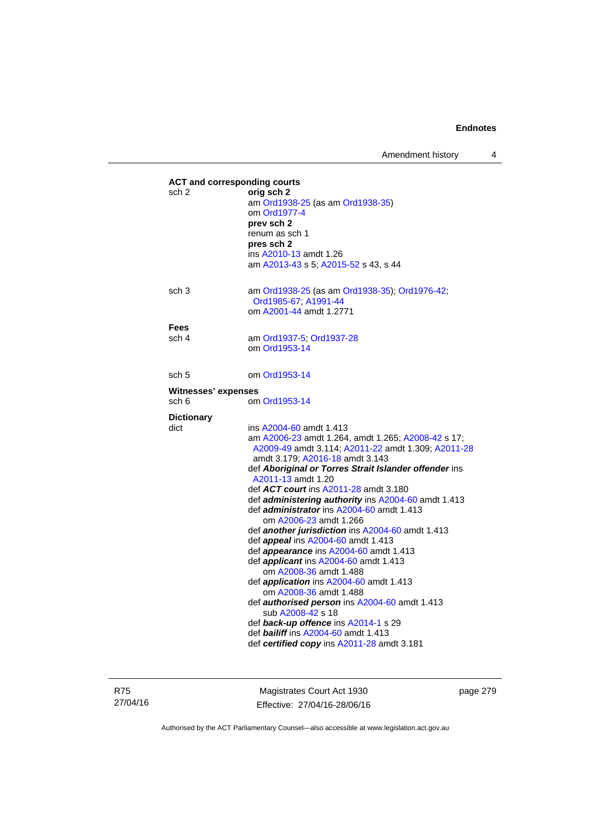Amendment history 4

| <b>ACT and corresponding courts</b><br>sch 2 | orig sch 2<br>am Ord1938-25 (as am Ord1938-35)<br>om Ord1977-4<br>prev sch 2<br>renum as sch 1<br>pres sch 2<br>ins A2010-13 amdt 1.26<br>am A2013-43 s 5; A2015-52 s 43, s 44                                                                                                                                                                                                                                                                                                                                                                                                                                                                                                                                                                                                                                                                                                                                                   |
|----------------------------------------------|----------------------------------------------------------------------------------------------------------------------------------------------------------------------------------------------------------------------------------------------------------------------------------------------------------------------------------------------------------------------------------------------------------------------------------------------------------------------------------------------------------------------------------------------------------------------------------------------------------------------------------------------------------------------------------------------------------------------------------------------------------------------------------------------------------------------------------------------------------------------------------------------------------------------------------|
| sch <sub>3</sub>                             | am Ord1938-25 (as am Ord1938-35); Ord1976-42;<br>Ord1985-67, A1991-44<br>om A2001-44 amdt 1.2771                                                                                                                                                                                                                                                                                                                                                                                                                                                                                                                                                                                                                                                                                                                                                                                                                                 |
| Fees<br>sch 4                                | am Ord1937-5; Ord1937-28<br>om Ord1953-14                                                                                                                                                                                                                                                                                                                                                                                                                                                                                                                                                                                                                                                                                                                                                                                                                                                                                        |
| sch 5                                        | om Ord1953-14                                                                                                                                                                                                                                                                                                                                                                                                                                                                                                                                                                                                                                                                                                                                                                                                                                                                                                                    |
| Witnesses' expenses                          |                                                                                                                                                                                                                                                                                                                                                                                                                                                                                                                                                                                                                                                                                                                                                                                                                                                                                                                                  |
| sch 6                                        | om Ord1953-14                                                                                                                                                                                                                                                                                                                                                                                                                                                                                                                                                                                                                                                                                                                                                                                                                                                                                                                    |
| <b>Dictionary</b>                            |                                                                                                                                                                                                                                                                                                                                                                                                                                                                                                                                                                                                                                                                                                                                                                                                                                                                                                                                  |
| dict                                         | ins A2004-60 amdt 1.413<br>am A2006-23 amdt 1.264, amdt 1.265; A2008-42 s 17;<br>A2009-49 amdt 3.114; A2011-22 amdt 1.309; A2011-28<br>amdt 3.179; A2016-18 amdt 3.143<br>def Aboriginal or Torres Strait Islander offender ins<br>A2011-13 amdt 1.20<br>def ACT court ins A2011-28 amdt 3.180<br>def administering authority ins A2004-60 amdt 1.413<br>def <i>administrator</i> ins A2004-60 amdt 1.413<br>om A2006-23 amdt 1.266<br>def another jurisdiction ins A2004-60 amdt 1.413<br>def appeal ins A2004-60 amdt 1.413<br>def appearance ins A2004-60 amdt 1.413<br>def applicant ins A2004-60 amdt 1.413<br>om A2008-36 amdt 1.488<br>def <i>application</i> ins A2004-60 amdt 1.413<br>om A2008-36 amdt 1.488<br>def authorised person ins A2004-60 amdt 1.413<br>sub A2008-42 s 18<br>def back-up offence ins A2014-1 s 29<br>def <b>bailiff</b> ins A2004-60 amdt 1.413<br>def certified copy ins A2011-28 amdt 3.181 |

R75 27/04/16

Magistrates Court Act 1930 Effective: 27/04/16-28/06/16 page 279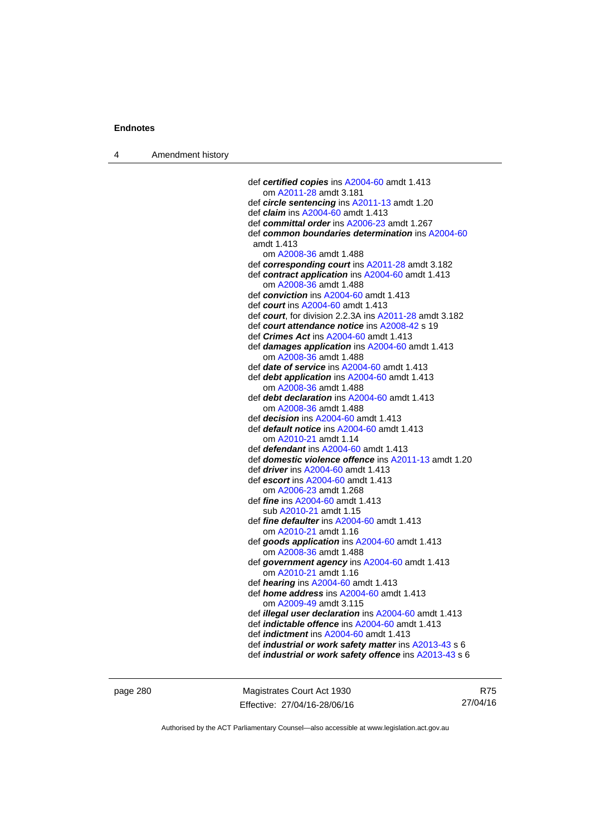4 Amendment history

 def *certified copies* ins [A2004-60](http://www.legislation.act.gov.au/a/2004-60) amdt 1.413 om [A2011-28](http://www.legislation.act.gov.au/a/2011-28) amdt 3.181 def *circle sentencing* ins [A2011-13](http://www.legislation.act.gov.au/a/2011-13) amdt 1.20 def *claim* ins [A2004-60](http://www.legislation.act.gov.au/a/2004-60) amdt 1.413 def *committal order* ins [A2006-23](http://www.legislation.act.gov.au/a/2006-23) amdt 1.267 def *common boundaries determination* ins [A2004-60](http://www.legislation.act.gov.au/a/2004-60) amdt 1.413 om [A2008-36](http://www.legislation.act.gov.au/a/2008-36) amdt 1.488 def *corresponding court* ins [A2011-28](http://www.legislation.act.gov.au/a/2011-28) amdt 3.182 def *contract application* ins [A2004-60](http://www.legislation.act.gov.au/a/2004-60) amdt 1.413 om [A2008-36](http://www.legislation.act.gov.au/a/2008-36) amdt 1.488 def *conviction* ins [A2004-60](http://www.legislation.act.gov.au/a/2004-60) amdt 1.413 def *court* ins [A2004-60](http://www.legislation.act.gov.au/a/2004-60) amdt 1.413 def *court*, for division 2.2.3A ins [A2011-28](http://www.legislation.act.gov.au/a/2011-28) amdt 3.182 def *court attendance notice* ins [A2008-42](http://www.legislation.act.gov.au/a/2008-42) s 19 def *Crimes Act* ins [A2004-60](http://www.legislation.act.gov.au/a/2004-60) amdt 1.413 def *damages application* ins [A2004-60](http://www.legislation.act.gov.au/a/2004-60) amdt 1.413 om [A2008-36](http://www.legislation.act.gov.au/a/2008-36) amdt 1.488 def *date of service* ins [A2004-60](http://www.legislation.act.gov.au/a/2004-60) amdt 1.413 def *debt application* ins [A2004-60](http://www.legislation.act.gov.au/a/2004-60) amdt 1.413 om [A2008-36](http://www.legislation.act.gov.au/a/2008-36) amdt 1.488 def *debt declaration* ins [A2004-60](http://www.legislation.act.gov.au/a/2004-60) amdt 1.413 om [A2008-36](http://www.legislation.act.gov.au/a/2008-36) amdt 1.488 def *decision* ins [A2004-60](http://www.legislation.act.gov.au/a/2004-60) amdt 1.413 def *default notice* ins [A2004-60](http://www.legislation.act.gov.au/a/2004-60) amdt 1.413 om [A2010-21](http://www.legislation.act.gov.au/a/2010-21) amdt 1.14 def *defendant* ins [A2004-60](http://www.legislation.act.gov.au/a/2004-60) amdt 1.413 def *domestic violence offence* ins [A2011-13](http://www.legislation.act.gov.au/a/2011-13) amdt 1.20 def *driver* ins [A2004-60](http://www.legislation.act.gov.au/a/2004-60) amdt 1.413 def *escort* ins [A2004-60](http://www.legislation.act.gov.au/a/2004-60) amdt 1.413 om [A2006-23](http://www.legislation.act.gov.au/a/2006-23) amdt 1.268 def *fine* ins [A2004-60](http://www.legislation.act.gov.au/a/2004-60) amdt 1.413 sub [A2010-21](http://www.legislation.act.gov.au/a/2010-21) amdt 1.15 def *fine defaulter* ins [A2004-60](http://www.legislation.act.gov.au/a/2004-60) amdt 1.413 om [A2010-21](http://www.legislation.act.gov.au/a/2010-21) amdt 1.16 def *goods application* ins [A2004-60](http://www.legislation.act.gov.au/a/2004-60) amdt 1.413 om [A2008-36](http://www.legislation.act.gov.au/a/2008-36) amdt 1.488 def *government agency* ins [A2004-60](http://www.legislation.act.gov.au/a/2004-60) amdt 1.413 om [A2010-21](http://www.legislation.act.gov.au/a/2010-21) amdt 1.16 def *hearing* ins [A2004-60](http://www.legislation.act.gov.au/a/2004-60) amdt 1.413 def *home address* ins [A2004-60](http://www.legislation.act.gov.au/a/2004-60) amdt 1.413 om [A2009-49](http://www.legislation.act.gov.au/a/2009-49) amdt 3.115 def *illegal user declaration* ins [A2004-60](http://www.legislation.act.gov.au/a/2004-60) amdt 1.413 def *indictable offence* ins [A2004-60](http://www.legislation.act.gov.au/a/2004-60) amdt 1.413 def *indictment* ins [A2004-60](http://www.legislation.act.gov.au/a/2004-60) amdt 1.413 def *industrial or work safety matter* ins [A2013-43](http://www.legislation.act.gov.au/a/2013-43) s 6 def *industrial or work safety offence* ins [A2013-43](http://www.legislation.act.gov.au/a/2013-43) s 6

page 280 Magistrates Court Act 1930 Effective: 27/04/16-28/06/16

R75 27/04/16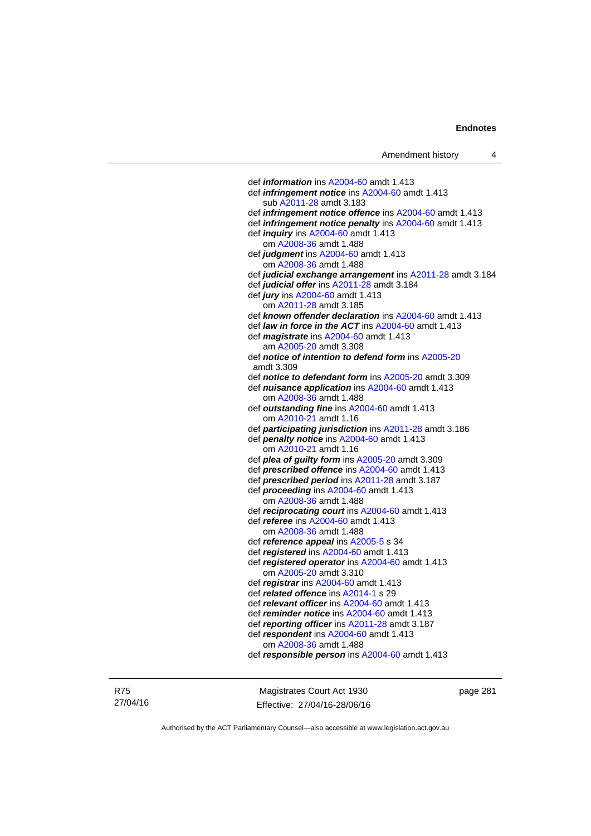def *information* ins [A2004-60](http://www.legislation.act.gov.au/a/2004-60) amdt 1.413 def *infringement notice* ins [A2004-60](http://www.legislation.act.gov.au/a/2004-60) amdt 1.413 sub [A2011-28](http://www.legislation.act.gov.au/a/2011-28) amdt 3.183 def *infringement notice offence* ins [A2004-60](http://www.legislation.act.gov.au/a/2004-60) amdt 1.413 def *infringement notice penalty* ins [A2004-60](http://www.legislation.act.gov.au/a/2004-60) amdt 1.413 def *inquiry* ins [A2004-60](http://www.legislation.act.gov.au/a/2004-60) amdt 1.413 om [A2008-36](http://www.legislation.act.gov.au/a/2008-36) amdt 1.488 def *judgment* ins [A2004-60](http://www.legislation.act.gov.au/a/2004-60) amdt 1.413 om [A2008-36](http://www.legislation.act.gov.au/a/2008-36) amdt 1.488 def *judicial exchange arrangement* ins [A2011-28](http://www.legislation.act.gov.au/a/2011-28) amdt 3.184 def *judicial offer* ins [A2011-28](http://www.legislation.act.gov.au/a/2011-28) amdt 3.184 def *jury* ins [A2004-60](http://www.legislation.act.gov.au/a/2004-60) amdt 1.413 om [A2011-28](http://www.legislation.act.gov.au/a/2011-28) amdt 3.185 def *known offender declaration* ins [A2004-60](http://www.legislation.act.gov.au/a/2004-60) amdt 1.413 def *law in force in the ACT* ins [A2004-60](http://www.legislation.act.gov.au/a/2004-60) amdt 1.413 def *magistrate* ins [A2004-60](http://www.legislation.act.gov.au/a/2004-60) amdt 1.413 am [A2005-20](http://www.legislation.act.gov.au/a/2005-20) amdt 3.308 def *notice of intention to defend form* ins [A2005-20](http://www.legislation.act.gov.au/a/2005-20) amdt 3.309 def *notice to defendant form* ins [A2005-20](http://www.legislation.act.gov.au/a/2005-20) amdt 3.309 def *nuisance application* ins [A2004-60](http://www.legislation.act.gov.au/a/2004-60) amdt 1.413 om [A2008-36](http://www.legislation.act.gov.au/a/2008-36) amdt 1.488 def *outstanding fine* ins [A2004-60](http://www.legislation.act.gov.au/a/2004-60) amdt 1.413 om [A2010-21](http://www.legislation.act.gov.au/a/2010-21) amdt 1.16 def *participating jurisdiction* ins [A2011-28](http://www.legislation.act.gov.au/a/2011-28) amdt 3.186 def *penalty notice* ins [A2004-60](http://www.legislation.act.gov.au/a/2004-60) amdt 1.413 om [A2010-21](http://www.legislation.act.gov.au/a/2010-21) amdt 1.16 def *plea of guilty form* ins [A2005-20](http://www.legislation.act.gov.au/a/2005-20) amdt 3.309 def *prescribed offence* ins [A2004-60](http://www.legislation.act.gov.au/a/2004-60) amdt 1.413 def *prescribed period* ins [A2011-28](http://www.legislation.act.gov.au/a/2011-28) amdt 3.187 def *proceeding* ins [A2004-60](http://www.legislation.act.gov.au/a/2004-60) amdt 1.413 om [A2008-36](http://www.legislation.act.gov.au/a/2008-36) amdt 1.488 def *reciprocating court* ins [A2004-60](http://www.legislation.act.gov.au/a/2004-60) amdt 1.413 def *referee* ins [A2004-60](http://www.legislation.act.gov.au/a/2004-60) amdt 1.413 om [A2008-36](http://www.legislation.act.gov.au/a/2008-36) amdt 1.488 def *reference appeal* ins [A2005-5](http://www.legislation.act.gov.au/a/2005-5) s 34 def *registered* ins [A2004-60](http://www.legislation.act.gov.au/a/2004-60) amdt 1.413 def *registered operator* ins [A2004-60](http://www.legislation.act.gov.au/a/2004-60) amdt 1.413 om [A2005-20](http://www.legislation.act.gov.au/a/2005-20) amdt 3.310 def *registrar* ins [A2004-60](http://www.legislation.act.gov.au/a/2004-60) amdt 1.413 def *related offence* ins [A2014-1](http://www.legislation.act.gov.au/a/2014-1) s 29 def *relevant officer* ins [A2004-60](http://www.legislation.act.gov.au/a/2004-60) amdt 1.413 def *reminder notice* ins [A2004-60](http://www.legislation.act.gov.au/a/2004-60) amdt 1.413 def *reporting officer* ins [A2011-28](http://www.legislation.act.gov.au/a/2011-28) amdt 3.187 def *respondent* ins [A2004-60](http://www.legislation.act.gov.au/a/2004-60) amdt 1.413 om [A2008-36](http://www.legislation.act.gov.au/a/2008-36) amdt 1.488 def *responsible person* ins [A2004-60](http://www.legislation.act.gov.au/a/2004-60) amdt 1.413

R75 27/04/16

Magistrates Court Act 1930 Effective: 27/04/16-28/06/16 page 281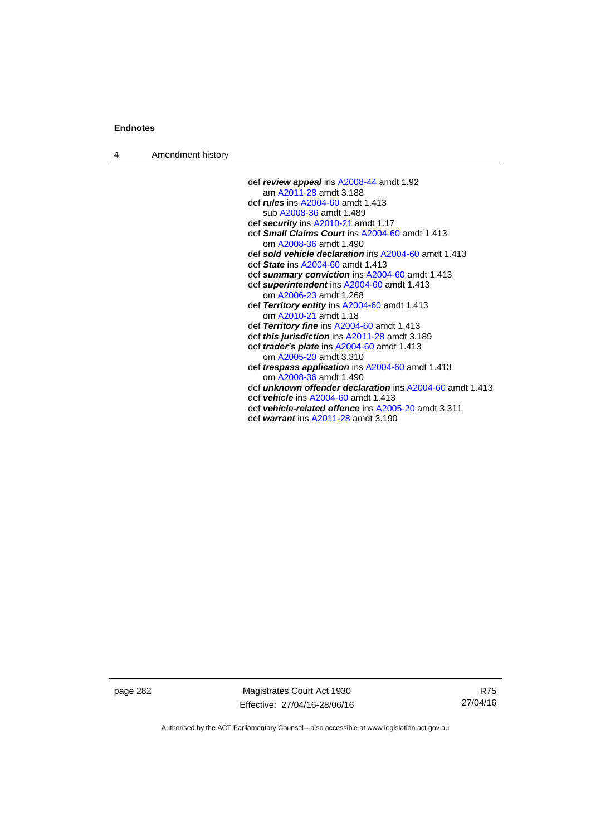4 Amendment history

- def *review appeal* ins [A2008-44](http://www.legislation.act.gov.au/a/2008-44) amdt 1.92 am [A2011-28](http://www.legislation.act.gov.au/a/2011-28) amdt 3.188 def *rules* ins [A2004-60](http://www.legislation.act.gov.au/a/2004-60) amdt 1.413 sub [A2008-36](http://www.legislation.act.gov.au/a/2008-36) amdt 1.489 def *security* ins [A2010-21](http://www.legislation.act.gov.au/a/2010-21) amdt 1.17 def *Small Claims Court* ins [A2004-60](http://www.legislation.act.gov.au/a/2004-60) amdt 1.413 om [A2008-36](http://www.legislation.act.gov.au/a/2008-36) amdt 1.490 def *sold vehicle declaration* ins [A2004-60](http://www.legislation.act.gov.au/a/2004-60) amdt 1.413 def *State* ins [A2004-60](http://www.legislation.act.gov.au/a/2004-60) amdt 1.413 def *summary conviction* ins [A2004-60](http://www.legislation.act.gov.au/a/2004-60) amdt 1.413 def *superintendent* ins [A2004-60](http://www.legislation.act.gov.au/a/2004-60) amdt 1.413 om [A2006-23](http://www.legislation.act.gov.au/a/2006-23) amdt 1.268 def *Territory entity* ins [A2004-60](http://www.legislation.act.gov.au/a/2004-60) amdt 1.413 om [A2010-21](http://www.legislation.act.gov.au/a/2010-21) amdt 1.18 def *Territory fine* ins [A2004-60](http://www.legislation.act.gov.au/a/2004-60) amdt 1.413 def *this jurisdiction* ins [A2011-28](http://www.legislation.act.gov.au/a/2011-28) amdt 3.189 def *trader's plate* ins [A2004-60](http://www.legislation.act.gov.au/a/2004-60) amdt 1.413 om [A2005-20](http://www.legislation.act.gov.au/a/2005-20) amdt 3.310 def *trespass application* ins [A2004-60](http://www.legislation.act.gov.au/a/2004-60) amdt 1.413 om [A2008-36](http://www.legislation.act.gov.au/a/2008-36) amdt 1.490 def *unknown offender declaration* ins [A2004-60](http://www.legislation.act.gov.au/a/2004-60) amdt 1.413 def *vehicle* ins [A2004-60](http://www.legislation.act.gov.au/a/2004-60) amdt 1.413 def *vehicle-related offence* ins [A2005-20](http://www.legislation.act.gov.au/a/2005-20) amdt 3.311
	- def *warrant* ins [A2011-28](http://www.legislation.act.gov.au/a/2011-28) amdt 3.190

page 282 Magistrates Court Act 1930 Effective: 27/04/16-28/06/16

R75 27/04/16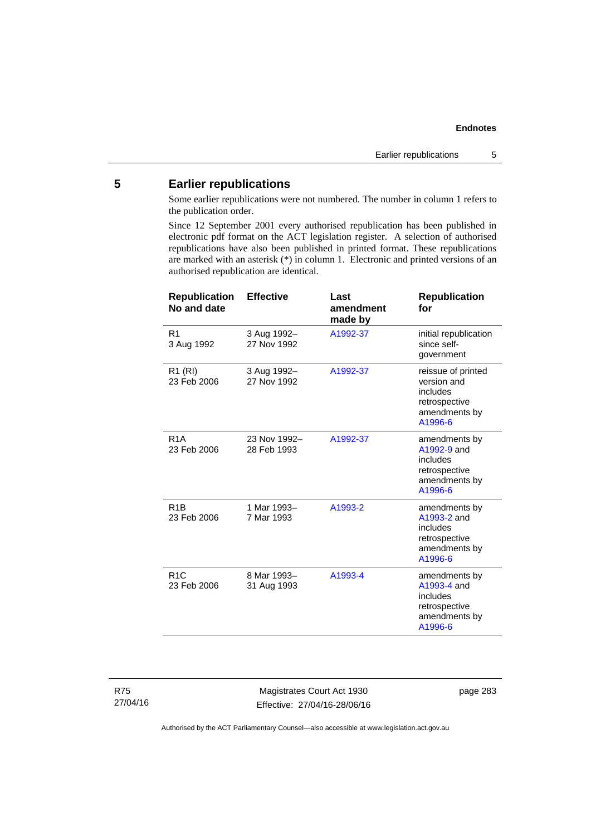## **5 Earlier republications**

Some earlier republications were not numbered. The number in column 1 refers to the publication order.

Since 12 September 2001 every authorised republication has been published in electronic pdf format on the ACT legislation register. A selection of authorised republications have also been published in printed format. These republications are marked with an asterisk (\*) in column 1. Electronic and printed versions of an authorised republication are identical.

| <b>Republication</b><br>No and date | <b>Effective</b>            | Last<br>amendment<br>made by | <b>Republication</b><br>for                                                                |
|-------------------------------------|-----------------------------|------------------------------|--------------------------------------------------------------------------------------------|
| R <sub>1</sub><br>3 Aug 1992        | 3 Aug 1992-<br>27 Nov 1992  | A1992-37                     | initial republication<br>since self-<br>government                                         |
| R <sub>1</sub> (RI)<br>23 Feb 2006  | 3 Aug 1992-<br>27 Nov 1992  | A1992-37                     | reissue of printed<br>version and<br>includes<br>retrospective<br>amendments by<br>A1996-6 |
| R <sub>1</sub> A<br>23 Feb 2006     | 23 Nov 1992-<br>28 Feb 1993 | A1992-37                     | amendments by<br>A1992-9 and<br>includes<br>retrospective<br>amendments by<br>A1996-6      |
| R <sub>1</sub> B<br>23 Feb 2006     | 1 Mar 1993-<br>7 Mar 1993   | A1993-2                      | amendments by<br>A1993-2 and<br>includes<br>retrospective<br>amendments by<br>A1996-6      |
| R <sub>1</sub> C<br>23 Feb 2006     | 8 Mar 1993-<br>31 Aug 1993  | A1993-4                      | amendments by<br>A1993-4 and<br>includes<br>retrospective<br>amendments by<br>A1996-6      |

Magistrates Court Act 1930 Effective: 27/04/16-28/06/16 page 283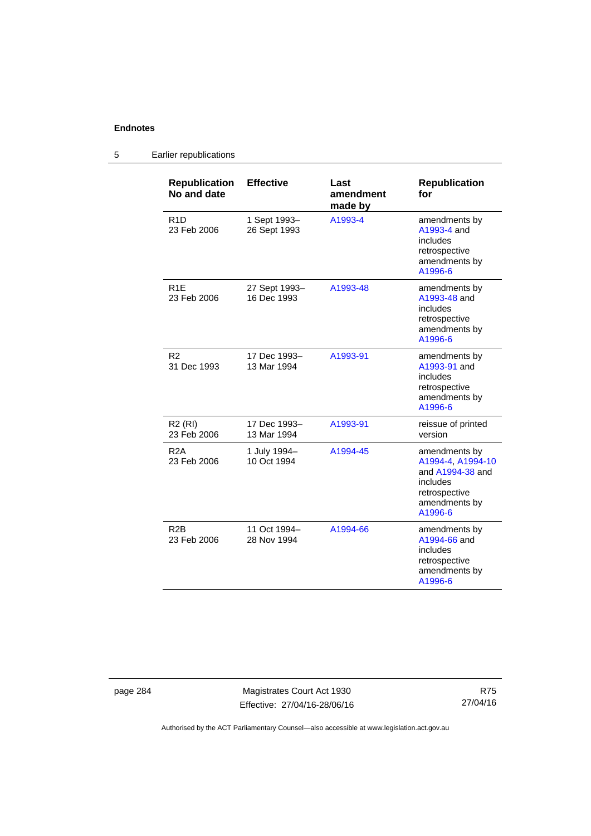#### **Republication No and date Effective Last amendment made by Republication for**  R1D 23 Feb 2006 1 Sept 1993– 26 Sept 1993 [A1993-4](http://www.legislation.act.gov.au/a/1993-4) amendments by [A1993-4](http://www.legislation.act.gov.au/a/1993-4) and includes retrospective amendments by [A1996-6](http://www.legislation.act.gov.au/a/1996-6) R1E 23 Feb 2006 27 Sept 1993– 16 Dec 1993 [A1993-48](http://www.legislation.act.gov.au/a/1993-48) amendments by [A1993-48](http://www.legislation.act.gov.au/a/1993-48) and includes retrospective amendments by [A1996-6](http://www.legislation.act.gov.au/a/1996-6) R2 31 Dec 1993 17 Dec 1993– 13 Mar 1994 [A1993-91](http://www.legislation.act.gov.au/a/1993-91) amendments by [A1993-91](http://www.legislation.act.gov.au/a/1993-91) and includes retrospective amendments by [A1996-6](http://www.legislation.act.gov.au/a/1996-6) R2 (RI) 23 Feb 2006 17 Dec 1993– 13 Mar 1994 [A1993-91](http://www.legislation.act.gov.au/a/1993-91) reissue of printed version R2A 23 Feb 2006 1 July 1994– 10 Oct 1994 [A1994-45](http://www.legislation.act.gov.au/a/1994-45) amendments by [A1994-4,](http://www.legislation.act.gov.au/a/1994-4) [A1994-10](http://www.legislation.act.gov.au/a/1994-10) and [A1994-38](http://www.legislation.act.gov.au/a/1994-38) and includes retrospective amendments by [A1996-6](http://www.legislation.act.gov.au/a/1996-6) R2B 23 Feb 2006 11 Oct 1994– 28 Nov 1994 [A1994-66](http://www.legislation.act.gov.au/a/1994-66) amendments by [A1994-66](http://www.legislation.act.gov.au/a/1994-66) and includes retrospective amendments by [A1996-6](http://www.legislation.act.gov.au/a/1996-6)

### 5 Earlier republications

page 284 Magistrates Court Act 1930 Effective: 27/04/16-28/06/16

R75 27/04/16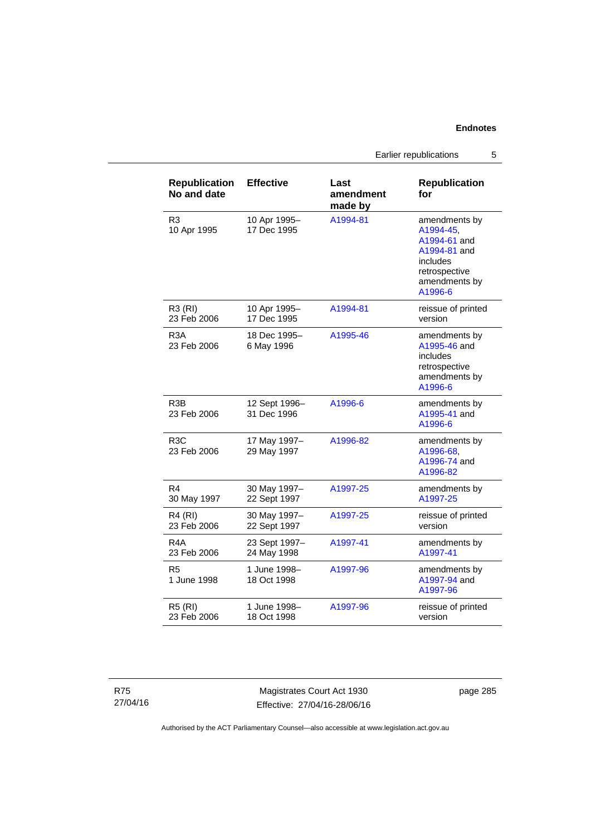Earlier republications 5

| <b>Republication</b><br>No and date | <b>Effective</b>             | Last<br>amendment<br>made by | <b>Republication</b><br>for                                                                                         |
|-------------------------------------|------------------------------|------------------------------|---------------------------------------------------------------------------------------------------------------------|
| R <sub>3</sub><br>10 Apr 1995       | 10 Apr 1995-<br>17 Dec 1995  | A1994-81                     | amendments by<br>A1994-45,<br>A1994-61 and<br>A1994-81 and<br>includes<br>retrospective<br>amendments by<br>A1996-6 |
| R3 (RI)<br>23 Feb 2006              | 10 Apr 1995-<br>17 Dec 1995  | A1994-81                     | reissue of printed<br>version                                                                                       |
| R <sub>3</sub> A<br>23 Feb 2006     | 18 Dec 1995-<br>6 May 1996   | A1995-46                     | amendments by<br>A1995-46 and<br>includes<br>retrospective<br>amendments by<br>A1996-6                              |
| R <sub>3</sub> B<br>23 Feb 2006     | 12 Sept 1996-<br>31 Dec 1996 | A1996-6                      | amendments by<br>A1995-41 and<br>A1996-6                                                                            |
| R <sub>3</sub> C<br>23 Feb 2006     | 17 May 1997-<br>29 May 1997  | A1996-82                     | amendments by<br>A1996-68,<br>A1996-74 and<br>A1996-82                                                              |
| R4<br>30 May 1997                   | 30 May 1997-<br>22 Sept 1997 | A1997-25                     | amendments by<br>A1997-25                                                                                           |
| R4 (RI)<br>23 Feb 2006              | 30 May 1997-<br>22 Sept 1997 | A1997-25                     | reissue of printed<br>version                                                                                       |
| R4A<br>23 Feb 2006                  | 23 Sept 1997-<br>24 May 1998 | A1997-41                     | amendments by<br>A1997-41                                                                                           |
| R <sub>5</sub><br>1 June 1998       | 1 June 1998-<br>18 Oct 1998  | A1997-96                     | amendments by<br>A1997-94 and<br>A1997-96                                                                           |
| <b>R5 (RI)</b><br>23 Feb 2006       | 1 June 1998-<br>18 Oct 1998  | A1997-96                     | reissue of printed<br>version                                                                                       |

Magistrates Court Act 1930 Effective: 27/04/16-28/06/16 page 285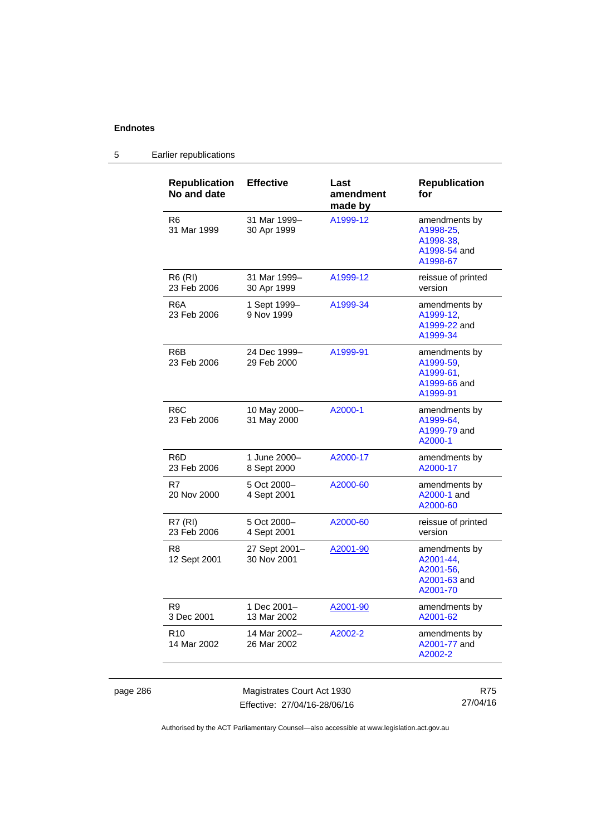page 286

## 5 Earlier republications

| <b>Republication</b><br>No and date | <b>Effective</b>             | Last<br>amendment<br>made by | <b>Republication</b><br>for                                         |
|-------------------------------------|------------------------------|------------------------------|---------------------------------------------------------------------|
| R6<br>31 Mar 1999                   | 31 Mar 1999-<br>30 Apr 1999  | A1999-12                     | amendments by<br>A1998-25,<br>A1998-38.<br>A1998-54 and<br>A1998-67 |
| <b>R6 (RI)</b><br>23 Feb 2006       | 31 Mar 1999-<br>30 Apr 1999  | A1999-12                     | reissue of printed<br>version                                       |
| R6A<br>23 Feb 2006                  | 1 Sept 1999-<br>9 Nov 1999   | A1999-34                     | amendments by<br>A1999-12,<br>A1999-22 and<br>A1999-34              |
| R6B<br>23 Feb 2006                  | 24 Dec 1999-<br>29 Feb 2000  | A1999-91                     | amendments by<br>A1999-59.<br>A1999-61,<br>A1999-66 and<br>A1999-91 |
| R <sub>6</sub> C<br>23 Feb 2006     | 10 May 2000-<br>31 May 2000  | A2000-1                      | amendments by<br>A1999-64,<br>A1999-79 and<br>A2000-1               |
| R6D<br>23 Feb 2006                  | 1 June 2000-<br>8 Sept 2000  | A2000-17                     | amendments by<br>A2000-17                                           |
| R7<br>20 Nov 2000                   | 5 Oct 2000-<br>4 Sept 2001   | A2000-60                     | amendments by<br>A2000-1 and<br>A2000-60                            |
| R7 (RI)<br>23 Feb 2006              | 5 Oct 2000-<br>4 Sept 2001   | A2000-60                     | reissue of printed<br>version                                       |
| R8<br>12 Sept 2001                  | 27 Sept 2001-<br>30 Nov 2001 | A2001-90                     | amendments by<br>A2001-44,<br>A2001-56,<br>A2001-63 and<br>A2001-70 |
| R9<br>3 Dec 2001                    | 1 Dec 2001–<br>13 Mar 2002   | A2001-90                     | amendments by<br>A2001-62                                           |
| R <sub>10</sub><br>14 Mar 2002      | 14 Mar 2002–<br>26 Mar 2002  | A2002-2                      | amendments by<br>A2001-77 and<br>A2002-2                            |
|                                     | Magistrates Court Act 1930   |                              | <b>R75</b>                                                          |

Effective: 27/04/16-28/06/16

27/04/16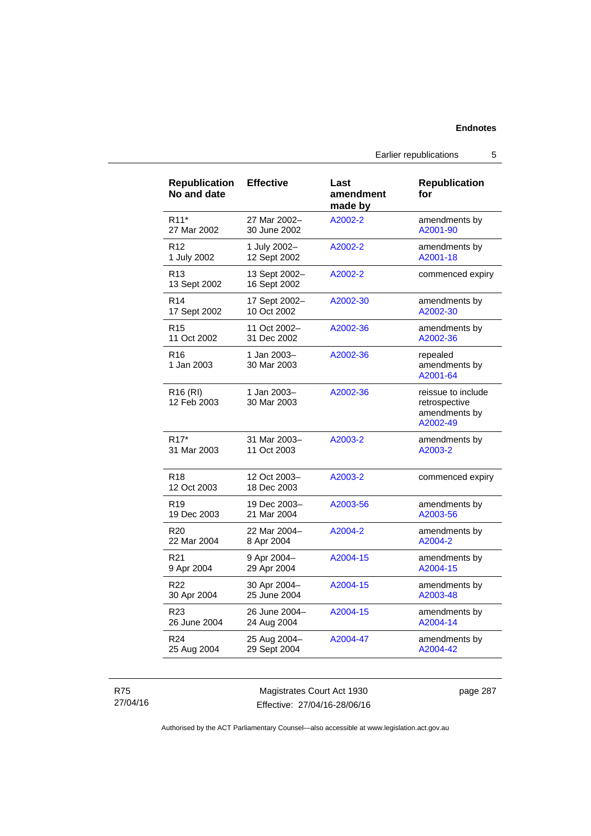| <b>Republication</b><br>No and date | <b>Effective</b>              | Last<br>amendment<br>made by | <b>Republication</b><br>for                                      |
|-------------------------------------|-------------------------------|------------------------------|------------------------------------------------------------------|
| R11*                                | 27 Mar 2002-                  | A2002-2                      | amendments by                                                    |
| 27 Mar 2002                         | 30 June 2002                  |                              | A2001-90                                                         |
| R <sub>12</sub>                     | 1 July 2002-                  | A2002-2                      | amendments by                                                    |
| 1 July 2002                         | 12 Sept 2002                  |                              | A2001-18                                                         |
| R <sub>13</sub><br>13 Sept 2002     | 13 Sept 2002-<br>16 Sept 2002 | A2002-2                      | commenced expiry                                                 |
| R <sub>14</sub>                     | 17 Sept 2002-                 | A2002-30                     | amendments by                                                    |
| 17 Sept 2002                        | 10 Oct 2002                   |                              | A2002-30                                                         |
| R <sub>15</sub>                     | 11 Oct 2002-                  | A2002-36                     | amendments by                                                    |
| 11 Oct 2002                         | 31 Dec 2002                   |                              | A2002-36                                                         |
| R <sub>16</sub><br>1 Jan 2003       | 1 Jan 2003-<br>30 Mar 2003    | A2002-36                     | repealed<br>amendments by<br>A2001-64                            |
| R <sub>16</sub> (RI)<br>12 Feb 2003 | 1 Jan 2003-<br>30 Mar 2003    | A2002-36                     | reissue to include<br>retrospective<br>amendments by<br>A2002-49 |
| R <sub>17</sub> *                   | 31 Mar 2003-                  | A2003-2                      | amendments by                                                    |
| 31 Mar 2003                         | 11 Oct 2003                   |                              | A2003-2                                                          |
| R <sub>18</sub><br>12 Oct 2003      | 12 Oct 2003-<br>18 Dec 2003   | A2003-2                      | commenced expiry                                                 |
| R <sub>19</sub>                     | 19 Dec 2003-                  | A2003-56                     | amendments by                                                    |
| 19 Dec 2003                         | 21 Mar 2004                   |                              | A2003-56                                                         |
| R <sub>20</sub>                     | 22 Mar 2004-                  | A2004-2                      | amendments by                                                    |
| 22 Mar 2004                         | 8 Apr 2004                    |                              | A2004-2                                                          |
| R <sub>21</sub>                     | 9 Apr 2004-                   | A2004-15                     | amendments by                                                    |
| 9 Apr 2004                          | 29 Apr 2004                   |                              | A2004-15                                                         |
| R <sub>22</sub>                     | 30 Apr 2004-                  | A2004-15                     | amendments by                                                    |
| 30 Apr 2004                         | 25 June 2004                  |                              | A2003-48                                                         |
| R <sub>23</sub>                     | 26 June 2004-                 | A2004-15                     | amendments by                                                    |
| 26 June 2004                        | 24 Aug 2004                   |                              | A2004-14                                                         |
| R <sub>24</sub>                     | 25 Aug 2004-                  | A2004-47                     | amendments by                                                    |
| 25 Aug 2004                         | 29 Sept 2004                  |                              | A2004-42                                                         |

R75 27/04/16

Magistrates Court Act 1930 Effective: 27/04/16-28/06/16 page 287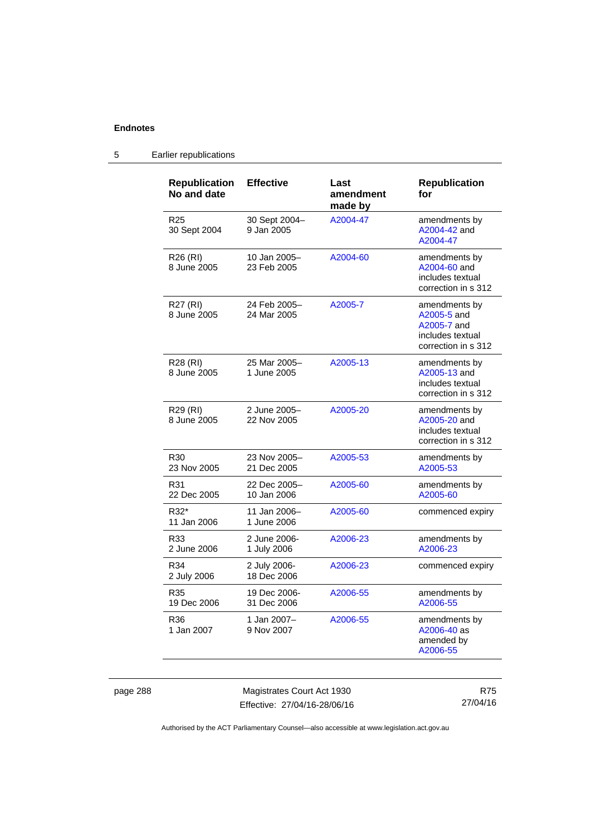| <b>Republication</b><br>No and date | <b>Effective</b>            | Last<br>amendment<br>made by | <b>Republication</b><br>for                                                            |
|-------------------------------------|-----------------------------|------------------------------|----------------------------------------------------------------------------------------|
| R <sub>25</sub><br>30 Sept 2004     | 30 Sept 2004-<br>9 Jan 2005 | A2004-47                     | amendments by<br>A2004-42 and<br>A2004-47                                              |
| R26 (RI)<br>8 June 2005             | 10 Jan 2005-<br>23 Feb 2005 | A2004-60                     | amendments by<br>A2004-60 and<br>includes textual<br>correction in s 312               |
| R27 (RI)<br>8 June 2005             | 24 Feb 2005-<br>24 Mar 2005 | A2005-7                      | amendments by<br>A2005-5 and<br>A2005-7 and<br>includes textual<br>correction in s 312 |
| R28 (RI)<br>8 June 2005             | 25 Mar 2005-<br>1 June 2005 | A2005-13                     | amendments by<br>A2005-13 and<br>includes textual<br>correction in s 312               |
| R29 (RI)<br>8 June 2005             | 2 June 2005-<br>22 Nov 2005 | A2005-20                     | amendments by<br>A2005-20 and<br>includes textual<br>correction in s 312               |
| R <sub>30</sub><br>23 Nov 2005      | 23 Nov 2005-<br>21 Dec 2005 | A2005-53                     | amendments by<br>A2005-53                                                              |
| R31<br>22 Dec 2005                  | 22 Dec 2005-<br>10 Jan 2006 | A2005-60                     | amendments by<br>A2005-60                                                              |
| R32*<br>11 Jan 2006                 | 11 Jan 2006-<br>1 June 2006 | A2005-60                     | commenced expiry                                                                       |
| R33<br>2 June 2006                  | 2 June 2006-<br>1 July 2006 | A2006-23                     | amendments by<br>A2006-23                                                              |
| R34<br>2 July 2006                  | 2 July 2006-<br>18 Dec 2006 | A2006-23                     | commenced expiry                                                                       |
| R35<br>19 Dec 2006                  | 19 Dec 2006-<br>31 Dec 2006 | A2006-55                     | amendments by<br>A2006-55                                                              |
| R36<br>1 Jan 2007                   | 1 Jan 2007-<br>9 Nov 2007   | A2006-55                     | amendments by<br>A2006-40 as<br>amended by<br>A2006-55                                 |

## 5 Earlier republications

page 288 Magistrates Court Act 1930 Effective: 27/04/16-28/06/16

R75 27/04/16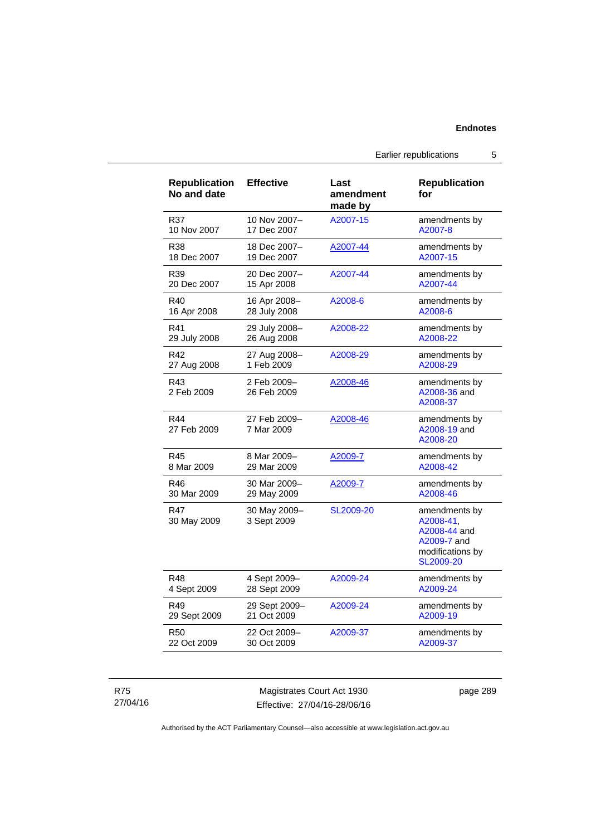Earlier republications 5

| <b>Republication</b><br>No and date | <b>Effective</b>            | Last<br>amendment<br>made by | <b>Republication</b><br>for                                                                |
|-------------------------------------|-----------------------------|------------------------------|--------------------------------------------------------------------------------------------|
| R37                                 | 10 Nov 2007-                | A2007-15                     | amendments by                                                                              |
| 10 Nov 2007                         | 17 Dec 2007                 |                              | A2007-8                                                                                    |
| R38                                 | 18 Dec 2007–                | A2007-44                     | amendments by                                                                              |
| 18 Dec 2007                         | 19 Dec 2007                 |                              | A2007-15                                                                                   |
| R39                                 | 20 Dec 2007-                | A2007-44                     | amendments by                                                                              |
| 20 Dec 2007                         | 15 Apr 2008                 |                              | A2007-44                                                                                   |
| R40                                 | 16 Apr 2008-                | A2008-6                      | amendments by                                                                              |
| 16 Apr 2008                         | 28 July 2008                |                              | A2008-6                                                                                    |
| R41                                 | 29 July 2008-               | A2008-22                     | amendments by                                                                              |
| 29 July 2008                        | 26 Aug 2008                 |                              | A2008-22                                                                                   |
| R42                                 | 27 Aug 2008-                | A2008-29                     | amendments by                                                                              |
| 27 Aug 2008                         | 1 Feb 2009                  |                              | A2008-29                                                                                   |
| R43<br>2 Feb 2009                   | 2 Feb 2009-<br>26 Feb 2009  | A2008-46                     | amendments by<br>A2008-36 and<br>A2008-37                                                  |
| R44<br>27 Feb 2009                  | 27 Feb 2009-<br>7 Mar 2009  | A2008-46                     | amendments by<br>A2008-19 and<br>A2008-20                                                  |
| R45                                 | 8 Mar 2009-                 | A2009-7                      | amendments by                                                                              |
| 8 Mar 2009                          | 29 Mar 2009                 |                              | A2008-42                                                                                   |
| R46                                 | 30 Mar 2009-                | A2009-7                      | amendments by                                                                              |
| 30 Mar 2009                         | 29 May 2009                 |                              | A2008-46                                                                                   |
| R47<br>30 May 2009                  | 30 May 2009-<br>3 Sept 2009 | SL2009-20                    | amendments by<br>A2008-41,<br>A2008-44 and<br>A2009-7 and<br>modifications by<br>SL2009-20 |
| R48                                 | 4 Sept 2009-                | A2009-24                     | amendments by                                                                              |
| 4 Sept 2009                         | 28 Sept 2009                |                              | A2009-24                                                                                   |
| R49                                 | 29 Sept 2009-               | A2009-24                     | amendments by                                                                              |
| 29 Sept 2009                        | 21 Oct 2009                 |                              | A2009-19                                                                                   |
| R50                                 | 22 Oct 2009-                | A2009-37                     | amendments by                                                                              |
| 22 Oct 2009                         | 30 Oct 2009                 |                              | A2009-37                                                                                   |

R75 27/04/16

Magistrates Court Act 1930 Effective: 27/04/16-28/06/16 page 289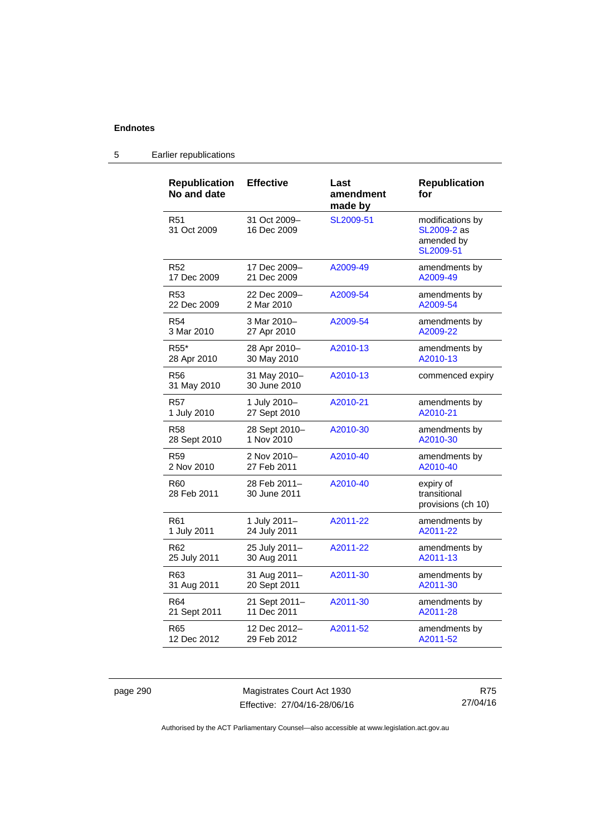#### **Republication No and date Effective Last amendment made by Republication for**  R51 31 Oct 2009 31 Oct 2009– 16 Dec 2009 [SL2009-51](http://www.legislation.act.gov.au/sl/2009-51) modifications by [SL2009-2](http://www.legislation.act.gov.au/sl/2009-2) as amended by [SL2009-51](http://www.legislation.act.gov.au/sl/2009-51) R52 17 Dec 2009 17 Dec 2009– 21 Dec 2009 [A2009-49](http://www.legislation.act.gov.au/a/2009-49) amendments by [A2009-49](http://www.legislation.act.gov.au/a/2009-49) R53 22 Dec 2009 22 Dec 2009– 2 Mar 2010 [A2009-54](http://www.legislation.act.gov.au/a/2009-54) amendments by [A2009-54](http://www.legislation.act.gov.au/a/2009-54) R54 3 Mar 2010 3 Mar 2010– 27 Apr 2010 [A2009-54](http://www.legislation.act.gov.au/a/2009-54) amendments by [A2009-22](http://www.legislation.act.gov.au/a/2009-22) R55\* 28 Apr 2010 28 Apr 2010– 30 May 2010 [A2010-13](http://www.legislation.act.gov.au/a/2010-13) amendments by [A2010-13](http://www.legislation.act.gov.au/a/2010-13) R56 31 May 2010 31 May 2010– 30 June 2010 [A2010-13](http://www.legislation.act.gov.au/a/2010-13) commenced expiry R57 1 July 2010 1 July 2010– 27 Sept 2010 [A2010-21](http://www.legislation.act.gov.au/a/2010-21) amendments by [A2010-21](http://www.legislation.act.gov.au/a/2010-21) R58 28 Sept 2010 28 Sept 2010– 1 Nov 2010 [A2010-30](http://www.legislation.act.gov.au/a/2010-30) amendments by [A2010-30](http://www.legislation.act.gov.au/a/2010-30) R59 2 Nov 2010 2 Nov 2010– 27 Feb 2011 [A2010-40](http://www.legislation.act.gov.au/a/2010-40) amendments by [A2010-40](http://www.legislation.act.gov.au/a/2010-40) R60 28 Feb 2011 28 Feb 2011– 30 June 2011 [A2010-40](http://www.legislation.act.gov.au/a/2010-40) expiry of transitional provisions (ch 10) R61 1 July 2011 1 July 2011– 24 July 2011 [A2011-22](http://www.legislation.act.gov.au/a/2011-22) amendments by [A2011-22](http://www.legislation.act.gov.au/a/2011-22) R62 25 July 2011 25 July 2011– 30 Aug 2011 [A2011-22](http://www.legislation.act.gov.au/a/2011-22) amendments by [A2011-13](http://www.legislation.act.gov.au/a/2011-13) R63 31 Aug 2011 31 Aug 2011– 20 Sept 2011 [A2011-30](http://www.legislation.act.gov.au/a/2011-30) amendments by [A2011-30](http://www.legislation.act.gov.au/a/2011-30) R64 21 Sept 2011 21 Sept 2011– 11 Dec 2011 [A2011-30](http://www.legislation.act.gov.au/a/2011-30) amendments by [A2011-28](http://www.legislation.act.gov.au/a/2011-28)

#### 5 Earlier republications

R65

12 Dec 2012

page 290 Magistrates Court Act 1930 Effective: 27/04/16-28/06/16

12 Dec 2012– 29 Feb 2012

> R75 27/04/16

[A2011-52](http://www.legislation.act.gov.au/a/2011-52) amendments by

[A2011-52](http://www.legislation.act.gov.au/a/2011-52)